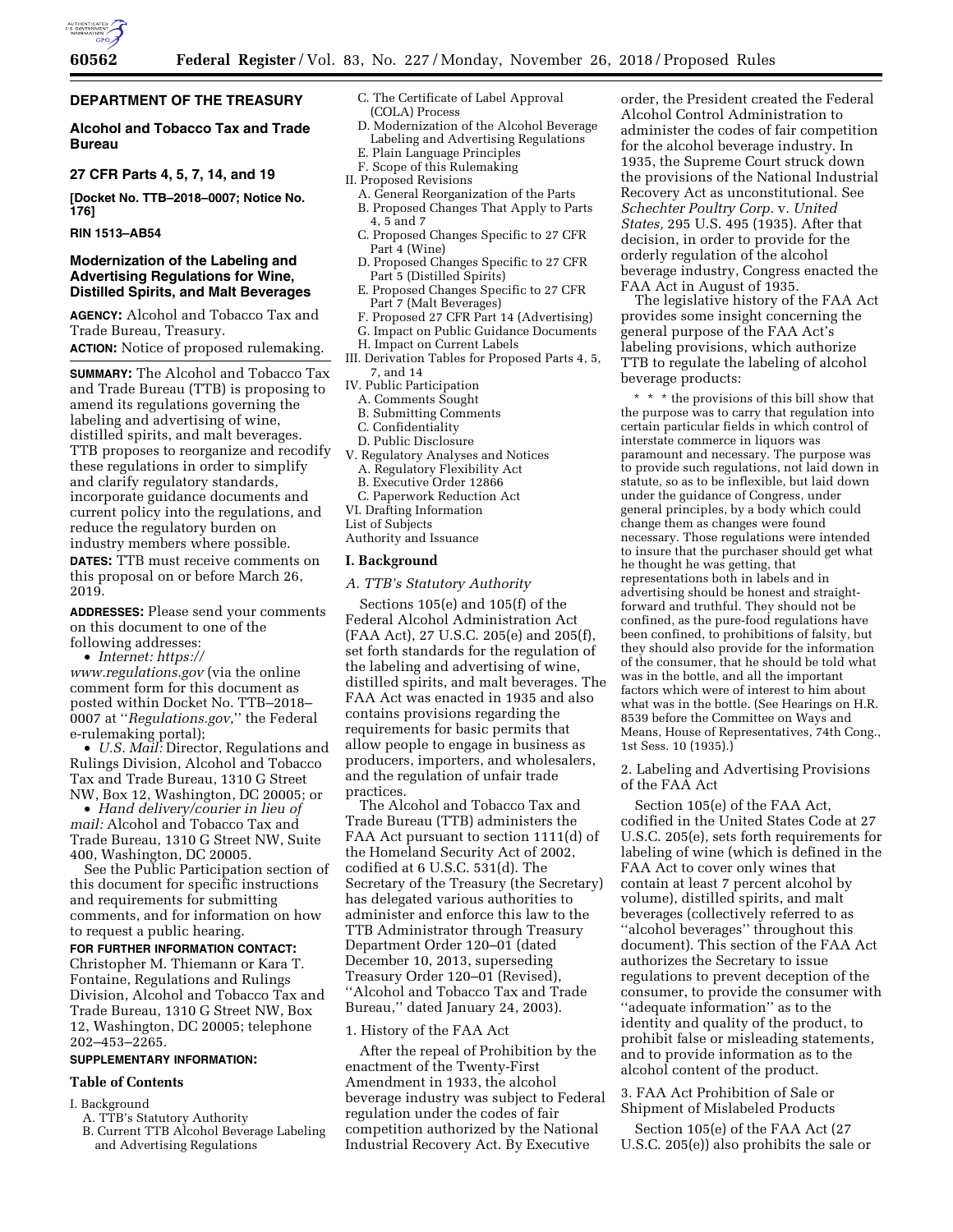

# **DEPARTMENT OF THE TREASURY**

# **Alcohol and Tobacco Tax and Trade Bureau**

# **27 CFR Parts 4, 5, 7, 14, and 19**

**[Docket No. TTB–2018–0007; Notice No. 176]** 

## **RIN 1513–AB54**

### **Modernization of the Labeling and Advertising Regulations for Wine, Distilled Spirits, and Malt Beverages**

**AGENCY:** Alcohol and Tobacco Tax and Trade Bureau, Treasury.

**ACTION:** Notice of proposed rulemaking.

**SUMMARY:** The Alcohol and Tobacco Tax and Trade Bureau (TTB) is proposing to amend its regulations governing the labeling and advertising of wine, distilled spirits, and malt beverages. TTB proposes to reorganize and recodify these regulations in order to simplify and clarify regulatory standards, incorporate guidance documents and current policy into the regulations, and reduce the regulatory burden on industry members where possible. **DATES:** TTB must receive comments on this proposal on or before March 26, 2019.

**ADDRESSES:** Please send your comments on this document to one of the following addresses:

• *Internet: [https://](https://www.regulations.gov)*

*[www.regulations.gov](https://www.regulations.gov)* (via the online comment form for this document as posted within Docket No. TTB–2018– 0007 at ''*Regulations.gov*,'' the Federal e-rulemaking portal);

• *U.S. Mail:* Director, Regulations and Rulings Division, Alcohol and Tobacco Tax and Trade Bureau, 1310 G Street NW, Box 12, Washington, DC 20005; or

• *Hand delivery/courier in lieu of mail:* Alcohol and Tobacco Tax and Trade Bureau, 1310 G Street NW, Suite 400, Washington, DC 20005.

See the Public Participation section of this document for specific instructions and requirements for submitting comments, and for information on how to request a public hearing.

# **FOR FURTHER INFORMATION CONTACT:**  Christopher M. Thiemann or Kara T. Fontaine, Regulations and Rulings Division, Alcohol and Tobacco Tax and Trade Bureau, 1310 G Street NW, Box 12, Washington, DC 20005; telephone 202–453–2265.

### **SUPPLEMENTARY INFORMATION:**

#### **Table of Contents**

I. Background

- A. TTB's Statutory Authority
- B. Current TTB Alcohol Beverage Labeling and Advertising Regulations
- C. The Certificate of Label Approval (COLA) Process
- D. Modernization of the Alcohol Beverage Labeling and Advertising Regulations E. Plain Language Principles
- F. Scope of this Rulemaking
- II. Proposed Revisions
- A. General Reorganization of the Parts
- B. Proposed Changes That Apply to Parts 4, 5 and 7
- C. Proposed Changes Specific to 27 CFR Part 4 (Wine)
- D. Proposed Changes Specific to 27 CFR Part 5 (Distilled Spirits)
- E. Proposed Changes Specific to 27 CFR Part 7 (Malt Beverages)
- F. Proposed 27 CFR Part 14 (Advertising) G. Impact on Public Guidance Documents
- H. Impact on Current Labels
- III. Derivation Tables for Proposed Parts 4, 5, 7, and 14
- IV. Public Participation
- A. Comments Sought
- B. Submitting Comments
- C. Confidentiality
- D. Public Disclosure
- V. Regulatory Analyses and Notices A. Regulatory Flexibility Act
- B. Executive Order 12866
- C. Paperwork Reduction Act
- VI. Drafting Information
- List of Subjects Authority and Issuance
- 

# **I. Background**

*A. TTB's Statutory Authority* 

Sections 105(e) and 105(f) of the Federal Alcohol Administration Act (FAA Act), 27 U.S.C. 205(e) and 205(f), set forth standards for the regulation of the labeling and advertising of wine, distilled spirits, and malt beverages. The FAA Act was enacted in 1935 and also contains provisions regarding the requirements for basic permits that allow people to engage in business as producers, importers, and wholesalers, and the regulation of unfair trade practices.

The Alcohol and Tobacco Tax and Trade Bureau (TTB) administers the FAA Act pursuant to section 1111(d) of the Homeland Security Act of 2002, codified at 6 U.S.C. 531(d). The Secretary of the Treasury (the Secretary) has delegated various authorities to administer and enforce this law to the TTB Administrator through Treasury Department Order 120–01 (dated December 10, 2013, superseding Treasury Order 120–01 (Revised), ''Alcohol and Tobacco Tax and Trade Bureau,'' dated January 24, 2003).

# 1. History of the FAA Act

After the repeal of Prohibition by the enactment of the Twenty-First Amendment in 1933, the alcohol beverage industry was subject to Federal regulation under the codes of fair competition authorized by the National Industrial Recovery Act. By Executive

order, the President created the Federal Alcohol Control Administration to administer the codes of fair competition for the alcohol beverage industry. In 1935, the Supreme Court struck down the provisions of the National Industrial Recovery Act as unconstitutional. See *Schechter Poultry Corp.* v. *United States,* 295 U.S. 495 (1935). After that decision, in order to provide for the orderly regulation of the alcohol beverage industry, Congress enacted the FAA Act in August of 1935.

The legislative history of the FAA Act provides some insight concerning the general purpose of the FAA Act's labeling provisions, which authorize TTB to regulate the labeling of alcohol beverage products:

\* \* \* the provisions of this bill show that the purpose was to carry that regulation into certain particular fields in which control of interstate commerce in liquors was paramount and necessary. The purpose was to provide such regulations, not laid down in statute, so as to be inflexible, but laid down under the guidance of Congress, under general principles, by a body which could change them as changes were found necessary. Those regulations were intended to insure that the purchaser should get what he thought he was getting, that representations both in labels and in advertising should be honest and straightforward and truthful. They should not be confined, as the pure-food regulations have been confined, to prohibitions of falsity, but they should also provide for the information of the consumer, that he should be told what was in the bottle, and all the important factors which were of interest to him about what was in the bottle. (See Hearings on H.R. 8539 before the Committee on Ways and Means, House of Representatives, 74th Cong., 1st Sess. 10 (1935).)

2. Labeling and Advertising Provisions of the FAA Act

Section 105(e) of the FAA Act, codified in the United States Code at 27 U.S.C. 205(e), sets forth requirements for labeling of wine (which is defined in the FAA Act to cover only wines that contain at least 7 percent alcohol by volume), distilled spirits, and malt beverages (collectively referred to as ''alcohol beverages'' throughout this document). This section of the FAA Act authorizes the Secretary to issue regulations to prevent deception of the consumer, to provide the consumer with ''adequate information'' as to the identity and quality of the product, to prohibit false or misleading statements, and to provide information as to the alcohol content of the product.

# 3. FAA Act Prohibition of Sale or Shipment of Mislabeled Products

Section 105(e) of the FAA Act (27 U.S.C. 205(e)) also prohibits the sale or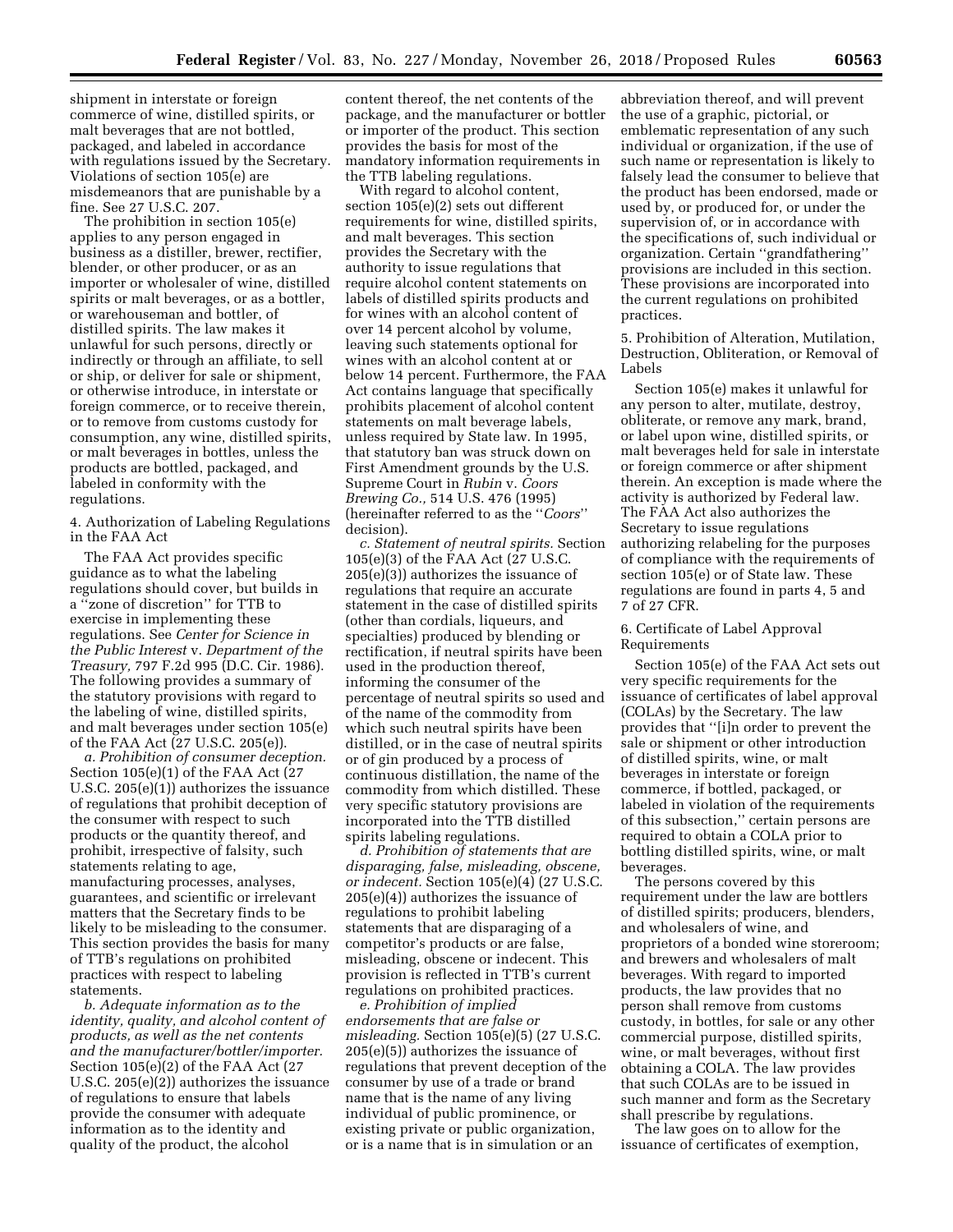shipment in interstate or foreign commerce of wine, distilled spirits, or malt beverages that are not bottled, packaged, and labeled in accordance with regulations issued by the Secretary. Violations of section 105(e) are misdemeanors that are punishable by a fine. See 27 U.S.C. 207.

The prohibition in section 105(e) applies to any person engaged in business as a distiller, brewer, rectifier, blender, or other producer, or as an importer or wholesaler of wine, distilled spirits or malt beverages, or as a bottler, or warehouseman and bottler, of distilled spirits. The law makes it unlawful for such persons, directly or indirectly or through an affiliate, to sell or ship, or deliver for sale or shipment, or otherwise introduce, in interstate or foreign commerce, or to receive therein, or to remove from customs custody for consumption, any wine, distilled spirits, or malt beverages in bottles, unless the products are bottled, packaged, and labeled in conformity with the regulations.

4. Authorization of Labeling Regulations in the FAA Act

The FAA Act provides specific guidance as to what the labeling regulations should cover, but builds in a ''zone of discretion'' for TTB to exercise in implementing these regulations. See *Center for Science in the Public Interest* v. *Department of the Treasury,* 797 F.2d 995 (D.C. Cir. 1986). The following provides a summary of the statutory provisions with regard to the labeling of wine, distilled spirits, and malt beverages under section 105(e) of the FAA Act (27 U.S.C. 205(e)).

*a. Prohibition of consumer deception.*  Section 105(e)(1) of the FAA Act (27 U.S.C. 205(e)(1)) authorizes the issuance of regulations that prohibit deception of the consumer with respect to such products or the quantity thereof, and prohibit, irrespective of falsity, such statements relating to age, manufacturing processes, analyses, guarantees, and scientific or irrelevant matters that the Secretary finds to be likely to be misleading to the consumer. This section provides the basis for many of TTB's regulations on prohibited practices with respect to labeling statements.

*b. Adequate information as to the identity, quality, and alcohol content of products, as well as the net contents and the manufacturer/bottler/importer.*  Section 105(e)(2) of the FAA Act (27 U.S.C. 205(e)(2)) authorizes the issuance of regulations to ensure that labels provide the consumer with adequate information as to the identity and quality of the product, the alcohol

content thereof, the net contents of the package, and the manufacturer or bottler or importer of the product. This section provides the basis for most of the mandatory information requirements in the TTB labeling regulations.

With regard to alcohol content, section 105(e)(2) sets out different requirements for wine, distilled spirits, and malt beverages. This section provides the Secretary with the authority to issue regulations that require alcohol content statements on labels of distilled spirits products and for wines with an alcohol content of over 14 percent alcohol by volume, leaving such statements optional for wines with an alcohol content at or below 14 percent. Furthermore, the FAA Act contains language that specifically prohibits placement of alcohol content statements on malt beverage labels, unless required by State law. In 1995, that statutory ban was struck down on First Amendment grounds by the U.S. Supreme Court in *Rubin* v. *Coors Brewing Co.,* 514 U.S. 476 (1995) (hereinafter referred to as the ''*Coors*'' decision).

*c. Statement of neutral spirits.* Section 105(e)(3) of the FAA Act (27 U.S.C. 205(e)(3)) authorizes the issuance of regulations that require an accurate statement in the case of distilled spirits (other than cordials, liqueurs, and specialties) produced by blending or rectification, if neutral spirits have been used in the production thereof, informing the consumer of the percentage of neutral spirits so used and of the name of the commodity from which such neutral spirits have been distilled, or in the case of neutral spirits or of gin produced by a process of continuous distillation, the name of the commodity from which distilled. These very specific statutory provisions are incorporated into the TTB distilled spirits labeling regulations.

*d. Prohibition of statements that are disparaging, false, misleading, obscene, or indecent.* Section 105(e)(4) (27 U.S.C. 205(e)(4)) authorizes the issuance of regulations to prohibit labeling statements that are disparaging of a competitor's products or are false, misleading, obscene or indecent. This provision is reflected in TTB's current regulations on prohibited practices.

*e. Prohibition of implied endorsements that are false or misleading.* Section 105(e)(5) (27 U.S.C. 205(e)(5)) authorizes the issuance of regulations that prevent deception of the consumer by use of a trade or brand name that is the name of any living individual of public prominence, or existing private or public organization, or is a name that is in simulation or an

abbreviation thereof, and will prevent the use of a graphic, pictorial, or emblematic representation of any such individual or organization, if the use of such name or representation is likely to falsely lead the consumer to believe that the product has been endorsed, made or used by, or produced for, or under the supervision of, or in accordance with the specifications of, such individual or organization. Certain ''grandfathering'' provisions are included in this section. These provisions are incorporated into the current regulations on prohibited practices.

5. Prohibition of Alteration, Mutilation, Destruction, Obliteration, or Removal of Labels

Section 105(e) makes it unlawful for any person to alter, mutilate, destroy, obliterate, or remove any mark, brand, or label upon wine, distilled spirits, or malt beverages held for sale in interstate or foreign commerce or after shipment therein. An exception is made where the activity is authorized by Federal law. The FAA Act also authorizes the Secretary to issue regulations authorizing relabeling for the purposes of compliance with the requirements of section 105(e) or of State law. These regulations are found in parts 4, 5 and 7 of 27 CFR.

# 6. Certificate of Label Approval Requirements

Section 105(e) of the FAA Act sets out very specific requirements for the issuance of certificates of label approval (COLAs) by the Secretary. The law provides that ''[i]n order to prevent the sale or shipment or other introduction of distilled spirits, wine, or malt beverages in interstate or foreign commerce, if bottled, packaged, or labeled in violation of the requirements of this subsection,'' certain persons are required to obtain a COLA prior to bottling distilled spirits, wine, or malt beverages.

The persons covered by this requirement under the law are bottlers of distilled spirits; producers, blenders, and wholesalers of wine, and proprietors of a bonded wine storeroom; and brewers and wholesalers of malt beverages. With regard to imported products, the law provides that no person shall remove from customs custody, in bottles, for sale or any other commercial purpose, distilled spirits, wine, or malt beverages, without first obtaining a COLA. The law provides that such COLAs are to be issued in such manner and form as the Secretary shall prescribe by regulations.

The law goes on to allow for the issuance of certificates of exemption,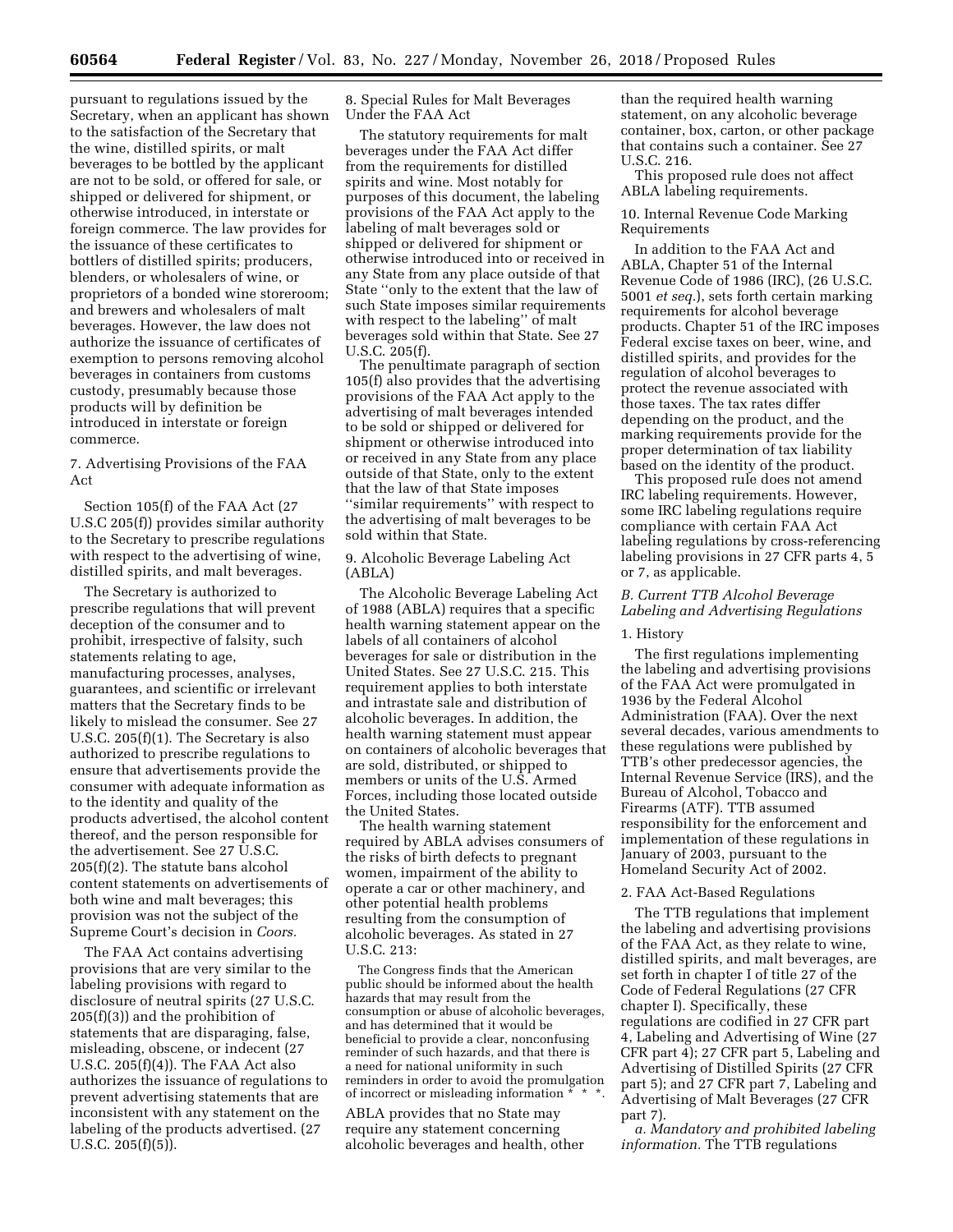pursuant to regulations issued by the Secretary, when an applicant has shown to the satisfaction of the Secretary that the wine, distilled spirits, or malt beverages to be bottled by the applicant are not to be sold, or offered for sale, or shipped or delivered for shipment, or otherwise introduced, in interstate or foreign commerce. The law provides for the issuance of these certificates to bottlers of distilled spirits; producers, blenders, or wholesalers of wine, or proprietors of a bonded wine storeroom; and brewers and wholesalers of malt beverages. However, the law does not authorize the issuance of certificates of exemption to persons removing alcohol beverages in containers from customs custody, presumably because those products will by definition be introduced in interstate or foreign commerce.

7. Advertising Provisions of the FAA Act

Section 105(f) of the FAA Act (27 U.S.C 205(f)) provides similar authority to the Secretary to prescribe regulations with respect to the advertising of wine, distilled spirits, and malt beverages.

The Secretary is authorized to prescribe regulations that will prevent deception of the consumer and to prohibit, irrespective of falsity, such statements relating to age, manufacturing processes, analyses, guarantees, and scientific or irrelevant matters that the Secretary finds to be likely to mislead the consumer. See 27 U.S.C. 205(f)(1). The Secretary is also authorized to prescribe regulations to ensure that advertisements provide the consumer with adequate information as to the identity and quality of the products advertised, the alcohol content thereof, and the person responsible for the advertisement. See 27 U.S.C. 205(f)(2). The statute bans alcohol content statements on advertisements of both wine and malt beverages; this provision was not the subject of the Supreme Court's decision in *Coors.* 

The FAA Act contains advertising provisions that are very similar to the labeling provisions with regard to disclosure of neutral spirits (27 U.S.C. 205(f)(3)) and the prohibition of statements that are disparaging, false, misleading, obscene, or indecent (27 U.S.C. 205(f)(4)). The FAA Act also authorizes the issuance of regulations to prevent advertising statements that are inconsistent with any statement on the labeling of the products advertised. (27 U.S.C. 205(f)(5)).

8. Special Rules for Malt Beverages Under the FAA Act

The statutory requirements for malt beverages under the FAA Act differ from the requirements for distilled spirits and wine. Most notably for purposes of this document, the labeling provisions of the FAA Act apply to the labeling of malt beverages sold or shipped or delivered for shipment or otherwise introduced into or received in any State from any place outside of that State ''only to the extent that the law of such State imposes similar requirements with respect to the labeling'' of malt beverages sold within that State. See 27 U.S.C. 205(f).

The penultimate paragraph of section 105(f) also provides that the advertising provisions of the FAA Act apply to the advertising of malt beverages intended to be sold or shipped or delivered for shipment or otherwise introduced into or received in any State from any place outside of that State, only to the extent that the law of that State imposes ''similar requirements'' with respect to the advertising of malt beverages to be sold within that State.

9. Alcoholic Beverage Labeling Act (ABLA)

The Alcoholic Beverage Labeling Act of 1988 (ABLA) requires that a specific health warning statement appear on the labels of all containers of alcohol beverages for sale or distribution in the United States. See 27 U.S.C. 215. This requirement applies to both interstate and intrastate sale and distribution of alcoholic beverages. In addition, the health warning statement must appear on containers of alcoholic beverages that are sold, distributed, or shipped to members or units of the U.S. Armed Forces, including those located outside the United States.

The health warning statement required by ABLA advises consumers of the risks of birth defects to pregnant women, impairment of the ability to operate a car or other machinery, and other potential health problems resulting from the consumption of alcoholic beverages. As stated in 27 U.S.C. 213:

The Congress finds that the American public should be informed about the health hazards that may result from the consumption or abuse of alcoholic beverages, and has determined that it would be beneficial to provide a clear, nonconfusing reminder of such hazards, and that there is a need for national uniformity in such reminders in order to avoid the promulgation of incorrect or misleading information  $*$ 

ABLA provides that no State may require any statement concerning alcoholic beverages and health, other than the required health warning statement, on any alcoholic beverage container, box, carton, or other package that contains such a container. See 27 U.S.C. 216.

This proposed rule does not affect ABLA labeling requirements.

10. Internal Revenue Code Marking Requirements

In addition to the FAA Act and ABLA, Chapter 51 of the Internal Revenue Code of 1986 (IRC), (26 U.S.C. 5001 *et seq.*), sets forth certain marking requirements for alcohol beverage products. Chapter 51 of the IRC imposes Federal excise taxes on beer, wine, and distilled spirits, and provides for the regulation of alcohol beverages to protect the revenue associated with those taxes. The tax rates differ depending on the product, and the marking requirements provide for the proper determination of tax liability based on the identity of the product.

This proposed rule does not amend IRC labeling requirements. However, some IRC labeling regulations require compliance with certain FAA Act labeling regulations by cross-referencing labeling provisions in 27 CFR parts 4, 5 or 7, as applicable.

# *B. Current TTB Alcohol Beverage Labeling and Advertising Regulations*

#### 1. History

The first regulations implementing the labeling and advertising provisions of the FAA Act were promulgated in 1936 by the Federal Alcohol Administration (FAA). Over the next several decades, various amendments to these regulations were published by TTB's other predecessor agencies, the Internal Revenue Service (IRS), and the Bureau of Alcohol, Tobacco and Firearms (ATF). TTB assumed responsibility for the enforcement and implementation of these regulations in January of 2003, pursuant to the Homeland Security Act of 2002.

#### 2. FAA Act-Based Regulations

The TTB regulations that implement the labeling and advertising provisions of the FAA Act, as they relate to wine, distilled spirits, and malt beverages, are set forth in chapter I of title 27 of the Code of Federal Regulations (27 CFR chapter I). Specifically, these regulations are codified in 27 CFR part 4, Labeling and Advertising of Wine (27 CFR part 4); 27 CFR part 5, Labeling and Advertising of Distilled Spirits (27 CFR part 5); and 27 CFR part 7, Labeling and Advertising of Malt Beverages (27 CFR part 7).

*a. Mandatory and prohibited labeling information.* The TTB regulations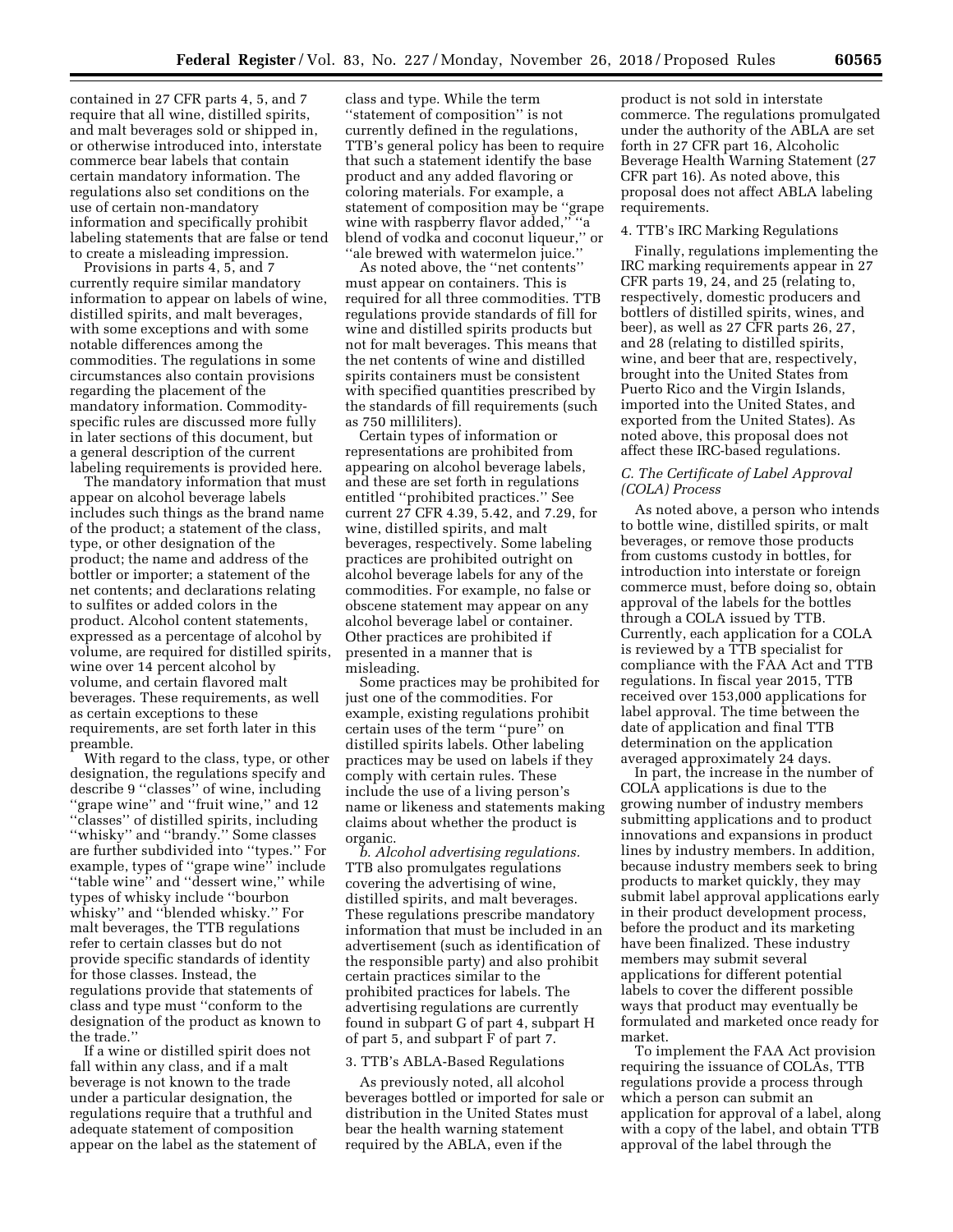contained in 27 CFR parts 4, 5, and 7 require that all wine, distilled spirits, and malt beverages sold or shipped in, or otherwise introduced into, interstate commerce bear labels that contain certain mandatory information. The regulations also set conditions on the use of certain non-mandatory information and specifically prohibit labeling statements that are false or tend to create a misleading impression.

Provisions in parts 4, 5, and 7 currently require similar mandatory information to appear on labels of wine, distilled spirits, and malt beverages, with some exceptions and with some notable differences among the commodities. The regulations in some circumstances also contain provisions regarding the placement of the mandatory information. Commodityspecific rules are discussed more fully in later sections of this document, but a general description of the current labeling requirements is provided here.

The mandatory information that must appear on alcohol beverage labels includes such things as the brand name of the product; a statement of the class, type, or other designation of the product; the name and address of the bottler or importer; a statement of the net contents; and declarations relating to sulfites or added colors in the product. Alcohol content statements, expressed as a percentage of alcohol by volume, are required for distilled spirits, wine over 14 percent alcohol by volume, and certain flavored malt beverages. These requirements, as well as certain exceptions to these requirements, are set forth later in this preamble.

With regard to the class, type, or other designation, the regulations specify and describe 9 ''classes'' of wine, including "grape wine" and "fruit wine," and 12 ''classes'' of distilled spirits, including ''whisky'' and ''brandy.'' Some classes are further subdivided into ''types.'' For example, types of ''grape wine'' include "table wine" and "dessert wine," while types of whisky include ''bourbon whisky'' and ''blended whisky.'' For malt beverages, the TTB regulations refer to certain classes but do not provide specific standards of identity for those classes. Instead, the regulations provide that statements of class and type must ''conform to the designation of the product as known to the trade.''

If a wine or distilled spirit does not fall within any class, and if a malt beverage is not known to the trade under a particular designation, the regulations require that a truthful and adequate statement of composition appear on the label as the statement of class and type. While the term ''statement of composition'' is not currently defined in the regulations, TTB's general policy has been to require that such a statement identify the base product and any added flavoring or coloring materials. For example, a statement of composition may be ''grape wine with raspberry flavor added,'' ''a blend of vodka and coconut liqueur,'' or ''ale brewed with watermelon juice.''

As noted above, the ''net contents'' must appear on containers. This is required for all three commodities. TTB regulations provide standards of fill for wine and distilled spirits products but not for malt beverages. This means that the net contents of wine and distilled spirits containers must be consistent with specified quantities prescribed by the standards of fill requirements (such as 750 milliliters).

Certain types of information or representations are prohibited from appearing on alcohol beverage labels, and these are set forth in regulations entitled ''prohibited practices.'' See current 27 CFR 4.39, 5.42, and 7.29, for wine, distilled spirits, and malt beverages, respectively. Some labeling practices are prohibited outright on alcohol beverage labels for any of the commodities. For example, no false or obscene statement may appear on any alcohol beverage label or container. Other practices are prohibited if presented in a manner that is misleading.

Some practices may be prohibited for just one of the commodities. For example, existing regulations prohibit certain uses of the term ''pure'' on distilled spirits labels. Other labeling practices may be used on labels if they comply with certain rules. These include the use of a living person's name or likeness and statements making claims about whether the product is organic.

*b. Alcohol advertising regulations.*  TTB also promulgates regulations covering the advertising of wine, distilled spirits, and malt beverages. These regulations prescribe mandatory information that must be included in an advertisement (such as identification of the responsible party) and also prohibit certain practices similar to the prohibited practices for labels. The advertising regulations are currently found in subpart G of part 4, subpart H of part 5, and subpart F of part 7.

#### 3. TTB's ABLA-Based Regulations

As previously noted, all alcohol beverages bottled or imported for sale or distribution in the United States must bear the health warning statement required by the ABLA, even if the

product is not sold in interstate commerce. The regulations promulgated under the authority of the ABLA are set forth in 27 CFR part 16, Alcoholic Beverage Health Warning Statement (27 CFR part 16). As noted above, this proposal does not affect ABLA labeling requirements.

### 4. TTB's IRC Marking Regulations

Finally, regulations implementing the IRC marking requirements appear in 27 CFR parts 19, 24, and 25 (relating to, respectively, domestic producers and bottlers of distilled spirits, wines, and beer), as well as 27 CFR parts 26, 27, and 28 (relating to distilled spirits, wine, and beer that are, respectively, brought into the United States from Puerto Rico and the Virgin Islands, imported into the United States, and exported from the United States). As noted above, this proposal does not affect these IRC-based regulations.

### *C. The Certificate of Label Approval (COLA) Process*

As noted above, a person who intends to bottle wine, distilled spirits, or malt beverages, or remove those products from customs custody in bottles, for introduction into interstate or foreign commerce must, before doing so, obtain approval of the labels for the bottles through a COLA issued by TTB. Currently, each application for a COLA is reviewed by a TTB specialist for compliance with the FAA Act and TTB regulations. In fiscal year 2015, TTB received over 153,000 applications for label approval. The time between the date of application and final TTB determination on the application averaged approximately 24 days.

In part, the increase in the number of COLA applications is due to the growing number of industry members submitting applications and to product innovations and expansions in product lines by industry members. In addition, because industry members seek to bring products to market quickly, they may submit label approval applications early in their product development process, before the product and its marketing have been finalized. These industry members may submit several applications for different potential labels to cover the different possible ways that product may eventually be formulated and marketed once ready for market.

To implement the FAA Act provision requiring the issuance of COLAs, TTB regulations provide a process through which a person can submit an application for approval of a label, along with a copy of the label, and obtain TTB approval of the label through the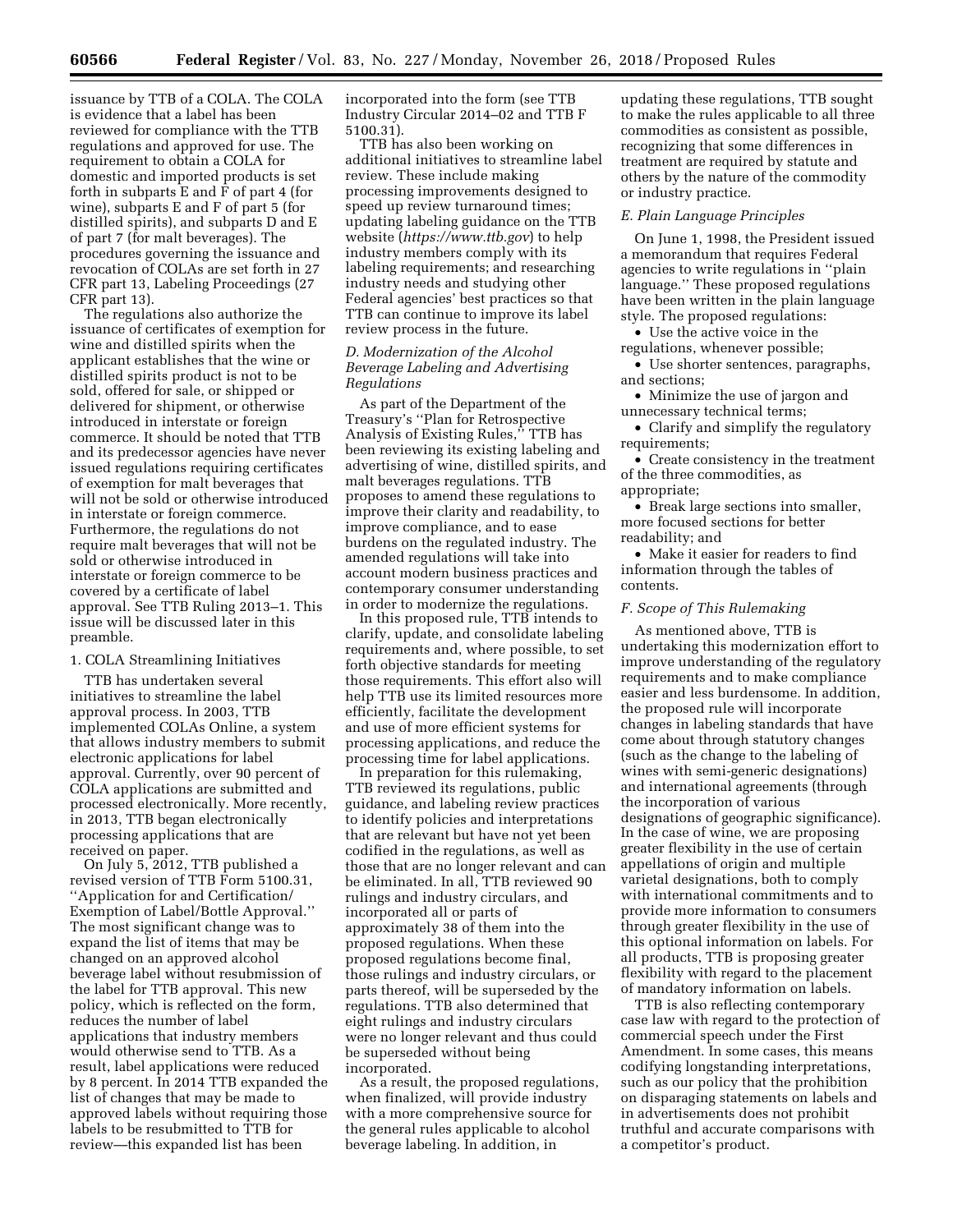issuance by TTB of a COLA. The COLA is evidence that a label has been reviewed for compliance with the TTB regulations and approved for use. The requirement to obtain a COLA for domestic and imported products is set forth in subparts E and F of part 4 (for wine), subparts E and F of part 5 (for distilled spirits), and subparts D and E of part 7 (for malt beverages). The procedures governing the issuance and revocation of COLAs are set forth in 27 CFR part 13, Labeling Proceedings (27 CFR part 13).

The regulations also authorize the issuance of certificates of exemption for wine and distilled spirits when the applicant establishes that the wine or distilled spirits product is not to be sold, offered for sale, or shipped or delivered for shipment, or otherwise introduced in interstate or foreign commerce. It should be noted that TTB and its predecessor agencies have never issued regulations requiring certificates of exemption for malt beverages that will not be sold or otherwise introduced in interstate or foreign commerce. Furthermore, the regulations do not require malt beverages that will not be sold or otherwise introduced in interstate or foreign commerce to be covered by a certificate of label approval. See TTB Ruling 2013–1. This issue will be discussed later in this preamble.

# 1. COLA Streamlining Initiatives

TTB has undertaken several initiatives to streamline the label approval process. In 2003, TTB implemented COLAs Online, a system that allows industry members to submit electronic applications for label approval. Currently, over 90 percent of COLA applications are submitted and processed electronically. More recently, in 2013, TTB began electronically processing applications that are received on paper.

On July 5, 2012, TTB published a revised version of TTB Form 5100.31, ''Application for and Certification/ Exemption of Label/Bottle Approval.'' The most significant change was to expand the list of items that may be changed on an approved alcohol beverage label without resubmission of the label for TTB approval. This new policy, which is reflected on the form, reduces the number of label applications that industry members would otherwise send to TTB. As a result, label applications were reduced by 8 percent. In 2014 TTB expanded the list of changes that may be made to approved labels without requiring those labels to be resubmitted to TTB for review—this expanded list has been

incorporated into the form (see TTB Industry Circular 2014–02 and TTB F 5100.31).

TTB has also been working on additional initiatives to streamline label review. These include making processing improvements designed to speed up review turnaround times; updating labeling guidance on the TTB website (*<https://www.ttb.gov>*) to help industry members comply with its labeling requirements; and researching industry needs and studying other Federal agencies' best practices so that TTB can continue to improve its label review process in the future.

# *D. Modernization of the Alcohol Beverage Labeling and Advertising Regulations*

As part of the Department of the Treasury's ''Plan for Retrospective Analysis of Existing Rules,'' TTB has been reviewing its existing labeling and advertising of wine, distilled spirits, and malt beverages regulations. TTB proposes to amend these regulations to improve their clarity and readability, to improve compliance, and to ease burdens on the regulated industry. The amended regulations will take into account modern business practices and contemporary consumer understanding in order to modernize the regulations.

In this proposed rule, TTB intends to clarify, update, and consolidate labeling requirements and, where possible, to set forth objective standards for meeting those requirements. This effort also will help TTB use its limited resources more efficiently, facilitate the development and use of more efficient systems for processing applications, and reduce the processing time for label applications.

In preparation for this rulemaking, TTB reviewed its regulations, public guidance, and labeling review practices to identify policies and interpretations that are relevant but have not yet been codified in the regulations, as well as those that are no longer relevant and can be eliminated. In all, TTB reviewed 90 rulings and industry circulars, and incorporated all or parts of approximately 38 of them into the proposed regulations. When these proposed regulations become final, those rulings and industry circulars, or parts thereof, will be superseded by the regulations. TTB also determined that eight rulings and industry circulars were no longer relevant and thus could be superseded without being incorporated.

As a result, the proposed regulations, when finalized, will provide industry with a more comprehensive source for the general rules applicable to alcohol beverage labeling. In addition, in

updating these regulations, TTB sought to make the rules applicable to all three commodities as consistent as possible, recognizing that some differences in treatment are required by statute and others by the nature of the commodity or industry practice.

#### *E. Plain Language Principles*

On June 1, 1998, the President issued a memorandum that requires Federal agencies to write regulations in ''plain language.'' These proposed regulations have been written in the plain language style. The proposed regulations:

• Use the active voice in the regulations, whenever possible;

• Use shorter sentences, paragraphs, and sections;

• Minimize the use of jargon and unnecessary technical terms;

• Clarify and simplify the regulatory requirements;

• Create consistency in the treatment of the three commodities, as appropriate;

• Break large sections into smaller, more focused sections for better readability; and

• Make it easier for readers to find information through the tables of contents.

## *F. Scope of This Rulemaking*

As mentioned above, TTB is undertaking this modernization effort to improve understanding of the regulatory requirements and to make compliance easier and less burdensome. In addition, the proposed rule will incorporate changes in labeling standards that have come about through statutory changes (such as the change to the labeling of wines with semi-generic designations) and international agreements (through the incorporation of various designations of geographic significance). In the case of wine, we are proposing greater flexibility in the use of certain appellations of origin and multiple varietal designations, both to comply with international commitments and to provide more information to consumers through greater flexibility in the use of this optional information on labels. For all products, TTB is proposing greater flexibility with regard to the placement of mandatory information on labels.

TTB is also reflecting contemporary case law with regard to the protection of commercial speech under the First Amendment. In some cases, this means codifying longstanding interpretations, such as our policy that the prohibition on disparaging statements on labels and in advertisements does not prohibit truthful and accurate comparisons with a competitor's product.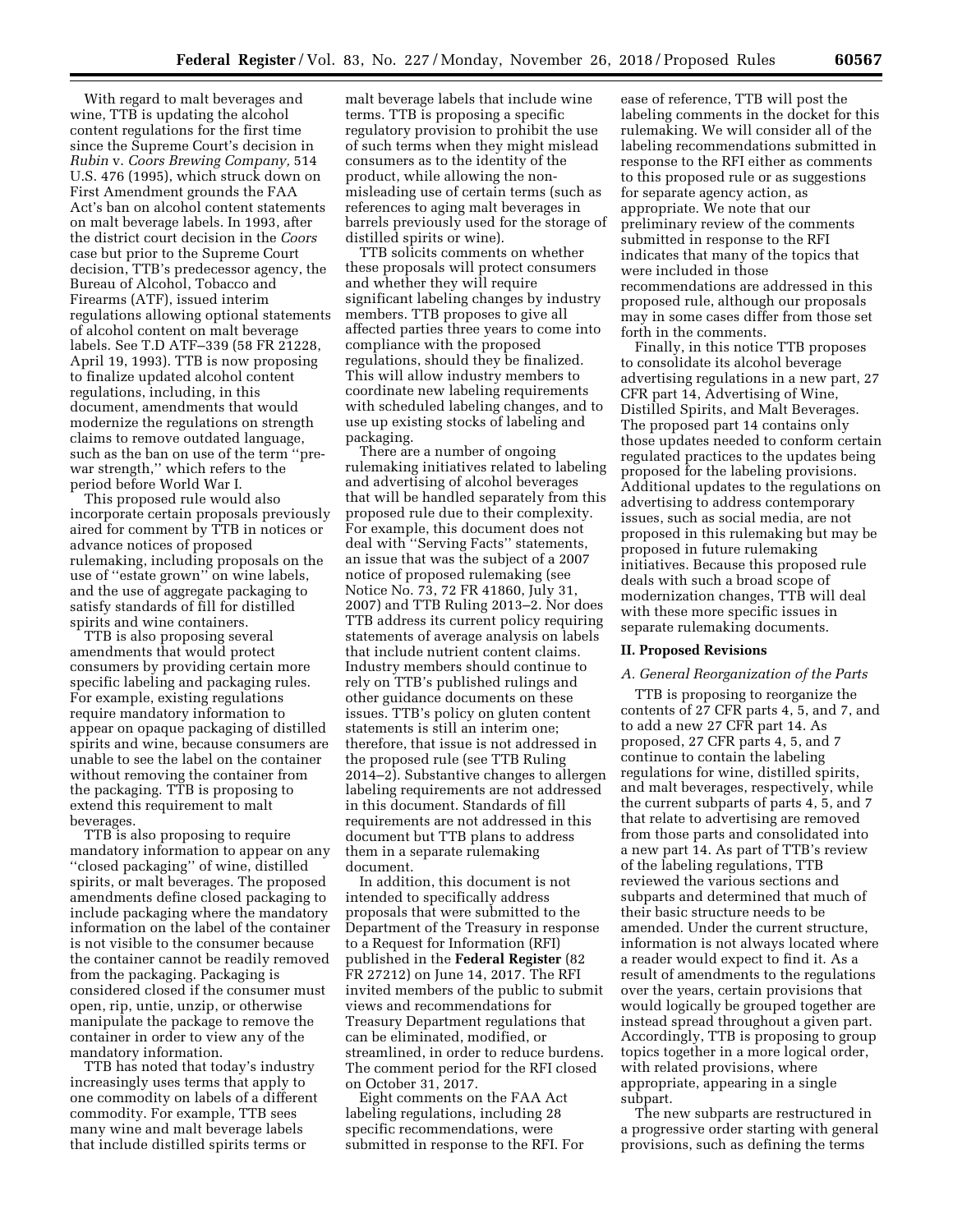With regard to malt beverages and wine, TTB is updating the alcohol content regulations for the first time since the Supreme Court's decision in *Rubin* v. *Coors Brewing Company,* 514 U.S. 476 (1995), which struck down on First Amendment grounds the FAA Act's ban on alcohol content statements on malt beverage labels. In 1993, after the district court decision in the *Coors*  case but prior to the Supreme Court decision, TTB's predecessor agency, the Bureau of Alcohol, Tobacco and Firearms (ATF), issued interim regulations allowing optional statements of alcohol content on malt beverage labels. See T.D ATF–339 (58 FR 21228, April 19, 1993). TTB is now proposing to finalize updated alcohol content regulations, including, in this document, amendments that would modernize the regulations on strength claims to remove outdated language, such as the ban on use of the term ''prewar strength,'' which refers to the period before World War I.

This proposed rule would also incorporate certain proposals previously aired for comment by TTB in notices or advance notices of proposed rulemaking, including proposals on the use of ''estate grown'' on wine labels, and the use of aggregate packaging to satisfy standards of fill for distilled spirits and wine containers.

TTB is also proposing several amendments that would protect consumers by providing certain more specific labeling and packaging rules. For example, existing regulations require mandatory information to appear on opaque packaging of distilled spirits and wine, because consumers are unable to see the label on the container without removing the container from the packaging. TTB is proposing to extend this requirement to malt beverages.

TTB is also proposing to require mandatory information to appear on any ''closed packaging'' of wine, distilled spirits, or malt beverages. The proposed amendments define closed packaging to include packaging where the mandatory information on the label of the container is not visible to the consumer because the container cannot be readily removed from the packaging. Packaging is considered closed if the consumer must open, rip, untie, unzip, or otherwise manipulate the package to remove the container in order to view any of the mandatory information.

TTB has noted that today's industry increasingly uses terms that apply to one commodity on labels of a different commodity. For example, TTB sees many wine and malt beverage labels that include distilled spirits terms or

malt beverage labels that include wine terms. TTB is proposing a specific regulatory provision to prohibit the use of such terms when they might mislead consumers as to the identity of the product, while allowing the nonmisleading use of certain terms (such as references to aging malt beverages in barrels previously used for the storage of distilled spirits or wine).

TTB solicits comments on whether these proposals will protect consumers and whether they will require significant labeling changes by industry members. TTB proposes to give all affected parties three years to come into compliance with the proposed regulations, should they be finalized. This will allow industry members to coordinate new labeling requirements with scheduled labeling changes, and to use up existing stocks of labeling and packaging.

There are a number of ongoing rulemaking initiatives related to labeling and advertising of alcohol beverages that will be handled separately from this proposed rule due to their complexity. For example, this document does not deal with ''Serving Facts'' statements, an issue that was the subject of a 2007 notice of proposed rulemaking (see Notice No. 73, 72 FR 41860, July 31, 2007) and TTB Ruling 2013–2. Nor does TTB address its current policy requiring statements of average analysis on labels that include nutrient content claims. Industry members should continue to rely on TTB's published rulings and other guidance documents on these issues. TTB's policy on gluten content statements is still an interim one; therefore, that issue is not addressed in the proposed rule (see TTB Ruling 2014–2). Substantive changes to allergen labeling requirements are not addressed in this document. Standards of fill requirements are not addressed in this document but TTB plans to address them in a separate rulemaking document.

In addition, this document is not intended to specifically address proposals that were submitted to the Department of the Treasury in response to a Request for Information (RFI) published in the **Federal Register** (82 FR 27212) on June 14, 2017. The RFI invited members of the public to submit views and recommendations for Treasury Department regulations that can be eliminated, modified, or streamlined, in order to reduce burdens. The comment period for the RFI closed on October 31, 2017.

Eight comments on the FAA Act labeling regulations, including 28 specific recommendations, were submitted in response to the RFI. For

ease of reference, TTB will post the labeling comments in the docket for this rulemaking. We will consider all of the labeling recommendations submitted in response to the RFI either as comments to this proposed rule or as suggestions for separate agency action, as appropriate. We note that our preliminary review of the comments submitted in response to the RFI indicates that many of the topics that were included in those recommendations are addressed in this proposed rule, although our proposals may in some cases differ from those set forth in the comments.

Finally, in this notice TTB proposes to consolidate its alcohol beverage advertising regulations in a new part, 27 CFR part 14, Advertising of Wine, Distilled Spirits, and Malt Beverages. The proposed part 14 contains only those updates needed to conform certain regulated practices to the updates being proposed for the labeling provisions. Additional updates to the regulations on advertising to address contemporary issues, such as social media, are not proposed in this rulemaking but may be proposed in future rulemaking initiatives. Because this proposed rule deals with such a broad scope of modernization changes, TTB will deal with these more specific issues in separate rulemaking documents.

#### **II. Proposed Revisions**

### *A. General Reorganization of the Parts*

TTB is proposing to reorganize the contents of 27 CFR parts 4, 5, and 7, and to add a new 27 CFR part 14. As proposed, 27 CFR parts 4, 5, and 7 continue to contain the labeling regulations for wine, distilled spirits, and malt beverages, respectively, while the current subparts of parts 4, 5, and 7 that relate to advertising are removed from those parts and consolidated into a new part 14. As part of TTB's review of the labeling regulations, TTB reviewed the various sections and subparts and determined that much of their basic structure needs to be amended. Under the current structure, information is not always located where a reader would expect to find it. As a result of amendments to the regulations over the years, certain provisions that would logically be grouped together are instead spread throughout a given part. Accordingly, TTB is proposing to group topics together in a more logical order, with related provisions, where appropriate, appearing in a single subpart.

The new subparts are restructured in a progressive order starting with general provisions, such as defining the terms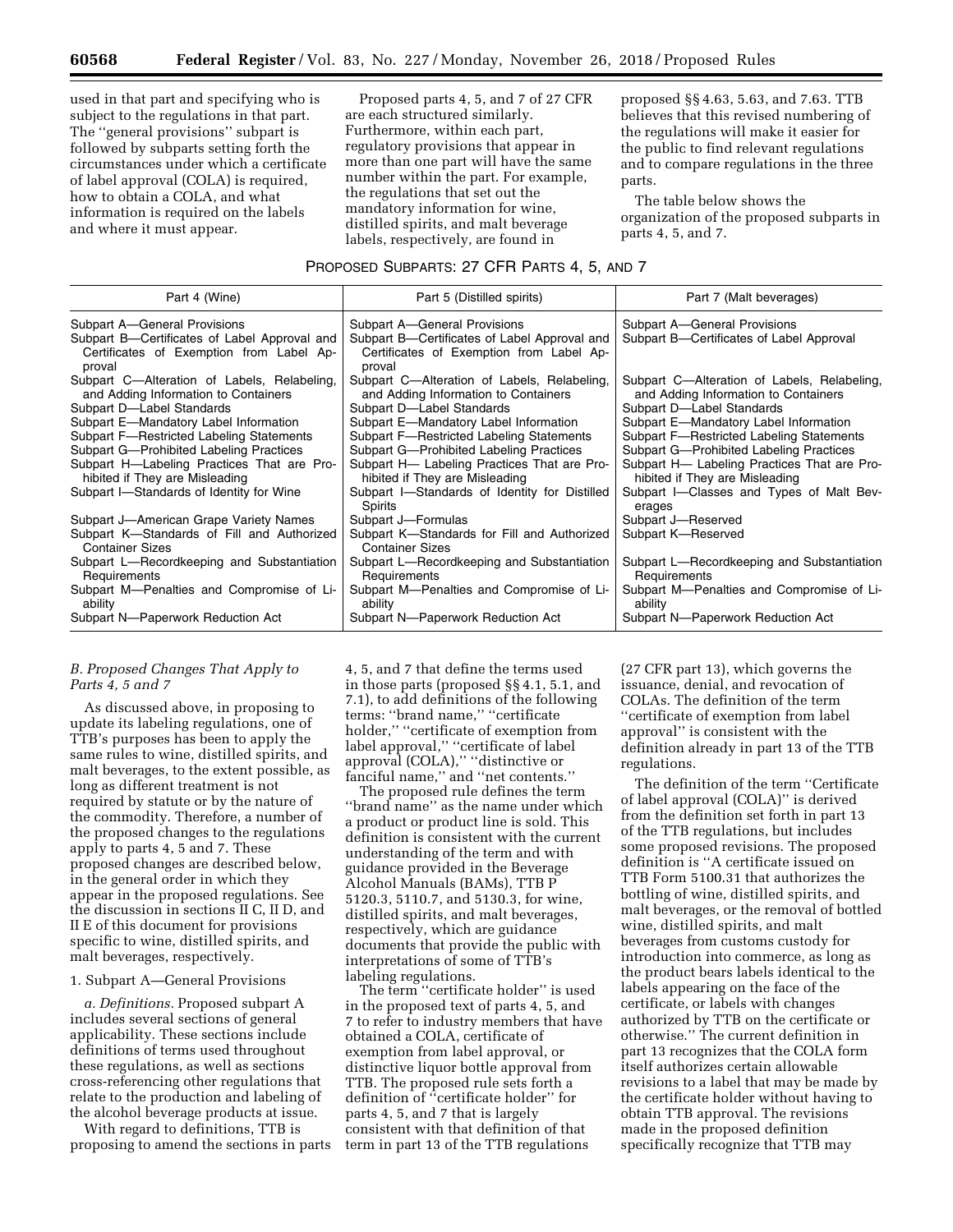used in that part and specifying who is subject to the regulations in that part. The ''general provisions'' subpart is followed by subparts setting forth the circumstances under which a certificate of label approval (COLA) is required, how to obtain a COLA, and what information is required on the labels and where it must appear.

Proposed parts 4, 5, and 7 of 27 CFR are each structured similarly. Furthermore, within each part, regulatory provisions that appear in more than one part will have the same number within the part. For example, the regulations that set out the mandatory information for wine, distilled spirits, and malt beverage labels, respectively, are found in

proposed §§ 4.63, 5.63, and 7.63. TTB believes that this revised numbering of the regulations will make it easier for the public to find relevant regulations and to compare regulations in the three parts.

The table below shows the organization of the proposed subparts in parts 4, 5, and 7.

## PROPOSED SUBPARTS: 27 CFR PARTS 4, 5, AND 7

| Part 4 (Wine)                                                                                                                                                                                                                                                                                                                    | Part 5 (Distilled spirits)                                                                                                                                                                                                                                                                                                        | Part 7 (Malt beverages)                                                                                                                                                                                                                                                                                                           |
|----------------------------------------------------------------------------------------------------------------------------------------------------------------------------------------------------------------------------------------------------------------------------------------------------------------------------------|-----------------------------------------------------------------------------------------------------------------------------------------------------------------------------------------------------------------------------------------------------------------------------------------------------------------------------------|-----------------------------------------------------------------------------------------------------------------------------------------------------------------------------------------------------------------------------------------------------------------------------------------------------------------------------------|
| Subpart A-General Provisions<br>Subpart B—Certificates of Label Approval and<br>Certificates of Exemption from Label Ap-<br>proval                                                                                                                                                                                               | Subpart A-General Provisions<br>Subpart B—Certificates of Label Approval and<br>Certificates of Exemption from Label Ap-<br>proval                                                                                                                                                                                                | Subpart A-General Provisions<br>Subpart B-Certificates of Label Approval                                                                                                                                                                                                                                                          |
| Subpart C-Alteration of Labels, Relabeling,<br>and Adding Information to Containers<br>Subpart D-Label Standards<br>Subpart E-Mandatory Label Information<br>Subpart F-Restricted Labeling Statements<br>Subpart G-Prohibited Labeling Practices<br>Subpart H-Labeling Practices That are Pro-<br>hibited if They are Misleading | Subpart C—Alteration of Labels, Relabeling,<br>and Adding Information to Containers<br>Subpart D-Label Standards<br>Subpart E-Mandatory Label Information<br>Subpart F-Restricted Labeling Statements<br>Subpart G-Prohibited Labeling Practices<br>Subpart H- Labeling Practices That are Pro-<br>hibited if They are Misleading | Subpart C—Alteration of Labels, Relabeling,<br>and Adding Information to Containers<br>Subpart D-Label Standards<br>Subpart E-Mandatory Label Information<br>Subpart F-Restricted Labeling Statements<br>Subpart G-Prohibited Labeling Practices<br>Subpart H- Labeling Practices That are Pro-<br>hibited if They are Misleading |
| Subpart I-Standards of Identity for Wine                                                                                                                                                                                                                                                                                         | Subpart I-Standards of Identity for Distilled<br>Spirits                                                                                                                                                                                                                                                                          | Subpart I-Classes and Types of Malt Bev-<br>erages                                                                                                                                                                                                                                                                                |
| Subpart J-American Grape Variety Names                                                                                                                                                                                                                                                                                           | Subpart J-Formulas                                                                                                                                                                                                                                                                                                                | Subpart J-Reserved                                                                                                                                                                                                                                                                                                                |
| Subpart K-Standards of Fill and Authorized<br><b>Container Sizes</b>                                                                                                                                                                                                                                                             | Subpart K-Standards for Fill and Authorized<br><b>Container Sizes</b>                                                                                                                                                                                                                                                             | Subpart K-Reserved                                                                                                                                                                                                                                                                                                                |
| Subpart L-Recordkeeping and Substantiation<br>Requirements                                                                                                                                                                                                                                                                       | Subpart L-Recordkeeping and Substantiation<br>Requirements                                                                                                                                                                                                                                                                        | Subpart L-Recordkeeping and Substantiation<br>Requirements                                                                                                                                                                                                                                                                        |
| Subpart M-Penalties and Compromise of Li-<br>ability                                                                                                                                                                                                                                                                             | Subpart M-Penalties and Compromise of Li-<br>ability                                                                                                                                                                                                                                                                              | Subpart M-Penalties and Compromise of Li-<br>ability                                                                                                                                                                                                                                                                              |
| Subpart N-Paperwork Reduction Act                                                                                                                                                                                                                                                                                                | Subpart N-Paperwork Reduction Act                                                                                                                                                                                                                                                                                                 | Subpart N-Paperwork Reduction Act                                                                                                                                                                                                                                                                                                 |

# *B. Proposed Changes That Apply to Parts 4, 5 and 7*

As discussed above, in proposing to update its labeling regulations, one of TTB's purposes has been to apply the same rules to wine, distilled spirits, and malt beverages, to the extent possible, as long as different treatment is not required by statute or by the nature of the commodity. Therefore, a number of the proposed changes to the regulations apply to parts 4, 5 and 7. These proposed changes are described below, in the general order in which they appear in the proposed regulations. See the discussion in sections II C, II D, and II E of this document for provisions specific to wine, distilled spirits, and malt beverages, respectively.

#### 1. Subpart A—General Provisions

*a. Definitions.* Proposed subpart A includes several sections of general applicability. These sections include definitions of terms used throughout these regulations, as well as sections cross-referencing other regulations that relate to the production and labeling of the alcohol beverage products at issue.

With regard to definitions, TTB is proposing to amend the sections in parts 4, 5, and 7 that define the terms used in those parts (proposed §§ 4.1, 5.1, and 7.1), to add definitions of the following terms: ''brand name,'' ''certificate holder,'' ''certificate of exemption from label approval,'' ''certificate of label approval (COLA),'' ''distinctive or fanciful name,'' and ''net contents.''

The proposed rule defines the term ''brand name'' as the name under which a product or product line is sold. This definition is consistent with the current understanding of the term and with guidance provided in the Beverage Alcohol Manuals (BAMs), TTB P 5120.3, 5110.7, and 5130.3, for wine, distilled spirits, and malt beverages, respectively, which are guidance documents that provide the public with interpretations of some of TTB's labeling regulations.

The term ''certificate holder'' is used in the proposed text of parts 4, 5, and 7 to refer to industry members that have obtained a COLA, certificate of exemption from label approval, or distinctive liquor bottle approval from TTB. The proposed rule sets forth a definition of ''certificate holder'' for parts 4, 5, and 7 that is largely consistent with that definition of that term in part 13 of the TTB regulations

(27 CFR part 13), which governs the issuance, denial, and revocation of COLAs. The definition of the term ''certificate of exemption from label approval'' is consistent with the definition already in part 13 of the TTB regulations.

The definition of the term ''Certificate of label approval (COLA)'' is derived from the definition set forth in part 13 of the TTB regulations, but includes some proposed revisions. The proposed definition is ''A certificate issued on TTB Form 5100.31 that authorizes the bottling of wine, distilled spirits, and malt beverages, or the removal of bottled wine, distilled spirits, and malt beverages from customs custody for introduction into commerce, as long as the product bears labels identical to the labels appearing on the face of the certificate, or labels with changes authorized by TTB on the certificate or otherwise.'' The current definition in part 13 recognizes that the COLA form itself authorizes certain allowable revisions to a label that may be made by the certificate holder without having to obtain TTB approval. The revisions made in the proposed definition specifically recognize that TTB may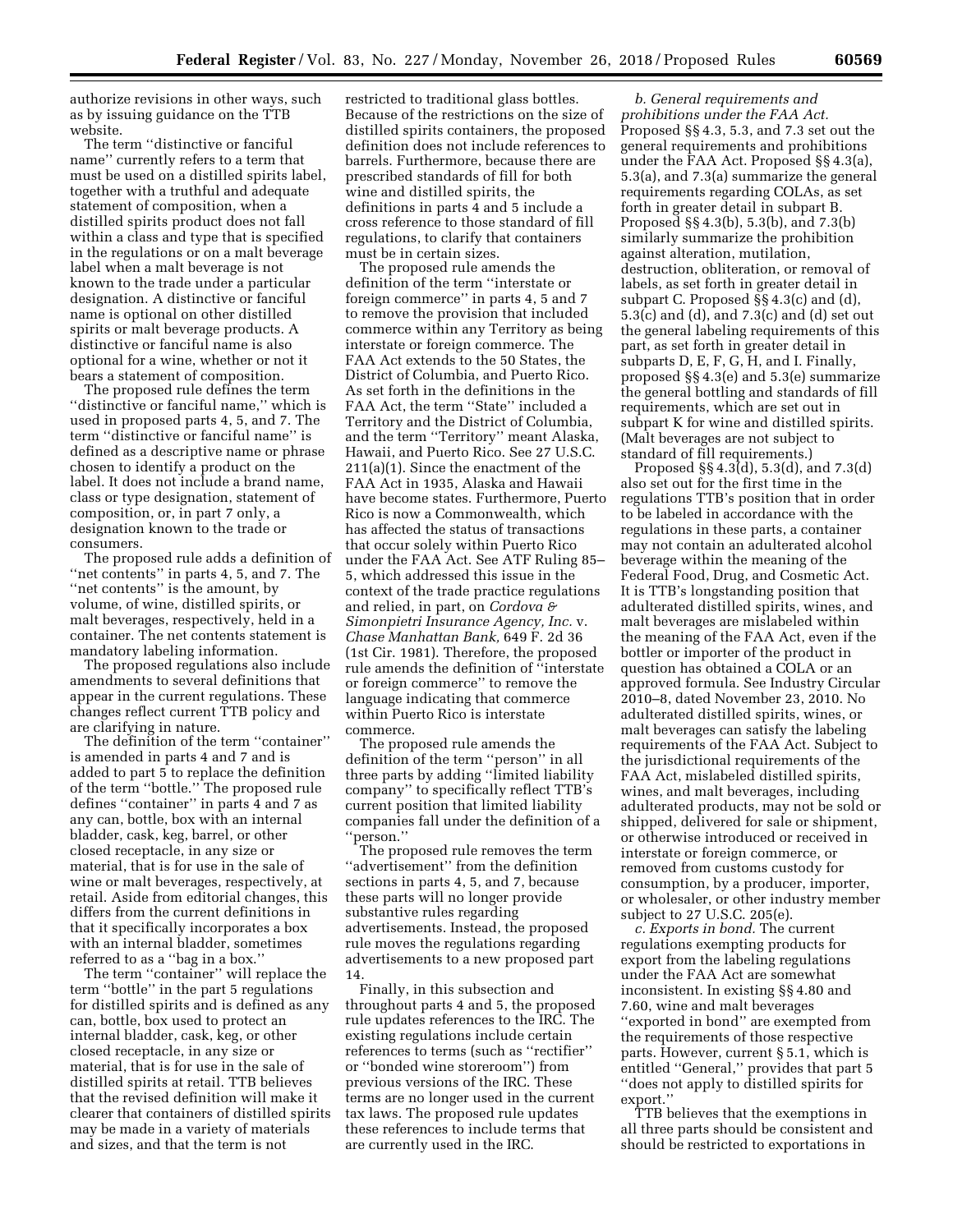authorize revisions in other ways, such as by issuing guidance on the TTB website.

The term ''distinctive or fanciful name'' currently refers to a term that must be used on a distilled spirits label, together with a truthful and adequate statement of composition, when a distilled spirits product does not fall within a class and type that is specified in the regulations or on a malt beverage label when a malt beverage is not known to the trade under a particular designation. A distinctive or fanciful name is optional on other distilled spirits or malt beverage products. A distinctive or fanciful name is also optional for a wine, whether or not it bears a statement of composition.

The proposed rule defines the term ''distinctive or fanciful name,'' which is used in proposed parts 4, 5, and 7. The term ''distinctive or fanciful name'' is defined as a descriptive name or phrase chosen to identify a product on the label. It does not include a brand name, class or type designation, statement of composition, or, in part 7 only, a designation known to the trade or consumers.

The proposed rule adds a definition of "net contents" in parts 4, 5, and 7. The ''net contents'' is the amount, by volume, of wine, distilled spirits, or malt beverages, respectively, held in a container. The net contents statement is mandatory labeling information.

The proposed regulations also include amendments to several definitions that appear in the current regulations. These changes reflect current TTB policy and are clarifying in nature.

The definition of the term ''container'' is amended in parts 4 and 7 and is added to part 5 to replace the definition of the term ''bottle.'' The proposed rule defines ''container'' in parts 4 and 7 as any can, bottle, box with an internal bladder, cask, keg, barrel, or other closed receptacle, in any size or material, that is for use in the sale of wine or malt beverages, respectively, at retail. Aside from editorial changes, this differs from the current definitions in that it specifically incorporates a box with an internal bladder, sometimes referred to as a ''bag in a box.''

The term "container" will replace the term ''bottle'' in the part 5 regulations for distilled spirits and is defined as any can, bottle, box used to protect an internal bladder, cask, keg, or other closed receptacle, in any size or material, that is for use in the sale of distilled spirits at retail. TTB believes that the revised definition will make it clearer that containers of distilled spirits may be made in a variety of materials and sizes, and that the term is not

restricted to traditional glass bottles. Because of the restrictions on the size of distilled spirits containers, the proposed definition does not include references to barrels. Furthermore, because there are prescribed standards of fill for both wine and distilled spirits, the definitions in parts 4 and 5 include a cross reference to those standard of fill regulations, to clarify that containers must be in certain sizes.

The proposed rule amends the definition of the term ''interstate or foreign commerce'' in parts 4, 5 and 7 to remove the provision that included commerce within any Territory as being interstate or foreign commerce. The FAA Act extends to the 50 States, the District of Columbia, and Puerto Rico. As set forth in the definitions in the FAA Act, the term ''State'' included a Territory and the District of Columbia, and the term ''Territory'' meant Alaska, Hawaii, and Puerto Rico. See 27 U.S.C. 211(a)(1). Since the enactment of the FAA Act in 1935, Alaska and Hawaii have become states. Furthermore, Puerto Rico is now a Commonwealth, which has affected the status of transactions that occur solely within Puerto Rico under the FAA Act. See ATF Ruling 85– 5, which addressed this issue in the context of the trade practice regulations and relied, in part, on *Cordova & Simonpietri Insurance Agency, Inc.* v. *Chase Manhattan Bank,* 649 F. 2d 36 (1st Cir. 1981). Therefore, the proposed rule amends the definition of ''interstate or foreign commerce'' to remove the language indicating that commerce within Puerto Rico is interstate commerce.

The proposed rule amends the definition of the term ''person'' in all three parts by adding ''limited liability company'' to specifically reflect TTB's current position that limited liability companies fall under the definition of a ''person.''

The proposed rule removes the term ''advertisement'' from the definition sections in parts 4, 5, and 7, because these parts will no longer provide substantive rules regarding advertisements. Instead, the proposed rule moves the regulations regarding advertisements to a new proposed part 14.

Finally, in this subsection and throughout parts 4 and 5, the proposed rule updates references to the IRC. The existing regulations include certain references to terms (such as ''rectifier'' or ''bonded wine storeroom'') from previous versions of the IRC. These terms are no longer used in the current tax laws. The proposed rule updates these references to include terms that are currently used in the IRC.

*b. General requirements and prohibitions under the FAA Act.*  Proposed §§ 4.3, 5.3, and 7.3 set out the general requirements and prohibitions under the FAA Act. Proposed §§ 4.3(a), 5.3(a), and 7.3(a) summarize the general requirements regarding COLAs, as set forth in greater detail in subpart B. Proposed §§ 4.3(b), 5.3(b), and 7.3(b) similarly summarize the prohibition against alteration, mutilation, destruction, obliteration, or removal of labels, as set forth in greater detail in subpart C. Proposed §§ 4.3(c) and (d), 5.3(c) and (d), and 7.3(c) and (d) set out the general labeling requirements of this part, as set forth in greater detail in subparts D, E, F, G, H, and I. Finally, proposed §§ 4.3(e) and 5.3(e) summarize the general bottling and standards of fill requirements, which are set out in subpart K for wine and distilled spirits. (Malt beverages are not subject to standard of fill requirements.)

Proposed §§ 4.3(d), 5.3(d), and 7.3(d) also set out for the first time in the regulations TTB's position that in order to be labeled in accordance with the regulations in these parts, a container may not contain an adulterated alcohol beverage within the meaning of the Federal Food, Drug, and Cosmetic Act. It is TTB's longstanding position that adulterated distilled spirits, wines, and malt beverages are mislabeled within the meaning of the FAA Act, even if the bottler or importer of the product in question has obtained a COLA or an approved formula. See Industry Circular 2010–8, dated November 23, 2010. No adulterated distilled spirits, wines, or malt beverages can satisfy the labeling requirements of the FAA Act. Subject to the jurisdictional requirements of the FAA Act, mislabeled distilled spirits, wines, and malt beverages, including adulterated products, may not be sold or shipped, delivered for sale or shipment, or otherwise introduced or received in interstate or foreign commerce, or removed from customs custody for consumption, by a producer, importer, or wholesaler, or other industry member subject to 27 U.S.C. 205(e).

*c. Exports in bond.* The current regulations exempting products for export from the labeling regulations under the FAA Act are somewhat inconsistent. In existing §§ 4.80 and 7.60, wine and malt beverages ''exported in bond'' are exempted from the requirements of those respective parts. However, current § 5.1, which is entitled ''General,'' provides that part 5 ''does not apply to distilled spirits for export.''

TTB believes that the exemptions in all three parts should be consistent and should be restricted to exportations in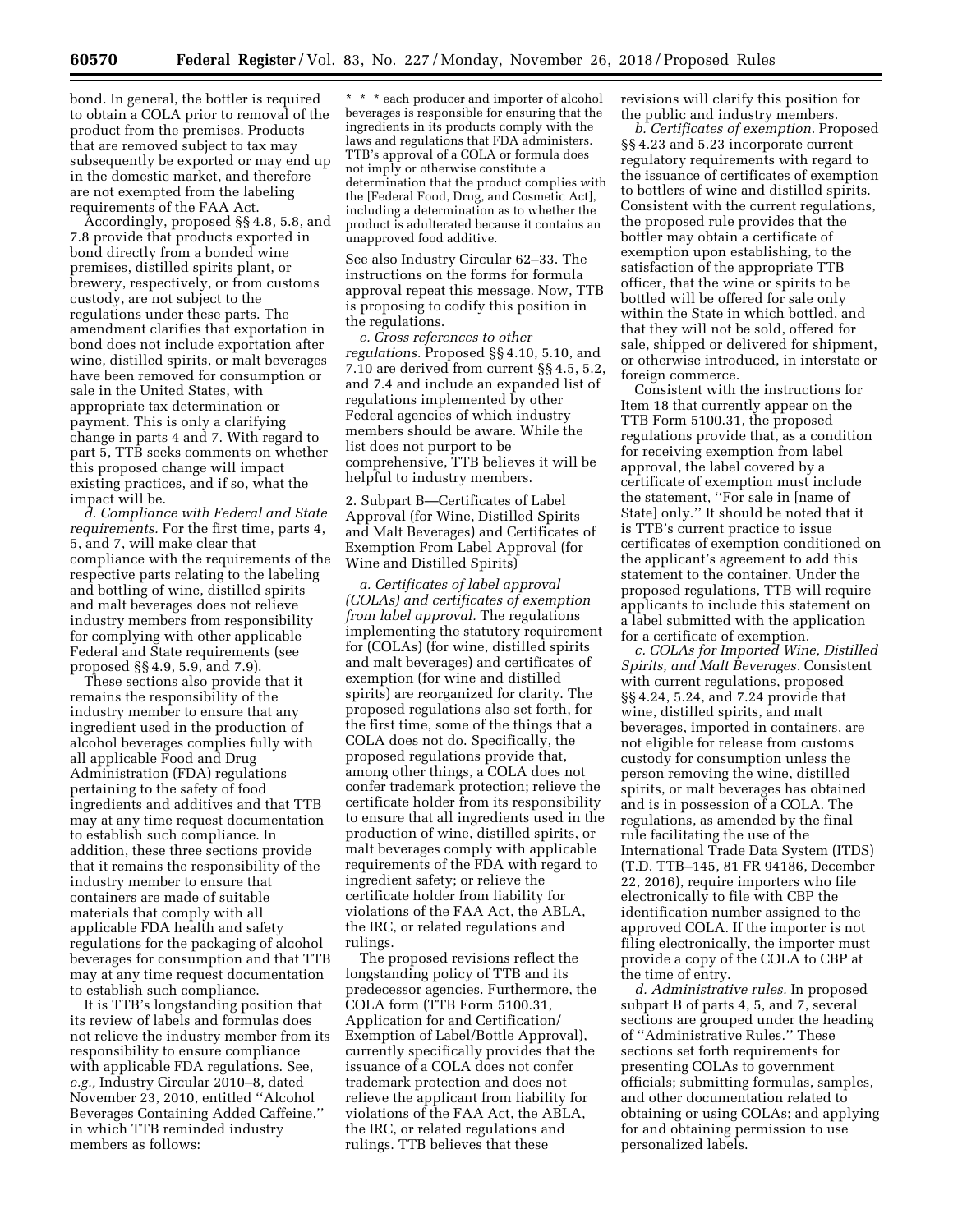bond. In general, the bottler is required to obtain a COLA prior to removal of the product from the premises. Products that are removed subject to tax may subsequently be exported or may end up in the domestic market, and therefore are not exempted from the labeling requirements of the FAA Act.

Accordingly, proposed §§ 4.8, 5.8, and 7.8 provide that products exported in bond directly from a bonded wine premises, distilled spirits plant, or brewery, respectively, or from customs custody, are not subject to the regulations under these parts. The amendment clarifies that exportation in bond does not include exportation after wine, distilled spirits, or malt beverages have been removed for consumption or sale in the United States, with appropriate tax determination or payment. This is only a clarifying change in parts 4 and 7. With regard to part 5, TTB seeks comments on whether this proposed change will impact existing practices, and if so, what the impact will be.

*d. Compliance with Federal and State requirements.* For the first time, parts 4, 5, and 7, will make clear that compliance with the requirements of the respective parts relating to the labeling and bottling of wine, distilled spirits and malt beverages does not relieve industry members from responsibility for complying with other applicable Federal and State requirements (see proposed §§ 4.9, 5.9, and 7.9).

These sections also provide that it remains the responsibility of the industry member to ensure that any ingredient used in the production of alcohol beverages complies fully with all applicable Food and Drug Administration (FDA) regulations pertaining to the safety of food ingredients and additives and that TTB may at any time request documentation to establish such compliance. In addition, these three sections provide that it remains the responsibility of the industry member to ensure that containers are made of suitable materials that comply with all applicable FDA health and safety regulations for the packaging of alcohol beverages for consumption and that TTB may at any time request documentation to establish such compliance.

It is TTB's longstanding position that its review of labels and formulas does not relieve the industry member from its responsibility to ensure compliance with applicable FDA regulations. See, *e.g.,* Industry Circular 2010–8, dated November 23, 2010, entitled ''Alcohol Beverages Containing Added Caffeine,'' in which TTB reminded industry members as follows:

\* \* \* each producer and importer of alcohol beverages is responsible for ensuring that the ingredients in its products comply with the laws and regulations that FDA administers. TTB's approval of a COLA or formula does not imply or otherwise constitute a determination that the product complies with the [Federal Food, Drug, and Cosmetic Act], including a determination as to whether the product is adulterated because it contains an unapproved food additive.

See also Industry Circular 62–33. The instructions on the forms for formula approval repeat this message. Now, TTB is proposing to codify this position in the regulations.

*e. Cross references to other regulations.* Proposed §§ 4.10, 5.10, and 7.10 are derived from current §§ 4.5, 5.2, and 7.4 and include an expanded list of regulations implemented by other Federal agencies of which industry members should be aware. While the list does not purport to be comprehensive, TTB believes it will be helpful to industry members.

2. Subpart B—Certificates of Label Approval (for Wine, Distilled Spirits and Malt Beverages) and Certificates of Exemption From Label Approval (for Wine and Distilled Spirits)

*a. Certificates of label approval (COLAs) and certificates of exemption from label approval.* The regulations implementing the statutory requirement for (COLAs) (for wine, distilled spirits and malt beverages) and certificates of exemption (for wine and distilled spirits) are reorganized for clarity. The proposed regulations also set forth, for the first time, some of the things that a COLA does not do. Specifically, the proposed regulations provide that, among other things, a COLA does not confer trademark protection; relieve the certificate holder from its responsibility to ensure that all ingredients used in the production of wine, distilled spirits, or malt beverages comply with applicable requirements of the FDA with regard to ingredient safety; or relieve the certificate holder from liability for violations of the FAA Act, the ABLA, the IRC, or related regulations and rulings.

The proposed revisions reflect the longstanding policy of TTB and its predecessor agencies. Furthermore, the COLA form (TTB Form 5100.31, Application for and Certification/ Exemption of Label/Bottle Approval), currently specifically provides that the issuance of a COLA does not confer trademark protection and does not relieve the applicant from liability for violations of the FAA Act, the ABLA, the IRC, or related regulations and rulings. TTB believes that these

revisions will clarify this position for the public and industry members.

*b. Certificates of exemption.* Proposed §§ 4.23 and 5.23 incorporate current regulatory requirements with regard to the issuance of certificates of exemption to bottlers of wine and distilled spirits. Consistent with the current regulations, the proposed rule provides that the bottler may obtain a certificate of exemption upon establishing, to the satisfaction of the appropriate TTB officer, that the wine or spirits to be bottled will be offered for sale only within the State in which bottled, and that they will not be sold, offered for sale, shipped or delivered for shipment, or otherwise introduced, in interstate or foreign commerce.

Consistent with the instructions for Item 18 that currently appear on the TTB Form 5100.31, the proposed regulations provide that, as a condition for receiving exemption from label approval, the label covered by a certificate of exemption must include the statement, ''For sale in [name of State] only.'' It should be noted that it is TTB's current practice to issue certificates of exemption conditioned on the applicant's agreement to add this statement to the container. Under the proposed regulations, TTB will require applicants to include this statement on a label submitted with the application for a certificate of exemption.

*c. COLAs for Imported Wine, Distilled Spirits, and Malt Beverages.* Consistent with current regulations, proposed §§ 4.24, 5.24, and 7.24 provide that wine, distilled spirits, and malt beverages, imported in containers, are not eligible for release from customs custody for consumption unless the person removing the wine, distilled spirits, or malt beverages has obtained and is in possession of a COLA. The regulations, as amended by the final rule facilitating the use of the International Trade Data System (ITDS) (T.D. TTB–145, 81 FR 94186, December 22, 2016), require importers who file electronically to file with CBP the identification number assigned to the approved COLA. If the importer is not filing electronically, the importer must provide a copy of the COLA to CBP at the time of entry.

*d. Administrative rules.* In proposed subpart B of parts 4, 5, and 7, several sections are grouped under the heading of ''Administrative Rules.'' These sections set forth requirements for presenting COLAs to government officials; submitting formulas, samples, and other documentation related to obtaining or using COLAs; and applying for and obtaining permission to use personalized labels.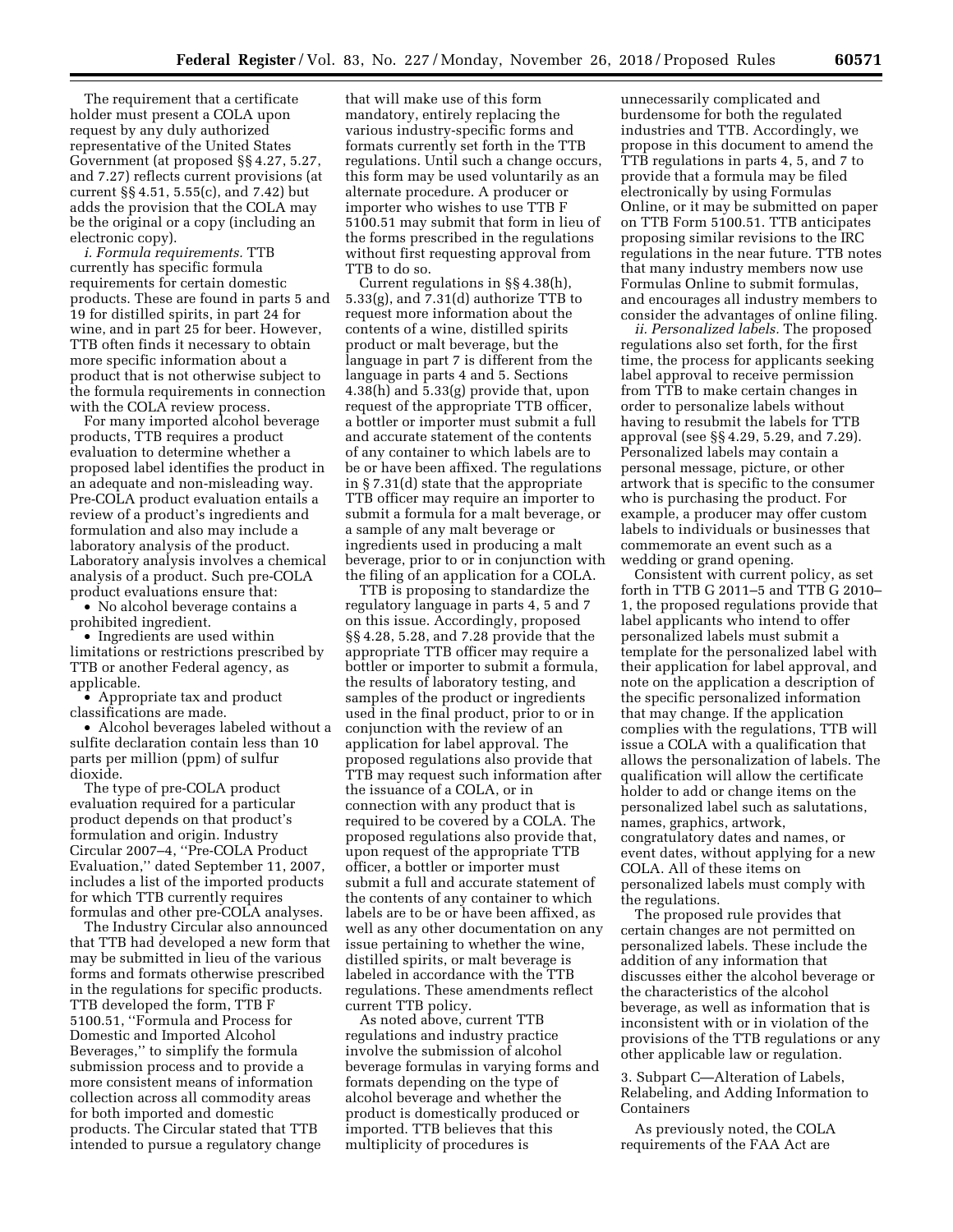The requirement that a certificate holder must present a COLA upon request by any duly authorized representative of the United States Government (at proposed §§ 4.27, 5.27, and 7.27) reflects current provisions (at current §§ 4.51, 5.55(c), and 7.42) but adds the provision that the COLA may be the original or a copy (including an electronic copy).

*i. Formula requirements.* TTB currently has specific formula requirements for certain domestic products. These are found in parts 5 and 19 for distilled spirits, in part 24 for wine, and in part 25 for beer. However, TTB often finds it necessary to obtain more specific information about a product that is not otherwise subject to the formula requirements in connection with the COLA review process.

For many imported alcohol beverage products, TTB requires a product evaluation to determine whether a proposed label identifies the product in an adequate and non-misleading way. Pre-COLA product evaluation entails a review of a product's ingredients and formulation and also may include a laboratory analysis of the product. Laboratory analysis involves a chemical analysis of a product. Such pre-COLA product evaluations ensure that:

• No alcohol beverage contains a prohibited ingredient.

• Ingredients are used within limitations or restrictions prescribed by TTB or another Federal agency, as applicable.

• Appropriate tax and product classifications are made.

• Alcohol beverages labeled without a sulfite declaration contain less than 10 parts per million (ppm) of sulfur dioxide.

The type of pre-COLA product evaluation required for a particular product depends on that product's formulation and origin. Industry Circular 2007–4, ''Pre-COLA Product Evaluation,'' dated September 11, 2007, includes a list of the imported products for which TTB currently requires formulas and other pre-COLA analyses.

The Industry Circular also announced that TTB had developed a new form that may be submitted in lieu of the various forms and formats otherwise prescribed in the regulations for specific products. TTB developed the form, TTB F 5100.51, ''Formula and Process for Domestic and Imported Alcohol Beverages,'' to simplify the formula submission process and to provide a more consistent means of information collection across all commodity areas for both imported and domestic products. The Circular stated that TTB intended to pursue a regulatory change

that will make use of this form mandatory, entirely replacing the various industry-specific forms and formats currently set forth in the TTB regulations. Until such a change occurs, this form may be used voluntarily as an alternate procedure. A producer or importer who wishes to use TTB F 5100.51 may submit that form in lieu of the forms prescribed in the regulations without first requesting approval from TTB to do so.

Current regulations in §§ 4.38(h), 5.33(g), and 7.31(d) authorize TTB to request more information about the contents of a wine, distilled spirits product or malt beverage, but the language in part 7 is different from the language in parts 4 and 5. Sections 4.38(h) and 5.33(g) provide that, upon request of the appropriate TTB officer, a bottler or importer must submit a full and accurate statement of the contents of any container to which labels are to be or have been affixed. The regulations in § 7.31(d) state that the appropriate TTB officer may require an importer to submit a formula for a malt beverage, or a sample of any malt beverage or ingredients used in producing a malt beverage, prior to or in conjunction with the filing of an application for a COLA.

TTB is proposing to standardize the regulatory language in parts 4, 5 and 7 on this issue. Accordingly, proposed §§ 4.28, 5.28, and 7.28 provide that the appropriate TTB officer may require a bottler or importer to submit a formula, the results of laboratory testing, and samples of the product or ingredients used in the final product, prior to or in conjunction with the review of an application for label approval. The proposed regulations also provide that TTB may request such information after the issuance of a COLA, or in connection with any product that is required to be covered by a COLA. The proposed regulations also provide that, upon request of the appropriate TTB officer, a bottler or importer must submit a full and accurate statement of the contents of any container to which labels are to be or have been affixed, as well as any other documentation on any issue pertaining to whether the wine, distilled spirits, or malt beverage is labeled in accordance with the TTB regulations. These amendments reflect current TTB policy.

As noted above, current TTB regulations and industry practice involve the submission of alcohol beverage formulas in varying forms and formats depending on the type of alcohol beverage and whether the product is domestically produced or imported. TTB believes that this multiplicity of procedures is

unnecessarily complicated and burdensome for both the regulated industries and TTB. Accordingly, we propose in this document to amend the TTB regulations in parts 4, 5, and 7 to provide that a formula may be filed electronically by using Formulas Online, or it may be submitted on paper on TTB Form 5100.51. TTB anticipates proposing similar revisions to the IRC regulations in the near future. TTB notes that many industry members now use Formulas Online to submit formulas, and encourages all industry members to consider the advantages of online filing.

*ii. Personalized labels.* The proposed regulations also set forth, for the first time, the process for applicants seeking label approval to receive permission from TTB to make certain changes in order to personalize labels without having to resubmit the labels for TTB approval (see §§ 4.29, 5.29, and 7.29). Personalized labels may contain a personal message, picture, or other artwork that is specific to the consumer who is purchasing the product. For example, a producer may offer custom labels to individuals or businesses that commemorate an event such as a wedding or grand opening.

Consistent with current policy, as set forth in TTB G 2011–5 and TTB G 2010– 1, the proposed regulations provide that label applicants who intend to offer personalized labels must submit a template for the personalized label with their application for label approval, and note on the application a description of the specific personalized information that may change. If the application complies with the regulations, TTB will issue a COLA with a qualification that allows the personalization of labels. The qualification will allow the certificate holder to add or change items on the personalized label such as salutations, names, graphics, artwork, congratulatory dates and names, or event dates, without applying for a new COLA. All of these items on personalized labels must comply with the regulations.

The proposed rule provides that certain changes are not permitted on personalized labels. These include the addition of any information that discusses either the alcohol beverage or the characteristics of the alcohol beverage, as well as information that is inconsistent with or in violation of the provisions of the TTB regulations or any other applicable law or regulation.

3. Subpart C—Alteration of Labels, Relabeling, and Adding Information to Containers

As previously noted, the COLA requirements of the FAA Act are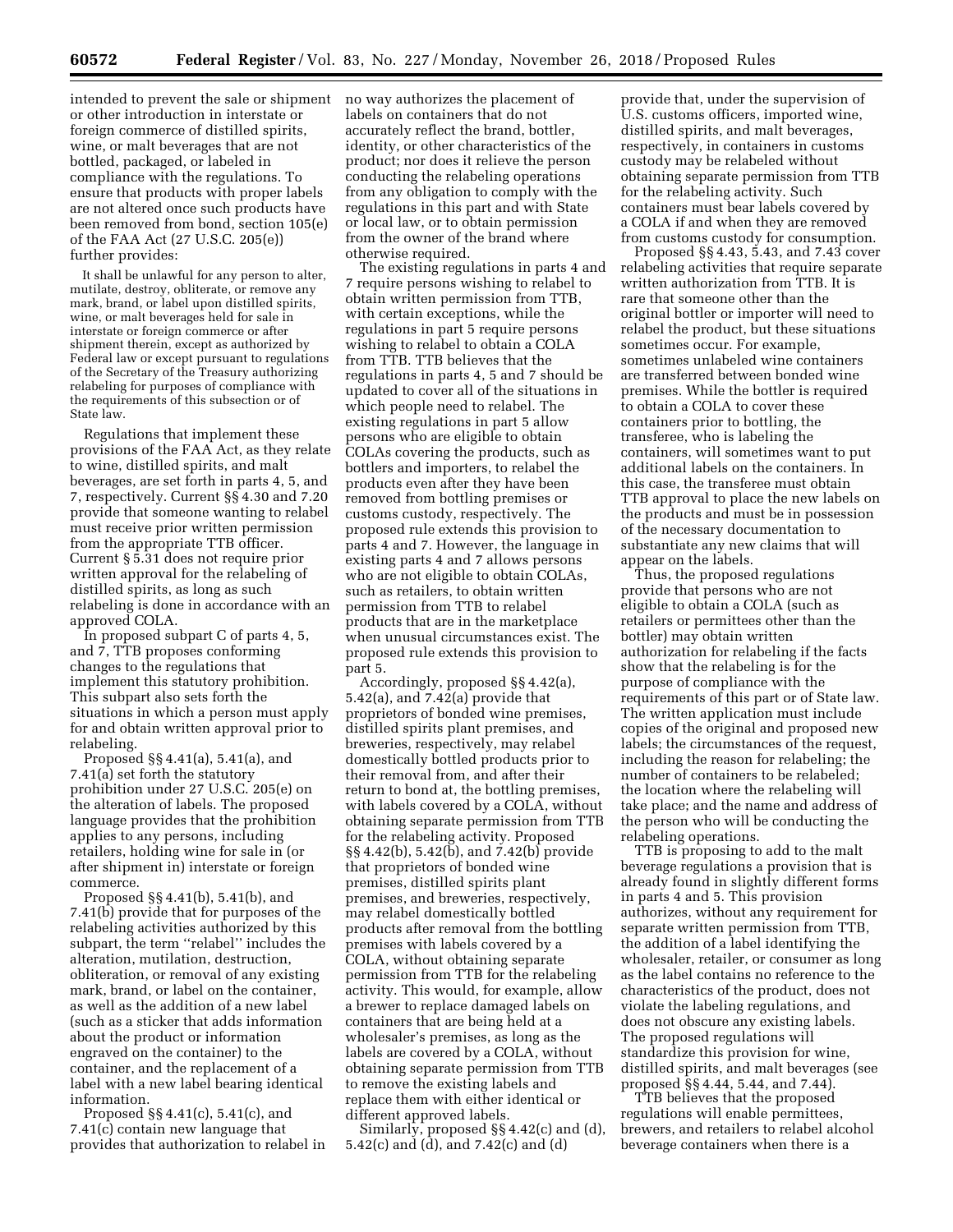intended to prevent the sale or shipment or other introduction in interstate or foreign commerce of distilled spirits, wine, or malt beverages that are not bottled, packaged, or labeled in compliance with the regulations. To ensure that products with proper labels are not altered once such products have been removed from bond, section 105(e) of the FAA Act (27 U.S.C. 205(e)) further provides:

It shall be unlawful for any person to alter, mutilate, destroy, obliterate, or remove any mark, brand, or label upon distilled spirits, wine, or malt beverages held for sale in interstate or foreign commerce or after shipment therein, except as authorized by Federal law or except pursuant to regulations of the Secretary of the Treasury authorizing relabeling for purposes of compliance with the requirements of this subsection or of State law.

Regulations that implement these provisions of the FAA Act, as they relate to wine, distilled spirits, and malt beverages, are set forth in parts 4, 5, and 7, respectively. Current §§ 4.30 and 7.20 provide that someone wanting to relabel must receive prior written permission from the appropriate TTB officer. Current § 5.31 does not require prior written approval for the relabeling of distilled spirits, as long as such relabeling is done in accordance with an approved COLA.

In proposed subpart C of parts 4, 5, and 7, TTB proposes conforming changes to the regulations that implement this statutory prohibition. This subpart also sets forth the situations in which a person must apply for and obtain written approval prior to relabeling.

Proposed §§ 4.41(a), 5.41(a), and 7.41(a) set forth the statutory prohibition under 27 U.S.C. 205(e) on the alteration of labels. The proposed language provides that the prohibition applies to any persons, including retailers, holding wine for sale in (or after shipment in) interstate or foreign commerce.

Proposed §§ 4.41(b), 5.41(b), and 7.41(b) provide that for purposes of the relabeling activities authorized by this subpart, the term ''relabel'' includes the alteration, mutilation, destruction, obliteration, or removal of any existing mark, brand, or label on the container, as well as the addition of a new label (such as a sticker that adds information about the product or information engraved on the container) to the container, and the replacement of a label with a new label bearing identical information.

Proposed §§ 4.41(c), 5.41(c), and 7.41(c) contain new language that provides that authorization to relabel in no way authorizes the placement of labels on containers that do not accurately reflect the brand, bottler, identity, or other characteristics of the product; nor does it relieve the person conducting the relabeling operations from any obligation to comply with the regulations in this part and with State or local law, or to obtain permission from the owner of the brand where otherwise required.

The existing regulations in parts 4 and 7 require persons wishing to relabel to obtain written permission from TTB, with certain exceptions, while the regulations in part 5 require persons wishing to relabel to obtain a COLA from TTB. TTB believes that the regulations in parts 4, 5 and 7 should be updated to cover all of the situations in which people need to relabel. The existing regulations in part 5 allow persons who are eligible to obtain COLAs covering the products, such as bottlers and importers, to relabel the products even after they have been removed from bottling premises or customs custody, respectively. The proposed rule extends this provision to parts 4 and 7. However, the language in existing parts 4 and 7 allows persons who are not eligible to obtain COLAs, such as retailers, to obtain written permission from TTB to relabel products that are in the marketplace when unusual circumstances exist. The proposed rule extends this provision to part 5.

Accordingly, proposed §§ 4.42(a), 5.42(a), and 7.42(a) provide that proprietors of bonded wine premises, distilled spirits plant premises, and breweries, respectively, may relabel domestically bottled products prior to their removal from, and after their return to bond at, the bottling premises, with labels covered by a COLA, without obtaining separate permission from TTB for the relabeling activity. Proposed §§ 4.42(b), 5.42(b), and 7.42(b) provide that proprietors of bonded wine premises, distilled spirits plant premises, and breweries, respectively, may relabel domestically bottled products after removal from the bottling premises with labels covered by a COLA, without obtaining separate permission from TTB for the relabeling activity. This would, for example, allow a brewer to replace damaged labels on containers that are being held at a wholesaler's premises, as long as the labels are covered by a COLA, without obtaining separate permission from TTB to remove the existing labels and replace them with either identical or different approved labels.

Similarly, proposed §§ 4.42(c) and (d), 5.42(c) and (d), and 7.42(c) and (d)

provide that, under the supervision of U.S. customs officers, imported wine, distilled spirits, and malt beverages, respectively, in containers in customs custody may be relabeled without obtaining separate permission from TTB for the relabeling activity. Such containers must bear labels covered by a COLA if and when they are removed from customs custody for consumption.

Proposed §§ 4.43, 5.43, and 7.43 cover relabeling activities that require separate written authorization from TTB. It is rare that someone other than the original bottler or importer will need to relabel the product, but these situations sometimes occur. For example, sometimes unlabeled wine containers are transferred between bonded wine premises. While the bottler is required to obtain a COLA to cover these containers prior to bottling, the transferee, who is labeling the containers, will sometimes want to put additional labels on the containers. In this case, the transferee must obtain TTB approval to place the new labels on the products and must be in possession of the necessary documentation to substantiate any new claims that will appear on the labels.

Thus, the proposed regulations provide that persons who are not eligible to obtain a COLA (such as retailers or permittees other than the bottler) may obtain written authorization for relabeling if the facts show that the relabeling is for the purpose of compliance with the requirements of this part or of State law. The written application must include copies of the original and proposed new labels; the circumstances of the request, including the reason for relabeling; the number of containers to be relabeled; the location where the relabeling will take place; and the name and address of the person who will be conducting the relabeling operations.

TTB is proposing to add to the malt beverage regulations a provision that is already found in slightly different forms in parts 4 and 5. This provision authorizes, without any requirement for separate written permission from TTB, the addition of a label identifying the wholesaler, retailer, or consumer as long as the label contains no reference to the characteristics of the product, does not violate the labeling regulations, and does not obscure any existing labels. The proposed regulations will standardize this provision for wine, distilled spirits, and malt beverages (see proposed §§ 4.44, 5.44, and 7.44).

TTB believes that the proposed regulations will enable permittees, brewers, and retailers to relabel alcohol beverage containers when there is a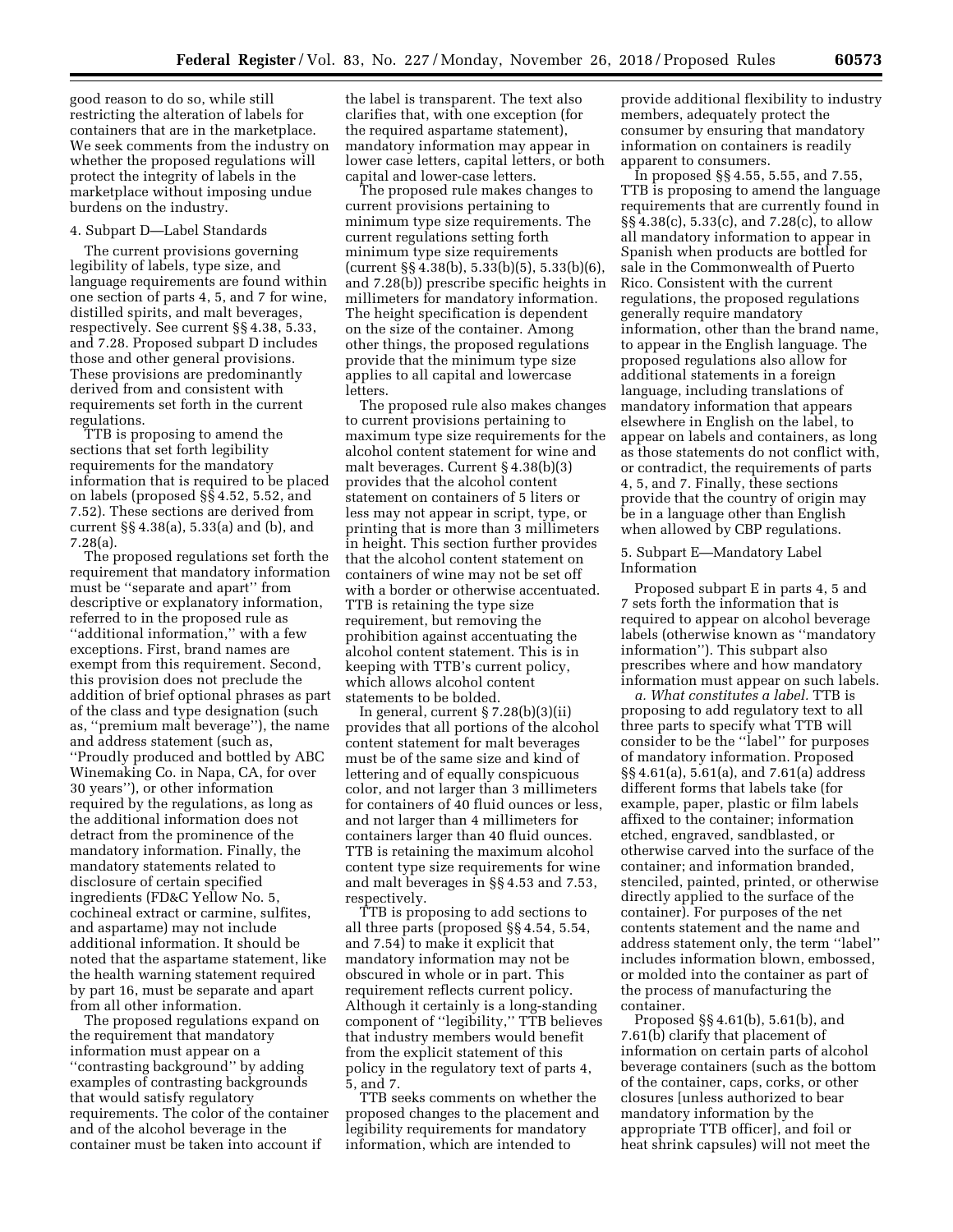good reason to do so, while still restricting the alteration of labels for containers that are in the marketplace. We seek comments from the industry on whether the proposed regulations will protect the integrity of labels in the marketplace without imposing undue burdens on the industry.

### 4. Subpart D—Label Standards

The current provisions governing legibility of labels, type size, and language requirements are found within one section of parts 4, 5, and 7 for wine, distilled spirits, and malt beverages, respectively. See current §§ 4.38, 5.33, and 7.28. Proposed subpart D includes those and other general provisions. These provisions are predominantly derived from and consistent with requirements set forth in the current regulations.

TTB is proposing to amend the sections that set forth legibility requirements for the mandatory information that is required to be placed on labels (proposed §§ 4.52, 5.52, and 7.52). These sections are derived from current §§ 4.38(a), 5.33(a) and (b), and 7.28(a).

The proposed regulations set forth the requirement that mandatory information must be ''separate and apart'' from descriptive or explanatory information, referred to in the proposed rule as ''additional information,'' with a few exceptions. First, brand names are exempt from this requirement. Second, this provision does not preclude the addition of brief optional phrases as part of the class and type designation (such as, ''premium malt beverage''), the name and address statement (such as, ''Proudly produced and bottled by ABC Winemaking Co. in Napa, CA, for over 30 years''), or other information required by the regulations, as long as the additional information does not detract from the prominence of the mandatory information. Finally, the mandatory statements related to disclosure of certain specified ingredients (FD&C Yellow No. 5, cochineal extract or carmine, sulfites, and aspartame) may not include additional information. It should be noted that the aspartame statement, like the health warning statement required by part 16, must be separate and apart from all other information.

The proposed regulations expand on the requirement that mandatory information must appear on a ''contrasting background'' by adding examples of contrasting backgrounds that would satisfy regulatory requirements. The color of the container and of the alcohol beverage in the container must be taken into account if

the label is transparent. The text also clarifies that, with one exception (for the required aspartame statement), mandatory information may appear in lower case letters, capital letters, or both capital and lower-case letters.

The proposed rule makes changes to current provisions pertaining to minimum type size requirements. The current regulations setting forth minimum type size requirements  $(current \S\S 4.38(b), 5.33(b)(5), 5.33(b)(6),$ and 7.28(b)) prescribe specific heights in millimeters for mandatory information. The height specification is dependent on the size of the container. Among other things, the proposed regulations provide that the minimum type size applies to all capital and lowercase letters.

The proposed rule also makes changes to current provisions pertaining to maximum type size requirements for the alcohol content statement for wine and malt beverages. Current § 4.38(b)(3) provides that the alcohol content statement on containers of 5 liters or less may not appear in script, type, or printing that is more than 3 millimeters in height. This section further provides that the alcohol content statement on containers of wine may not be set off with a border or otherwise accentuated. TTB is retaining the type size requirement, but removing the prohibition against accentuating the alcohol content statement. This is in keeping with TTB's current policy, which allows alcohol content statements to be bolded.

In general, current  $\S 7.28(b)(3)(ii)$ provides that all portions of the alcohol content statement for malt beverages must be of the same size and kind of lettering and of equally conspicuous color, and not larger than 3 millimeters for containers of 40 fluid ounces or less, and not larger than 4 millimeters for containers larger than 40 fluid ounces. TTB is retaining the maximum alcohol content type size requirements for wine and malt beverages in §§ 4.53 and 7.53, respectively.

TTB is proposing to add sections to all three parts (proposed §§ 4.54, 5.54, and 7.54) to make it explicit that mandatory information may not be obscured in whole or in part. This requirement reflects current policy. Although it certainly is a long-standing component of ''legibility,'' TTB believes that industry members would benefit from the explicit statement of this policy in the regulatory text of parts 4, 5, and 7.

TTB seeks comments on whether the proposed changes to the placement and legibility requirements for mandatory information, which are intended to

provide additional flexibility to industry members, adequately protect the consumer by ensuring that mandatory information on containers is readily apparent to consumers.

In proposed §§ 4.55, 5.55, and 7.55, TTB is proposing to amend the language requirements that are currently found in §§ 4.38(c), 5.33(c), and 7.28(c), to allow all mandatory information to appear in Spanish when products are bottled for sale in the Commonwealth of Puerto Rico. Consistent with the current regulations, the proposed regulations generally require mandatory information, other than the brand name, to appear in the English language. The proposed regulations also allow for additional statements in a foreign language, including translations of mandatory information that appears elsewhere in English on the label, to appear on labels and containers, as long as those statements do not conflict with, or contradict, the requirements of parts 4, 5, and 7. Finally, these sections provide that the country of origin may be in a language other than English when allowed by CBP regulations.

5. Subpart E—Mandatory Label Information

Proposed subpart E in parts 4, 5 and 7 sets forth the information that is required to appear on alcohol beverage labels (otherwise known as ''mandatory information''). This subpart also prescribes where and how mandatory information must appear on such labels.

*a. What constitutes a label.* TTB is proposing to add regulatory text to all three parts to specify what TTB will consider to be the ''label'' for purposes of mandatory information. Proposed §§ 4.61(a), 5.61(a), and 7.61(a) address different forms that labels take (for example, paper, plastic or film labels affixed to the container; information etched, engraved, sandblasted, or otherwise carved into the surface of the container; and information branded, stenciled, painted, printed, or otherwise directly applied to the surface of the container). For purposes of the net contents statement and the name and address statement only, the term ''label'' includes information blown, embossed, or molded into the container as part of the process of manufacturing the container.

Proposed §§ 4.61(b), 5.61(b), and 7.61(b) clarify that placement of information on certain parts of alcohol beverage containers (such as the bottom of the container, caps, corks, or other closures [unless authorized to bear mandatory information by the appropriate TTB officer], and foil or heat shrink capsules) will not meet the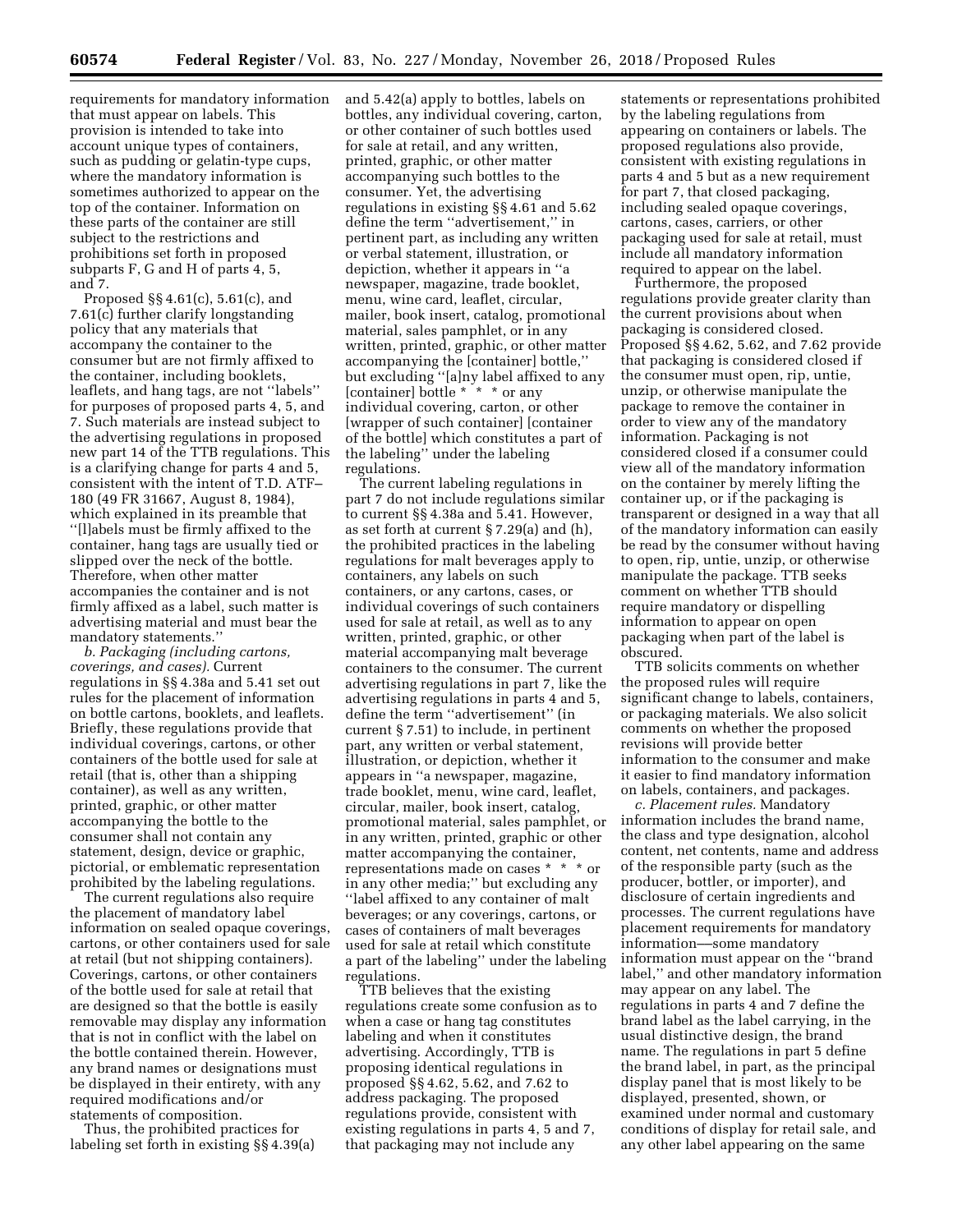requirements for mandatory information that must appear on labels. This provision is intended to take into account unique types of containers, such as pudding or gelatin-type cups, where the mandatory information is sometimes authorized to appear on the top of the container. Information on these parts of the container are still subject to the restrictions and prohibitions set forth in proposed subparts F, G and H of parts 4, 5, and 7.

Proposed §§ 4.61(c), 5.61(c), and 7.61(c) further clarify longstanding policy that any materials that accompany the container to the consumer but are not firmly affixed to the container, including booklets, leaflets, and hang tags, are not ''labels'' for purposes of proposed parts 4, 5, and 7. Such materials are instead subject to the advertising regulations in proposed new part 14 of the TTB regulations. This is a clarifying change for parts 4 and 5, consistent with the intent of T.D. ATF– 180 (49 FR 31667, August 8, 1984), which explained in its preamble that ''[l]abels must be firmly affixed to the container, hang tags are usually tied or slipped over the neck of the bottle. Therefore, when other matter accompanies the container and is not firmly affixed as a label, such matter is advertising material and must bear the mandatory statements.''

*b. Packaging (including cartons, coverings, and cases).* Current regulations in §§ 4.38a and 5.41 set out rules for the placement of information on bottle cartons, booklets, and leaflets. Briefly, these regulations provide that individual coverings, cartons, or other containers of the bottle used for sale at retail (that is, other than a shipping container), as well as any written, printed, graphic, or other matter accompanying the bottle to the consumer shall not contain any statement, design, device or graphic, pictorial, or emblematic representation prohibited by the labeling regulations.

The current regulations also require the placement of mandatory label information on sealed opaque coverings, cartons, or other containers used for sale at retail (but not shipping containers). Coverings, cartons, or other containers of the bottle used for sale at retail that are designed so that the bottle is easily removable may display any information that is not in conflict with the label on the bottle contained therein. However, any brand names or designations must be displayed in their entirety, with any required modifications and/or statements of composition.

Thus, the prohibited practices for labeling set forth in existing §§ 4.39(a) and 5.42(a) apply to bottles, labels on bottles, any individual covering, carton, or other container of such bottles used for sale at retail, and any written, printed, graphic, or other matter accompanying such bottles to the consumer. Yet, the advertising regulations in existing §§ 4.61 and 5.62 define the term ''advertisement,'' in pertinent part, as including any written or verbal statement, illustration, or depiction, whether it appears in ''a newspaper, magazine, trade booklet, menu, wine card, leaflet, circular, mailer, book insert, catalog, promotional material, sales pamphlet, or in any written, printed, graphic, or other matter accompanying the [container] bottle,'' but excluding ''[a]ny label affixed to any [container] bottle \* \* \* \* or any individual covering, carton, or other [wrapper of such container] [container of the bottle] which constitutes a part of the labeling'' under the labeling regulations.

The current labeling regulations in part 7 do not include regulations similar to current §§ 4.38a and 5.41. However, as set forth at current § 7.29(a) and (h), the prohibited practices in the labeling regulations for malt beverages apply to containers, any labels on such containers, or any cartons, cases, or individual coverings of such containers used for sale at retail, as well as to any written, printed, graphic, or other material accompanying malt beverage containers to the consumer. The current advertising regulations in part 7, like the advertising regulations in parts 4 and 5, define the term ''advertisement'' (in current § 7.51) to include, in pertinent part, any written or verbal statement, illustration, or depiction, whether it appears in ''a newspaper, magazine, trade booklet, menu, wine card, leaflet, circular, mailer, book insert, catalog, promotional material, sales pamphlet, or in any written, printed, graphic or other matter accompanying the container, representations made on cases \* \* \* or in any other media;'' but excluding any ''label affixed to any container of malt beverages; or any coverings, cartons, or cases of containers of malt beverages used for sale at retail which constitute a part of the labeling'' under the labeling regulations.

TTB believes that the existing regulations create some confusion as to when a case or hang tag constitutes labeling and when it constitutes advertising. Accordingly, TTB is proposing identical regulations in proposed §§ 4.62, 5.62, and 7.62 to address packaging. The proposed regulations provide, consistent with existing regulations in parts 4, 5 and 7, that packaging may not include any

statements or representations prohibited by the labeling regulations from appearing on containers or labels. The proposed regulations also provide, consistent with existing regulations in parts 4 and 5 but as a new requirement for part 7, that closed packaging, including sealed opaque coverings, cartons, cases, carriers, or other packaging used for sale at retail, must include all mandatory information required to appear on the label.

Furthermore, the proposed regulations provide greater clarity than the current provisions about when packaging is considered closed. Proposed §§ 4.62, 5.62, and 7.62 provide that packaging is considered closed if the consumer must open, rip, untie, unzip, or otherwise manipulate the package to remove the container in order to view any of the mandatory information. Packaging is not considered closed if a consumer could view all of the mandatory information on the container by merely lifting the container up, or if the packaging is transparent or designed in a way that all of the mandatory information can easily be read by the consumer without having to open, rip, untie, unzip, or otherwise manipulate the package. TTB seeks comment on whether TTB should require mandatory or dispelling information to appear on open packaging when part of the label is obscured.

TTB solicits comments on whether the proposed rules will require significant change to labels, containers, or packaging materials. We also solicit comments on whether the proposed revisions will provide better information to the consumer and make it easier to find mandatory information on labels, containers, and packages.

*c. Placement rules.* Mandatory information includes the brand name, the class and type designation, alcohol content, net contents, name and address of the responsible party (such as the producer, bottler, or importer), and disclosure of certain ingredients and processes. The current regulations have placement requirements for mandatory information––some mandatory information must appear on the ''brand label,'' and other mandatory information may appear on any label. The regulations in parts 4 and 7 define the brand label as the label carrying, in the usual distinctive design, the brand name. The regulations in part 5 define the brand label, in part, as the principal display panel that is most likely to be displayed, presented, shown, or examined under normal and customary conditions of display for retail sale, and any other label appearing on the same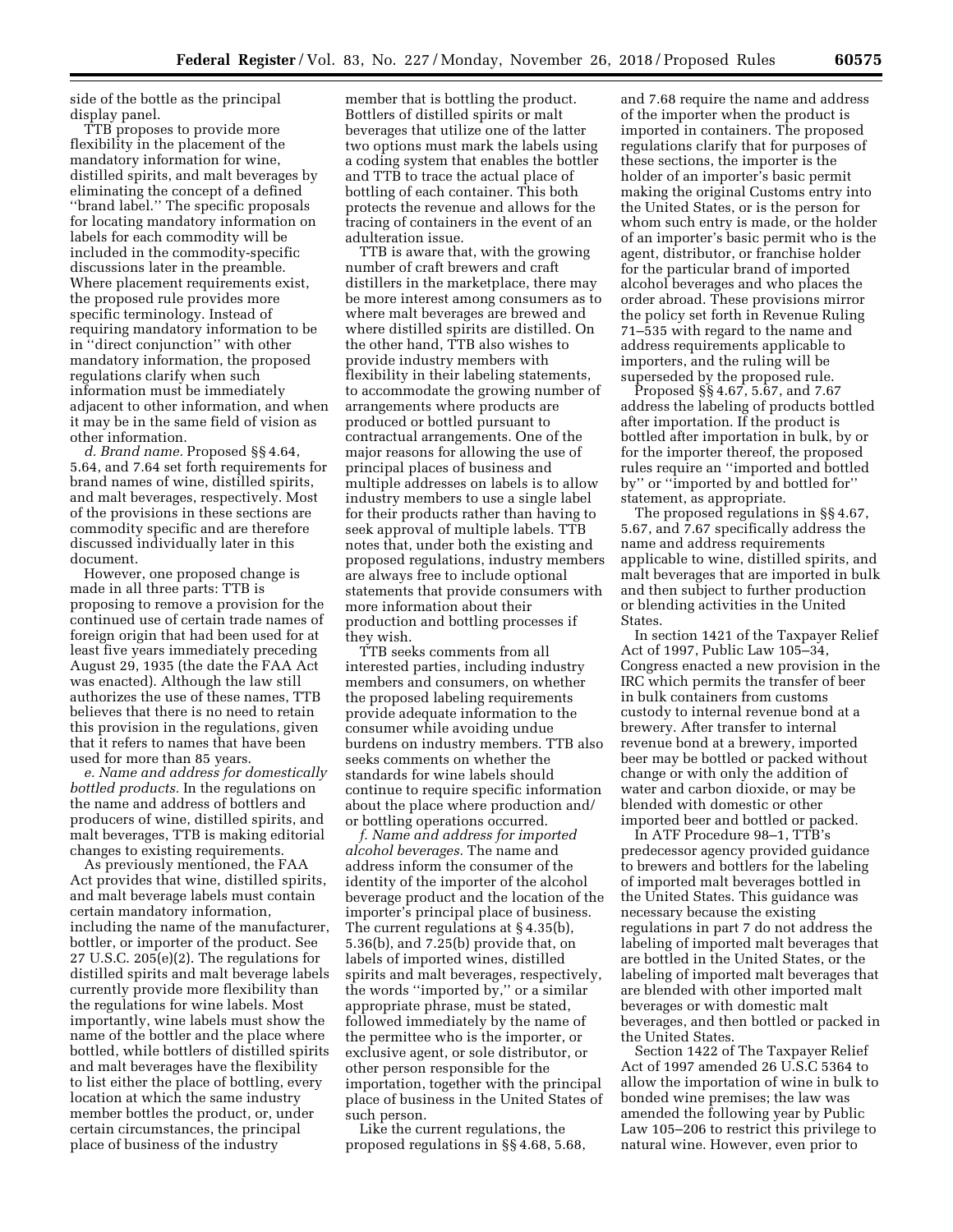side of the bottle as the principal display panel.

TTB proposes to provide more flexibility in the placement of the mandatory information for wine, distilled spirits, and malt beverages by eliminating the concept of a defined ''brand label.'' The specific proposals for locating mandatory information on labels for each commodity will be included in the commodity-specific discussions later in the preamble. Where placement requirements exist, the proposed rule provides more specific terminology. Instead of requiring mandatory information to be in ''direct conjunction'' with other mandatory information, the proposed regulations clarify when such information must be immediately adjacent to other information, and when it may be in the same field of vision as other information.

*d. Brand name.* Proposed §§ 4.64, 5.64, and 7.64 set forth requirements for brand names of wine, distilled spirits, and malt beverages, respectively. Most of the provisions in these sections are commodity specific and are therefore discussed individually later in this document.

However, one proposed change is made in all three parts: TTB is proposing to remove a provision for the continued use of certain trade names of foreign origin that had been used for at least five years immediately preceding August 29, 1935 (the date the FAA Act was enacted). Although the law still authorizes the use of these names, TTB believes that there is no need to retain this provision in the regulations, given that it refers to names that have been used for more than 85 years.

*e. Name and address for domestically bottled products.* In the regulations on the name and address of bottlers and producers of wine, distilled spirits, and malt beverages, TTB is making editorial changes to existing requirements.

As previously mentioned, the FAA Act provides that wine, distilled spirits, and malt beverage labels must contain certain mandatory information, including the name of the manufacturer, bottler, or importer of the product. See 27 U.S.C. 205(e)(2). The regulations for distilled spirits and malt beverage labels currently provide more flexibility than the regulations for wine labels. Most importantly, wine labels must show the name of the bottler and the place where bottled, while bottlers of distilled spirits and malt beverages have the flexibility to list either the place of bottling, every location at which the same industry member bottles the product, or, under certain circumstances, the principal place of business of the industry

member that is bottling the product. Bottlers of distilled spirits or malt beverages that utilize one of the latter two options must mark the labels using a coding system that enables the bottler and TTB to trace the actual place of bottling of each container. This both protects the revenue and allows for the tracing of containers in the event of an adulteration issue.

TTB is aware that, with the growing number of craft brewers and craft distillers in the marketplace, there may be more interest among consumers as to where malt beverages are brewed and where distilled spirits are distilled. On the other hand, TTB also wishes to provide industry members with flexibility in their labeling statements, to accommodate the growing number of arrangements where products are produced or bottled pursuant to contractual arrangements. One of the major reasons for allowing the use of principal places of business and multiple addresses on labels is to allow industry members to use a single label for their products rather than having to seek approval of multiple labels. TTB notes that, under both the existing and proposed regulations, industry members are always free to include optional statements that provide consumers with more information about their production and bottling processes if they wish.

TTB seeks comments from all interested parties, including industry members and consumers, on whether the proposed labeling requirements provide adequate information to the consumer while avoiding undue burdens on industry members. TTB also seeks comments on whether the standards for wine labels should continue to require specific information about the place where production and/ or bottling operations occurred.

*f. Name and address for imported alcohol beverages.* The name and address inform the consumer of the identity of the importer of the alcohol beverage product and the location of the importer's principal place of business. The current regulations at § 4.35(b), 5.36(b), and 7.25(b) provide that, on labels of imported wines, distilled spirits and malt beverages, respectively, the words ''imported by,'' or a similar appropriate phrase, must be stated, followed immediately by the name of the permittee who is the importer, or exclusive agent, or sole distributor, or other person responsible for the importation, together with the principal place of business in the United States of such person.

Like the current regulations, the proposed regulations in §§ 4.68, 5.68, and 7.68 require the name and address of the importer when the product is imported in containers. The proposed regulations clarify that for purposes of these sections, the importer is the holder of an importer's basic permit making the original Customs entry into the United States, or is the person for whom such entry is made, or the holder of an importer's basic permit who is the agent, distributor, or franchise holder for the particular brand of imported alcohol beverages and who places the order abroad. These provisions mirror the policy set forth in Revenue Ruling 71–535 with regard to the name and address requirements applicable to importers, and the ruling will be superseded by the proposed rule.

Proposed §§ 4.67, 5.67, and 7.67 address the labeling of products bottled after importation. If the product is bottled after importation in bulk, by or for the importer thereof, the proposed rules require an ''imported and bottled by'' or ''imported by and bottled for'' statement, as appropriate.

The proposed regulations in §§ 4.67, 5.67, and 7.67 specifically address the name and address requirements applicable to wine, distilled spirits, and malt beverages that are imported in bulk and then subject to further production or blending activities in the United States.

In section 1421 of the Taxpayer Relief Act of 1997, Public Law 105–34, Congress enacted a new provision in the IRC which permits the transfer of beer in bulk containers from customs custody to internal revenue bond at a brewery. After transfer to internal revenue bond at a brewery, imported beer may be bottled or packed without change or with only the addition of water and carbon dioxide, or may be blended with domestic or other imported beer and bottled or packed.

In ATF Procedure 98–1, TTB's predecessor agency provided guidance to brewers and bottlers for the labeling of imported malt beverages bottled in the United States. This guidance was necessary because the existing regulations in part 7 do not address the labeling of imported malt beverages that are bottled in the United States, or the labeling of imported malt beverages that are blended with other imported malt beverages or with domestic malt beverages, and then bottled or packed in the United States.

Section 1422 of The Taxpayer Relief Act of 1997 amended 26 U.S.C 5364 to allow the importation of wine in bulk to bonded wine premises; the law was amended the following year by Public Law 105–206 to restrict this privilege to natural wine. However, even prior to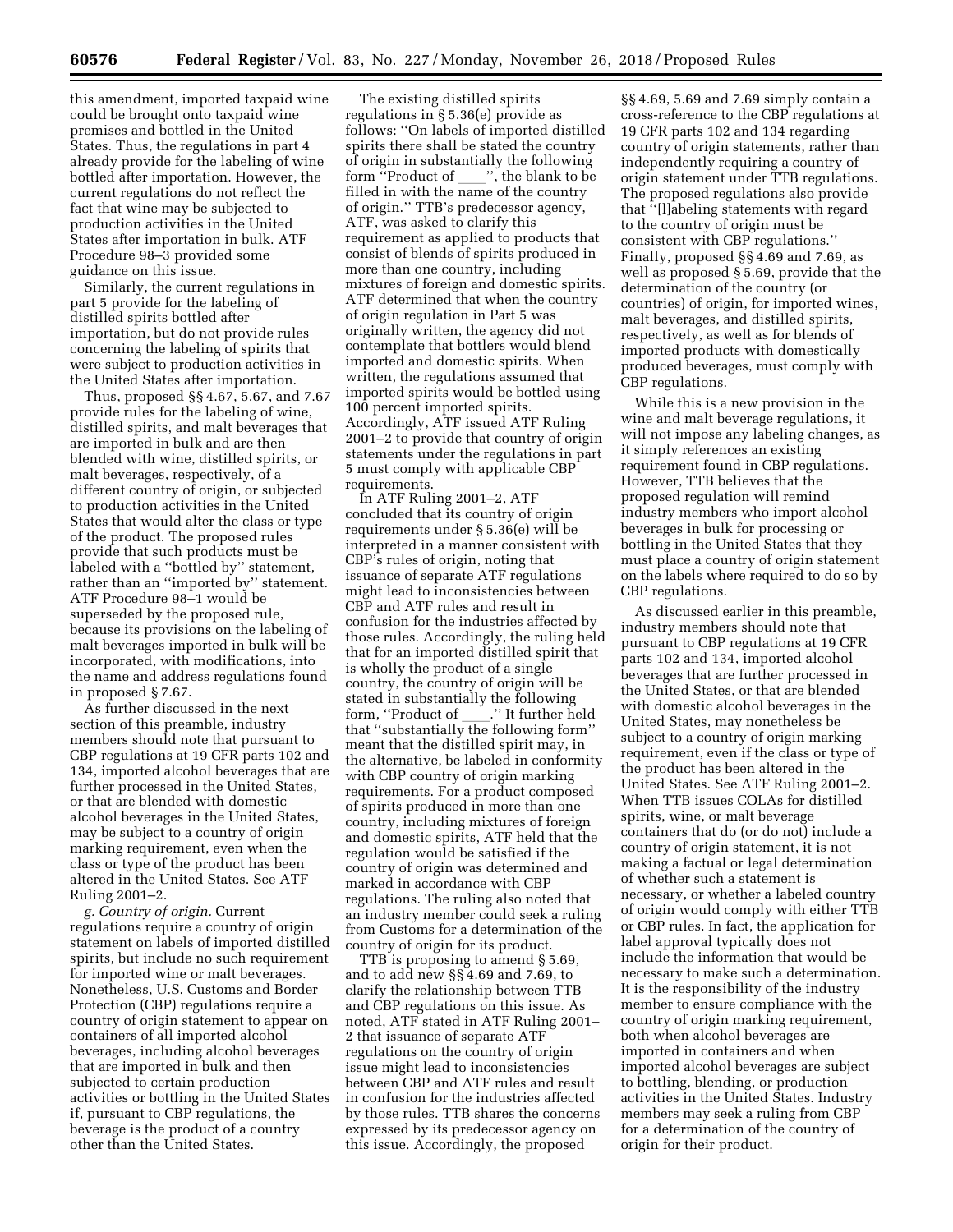this amendment, imported taxpaid wine could be brought onto taxpaid wine premises and bottled in the United States. Thus, the regulations in part 4 already provide for the labeling of wine bottled after importation. However, the current regulations do not reflect the fact that wine may be subjected to production activities in the United States after importation in bulk. ATF Procedure 98–3 provided some guidance on this issue.

Similarly, the current regulations in part 5 provide for the labeling of distilled spirits bottled after importation, but do not provide rules concerning the labeling of spirits that were subject to production activities in the United States after importation.

Thus, proposed §§ 4.67, 5.67, and 7.67 provide rules for the labeling of wine, distilled spirits, and malt beverages that are imported in bulk and are then blended with wine, distilled spirits, or malt beverages, respectively, of a different country of origin, or subjected to production activities in the United States that would alter the class or type of the product. The proposed rules provide that such products must be labeled with a ''bottled by'' statement, rather than an ''imported by'' statement. ATF Procedure 98–1 would be superseded by the proposed rule, because its provisions on the labeling of malt beverages imported in bulk will be incorporated, with modifications, into the name and address regulations found in proposed § 7.67.

As further discussed in the next section of this preamble, industry members should note that pursuant to CBP regulations at 19 CFR parts 102 and 134, imported alcohol beverages that are further processed in the United States, or that are blended with domestic alcohol beverages in the United States, may be subject to a country of origin marking requirement, even when the class or type of the product has been altered in the United States. See ATF Ruling 2001–2.

*g. Country of origin.* Current regulations require a country of origin statement on labels of imported distilled spirits, but include no such requirement for imported wine or malt beverages. Nonetheless, U.S. Customs and Border Protection (CBP) regulations require a country of origin statement to appear on containers of all imported alcohol beverages, including alcohol beverages that are imported in bulk and then subjected to certain production activities or bottling in the United States if, pursuant to CBP regulations, the beverage is the product of a country other than the United States.

The existing distilled spirits regulations in § 5.36(e) provide as follows: ''On labels of imported distilled spirits there shall be stated the country of origin in substantially the following form "Product of  $\ldots$ ", the blank to be filled in with the name of the country of origin.'' TTB's predecessor agency, ATF, was asked to clarify this requirement as applied to products that consist of blends of spirits produced in more than one country, including mixtures of foreign and domestic spirits. ATF determined that when the country of origin regulation in Part 5 was originally written, the agency did not contemplate that bottlers would blend imported and domestic spirits. When written, the regulations assumed that imported spirits would be bottled using 100 percent imported spirits. Accordingly, ATF issued ATF Ruling 2001–2 to provide that country of origin statements under the regulations in part 5 must comply with applicable CBP requirements.

In ATF Ruling 2001–2, ATF concluded that its country of origin requirements under § 5.36(e) will be interpreted in a manner consistent with CBP's rules of origin, noting that issuance of separate ATF regulations might lead to inconsistencies between CBP and ATF rules and result in confusion for the industries affected by those rules. Accordingly, the ruling held that for an imported distilled spirit that is wholly the product of a single country, the country of origin will be stated in substantially the following form, ''Product of \_\_\_\_.'' It further held<br>that ''substantially the following form'' that ''substantially the following form'' meant that the distilled spirit may, in the alternative, be labeled in conformity with CBP country of origin marking requirements. For a product composed of spirits produced in more than one country, including mixtures of foreign and domestic spirits, ATF held that the regulation would be satisfied if the country of origin was determined and marked in accordance with CBP regulations. The ruling also noted that an industry member could seek a ruling from Customs for a determination of the country of origin for its product.

TTB is proposing to amend § 5.69, and to add new §§ 4.69 and 7.69, to clarify the relationship between TTB and CBP regulations on this issue. As noted, ATF stated in ATF Ruling 2001– 2 that issuance of separate ATF regulations on the country of origin issue might lead to inconsistencies between CBP and ATF rules and result in confusion for the industries affected by those rules. TTB shares the concerns expressed by its predecessor agency on this issue. Accordingly, the proposed

§§ 4.69, 5.69 and 7.69 simply contain a cross-reference to the CBP regulations at 19 CFR parts 102 and 134 regarding country of origin statements, rather than independently requiring a country of origin statement under TTB regulations. The proposed regulations also provide that ''[l]abeling statements with regard to the country of origin must be consistent with CBP regulations.'' Finally, proposed §§ 4.69 and 7.69, as well as proposed § 5.69, provide that the determination of the country (or countries) of origin, for imported wines, malt beverages, and distilled spirits, respectively, as well as for blends of imported products with domestically produced beverages, must comply with CBP regulations.

While this is a new provision in the wine and malt beverage regulations, it will not impose any labeling changes, as it simply references an existing requirement found in CBP regulations. However, TTB believes that the proposed regulation will remind industry members who import alcohol beverages in bulk for processing or bottling in the United States that they must place a country of origin statement on the labels where required to do so by CBP regulations.

As discussed earlier in this preamble, industry members should note that pursuant to CBP regulations at 19 CFR parts 102 and 134, imported alcohol beverages that are further processed in the United States, or that are blended with domestic alcohol beverages in the United States, may nonetheless be subject to a country of origin marking requirement, even if the class or type of the product has been altered in the United States. See ATF Ruling 2001–2. When TTB issues COLAs for distilled spirits, wine, or malt beverage containers that do (or do not) include a country of origin statement, it is not making a factual or legal determination of whether such a statement is necessary, or whether a labeled country of origin would comply with either TTB or CBP rules. In fact, the application for label approval typically does not include the information that would be necessary to make such a determination. It is the responsibility of the industry member to ensure compliance with the country of origin marking requirement, both when alcohol beverages are imported in containers and when imported alcohol beverages are subject to bottling, blending, or production activities in the United States. Industry members may seek a ruling from CBP for a determination of the country of origin for their product.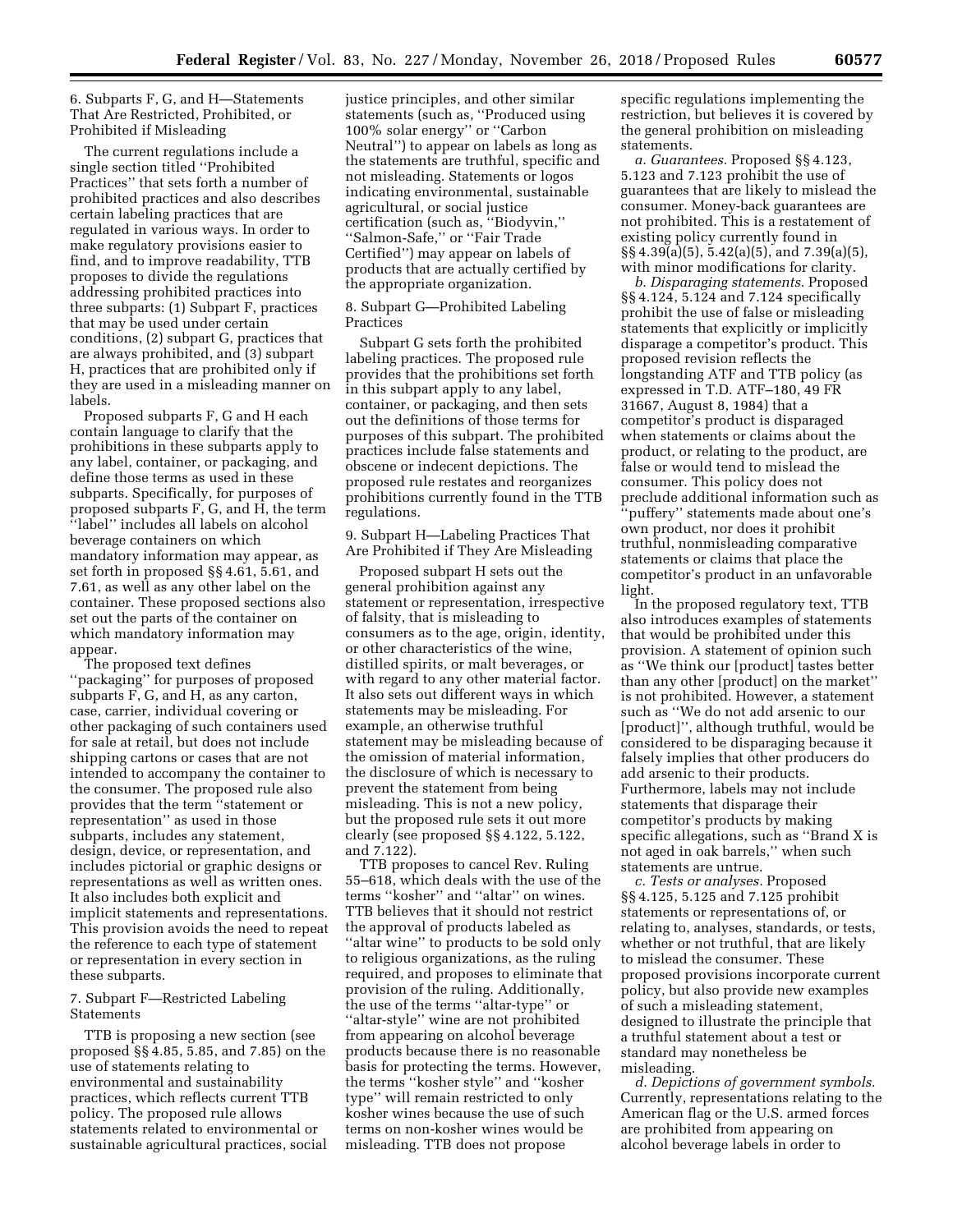6. Subparts F, G, and H—Statements That Are Restricted, Prohibited, or Prohibited if Misleading

The current regulations include a single section titled ''Prohibited Practices'' that sets forth a number of prohibited practices and also describes certain labeling practices that are regulated in various ways. In order to make regulatory provisions easier to find, and to improve readability, TTB proposes to divide the regulations addressing prohibited practices into three subparts: (1) Subpart F, practices that may be used under certain conditions, (2) subpart G, practices that are always prohibited, and (3) subpart H, practices that are prohibited only if they are used in a misleading manner on labels.

Proposed subparts F, G and H each contain language to clarify that the prohibitions in these subparts apply to any label, container, or packaging, and define those terms as used in these subparts. Specifically, for purposes of proposed subparts F, G, and H, the term ''label'' includes all labels on alcohol beverage containers on which mandatory information may appear, as set forth in proposed §§ 4.61, 5.61, and 7.61, as well as any other label on the container. These proposed sections also set out the parts of the container on which mandatory information may appear.

The proposed text defines ''packaging'' for purposes of proposed subparts F, G, and H, as any carton, case, carrier, individual covering or other packaging of such containers used for sale at retail, but does not include shipping cartons or cases that are not intended to accompany the container to the consumer. The proposed rule also provides that the term ''statement or representation'' as used in those subparts, includes any statement, design, device, or representation, and includes pictorial or graphic designs or representations as well as written ones. It also includes both explicit and implicit statements and representations. This provision avoids the need to repeat the reference to each type of statement or representation in every section in these subparts.

# 7. Subpart F—Restricted Labeling Statements

TTB is proposing a new section (see proposed §§ 4.85, 5.85, and 7.85) on the use of statements relating to environmental and sustainability practices, which reflects current TTB policy. The proposed rule allows statements related to environmental or sustainable agricultural practices, social

justice principles, and other similar statements (such as, ''Produced using 100% solar energy'' or ''Carbon Neutral'') to appear on labels as long as the statements are truthful, specific and not misleading. Statements or logos indicating environmental, sustainable agricultural, or social justice certification (such as, ''Biodyvin,'' ''Salmon-Safe,'' or ''Fair Trade Certified'') may appear on labels of products that are actually certified by the appropriate organization.

8. Subpart G—Prohibited Labeling Practices

Subpart G sets forth the prohibited labeling practices. The proposed rule provides that the prohibitions set forth in this subpart apply to any label, container, or packaging, and then sets out the definitions of those terms for purposes of this subpart. The prohibited practices include false statements and obscene or indecent depictions. The proposed rule restates and reorganizes prohibitions currently found in the TTB regulations.

9. Subpart H—Labeling Practices That Are Prohibited if They Are Misleading

Proposed subpart H sets out the general prohibition against any statement or representation, irrespective of falsity, that is misleading to consumers as to the age, origin, identity, or other characteristics of the wine, distilled spirits, or malt beverages, or with regard to any other material factor. It also sets out different ways in which statements may be misleading. For example, an otherwise truthful statement may be misleading because of the omission of material information, the disclosure of which is necessary to prevent the statement from being misleading. This is not a new policy, but the proposed rule sets it out more clearly (see proposed §§ 4.122, 5.122, and 7.122).

TTB proposes to cancel Rev. Ruling 55–618, which deals with the use of the terms ''kosher'' and ''altar'' on wines. TTB believes that it should not restrict the approval of products labeled as ''altar wine'' to products to be sold only to religious organizations, as the ruling required, and proposes to eliminate that provision of the ruling. Additionally, the use of the terms ''altar-type'' or ''altar-style'' wine are not prohibited from appearing on alcohol beverage products because there is no reasonable basis for protecting the terms. However, the terms ''kosher style'' and ''kosher type'' will remain restricted to only kosher wines because the use of such terms on non-kosher wines would be misleading. TTB does not propose

specific regulations implementing the restriction, but believes it is covered by the general prohibition on misleading statements.

*a. Guarantees.* Proposed §§ 4.123, 5.123 and 7.123 prohibit the use of guarantees that are likely to mislead the consumer. Money-back guarantees are not prohibited. This is a restatement of existing policy currently found in §§ 4.39(a)(5), 5.42(a)(5), and 7.39(a)(5), with minor modifications for clarity.

*b. Disparaging statements.* Proposed §§ 4.124, 5.124 and 7.124 specifically prohibit the use of false or misleading statements that explicitly or implicitly disparage a competitor's product. This proposed revision reflects the longstanding ATF and TTB policy (as expressed in T.D. ATF–180, 49 FR 31667, August 8, 1984) that a competitor's product is disparaged when statements or claims about the product, or relating to the product, are false or would tend to mislead the consumer. This policy does not preclude additional information such as ''puffery'' statements made about one's own product, nor does it prohibit truthful, nonmisleading comparative statements or claims that place the competitor's product in an unfavorable light.

In the proposed regulatory text, TTB also introduces examples of statements that would be prohibited under this provision. A statement of opinion such as ''We think our [product] tastes better than any other [product] on the market'' is not prohibited. However, a statement such as ''We do not add arsenic to our [product]'', although truthful, would be considered to be disparaging because it falsely implies that other producers do add arsenic to their products. Furthermore, labels may not include statements that disparage their competitor's products by making specific allegations, such as ''Brand X is not aged in oak barrels,'' when such statements are untrue.

*c. Tests or analyses.* Proposed §§ 4.125, 5.125 and 7.125 prohibit statements or representations of, or relating to, analyses, standards, or tests, whether or not truthful, that are likely to mislead the consumer. These proposed provisions incorporate current policy, but also provide new examples of such a misleading statement, designed to illustrate the principle that a truthful statement about a test or standard may nonetheless be misleading.

*d. Depictions of government symbols.*  Currently, representations relating to the American flag or the U.S. armed forces are prohibited from appearing on alcohol beverage labels in order to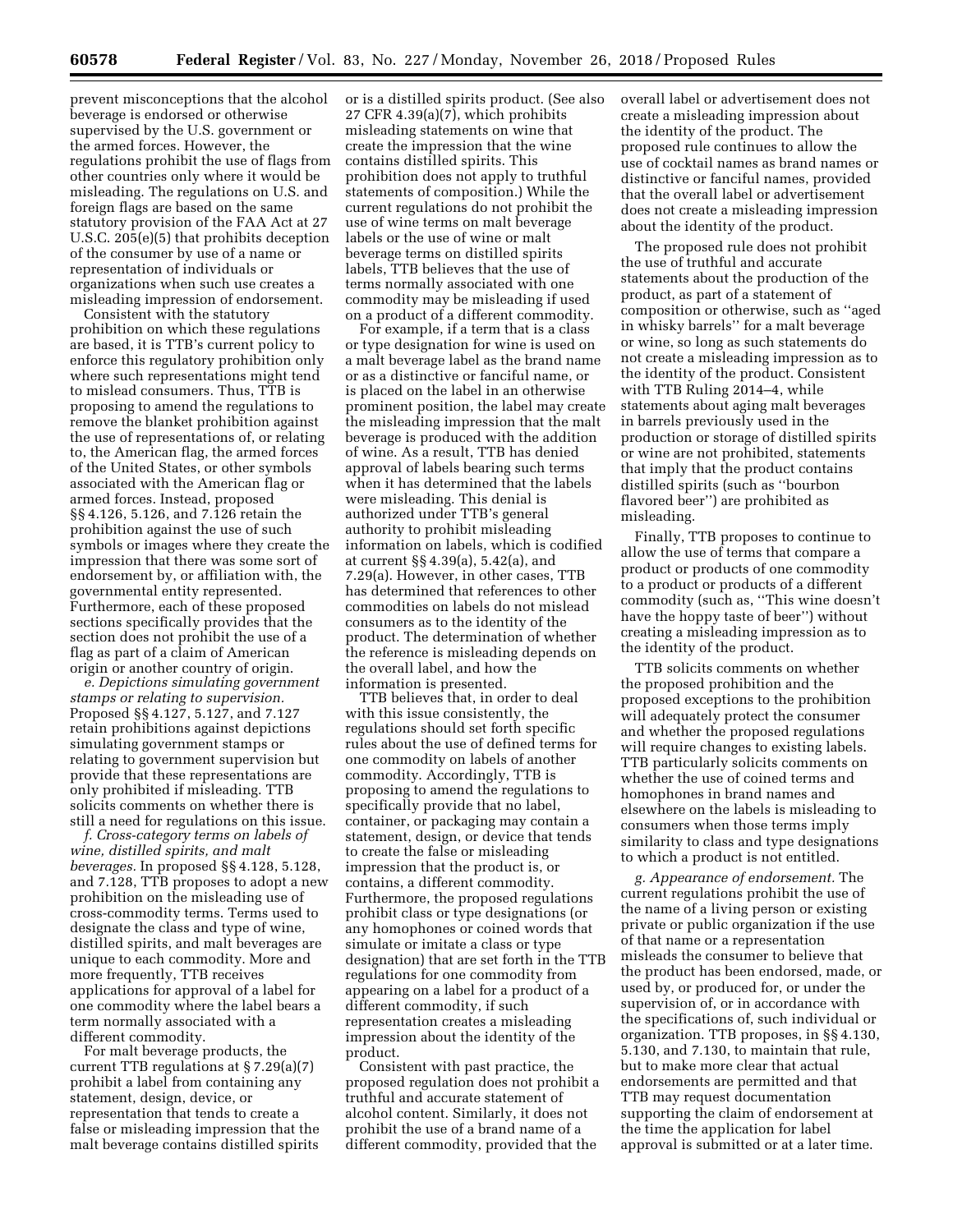prevent misconceptions that the alcohol beverage is endorsed or otherwise supervised by the U.S. government or the armed forces. However, the regulations prohibit the use of flags from other countries only where it would be misleading. The regulations on U.S. and foreign flags are based on the same statutory provision of the FAA Act at 27 U.S.C. 205(e)(5) that prohibits deception of the consumer by use of a name or representation of individuals or organizations when such use creates a misleading impression of endorsement.

Consistent with the statutory prohibition on which these regulations are based, it is TTB's current policy to enforce this regulatory prohibition only where such representations might tend to mislead consumers. Thus, TTB is proposing to amend the regulations to remove the blanket prohibition against the use of representations of, or relating to, the American flag, the armed forces of the United States, or other symbols associated with the American flag or armed forces. Instead, proposed §§ 4.126, 5.126, and 7.126 retain the prohibition against the use of such symbols or images where they create the impression that there was some sort of endorsement by, or affiliation with, the governmental entity represented. Furthermore, each of these proposed sections specifically provides that the section does not prohibit the use of a flag as part of a claim of American origin or another country of origin.

*e. Depictions simulating government stamps or relating to supervision.*  Proposed §§ 4.127, 5.127, and 7.127 retain prohibitions against depictions simulating government stamps or relating to government supervision but provide that these representations are only prohibited if misleading. TTB solicits comments on whether there is still a need for regulations on this issue.

*f. Cross-category terms on labels of wine, distilled spirits, and malt beverages.* In proposed §§ 4.128, 5.128, and 7.128, TTB proposes to adopt a new prohibition on the misleading use of cross-commodity terms. Terms used to designate the class and type of wine, distilled spirits, and malt beverages are unique to each commodity. More and more frequently, TTB receives applications for approval of a label for one commodity where the label bears a term normally associated with a different commodity.

For malt beverage products, the current TTB regulations at § 7.29(a)(7) prohibit a label from containing any statement, design, device, or representation that tends to create a false or misleading impression that the malt beverage contains distilled spirits

or is a distilled spirits product. (See also 27 CFR  $4.39(a)(7)$ , which prohibits misleading statements on wine that create the impression that the wine contains distilled spirits. This prohibition does not apply to truthful statements of composition.) While the current regulations do not prohibit the use of wine terms on malt beverage labels or the use of wine or malt beverage terms on distilled spirits labels, TTB believes that the use of terms normally associated with one commodity may be misleading if used on a product of a different commodity.

For example, if a term that is a class or type designation for wine is used on a malt beverage label as the brand name or as a distinctive or fanciful name, or is placed on the label in an otherwise prominent position, the label may create the misleading impression that the malt beverage is produced with the addition of wine. As a result, TTB has denied approval of labels bearing such terms when it has determined that the labels were misleading. This denial is authorized under TTB's general authority to prohibit misleading information on labels, which is codified at current §§ 4.39(a), 5.42(a), and 7.29(a). However, in other cases, TTB has determined that references to other commodities on labels do not mislead consumers as to the identity of the product. The determination of whether the reference is misleading depends on the overall label, and how the information is presented.

TTB believes that, in order to deal with this issue consistently, the regulations should set forth specific rules about the use of defined terms for one commodity on labels of another commodity. Accordingly, TTB is proposing to amend the regulations to specifically provide that no label, container, or packaging may contain a statement, design, or device that tends to create the false or misleading impression that the product is, or contains, a different commodity. Furthermore, the proposed regulations prohibit class or type designations (or any homophones or coined words that simulate or imitate a class or type designation) that are set forth in the TTB regulations for one commodity from appearing on a label for a product of a different commodity, if such representation creates a misleading impression about the identity of the product.

Consistent with past practice, the proposed regulation does not prohibit a truthful and accurate statement of alcohol content. Similarly, it does not prohibit the use of a brand name of a different commodity, provided that the

overall label or advertisement does not create a misleading impression about the identity of the product. The proposed rule continues to allow the use of cocktail names as brand names or distinctive or fanciful names, provided that the overall label or advertisement does not create a misleading impression about the identity of the product.

The proposed rule does not prohibit the use of truthful and accurate statements about the production of the product, as part of a statement of composition or otherwise, such as ''aged in whisky barrels'' for a malt beverage or wine, so long as such statements do not create a misleading impression as to the identity of the product. Consistent with TTB Ruling 2014–4, while statements about aging malt beverages in barrels previously used in the production or storage of distilled spirits or wine are not prohibited, statements that imply that the product contains distilled spirits (such as ''bourbon flavored beer'') are prohibited as misleading.

Finally, TTB proposes to continue to allow the use of terms that compare a product or products of one commodity to a product or products of a different commodity (such as, ''This wine doesn't have the hoppy taste of beer'') without creating a misleading impression as to the identity of the product.

TTB solicits comments on whether the proposed prohibition and the proposed exceptions to the prohibition will adequately protect the consumer and whether the proposed regulations will require changes to existing labels. TTB particularly solicits comments on whether the use of coined terms and homophones in brand names and elsewhere on the labels is misleading to consumers when those terms imply similarity to class and type designations to which a product is not entitled.

*g. Appearance of endorsement.* The current regulations prohibit the use of the name of a living person or existing private or public organization if the use of that name or a representation misleads the consumer to believe that the product has been endorsed, made, or used by, or produced for, or under the supervision of, or in accordance with the specifications of, such individual or organization. TTB proposes, in §§ 4.130, 5.130, and 7.130, to maintain that rule, but to make more clear that actual endorsements are permitted and that TTB may request documentation supporting the claim of endorsement at the time the application for label approval is submitted or at a later time.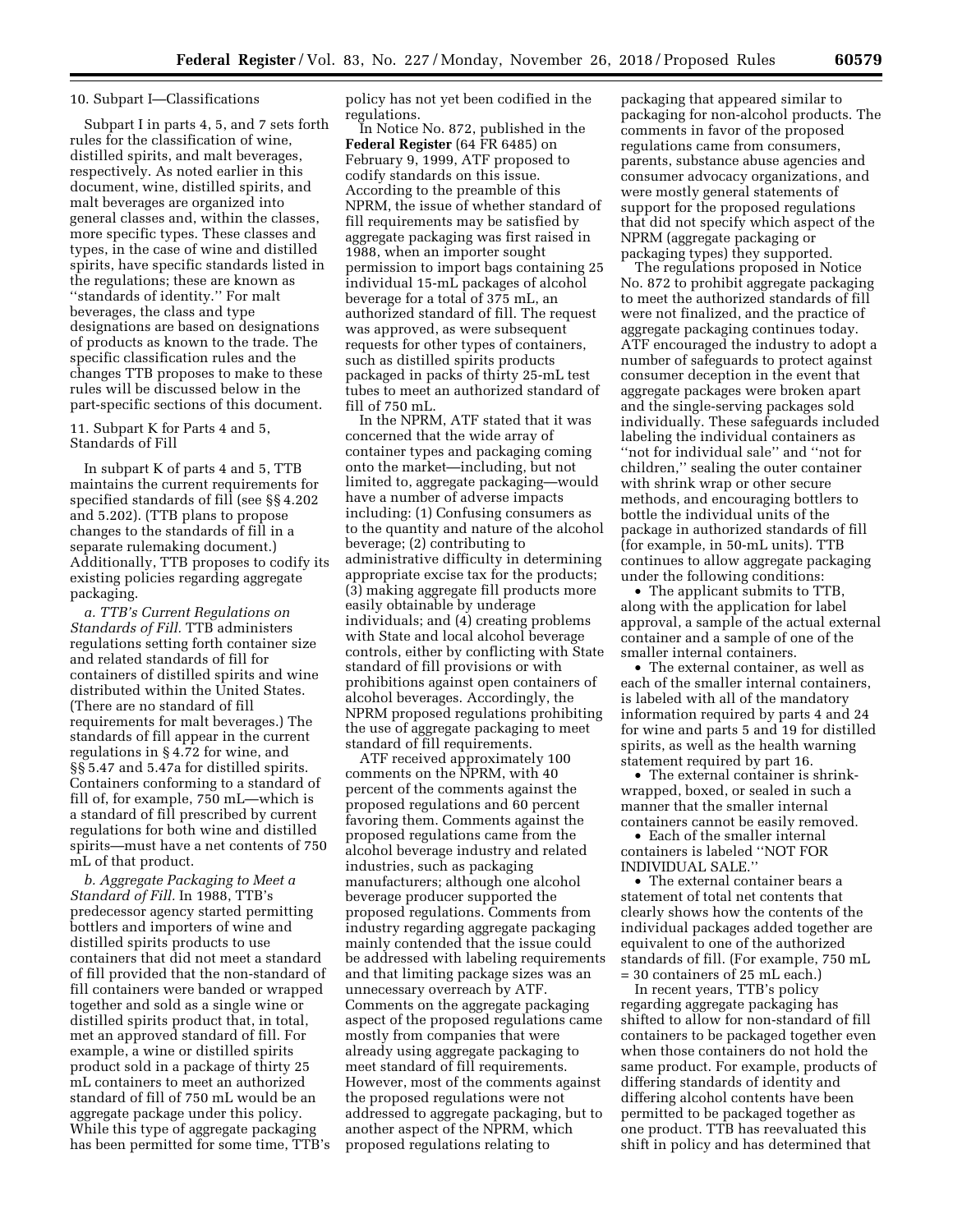### 10. Subpart I—Classifications

Subpart I in parts 4, 5, and 7 sets forth rules for the classification of wine, distilled spirits, and malt beverages, respectively. As noted earlier in this document, wine, distilled spirits, and malt beverages are organized into general classes and, within the classes, more specific types. These classes and types, in the case of wine and distilled spirits, have specific standards listed in the regulations; these are known as ''standards of identity.'' For malt beverages, the class and type designations are based on designations of products as known to the trade. The specific classification rules and the changes TTB proposes to make to these rules will be discussed below in the part-specific sections of this document.

11. Subpart K for Parts 4 and 5, Standards of Fill

In subpart K of parts 4 and 5, TTB maintains the current requirements for specified standards of fill (see §§ 4.202 and 5.202). (TTB plans to propose changes to the standards of fill in a separate rulemaking document.) Additionally, TTB proposes to codify its existing policies regarding aggregate packaging.

*a. TTB's Current Regulations on Standards of Fill.* TTB administers regulations setting forth container size and related standards of fill for containers of distilled spirits and wine distributed within the United States. (There are no standard of fill requirements for malt beverages.) The standards of fill appear in the current regulations in § 4.72 for wine, and §§ 5.47 and 5.47a for distilled spirits. Containers conforming to a standard of fill of, for example, 750 mL—which is a standard of fill prescribed by current regulations for both wine and distilled spirits—must have a net contents of 750 mL of that product.

*b. Aggregate Packaging to Meet a Standard of Fill.* In 1988, TTB's predecessor agency started permitting bottlers and importers of wine and distilled spirits products to use containers that did not meet a standard of fill provided that the non-standard of fill containers were banded or wrapped together and sold as a single wine or distilled spirits product that, in total, met an approved standard of fill. For example, a wine or distilled spirits product sold in a package of thirty 25 mL containers to meet an authorized standard of fill of 750 mL would be an aggregate package under this policy. While this type of aggregate packaging has been permitted for some time, TTB's policy has not yet been codified in the regulations.

In Notice No. 872, published in the **Federal Register** (64 FR 6485) on February 9, 1999, ATF proposed to codify standards on this issue. According to the preamble of this NPRM, the issue of whether standard of fill requirements may be satisfied by aggregate packaging was first raised in 1988, when an importer sought permission to import bags containing 25 individual 15-mL packages of alcohol beverage for a total of 375 mL, an authorized standard of fill. The request was approved, as were subsequent requests for other types of containers, such as distilled spirits products packaged in packs of thirty 25-mL test tubes to meet an authorized standard of fill of 750 mL.

In the NPRM, ATF stated that it was concerned that the wide array of container types and packaging coming onto the market—including, but not limited to, aggregate packaging—would have a number of adverse impacts including: (1) Confusing consumers as to the quantity and nature of the alcohol beverage; (2) contributing to administrative difficulty in determining appropriate excise tax for the products; (3) making aggregate fill products more easily obtainable by underage individuals; and (4) creating problems with State and local alcohol beverage controls, either by conflicting with State standard of fill provisions or with prohibitions against open containers of alcohol beverages. Accordingly, the NPRM proposed regulations prohibiting the use of aggregate packaging to meet standard of fill requirements.

ATF received approximately 100 comments on the NPRM, with 40 percent of the comments against the proposed regulations and 60 percent favoring them. Comments against the proposed regulations came from the alcohol beverage industry and related industries, such as packaging manufacturers; although one alcohol beverage producer supported the proposed regulations. Comments from industry regarding aggregate packaging mainly contended that the issue could be addressed with labeling requirements and that limiting package sizes was an unnecessary overreach by ATF. Comments on the aggregate packaging aspect of the proposed regulations came mostly from companies that were already using aggregate packaging to meet standard of fill requirements. However, most of the comments against the proposed regulations were not addressed to aggregate packaging, but to another aspect of the NPRM, which proposed regulations relating to

packaging that appeared similar to packaging for non-alcohol products. The comments in favor of the proposed regulations came from consumers, parents, substance abuse agencies and consumer advocacy organizations, and were mostly general statements of support for the proposed regulations that did not specify which aspect of the NPRM (aggregate packaging or packaging types) they supported.

The regulations proposed in Notice No. 872 to prohibit aggregate packaging to meet the authorized standards of fill were not finalized, and the practice of aggregate packaging continues today. ATF encouraged the industry to adopt a number of safeguards to protect against consumer deception in the event that aggregate packages were broken apart and the single-serving packages sold individually. These safeguards included labeling the individual containers as ''not for individual sale'' and ''not for children,'' sealing the outer container with shrink wrap or other secure methods, and encouraging bottlers to bottle the individual units of the package in authorized standards of fill (for example, in 50-mL units). TTB continues to allow aggregate packaging under the following conditions:

• The applicant submits to TTB, along with the application for label approval, a sample of the actual external container and a sample of one of the smaller internal containers.

• The external container, as well as each of the smaller internal containers, is labeled with all of the mandatory information required by parts 4 and 24 for wine and parts 5 and 19 for distilled spirits, as well as the health warning statement required by part 16.

• The external container is shrinkwrapped, boxed, or sealed in such a manner that the smaller internal containers cannot be easily removed.

• Each of the smaller internal containers is labeled ''NOT FOR INDIVIDUAL SALE.''

• The external container bears a statement of total net contents that clearly shows how the contents of the individual packages added together are equivalent to one of the authorized standards of fill. (For example, 750 mL = 30 containers of 25 mL each.)

In recent years, TTB's policy regarding aggregate packaging has shifted to allow for non-standard of fill containers to be packaged together even when those containers do not hold the same product. For example, products of differing standards of identity and differing alcohol contents have been permitted to be packaged together as one product. TTB has reevaluated this shift in policy and has determined that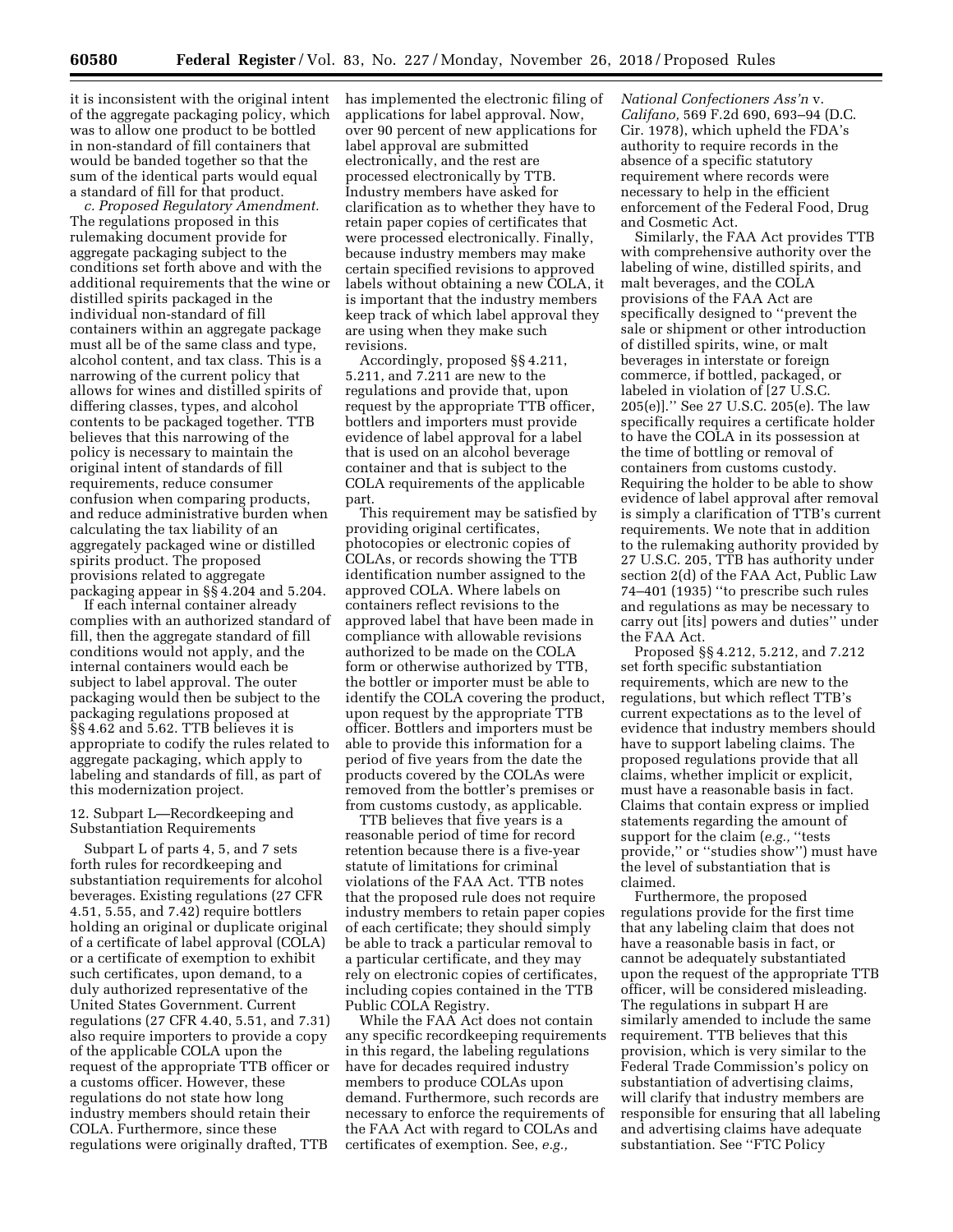it is inconsistent with the original intent of the aggregate packaging policy, which was to allow one product to be bottled in non-standard of fill containers that would be banded together so that the sum of the identical parts would equal a standard of fill for that product.

*c. Proposed Regulatory Amendment.*  The regulations proposed in this rulemaking document provide for aggregate packaging subject to the conditions set forth above and with the additional requirements that the wine or distilled spirits packaged in the individual non-standard of fill containers within an aggregate package must all be of the same class and type, alcohol content, and tax class. This is a narrowing of the current policy that allows for wines and distilled spirits of differing classes, types, and alcohol contents to be packaged together. TTB believes that this narrowing of the policy is necessary to maintain the original intent of standards of fill requirements, reduce consumer confusion when comparing products, and reduce administrative burden when calculating the tax liability of an aggregately packaged wine or distilled spirits product. The proposed provisions related to aggregate packaging appear in §§ 4.204 and 5.204.

If each internal container already complies with an authorized standard of fill, then the aggregate standard of fill conditions would not apply, and the internal containers would each be subject to label approval. The outer packaging would then be subject to the packaging regulations proposed at §§ 4.62 and 5.62. TTB believes it is appropriate to codify the rules related to aggregate packaging, which apply to labeling and standards of fill, as part of this modernization project.

## 12. Subpart L—Recordkeeping and Substantiation Requirements

Subpart L of parts 4, 5, and 7 sets forth rules for recordkeeping and substantiation requirements for alcohol beverages. Existing regulations (27 CFR 4.51, 5.55, and 7.42) require bottlers holding an original or duplicate original of a certificate of label approval (COLA) or a certificate of exemption to exhibit such certificates, upon demand, to a duly authorized representative of the United States Government. Current regulations (27 CFR 4.40, 5.51, and 7.31) also require importers to provide a copy of the applicable COLA upon the request of the appropriate TTB officer or a customs officer. However, these regulations do not state how long industry members should retain their COLA. Furthermore, since these regulations were originally drafted, TTB

has implemented the electronic filing of applications for label approval. Now, over 90 percent of new applications for label approval are submitted electronically, and the rest are processed electronically by TTB. Industry members have asked for clarification as to whether they have to retain paper copies of certificates that were processed electronically. Finally, because industry members may make certain specified revisions to approved labels without obtaining a new COLA, it is important that the industry members keep track of which label approval they are using when they make such revisions.

Accordingly, proposed §§ 4.211, 5.211, and 7.211 are new to the regulations and provide that, upon request by the appropriate TTB officer, bottlers and importers must provide evidence of label approval for a label that is used on an alcohol beverage container and that is subject to the COLA requirements of the applicable part.

This requirement may be satisfied by providing original certificates, photocopies or electronic copies of COLAs, or records showing the TTB identification number assigned to the approved COLA. Where labels on containers reflect revisions to the approved label that have been made in compliance with allowable revisions authorized to be made on the COLA form or otherwise authorized by TTB, the bottler or importer must be able to identify the COLA covering the product, upon request by the appropriate TTB officer. Bottlers and importers must be able to provide this information for a period of five years from the date the products covered by the COLAs were removed from the bottler's premises or from customs custody, as applicable.

TTB believes that five years is a reasonable period of time for record retention because there is a five-year statute of limitations for criminal violations of the FAA Act. TTB notes that the proposed rule does not require industry members to retain paper copies of each certificate; they should simply be able to track a particular removal to a particular certificate, and they may rely on electronic copies of certificates, including copies contained in the TTB Public COLA Registry.

While the FAA Act does not contain any specific recordkeeping requirements in this regard, the labeling regulations have for decades required industry members to produce COLAs upon demand. Furthermore, such records are necessary to enforce the requirements of the FAA Act with regard to COLAs and certificates of exemption. See, *e.g.,* 

*National Confectioners Ass'n* v. *Califano,* 569 F.2d 690, 693–94 (D.C. Cir. 1978), which upheld the FDA's authority to require records in the absence of a specific statutory requirement where records were necessary to help in the efficient enforcement of the Federal Food, Drug and Cosmetic Act.

Similarly, the FAA Act provides TTB with comprehensive authority over the labeling of wine, distilled spirits, and malt beverages, and the COLA provisions of the FAA Act are specifically designed to ''prevent the sale or shipment or other introduction of distilled spirits, wine, or malt beverages in interstate or foreign commerce, if bottled, packaged, or labeled in violation of [27 U.S.C. 205(e)].'' See 27 U.S.C. 205(e). The law specifically requires a certificate holder to have the COLA in its possession at the time of bottling or removal of containers from customs custody. Requiring the holder to be able to show evidence of label approval after removal is simply a clarification of TTB's current requirements. We note that in addition to the rulemaking authority provided by 27 U.S.C. 205, TTB has authority under section 2(d) of the FAA Act, Public Law 74–401 (1935) ''to prescribe such rules and regulations as may be necessary to carry out [its] powers and duties'' under the FAA Act.

Proposed §§ 4.212, 5.212, and 7.212 set forth specific substantiation requirements, which are new to the regulations, but which reflect TTB's current expectations as to the level of evidence that industry members should have to support labeling claims. The proposed regulations provide that all claims, whether implicit or explicit, must have a reasonable basis in fact. Claims that contain express or implied statements regarding the amount of support for the claim (*e.g.,* ''tests provide,'' or ''studies show'') must have the level of substantiation that is claimed.

Furthermore, the proposed regulations provide for the first time that any labeling claim that does not have a reasonable basis in fact, or cannot be adequately substantiated upon the request of the appropriate TTB officer, will be considered misleading. The regulations in subpart H are similarly amended to include the same requirement. TTB believes that this provision, which is very similar to the Federal Trade Commission's policy on substantiation of advertising claims, will clarify that industry members are responsible for ensuring that all labeling and advertising claims have adequate substantiation. See ''FTC Policy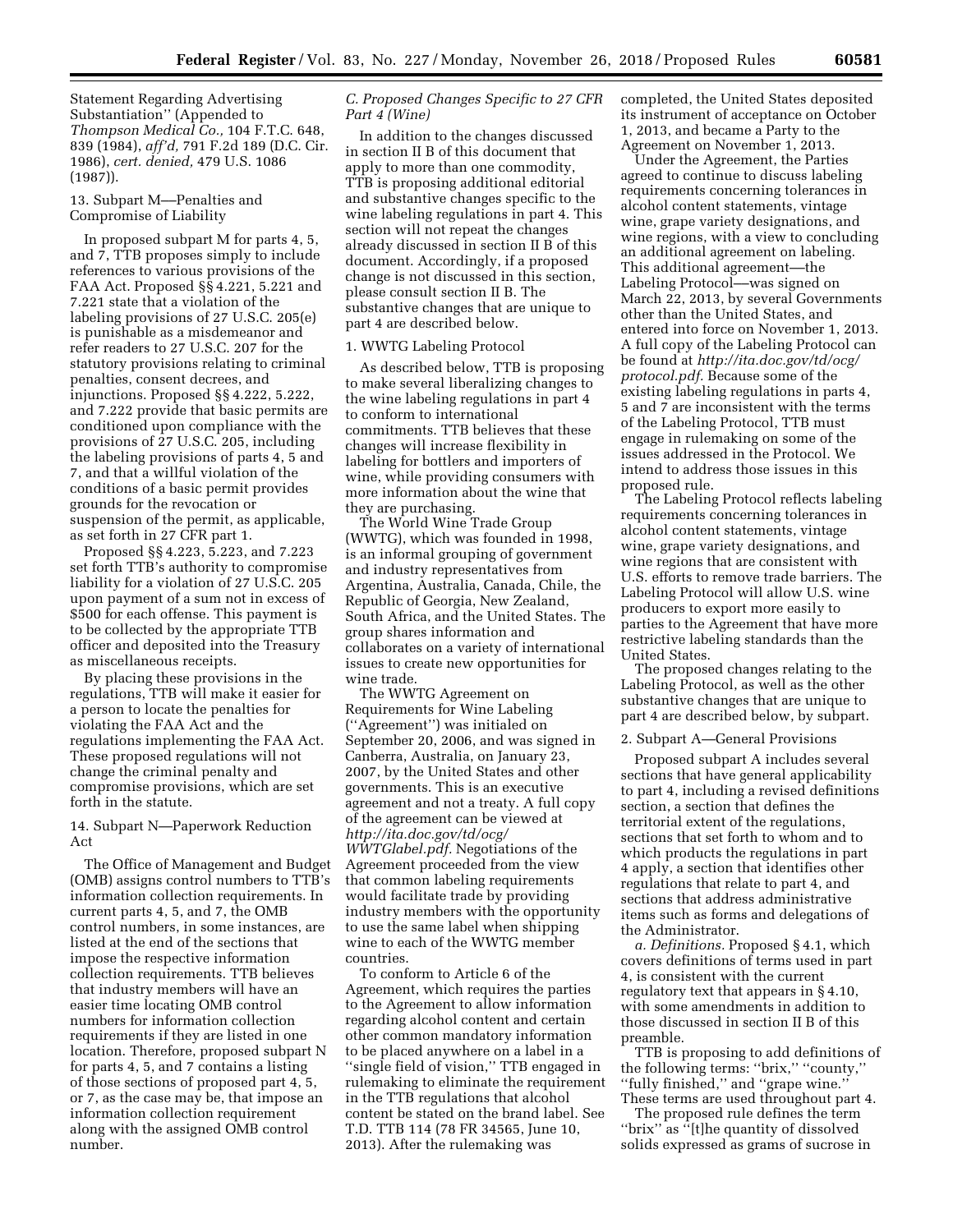Statement Regarding Advertising Substantiation'' (Appended to *Thompson Medical Co.,* 104 F.T.C. 648, 839 (1984), *aff'd,* 791 F.2d 189 (D.C. Cir. 1986), *cert. denied,* 479 U.S. 1086 (1987)).

13. Subpart M––Penalties and Compromise of Liability

In proposed subpart M for parts 4, 5, and 7, TTB proposes simply to include references to various provisions of the FAA Act. Proposed §§ 4.221, 5.221 and 7.221 state that a violation of the labeling provisions of 27 U.S.C. 205(e) is punishable as a misdemeanor and refer readers to 27 U.S.C. 207 for the statutory provisions relating to criminal penalties, consent decrees, and injunctions. Proposed §§ 4.222, 5.222, and 7.222 provide that basic permits are conditioned upon compliance with the provisions of 27 U.S.C. 205, including the labeling provisions of parts 4, 5 and 7, and that a willful violation of the conditions of a basic permit provides grounds for the revocation or suspension of the permit, as applicable, as set forth in 27 CFR part 1.

Proposed §§ 4.223, 5.223, and 7.223 set forth TTB's authority to compromise liability for a violation of 27 U.S.C. 205 upon payment of a sum not in excess of \$500 for each offense. This payment is to be collected by the appropriate TTB officer and deposited into the Treasury as miscellaneous receipts.

By placing these provisions in the regulations, TTB will make it easier for a person to locate the penalties for violating the FAA Act and the regulations implementing the FAA Act. These proposed regulations will not change the criminal penalty and compromise provisions, which are set forth in the statute.

# 14. Subpart N—Paperwork Reduction Act

The Office of Management and Budget (OMB) assigns control numbers to TTB's information collection requirements. In current parts 4, 5, and 7, the OMB control numbers, in some instances, are listed at the end of the sections that impose the respective information collection requirements. TTB believes that industry members will have an easier time locating OMB control numbers for information collection requirements if they are listed in one location. Therefore, proposed subpart N for parts 4, 5, and 7 contains a listing of those sections of proposed part 4, 5, or 7, as the case may be, that impose an information collection requirement along with the assigned OMB control number.

# *C. Proposed Changes Specific to 27 CFR Part 4 (Wine)*

In addition to the changes discussed in section II B of this document that apply to more than one commodity, TTB is proposing additional editorial and substantive changes specific to the wine labeling regulations in part 4. This section will not repeat the changes already discussed in section II B of this document. Accordingly, if a proposed change is not discussed in this section, please consult section II B. The substantive changes that are unique to part 4 are described below.

### 1. WWTG Labeling Protocol

As described below, TTB is proposing to make several liberalizing changes to the wine labeling regulations in part 4 to conform to international commitments. TTB believes that these changes will increase flexibility in labeling for bottlers and importers of wine, while providing consumers with more information about the wine that they are purchasing.

The World Wine Trade Group (WWTG), which was founded in 1998, is an informal grouping of government and industry representatives from Argentina, Australia, Canada, Chile, the Republic of Georgia, New Zealand, South Africa, and the United States. The group shares information and collaborates on a variety of international issues to create new opportunities for wine trade.

The WWTG Agreement on Requirements for Wine Labeling (''Agreement'') was initialed on September 20, 2006, and was signed in Canberra, Australia, on January 23, 2007, by the United States and other governments. This is an executive agreement and not a treaty. A full copy of the agreement can be viewed at *[http://ita.doc.gov/td/ocg/](http://ita.doc.gov/td/ocg/WWTGlabel.pdf)  [WWTGlabel.pdf.](http://ita.doc.gov/td/ocg/WWTGlabel.pdf)* Negotiations of the Agreement proceeded from the view that common labeling requirements would facilitate trade by providing industry members with the opportunity to use the same label when shipping wine to each of the WWTG member countries.

To conform to Article 6 of the Agreement, which requires the parties to the Agreement to allow information regarding alcohol content and certain other common mandatory information to be placed anywhere on a label in a "single field of vision," TTB engaged in rulemaking to eliminate the requirement in the TTB regulations that alcohol content be stated on the brand label. See T.D. TTB 114 (78 FR 34565, June 10, 2013). After the rulemaking was

completed, the United States deposited its instrument of acceptance on October 1, 2013, and became a Party to the Agreement on November 1, 2013.

Under the Agreement, the Parties agreed to continue to discuss labeling requirements concerning tolerances in alcohol content statements, vintage wine, grape variety designations, and wine regions, with a view to concluding an additional agreement on labeling. This additional agreement––the Labeling Protocol––was signed on March 22, 2013, by several Governments other than the United States, and entered into force on November 1, 2013. A full copy of the Labeling Protocol can be found at *[http://ita.doc.gov/td/ocg/](http://ita.doc.gov/td/ocg/protocol.pdf) [protocol.pdf.](http://ita.doc.gov/td/ocg/protocol.pdf)* Because some of the existing labeling regulations in parts 4, 5 and 7 are inconsistent with the terms of the Labeling Protocol, TTB must engage in rulemaking on some of the issues addressed in the Protocol. We intend to address those issues in this proposed rule.

The Labeling Protocol reflects labeling requirements concerning tolerances in alcohol content statements, vintage wine, grape variety designations, and wine regions that are consistent with U.S. efforts to remove trade barriers. The Labeling Protocol will allow U.S. wine producers to export more easily to parties to the Agreement that have more restrictive labeling standards than the United States.

The proposed changes relating to the Labeling Protocol, as well as the other substantive changes that are unique to part 4 are described below, by subpart.

### 2. Subpart A—General Provisions

Proposed subpart A includes several sections that have general applicability to part 4, including a revised definitions section, a section that defines the territorial extent of the regulations, sections that set forth to whom and to which products the regulations in part 4 apply, a section that identifies other regulations that relate to part 4, and sections that address administrative items such as forms and delegations of the Administrator.

*a. Definitions.* Proposed § 4.1, which covers definitions of terms used in part 4, is consistent with the current regulatory text that appears in § 4.10, with some amendments in addition to those discussed in section II B of this preamble.

TTB is proposing to add definitions of the following terms: ''brix,'' ''county,'' ''fully finished,'' and ''grape wine.'' These terms are used throughout part 4.

The proposed rule defines the term ''brix'' as ''[t]he quantity of dissolved solids expressed as grams of sucrose in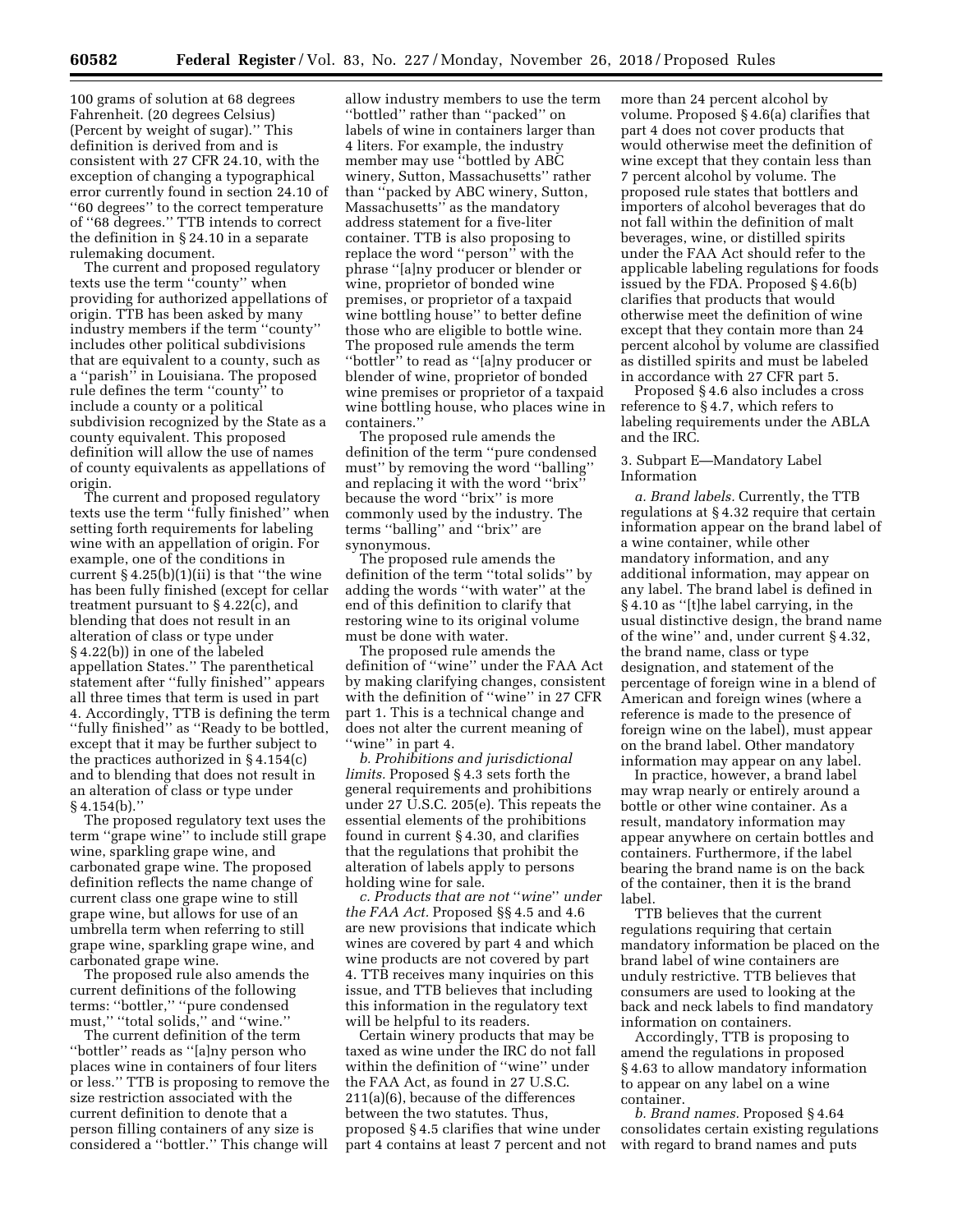100 grams of solution at 68 degrees Fahrenheit. (20 degrees Celsius) (Percent by weight of sugar).'' This definition is derived from and is consistent with 27 CFR 24.10, with the exception of changing a typographical error currently found in section 24.10 of ''60 degrees'' to the correct temperature of ''68 degrees.'' TTB intends to correct the definition in § 24.10 in a separate rulemaking document.

The current and proposed regulatory texts use the term ''county'' when providing for authorized appellations of origin. TTB has been asked by many industry members if the term ''county'' includes other political subdivisions that are equivalent to a county, such as a ''parish'' in Louisiana. The proposed rule defines the term ''county'' to include a county or a political subdivision recognized by the State as a county equivalent. This proposed definition will allow the use of names of county equivalents as appellations of origin.

The current and proposed regulatory texts use the term ''fully finished'' when setting forth requirements for labeling wine with an appellation of origin. For example, one of the conditions in current  $\S 4.25(b)(1)(ii)$  is that "the wine" has been fully finished (except for cellar treatment pursuant to § 4.22(c), and blending that does not result in an alteration of class or type under § 4.22(b)) in one of the labeled appellation States.'' The parenthetical statement after ''fully finished'' appears all three times that term is used in part 4. Accordingly, TTB is defining the term ''fully finished'' as ''Ready to be bottled, except that it may be further subject to the practices authorized in § 4.154(c) and to blending that does not result in an alteration of class or type under § 4.154(b).''

The proposed regulatory text uses the term ''grape wine'' to include still grape wine, sparkling grape wine, and carbonated grape wine. The proposed definition reflects the name change of current class one grape wine to still grape wine, but allows for use of an umbrella term when referring to still grape wine, sparkling grape wine, and carbonated grape wine.

The proposed rule also amends the current definitions of the following terms: ''bottler,'' ''pure condensed must," "total solids," and "wine."

The current definition of the term ''bottler'' reads as ''[a]ny person who places wine in containers of four liters or less.'' TTB is proposing to remove the size restriction associated with the current definition to denote that a person filling containers of any size is considered a ''bottler.'' This change will

allow industry members to use the term ''bottled'' rather than ''packed'' on labels of wine in containers larger than 4 liters. For example, the industry member may use "bottled by ABC winery, Sutton, Massachusetts'' rather than ''packed by ABC winery, Sutton, Massachusetts'' as the mandatory address statement for a five-liter container. TTB is also proposing to replace the word ''person'' with the phrase ''[a]ny producer or blender or wine, proprietor of bonded wine premises, or proprietor of a taxpaid wine bottling house'' to better define those who are eligible to bottle wine. The proposed rule amends the term ''bottler'' to read as ''[a]ny producer or blender of wine, proprietor of bonded wine premises or proprietor of a taxpaid wine bottling house, who places wine in containers.''

The proposed rule amends the definition of the term ''pure condensed must'' by removing the word ''balling'' and replacing it with the word ''brix'' because the word ''brix'' is more commonly used by the industry. The terms ''balling'' and ''brix'' are synonymous.

The proposed rule amends the definition of the term ''total solids'' by adding the words ''with water'' at the end of this definition to clarify that restoring wine to its original volume must be done with water.

The proposed rule amends the definition of ''wine'' under the FAA Act by making clarifying changes, consistent with the definition of ''wine'' in 27 CFR part 1. This is a technical change and does not alter the current meaning of "wine" in part 4.

*b. Prohibitions and jurisdictional limits.* Proposed § 4.3 sets forth the general requirements and prohibitions under 27 U.S.C. 205(e). This repeats the essential elements of the prohibitions found in current § 4.30, and clarifies that the regulations that prohibit the alteration of labels apply to persons holding wine for sale.

*c. Products that are not* ''*wine*'' *under the FAA Act.* Proposed §§ 4.5 and 4.6 are new provisions that indicate which wines are covered by part 4 and which wine products are not covered by part 4. TTB receives many inquiries on this issue, and TTB believes that including this information in the regulatory text will be helpful to its readers.

Certain winery products that may be taxed as wine under the IRC do not fall within the definition of ''wine'' under the FAA Act, as found in 27 U.S.C. 211(a)(6), because of the differences between the two statutes. Thus, proposed § 4.5 clarifies that wine under part 4 contains at least 7 percent and not more than 24 percent alcohol by volume. Proposed § 4.6(a) clarifies that part 4 does not cover products that would otherwise meet the definition of wine except that they contain less than 7 percent alcohol by volume. The proposed rule states that bottlers and importers of alcohol beverages that do not fall within the definition of malt beverages, wine, or distilled spirits under the FAA Act should refer to the applicable labeling regulations for foods issued by the FDA. Proposed § 4.6(b) clarifies that products that would otherwise meet the definition of wine except that they contain more than 24 percent alcohol by volume are classified as distilled spirits and must be labeled in accordance with 27 CFR part 5.

Proposed § 4.6 also includes a cross reference to § 4.7, which refers to labeling requirements under the ABLA and the IRC.

### 3. Subpart E—Mandatory Label Information

*a. Brand labels.* Currently, the TTB regulations at § 4.32 require that certain information appear on the brand label of a wine container, while other mandatory information, and any additional information, may appear on any label. The brand label is defined in § 4.10 as ''[t]he label carrying, in the usual distinctive design, the brand name of the wine'' and, under current § 4.32, the brand name, class or type designation, and statement of the percentage of foreign wine in a blend of American and foreign wines (where a reference is made to the presence of foreign wine on the label), must appear on the brand label. Other mandatory information may appear on any label.

In practice, however, a brand label may wrap nearly or entirely around a bottle or other wine container. As a result, mandatory information may appear anywhere on certain bottles and containers. Furthermore, if the label bearing the brand name is on the back of the container, then it is the brand label.

TTB believes that the current regulations requiring that certain mandatory information be placed on the brand label of wine containers are unduly restrictive. TTB believes that consumers are used to looking at the back and neck labels to find mandatory information on containers.

Accordingly, TTB is proposing to amend the regulations in proposed § 4.63 to allow mandatory information to appear on any label on a wine container.

*b. Brand names.* Proposed § 4.64 consolidates certain existing regulations with regard to brand names and puts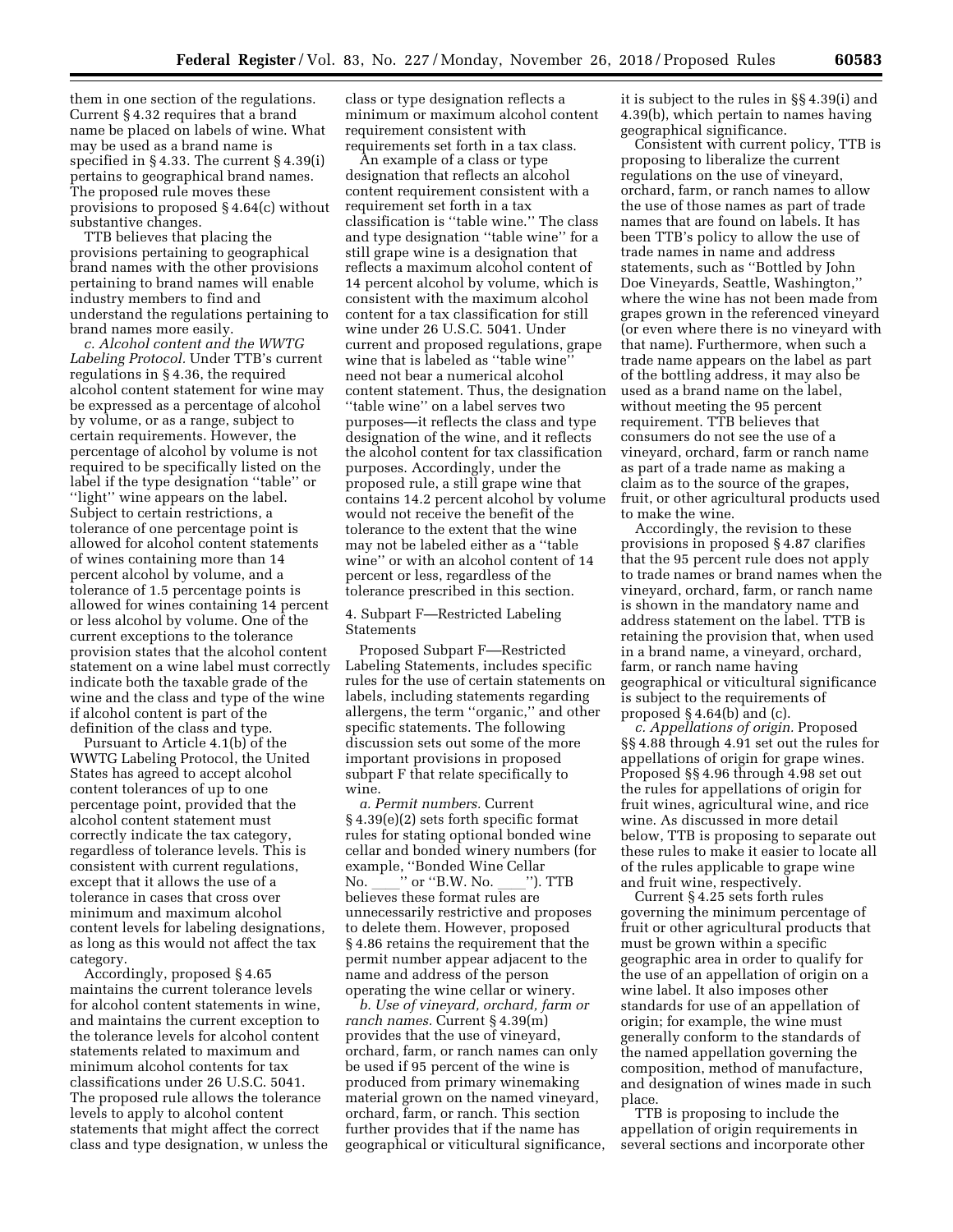them in one section of the regulations. Current § 4.32 requires that a brand name be placed on labels of wine. What may be used as a brand name is specified in § 4.33. The current § 4.39(i) pertains to geographical brand names. The proposed rule moves these provisions to proposed § 4.64(c) without substantive changes.

TTB believes that placing the provisions pertaining to geographical brand names with the other provisions pertaining to brand names will enable industry members to find and understand the regulations pertaining to brand names more easily.

*c. Alcohol content and the WWTG Labeling Protocol.* Under TTB's current regulations in § 4.36, the required alcohol content statement for wine may be expressed as a percentage of alcohol by volume, or as a range, subject to certain requirements. However, the percentage of alcohol by volume is not required to be specifically listed on the label if the type designation ''table'' or "light" wine appears on the label. Subject to certain restrictions, a tolerance of one percentage point is allowed for alcohol content statements of wines containing more than 14 percent alcohol by volume, and a tolerance of 1.5 percentage points is allowed for wines containing 14 percent or less alcohol by volume. One of the current exceptions to the tolerance provision states that the alcohol content statement on a wine label must correctly indicate both the taxable grade of the wine and the class and type of the wine if alcohol content is part of the definition of the class and type.

Pursuant to Article 4.1(b) of the WWTG Labeling Protocol, the United States has agreed to accept alcohol content tolerances of up to one percentage point, provided that the alcohol content statement must correctly indicate the tax category, regardless of tolerance levels. This is consistent with current regulations, except that it allows the use of a tolerance in cases that cross over minimum and maximum alcohol content levels for labeling designations, as long as this would not affect the tax category.

Accordingly, proposed § 4.65 maintains the current tolerance levels for alcohol content statements in wine, and maintains the current exception to the tolerance levels for alcohol content statements related to maximum and minimum alcohol contents for tax classifications under 26 U.S.C. 5041. The proposed rule allows the tolerance levels to apply to alcohol content statements that might affect the correct class and type designation, w unless the

class or type designation reflects a minimum or maximum alcohol content requirement consistent with requirements set forth in a tax class.

An example of a class or type designation that reflects an alcohol content requirement consistent with a requirement set forth in a tax classification is ''table wine.'' The class and type designation ''table wine'' for a still grape wine is a designation that reflects a maximum alcohol content of 14 percent alcohol by volume, which is consistent with the maximum alcohol content for a tax classification for still wine under 26 U.S.C. 5041. Under current and proposed regulations, grape wine that is labeled as "table wine need not bear a numerical alcohol content statement. Thus, the designation ''table wine'' on a label serves two purposes—it reflects the class and type designation of the wine, and it reflects the alcohol content for tax classification purposes. Accordingly, under the proposed rule, a still grape wine that contains 14.2 percent alcohol by volume would not receive the benefit of the tolerance to the extent that the wine may not be labeled either as a ''table wine'' or with an alcohol content of 14 percent or less, regardless of the tolerance prescribed in this section.

4. Subpart F—Restricted Labeling Statements

Proposed Subpart F––Restricted Labeling Statements, includes specific rules for the use of certain statements on labels, including statements regarding allergens, the term ''organic,'' and other specific statements. The following discussion sets out some of the more important provisions in proposed subpart F that relate specifically to wine.

*a. Permit numbers.* Current § 4.39(e)(2) sets forth specific format rules for stating optional bonded wine cellar and bonded winery numbers (for example, ''Bonded Wine Cellar No. \_\_\_\_'' or ''B.W. No. \_\_\_\_''). TTB<br>believes these format rules are unnecessarily restrictive and proposes to delete them. However, proposed § 4.86 retains the requirement that the permit number appear adjacent to the name and address of the person operating the wine cellar or winery.

*b. Use of vineyard, orchard, farm or ranch names.* Current § 4.39(m) provides that the use of vineyard, orchard, farm, or ranch names can only be used if 95 percent of the wine is produced from primary winemaking material grown on the named vineyard, orchard, farm, or ranch. This section further provides that if the name has geographical or viticultural significance, it is subject to the rules in §§ 4.39(i) and 4.39(b), which pertain to names having geographical significance.

Consistent with current policy, TTB is proposing to liberalize the current regulations on the use of vineyard, orchard, farm, or ranch names to allow the use of those names as part of trade names that are found on labels. It has been TTB's policy to allow the use of trade names in name and address statements, such as ''Bottled by John Doe Vineyards, Seattle, Washington,'' where the wine has not been made from grapes grown in the referenced vineyard (or even where there is no vineyard with that name). Furthermore, when such a trade name appears on the label as part of the bottling address, it may also be used as a brand name on the label, without meeting the 95 percent requirement. TTB believes that consumers do not see the use of a vineyard, orchard, farm or ranch name as part of a trade name as making a claim as to the source of the grapes, fruit, or other agricultural products used to make the wine.

Accordingly, the revision to these provisions in proposed § 4.87 clarifies that the 95 percent rule does not apply to trade names or brand names when the vineyard, orchard, farm, or ranch name is shown in the mandatory name and address statement on the label. TTB is retaining the provision that, when used in a brand name, a vineyard, orchard, farm, or ranch name having geographical or viticultural significance is subject to the requirements of proposed § 4.64(b) and (c).

*c. Appellations of origin.* Proposed §§ 4.88 through 4.91 set out the rules for appellations of origin for grape wines. Proposed §§ 4.96 through 4.98 set out the rules for appellations of origin for fruit wines, agricultural wine, and rice wine. As discussed in more detail below, TTB is proposing to separate out these rules to make it easier to locate all of the rules applicable to grape wine and fruit wine, respectively.

Current § 4.25 sets forth rules governing the minimum percentage of fruit or other agricultural products that must be grown within a specific geographic area in order to qualify for the use of an appellation of origin on a wine label. It also imposes other standards for use of an appellation of origin; for example, the wine must generally conform to the standards of the named appellation governing the composition, method of manufacture, and designation of wines made in such place.

TTB is proposing to include the appellation of origin requirements in several sections and incorporate other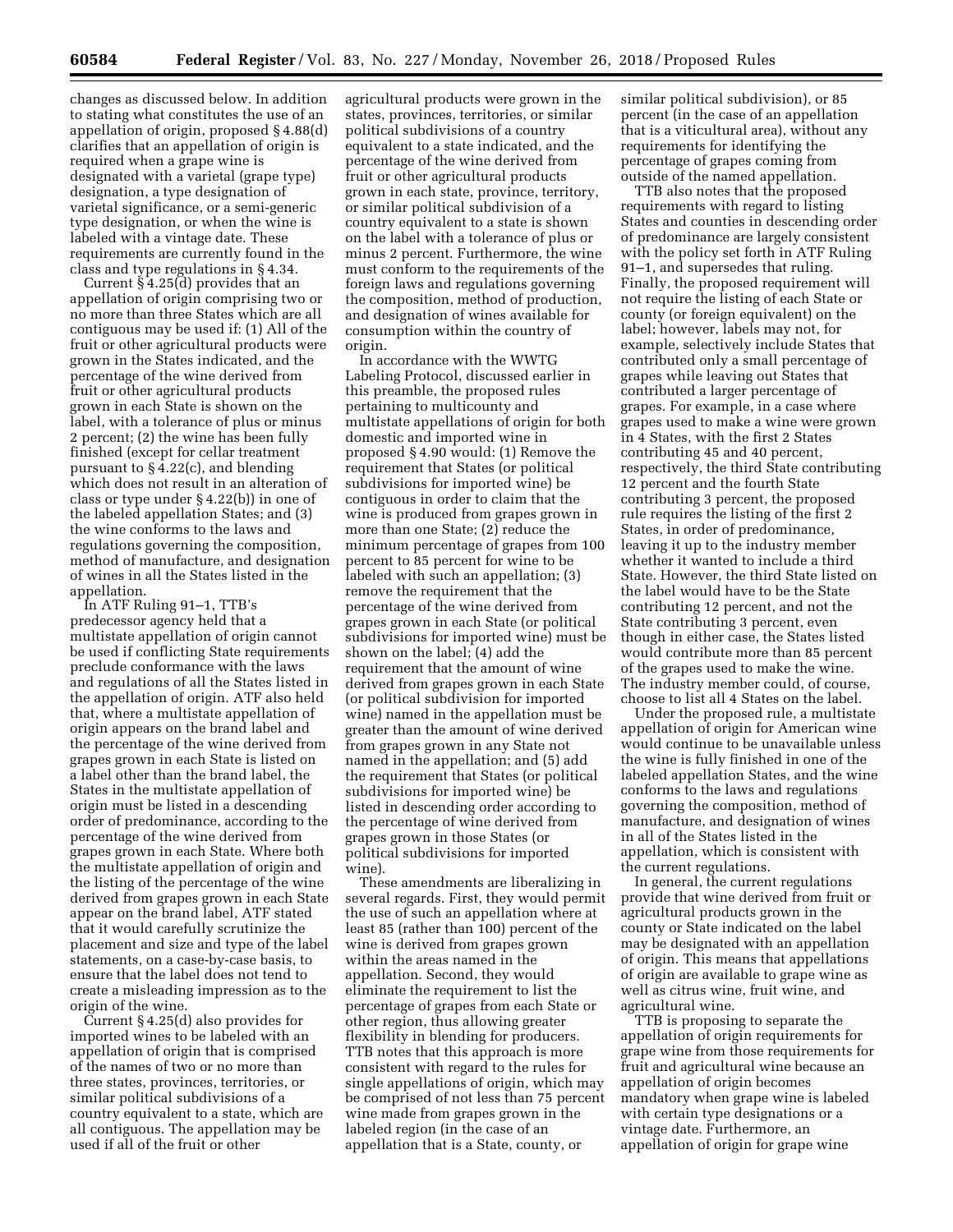changes as discussed below. In addition to stating what constitutes the use of an appellation of origin, proposed § 4.88(d) clarifies that an appellation of origin is required when a grape wine is designated with a varietal (grape type) designation, a type designation of varietal significance, or a semi-generic type designation, or when the wine is labeled with a vintage date. These requirements are currently found in the class and type regulations in § 4.34.

Current  $\overline{\S}$  4.25(d) provides that an appellation of origin comprising two or no more than three States which are all contiguous may be used if: (1) All of the fruit or other agricultural products were grown in the States indicated, and the percentage of the wine derived from fruit or other agricultural products grown in each State is shown on the label, with a tolerance of plus or minus 2 percent; (2) the wine has been fully finished (except for cellar treatment pursuant to § 4.22(c), and blending which does not result in an alteration of class or type under § 4.22(b)) in one of the labeled appellation States; and (3) the wine conforms to the laws and regulations governing the composition, method of manufacture, and designation of wines in all the States listed in the appellation.

In ATF Ruling 91–1, TTB's predecessor agency held that a multistate appellation of origin cannot be used if conflicting State requirements preclude conformance with the laws and regulations of all the States listed in the appellation of origin. ATF also held that, where a multistate appellation of origin appears on the brand label and the percentage of the wine derived from grapes grown in each State is listed on a label other than the brand label, the States in the multistate appellation of origin must be listed in a descending order of predominance, according to the percentage of the wine derived from grapes grown in each State. Where both the multistate appellation of origin and the listing of the percentage of the wine derived from grapes grown in each State appear on the brand label, ATF stated that it would carefully scrutinize the placement and size and type of the label statements, on a case-by-case basis, to ensure that the label does not tend to create a misleading impression as to the origin of the wine.

Current § 4.25(d) also provides for imported wines to be labeled with an appellation of origin that is comprised of the names of two or no more than three states, provinces, territories, or similar political subdivisions of a country equivalent to a state, which are all contiguous. The appellation may be used if all of the fruit or other

agricultural products were grown in the states, provinces, territories, or similar political subdivisions of a country equivalent to a state indicated, and the percentage of the wine derived from fruit or other agricultural products grown in each state, province, territory, or similar political subdivision of a country equivalent to a state is shown on the label with a tolerance of plus or minus 2 percent. Furthermore, the wine must conform to the requirements of the foreign laws and regulations governing the composition, method of production, and designation of wines available for consumption within the country of origin.

In accordance with the WWTG Labeling Protocol, discussed earlier in this preamble, the proposed rules pertaining to multicounty and multistate appellations of origin for both domestic and imported wine in proposed § 4.90 would: (1) Remove the requirement that States (or political subdivisions for imported wine) be contiguous in order to claim that the wine is produced from grapes grown in more than one State; (2) reduce the minimum percentage of grapes from 100 percent to 85 percent for wine to be labeled with such an appellation; (3) remove the requirement that the percentage of the wine derived from grapes grown in each State (or political subdivisions for imported wine) must be shown on the label; (4) add the requirement that the amount of wine derived from grapes grown in each State (or political subdivision for imported wine) named in the appellation must be greater than the amount of wine derived from grapes grown in any State not named in the appellation; and (5) add the requirement that States (or political subdivisions for imported wine) be listed in descending order according to the percentage of wine derived from grapes grown in those States (or political subdivisions for imported wine).

These amendments are liberalizing in several regards. First, they would permit the use of such an appellation where at least 85 (rather than 100) percent of the wine is derived from grapes grown within the areas named in the appellation. Second, they would eliminate the requirement to list the percentage of grapes from each State or other region, thus allowing greater flexibility in blending for producers. TTB notes that this approach is more consistent with regard to the rules for single appellations of origin, which may be comprised of not less than 75 percent wine made from grapes grown in the labeled region (in the case of an appellation that is a State, county, or

similar political subdivision), or 85 percent (in the case of an appellation that is a viticultural area), without any requirements for identifying the percentage of grapes coming from outside of the named appellation.

TTB also notes that the proposed requirements with regard to listing States and counties in descending order of predominance are largely consistent with the policy set forth in ATF Ruling 91–1, and supersedes that ruling. Finally, the proposed requirement will not require the listing of each State or county (or foreign equivalent) on the label; however, labels may not, for example, selectively include States that contributed only a small percentage of grapes while leaving out States that contributed a larger percentage of grapes. For example, in a case where grapes used to make a wine were grown in 4 States, with the first 2 States contributing 45 and 40 percent, respectively, the third State contributing 12 percent and the fourth State contributing 3 percent, the proposed rule requires the listing of the first 2 States, in order of predominance, leaving it up to the industry member whether it wanted to include a third State. However, the third State listed on the label would have to be the State contributing 12 percent, and not the State contributing 3 percent, even though in either case, the States listed would contribute more than 85 percent of the grapes used to make the wine. The industry member could, of course, choose to list all 4 States on the label.

Under the proposed rule, a multistate appellation of origin for American wine would continue to be unavailable unless the wine is fully finished in one of the labeled appellation States, and the wine conforms to the laws and regulations governing the composition, method of manufacture, and designation of wines in all of the States listed in the appellation, which is consistent with the current regulations.

In general, the current regulations provide that wine derived from fruit or agricultural products grown in the county or State indicated on the label may be designated with an appellation of origin. This means that appellations of origin are available to grape wine as well as citrus wine, fruit wine, and agricultural wine.

TTB is proposing to separate the appellation of origin requirements for grape wine from those requirements for fruit and agricultural wine because an appellation of origin becomes mandatory when grape wine is labeled with certain type designations or a vintage date. Furthermore, an appellation of origin for grape wine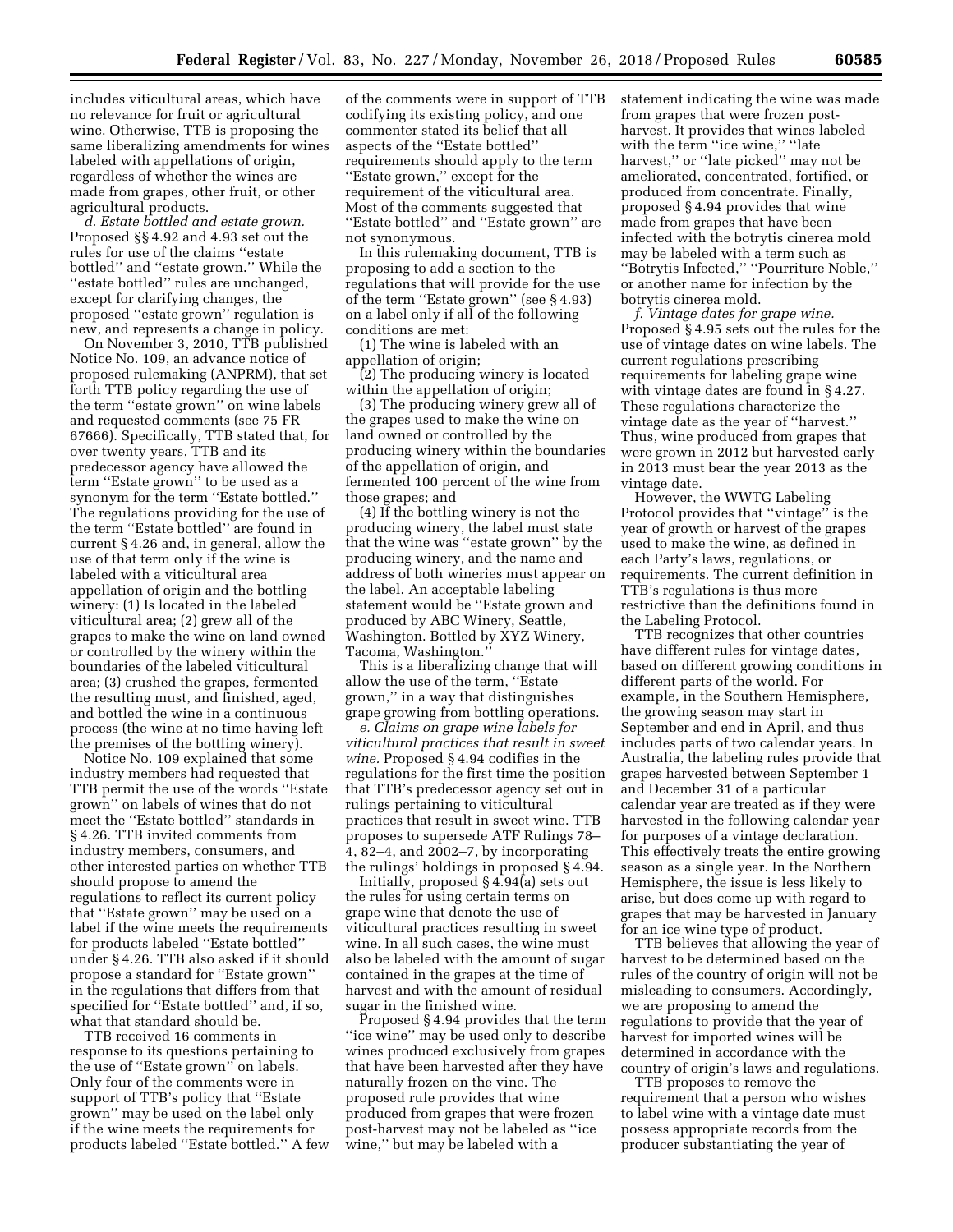includes viticultural areas, which have no relevance for fruit or agricultural wine. Otherwise, TTB is proposing the same liberalizing amendments for wines labeled with appellations of origin, regardless of whether the wines are made from grapes, other fruit, or other agricultural products.

*d. Estate bottled and estate grown.*  Proposed §§ 4.92 and 4.93 set out the rules for use of the claims ''estate bottled'' and ''estate grown.'' While the ''estate bottled'' rules are unchanged, except for clarifying changes, the proposed ''estate grown'' regulation is new, and represents a change in policy.

On November 3, 2010, TTB published Notice No. 109, an advance notice of proposed rulemaking (ANPRM), that set forth TTB policy regarding the use of the term ''estate grown'' on wine labels and requested comments (see 75 FR 67666). Specifically, TTB stated that, for over twenty years, TTB and its predecessor agency have allowed the term "Estate grown" to be used as a synonym for the term ''Estate bottled.'' The regulations providing for the use of the term ''Estate bottled'' are found in current § 4.26 and, in general, allow the use of that term only if the wine is labeled with a viticultural area appellation of origin and the bottling winery: (1) Is located in the labeled viticultural area; (2) grew all of the grapes to make the wine on land owned or controlled by the winery within the boundaries of the labeled viticultural area; (3) crushed the grapes, fermented the resulting must, and finished, aged, and bottled the wine in a continuous process (the wine at no time having left the premises of the bottling winery).

Notice No. 109 explained that some industry members had requested that TTB permit the use of the words ''Estate grown'' on labels of wines that do not meet the ''Estate bottled'' standards in § 4.26. TTB invited comments from industry members, consumers, and other interested parties on whether TTB should propose to amend the regulations to reflect its current policy that ''Estate grown'' may be used on a label if the wine meets the requirements for products labeled ''Estate bottled'' under § 4.26. TTB also asked if it should propose a standard for ''Estate grown'' in the regulations that differs from that specified for ''Estate bottled'' and, if so, what that standard should be.

TTB received 16 comments in response to its questions pertaining to the use of ''Estate grown'' on labels. Only four of the comments were in support of TTB's policy that ''Estate grown'' may be used on the label only if the wine meets the requirements for products labeled ''Estate bottled.'' A few

of the comments were in support of TTB codifying its existing policy, and one commenter stated its belief that all aspects of the ''Estate bottled'' requirements should apply to the term ''Estate grown,'' except for the requirement of the viticultural area. Most of the comments suggested that "Estate bottled" and "Estate grown" are not synonymous.

In this rulemaking document, TTB is proposing to add a section to the regulations that will provide for the use of the term ''Estate grown'' (see § 4.93) on a label only if all of the following conditions are met:

(1) The wine is labeled with an appellation of origin;

(2) The producing winery is located within the appellation of origin;

(3) The producing winery grew all of the grapes used to make the wine on land owned or controlled by the producing winery within the boundaries of the appellation of origin, and fermented 100 percent of the wine from those grapes; and

(4) If the bottling winery is not the producing winery, the label must state that the wine was ''estate grown'' by the producing winery, and the name and address of both wineries must appear on the label. An acceptable labeling statement would be ''Estate grown and produced by ABC Winery, Seattle, Washington. Bottled by XYZ Winery, Tacoma, Washington.''

This is a liberalizing change that will allow the use of the term, ''Estate grown,'' in a way that distinguishes grape growing from bottling operations.

*e. Claims on grape wine labels for viticultural practices that result in sweet wine.* Proposed § 4.94 codifies in the regulations for the first time the position that TTB's predecessor agency set out in rulings pertaining to viticultural practices that result in sweet wine. TTB proposes to supersede ATF Rulings 78– 4, 82–4, and 2002–7, by incorporating the rulings' holdings in proposed § 4.94.

Initially, proposed § 4.94(a) sets out the rules for using certain terms on grape wine that denote the use of viticultural practices resulting in sweet wine. In all such cases, the wine must also be labeled with the amount of sugar contained in the grapes at the time of harvest and with the amount of residual sugar in the finished wine.

Proposed § 4.94 provides that the term ''ice wine'' may be used only to describe wines produced exclusively from grapes that have been harvested after they have naturally frozen on the vine. The proposed rule provides that wine produced from grapes that were frozen post-harvest may not be labeled as ''ice wine,'' but may be labeled with a

statement indicating the wine was made from grapes that were frozen postharvest. It provides that wines labeled with the term "ice wine," "late harvest,'' or ''late picked'' may not be ameliorated, concentrated, fortified, or produced from concentrate. Finally, proposed § 4.94 provides that wine made from grapes that have been infected with the botrytis cinerea mold may be labeled with a term such as ''Botrytis Infected,'' ''Pourriture Noble,'' or another name for infection by the botrytis cinerea mold.

*f. Vintage dates for grape wine.*  Proposed § 4.95 sets out the rules for the use of vintage dates on wine labels. The current regulations prescribing requirements for labeling grape wine with vintage dates are found in § 4.27. These regulations characterize the vintage date as the year of ''harvest.'' Thus, wine produced from grapes that were grown in 2012 but harvested early in 2013 must bear the year 2013 as the vintage date.

However, the WWTG Labeling Protocol provides that ''vintage'' is the year of growth or harvest of the grapes used to make the wine, as defined in each Party's laws, regulations, or requirements. The current definition in TTB's regulations is thus more restrictive than the definitions found in the Labeling Protocol.

TTB recognizes that other countries have different rules for vintage dates, based on different growing conditions in different parts of the world. For example, in the Southern Hemisphere, the growing season may start in September and end in April, and thus includes parts of two calendar years. In Australia, the labeling rules provide that grapes harvested between September 1 and December 31 of a particular calendar year are treated as if they were harvested in the following calendar year for purposes of a vintage declaration. This effectively treats the entire growing season as a single year. In the Northern Hemisphere, the issue is less likely to arise, but does come up with regard to grapes that may be harvested in January for an ice wine type of product.

TTB believes that allowing the year of harvest to be determined based on the rules of the country of origin will not be misleading to consumers. Accordingly, we are proposing to amend the regulations to provide that the year of harvest for imported wines will be determined in accordance with the country of origin's laws and regulations.

TTB proposes to remove the requirement that a person who wishes to label wine with a vintage date must possess appropriate records from the producer substantiating the year of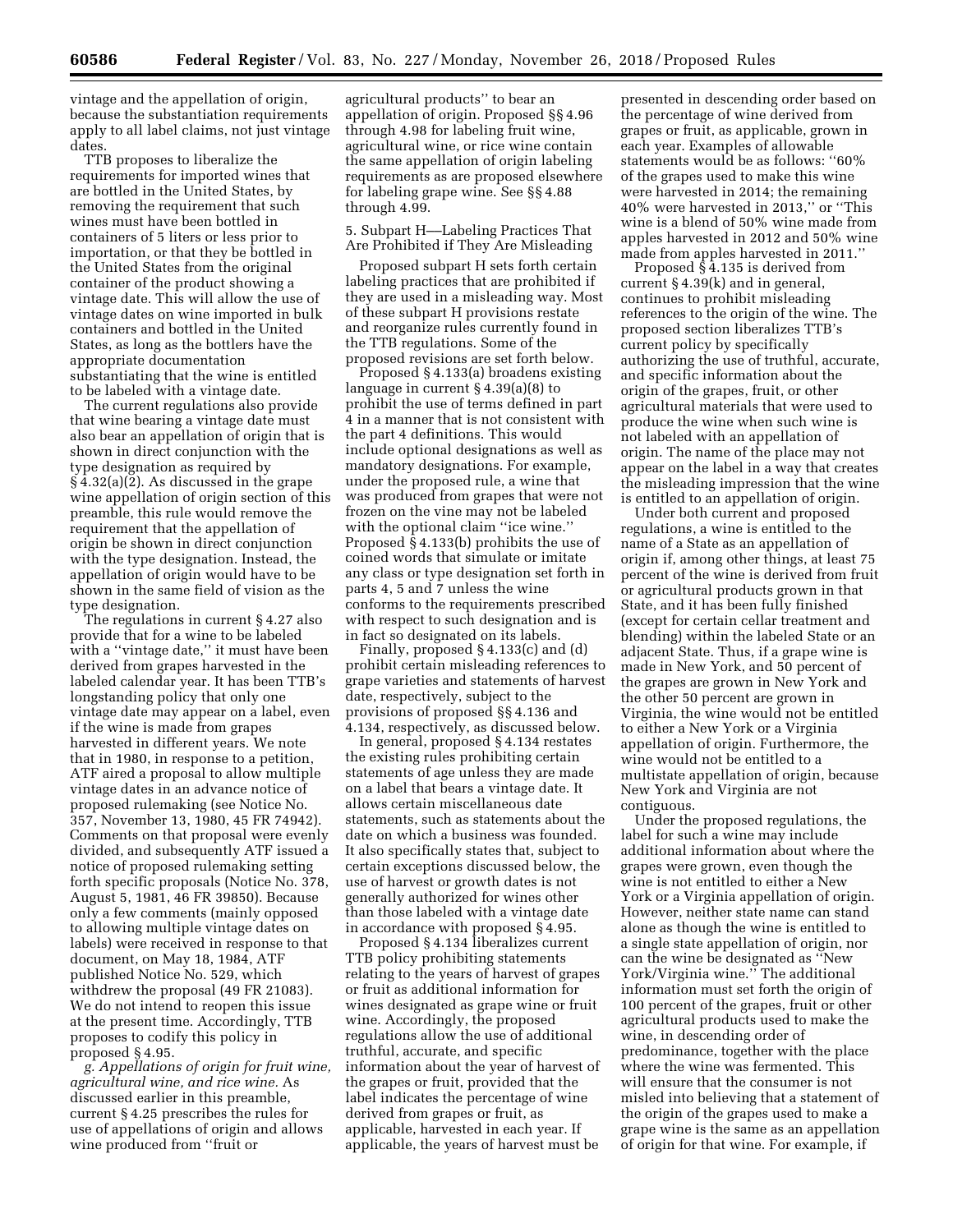vintage and the appellation of origin, because the substantiation requirements apply to all label claims, not just vintage dates.

TTB proposes to liberalize the requirements for imported wines that are bottled in the United States, by removing the requirement that such wines must have been bottled in containers of 5 liters or less prior to importation, or that they be bottled in the United States from the original container of the product showing a vintage date. This will allow the use of vintage dates on wine imported in bulk containers and bottled in the United States, as long as the bottlers have the appropriate documentation substantiating that the wine is entitled to be labeled with a vintage date.

The current regulations also provide that wine bearing a vintage date must also bear an appellation of origin that is shown in direct conjunction with the type designation as required by § 4.32(a)(2). As discussed in the grape wine appellation of origin section of this preamble, this rule would remove the requirement that the appellation of origin be shown in direct conjunction with the type designation. Instead, the appellation of origin would have to be shown in the same field of vision as the type designation.

The regulations in current § 4.27 also provide that for a wine to be labeled with a ''vintage date,'' it must have been derived from grapes harvested in the labeled calendar year. It has been TTB's longstanding policy that only one vintage date may appear on a label, even if the wine is made from grapes harvested in different years. We note that in 1980, in response to a petition, ATF aired a proposal to allow multiple vintage dates in an advance notice of proposed rulemaking (see Notice No. 357, November 13, 1980, 45 FR 74942). Comments on that proposal were evenly divided, and subsequently ATF issued a notice of proposed rulemaking setting forth specific proposals (Notice No. 378, August 5, 1981, 46 FR 39850). Because only a few comments (mainly opposed to allowing multiple vintage dates on labels) were received in response to that document, on May 18, 1984, ATF published Notice No. 529, which withdrew the proposal (49 FR 21083). We do not intend to reopen this issue at the present time. Accordingly, TTB proposes to codify this policy in proposed § 4.95.

*g. Appellations of origin for fruit wine, agricultural wine, and rice wine.* As discussed earlier in this preamble, current § 4.25 prescribes the rules for use of appellations of origin and allows wine produced from ''fruit or

agricultural products'' to bear an appellation of origin. Proposed §§ 4.96 through 4.98 for labeling fruit wine, agricultural wine, or rice wine contain the same appellation of origin labeling requirements as are proposed elsewhere for labeling grape wine. See §§ 4.88 through 4.99.

5. Subpart H––Labeling Practices That Are Prohibited if They Are Misleading

Proposed subpart H sets forth certain labeling practices that are prohibited if they are used in a misleading way. Most of these subpart H provisions restate and reorganize rules currently found in the TTB regulations. Some of the proposed revisions are set forth below.

Proposed § 4.133(a) broadens existing language in current § 4.39(a)(8) to prohibit the use of terms defined in part 4 in a manner that is not consistent with the part 4 definitions. This would include optional designations as well as mandatory designations. For example, under the proposed rule, a wine that was produced from grapes that were not frozen on the vine may not be labeled with the optional claim "ice wine." Proposed § 4.133(b) prohibits the use of coined words that simulate or imitate any class or type designation set forth in parts 4, 5 and 7 unless the wine conforms to the requirements prescribed with respect to such designation and is in fact so designated on its labels.

Finally, proposed § 4.133(c) and (d) prohibit certain misleading references to grape varieties and statements of harvest date, respectively, subject to the provisions of proposed §§ 4.136 and 4.134, respectively, as discussed below.

In general, proposed § 4.134 restates the existing rules prohibiting certain statements of age unless they are made on a label that bears a vintage date. It allows certain miscellaneous date statements, such as statements about the date on which a business was founded. It also specifically states that, subject to certain exceptions discussed below, the use of harvest or growth dates is not generally authorized for wines other than those labeled with a vintage date in accordance with proposed § 4.95.

Proposed § 4.134 liberalizes current TTB policy prohibiting statements relating to the years of harvest of grapes or fruit as additional information for wines designated as grape wine or fruit wine. Accordingly, the proposed regulations allow the use of additional truthful, accurate, and specific information about the year of harvest of the grapes or fruit, provided that the label indicates the percentage of wine derived from grapes or fruit, as applicable, harvested in each year. If applicable, the years of harvest must be

presented in descending order based on the percentage of wine derived from grapes or fruit, as applicable, grown in each year. Examples of allowable statements would be as follows: ''60% of the grapes used to make this wine were harvested in 2014; the remaining 40% were harvested in 2013,'' or ''This wine is a blend of 50% wine made from apples harvested in 2012 and 50% wine made from apples harvested in 2011.''

Proposed § 4.135 is derived from current § 4.39(k) and in general, continues to prohibit misleading references to the origin of the wine. The proposed section liberalizes TTB's current policy by specifically authorizing the use of truthful, accurate, and specific information about the origin of the grapes, fruit, or other agricultural materials that were used to produce the wine when such wine is not labeled with an appellation of origin. The name of the place may not appear on the label in a way that creates the misleading impression that the wine is entitled to an appellation of origin.

Under both current and proposed regulations, a wine is entitled to the name of a State as an appellation of origin if, among other things, at least 75 percent of the wine is derived from fruit or agricultural products grown in that State, and it has been fully finished (except for certain cellar treatment and blending) within the labeled State or an adjacent State. Thus, if a grape wine is made in New York, and 50 percent of the grapes are grown in New York and the other 50 percent are grown in Virginia, the wine would not be entitled to either a New York or a Virginia appellation of origin. Furthermore, the wine would not be entitled to a multistate appellation of origin, because New York and Virginia are not contiguous.

Under the proposed regulations, the label for such a wine may include additional information about where the grapes were grown, even though the wine is not entitled to either a New York or a Virginia appellation of origin. However, neither state name can stand alone as though the wine is entitled to a single state appellation of origin, nor can the wine be designated as ''New York/Virginia wine.'' The additional information must set forth the origin of 100 percent of the grapes, fruit or other agricultural products used to make the wine, in descending order of predominance, together with the place where the wine was fermented. This will ensure that the consumer is not misled into believing that a statement of the origin of the grapes used to make a grape wine is the same as an appellation of origin for that wine. For example, if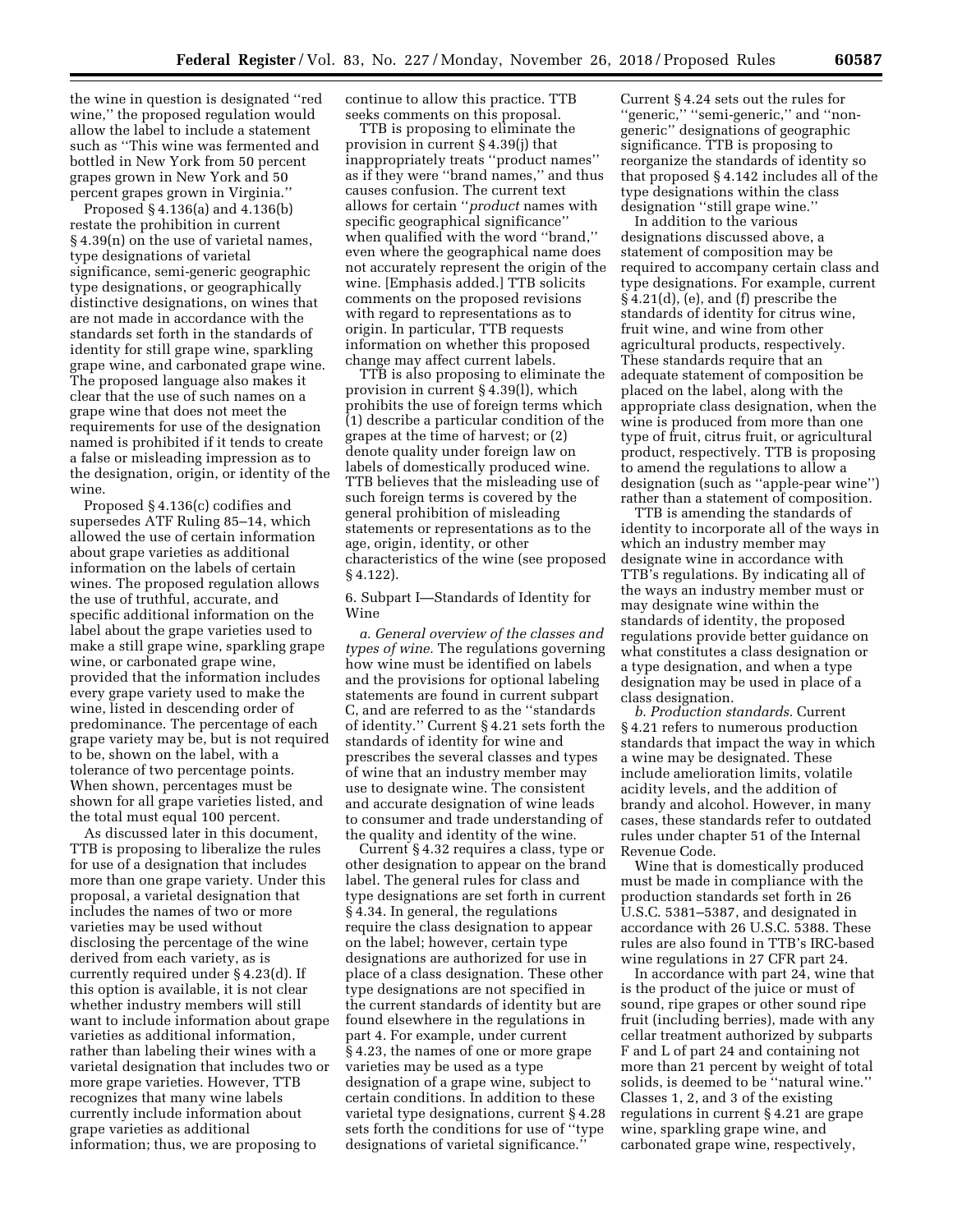the wine in question is designated ''red wine,'' the proposed regulation would allow the label to include a statement such as ''This wine was fermented and bottled in New York from 50 percent grapes grown in New York and 50 percent grapes grown in Virginia.''

Proposed § 4.136(a) and 4.136(b) restate the prohibition in current § 4.39(n) on the use of varietal names, type designations of varietal significance, semi-generic geographic type designations, or geographically distinctive designations, on wines that are not made in accordance with the standards set forth in the standards of identity for still grape wine, sparkling grape wine, and carbonated grape wine. The proposed language also makes it clear that the use of such names on a grape wine that does not meet the requirements for use of the designation named is prohibited if it tends to create a false or misleading impression as to the designation, origin, or identity of the wine.

Proposed § 4.136(c) codifies and supersedes ATF Ruling 85–14, which allowed the use of certain information about grape varieties as additional information on the labels of certain wines. The proposed regulation allows the use of truthful, accurate, and specific additional information on the label about the grape varieties used to make a still grape wine, sparkling grape wine, or carbonated grape wine, provided that the information includes every grape variety used to make the wine, listed in descending order of predominance. The percentage of each grape variety may be, but is not required to be, shown on the label, with a tolerance of two percentage points. When shown, percentages must be shown for all grape varieties listed, and the total must equal 100 percent.

As discussed later in this document, TTB is proposing to liberalize the rules for use of a designation that includes more than one grape variety. Under this proposal, a varietal designation that includes the names of two or more varieties may be used without disclosing the percentage of the wine derived from each variety, as is currently required under § 4.23(d). If this option is available, it is not clear whether industry members will still want to include information about grape varieties as additional information, rather than labeling their wines with a varietal designation that includes two or more grape varieties. However, TTB recognizes that many wine labels currently include information about grape varieties as additional information; thus, we are proposing to

continue to allow this practice. TTB seeks comments on this proposal.

TTB is proposing to eliminate the provision in current § 4.39(j) that inappropriately treats ''product names'' as if they were ''brand names,'' and thus causes confusion. The current text allows for certain ''*product* names with specific geographical significance'' when qualified with the word ''brand,'' even where the geographical name does not accurately represent the origin of the wine. [Emphasis added.] TTB solicits comments on the proposed revisions with regard to representations as to origin. In particular, TTB requests information on whether this proposed change may affect current labels.

TTB is also proposing to eliminate the provision in current § 4.39(l), which prohibits the use of foreign terms which (1) describe a particular condition of the grapes at the time of harvest; or (2) denote quality under foreign law on labels of domestically produced wine. TTB believes that the misleading use of such foreign terms is covered by the general prohibition of misleading statements or representations as to the age, origin, identity, or other characteristics of the wine (see proposed § 4.122).

6. Subpart I—Standards of Identity for Wine

*a. General overview of the classes and types of wine.* The regulations governing how wine must be identified on labels and the provisions for optional labeling statements are found in current subpart C, and are referred to as the ''standards of identity.'' Current § 4.21 sets forth the standards of identity for wine and prescribes the several classes and types of wine that an industry member may use to designate wine. The consistent and accurate designation of wine leads to consumer and trade understanding of the quality and identity of the wine.

Current § 4.32 requires a class, type or other designation to appear on the brand label. The general rules for class and type designations are set forth in current § 4.34. In general, the regulations require the class designation to appear on the label; however, certain type designations are authorized for use in place of a class designation. These other type designations are not specified in the current standards of identity but are found elsewhere in the regulations in part 4. For example, under current § 4.23, the names of one or more grape varieties may be used as a type designation of a grape wine, subject to certain conditions. In addition to these varietal type designations, current § 4.28 sets forth the conditions for use of "type designations of varietal significance.''

Current § 4.24 sets out the rules for "generic," "semi-generic," and "nongeneric'' designations of geographic significance. TTB is proposing to reorganize the standards of identity so that proposed § 4.142 includes all of the type designations within the class designation ''still grape wine.''

In addition to the various designations discussed above, a statement of composition may be required to accompany certain class and type designations. For example, current § 4.21(d), (e), and (f) prescribe the standards of identity for citrus wine, fruit wine, and wine from other agricultural products, respectively. These standards require that an adequate statement of composition be placed on the label, along with the appropriate class designation, when the wine is produced from more than one type of fruit, citrus fruit, or agricultural product, respectively. TTB is proposing to amend the regulations to allow a designation (such as ''apple-pear wine'') rather than a statement of composition.

TTB is amending the standards of identity to incorporate all of the ways in which an industry member may designate wine in accordance with TTB's regulations. By indicating all of the ways an industry member must or may designate wine within the standards of identity, the proposed regulations provide better guidance on what constitutes a class designation or a type designation, and when a type designation may be used in place of a class designation.

*b. Production standards.* Current § 4.21 refers to numerous production standards that impact the way in which a wine may be designated. These include amelioration limits, volatile acidity levels, and the addition of brandy and alcohol. However, in many cases, these standards refer to outdated rules under chapter 51 of the Internal Revenue Code.

Wine that is domestically produced must be made in compliance with the production standards set forth in 26 U.S.C. 5381–5387, and designated in accordance with 26 U.S.C. 5388. These rules are also found in TTB's IRC-based wine regulations in 27 CFR part 24.

In accordance with part 24, wine that is the product of the juice or must of sound, ripe grapes or other sound ripe fruit (including berries), made with any cellar treatment authorized by subparts F and L of part 24 and containing not more than 21 percent by weight of total solids, is deemed to be ''natural wine.'' Classes 1, 2, and 3 of the existing regulations in current § 4.21 are grape wine, sparkling grape wine, and carbonated grape wine, respectively,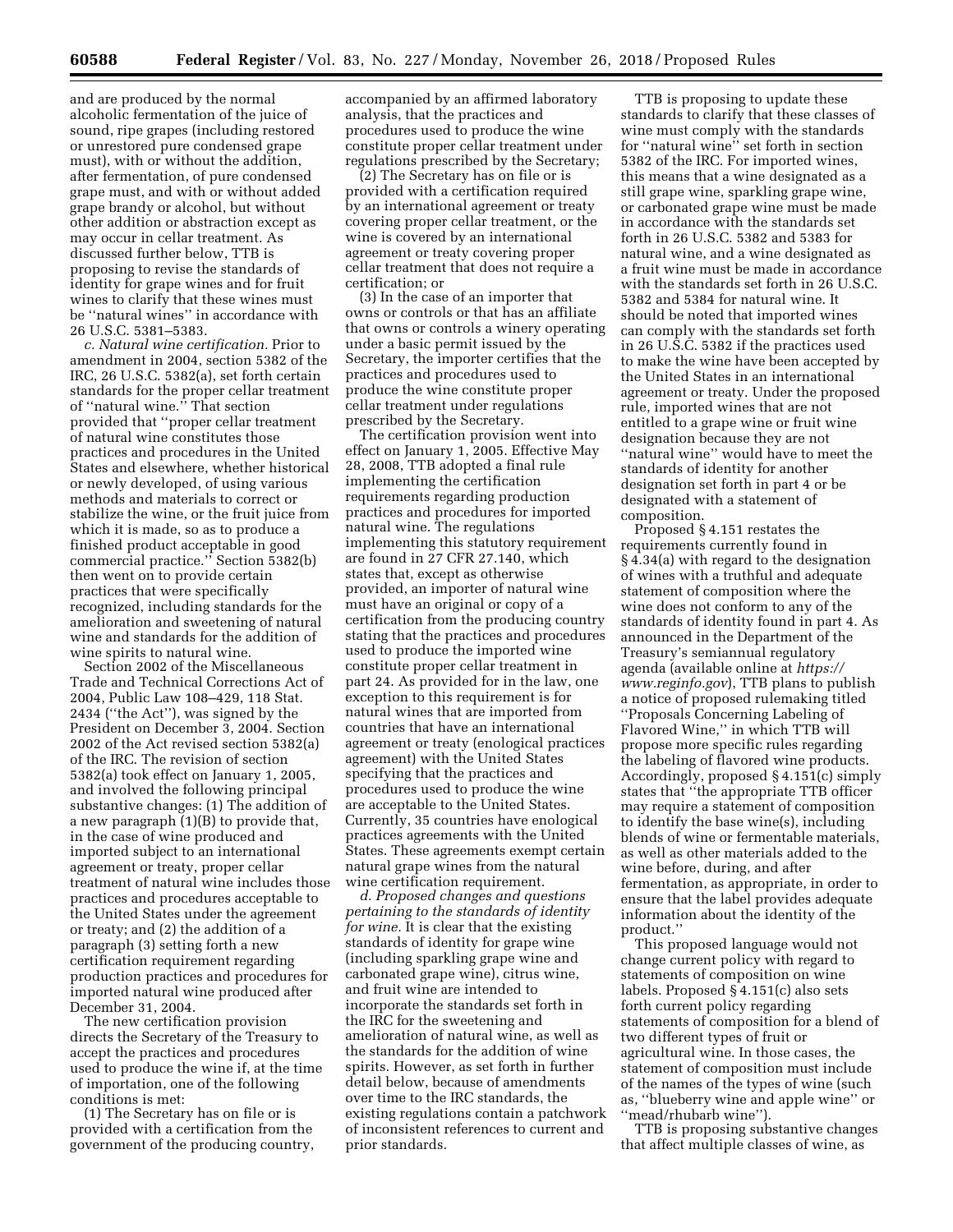and are produced by the normal alcoholic fermentation of the juice of sound, ripe grapes (including restored or unrestored pure condensed grape must), with or without the addition, after fermentation, of pure condensed grape must, and with or without added grape brandy or alcohol, but without other addition or abstraction except as may occur in cellar treatment. As discussed further below, TTB is proposing to revise the standards of identity for grape wines and for fruit wines to clarify that these wines must be ''natural wines'' in accordance with 26 U.S.C. 5381–5383.

*c. Natural wine certification.* Prior to amendment in 2004, section 5382 of the IRC, 26 U.S.C. 5382(a), set forth certain standards for the proper cellar treatment of ''natural wine.'' That section provided that ''proper cellar treatment of natural wine constitutes those practices and procedures in the United States and elsewhere, whether historical or newly developed, of using various methods and materials to correct or stabilize the wine, or the fruit juice from which it is made, so as to produce a finished product acceptable in good commercial practice.'' Section 5382(b) then went on to provide certain practices that were specifically recognized, including standards for the amelioration and sweetening of natural wine and standards for the addition of wine spirits to natural wine.

Section 2002 of the Miscellaneous Trade and Technical Corrections Act of 2004, Public Law 108–429, 118 Stat. 2434 (''the Act''), was signed by the President on December 3, 2004. Section 2002 of the Act revised section 5382(a) of the IRC. The revision of section 5382(a) took effect on January 1, 2005, and involved the following principal substantive changes: (1) The addition of a new paragraph (1)(B) to provide that, in the case of wine produced and imported subject to an international agreement or treaty, proper cellar treatment of natural wine includes those practices and procedures acceptable to the United States under the agreement or treaty; and (2) the addition of a paragraph (3) setting forth a new certification requirement regarding production practices and procedures for imported natural wine produced after December 31, 2004.

The new certification provision directs the Secretary of the Treasury to accept the practices and procedures used to produce the wine if, at the time of importation, one of the following conditions is met:

(1) The Secretary has on file or is provided with a certification from the government of the producing country, accompanied by an affirmed laboratory analysis, that the practices and procedures used to produce the wine constitute proper cellar treatment under regulations prescribed by the Secretary;

(2) The Secretary has on file or is provided with a certification required by an international agreement or treaty covering proper cellar treatment, or the wine is covered by an international agreement or treaty covering proper cellar treatment that does not require a certification; or

(3) In the case of an importer that owns or controls or that has an affiliate that owns or controls a winery operating under a basic permit issued by the Secretary, the importer certifies that the practices and procedures used to produce the wine constitute proper cellar treatment under regulations prescribed by the Secretary.

The certification provision went into effect on January 1, 2005. Effective May 28, 2008, TTB adopted a final rule implementing the certification requirements regarding production practices and procedures for imported natural wine. The regulations implementing this statutory requirement are found in 27 CFR 27.140, which states that, except as otherwise provided, an importer of natural wine must have an original or copy of a certification from the producing country stating that the practices and procedures used to produce the imported wine constitute proper cellar treatment in part 24. As provided for in the law, one exception to this requirement is for natural wines that are imported from countries that have an international agreement or treaty (enological practices agreement) with the United States specifying that the practices and procedures used to produce the wine are acceptable to the United States. Currently, 35 countries have enological practices agreements with the United States. These agreements exempt certain natural grape wines from the natural wine certification requirement.

*d. Proposed changes and questions pertaining to the standards of identity for wine.* It is clear that the existing standards of identity for grape wine (including sparkling grape wine and carbonated grape wine), citrus wine, and fruit wine are intended to incorporate the standards set forth in the IRC for the sweetening and amelioration of natural wine, as well as the standards for the addition of wine spirits. However, as set forth in further detail below, because of amendments over time to the IRC standards, the existing regulations contain a patchwork of inconsistent references to current and prior standards.

TTB is proposing to update these standards to clarify that these classes of wine must comply with the standards for ''natural wine'' set forth in section 5382 of the IRC. For imported wines, this means that a wine designated as a still grape wine, sparkling grape wine, or carbonated grape wine must be made in accordance with the standards set forth in 26 U.S.C. 5382 and 5383 for natural wine, and a wine designated as a fruit wine must be made in accordance with the standards set forth in 26 U.S.C. 5382 and 5384 for natural wine. It should be noted that imported wines can comply with the standards set forth in 26 U.S.C. 5382 if the practices used to make the wine have been accepted by the United States in an international agreement or treaty. Under the proposed rule, imported wines that are not entitled to a grape wine or fruit wine designation because they are not ''natural wine'' would have to meet the standards of identity for another designation set forth in part 4 or be designated with a statement of composition.

Proposed § 4.151 restates the requirements currently found in § 4.34(a) with regard to the designation of wines with a truthful and adequate statement of composition where the wine does not conform to any of the standards of identity found in part 4. As announced in the Department of the Treasury's semiannual regulatory agenda (available online at *[https://](https://www.reginfo.gov) [www.reginfo.gov](https://www.reginfo.gov)*), TTB plans to publish a notice of proposed rulemaking titled ''Proposals Concerning Labeling of Flavored Wine,'' in which TTB will propose more specific rules regarding the labeling of flavored wine products. Accordingly, proposed § 4.151(c) simply states that ''the appropriate TTB officer may require a statement of composition to identify the base wine(s), including blends of wine or fermentable materials, as well as other materials added to the wine before, during, and after fermentation, as appropriate, in order to ensure that the label provides adequate information about the identity of the product.''

This proposed language would not change current policy with regard to statements of composition on wine labels. Proposed § 4.151(c) also sets forth current policy regarding statements of composition for a blend of two different types of fruit or agricultural wine. In those cases, the statement of composition must include of the names of the types of wine (such as, ''blueberry wine and apple wine'' or ''mead/rhubarb wine'').

TTB is proposing substantive changes that affect multiple classes of wine, as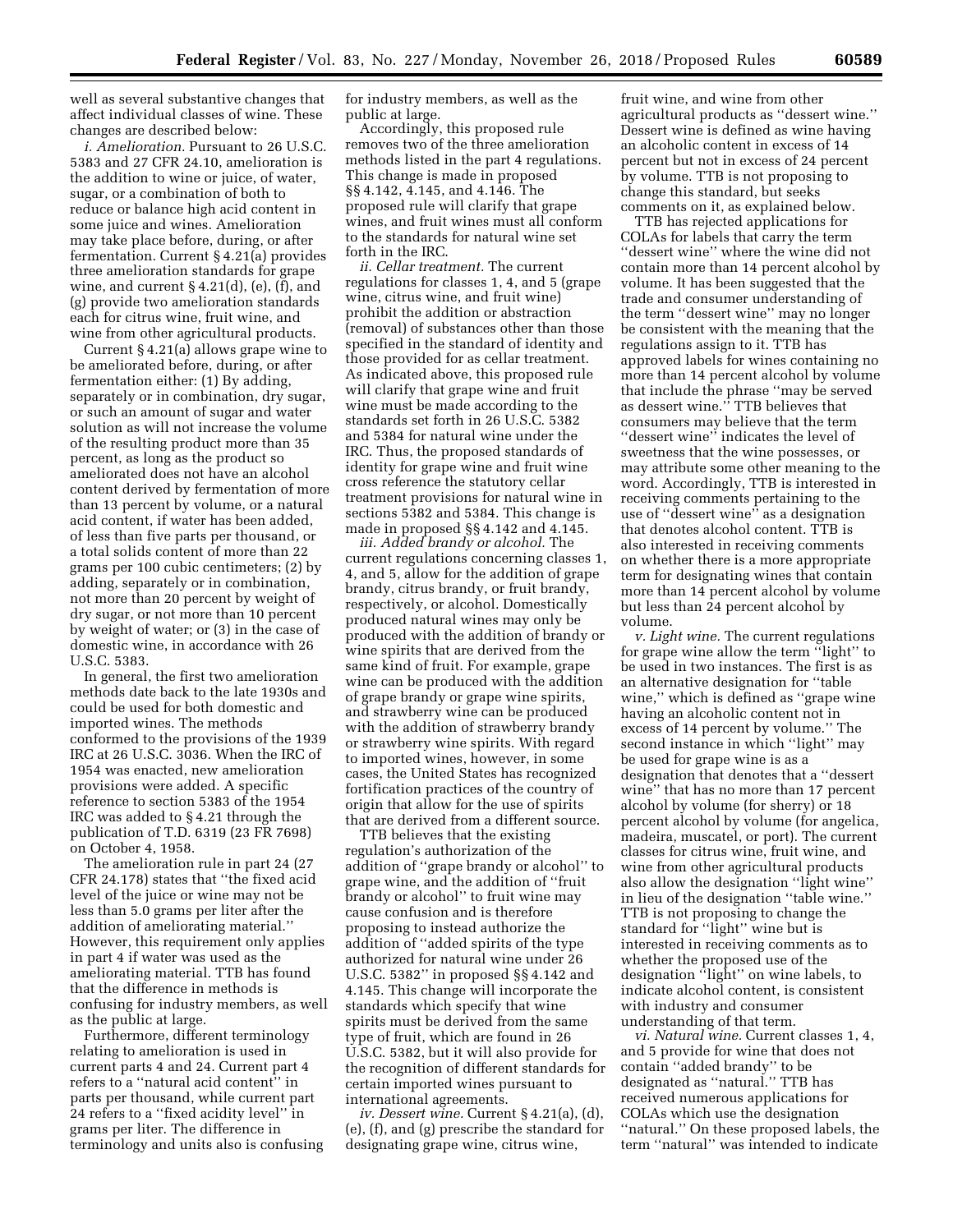well as several substantive changes that affect individual classes of wine. These changes are described below:

*i. Amelioration.* Pursuant to 26 U.S.C. 5383 and 27 CFR 24.10, amelioration is the addition to wine or juice, of water, sugar, or a combination of both to reduce or balance high acid content in some juice and wines. Amelioration may take place before, during, or after fermentation. Current § 4.21(a) provides three amelioration standards for grape wine, and current  $\S 4.21(d)$ , (e), (f), and (g) provide two amelioration standards each for citrus wine, fruit wine, and wine from other agricultural products.

Current § 4.21(a) allows grape wine to be ameliorated before, during, or after fermentation either: (1) By adding, separately or in combination, dry sugar, or such an amount of sugar and water solution as will not increase the volume of the resulting product more than 35 percent, as long as the product so ameliorated does not have an alcohol content derived by fermentation of more than 13 percent by volume, or a natural acid content, if water has been added, of less than five parts per thousand, or a total solids content of more than 22 grams per 100 cubic centimeters; (2) by adding, separately or in combination, not more than 20 percent by weight of dry sugar, or not more than 10 percent by weight of water; or (3) in the case of domestic wine, in accordance with 26 U.S.C. 5383.

In general, the first two amelioration methods date back to the late 1930s and could be used for both domestic and imported wines. The methods conformed to the provisions of the 1939 IRC at 26 U.S.C. 3036. When the IRC of 1954 was enacted, new amelioration provisions were added. A specific reference to section 5383 of the 1954 IRC was added to § 4.21 through the publication of T.D. 6319 (23 FR 7698) on October 4, 1958.

The amelioration rule in part 24 (27 CFR 24.178) states that ''the fixed acid level of the juice or wine may not be less than 5.0 grams per liter after the addition of ameliorating material.'' However, this requirement only applies in part 4 if water was used as the ameliorating material. TTB has found that the difference in methods is confusing for industry members, as well as the public at large.

Furthermore, different terminology relating to amelioration is used in current parts 4 and 24. Current part 4 refers to a ''natural acid content'' in parts per thousand, while current part 24 refers to a ''fixed acidity level'' in grams per liter. The difference in terminology and units also is confusing for industry members, as well as the public at large.

Accordingly, this proposed rule removes two of the three amelioration methods listed in the part 4 regulations. This change is made in proposed §§ 4.142, 4.145, and 4.146. The proposed rule will clarify that grape wines, and fruit wines must all conform to the standards for natural wine set forth in the IRC.

*ii. Cellar treatment.* The current regulations for classes 1, 4, and 5 (grape wine, citrus wine, and fruit wine) prohibit the addition or abstraction (removal) of substances other than those specified in the standard of identity and those provided for as cellar treatment. As indicated above, this proposed rule will clarify that grape wine and fruit wine must be made according to the standards set forth in 26 U.S.C. 5382 and 5384 for natural wine under the IRC. Thus, the proposed standards of identity for grape wine and fruit wine cross reference the statutory cellar treatment provisions for natural wine in sections 5382 and 5384. This change is made in proposed §§ 4.142 and 4.145.

*iii. Added brandy or alcohol.* The current regulations concerning classes 1, 4, and 5, allow for the addition of grape brandy, citrus brandy, or fruit brandy, respectively, or alcohol. Domestically produced natural wines may only be produced with the addition of brandy or wine spirits that are derived from the same kind of fruit. For example, grape wine can be produced with the addition of grape brandy or grape wine spirits, and strawberry wine can be produced with the addition of strawberry brandy or strawberry wine spirits. With regard to imported wines, however, in some cases, the United States has recognized fortification practices of the country of origin that allow for the use of spirits that are derived from a different source.

TTB believes that the existing regulation's authorization of the addition of ''grape brandy or alcohol'' to grape wine, and the addition of ''fruit brandy or alcohol'' to fruit wine may cause confusion and is therefore proposing to instead authorize the addition of ''added spirits of the type authorized for natural wine under 26 U.S.C. 5382'' in proposed §§ 4.142 and 4.145. This change will incorporate the standards which specify that wine spirits must be derived from the same type of fruit, which are found in 26 U.S.C. 5382, but it will also provide for the recognition of different standards for certain imported wines pursuant to international agreements.

*iv. Dessert wine.* Current § 4.21(a), (d), (e), (f), and (g) prescribe the standard for designating grape wine, citrus wine,

fruit wine, and wine from other agricultural products as ''dessert wine.'' Dessert wine is defined as wine having an alcoholic content in excess of 14 percent but not in excess of 24 percent by volume. TTB is not proposing to change this standard, but seeks comments on it, as explained below.

TTB has rejected applications for COLAs for labels that carry the term ''dessert wine'' where the wine did not contain more than 14 percent alcohol by volume. It has been suggested that the trade and consumer understanding of the term ''dessert wine'' may no longer be consistent with the meaning that the regulations assign to it. TTB has approved labels for wines containing no more than 14 percent alcohol by volume that include the phrase ''may be served as dessert wine.'' TTB believes that consumers may believe that the term ''dessert wine'' indicates the level of sweetness that the wine possesses, or may attribute some other meaning to the word. Accordingly, TTB is interested in receiving comments pertaining to the use of ''dessert wine'' as a designation that denotes alcohol content. TTB is also interested in receiving comments on whether there is a more appropriate term for designating wines that contain more than 14 percent alcohol by volume but less than 24 percent alcohol by volume.

*v. Light wine.* The current regulations for grape wine allow the term ''light'' to be used in two instances. The first is as an alternative designation for ''table wine,'' which is defined as ''grape wine having an alcoholic content not in excess of 14 percent by volume.'' The second instance in which "light" may be used for grape wine is as a designation that denotes that a ''dessert wine'' that has no more than 17 percent alcohol by volume (for sherry) or 18 percent alcohol by volume (for angelica, madeira, muscatel, or port). The current classes for citrus wine, fruit wine, and wine from other agricultural products also allow the designation ''light wine'' in lieu of the designation ''table wine.'' TTB is not proposing to change the standard for ''light'' wine but is interested in receiving comments as to whether the proposed use of the designation ''light'' on wine labels, to indicate alcohol content, is consistent with industry and consumer understanding of that term.

*vi. Natural wine.* Current classes 1, 4, and 5 provide for wine that does not contain ''added brandy'' to be designated as ''natural.'' TTB has received numerous applications for COLAs which use the designation ''natural.'' On these proposed labels, the term ''natural'' was intended to indicate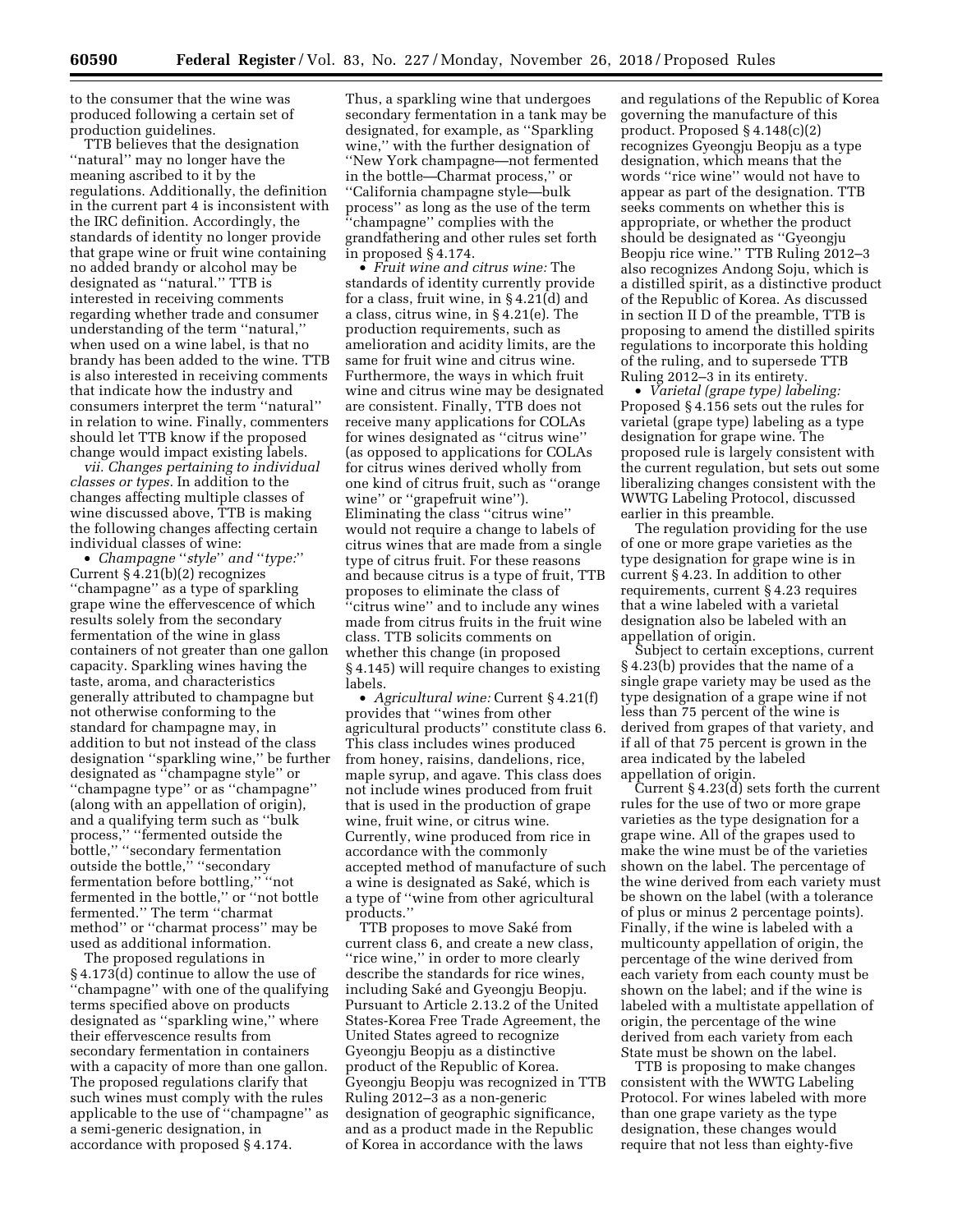to the consumer that the wine was produced following a certain set of production guidelines.

TTB believes that the designation ''natural'' may no longer have the meaning ascribed to it by the regulations. Additionally, the definition in the current part 4 is inconsistent with the IRC definition. Accordingly, the standards of identity no longer provide that grape wine or fruit wine containing no added brandy or alcohol may be designated as ''natural.'' TTB is interested in receiving comments regarding whether trade and consumer understanding of the term ''natural,'' when used on a wine label, is that no brandy has been added to the wine. TTB is also interested in receiving comments that indicate how the industry and consumers interpret the term ''natural'' in relation to wine. Finally, commenters should let TTB know if the proposed change would impact existing labels.

*vii. Changes pertaining to individual classes or types.* In addition to the changes affecting multiple classes of wine discussed above, TTB is making the following changes affecting certain individual classes of wine:

• *Champagne* ''*style*'' *and* ''*type:*'' Current § 4.21(b)(2) recognizes ''champagne'' as a type of sparkling grape wine the effervescence of which results solely from the secondary fermentation of the wine in glass containers of not greater than one gallon capacity. Sparkling wines having the taste, aroma, and characteristics generally attributed to champagne but not otherwise conforming to the standard for champagne may, in addition to but not instead of the class designation ''sparkling wine,'' be further designated as ''champagne style'' or ''champagne type'' or as ''champagne'' (along with an appellation of origin), and a qualifying term such as ''bulk process,'' ''fermented outside the bottle,'' ''secondary fermentation outside the bottle," "secondary fermentation before bottling,'' ''not fermented in the bottle,'' or ''not bottle fermented.'' The term ''charmat method'' or ''charmat process'' may be used as additional information.

The proposed regulations in § 4.173(d) continue to allow the use of ''champagne'' with one of the qualifying terms specified above on products designated as ''sparkling wine,'' where their effervescence results from secondary fermentation in containers with a capacity of more than one gallon. The proposed regulations clarify that such wines must comply with the rules applicable to the use of ''champagne'' as a semi-generic designation, in accordance with proposed § 4.174.

Thus, a sparkling wine that undergoes secondary fermentation in a tank may be designated, for example, as ''Sparkling wine,'' with the further designation of ''New York champagne—not fermented in the bottle—Charmat process,'' or ''California champagne style—bulk process'' as long as the use of the term 'champagne'' complies with the grandfathering and other rules set forth in proposed § 4.174.

• *Fruit wine and citrus wine:* The standards of identity currently provide for a class, fruit wine, in § 4.21(d) and a class, citrus wine, in § 4.21(e). The production requirements, such as amelioration and acidity limits, are the same for fruit wine and citrus wine. Furthermore, the ways in which fruit wine and citrus wine may be designated are consistent. Finally, TTB does not receive many applications for COLAs for wines designated as ''citrus wine'' (as opposed to applications for COLAs for citrus wines derived wholly from one kind of citrus fruit, such as ''orange wine'' or ''grapefruit wine''). Eliminating the class ''citrus wine'' would not require a change to labels of citrus wines that are made from a single type of citrus fruit. For these reasons and because citrus is a type of fruit, TTB proposes to eliminate the class of ''citrus wine'' and to include any wines made from citrus fruits in the fruit wine class. TTB solicits comments on whether this change (in proposed § 4.145) will require changes to existing labels.

• *Agricultural wine:* Current § 4.21(f) provides that ''wines from other agricultural products'' constitute class 6. This class includes wines produced from honey, raisins, dandelions, rice, maple syrup, and agave. This class does not include wines produced from fruit that is used in the production of grape wine, fruit wine, or citrus wine. Currently, wine produced from rice in accordance with the commonly accepted method of manufacture of such a wine is designated as Saké, which is a type of ''wine from other agricultural products.''

TTB proposes to move Saké from current class 6, and create a new class, "rice wine," in order to more clearly describe the standards for rice wines, including Saké and Gyeongju Beopju. Pursuant to Article 2.13.2 of the United States-Korea Free Trade Agreement, the United States agreed to recognize Gyeongju Beopju as a distinctive product of the Republic of Korea. Gyeongju Beopju was recognized in TTB Ruling 2012–3 as a non-generic designation of geographic significance, and as a product made in the Republic of Korea in accordance with the laws

and regulations of the Republic of Korea governing the manufacture of this product. Proposed § 4.148(c)(2) recognizes Gyeongju Beopju as a type designation, which means that the words ''rice wine'' would not have to appear as part of the designation. TTB seeks comments on whether this is appropriate, or whether the product should be designated as ''Gyeongju Beopju rice wine.'' TTB Ruling 2012–3 also recognizes Andong Soju, which is a distilled spirit, as a distinctive product of the Republic of Korea. As discussed in section II D of the preamble, TTB is proposing to amend the distilled spirits regulations to incorporate this holding of the ruling, and to supersede TTB Ruling 2012–3 in its entirety.

• *Varietal (grape type) labeling:*  Proposed § 4.156 sets out the rules for varietal (grape type) labeling as a type designation for grape wine. The proposed rule is largely consistent with the current regulation, but sets out some liberalizing changes consistent with the WWTG Labeling Protocol, discussed earlier in this preamble.

The regulation providing for the use of one or more grape varieties as the type designation for grape wine is in current § 4.23. In addition to other requirements, current § 4.23 requires that a wine labeled with a varietal designation also be labeled with an appellation of origin.

Subject to certain exceptions, current § 4.23(b) provides that the name of a single grape variety may be used as the type designation of a grape wine if not less than 75 percent of the wine is derived from grapes of that variety, and if all of that 75 percent is grown in the area indicated by the labeled appellation of origin.

Current § 4.23(d) sets forth the current rules for the use of two or more grape varieties as the type designation for a grape wine. All of the grapes used to make the wine must be of the varieties shown on the label. The percentage of the wine derived from each variety must be shown on the label (with a tolerance of plus or minus 2 percentage points). Finally, if the wine is labeled with a multicounty appellation of origin, the percentage of the wine derived from each variety from each county must be shown on the label; and if the wine is labeled with a multistate appellation of origin, the percentage of the wine derived from each variety from each State must be shown on the label.

TTB is proposing to make changes consistent with the WWTG Labeling Protocol. For wines labeled with more than one grape variety as the type designation, these changes would require that not less than eighty-five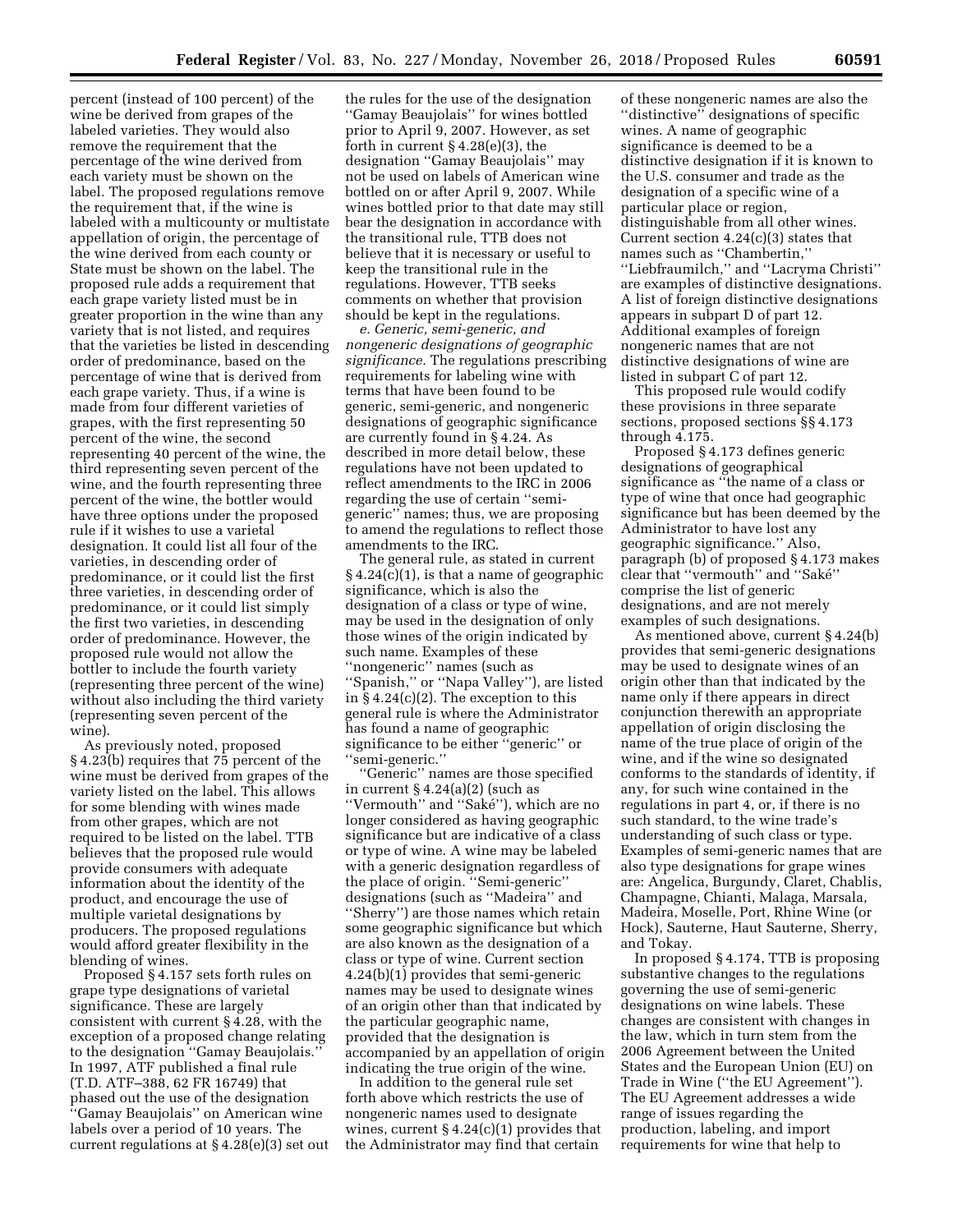percent (instead of 100 percent) of the wine be derived from grapes of the labeled varieties. They would also remove the requirement that the percentage of the wine derived from each variety must be shown on the label. The proposed regulations remove the requirement that, if the wine is labeled with a multicounty or multistate appellation of origin, the percentage of the wine derived from each county or State must be shown on the label. The proposed rule adds a requirement that each grape variety listed must be in greater proportion in the wine than any variety that is not listed, and requires that the varieties be listed in descending order of predominance, based on the percentage of wine that is derived from each grape variety. Thus, if a wine is made from four different varieties of grapes, with the first representing 50 percent of the wine, the second representing 40 percent of the wine, the third representing seven percent of the wine, and the fourth representing three percent of the wine, the bottler would have three options under the proposed rule if it wishes to use a varietal designation. It could list all four of the varieties, in descending order of predominance, or it could list the first three varieties, in descending order of predominance, or it could list simply the first two varieties, in descending order of predominance. However, the proposed rule would not allow the bottler to include the fourth variety (representing three percent of the wine) without also including the third variety (representing seven percent of the wine).

As previously noted, proposed § 4.23(b) requires that 75 percent of the wine must be derived from grapes of the variety listed on the label. This allows for some blending with wines made from other grapes, which are not required to be listed on the label. TTB believes that the proposed rule would provide consumers with adequate information about the identity of the product, and encourage the use of multiple varietal designations by producers. The proposed regulations would afford greater flexibility in the blending of wines.

Proposed § 4.157 sets forth rules on grape type designations of varietal significance. These are largely consistent with current § 4.28, with the exception of a proposed change relating to the designation ''Gamay Beaujolais.'' In 1997, ATF published a final rule (T.D. ATF–388, 62 FR 16749) that phased out the use of the designation ''Gamay Beaujolais'' on American wine labels over a period of 10 years. The current regulations at § 4.28(e)(3) set out

the rules for the use of the designation ''Gamay Beaujolais'' for wines bottled prior to April 9, 2007. However, as set forth in current § 4.28(e)(3), the designation ''Gamay Beaujolais'' may not be used on labels of American wine bottled on or after April 9, 2007. While wines bottled prior to that date may still bear the designation in accordance with the transitional rule, TTB does not believe that it is necessary or useful to keep the transitional rule in the regulations. However, TTB seeks comments on whether that provision should be kept in the regulations.

*e. Generic, semi-generic, and nongeneric designations of geographic significance.* The regulations prescribing requirements for labeling wine with terms that have been found to be generic, semi-generic, and nongeneric designations of geographic significance are currently found in § 4.24. As described in more detail below, these regulations have not been updated to reflect amendments to the IRC in 2006 regarding the use of certain ''semigeneric'' names; thus, we are proposing to amend the regulations to reflect those amendments to the IRC.

The general rule, as stated in current  $§$  4.24(c)(1), is that a name of geographic significance, which is also the designation of a class or type of wine, may be used in the designation of only those wines of the origin indicated by such name. Examples of these ''nongeneric'' names (such as ''Spanish,'' or ''Napa Valley''), are listed in § 4.24(c)(2). The exception to this general rule is where the Administrator has found a name of geographic significance to be either ''generic'' or ''semi-generic.''

''Generic'' names are those specified in current § 4.24(a)(2) (such as ''Vermouth'' and ''Sake´''), which are no longer considered as having geographic significance but are indicative of a class or type of wine. A wine may be labeled with a generic designation regardless of the place of origin. ''Semi-generic'' designations (such as ''Madeira'' and ''Sherry'') are those names which retain some geographic significance but which are also known as the designation of a class or type of wine. Current section 4.24(b)(1) provides that semi-generic names may be used to designate wines of an origin other than that indicated by the particular geographic name, provided that the designation is accompanied by an appellation of origin indicating the true origin of the wine.

In addition to the general rule set forth above which restricts the use of nongeneric names used to designate wines, current  $§$  4.24(c)(1) provides that the Administrator may find that certain

of these nongeneric names are also the ''distinctive'' designations of specific wines. A name of geographic significance is deemed to be a distinctive designation if it is known to the U.S. consumer and trade as the designation of a specific wine of a particular place or region, distinguishable from all other wines. Current section  $4.24(c)(3)$  states that names such as ''Chambertin,'' ''Liebfraumilch,'' and ''Lacryma Christi'' are examples of distinctive designations. A list of foreign distinctive designations appears in subpart D of part 12. Additional examples of foreign nongeneric names that are not distinctive designations of wine are listed in subpart C of part 12.

This proposed rule would codify these provisions in three separate sections, proposed sections §§ 4.173 through 4.175.

Proposed § 4.173 defines generic designations of geographical significance as ''the name of a class or type of wine that once had geographic significance but has been deemed by the Administrator to have lost any geographic significance.'' Also, paragraph (b) of proposed § 4.173 makes clear that ''vermouth'' and ''Sake´'' comprise the list of generic designations, and are not merely examples of such designations.

As mentioned above, current § 4.24(b) provides that semi-generic designations may be used to designate wines of an origin other than that indicated by the name only if there appears in direct conjunction therewith an appropriate appellation of origin disclosing the name of the true place of origin of the wine, and if the wine so designated conforms to the standards of identity, if any, for such wine contained in the regulations in part 4, or, if there is no such standard, to the wine trade's understanding of such class or type. Examples of semi-generic names that are also type designations for grape wines are: Angelica, Burgundy, Claret, Chablis, Champagne, Chianti, Malaga, Marsala, Madeira, Moselle, Port, Rhine Wine (or Hock), Sauterne, Haut Sauterne, Sherry, and Tokay.

In proposed § 4.174, TTB is proposing substantive changes to the regulations governing the use of semi-generic designations on wine labels. These changes are consistent with changes in the law, which in turn stem from the 2006 Agreement between the United States and the European Union (EU) on Trade in Wine (''the EU Agreement''). The EU Agreement addresses a wide range of issues regarding the production, labeling, and import requirements for wine that help to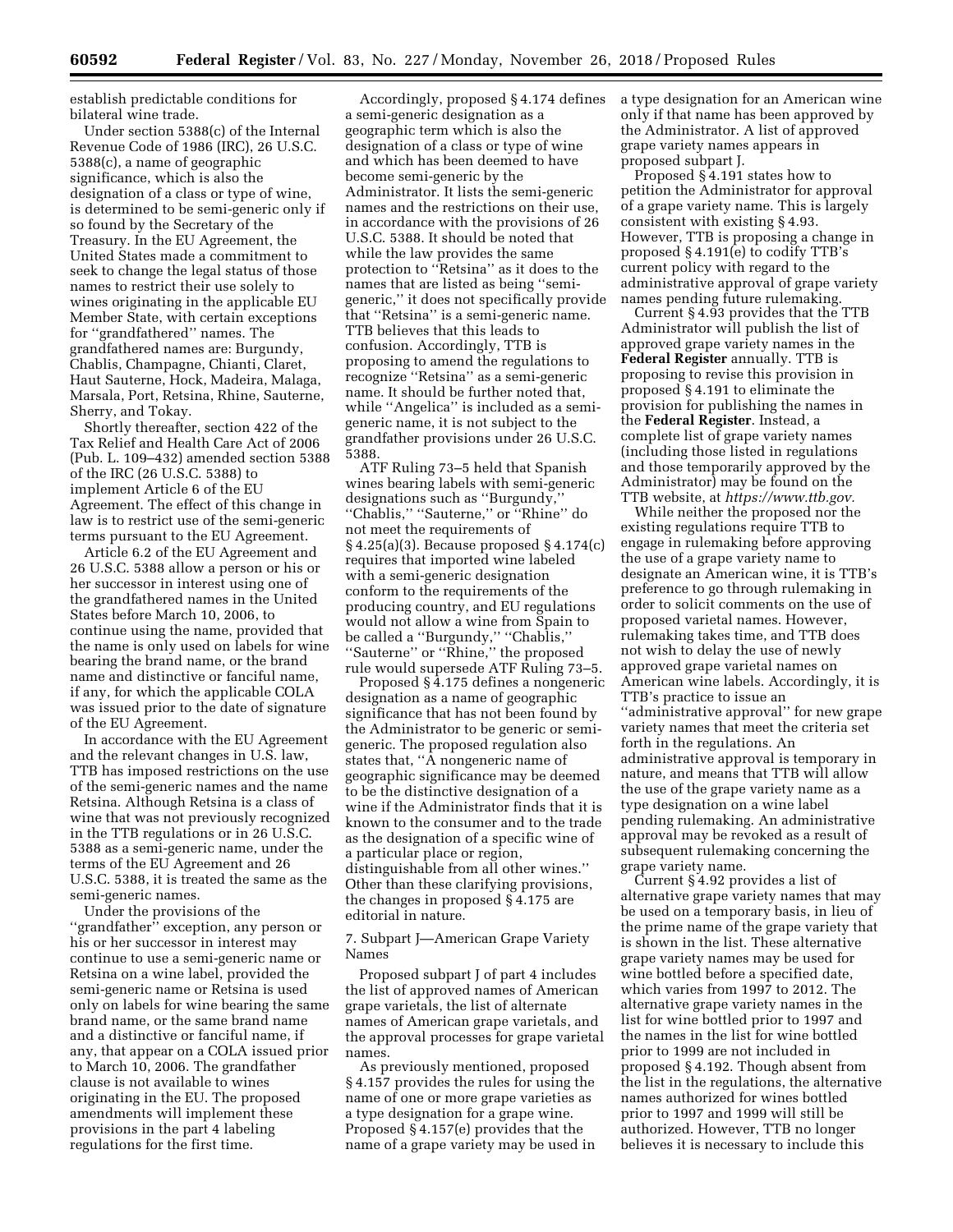establish predictable conditions for bilateral wine trade.

Under section 5388(c) of the Internal Revenue Code of 1986 (IRC), 26 U.S.C. 5388(c), a name of geographic significance, which is also the designation of a class or type of wine, is determined to be semi-generic only if so found by the Secretary of the Treasury. In the EU Agreement, the United States made a commitment to seek to change the legal status of those names to restrict their use solely to wines originating in the applicable EU Member State, with certain exceptions for ''grandfathered'' names. The grandfathered names are: Burgundy, Chablis, Champagne, Chianti, Claret, Haut Sauterne, Hock, Madeira, Malaga, Marsala, Port, Retsina, Rhine, Sauterne, Sherry, and Tokay.

Shortly thereafter, section 422 of the Tax Relief and Health Care Act of 2006 (Pub. L. 109–432) amended section 5388 of the IRC (26 U.S.C. 5388) to implement Article 6 of the EU Agreement. The effect of this change in law is to restrict use of the semi-generic terms pursuant to the EU Agreement.

Article 6.2 of the EU Agreement and 26 U.S.C. 5388 allow a person or his or her successor in interest using one of the grandfathered names in the United States before March 10, 2006, to continue using the name, provided that the name is only used on labels for wine bearing the brand name, or the brand name and distinctive or fanciful name, if any, for which the applicable COLA was issued prior to the date of signature of the EU Agreement.

In accordance with the EU Agreement and the relevant changes in U.S. law, TTB has imposed restrictions on the use of the semi-generic names and the name Retsina. Although Retsina is a class of wine that was not previously recognized in the TTB regulations or in 26 U.S.C. 5388 as a semi-generic name, under the terms of the EU Agreement and 26 U.S.C. 5388, it is treated the same as the semi-generic names.

Under the provisions of the ''grandfather'' exception, any person or his or her successor in interest may continue to use a semi-generic name or Retsina on a wine label, provided the semi-generic name or Retsina is used only on labels for wine bearing the same brand name, or the same brand name and a distinctive or fanciful name, if any, that appear on a COLA issued prior to March 10, 2006. The grandfather clause is not available to wines originating in the EU. The proposed amendments will implement these provisions in the part 4 labeling regulations for the first time.

Accordingly, proposed § 4.174 defines a semi-generic designation as a geographic term which is also the designation of a class or type of wine and which has been deemed to have become semi-generic by the Administrator. It lists the semi-generic names and the restrictions on their use, in accordance with the provisions of 26 U.S.C. 5388. It should be noted that while the law provides the same protection to ''Retsina'' as it does to the names that are listed as being ''semigeneric,'' it does not specifically provide that ''Retsina'' is a semi-generic name. TTB believes that this leads to confusion. Accordingly, TTB is proposing to amend the regulations to recognize ''Retsina'' as a semi-generic name. It should be further noted that, while ''Angelica'' is included as a semigeneric name, it is not subject to the grandfather provisions under 26 U.S.C. 5388.

ATF Ruling 73–5 held that Spanish wines bearing labels with semi-generic designations such as ''Burgundy,'' ''Chablis,'' ''Sauterne,'' or ''Rhine'' do not meet the requirements of § 4.25(a)(3). Because proposed § 4.174(c) requires that imported wine labeled with a semi-generic designation conform to the requirements of the producing country, and EU regulations would not allow a wine from Spain to be called a ''Burgundy,'' ''Chablis,'' ''Sauterne'' or ''Rhine,'' the proposed rule would supersede ATF Ruling 73–5.

Proposed § 4.175 defines a nongeneric designation as a name of geographic significance that has not been found by the Administrator to be generic or semigeneric. The proposed regulation also states that, ''A nongeneric name of geographic significance may be deemed to be the distinctive designation of a wine if the Administrator finds that it is known to the consumer and to the trade as the designation of a specific wine of a particular place or region, distinguishable from all other wines.'' Other than these clarifying provisions, the changes in proposed § 4.175 are editorial in nature.

7. Subpart J—American Grape Variety Names

Proposed subpart J of part 4 includes the list of approved names of American grape varietals, the list of alternate names of American grape varietals, and the approval processes for grape varietal names.

As previously mentioned, proposed § 4.157 provides the rules for using the name of one or more grape varieties as a type designation for a grape wine. Proposed § 4.157(e) provides that the name of a grape variety may be used in a type designation for an American wine only if that name has been approved by the Administrator. A list of approved grape variety names appears in proposed subpart J.

Proposed § 4.191 states how to petition the Administrator for approval of a grape variety name. This is largely consistent with existing § 4.93. However, TTB is proposing a change in proposed § 4.191(e) to codify TTB's current policy with regard to the administrative approval of grape variety names pending future rulemaking.

Current § 4.93 provides that the TTB Administrator will publish the list of approved grape variety names in the **Federal Register** annually. TTB is proposing to revise this provision in proposed § 4.191 to eliminate the provision for publishing the names in the **Federal Register**. Instead, a complete list of grape variety names (including those listed in regulations and those temporarily approved by the Administrator) may be found on the TTB website, at *[https://www.ttb.gov.](https://www.ttb.gov)* 

While neither the proposed nor the existing regulations require TTB to engage in rulemaking before approving the use of a grape variety name to designate an American wine, it is TTB's preference to go through rulemaking in order to solicit comments on the use of proposed varietal names. However, rulemaking takes time, and TTB does not wish to delay the use of newly approved grape varietal names on American wine labels. Accordingly, it is TTB's practice to issue an ''administrative approval'' for new grape variety names that meet the criteria set forth in the regulations. An administrative approval is temporary in nature, and means that TTB will allow the use of the grape variety name as a type designation on a wine label pending rulemaking. An administrative approval may be revoked as a result of subsequent rulemaking concerning the grape variety name.

Current § 4.92 provides a list of alternative grape variety names that may be used on a temporary basis, in lieu of the prime name of the grape variety that is shown in the list. These alternative grape variety names may be used for wine bottled before a specified date, which varies from 1997 to 2012. The alternative grape variety names in the list for wine bottled prior to 1997 and the names in the list for wine bottled prior to 1999 are not included in proposed § 4.192. Though absent from the list in the regulations, the alternative names authorized for wines bottled prior to 1997 and 1999 will still be authorized. However, TTB no longer believes it is necessary to include this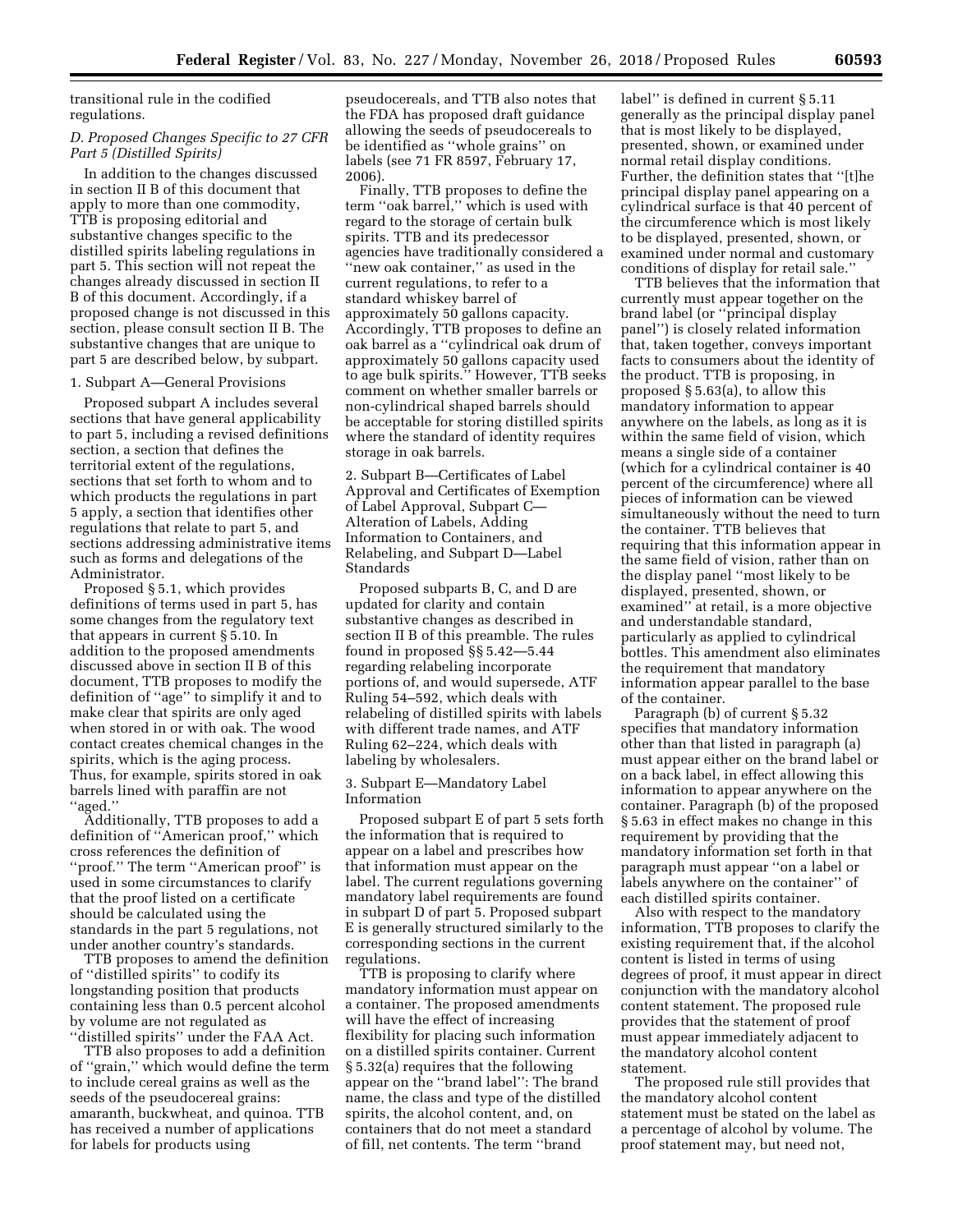transitional rule in the codified regulations.

# *D. Proposed Changes Specific to 27 CFR Part 5 (Distilled Spirits)*

In addition to the changes discussed in section II B of this document that apply to more than one commodity, TTB is proposing editorial and substantive changes specific to the distilled spirits labeling regulations in part 5. This section will not repeat the changes already discussed in section II B of this document. Accordingly, if a proposed change is not discussed in this section, please consult section II B. The substantive changes that are unique to part 5 are described below, by subpart.

### 1. Subpart A—General Provisions

Proposed subpart A includes several sections that have general applicability to part 5, including a revised definitions section, a section that defines the territorial extent of the regulations, sections that set forth to whom and to which products the regulations in part 5 apply, a section that identifies other regulations that relate to part 5, and sections addressing administrative items such as forms and delegations of the Administrator.

Proposed § 5.1, which provides definitions of terms used in part 5, has some changes from the regulatory text that appears in current § 5.10. In addition to the proposed amendments discussed above in section II B of this document, TTB proposes to modify the definition of ''age'' to simplify it and to make clear that spirits are only aged when stored in or with oak. The wood contact creates chemical changes in the spirits, which is the aging process. Thus, for example, spirits stored in oak barrels lined with paraffin are not ''aged.''

Additionally, TTB proposes to add a definition of ''American proof,'' which cross references the definition of "proof." The term "American proof" is used in some circumstances to clarify that the proof listed on a certificate should be calculated using the standards in the part 5 regulations, not under another country's standards.

TTB proposes to amend the definition of ''distilled spirits'' to codify its longstanding position that products containing less than 0.5 percent alcohol by volume are not regulated as ''distilled spirits'' under the FAA Act.

TTB also proposes to add a definition of ''grain,'' which would define the term to include cereal grains as well as the seeds of the pseudocereal grains: amaranth, buckwheat, and quinoa. TTB has received a number of applications for labels for products using

pseudocereals, and TTB also notes that the FDA has proposed draft guidance allowing the seeds of pseudocereals to be identified as ''whole grains'' on labels (see 71 FR 8597, February 17, 2006).

Finally, TTB proposes to define the term ''oak barrel,'' which is used with regard to the storage of certain bulk spirits. TTB and its predecessor agencies have traditionally considered a ''new oak container,'' as used in the current regulations, to refer to a standard whiskey barrel of approximately 50 gallons capacity. Accordingly, TTB proposes to define an oak barrel as a ''cylindrical oak drum of approximately 50 gallons capacity used to age bulk spirits.'' However, TTB seeks comment on whether smaller barrels or non-cylindrical shaped barrels should be acceptable for storing distilled spirits where the standard of identity requires storage in oak barrels.

2. Subpart B—Certificates of Label Approval and Certificates of Exemption of Label Approval, Subpart C— Alteration of Labels, Adding Information to Containers, and Relabeling, and Subpart D—Label Standards

Proposed subparts B, C, and D are updated for clarity and contain substantive changes as described in section II B of this preamble. The rules found in proposed §§ 5.42—5.44 regarding relabeling incorporate portions of, and would supersede, ATF Ruling 54–592, which deals with relabeling of distilled spirits with labels with different trade names, and ATF Ruling 62–224, which deals with labeling by wholesalers.

3. Subpart E—Mandatory Label Information

Proposed subpart E of part 5 sets forth the information that is required to appear on a label and prescribes how that information must appear on the label. The current regulations governing mandatory label requirements are found in subpart D of part 5. Proposed subpart E is generally structured similarly to the corresponding sections in the current regulations.

TTB is proposing to clarify where mandatory information must appear on a container. The proposed amendments will have the effect of increasing flexibility for placing such information on a distilled spirits container. Current § 5.32(a) requires that the following appear on the ''brand label'': The brand name, the class and type of the distilled spirits, the alcohol content, and, on containers that do not meet a standard of fill, net contents. The term ''brand

label'' is defined in current § 5.11 generally as the principal display panel that is most likely to be displayed, presented, shown, or examined under normal retail display conditions. Further, the definition states that ''[t]he principal display panel appearing on a cylindrical surface is that 40 percent of the circumference which is most likely to be displayed, presented, shown, or examined under normal and customary conditions of display for retail sale.''

TTB believes that the information that currently must appear together on the brand label (or ''principal display panel'') is closely related information that, taken together, conveys important facts to consumers about the identity of the product. TTB is proposing, in proposed § 5.63(a), to allow this mandatory information to appear anywhere on the labels, as long as it is within the same field of vision, which means a single side of a container (which for a cylindrical container is 40 percent of the circumference) where all pieces of information can be viewed simultaneously without the need to turn the container. TTB believes that requiring that this information appear in the same field of vision, rather than on the display panel ''most likely to be displayed, presented, shown, or examined'' at retail, is a more objective and understandable standard, particularly as applied to cylindrical bottles. This amendment also eliminates the requirement that mandatory information appear parallel to the base of the container.

Paragraph (b) of current § 5.32 specifies that mandatory information other than that listed in paragraph (a) must appear either on the brand label or on a back label, in effect allowing this information to appear anywhere on the container. Paragraph (b) of the proposed § 5.63 in effect makes no change in this requirement by providing that the mandatory information set forth in that paragraph must appear ''on a label or labels anywhere on the container'' of each distilled spirits container.

Also with respect to the mandatory information, TTB proposes to clarify the existing requirement that, if the alcohol content is listed in terms of using degrees of proof, it must appear in direct conjunction with the mandatory alcohol content statement. The proposed rule provides that the statement of proof must appear immediately adjacent to the mandatory alcohol content statement.

The proposed rule still provides that the mandatory alcohol content statement must be stated on the label as a percentage of alcohol by volume. The proof statement may, but need not,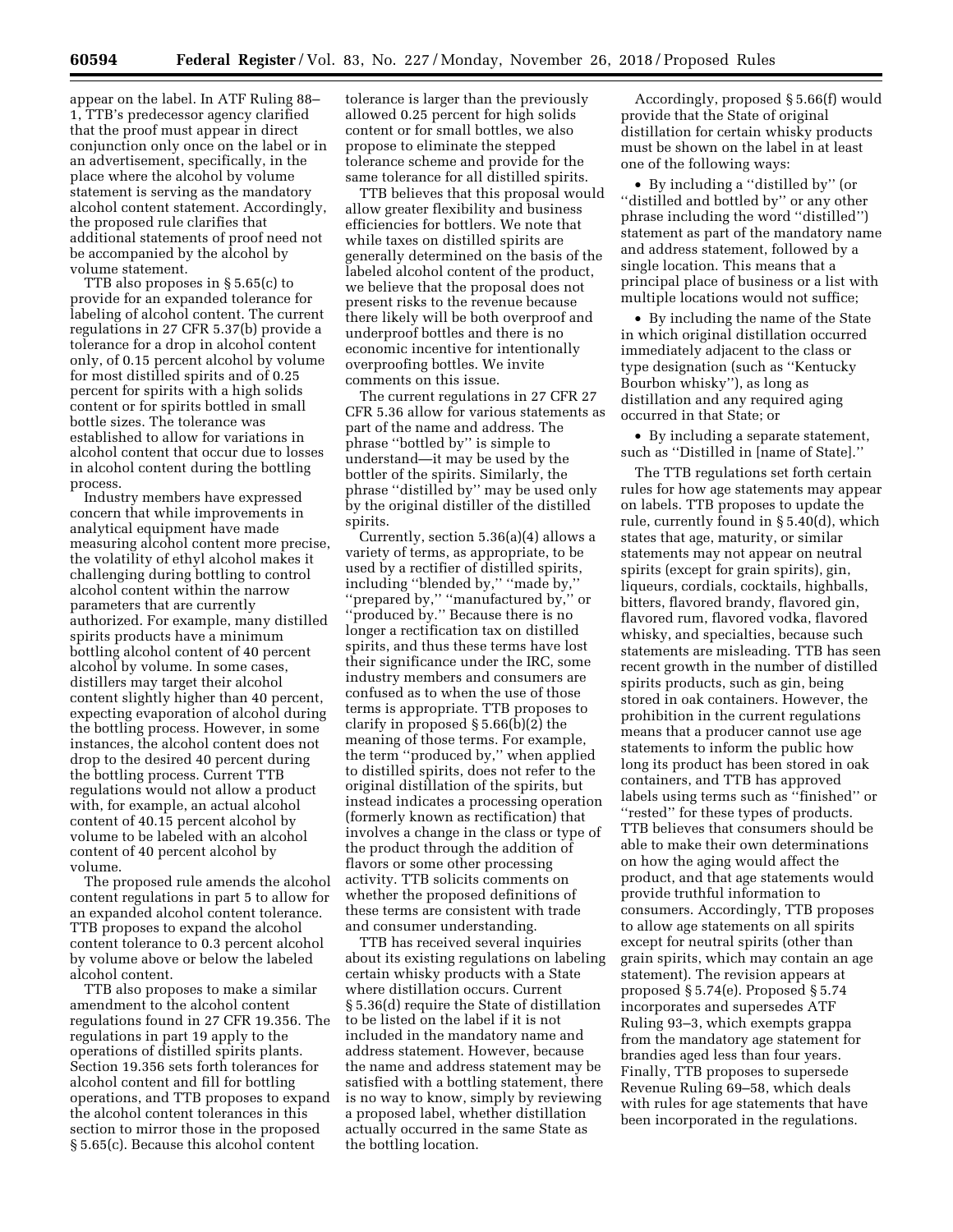appear on the label. In ATF Ruling 88– 1, TTB's predecessor agency clarified that the proof must appear in direct conjunction only once on the label or in an advertisement, specifically, in the place where the alcohol by volume statement is serving as the mandatory alcohol content statement. Accordingly, the proposed rule clarifies that additional statements of proof need not be accompanied by the alcohol by volume statement.

TTB also proposes in § 5.65(c) to provide for an expanded tolerance for labeling of alcohol content. The current regulations in 27 CFR 5.37(b) provide a tolerance for a drop in alcohol content only, of 0.15 percent alcohol by volume for most distilled spirits and of 0.25 percent for spirits with a high solids content or for spirits bottled in small bottle sizes. The tolerance was established to allow for variations in alcohol content that occur due to losses in alcohol content during the bottling process.

Industry members have expressed concern that while improvements in analytical equipment have made measuring alcohol content more precise, the volatility of ethyl alcohol makes it challenging during bottling to control alcohol content within the narrow parameters that are currently authorized. For example, many distilled spirits products have a minimum bottling alcohol content of 40 percent alcohol by volume. In some cases, distillers may target their alcohol content slightly higher than 40 percent, expecting evaporation of alcohol during the bottling process. However, in some instances, the alcohol content does not drop to the desired 40 percent during the bottling process. Current TTB regulations would not allow a product with, for example, an actual alcohol content of 40.15 percent alcohol by volume to be labeled with an alcohol content of 40 percent alcohol by volume.

The proposed rule amends the alcohol content regulations in part 5 to allow for an expanded alcohol content tolerance. TTB proposes to expand the alcohol content tolerance to 0.3 percent alcohol by volume above or below the labeled alcohol content.

TTB also proposes to make a similar amendment to the alcohol content regulations found in 27 CFR 19.356. The regulations in part 19 apply to the operations of distilled spirits plants. Section 19.356 sets forth tolerances for alcohol content and fill for bottling operations, and TTB proposes to expand the alcohol content tolerances in this section to mirror those in the proposed § 5.65(c). Because this alcohol content

tolerance is larger than the previously allowed 0.25 percent for high solids content or for small bottles, we also propose to eliminate the stepped tolerance scheme and provide for the same tolerance for all distilled spirits.

TTB believes that this proposal would allow greater flexibility and business efficiencies for bottlers. We note that while taxes on distilled spirits are generally determined on the basis of the labeled alcohol content of the product, we believe that the proposal does not present risks to the revenue because there likely will be both overproof and underproof bottles and there is no economic incentive for intentionally overproofing bottles. We invite comments on this issue.

The current regulations in 27 CFR 27 CFR 5.36 allow for various statements as part of the name and address. The phrase ''bottled by'' is simple to understand—it may be used by the bottler of the spirits. Similarly, the phrase ''distilled by'' may be used only by the original distiller of the distilled spirits.

Currently, section 5.36(a)(4) allows a variety of terms, as appropriate, to be used by a rectifier of distilled spirits, including ''blended by,'' ''made by,'' ''prepared by,'' ''manufactured by,'' or ''produced by.'' Because there is no longer a rectification tax on distilled spirits, and thus these terms have lost their significance under the IRC, some industry members and consumers are confused as to when the use of those terms is appropriate. TTB proposes to clarify in proposed § 5.66(b)(2) the meaning of those terms. For example, the term ''produced by,'' when applied to distilled spirits, does not refer to the original distillation of the spirits, but instead indicates a processing operation (formerly known as rectification) that involves a change in the class or type of the product through the addition of flavors or some other processing activity. TTB solicits comments on whether the proposed definitions of these terms are consistent with trade and consumer understanding.

TTB has received several inquiries about its existing regulations on labeling certain whisky products with a State where distillation occurs. Current § 5.36(d) require the State of distillation to be listed on the label if it is not included in the mandatory name and address statement. However, because the name and address statement may be satisfied with a bottling statement, there is no way to know, simply by reviewing a proposed label, whether distillation actually occurred in the same State as the bottling location.

Accordingly, proposed § 5.66(f) would provide that the State of original distillation for certain whisky products must be shown on the label in at least one of the following ways:

• By including a ''distilled by'' (or ''distilled and bottled by'' or any other phrase including the word ''distilled'') statement as part of the mandatory name and address statement, followed by a single location. This means that a principal place of business or a list with multiple locations would not suffice;

• By including the name of the State in which original distillation occurred immediately adjacent to the class or type designation (such as ''Kentucky Bourbon whisky''), as long as distillation and any required aging occurred in that State; or

• By including a separate statement, such as ''Distilled in [name of State].''

The TTB regulations set forth certain rules for how age statements may appear on labels. TTB proposes to update the rule, currently found in § 5.40(d), which states that age, maturity, or similar statements may not appear on neutral spirits (except for grain spirits), gin, liqueurs, cordials, cocktails, highballs, bitters, flavored brandy, flavored gin, flavored rum, flavored vodka, flavored whisky, and specialties, because such statements are misleading. TTB has seen recent growth in the number of distilled spirits products, such as gin, being stored in oak containers. However, the prohibition in the current regulations means that a producer cannot use age statements to inform the public how long its product has been stored in oak containers, and TTB has approved labels using terms such as ''finished'' or ''rested'' for these types of products. TTB believes that consumers should be able to make their own determinations on how the aging would affect the product, and that age statements would provide truthful information to consumers. Accordingly, TTB proposes to allow age statements on all spirits except for neutral spirits (other than grain spirits, which may contain an age statement). The revision appears at proposed § 5.74(e). Proposed § 5.74 incorporates and supersedes ATF Ruling 93–3, which exempts grappa from the mandatory age statement for brandies aged less than four years. Finally, TTB proposes to supersede Revenue Ruling 69–58, which deals with rules for age statements that have been incorporated in the regulations.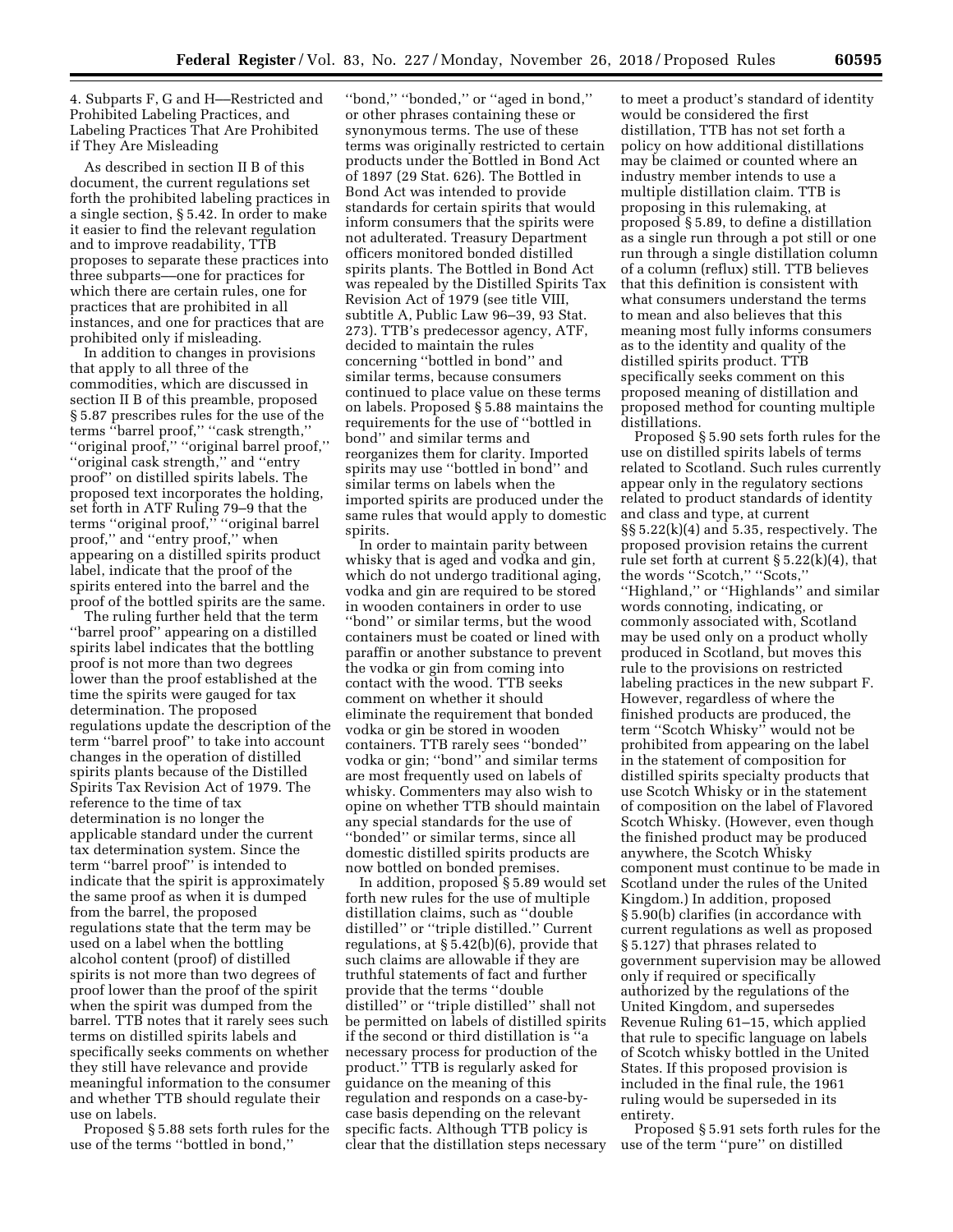4. Subparts F, G and H––Restricted and Prohibited Labeling Practices, and Labeling Practices That Are Prohibited if They Are Misleading

As described in section II B of this document, the current regulations set forth the prohibited labeling practices in a single section, § 5.42. In order to make it easier to find the relevant regulation and to improve readability, TTB proposes to separate these practices into three subparts––one for practices for which there are certain rules, one for practices that are prohibited in all instances, and one for practices that are prohibited only if misleading.

In addition to changes in provisions that apply to all three of the commodities, which are discussed in section II B of this preamble, proposed § 5.87 prescribes rules for the use of the terms ''barrel proof,'' ''cask strength,'' ''original proof,'' ''original barrel proof,'' ''original cask strength,'' and ''entry proof'' on distilled spirits labels. The proposed text incorporates the holding, set forth in ATF Ruling 79–9 that the terms ''original proof,'' ''original barrel proof,'' and ''entry proof,'' when appearing on a distilled spirits product label, indicate that the proof of the spirits entered into the barrel and the proof of the bottled spirits are the same.

The ruling further held that the term ''barrel proof'' appearing on a distilled spirits label indicates that the bottling proof is not more than two degrees lower than the proof established at the time the spirits were gauged for tax determination. The proposed regulations update the description of the term ''barrel proof'' to take into account changes in the operation of distilled spirits plants because of the Distilled Spirits Tax Revision Act of 1979. The reference to the time of tax determination is no longer the applicable standard under the current tax determination system. Since the term ''barrel proof'' is intended to indicate that the spirit is approximately the same proof as when it is dumped from the barrel, the proposed regulations state that the term may be used on a label when the bottling alcohol content (proof) of distilled spirits is not more than two degrees of proof lower than the proof of the spirit when the spirit was dumped from the barrel. TTB notes that it rarely sees such terms on distilled spirits labels and specifically seeks comments on whether they still have relevance and provide meaningful information to the consumer and whether TTB should regulate their use on labels.

Proposed § 5.88 sets forth rules for the use of the terms ''bottled in bond,''

''bond,'' ''bonded,'' or ''aged in bond,'' or other phrases containing these or synonymous terms. The use of these terms was originally restricted to certain products under the Bottled in Bond Act of 1897 (29 Stat. 626). The Bottled in Bond Act was intended to provide standards for certain spirits that would inform consumers that the spirits were not adulterated. Treasury Department officers monitored bonded distilled spirits plants. The Bottled in Bond Act was repealed by the Distilled Spirits Tax Revision Act of 1979 (see title VIII, subtitle A, Public Law 96–39, 93 Stat. 273). TTB's predecessor agency, ATF, decided to maintain the rules concerning ''bottled in bond'' and similar terms, because consumers continued to place value on these terms on labels. Proposed § 5.88 maintains the requirements for the use of ''bottled in bond'' and similar terms and reorganizes them for clarity. Imported spirits may use ''bottled in bond'' and similar terms on labels when the imported spirits are produced under the same rules that would apply to domestic spirits.

In order to maintain parity between whisky that is aged and vodka and gin, which do not undergo traditional aging, vodka and gin are required to be stored in wooden containers in order to use ''bond'' or similar terms, but the wood containers must be coated or lined with paraffin or another substance to prevent the vodka or gin from coming into contact with the wood. TTB seeks comment on whether it should eliminate the requirement that bonded vodka or gin be stored in wooden containers. TTB rarely sees ''bonded'' vodka or gin; ''bond'' and similar terms are most frequently used on labels of whisky. Commenters may also wish to opine on whether TTB should maintain any special standards for the use of ''bonded'' or similar terms, since all domestic distilled spirits products are now bottled on bonded premises.

In addition, proposed § 5.89 would set forth new rules for the use of multiple distillation claims, such as ''double distilled'' or ''triple distilled.'' Current regulations, at § 5.42(b)(6), provide that such claims are allowable if they are truthful statements of fact and further provide that the terms ''double distilled'' or ''triple distilled'' shall not be permitted on labels of distilled spirits if the second or third distillation is ''a necessary process for production of the product.'' TTB is regularly asked for guidance on the meaning of this regulation and responds on a case-bycase basis depending on the relevant specific facts. Although TTB policy is clear that the distillation steps necessary

to meet a product's standard of identity would be considered the first distillation, TTB has not set forth a policy on how additional distillations may be claimed or counted where an industry member intends to use a multiple distillation claim. TTB is proposing in this rulemaking, at proposed § 5.89, to define a distillation as a single run through a pot still or one run through a single distillation column of a column (reflux) still. TTB believes that this definition is consistent with what consumers understand the terms to mean and also believes that this meaning most fully informs consumers as to the identity and quality of the distilled spirits product. TTB specifically seeks comment on this proposed meaning of distillation and proposed method for counting multiple distillations.

Proposed § 5.90 sets forth rules for the use on distilled spirits labels of terms related to Scotland. Such rules currently appear only in the regulatory sections related to product standards of identity and class and type, at current  $\S$ § 5.22(k)(4) and 5.35, respectively. The proposed provision retains the current rule set forth at current  $\S 5.22(k)(4)$ , that the words ''Scotch,'' ''Scots,'' ''Highland,'' or ''Highlands'' and similar words connoting, indicating, or commonly associated with, Scotland may be used only on a product wholly produced in Scotland, but moves this rule to the provisions on restricted labeling practices in the new subpart F. However, regardless of where the finished products are produced, the term ''Scotch Whisky'' would not be prohibited from appearing on the label in the statement of composition for distilled spirits specialty products that use Scotch Whisky or in the statement of composition on the label of Flavored Scotch Whisky. (However, even though the finished product may be produced anywhere, the Scotch Whisky component must continue to be made in Scotland under the rules of the United Kingdom.) In addition, proposed § 5.90(b) clarifies (in accordance with current regulations as well as proposed § 5.127) that phrases related to government supervision may be allowed only if required or specifically authorized by the regulations of the United Kingdom, and supersedes Revenue Ruling 61–15, which applied that rule to specific language on labels of Scotch whisky bottled in the United States. If this proposed provision is included in the final rule, the 1961 ruling would be superseded in its entirety.

Proposed § 5.91 sets forth rules for the use of the term ''pure'' on distilled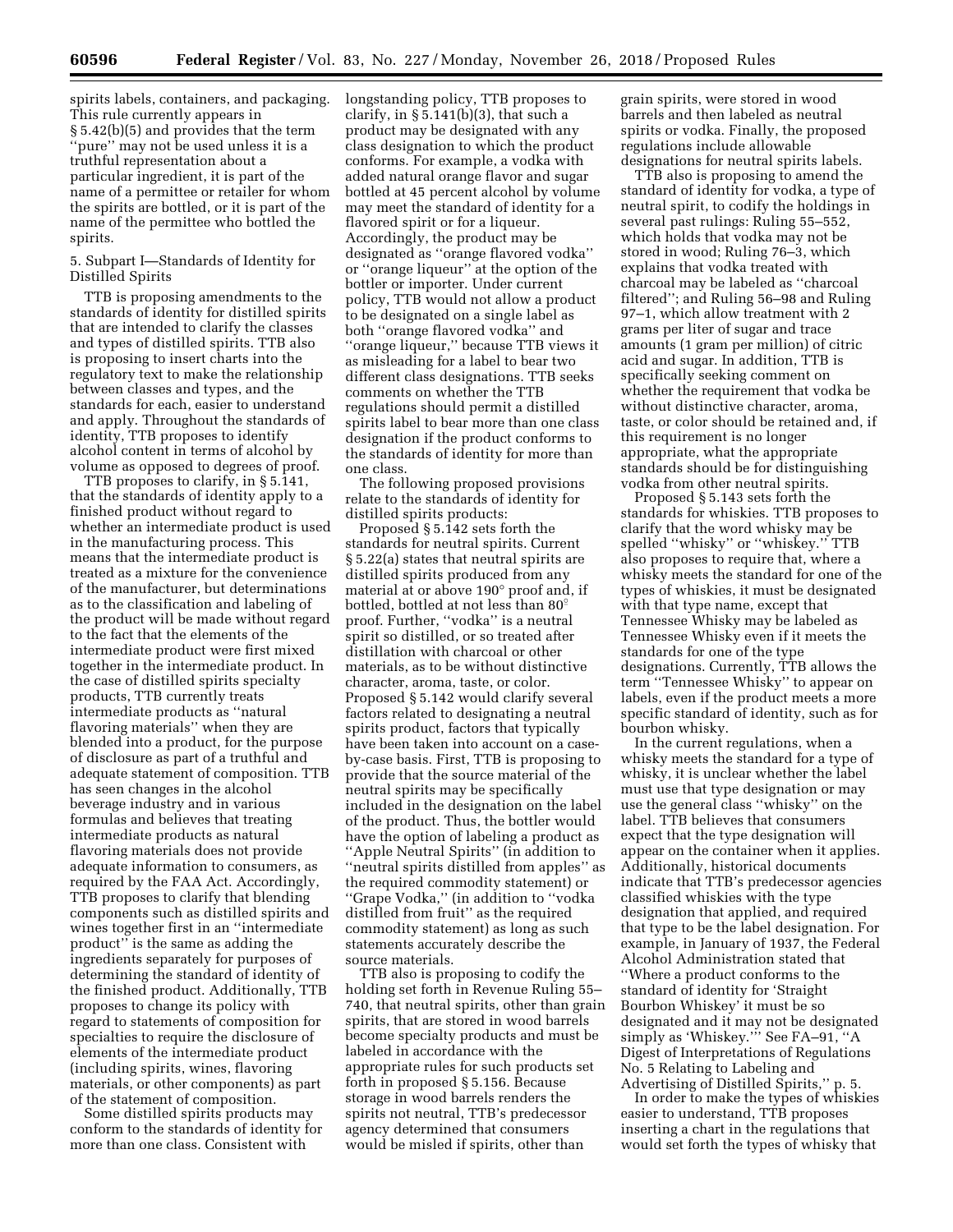spirits labels, containers, and packaging. This rule currently appears in § 5.42(b)(5) and provides that the term 'pure'' may not be used unless it is a truthful representation about a particular ingredient, it is part of the name of a permittee or retailer for whom the spirits are bottled, or it is part of the name of the permittee who bottled the spirits.

5. Subpart I—Standards of Identity for Distilled Spirits

TTB is proposing amendments to the standards of identity for distilled spirits that are intended to clarify the classes and types of distilled spirits. TTB also is proposing to insert charts into the regulatory text to make the relationship between classes and types, and the standards for each, easier to understand and apply. Throughout the standards of identity, TTB proposes to identify alcohol content in terms of alcohol by volume as opposed to degrees of proof.

TTB proposes to clarify, in § 5.141, that the standards of identity apply to a finished product without regard to whether an intermediate product is used in the manufacturing process. This means that the intermediate product is treated as a mixture for the convenience of the manufacturer, but determinations as to the classification and labeling of the product will be made without regard to the fact that the elements of the intermediate product were first mixed together in the intermediate product. In the case of distilled spirits specialty products, TTB currently treats intermediate products as ''natural flavoring materials'' when they are blended into a product, for the purpose of disclosure as part of a truthful and adequate statement of composition. TTB has seen changes in the alcohol beverage industry and in various formulas and believes that treating intermediate products as natural flavoring materials does not provide adequate information to consumers, as required by the FAA Act. Accordingly, TTB proposes to clarify that blending components such as distilled spirits and wines together first in an ''intermediate product'' is the same as adding the ingredients separately for purposes of determining the standard of identity of the finished product. Additionally, TTB proposes to change its policy with regard to statements of composition for specialties to require the disclosure of elements of the intermediate product (including spirits, wines, flavoring materials, or other components) as part of the statement of composition.

Some distilled spirits products may conform to the standards of identity for more than one class. Consistent with

longstanding policy, TTB proposes to clarify, in  $\S 5.141(b)(3)$ , that such a product may be designated with any class designation to which the product conforms. For example, a vodka with added natural orange flavor and sugar bottled at 45 percent alcohol by volume may meet the standard of identity for a flavored spirit or for a liqueur. Accordingly, the product may be designated as ''orange flavored vodka'' or ''orange liqueur'' at the option of the bottler or importer. Under current policy, TTB would not allow a product to be designated on a single label as both ''orange flavored vodka'' and ''orange liqueur,'' because TTB views it as misleading for a label to bear two different class designations. TTB seeks comments on whether the TTB regulations should permit a distilled spirits label to bear more than one class designation if the product conforms to the standards of identity for more than one class.

The following proposed provisions relate to the standards of identity for distilled spirits products:

Proposed § 5.142 sets forth the standards for neutral spirits. Current § 5.22(a) states that neutral spirits are distilled spirits produced from any material at or above 190° proof and, if bottled, bottled at not less than 80 $\degree$ proof. Further, ''vodka'' is a neutral spirit so distilled, or so treated after distillation with charcoal or other materials, as to be without distinctive character, aroma, taste, or color. Proposed § 5.142 would clarify several factors related to designating a neutral spirits product, factors that typically have been taken into account on a caseby-case basis. First, TTB is proposing to provide that the source material of the neutral spirits may be specifically included in the designation on the label of the product. Thus, the bottler would have the option of labeling a product as ''Apple Neutral Spirits'' (in addition to ''neutral spirits distilled from apples'' as the required commodity statement) or ''Grape Vodka,'' (in addition to ''vodka distilled from fruit'' as the required commodity statement) as long as such statements accurately describe the source materials.

TTB also is proposing to codify the holding set forth in Revenue Ruling 55– 740, that neutral spirits, other than grain spirits, that are stored in wood barrels become specialty products and must be labeled in accordance with the appropriate rules for such products set forth in proposed § 5.156. Because storage in wood barrels renders the spirits not neutral, TTB's predecessor agency determined that consumers would be misled if spirits, other than

grain spirits, were stored in wood barrels and then labeled as neutral spirits or vodka. Finally, the proposed regulations include allowable designations for neutral spirits labels.

TTB also is proposing to amend the standard of identity for vodka, a type of neutral spirit, to codify the holdings in several past rulings: Ruling 55–552, which holds that vodka may not be stored in wood; Ruling 76–3, which explains that vodka treated with charcoal may be labeled as ''charcoal filtered''; and Ruling 56–98 and Ruling 97–1, which allow treatment with 2 grams per liter of sugar and trace amounts (1 gram per million) of citric acid and sugar. In addition, TTB is specifically seeking comment on whether the requirement that vodka be without distinctive character, aroma, taste, or color should be retained and, if this requirement is no longer appropriate, what the appropriate standards should be for distinguishing vodka from other neutral spirits.

Proposed § 5.143 sets forth the standards for whiskies. TTB proposes to clarify that the word whisky may be spelled ''whisky'' or ''whiskey.'' TTB also proposes to require that, where a whisky meets the standard for one of the types of whiskies, it must be designated with that type name, except that Tennessee Whisky may be labeled as Tennessee Whisky even if it meets the standards for one of the type designations. Currently, TTB allows the term ''Tennessee Whisky'' to appear on labels, even if the product meets a more specific standard of identity, such as for bourbon whisky.

In the current regulations, when a whisky meets the standard for a type of whisky, it is unclear whether the label must use that type designation or may use the general class ''whisky'' on the label. TTB believes that consumers expect that the type designation will appear on the container when it applies. Additionally, historical documents indicate that TTB's predecessor agencies classified whiskies with the type designation that applied, and required that type to be the label designation. For example, in January of 1937, the Federal Alcohol Administration stated that ''Where a product conforms to the standard of identity for 'Straight Bourbon Whiskey' it must be so designated and it may not be designated simply as 'Whiskey.''' See FA–91, ''A Digest of Interpretations of Regulations No. 5 Relating to Labeling and Advertising of Distilled Spirits,'' p. 5.

In order to make the types of whiskies easier to understand, TTB proposes inserting a chart in the regulations that would set forth the types of whisky that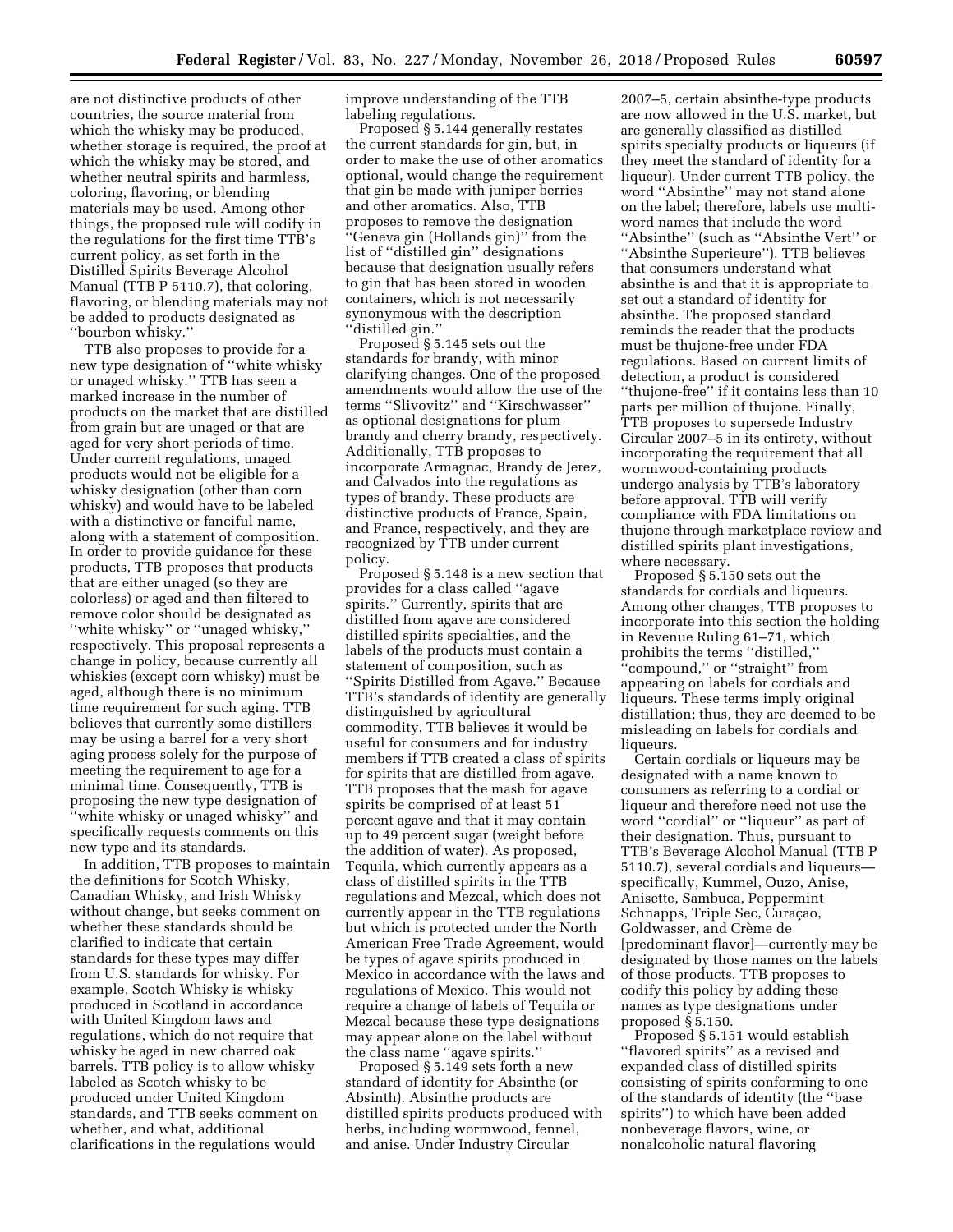are not distinctive products of other countries, the source material from which the whisky may be produced, whether storage is required, the proof at which the whisky may be stored, and whether neutral spirits and harmless, coloring, flavoring, or blending materials may be used. Among other things, the proposed rule will codify in the regulations for the first time TTB's current policy, as set forth in the Distilled Spirits Beverage Alcohol Manual (TTB P 5110.7), that coloring, flavoring, or blending materials may not be added to products designated as ''bourbon whisky.''

TTB also proposes to provide for a new type designation of ''white whisky or unaged whisky.'' TTB has seen a marked increase in the number of products on the market that are distilled from grain but are unaged or that are aged for very short periods of time. Under current regulations, unaged products would not be eligible for a whisky designation (other than corn whisky) and would have to be labeled with a distinctive or fanciful name, along with a statement of composition. In order to provide guidance for these products, TTB proposes that products that are either unaged (so they are colorless) or aged and then filtered to remove color should be designated as ''white whisky'' or ''unaged whisky,'' respectively. This proposal represents a change in policy, because currently all whiskies (except corn whisky) must be aged, although there is no minimum time requirement for such aging. TTB believes that currently some distillers may be using a barrel for a very short aging process solely for the purpose of meeting the requirement to age for a minimal time. Consequently, TTB is proposing the new type designation of ''white whisky or unaged whisky'' and specifically requests comments on this new type and its standards.

In addition, TTB proposes to maintain the definitions for Scotch Whisky, Canadian Whisky, and Irish Whisky without change, but seeks comment on whether these standards should be clarified to indicate that certain standards for these types may differ from U.S. standards for whisky. For example, Scotch Whisky is whisky produced in Scotland in accordance with United Kingdom laws and regulations, which do not require that whisky be aged in new charred oak barrels. TTB policy is to allow whisky labeled as Scotch whisky to be produced under United Kingdom standards, and TTB seeks comment on whether, and what, additional clarifications in the regulations would

improve understanding of the TTB labeling regulations.

Proposed § 5.144 generally restates the current standards for gin, but, in order to make the use of other aromatics optional, would change the requirement that gin be made with juniper berries and other aromatics. Also, TTB proposes to remove the designation ''Geneva gin (Hollands gin)'' from the list of ''distilled gin'' designations because that designation usually refers to gin that has been stored in wooden containers, which is not necessarily synonymous with the description ''distilled gin.''

Proposed § 5.145 sets out the standards for brandy, with minor clarifying changes. One of the proposed amendments would allow the use of the terms ''Slivovitz'' and ''Kirschwasser'' as optional designations for plum brandy and cherry brandy, respectively. Additionally, TTB proposes to incorporate Armagnac, Brandy de Jerez, and Calvados into the regulations as types of brandy. These products are distinctive products of France, Spain, and France, respectively, and they are recognized by TTB under current policy.

Proposed § 5.148 is a new section that provides for a class called ''agave spirits.'' Currently, spirits that are distilled from agave are considered distilled spirits specialties, and the labels of the products must contain a statement of composition, such as ''Spirits Distilled from Agave.'' Because TTB's standards of identity are generally distinguished by agricultural commodity, TTB believes it would be useful for consumers and for industry members if TTB created a class of spirits for spirits that are distilled from agave. TTB proposes that the mash for agave spirits be comprised of at least 51 percent agave and that it may contain up to 49 percent sugar (weight before the addition of water). As proposed, Tequila, which currently appears as a class of distilled spirits in the TTB regulations and Mezcal, which does not currently appear in the TTB regulations but which is protected under the North American Free Trade Agreement, would be types of agave spirits produced in Mexico in accordance with the laws and regulations of Mexico. This would not require a change of labels of Tequila or Mezcal because these type designations may appear alone on the label without the class name ''agave spirits.''

Proposed § 5.149 sets forth a new standard of identity for Absinthe (or Absinth). Absinthe products are distilled spirits products produced with herbs, including wormwood, fennel, and anise. Under Industry Circular

2007–5, certain absinthe-type products are now allowed in the U.S. market, but are generally classified as distilled spirits specialty products or liqueurs (if they meet the standard of identity for a liqueur). Under current TTB policy, the word ''Absinthe'' may not stand alone on the label; therefore, labels use multiword names that include the word ''Absinthe'' (such as ''Absinthe Vert'' or ''Absinthe Superieure''). TTB believes that consumers understand what absinthe is and that it is appropriate to set out a standard of identity for absinthe. The proposed standard reminds the reader that the products must be thujone-free under FDA regulations. Based on current limits of detection, a product is considered ''thujone-free'' if it contains less than 10 parts per million of thujone. Finally, TTB proposes to supersede Industry Circular 2007–5 in its entirety, without incorporating the requirement that all wormwood-containing products undergo analysis by TTB's laboratory before approval. TTB will verify compliance with FDA limitations on thujone through marketplace review and distilled spirits plant investigations, where necessary.

Proposed § 5.150 sets out the standards for cordials and liqueurs. Among other changes, TTB proposes to incorporate into this section the holding in Revenue Ruling 61–71, which prohibits the terms ''distilled,'' ''compound,'' or ''straight'' from appearing on labels for cordials and liqueurs. These terms imply original distillation; thus, they are deemed to be misleading on labels for cordials and liqueurs.

Certain cordials or liqueurs may be designated with a name known to consumers as referring to a cordial or liqueur and therefore need not use the word ''cordial'' or ''liqueur'' as part of their designation. Thus, pursuant to TTB's Beverage Alcohol Manual (TTB P 5110.7), several cordials and liqueurs specifically, Kummel, Ouzo, Anise, Anisette, Sambuca, Peppermint Schnapps, Triple Sec, Curaçao, Goldwasser, and Cre`me de [predominant flavor]—currently may be designated by those names on the labels of those products. TTB proposes to codify this policy by adding these names as type designations under proposed § 5.150.

Proposed § 5.151 would establish ''flavored spirits'' as a revised and expanded class of distilled spirits consisting of spirits conforming to one of the standards of identity (the ''base spirits'') to which have been added nonbeverage flavors, wine, or nonalcoholic natural flavoring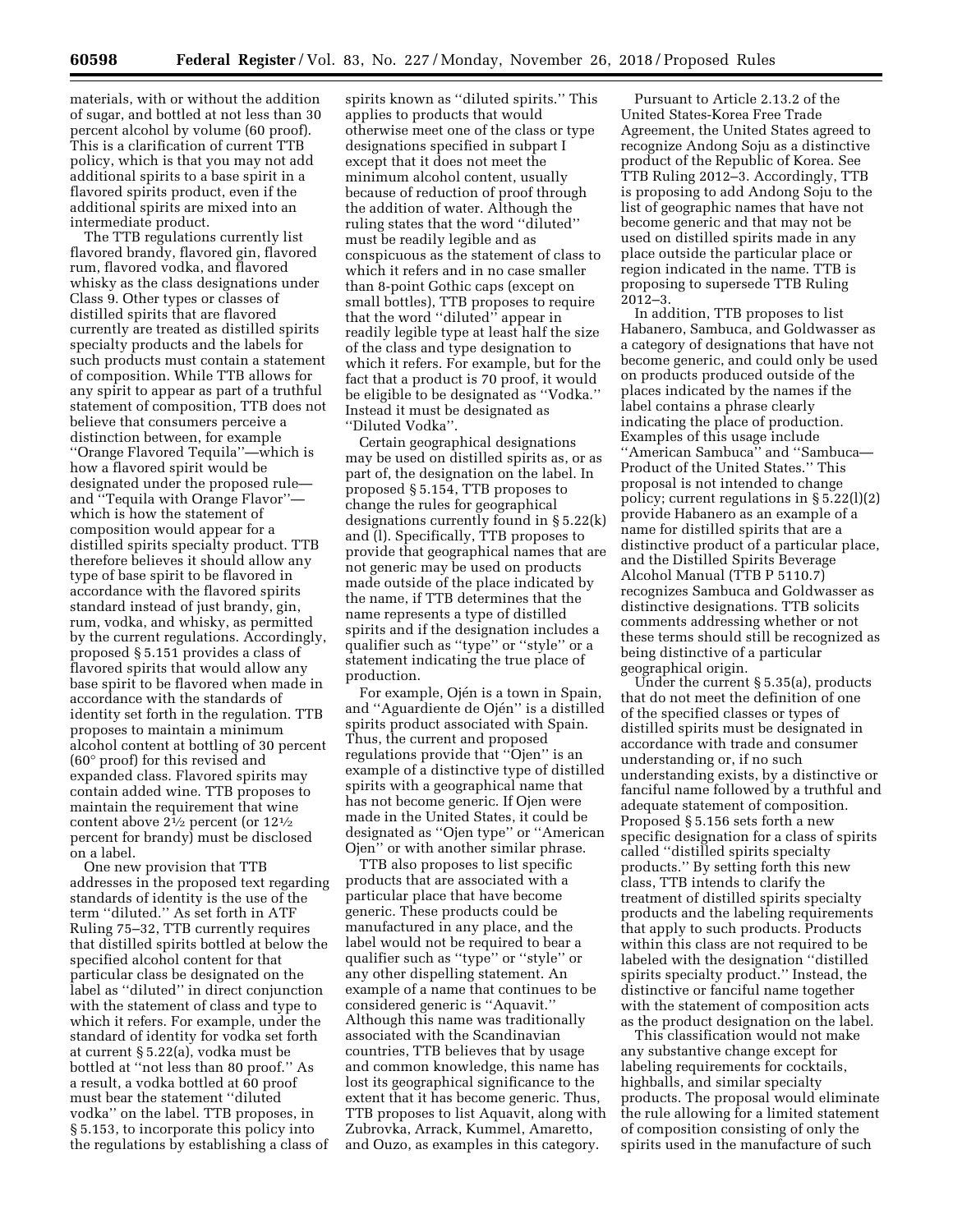materials, with or without the addition of sugar, and bottled at not less than 30 percent alcohol by volume (60 proof). This is a clarification of current TTB policy, which is that you may not add additional spirits to a base spirit in a flavored spirits product, even if the additional spirits are mixed into an intermediate product.

The TTB regulations currently list flavored brandy, flavored gin, flavored rum, flavored vodka, and flavored whisky as the class designations under Class 9. Other types or classes of distilled spirits that are flavored currently are treated as distilled spirits specialty products and the labels for such products must contain a statement of composition. While TTB allows for any spirit to appear as part of a truthful statement of composition, TTB does not believe that consumers perceive a distinction between, for example ''Orange Flavored Tequila''—which is how a flavored spirit would be designated under the proposed rule and ''Tequila with Orange Flavor'' which is how the statement of composition would appear for a distilled spirits specialty product. TTB therefore believes it should allow any type of base spirit to be flavored in accordance with the flavored spirits standard instead of just brandy, gin, rum, vodka, and whisky, as permitted by the current regulations. Accordingly, proposed § 5.151 provides a class of flavored spirits that would allow any base spirit to be flavored when made in accordance with the standards of identity set forth in the regulation. TTB proposes to maintain a minimum alcohol content at bottling of 30 percent (60° proof) for this revised and expanded class. Flavored spirits may contain added wine. TTB proposes to maintain the requirement that wine content above 21⁄2 percent (or 121⁄2 percent for brandy) must be disclosed on a label.

One new provision that TTB addresses in the proposed text regarding standards of identity is the use of the term ''diluted.'' As set forth in ATF Ruling 75–32, TTB currently requires that distilled spirits bottled at below the specified alcohol content for that particular class be designated on the label as ''diluted'' in direct conjunction with the statement of class and type to which it refers. For example, under the standard of identity for vodka set forth at current § 5.22(a), vodka must be bottled at ''not less than 80 proof.'' As a result, a vodka bottled at 60 proof must bear the statement ''diluted vodka'' on the label. TTB proposes, in § 5.153, to incorporate this policy into the regulations by establishing a class of

spirits known as ''diluted spirits.'' This applies to products that would otherwise meet one of the class or type designations specified in subpart I except that it does not meet the minimum alcohol content, usually because of reduction of proof through the addition of water. Although the ruling states that the word ''diluted'' must be readily legible and as conspicuous as the statement of class to which it refers and in no case smaller than 8-point Gothic caps (except on small bottles), TTB proposes to require that the word ''diluted'' appear in readily legible type at least half the size of the class and type designation to which it refers. For example, but for the fact that a product is 70 proof, it would be eligible to be designated as ''Vodka.'' Instead it must be designated as ''Diluted Vodka''.

Certain geographical designations may be used on distilled spirits as, or as part of, the designation on the label. In proposed § 5.154, TTB proposes to change the rules for geographical designations currently found in § 5.22(k) and (l). Specifically, TTB proposes to provide that geographical names that are not generic may be used on products made outside of the place indicated by the name, if TTB determines that the name represents a type of distilled spirits and if the designation includes a qualifier such as ''type'' or ''style'' or a statement indicating the true place of production.

For example, Ojén is a town in Spain, and "Aguardiente de Ojén" is a distilled spirits product associated with Spain. Thus, the current and proposed regulations provide that ''Ojen'' is an example of a distinctive type of distilled spirits with a geographical name that has not become generic. If Ojen were made in the United States, it could be designated as ''Ojen type'' or ''American Ojen'' or with another similar phrase.

TTB also proposes to list specific products that are associated with a particular place that have become generic. These products could be manufactured in any place, and the label would not be required to bear a qualifier such as ''type'' or ''style'' or any other dispelling statement. An example of a name that continues to be considered generic is ''Aquavit.'' Although this name was traditionally associated with the Scandinavian countries, TTB believes that by usage and common knowledge, this name has lost its geographical significance to the extent that it has become generic. Thus, TTB proposes to list Aquavit, along with Zubrovka, Arrack, Kummel, Amaretto, and Ouzo, as examples in this category.

Pursuant to Article 2.13.2 of the United States-Korea Free Trade Agreement, the United States agreed to recognize Andong Soju as a distinctive product of the Republic of Korea. See TTB Ruling 2012–3. Accordingly, TTB is proposing to add Andong Soju to the list of geographic names that have not become generic and that may not be used on distilled spirits made in any place outside the particular place or region indicated in the name. TTB is proposing to supersede TTB Ruling 2012–3.

In addition, TTB proposes to list Habanero, Sambuca, and Goldwasser as a category of designations that have not become generic, and could only be used on products produced outside of the places indicated by the names if the label contains a phrase clearly indicating the place of production. Examples of this usage include ''American Sambuca'' and ''Sambuca— Product of the United States.'' This proposal is not intended to change policy; current regulations in § 5.22(l)(2) provide Habanero as an example of a name for distilled spirits that are a distinctive product of a particular place, and the Distilled Spirits Beverage Alcohol Manual (TTB P 5110.7) recognizes Sambuca and Goldwasser as distinctive designations. TTB solicits comments addressing whether or not these terms should still be recognized as being distinctive of a particular geographical origin.

Under the current § 5.35(a), products that do not meet the definition of one of the specified classes or types of distilled spirits must be designated in accordance with trade and consumer understanding or, if no such understanding exists, by a distinctive or fanciful name followed by a truthful and adequate statement of composition. Proposed § 5.156 sets forth a new specific designation for a class of spirits called ''distilled spirits specialty products.'' By setting forth this new class, TTB intends to clarify the treatment of distilled spirits specialty products and the labeling requirements that apply to such products. Products within this class are not required to be labeled with the designation ''distilled spirits specialty product.'' Instead, the distinctive or fanciful name together with the statement of composition acts as the product designation on the label.

This classification would not make any substantive change except for labeling requirements for cocktails, highballs, and similar specialty products. The proposal would eliminate the rule allowing for a limited statement of composition consisting of only the spirits used in the manufacture of such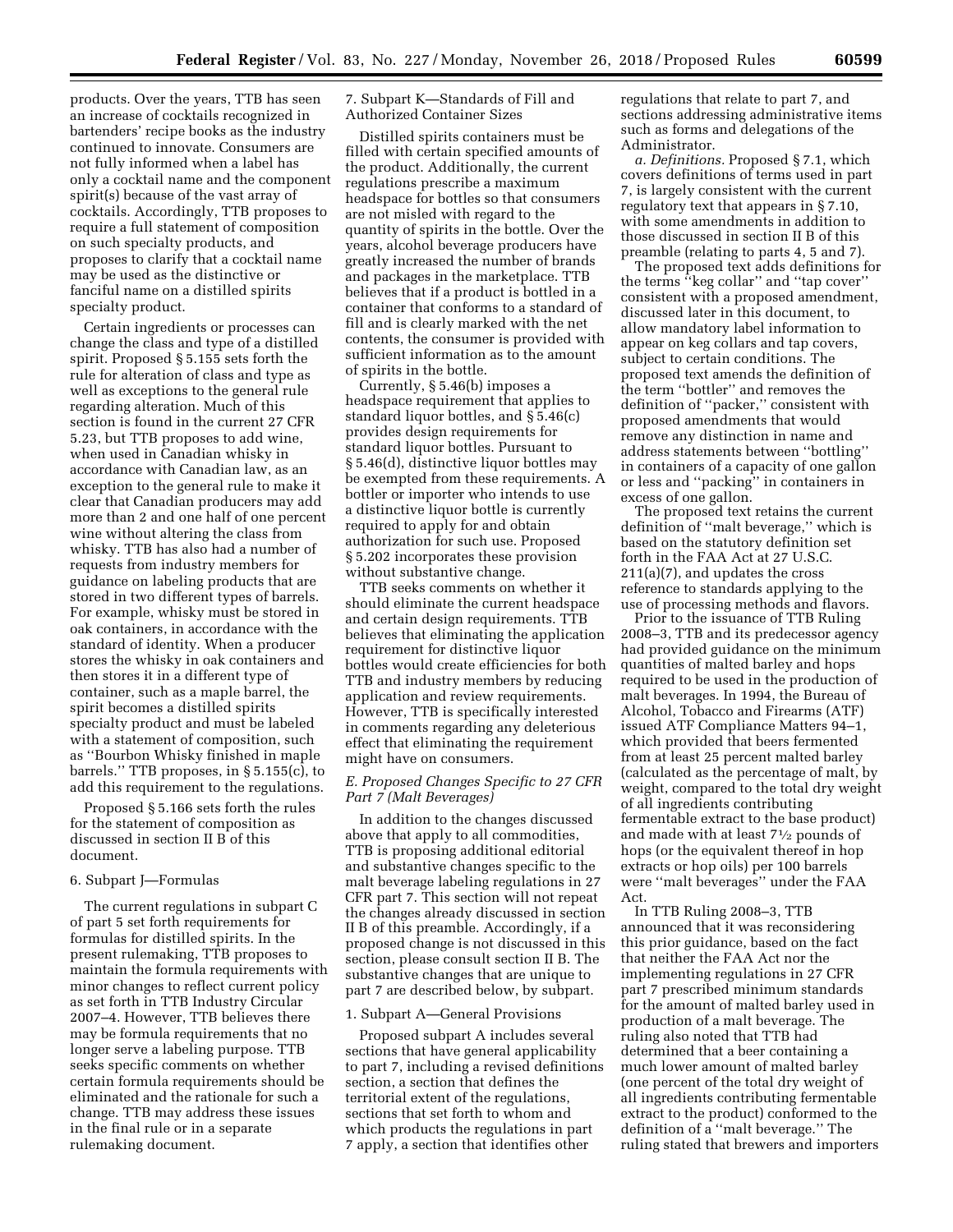products. Over the years, TTB has seen an increase of cocktails recognized in bartenders' recipe books as the industry continued to innovate. Consumers are not fully informed when a label has only a cocktail name and the component spirit(s) because of the vast array of cocktails. Accordingly, TTB proposes to require a full statement of composition on such specialty products, and proposes to clarify that a cocktail name may be used as the distinctive or fanciful name on a distilled spirits specialty product.

Certain ingredients or processes can change the class and type of a distilled spirit. Proposed § 5.155 sets forth the rule for alteration of class and type as well as exceptions to the general rule regarding alteration. Much of this section is found in the current 27 CFR 5.23, but TTB proposes to add wine, when used in Canadian whisky in accordance with Canadian law, as an exception to the general rule to make it clear that Canadian producers may add more than 2 and one half of one percent wine without altering the class from whisky. TTB has also had a number of requests from industry members for guidance on labeling products that are stored in two different types of barrels. For example, whisky must be stored in oak containers, in accordance with the standard of identity. When a producer stores the whisky in oak containers and then stores it in a different type of container, such as a maple barrel, the spirit becomes a distilled spirits specialty product and must be labeled with a statement of composition, such as ''Bourbon Whisky finished in maple barrels.'' TTB proposes, in § 5.155(c), to add this requirement to the regulations.

Proposed § 5.166 sets forth the rules for the statement of composition as discussed in section II B of this document.

# 6. Subpart J—Formulas

The current regulations in subpart C of part 5 set forth requirements for formulas for distilled spirits. In the present rulemaking, TTB proposes to maintain the formula requirements with minor changes to reflect current policy as set forth in TTB Industry Circular 2007–4. However, TTB believes there may be formula requirements that no longer serve a labeling purpose. TTB seeks specific comments on whether certain formula requirements should be eliminated and the rationale for such a change. TTB may address these issues in the final rule or in a separate rulemaking document.

7. Subpart K—Standards of Fill and Authorized Container Sizes

Distilled spirits containers must be filled with certain specified amounts of the product. Additionally, the current regulations prescribe a maximum headspace for bottles so that consumers are not misled with regard to the quantity of spirits in the bottle. Over the years, alcohol beverage producers have greatly increased the number of brands and packages in the marketplace. TTB believes that if a product is bottled in a container that conforms to a standard of fill and is clearly marked with the net contents, the consumer is provided with sufficient information as to the amount of spirits in the bottle.

Currently, § 5.46(b) imposes a headspace requirement that applies to standard liquor bottles, and § 5.46(c) provides design requirements for standard liquor bottles. Pursuant to § 5.46(d), distinctive liquor bottles may be exempted from these requirements. A bottler or importer who intends to use a distinctive liquor bottle is currently required to apply for and obtain authorization for such use. Proposed § 5.202 incorporates these provision without substantive change.

TTB seeks comments on whether it should eliminate the current headspace and certain design requirements. TTB believes that eliminating the application requirement for distinctive liquor bottles would create efficiencies for both TTB and industry members by reducing application and review requirements. However, TTB is specifically interested in comments regarding any deleterious effect that eliminating the requirement might have on consumers.

# *E. Proposed Changes Specific to 27 CFR Part 7 (Malt Beverages)*

In addition to the changes discussed above that apply to all commodities, TTB is proposing additional editorial and substantive changes specific to the malt beverage labeling regulations in 27 CFR part 7. This section will not repeat the changes already discussed in section II B of this preamble. Accordingly, if a proposed change is not discussed in this section, please consult section II B. The substantive changes that are unique to part 7 are described below, by subpart.

# 1. Subpart A—General Provisions

Proposed subpart A includes several sections that have general applicability to part 7, including a revised definitions section, a section that defines the territorial extent of the regulations, sections that set forth to whom and which products the regulations in part 7 apply, a section that identifies other

regulations that relate to part 7, and sections addressing administrative items such as forms and delegations of the Administrator.

*a. Definitions.* Proposed § 7.1, which covers definitions of terms used in part 7, is largely consistent with the current regulatory text that appears in § 7.10, with some amendments in addition to those discussed in section II B of this preamble (relating to parts 4, 5 and 7).

The proposed text adds definitions for the terms ''keg collar'' and ''tap cover'' consistent with a proposed amendment, discussed later in this document, to allow mandatory label information to appear on keg collars and tap covers, subject to certain conditions. The proposed text amends the definition of the term ''bottler'' and removes the definition of ''packer,'' consistent with proposed amendments that would remove any distinction in name and address statements between ''bottling'' in containers of a capacity of one gallon or less and ''packing'' in containers in excess of one gallon.

The proposed text retains the current definition of ''malt beverage,'' which is based on the statutory definition set forth in the FAA Act at 27 U.S.C. 211(a)(7), and updates the cross reference to standards applying to the use of processing methods and flavors.

Prior to the issuance of TTB Ruling 2008–3, TTB and its predecessor agency had provided guidance on the minimum quantities of malted barley and hops required to be used in the production of malt beverages. In 1994, the Bureau of Alcohol, Tobacco and Firearms (ATF) issued ATF Compliance Matters 94–1, which provided that beers fermented from at least 25 percent malted barley (calculated as the percentage of malt, by weight, compared to the total dry weight of all ingredients contributing fermentable extract to the base product) and made with at least 71⁄2 pounds of hops (or the equivalent thereof in hop extracts or hop oils) per 100 barrels were ''malt beverages'' under the FAA Act.

In TTB Ruling 2008–3, TTB announced that it was reconsidering this prior guidance, based on the fact that neither the FAA Act nor the implementing regulations in 27 CFR part 7 prescribed minimum standards for the amount of malted barley used in production of a malt beverage. The ruling also noted that TTB had determined that a beer containing a much lower amount of malted barley (one percent of the total dry weight of all ingredients contributing fermentable extract to the product) conformed to the definition of a ''malt beverage.'' The ruling stated that brewers and importers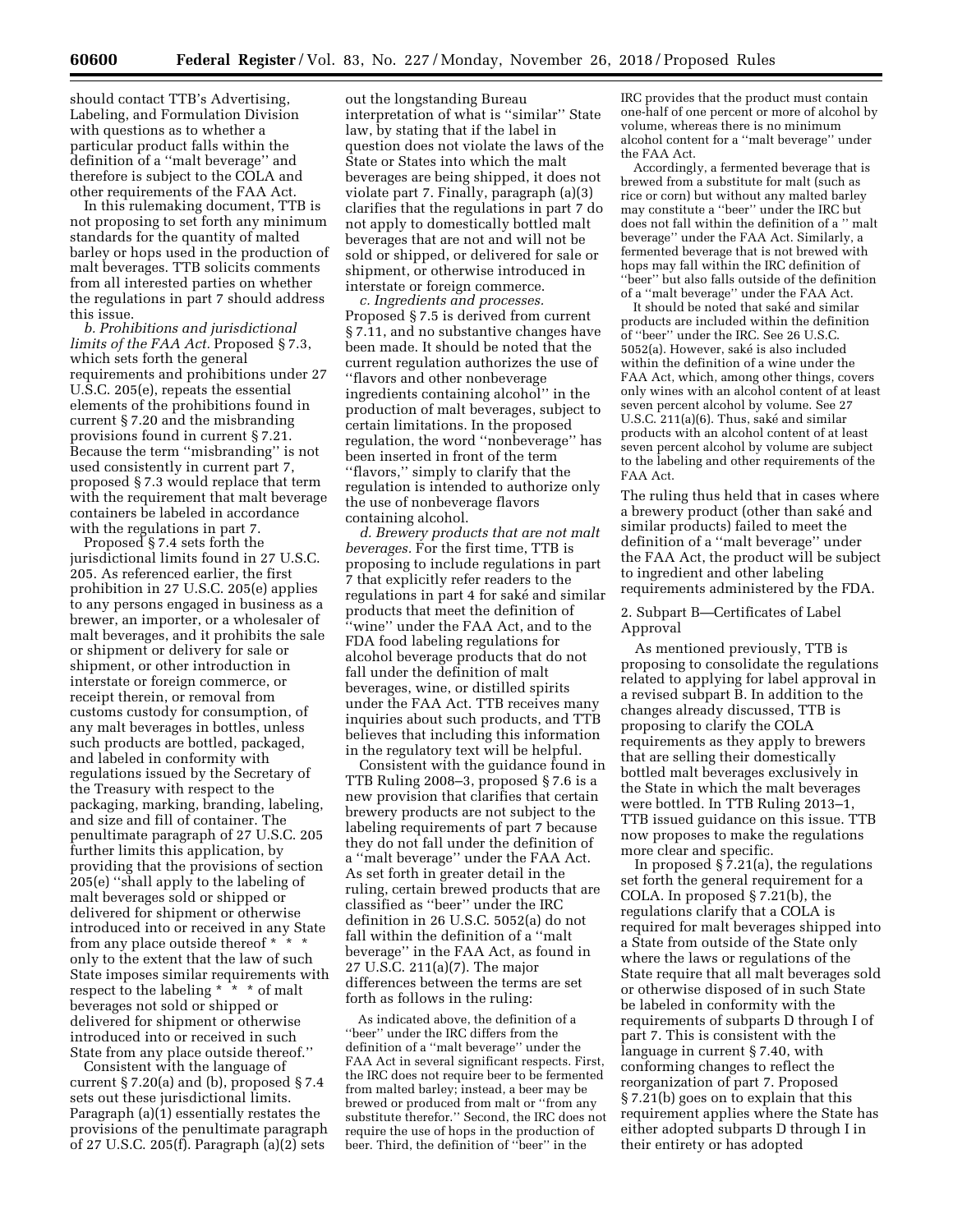should contact TTB's Advertising, Labeling, and Formulation Division with questions as to whether a particular product falls within the definition of a ''malt beverage'' and therefore is subject to the COLA and other requirements of the FAA Act.

In this rulemaking document, TTB is not proposing to set forth any minimum standards for the quantity of malted barley or hops used in the production of malt beverages. TTB solicits comments from all interested parties on whether the regulations in part 7 should address this issue.

*b. Prohibitions and jurisdictional limits of the FAA Act.* Proposed § 7.3, which sets forth the general requirements and prohibitions under 27 U.S.C. 205(e), repeats the essential elements of the prohibitions found in current § 7.20 and the misbranding provisions found in current § 7.21. Because the term ''misbranding'' is not used consistently in current part 7, proposed § 7.3 would replace that term with the requirement that malt beverage containers be labeled in accordance with the regulations in part 7.

Proposed § 7.4 sets forth the jurisdictional limits found in 27 U.S.C. 205. As referenced earlier, the first prohibition in 27 U.S.C. 205(e) applies to any persons engaged in business as a brewer, an importer, or a wholesaler of malt beverages, and it prohibits the sale or shipment or delivery for sale or shipment, or other introduction in interstate or foreign commerce, or receipt therein, or removal from customs custody for consumption, of any malt beverages in bottles, unless such products are bottled, packaged, and labeled in conformity with regulations issued by the Secretary of the Treasury with respect to the packaging, marking, branding, labeling, and size and fill of container. The penultimate paragraph of 27 U.S.C. 205 further limits this application, by providing that the provisions of section 205(e) ''shall apply to the labeling of malt beverages sold or shipped or delivered for shipment or otherwise introduced into or received in any State from any place outside thereof \* \* \* only to the extent that the law of such State imposes similar requirements with respect to the labeling \* \* \* of malt beverages not sold or shipped or delivered for shipment or otherwise introduced into or received in such State from any place outside thereof.''

Consistent with the language of current § 7.20(a) and (b), proposed § 7.4 sets out these jurisdictional limits. Paragraph (a)(1) essentially restates the provisions of the penultimate paragraph of 27 U.S.C. 205(f). Paragraph (a)(2) sets

out the longstanding Bureau interpretation of what is ''similar'' State law, by stating that if the label in question does not violate the laws of the State or States into which the malt beverages are being shipped, it does not violate part 7. Finally, paragraph (a)(3) clarifies that the regulations in part 7 do not apply to domestically bottled malt beverages that are not and will not be sold or shipped, or delivered for sale or shipment, or otherwise introduced in interstate or foreign commerce.

*c. Ingredients and processes.*  Proposed § 7.5 is derived from current § 7.11, and no substantive changes have been made. It should be noted that the current regulation authorizes the use of ''flavors and other nonbeverage ingredients containing alcohol'' in the production of malt beverages, subject to certain limitations. In the proposed regulation, the word ''nonbeverage'' has been inserted in front of the term ''flavors,'' simply to clarify that the regulation is intended to authorize only the use of nonbeverage flavors containing alcohol.

*d. Brewery products that are not malt beverages.* For the first time, TTB is proposing to include regulations in part 7 that explicitly refer readers to the regulations in part 4 for saké and similar products that meet the definition of ''wine'' under the FAA Act, and to the FDA food labeling regulations for alcohol beverage products that do not fall under the definition of malt beverages, wine, or distilled spirits under the FAA Act. TTB receives many inquiries about such products, and TTB believes that including this information in the regulatory text will be helpful.

Consistent with the guidance found in TTB Ruling 2008–3, proposed § 7.6 is a new provision that clarifies that certain brewery products are not subject to the labeling requirements of part 7 because they do not fall under the definition of a ''malt beverage'' under the FAA Act. As set forth in greater detail in the ruling, certain brewed products that are classified as ''beer'' under the IRC definition in 26 U.S.C. 5052(a) do not fall within the definition of a ''malt beverage'' in the FAA Act, as found in 27 U.S.C. 211(a)(7). The major differences between the terms are set forth as follows in the ruling:

As indicated above, the definition of a ''beer'' under the IRC differs from the definition of a ''malt beverage'' under the FAA Act in several significant respects. First, the IRC does not require beer to be fermented from malted barley; instead, a beer may be brewed or produced from malt or ''from any substitute therefor.'' Second, the IRC does not require the use of hops in the production of beer. Third, the definition of ''beer'' in the

IRC provides that the product must contain one-half of one percent or more of alcohol by volume, whereas there is no minimum alcohol content for a ''malt beverage'' under the FAA Act.

Accordingly, a fermented beverage that is brewed from a substitute for malt (such as rice or corn) but without any malted barley may constitute a ''beer'' under the IRC but does not fall within the definition of a '' malt beverage'' under the FAA Act. Similarly, a fermented beverage that is not brewed with hops may fall within the IRC definition of ''beer'' but also falls outside of the definition of a ''malt beverage'' under the FAA Act.

It should be noted that saké and similar products are included within the definition of ''beer'' under the IRC. See 26 U.S.C. 5052(a). However, saké is also included within the definition of a wine under the FAA Act, which, among other things, covers only wines with an alcohol content of at least seven percent alcohol by volume. See 27 U.S.C.  $211(a)(6)$ . Thus, saké and similar products with an alcohol content of at least seven percent alcohol by volume are subject to the labeling and other requirements of the FAA Act.

The ruling thus held that in cases where a brewery product (other than saké and similar products) failed to meet the definition of a ''malt beverage'' under the FAA Act, the product will be subject to ingredient and other labeling requirements administered by the FDA.

# 2. Subpart B—Certificates of Label Approval

As mentioned previously, TTB is proposing to consolidate the regulations related to applying for label approval in a revised subpart B. In addition to the changes already discussed, TTB is proposing to clarify the COLA requirements as they apply to brewers that are selling their domestically bottled malt beverages exclusively in the State in which the malt beverages were bottled. In TTB Ruling 2013–1, TTB issued guidance on this issue. TTB now proposes to make the regulations more clear and specific.

In proposed  $\S$ 7.21(a), the regulations set forth the general requirement for a COLA. In proposed § 7.21(b), the regulations clarify that a COLA is required for malt beverages shipped into a State from outside of the State only where the laws or regulations of the State require that all malt beverages sold or otherwise disposed of in such State be labeled in conformity with the requirements of subparts D through I of part 7. This is consistent with the language in current § 7.40, with conforming changes to reflect the reorganization of part 7. Proposed § 7.21(b) goes on to explain that this requirement applies where the State has either adopted subparts D through I in their entirety or has adopted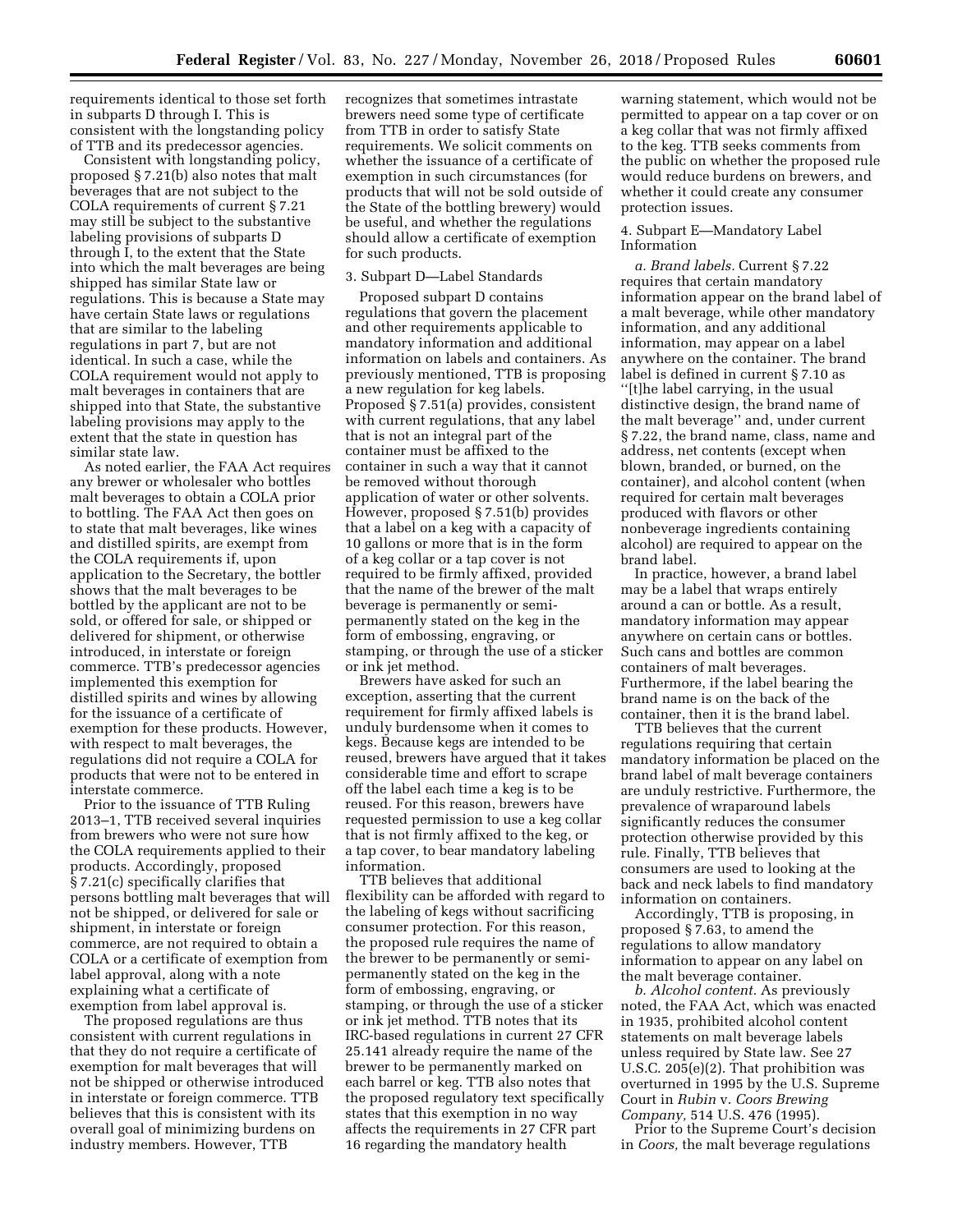requirements identical to those set forth in subparts D through I. This is consistent with the longstanding policy of TTB and its predecessor agencies.

Consistent with longstanding policy, proposed § 7.21(b) also notes that malt beverages that are not subject to the COLA requirements of current § 7.21 may still be subject to the substantive labeling provisions of subparts D through I, to the extent that the State into which the malt beverages are being shipped has similar State law or regulations. This is because a State may have certain State laws or regulations that are similar to the labeling regulations in part 7, but are not identical. In such a case, while the COLA requirement would not apply to malt beverages in containers that are shipped into that State, the substantive labeling provisions may apply to the extent that the state in question has similar state law.

As noted earlier, the FAA Act requires any brewer or wholesaler who bottles malt beverages to obtain a COLA prior to bottling. The FAA Act then goes on to state that malt beverages, like wines and distilled spirits, are exempt from the COLA requirements if, upon application to the Secretary, the bottler shows that the malt beverages to be bottled by the applicant are not to be sold, or offered for sale, or shipped or delivered for shipment, or otherwise introduced, in interstate or foreign commerce. TTB's predecessor agencies implemented this exemption for distilled spirits and wines by allowing for the issuance of a certificate of exemption for these products. However, with respect to malt beverages, the regulations did not require a COLA for products that were not to be entered in interstate commerce.

Prior to the issuance of TTB Ruling 2013–1, TTB received several inquiries from brewers who were not sure how the COLA requirements applied to their products. Accordingly, proposed § 7.21(c) specifically clarifies that persons bottling malt beverages that will not be shipped, or delivered for sale or shipment, in interstate or foreign commerce, are not required to obtain a COLA or a certificate of exemption from label approval, along with a note explaining what a certificate of exemption from label approval is.

The proposed regulations are thus consistent with current regulations in that they do not require a certificate of exemption for malt beverages that will not be shipped or otherwise introduced in interstate or foreign commerce. TTB believes that this is consistent with its overall goal of minimizing burdens on industry members. However, TTB

recognizes that sometimes intrastate brewers need some type of certificate from TTB in order to satisfy State requirements. We solicit comments on whether the issuance of a certificate of exemption in such circumstances (for products that will not be sold outside of the State of the bottling brewery) would be useful, and whether the regulations should allow a certificate of exemption for such products.

#### 3. Subpart D—Label Standards

Proposed subpart D contains regulations that govern the placement and other requirements applicable to mandatory information and additional information on labels and containers. As previously mentioned, TTB is proposing a new regulation for keg labels. Proposed § 7.51(a) provides, consistent with current regulations, that any label that is not an integral part of the container must be affixed to the container in such a way that it cannot be removed without thorough application of water or other solvents. However, proposed § 7.51(b) provides that a label on a keg with a capacity of 10 gallons or more that is in the form of a keg collar or a tap cover is not required to be firmly affixed, provided that the name of the brewer of the malt beverage is permanently or semipermanently stated on the keg in the form of embossing, engraving, or stamping, or through the use of a sticker or ink jet method.

Brewers have asked for such an exception, asserting that the current requirement for firmly affixed labels is unduly burdensome when it comes to kegs. Because kegs are intended to be reused, brewers have argued that it takes considerable time and effort to scrape off the label each time a keg is to be reused. For this reason, brewers have requested permission to use a keg collar that is not firmly affixed to the keg, or a tap cover, to bear mandatory labeling information.

TTB believes that additional flexibility can be afforded with regard to the labeling of kegs without sacrificing consumer protection. For this reason, the proposed rule requires the name of the brewer to be permanently or semipermanently stated on the keg in the form of embossing, engraving, or stamping, or through the use of a sticker or ink jet method. TTB notes that its IRC-based regulations in current 27 CFR 25.141 already require the name of the brewer to be permanently marked on each barrel or keg. TTB also notes that the proposed regulatory text specifically states that this exemption in no way affects the requirements in 27 CFR part 16 regarding the mandatory health

warning statement, which would not be permitted to appear on a tap cover or on a keg collar that was not firmly affixed to the keg. TTB seeks comments from the public on whether the proposed rule would reduce burdens on brewers, and whether it could create any consumer protection issues.

# 4. Subpart E—Mandatory Label Information

*a. Brand labels.* Current § 7.22 requires that certain mandatory information appear on the brand label of a malt beverage, while other mandatory information, and any additional information, may appear on a label anywhere on the container. The brand label is defined in current § 7.10 as ''[t]he label carrying, in the usual distinctive design, the brand name of the malt beverage'' and, under current § 7.22, the brand name, class, name and address, net contents (except when blown, branded, or burned, on the container), and alcohol content (when required for certain malt beverages produced with flavors or other nonbeverage ingredients containing alcohol) are required to appear on the brand label.

In practice, however, a brand label may be a label that wraps entirely around a can or bottle. As a result, mandatory information may appear anywhere on certain cans or bottles. Such cans and bottles are common containers of malt beverages. Furthermore, if the label bearing the brand name is on the back of the container, then it is the brand label.

TTB believes that the current regulations requiring that certain mandatory information be placed on the brand label of malt beverage containers are unduly restrictive. Furthermore, the prevalence of wraparound labels significantly reduces the consumer protection otherwise provided by this rule. Finally, TTB believes that consumers are used to looking at the back and neck labels to find mandatory information on containers.

Accordingly, TTB is proposing, in proposed § 7.63, to amend the regulations to allow mandatory information to appear on any label on the malt beverage container.

*b. Alcohol content.* As previously noted, the FAA Act, which was enacted in 1935, prohibited alcohol content statements on malt beverage labels unless required by State law. See 27 U.S.C. 205(e)(2). That prohibition was overturned in 1995 by the U.S. Supreme Court in *Rubin* v. *Coors Brewing Company,* 514 U.S. 476 (1995).

Prior to the Supreme Court's decision in *Coors,* the malt beverage regulations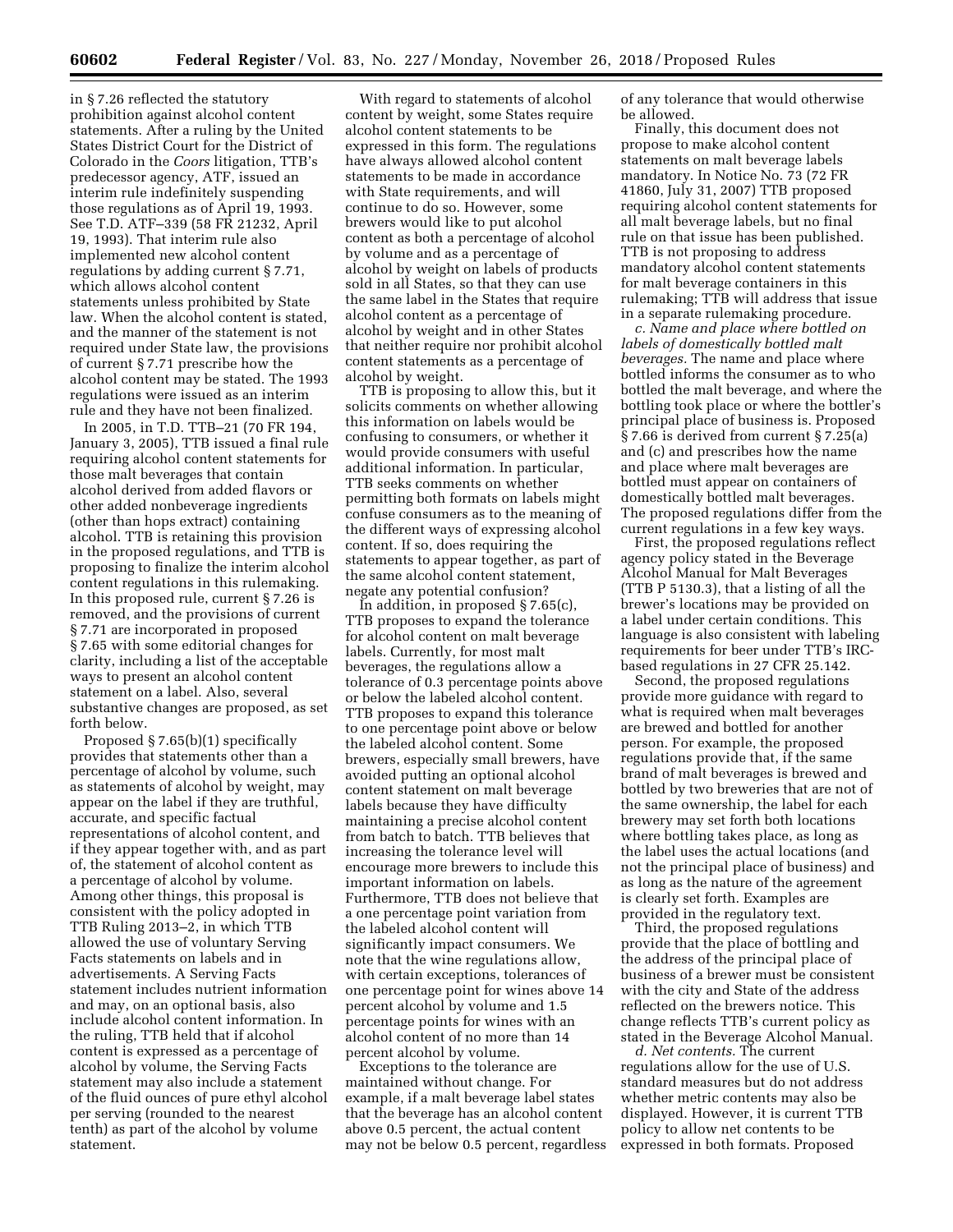in § 7.26 reflected the statutory prohibition against alcohol content statements. After a ruling by the United States District Court for the District of Colorado in the *Coors* litigation, TTB's predecessor agency, ATF, issued an interim rule indefinitely suspending those regulations as of April 19, 1993. See T.D. ATF–339 (58 FR 21232, April 19, 1993). That interim rule also implemented new alcohol content regulations by adding current § 7.71, which allows alcohol content statements unless prohibited by State law. When the alcohol content is stated, and the manner of the statement is not required under State law, the provisions of current § 7.71 prescribe how the alcohol content may be stated. The 1993 regulations were issued as an interim rule and they have not been finalized.

In 2005, in T.D. TTB–21 (70 FR 194, January 3, 2005), TTB issued a final rule requiring alcohol content statements for those malt beverages that contain alcohol derived from added flavors or other added nonbeverage ingredients (other than hops extract) containing alcohol. TTB is retaining this provision in the proposed regulations, and TTB is proposing to finalize the interim alcohol content regulations in this rulemaking. In this proposed rule, current § 7.26 is removed, and the provisions of current § 7.71 are incorporated in proposed § 7.65 with some editorial changes for clarity, including a list of the acceptable ways to present an alcohol content statement on a label. Also, several substantive changes are proposed, as set forth below.

Proposed § 7.65(b)(1) specifically provides that statements other than a percentage of alcohol by volume, such as statements of alcohol by weight, may appear on the label if they are truthful, accurate, and specific factual representations of alcohol content, and if they appear together with, and as part of, the statement of alcohol content as a percentage of alcohol by volume. Among other things, this proposal is consistent with the policy adopted in TTB Ruling 2013–2, in which TTB allowed the use of voluntary Serving Facts statements on labels and in advertisements. A Serving Facts statement includes nutrient information and may, on an optional basis, also include alcohol content information. In the ruling, TTB held that if alcohol content is expressed as a percentage of alcohol by volume, the Serving Facts statement may also include a statement of the fluid ounces of pure ethyl alcohol per serving (rounded to the nearest tenth) as part of the alcohol by volume statement.

With regard to statements of alcohol content by weight, some States require alcohol content statements to be expressed in this form. The regulations have always allowed alcohol content statements to be made in accordance with State requirements, and will continue to do so. However, some brewers would like to put alcohol content as both a percentage of alcohol by volume and as a percentage of alcohol by weight on labels of products sold in all States, so that they can use the same label in the States that require alcohol content as a percentage of alcohol by weight and in other States that neither require nor prohibit alcohol content statements as a percentage of alcohol by weight.

TTB is proposing to allow this, but it solicits comments on whether allowing this information on labels would be confusing to consumers, or whether it would provide consumers with useful additional information. In particular, TTB seeks comments on whether permitting both formats on labels might confuse consumers as to the meaning of the different ways of expressing alcohol content. If so, does requiring the statements to appear together, as part of the same alcohol content statement, negate any potential confusion?

In addition, in proposed § 7.65(c), TTB proposes to expand the tolerance for alcohol content on malt beverage labels. Currently, for most malt beverages, the regulations allow a tolerance of 0.3 percentage points above or below the labeled alcohol content. TTB proposes to expand this tolerance to one percentage point above or below the labeled alcohol content. Some brewers, especially small brewers, have avoided putting an optional alcohol content statement on malt beverage labels because they have difficulty maintaining a precise alcohol content from batch to batch. TTB believes that increasing the tolerance level will encourage more brewers to include this important information on labels. Furthermore, TTB does not believe that a one percentage point variation from the labeled alcohol content will significantly impact consumers. We note that the wine regulations allow, with certain exceptions, tolerances of one percentage point for wines above 14 percent alcohol by volume and 1.5 percentage points for wines with an alcohol content of no more than 14 percent alcohol by volume.

Exceptions to the tolerance are maintained without change. For example, if a malt beverage label states that the beverage has an alcohol content above 0.5 percent, the actual content may not be below 0.5 percent, regardless of any tolerance that would otherwise be allowed.

Finally, this document does not propose to make alcohol content statements on malt beverage labels mandatory. In Notice No. 73 (72 FR 41860, July 31, 2007) TTB proposed requiring alcohol content statements for all malt beverage labels, but no final rule on that issue has been published. TTB is not proposing to address mandatory alcohol content statements for malt beverage containers in this rulemaking; TTB will address that issue in a separate rulemaking procedure.

*c. Name and place where bottled on labels of domestically bottled malt beverages.* The name and place where bottled informs the consumer as to who bottled the malt beverage, and where the bottling took place or where the bottler's principal place of business is. Proposed § 7.66 is derived from current § 7.25(a) and (c) and prescribes how the name and place where malt beverages are bottled must appear on containers of domestically bottled malt beverages. The proposed regulations differ from the current regulations in a few key ways.

First, the proposed regulations reflect agency policy stated in the Beverage Alcohol Manual for Malt Beverages (TTB P 5130.3), that a listing of all the brewer's locations may be provided on a label under certain conditions. This language is also consistent with labeling requirements for beer under TTB's IRCbased regulations in 27 CFR 25.142.

Second, the proposed regulations provide more guidance with regard to what is required when malt beverages are brewed and bottled for another person. For example, the proposed regulations provide that, if the same brand of malt beverages is brewed and bottled by two breweries that are not of the same ownership, the label for each brewery may set forth both locations where bottling takes place, as long as the label uses the actual locations (and not the principal place of business) and as long as the nature of the agreement is clearly set forth. Examples are provided in the regulatory text.

Third, the proposed regulations provide that the place of bottling and the address of the principal place of business of a brewer must be consistent with the city and State of the address reflected on the brewers notice. This change reflects TTB's current policy as stated in the Beverage Alcohol Manual.

*d. Net contents.* The current regulations allow for the use of U.S. standard measures but do not address whether metric contents may also be displayed. However, it is current TTB policy to allow net contents to be expressed in both formats. Proposed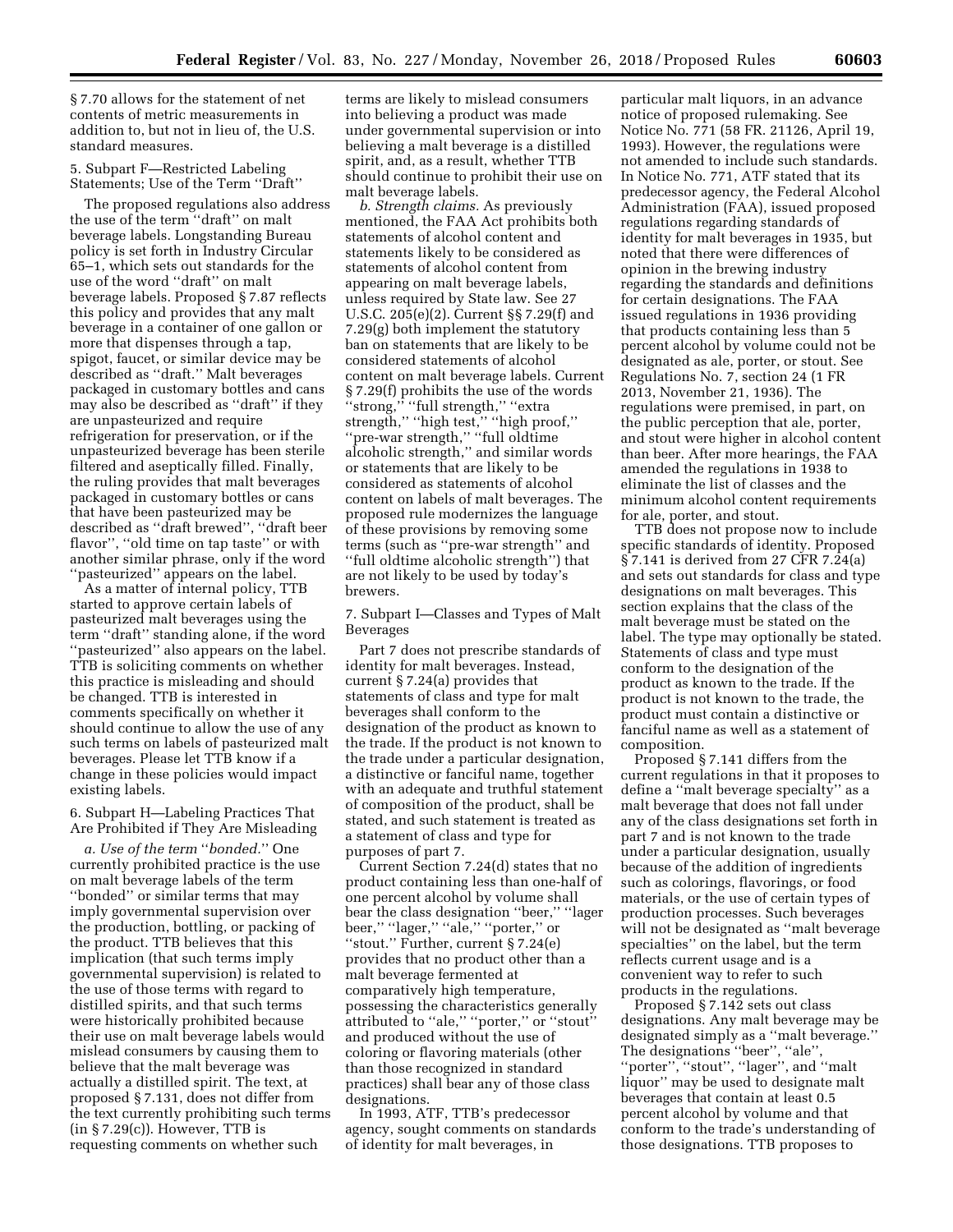§ 7.70 allows for the statement of net contents of metric measurements in addition to, but not in lieu of, the U.S. standard measures.

5. Subpart F—Restricted Labeling Statements; Use of the Term ''Draft''

The proposed regulations also address the use of the term ''draft'' on malt beverage labels. Longstanding Bureau policy is set forth in Industry Circular 65–1, which sets out standards for the use of the word ''draft'' on malt beverage labels. Proposed § 7.87 reflects this policy and provides that any malt beverage in a container of one gallon or more that dispenses through a tap, spigot, faucet, or similar device may be described as ''draft.'' Malt beverages packaged in customary bottles and cans may also be described as ''draft'' if they are unpasteurized and require refrigeration for preservation, or if the unpasteurized beverage has been sterile filtered and aseptically filled. Finally, the ruling provides that malt beverages packaged in customary bottles or cans that have been pasteurized may be described as ''draft brewed'', ''draft beer flavor", "old time on tap taste" or with another similar phrase, only if the word ''pasteurized'' appears on the label.

As a matter of internal policy, TTB started to approve certain labels of pasteurized malt beverages using the term ''draft'' standing alone, if the word ''pasteurized'' also appears on the label. TTB is soliciting comments on whether this practice is misleading and should be changed. TTB is interested in comments specifically on whether it should continue to allow the use of any such terms on labels of pasteurized malt beverages. Please let TTB know if a change in these policies would impact existing labels.

6. Subpart H—Labeling Practices That Are Prohibited if They Are Misleading

*a. Use of the term* ''*bonded.*'' One currently prohibited practice is the use on malt beverage labels of the term ''bonded'' or similar terms that may imply governmental supervision over the production, bottling, or packing of the product. TTB believes that this implication (that such terms imply governmental supervision) is related to the use of those terms with regard to distilled spirits, and that such terms were historically prohibited because their use on malt beverage labels would mislead consumers by causing them to believe that the malt beverage was actually a distilled spirit. The text, at proposed § 7.131, does not differ from the text currently prohibiting such terms  $(in § 7.29(c))$ . However, TTB is requesting comments on whether such

terms are likely to mislead consumers into believing a product was made under governmental supervision or into believing a malt beverage is a distilled spirit, and, as a result, whether TTB should continue to prohibit their use on malt beverage labels.

*b. Strength claims.* As previously mentioned, the FAA Act prohibits both statements of alcohol content and statements likely to be considered as statements of alcohol content from appearing on malt beverage labels, unless required by State law. See 27 U.S.C. 205(e)(2). Current §§ 7.29(f) and 7.29(g) both implement the statutory ban on statements that are likely to be considered statements of alcohol content on malt beverage labels. Current § 7.29(f) prohibits the use of the words "strong," "full strength," "extra strength,'' ''high test,'' ''high proof,'' ''pre-war strength,'' ''full oldtime alcoholic strength,'' and similar words or statements that are likely to be considered as statements of alcohol content on labels of malt beverages. The proposed rule modernizes the language of these provisions by removing some terms (such as ''pre-war strength'' and ''full oldtime alcoholic strength'') that are not likely to be used by today's brewers.

7. Subpart I—Classes and Types of Malt Beverages

Part 7 does not prescribe standards of identity for malt beverages. Instead, current § 7.24(a) provides that statements of class and type for malt beverages shall conform to the designation of the product as known to the trade. If the product is not known to the trade under a particular designation, a distinctive or fanciful name, together with an adequate and truthful statement of composition of the product, shall be stated, and such statement is treated as a statement of class and type for purposes of part 7.

Current Section 7.24(d) states that no product containing less than one-half of one percent alcohol by volume shall bear the class designation ''beer,'' ''lager beer,'' ''lager,'' ''ale,'' ''porter,'' or ''stout.'' Further, current § 7.24(e) provides that no product other than a malt beverage fermented at comparatively high temperature, possessing the characteristics generally attributed to ''ale,'' ''porter,'' or ''stout'' and produced without the use of coloring or flavoring materials (other than those recognized in standard practices) shall bear any of those class designations.

In 1993, ATF, TTB's predecessor agency, sought comments on standards of identity for malt beverages, in

particular malt liquors, in an advance notice of proposed rulemaking. See Notice No. 771 (58 FR. 21126, April 19, 1993). However, the regulations were not amended to include such standards. In Notice No. 771, ATF stated that its predecessor agency, the Federal Alcohol Administration (FAA), issued proposed regulations regarding standards of identity for malt beverages in 1935, but noted that there were differences of opinion in the brewing industry regarding the standards and definitions for certain designations. The FAA issued regulations in 1936 providing that products containing less than 5 percent alcohol by volume could not be designated as ale, porter, or stout. See Regulations No. 7, section 24 (1 FR 2013, November 21, 1936). The regulations were premised, in part, on the public perception that ale, porter, and stout were higher in alcohol content than beer. After more hearings, the FAA amended the regulations in 1938 to eliminate the list of classes and the minimum alcohol content requirements for ale, porter, and stout.

TTB does not propose now to include specific standards of identity. Proposed § 7.141 is derived from 27 CFR 7.24(a) and sets out standards for class and type designations on malt beverages. This section explains that the class of the malt beverage must be stated on the label. The type may optionally be stated. Statements of class and type must conform to the designation of the product as known to the trade. If the product is not known to the trade, the product must contain a distinctive or fanciful name as well as a statement of composition.

Proposed § 7.141 differs from the current regulations in that it proposes to define a ''malt beverage specialty'' as a malt beverage that does not fall under any of the class designations set forth in part 7 and is not known to the trade under a particular designation, usually because of the addition of ingredients such as colorings, flavorings, or food materials, or the use of certain types of production processes. Such beverages will not be designated as ''malt beverage specialties'' on the label, but the term reflects current usage and is a convenient way to refer to such products in the regulations.

Proposed § 7.142 sets out class designations. Any malt beverage may be designated simply as a ''malt beverage.'' The designations ''beer'', ''ale'', ''porter'', ''stout'', ''lager'', and ''malt liquor'' may be used to designate malt beverages that contain at least 0.5 percent alcohol by volume and that conform to the trade's understanding of those designations. TTB proposes to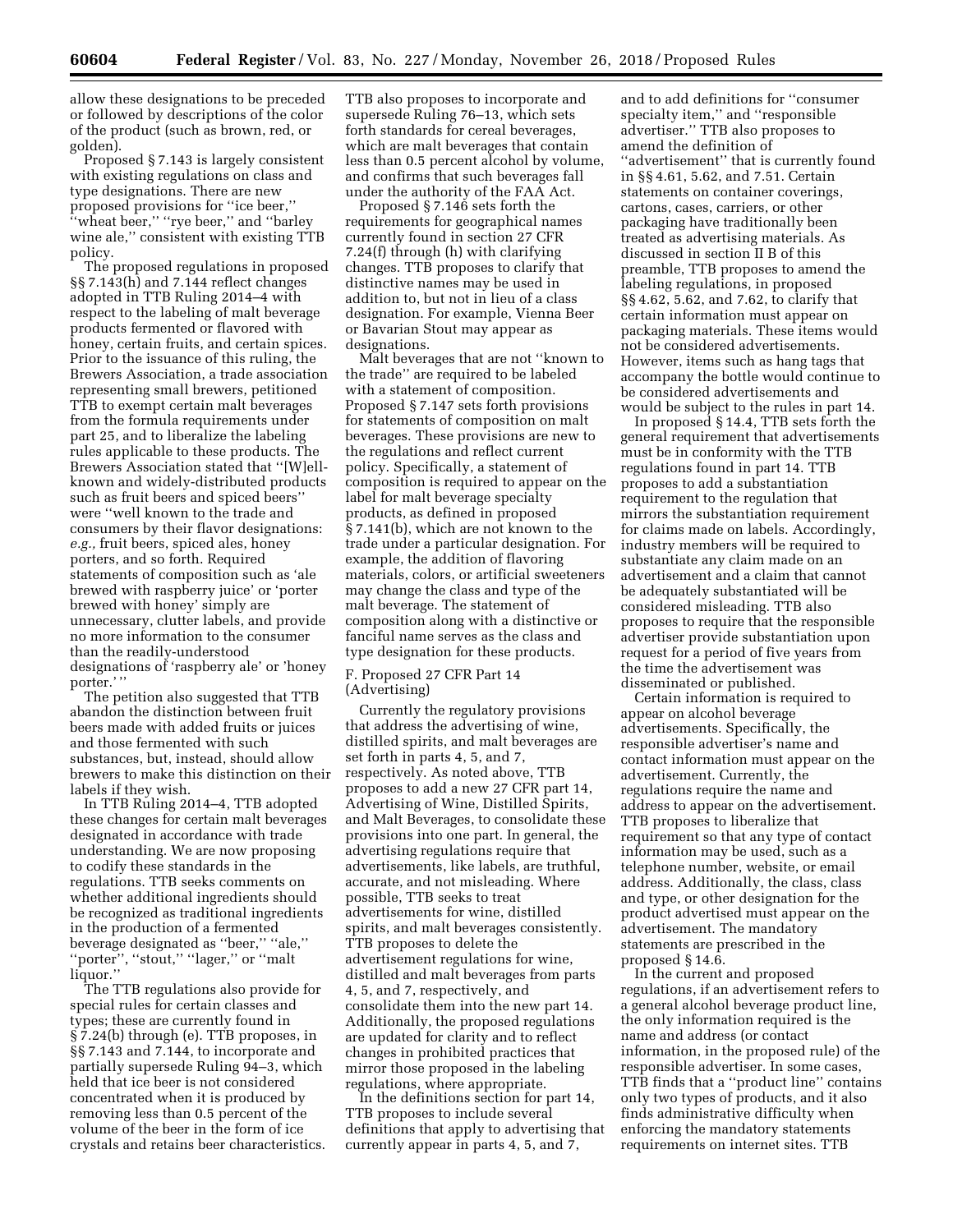allow these designations to be preceded or followed by descriptions of the color of the product (such as brown, red, or golden).

Proposed § 7.143 is largely consistent with existing regulations on class and type designations. There are new proposed provisions for ''ice beer,'' ''wheat beer,'' ''rye beer,'' and ''barley wine ale,'' consistent with existing TTB policy.

The proposed regulations in proposed §§ 7.143(h) and 7.144 reflect changes adopted in TTB Ruling 2014–4 with respect to the labeling of malt beverage products fermented or flavored with honey, certain fruits, and certain spices. Prior to the issuance of this ruling, the Brewers Association, a trade association representing small brewers, petitioned TTB to exempt certain malt beverages from the formula requirements under part 25, and to liberalize the labeling rules applicable to these products. The Brewers Association stated that ''[W]ellknown and widely-distributed products such as fruit beers and spiced beers'' were ''well known to the trade and consumers by their flavor designations: *e.g.,* fruit beers, spiced ales, honey porters, and so forth. Required statements of composition such as 'ale brewed with raspberry juice' or 'porter brewed with honey' simply are unnecessary, clutter labels, and provide no more information to the consumer than the readily-understood designations of 'raspberry ale' or 'honey porter.''

The petition also suggested that TTB abandon the distinction between fruit beers made with added fruits or juices and those fermented with such substances, but, instead, should allow brewers to make this distinction on their labels if they wish.

In TTB Ruling 2014–4, TTB adopted these changes for certain malt beverages designated in accordance with trade understanding. We are now proposing to codify these standards in the regulations. TTB seeks comments on whether additional ingredients should be recognized as traditional ingredients in the production of a fermented beverage designated as ''beer,'' ''ale,'' ''porter'', ''stout,'' ''lager,'' or ''malt liquor.''

The TTB regulations also provide for special rules for certain classes and types; these are currently found in § 7.24(b) through (e). TTB proposes, in §§ 7.143 and 7.144, to incorporate and partially supersede Ruling 94–3, which held that ice beer is not considered concentrated when it is produced by removing less than 0.5 percent of the volume of the beer in the form of ice crystals and retains beer characteristics. TTB also proposes to incorporate and supersede Ruling 76–13, which sets forth standards for cereal beverages, which are malt beverages that contain less than 0.5 percent alcohol by volume, and confirms that such beverages fall under the authority of the FAA Act.

Proposed § 7.146 sets forth the requirements for geographical names currently found in section 27 CFR 7.24(f) through (h) with clarifying changes. TTB proposes to clarify that distinctive names may be used in addition to, but not in lieu of a class designation. For example, Vienna Beer or Bavarian Stout may appear as designations.

Malt beverages that are not ''known to the trade'' are required to be labeled with a statement of composition. Proposed § 7.147 sets forth provisions for statements of composition on malt beverages. These provisions are new to the regulations and reflect current policy. Specifically, a statement of composition is required to appear on the label for malt beverage specialty products, as defined in proposed § 7.141(b), which are not known to the trade under a particular designation. For example, the addition of flavoring materials, colors, or artificial sweeteners may change the class and type of the malt beverage. The statement of composition along with a distinctive or fanciful name serves as the class and type designation for these products.

F. Proposed 27 CFR Part 14 (Advertising)

Currently the regulatory provisions that address the advertising of wine, distilled spirits, and malt beverages are set forth in parts 4, 5, and 7, respectively. As noted above, TTB proposes to add a new 27 CFR part 14, Advertising of Wine, Distilled Spirits, and Malt Beverages, to consolidate these provisions into one part. In general, the advertising regulations require that advertisements, like labels, are truthful, accurate, and not misleading. Where possible, TTB seeks to treat advertisements for wine, distilled spirits, and malt beverages consistently. TTB proposes to delete the advertisement regulations for wine, distilled and malt beverages from parts 4, 5, and 7, respectively, and consolidate them into the new part 14. Additionally, the proposed regulations are updated for clarity and to reflect changes in prohibited practices that mirror those proposed in the labeling regulations, where appropriate.

In the definitions section for part 14, TTB proposes to include several definitions that apply to advertising that currently appear in parts 4, 5, and 7,

and to add definitions for ''consumer specialty item,'' and ''responsible advertiser.'' TTB also proposes to amend the definition of ''advertisement'' that is currently found in §§ 4.61, 5.62, and 7.51. Certain statements on container coverings, cartons, cases, carriers, or other packaging have traditionally been treated as advertising materials. As discussed in section II B of this preamble, TTB proposes to amend the labeling regulations, in proposed §§ 4.62, 5.62, and 7.62, to clarify that certain information must appear on packaging materials. These items would not be considered advertisements. However, items such as hang tags that accompany the bottle would continue to be considered advertisements and would be subject to the rules in part 14.

In proposed § 14.4, TTB sets forth the general requirement that advertisements must be in conformity with the TTB regulations found in part 14. TTB proposes to add a substantiation requirement to the regulation that mirrors the substantiation requirement for claims made on labels. Accordingly, industry members will be required to substantiate any claim made on an advertisement and a claim that cannot be adequately substantiated will be considered misleading. TTB also proposes to require that the responsible advertiser provide substantiation upon request for a period of five years from the time the advertisement was disseminated or published.

Certain information is required to appear on alcohol beverage advertisements. Specifically, the responsible advertiser's name and contact information must appear on the advertisement. Currently, the regulations require the name and address to appear on the advertisement. TTB proposes to liberalize that requirement so that any type of contact information may be used, such as a telephone number, website, or email address. Additionally, the class, class and type, or other designation for the product advertised must appear on the advertisement. The mandatory statements are prescribed in the proposed § 14.6.

In the current and proposed regulations, if an advertisement refers to a general alcohol beverage product line, the only information required is the name and address (or contact information, in the proposed rule) of the responsible advertiser. In some cases, TTB finds that a ''product line'' contains only two types of products, and it also finds administrative difficulty when enforcing the mandatory statements requirements on internet sites. TTB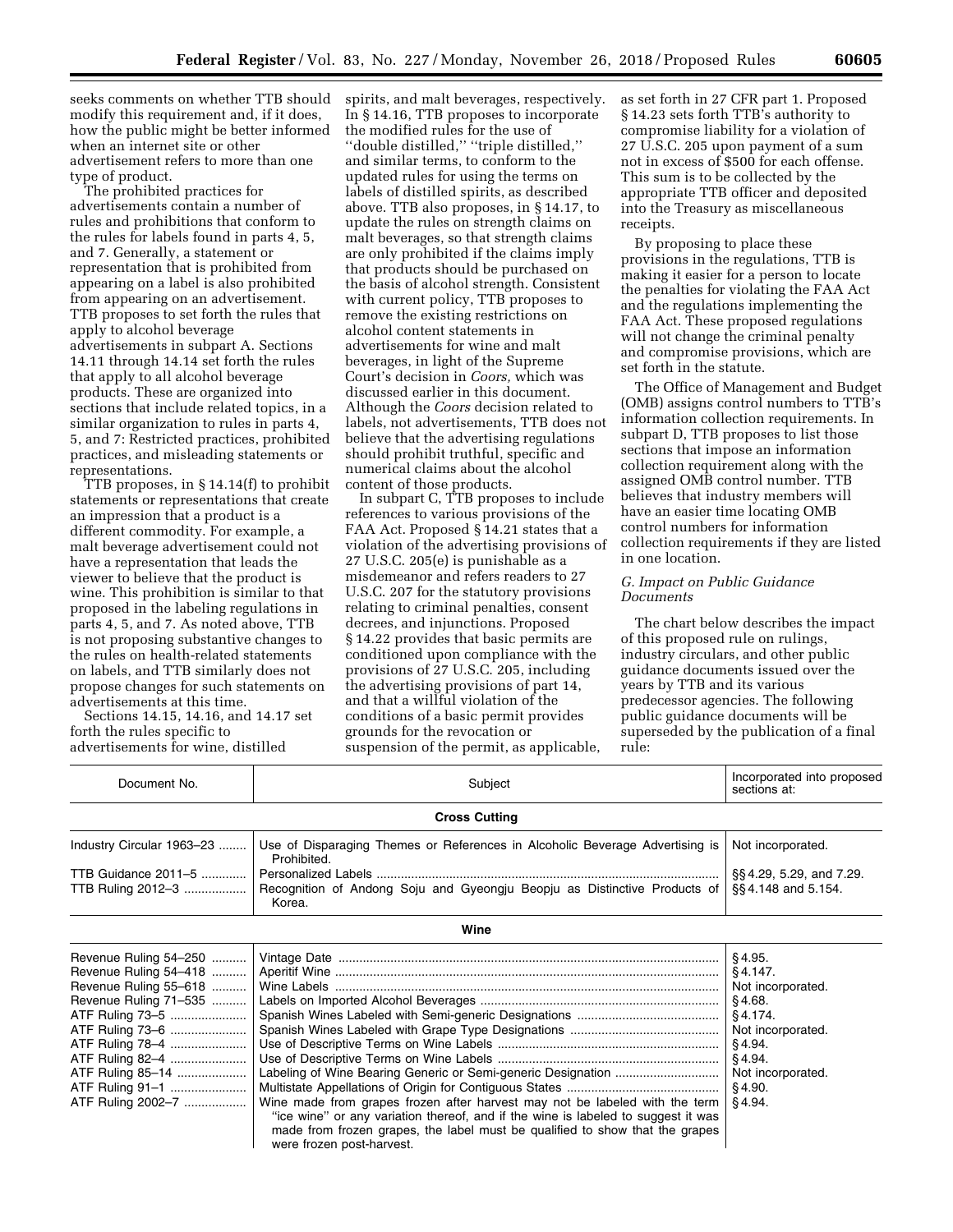seeks comments on whether TTB should modify this requirement and, if it does, how the public might be better informed when an internet site or other advertisement refers to more than one type of product.

The prohibited practices for advertisements contain a number of rules and prohibitions that conform to the rules for labels found in parts 4, 5, and 7. Generally, a statement or representation that is prohibited from appearing on a label is also prohibited from appearing on an advertisement. TTB proposes to set forth the rules that apply to alcohol beverage advertisements in subpart A. Sections 14.11 through 14.14 set forth the rules that apply to all alcohol beverage products. These are organized into sections that include related topics, in a similar organization to rules in parts 4, 5, and 7: Restricted practices, prohibited practices, and misleading statements or representations.

TTB proposes, in § 14.14(f) to prohibit statements or representations that create an impression that a product is a different commodity. For example, a malt beverage advertisement could not have a representation that leads the viewer to believe that the product is wine. This prohibition is similar to that proposed in the labeling regulations in parts 4, 5, and 7. As noted above, TTB is not proposing substantive changes to the rules on health-related statements on labels, and TTB similarly does not propose changes for such statements on advertisements at this time.

Sections 14.15, 14.16, and 14.17 set forth the rules specific to advertisements for wine, distilled

spirits, and malt beverages, respectively. In § 14.16, TTB proposes to incorporate the modified rules for the use of ''double distilled,'' ''triple distilled,'' and similar terms, to conform to the updated rules for using the terms on labels of distilled spirits, as described above. TTB also proposes, in § 14.17, to update the rules on strength claims on malt beverages, so that strength claims are only prohibited if the claims imply that products should be purchased on the basis of alcohol strength. Consistent with current policy, TTB proposes to remove the existing restrictions on alcohol content statements in advertisements for wine and malt beverages, in light of the Supreme Court's decision in *Coors,* which was discussed earlier in this document. Although the *Coors* decision related to labels, not advertisements, TTB does not believe that the advertising regulations should prohibit truthful, specific and numerical claims about the alcohol content of those products.

In subpart C, TTB proposes to include references to various provisions of the FAA Act. Proposed § 14.21 states that a violation of the advertising provisions of 27 U.S.C. 205(e) is punishable as a misdemeanor and refers readers to 27 U.S.C. 207 for the statutory provisions relating to criminal penalties, consent decrees, and injunctions. Proposed § 14.22 provides that basic permits are conditioned upon compliance with the provisions of 27 U.S.C. 205, including the advertising provisions of part 14, and that a willful violation of the conditions of a basic permit provides grounds for the revocation or suspension of the permit, as applicable,

as set forth in 27 CFR part 1. Proposed § 14.23 sets forth TTB's authority to compromise liability for a violation of 27 U.S.C. 205 upon payment of a sum not in excess of \$500 for each offense. This sum is to be collected by the appropriate TTB officer and deposited into the Treasury as miscellaneous receipts.

By proposing to place these provisions in the regulations, TTB is making it easier for a person to locate the penalties for violating the FAA Act and the regulations implementing the FAA Act. These proposed regulations will not change the criminal penalty and compromise provisions, which are set forth in the statute.

The Office of Management and Budget (OMB) assigns control numbers to TTB's information collection requirements. In subpart D, TTB proposes to list those sections that impose an information collection requirement along with the assigned OMB control number. TTB believes that industry members will have an easier time locating OMB control numbers for information collection requirements if they are listed in one location.

# *G. Impact on Public Guidance Documents*

The chart below describes the impact of this proposed rule on rulings, industry circulars, and other public guidance documents issued over the years by TTB and its various predecessor agencies. The following public guidance documents will be superseded by the publication of a final rule:

| Document No.<br>Subject                                                                                                                                                                                                                  |                                                                                                                                                                                                                                                                               | Incorporated into proposed<br>sections at:                                                                                                    |  |  |  |
|------------------------------------------------------------------------------------------------------------------------------------------------------------------------------------------------------------------------------------------|-------------------------------------------------------------------------------------------------------------------------------------------------------------------------------------------------------------------------------------------------------------------------------|-----------------------------------------------------------------------------------------------------------------------------------------------|--|--|--|
|                                                                                                                                                                                                                                          | <b>Cross Cutting</b>                                                                                                                                                                                                                                                          |                                                                                                                                               |  |  |  |
| Industry Circular 1963-23                                                                                                                                                                                                                | Use of Disparaging Themes or References in Alcoholic Beverage Advertising is<br>Prohibited.                                                                                                                                                                                   | Not incorporated.                                                                                                                             |  |  |  |
| TTB Guidance 2011-5<br>TTB Ruling 2012-3                                                                                                                                                                                                 | §§4.29, 5.29, and 7.29.<br>Recognition of Andong Soju and Gyeongju Beopju as Distinctive Products of<br>§§4.148 and 5.154.                                                                                                                                                    |                                                                                                                                               |  |  |  |
|                                                                                                                                                                                                                                          | Wine                                                                                                                                                                                                                                                                          |                                                                                                                                               |  |  |  |
| Revenue Ruling 54-250<br>Revenue Ruling 54-418<br>Revenue Ruling 55-618<br>Revenue Ruling 71-535<br>ATF Ruling 73-5<br>ATF Ruling 73-6<br>ATF Ruling 78-4<br>ATF Ruling 82-4<br>ATF Ruling 85-14<br>ATF Ruling 91-1<br>ATF Ruling 2002-7 | Wine made from grapes frozen after harvest may not be labeled with the term<br>"ice wine" or any variation thereof, and if the wine is labeled to suggest it was<br>made from frozen grapes, the label must be qualified to show that the grapes<br>were frozen post-harvest. | §4.95.<br>§4.147.<br>Not incorporated.<br>§4.68.<br>§4.174.<br>Not incorporated.<br>§4.94.<br>§4.94.<br>Not incorporated.<br>§4.90.<br>§4.94. |  |  |  |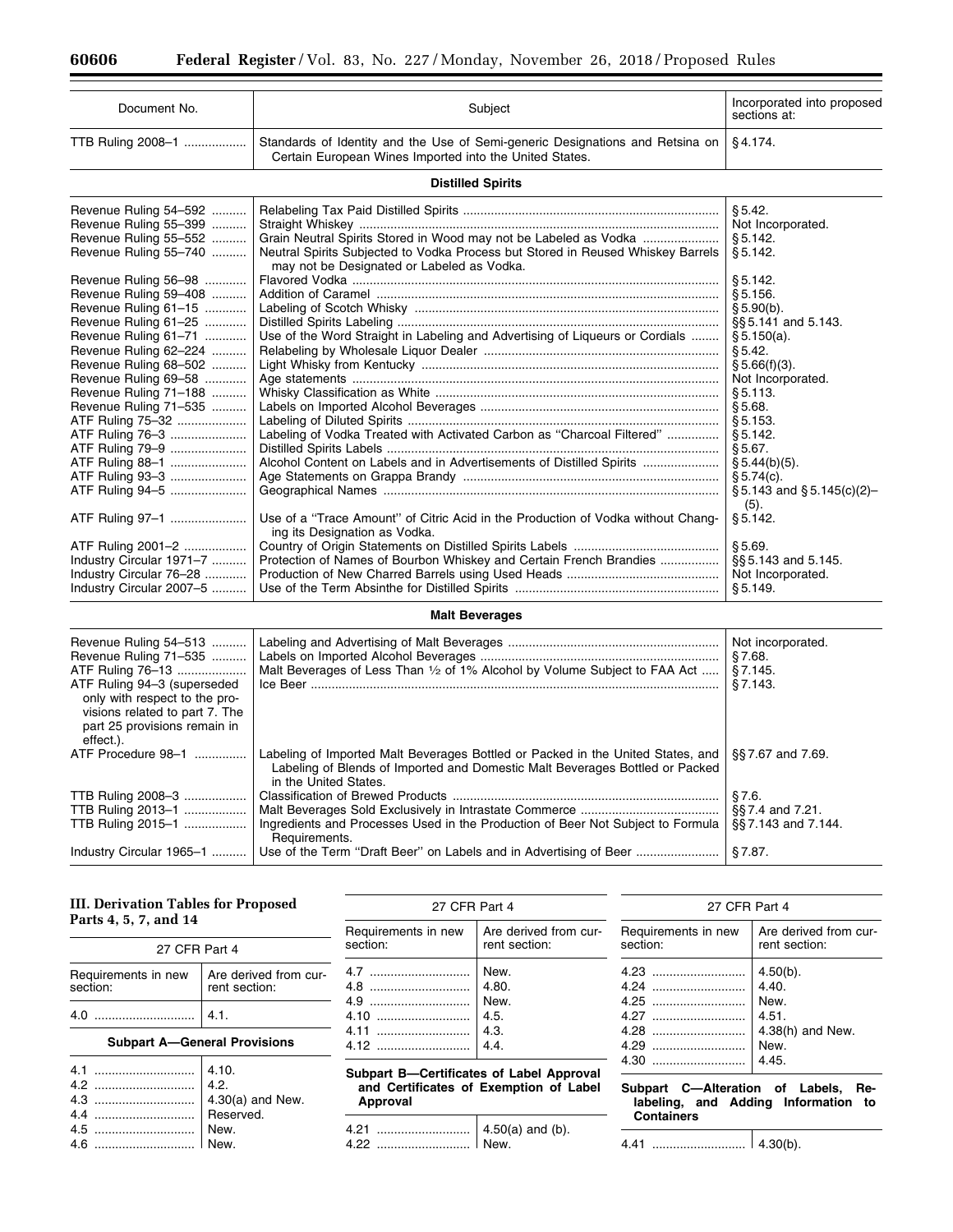| Document No.                                                                                                                                                                                                                                                                                                                                                                                                                                                                                                                                 | Subject                                                                                                                                                                                                                                                                                                                                                                                                                                                                                                                                                                                                                        | Incorporated into proposed<br>sections at:                                                                                                                                                                                                                                                                                                                               |
|----------------------------------------------------------------------------------------------------------------------------------------------------------------------------------------------------------------------------------------------------------------------------------------------------------------------------------------------------------------------------------------------------------------------------------------------------------------------------------------------------------------------------------------------|--------------------------------------------------------------------------------------------------------------------------------------------------------------------------------------------------------------------------------------------------------------------------------------------------------------------------------------------------------------------------------------------------------------------------------------------------------------------------------------------------------------------------------------------------------------------------------------------------------------------------------|--------------------------------------------------------------------------------------------------------------------------------------------------------------------------------------------------------------------------------------------------------------------------------------------------------------------------------------------------------------------------|
| TTB Ruling 2008-1                                                                                                                                                                                                                                                                                                                                                                                                                                                                                                                            | Standards of Identity and the Use of Semi-generic Designations and Retsina on<br>Certain European Wines Imported into the United States.                                                                                                                                                                                                                                                                                                                                                                                                                                                                                       | §4.174.                                                                                                                                                                                                                                                                                                                                                                  |
|                                                                                                                                                                                                                                                                                                                                                                                                                                                                                                                                              | <b>Distilled Spirits</b>                                                                                                                                                                                                                                                                                                                                                                                                                                                                                                                                                                                                       |                                                                                                                                                                                                                                                                                                                                                                          |
| Revenue Ruling 54-592<br>Revenue Ruling 55-399<br>Revenue Ruling 55-552<br>Revenue Ruling 55-740<br>Revenue Ruling 56-98<br>Revenue Ruling 59-408<br>Revenue Ruling 61-15<br>Revenue Ruling 61-25<br>Revenue Ruling 61-71<br>Revenue Ruling 62-224<br>Revenue Ruling 68-502<br>Revenue Ruling 69-58<br>Revenue Ruling 71-188<br>Revenue Ruling 71-535<br>ATF Ruling 75-32<br>ATF Ruling 76-3<br>ATF Ruling 79-9<br>ATF Ruling 88-1<br>ATF Ruling 93-3<br>ATF Ruling 94-5<br>ATF Ruling 97-1<br>ATF Ruling 2001-2<br>Industry Circular 1971-7 | Grain Neutral Spirits Stored in Wood may not be Labeled as Vodka<br>Neutral Spirits Subjected to Vodka Process but Stored in Reused Whiskey Barrels<br>may not be Designated or Labeled as Vodka.<br>Use of the Word Straight in Labeling and Advertising of Liqueurs or Cordials<br>Labeling of Vodka Treated with Activated Carbon as "Charcoal Filtered"<br>Alcohol Content on Labels and in Advertisements of Distilled Spirits<br>Use of a "Trace Amount" of Citric Acid in the Production of Vodka without Chang-<br>ing its Designation as Vodka.<br>Protection of Names of Bourbon Whiskey and Certain French Brandies | § 5.42.<br>Not Incorporated.<br>§ 5.142.<br>§ 5.142.<br>§ 5.142.<br>§ 5.156.<br>§ 5.90(b).<br>$\S$ 5.141 and 5.143.<br>\$5.150(a).<br>§ 5.42.<br>§ 5.66(f)(3).<br>Not Incorporated.<br>\$5.113.<br>§5.68.<br>§ 5.153.<br>§ 5.142.<br>§5.67.<br>$\S 5.44(b)(5)$ .<br>§ 5.74(c).<br>$\S 5.143$ and $\S 5.145(c)(2)$ -<br>(5).<br>§ 5.142.<br>§5.69.<br>§§ 5.143 and 5.145. |
| Industry Circular 76-28<br>Industry Circular 2007-5                                                                                                                                                                                                                                                                                                                                                                                                                                                                                          |                                                                                                                                                                                                                                                                                                                                                                                                                                                                                                                                                                                                                                | Not Incorporated.<br>\$5.149.                                                                                                                                                                                                                                                                                                                                            |
|                                                                                                                                                                                                                                                                                                                                                                                                                                                                                                                                              | <b>Malt Beverages</b>                                                                                                                                                                                                                                                                                                                                                                                                                                                                                                                                                                                                          |                                                                                                                                                                                                                                                                                                                                                                          |
| Revenue Ruling 54-513<br>Revenue Ruling 71-535<br>ATF Ruling 76-13<br>ATF Ruling 94-3 (superseded<br>only with respect to the pro-<br>visions related to part 7. The<br>part 25 provisions remain in                                                                                                                                                                                                                                                                                                                                         | Malt Beverages of Less Than 1/2 of 1% Alcohol by Volume Subject to FAA Act                                                                                                                                                                                                                                                                                                                                                                                                                                                                                                                                                     | Not incorporated.<br>§7.68.<br>§7.145.<br>§7.143.                                                                                                                                                                                                                                                                                                                        |
| effect.).<br>ATF Procedure 98-1                                                                                                                                                                                                                                                                                                                                                                                                                                                                                                              | Labeling of Imported Malt Beverages Bottled or Packed in the United States, and<br>Labeling of Blends of Imported and Domestic Malt Beverages Bottled or Packed<br>in the United States.                                                                                                                                                                                                                                                                                                                                                                                                                                       | §§7.67 and 7.69.                                                                                                                                                                                                                                                                                                                                                         |
| TTR Ruling 2008-3                                                                                                                                                                                                                                                                                                                                                                                                                                                                                                                            | Classification of Browed Products                                                                                                                                                                                                                                                                                                                                                                                                                                                                                                                                                                                              | 87 B                                                                                                                                                                                                                                                                                                                                                                     |

TTB Ruling 2008–3 .................. Classification of Brewed Products ............................................................................. § 7.6. TTB Ruling 2013–1 .................. Malt Beverages Sold Exclusively in Intrastate Commerce ........................................ §§ 7.4 and 7.21. Ingredients and Processes Used in the Production of Beer Not Subject to Formula Requirements. §§7.143 and 7.144. Industry Circular 1965–1 .......... Use of the Term ''Draft Beer'' on Labels and in Advertising of Beer ........................ § 7.87.

# **III. Derivation Tables for Proposed Parts 4, 5, 7, and 14**

| 27 CFR Part 4                   |                                        |  |  |
|---------------------------------|----------------------------------------|--|--|
| Requirements in new<br>section: | Are derived from cur-<br>rent section: |  |  |
| 4.0                             | 4.1.                                   |  |  |

# **Subpart A—General Provisions**

27 CFR Part 4 Requirements in new section: Are derived from current section: 4.7 ............................. New. 4.8 ............................. 4.80. 4.9 ............................. New. 4.10 ........................... 4.5. 4.11 ........................... 4.3. 4.12 ........................... 4.4.

# **Subpart B—Certificates of Label Approval and Certificates of Exemption of Label Approval**

| 4 21 | $4.50(a)$ and (b). |
|------|--------------------|
| A 99 |                    |

| 27 CFR Part 4                        |                                                                              |  |  |
|--------------------------------------|------------------------------------------------------------------------------|--|--|
| Requirements in new<br>section:      | Are derived from cur-<br>rent section:                                       |  |  |
| 4.23<br>4 27<br>4.28<br>4.29<br>4.30 | $4.50(b)$ .<br>4.40.<br>New.<br>4.51.<br>$4.38(h)$ and New.<br>New.<br>4.45. |  |  |

# **Subpart C—Alteration of Labels, Relabeling, and Adding Information to Containers**

4.41 ........................... 4.30(b).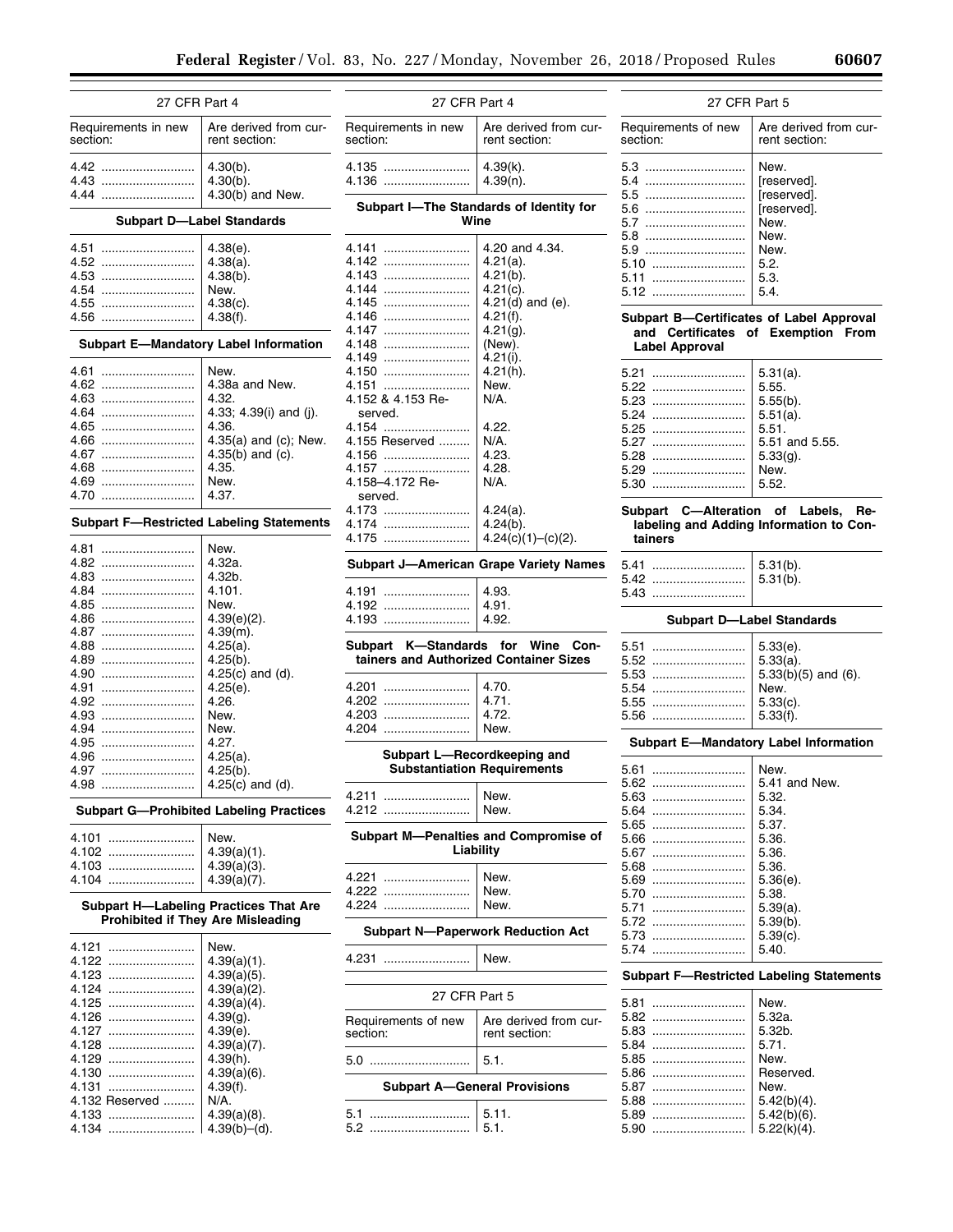| 27 CFR Part 4                   |                                                 | 27 CFR Part 4                                 |                                          | 27 CFR Part 5                            |                                                 |
|---------------------------------|-------------------------------------------------|-----------------------------------------------|------------------------------------------|------------------------------------------|-------------------------------------------------|
| Requirements in new<br>section: | Are derived from cur-<br>rent section:          | Requirements in new<br>section:               | Are derived from cur-<br>rent section:   | Requirements of new<br>section:          | Are derived from cur-<br>rent section:          |
| 4.42                            | $4.30(b)$ .                                     | 4.135                                         | $4.39(k)$ .                              | 5.3                                      | New.                                            |
| 4.43                            | $4.30(b)$ .                                     | 4.136                                         | $4.39(n)$ .                              | 5.4                                      | [reserved].                                     |
| 4.44                            | $4.30(b)$ and New.                              |                                               |                                          | 5.5<br>                                  | [reserved].                                     |
|                                 |                                                 |                                               | Subpart I-The Standards of Identity for  | 5.6                                      | [reserved].                                     |
|                                 | <b>Subpart D-Label Standards</b>                |                                               | Wine                                     | 5.7<br>                                  | New.                                            |
|                                 |                                                 |                                               |                                          | 5.8<br>                                  | New.                                            |
| 4.51                            | $4.38(e)$ .                                     | 4.141                                         | 4.20 and 4.34.                           | 5.9                                      | New.                                            |
| 4.52                            | $4.38(a)$ .                                     | 4.142<br>4.143                                | $4.21(a)$ .<br>$4.21(b)$ .               | 5.10                                     | 5.2.                                            |
| 4.53<br>4.54                    | $4.38(b)$ .<br>New.                             | 4.144                                         | $4.21(c)$ .                              | 5.11<br>                                 | 5.3.<br>5.4.                                    |
| 4.55                            | $4.38(c)$ .                                     | 4.145                                         | $4.21(d)$ and (e).                       | 5.12                                     |                                                 |
| 4.56                            | 4.38(f).                                        | 4.146                                         | 4.21(f).                                 | Subpart B-Certificates of Label Approval |                                                 |
|                                 |                                                 | 4.147                                         | $4.21(g)$ .                              |                                          | and Certificates of Exemption From              |
|                                 | <b>Subpart E-Mandatory Label Information</b>    | 4.148                                         | (New).                                   | <b>Label Approval</b>                    |                                                 |
|                                 |                                                 | 4.149                                         | $4.21(i)$ .                              |                                          |                                                 |
| 4.61                            | New.                                            | 4.150                                         | $4.21(h)$ .                              | 5.21                                     | $5.31(a)$ .                                     |
| 4.62                            | 4.38a and New.                                  | 4.151                                         | New.                                     | 5.22                                     | 5.55.                                           |
| 4.63<br>4.64                    | 4.32.                                           | 4.152 & 4.153 Re-                             | N/A.                                     | 5.23                                     | $5.55(b)$ .                                     |
| 4.65                            | 4.33; 4.39(i) and (j).<br>4.36.                 | served.<br>4.154                              | 4.22.                                    | 5.24                                     | $5.51(a)$ .                                     |
| 4.66                            | 4.35(a) and (c); New.                           | 4.155 Reserved                                | N/A.                                     | 5.25<br>5.27                             | 5.51.                                           |
| 4.67                            | $4.35(b)$ and (c).                              | 4.156                                         | 4.23.                                    | 5.28                                     | 5.51 and 5.55.<br>$5.33(g)$ .                   |
| 4.68                            | 4.35.                                           | 4.157                                         | 4.28.                                    | 5.29                                     | New.                                            |
| 4.69                            | New.                                            | 4.158-4.172 Re-                               | N/A.                                     | 5.30                                     | 5.52.                                           |
| 4.70                            | 4.37.                                           | served.                                       |                                          |                                          |                                                 |
|                                 |                                                 | 4.173                                         | $4.24(a)$ .                              | Subpart C--Alteration of Labels, Re-     |                                                 |
|                                 | <b>Subpart F-Restricted Labeling Statements</b> | 4.174                                         | $4.24(b)$ .                              |                                          | labeling and Adding Information to Con-         |
| 4.81                            |                                                 | 4.175                                         | $4.24(c)(1)-(c)(2)$ .                    | tainers                                  |                                                 |
| 4.82                            | New.<br>4.32a.                                  |                                               |                                          |                                          |                                                 |
| 4.83                            | 4.32b.                                          | <b>Subpart J-American Grape Variety Names</b> |                                          | 5.41                                     | $5.31(b)$ .                                     |
| 4.84                            | 4.101.                                          | 4.191                                         | 4.93.                                    | 5.42<br>5.43                             | $5.31(b)$ .                                     |
| 4.85                            | New.                                            | 4.192                                         | 4.91.                                    |                                          |                                                 |
| 4.86                            | $4.39(e)(2)$ .                                  | 4.193                                         | 4.92.                                    |                                          | <b>Subpart D-Label Standards</b>                |
| 4.87                            | $4.39(m)$ .                                     |                                               |                                          |                                          |                                                 |
| 4.88                            | $4.25(a)$ .                                     | Subpart K-Standards for Wine Con-             |                                          | 5.51                                     | $5.33(e)$ .                                     |
| 4.89                            | $4.25(b)$ .                                     | tainers and Authorized Container Sizes        |                                          | 5.52                                     | $5.33(a)$ .                                     |
| 4.90                            | 4.25 $(c)$ and $(d)$ .                          | 4.201                                         | 4.70.                                    | 5.53                                     | $5.33(b)(5)$ and $(6)$ .                        |
| 4.91<br>4.92                    | $4.25(e)$ .<br>4.26.                            | 4.202                                         | 4.71.                                    | 5.54<br>5.55                             | New.<br>$5.33(c)$ .                             |
| 4.93                            | New.                                            | 4.203                                         | 4.72.                                    | 5.56                                     | 5.33(f).                                        |
| 4.94                            | New.                                            | 4.204                                         | New.                                     |                                          |                                                 |
| 4.95                            | 4.27.                                           |                                               |                                          |                                          | <b>Subpart E-Mandatory Label Information</b>    |
| 4.96                            | $4.25(a)$ .                                     | Subpart L-Recordkeeping and                   |                                          |                                          |                                                 |
| 4.97                            | $4.25(b)$ .                                     |                                               | <b>Substantiation Requirements</b>       | 5.61                                     | New.                                            |
| 4.98                            | 4.25 $(c)$ and $(d)$ .                          |                                               |                                          | 5.62                                     | 5.41 and New.                                   |
|                                 |                                                 | 4.211<br><br>4.212                            | New.<br>New.                             | 5.63                                     | 5.32.                                           |
|                                 | <b>Subpart G-Prohibited Labeling Practices</b>  |                                               |                                          | 5.64<br>5.65                             | 5.34.<br>5.37.                                  |
| 4.101                           | New.                                            |                                               | Subpart M-Penalties and Compromise of    | 5.66                                     | 5.36.                                           |
| 4.102                           | $4.39(a)(1)$ .                                  |                                               | Liability                                | 5.67                                     | 5.36.                                           |
| 4.103                           | $4.39(a)(3)$ .                                  |                                               |                                          | 5.68                                     | 5.36.                                           |
| 4.104                           | $4.39(a)(7)$ .                                  | 4.221                                         | New.                                     | 5.69                                     | $5.36(e)$ .                                     |
|                                 |                                                 |                                               | New.                                     | 5.70<br>                                 | 5.38.                                           |
|                                 | <b>Subpart H-Labeling Practices That Are</b>    | 4.224                                         | New.                                     | 5.71<br>                                 | $5.39(a)$ .                                     |
|                                 | <b>Prohibited if They Are Misleading</b>        |                                               |                                          | 5.72<br>                                 | $5.39(b)$ .                                     |
| 4.121                           | New.                                            |                                               | <b>Subpart N-Paperwork Reduction Act</b> | 5.73                                     | $5.39(c)$ .                                     |
| 4.122                           | $4.39(a)(1)$ .                                  | 4.231                                         | New.                                     | 5.74                                     | 5.40.                                           |
| 4.123                           | $4.39(a)(5)$ .                                  |                                               |                                          |                                          | <b>Subpart F-Restricted Labeling Statements</b> |
| 4.124                           | $4.39(a)(2)$ .                                  |                                               |                                          |                                          |                                                 |
| 4.125                           | $4.39(a)(4)$ .                                  | 27 CFR Part 5                                 |                                          | 5.81                                     | New.                                            |
| 4.126                           | 4.39(g).                                        | Requirements of new                           | Are derived from cur-                    | 5.82                                     | 5.32a.                                          |
| 4.127                           | $4.39(e)$ .                                     | section:                                      | rent section:                            | 5.83                                     | 5.32b.                                          |
| 4.128                           | $4.39(a)(7)$ .                                  |                                               |                                          | 5.84                                     | 5.71.                                           |
| 4.129                           | $4.39(h)$ .                                     | 5.0                                           | 5.1.                                     | 5.85                                     | New.                                            |
| 4.130                           | $4.39(a)(6)$ .                                  |                                               |                                          | 5.86                                     | Reserved.                                       |
| 4.131                           | 4.39(f).                                        | <b>Subpart A-General Provisions</b>           |                                          | 5.87                                     | New.                                            |
| 4.132 Reserved                  | N/A.                                            | 5.1                                           | 5.11.                                    | 5.88<br>5.89                             | $5.42(b)(4)$ .<br>$5.42(b)(6)$ .                |
| 4.133<br>4.134                  | $4.39(a)(8)$ .<br>$4.39(b)–(d)$ .               | 5.2 !                                         | 5.1.                                     | 5.90                                     | $5.22(k)(4)$ .                                  |
|                                 |                                                 |                                               |                                          |                                          |                                                 |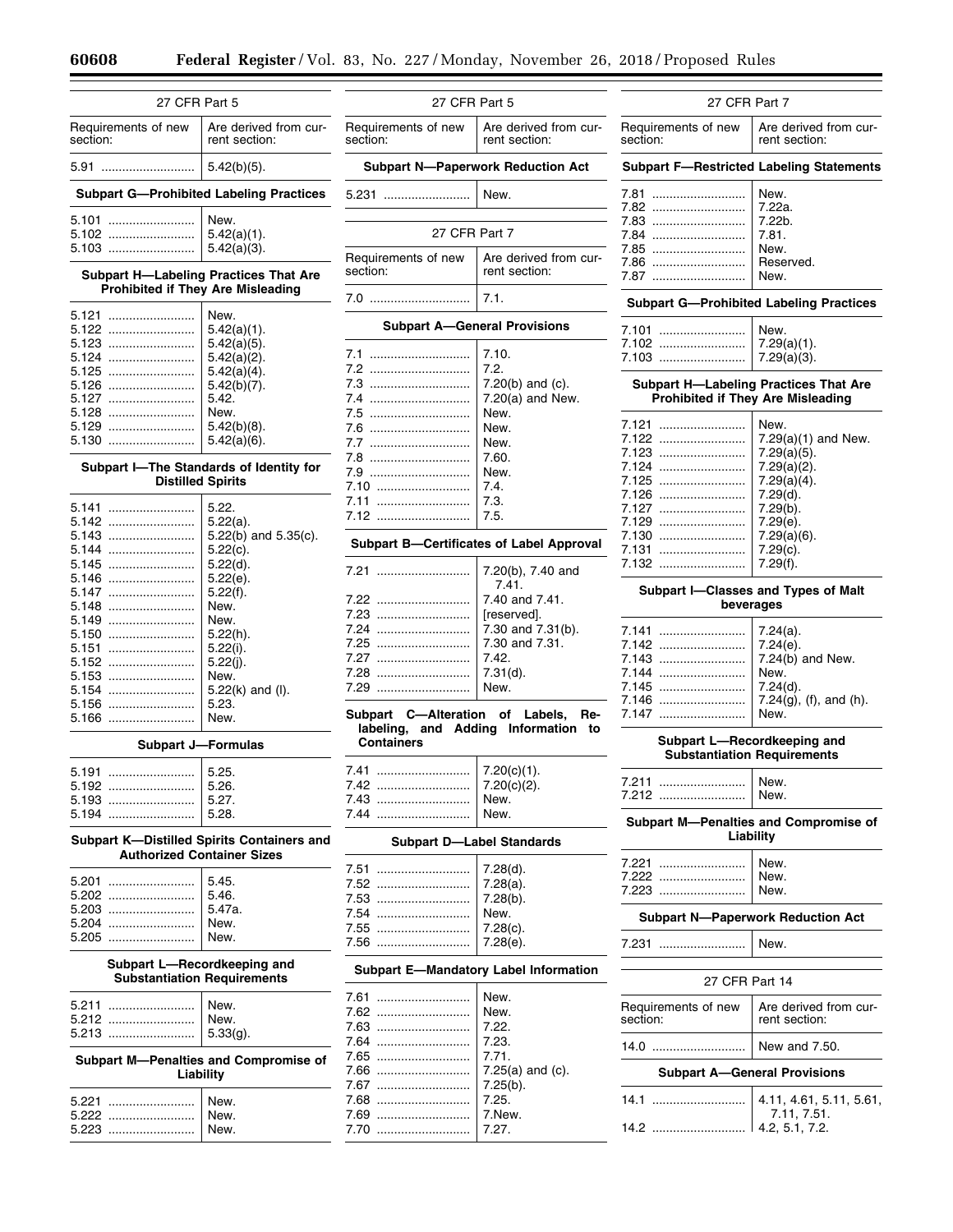| 27 CFR Part 5                                                     |                                                                                   | 27 CFR Part 5                        |                                                 | 27 CFR Part 7                                      |                                                  |  |
|-------------------------------------------------------------------|-----------------------------------------------------------------------------------|--------------------------------------|-------------------------------------------------|----------------------------------------------------|--------------------------------------------------|--|
| Requirements of new<br>section:                                   | Are derived from cur-<br>rent section:                                            | Requirements of new<br>section:      | Are derived from cur-<br>rent section:          | Requirements of new<br>section:                    | Are derived from cur-<br>rent section:           |  |
| 5.91<br>$5.42(b)(5)$ .                                            |                                                                                   |                                      | <b>Subpart N-Paperwork Reduction Act</b>        |                                                    | <b>Subpart F-Restricted Labeling Statements</b>  |  |
|                                                                   | <b>Subpart G-Prohibited Labeling Practices</b>                                    | 5.231                                | New.                                            | 7.81<br>7.82                                       | New.<br>7.22a.                                   |  |
| 5.101<br>5.102                                                    | New.<br>$5.42(a)(1)$ .                                                            | 27 CFR Part 7                        |                                                 | 7.84                                               | 7.22b.<br>7.81.                                  |  |
| 5.103                                                             | $5.42(a)(3)$ .                                                                    | Requirements of new                  | Are derived from cur-                           | 7.85<br>7.86                                       | New.<br>Reserved.                                |  |
|                                                                   | <b>Subpart H-Labeling Practices That Are</b><br>Prohibited if They Are Misleading | section:                             | rent section:                                   | 7.87                                               | New.                                             |  |
| 5.121                                                             | New.                                                                              | 7.0                                  | 7.1.                                            |                                                    | <b>Subpart G-Prohibited Labeling Practices</b>   |  |
| 5.122                                                             | $5.42(a)(1)$ .                                                                    |                                      | <b>Subpart A-General Provisions</b>             | 7.101                                              | New.                                             |  |
| 5.123                                                             | $5.42(a)(5)$ .                                                                    |                                      | 7.10.                                           | 7.102                                              | $7.29(a)(1)$ .                                   |  |
| 5.124                                                             | $5.42(a)(2)$ .                                                                    | 7.2                                  | 7.2.                                            | 7.103                                              | $7.29(a)(3)$ .                                   |  |
| 5.125                                                             | $5.42(a)(4)$ .                                                                    | 7.3                                  | 7.20 $(b)$ and $(c)$ .                          |                                                    | <b>Subpart H-Labeling Practices That Are</b>     |  |
| 5.126<br>5.127                                                    | $5.42(b)(7)$ .<br>5.42.                                                           | 7.4                                  | 7.20(a) and New.                                |                                                    | <b>Prohibited if They Are Misleading</b>         |  |
| 5.128                                                             | New.                                                                              | 7.5                                  | New.                                            |                                                    |                                                  |  |
| 5.129                                                             | $5.42(b)(8)$ .                                                                    | 7.6                                  | New.                                            | 7.121                                              | New.                                             |  |
| 5.130                                                             | $5.42(a)(6)$ .                                                                    | 7.7                                  | New.                                            | 7.122                                              | $7.29(a)(1)$ and New.                            |  |
|                                                                   |                                                                                   | 7.8                                  | 7.60.                                           | 7.123                                              | $7.29(a)(5)$ .                                   |  |
|                                                                   | Subpart I-The Standards of Identity for                                           | 7.9                                  | New.                                            | 7.124                                              | $7.29(a)(2)$ .                                   |  |
|                                                                   | <b>Distilled Spirits</b>                                                          | 7.10                                 | 7.4.                                            | 7.125                                              | $7.29(a)(4)$ .                                   |  |
|                                                                   |                                                                                   | 7.11                                 | 7.3.                                            | 7.126                                              | 7.29(d).                                         |  |
|                                                                   | 5.22.                                                                             | 7.12                                 | 7.5.                                            | 7.127                                              | $7.29(b)$ .                                      |  |
| 5.142                                                             | $5.22(a)$ .                                                                       |                                      |                                                 | 7.129                                              | 7.29(e).                                         |  |
| 5.143                                                             | $5.22(b)$ and $5.35(c)$ .                                                         |                                      | <b>Subpart B-Certificates of Label Approval</b> | 7.130                                              | $7.29(a)(6)$ .                                   |  |
| 5.144                                                             | $5.22(c)$ .                                                                       |                                      |                                                 | 7.131                                              | $7.29(c)$ .                                      |  |
| 5.145                                                             | $5.22(d)$ .                                                                       | 7.21                                 | 7.20(b), 7.40 and                               | 7.132                                              | 7.29(f).                                         |  |
| 5.146                                                             | $5.22(e)$ .                                                                       |                                      | 7.41.                                           |                                                    |                                                  |  |
| 5.147                                                             | 5.22(f).                                                                          | 7.22                                 | 7.40 and 7.41.                                  |                                                    | Subpart I-Classes and Types of Malt<br>beverages |  |
| 5.148                                                             | New.                                                                              | 7.23                                 | [reserved].                                     |                                                    |                                                  |  |
| 5.149<br>5.150                                                    | New.<br>$5.22(h)$ .                                                               | 7.24                                 | 7.30 and 7.31(b).                               | 7.141                                              | $7.24(a)$ .                                      |  |
| 5.151                                                             | $5.22(i)$ .                                                                       | 7.25                                 | 7.30 and 7.31.                                  | 7.142                                              | 7.24(e).                                         |  |
| 5.152                                                             | $5.22(j)$ .                                                                       | 7.27                                 | 7.42.                                           | 7.143                                              | $7.24(b)$ and New.                               |  |
| 5.153                                                             | New.                                                                              | 7.28                                 | $7.31(d)$ .                                     | 7.144                                              | New.                                             |  |
| 5.154                                                             | $5.22(k)$ and (I).                                                                | 7.29                                 | New.                                            | 7.145                                              | 7.24(d).                                         |  |
| 5.156                                                             | 5.23.                                                                             |                                      |                                                 | 7.146                                              | $7.24(g)$ , (f), and (h).                        |  |
| 5.166                                                             | New.                                                                              | Subpart C--Alteration of Labels, Re- |                                                 | 7.147                                              | New.                                             |  |
|                                                                   | <b>Subpart J-Formulas</b>                                                         | <b>Containers</b>                    | labeling, and Adding Information to             |                                                    | Subpart L-Recordkeeping and                      |  |
|                                                                   |                                                                                   |                                      |                                                 |                                                    | <b>Substantiation Requirements</b>               |  |
| 5.191                                                             | 5.25.                                                                             | 7.41                                 | $7.20(c)(1)$ .                                  | 7.211                                              | New.                                             |  |
| 5.192                                                             | 5.26.                                                                             |                                      | 7.20(c)(2).                                     | 7.212                                              | New.                                             |  |
| 5.193<br>5.194                                                    | 5.27.<br>5.28.                                                                    | 7.43<br>7.44                         | New.<br>New.                                    |                                                    |                                                  |  |
|                                                                   | Subpart K-Distilled Spirits Containers and                                        |                                      | <b>Subpart D-Label Standards</b>                | Subpart M-Penalties and Compromise of<br>Liability |                                                  |  |
|                                                                   | <b>Authorized Container Sizes</b>                                                 |                                      |                                                 | 7.221                                              | New.                                             |  |
|                                                                   |                                                                                   | 7.51                                 | 7.28(d).                                        | 7.222                                              | New.                                             |  |
| 5.201                                                             | 5.45.                                                                             | 7.52                                 | $7.28(a)$ .                                     | 7.223                                              | New.                                             |  |
|                                                                   | 5.46.                                                                             | 7.53                                 | 7.28(b).                                        |                                                    |                                                  |  |
| 5.203                                                             | 5.47a.                                                                            | 7.54<br>                             | New.                                            |                                                    | <b>Subpart N-Paperwork Reduction Act</b>         |  |
| 5.204                                                             | New.                                                                              | 7.55                                 | $7.28(c)$ .                                     |                                                    |                                                  |  |
| 5.205                                                             | New.                                                                              | 7.56                                 | 7.28(e).                                        | 7.231                                              | New.                                             |  |
| Subpart L-Recordkeeping and<br><b>Substantiation Requirements</b> |                                                                                   |                                      | <b>Subpart E-Mandatory Label Information</b>    | 27 CFR Part 14                                     |                                                  |  |
|                                                                   |                                                                                   | 7.61                                 | New.                                            |                                                    |                                                  |  |
| 5.211<br>5.212                                                    | New.<br>New.                                                                      | 7.62                                 | New.                                            | Requirements of new<br>section:                    | Are derived from cur-<br>rent section:           |  |
| 5.213                                                             | $5.33(q)$ .                                                                       | 7.63                                 | 7.22.                                           |                                                    |                                                  |  |
|                                                                   |                                                                                   | 7.64                                 | 7.23.                                           | 14.0                                               | New and 7.50.                                    |  |
|                                                                   | Subpart M-Penalties and Compromise of                                             | 7.65                                 | 7.71.                                           |                                                    |                                                  |  |
|                                                                   | Liability                                                                         | 7.66                                 | $7.25(a)$ and (c).                              |                                                    | <b>Subpart A-General Provisions</b>              |  |
|                                                                   |                                                                                   | 7.67                                 | 7.25(b).                                        |                                                    |                                                  |  |
| 5.221                                                             | New.                                                                              | 7.68<br>                             | 7.25.                                           | 14.1                                               | 4.11, 4.61, 5.11, 5.61,                          |  |
| 5.222                                                             | New.                                                                              | 7.69                                 | 7.New.                                          |                                                    | 7.11, 7.51.                                      |  |
| 5.223                                                             | New.                                                                              | 7.70                                 | 7.27.                                           | 14.2                                               | 4.2, 5.1, 7.2.                                   |  |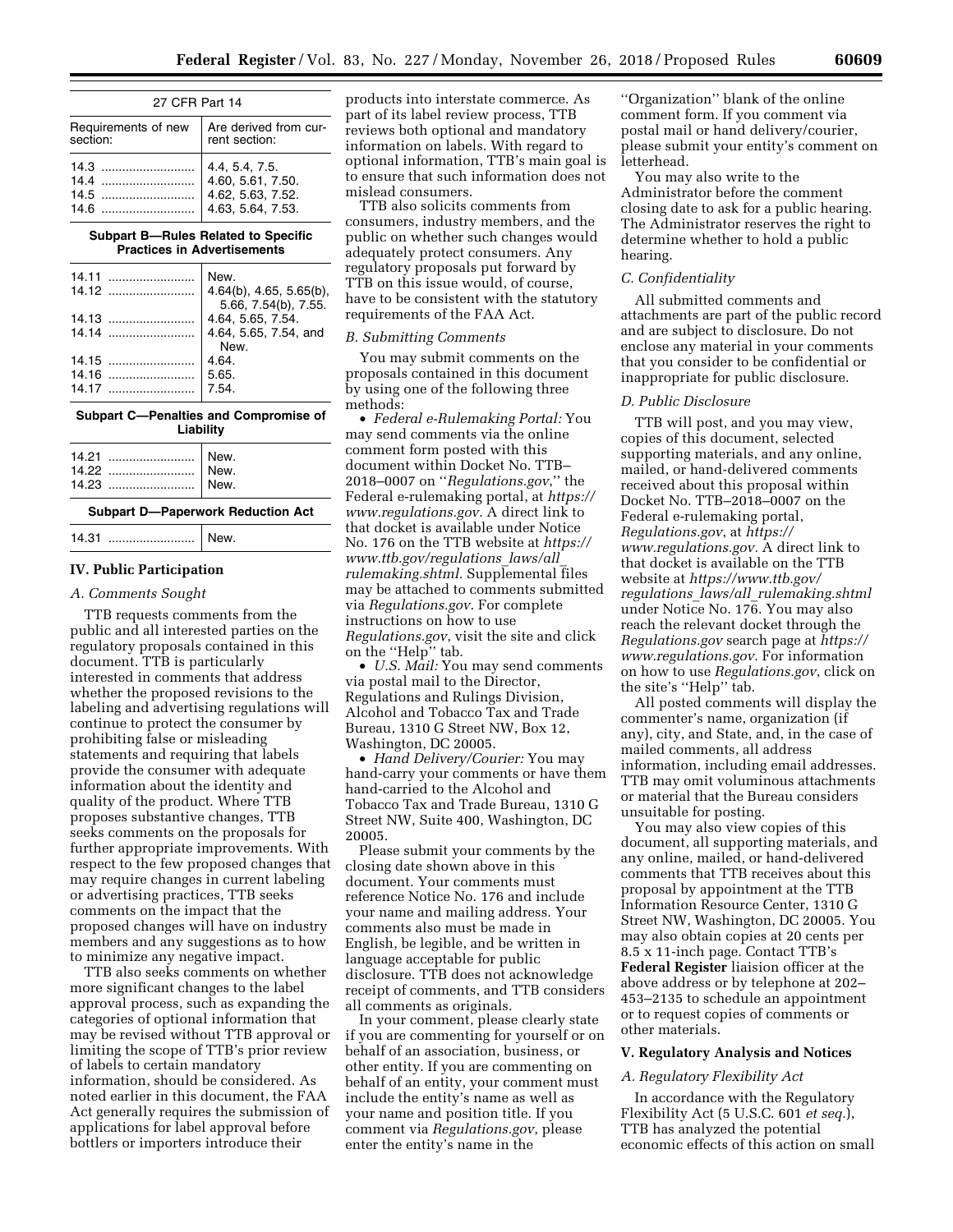| 27 CFR Part 14      |                       |  |  |
|---------------------|-----------------------|--|--|
| Requirements of new | Are derived from cur- |  |  |
| section:            | rent section:         |  |  |
|                     | 4.4. 5.4. 7.5.        |  |  |
| 14.4                | 4.60, 5.61, 7.50.     |  |  |
| 14.5                | 4.62, 5.63, 7.52.     |  |  |
| 14.6                | 4.63, 5.64, 7.53.     |  |  |

#### **Subpart B—Rules Related to Specific Practices in Advertisements**

| New.                                                     |
|----------------------------------------------------------|
| $4.64(b)$ , $4.65$ , $5.65(b)$ ,<br>5.66, 7.54(b), 7.55. |
| 4.64, 5.65, 7.54.                                        |
| 4.64, 5.65, 7.54, and                                    |
| New.                                                     |
| 4.64.                                                    |
| 5.65.                                                    |
| 7.54.                                                    |
|                                                          |

#### **Subpart C—Penalties and Compromise of Liability**

| --------                                        |  |
|-------------------------------------------------|--|
| 14.21    New.<br>14.22    New.<br>14.23    New. |  |

#### **Subpart D—Paperwork Reduction Act**

14.31 ......................... New.

# **IV. Public Participation**

#### *A. Comments Sought*

TTB requests comments from the public and all interested parties on the regulatory proposals contained in this document. TTB is particularly interested in comments that address whether the proposed revisions to the labeling and advertising regulations will continue to protect the consumer by prohibiting false or misleading statements and requiring that labels provide the consumer with adequate information about the identity and quality of the product. Where TTB proposes substantive changes, TTB seeks comments on the proposals for further appropriate improvements. With respect to the few proposed changes that may require changes in current labeling or advertising practices, TTB seeks comments on the impact that the proposed changes will have on industry members and any suggestions as to how to minimize any negative impact.

TTB also seeks comments on whether more significant changes to the label approval process, such as expanding the categories of optional information that may be revised without TTB approval or limiting the scope of TTB's prior review of labels to certain mandatory information, should be considered. As noted earlier in this document, the FAA Act generally requires the submission of applications for label approval before bottlers or importers introduce their

products into interstate commerce. As part of its label review process, TTB reviews both optional and mandatory information on labels. With regard to optional information, TTB's main goal is to ensure that such information does not mislead consumers.

TTB also solicits comments from consumers, industry members, and the public on whether such changes would adequately protect consumers. Any regulatory proposals put forward by TTB on this issue would, of course, have to be consistent with the statutory requirements of the FAA Act.

# *B. Submitting Comments*

You may submit comments on the proposals contained in this document by using one of the following three methods:

• *Federal e-Rulemaking Portal:* You may send comments via the online comment form posted with this document within Docket No. TTB– 2018–0007 on ''*Regulations.gov*,'' the Federal e-rulemaking portal, at *[https://](https://www.regulations.gov) [www.regulations.gov.](https://www.regulations.gov)* A direct link to that docket is available under Notice No. 176 on the TTB website at *[https://](https://www.ttb.gov/regulations_laws/all_rulemaking.shtml)  [www.ttb.gov/regulations](https://www.ttb.gov/regulations_laws/all_rulemaking.shtml)*\_*laws/all*\_ *[rulemaking.shtml.](https://www.ttb.gov/regulations_laws/all_rulemaking.shtml)* Supplemental files may be attached to comments submitted via *Regulations.gov*. For complete instructions on how to use *Regulations.gov*, visit the site and click on the "Help" tab.

• *U.S. Mail:* You may send comments via postal mail to the Director, Regulations and Rulings Division, Alcohol and Tobacco Tax and Trade Bureau, 1310 G Street NW, Box 12, Washington, DC 20005.

• *Hand Delivery/Courier:* You may hand-carry your comments or have them hand-carried to the Alcohol and Tobacco Tax and Trade Bureau, 1310 G Street NW, Suite 400, Washington, DC 20005.

Please submit your comments by the closing date shown above in this document. Your comments must reference Notice No. 176 and include your name and mailing address. Your comments also must be made in English, be legible, and be written in language acceptable for public disclosure. TTB does not acknowledge receipt of comments, and TTB considers all comments as originals.

In your comment, please clearly state if you are commenting for yourself or on behalf of an association, business, or other entity. If you are commenting on behalf of an entity, your comment must include the entity's name as well as your name and position title. If you comment via *Regulations.gov*, please enter the entity's name in the

''Organization'' blank of the online comment form. If you comment via postal mail or hand delivery/courier, please submit your entity's comment on letterhead.

You may also write to the Administrator before the comment closing date to ask for a public hearing. The Administrator reserves the right to determine whether to hold a public hearing.

# *C. Confidentiality*

All submitted comments and attachments are part of the public record and are subject to disclosure. Do not enclose any material in your comments that you consider to be confidential or inappropriate for public disclosure.

### *D. Public Disclosure*

TTB will post, and you may view, copies of this document, selected supporting materials, and any online, mailed, or hand-delivered comments received about this proposal within Docket No. TTB–2018–0007 on the Federal e-rulemaking portal, *Regulations.gov*, at *[https://](https://www.regulations.gov) [www.regulations.gov.](https://www.regulations.gov)* A direct link to that docket is available on the TTB website at *[https://www.ttb.gov/](https://www.ttb.gov/regulations_laws/all_rulemaking.shtml)  regulations*\_*laws/all*\_*[rulemaking.shtml](https://www.ttb.gov/regulations_laws/all_rulemaking.shtml)*  under Notice No. 176. You may also reach the relevant docket through the *Regulations.gov* search page at *[https://](https://www.regulations.gov) [www.regulations.gov.](https://www.regulations.gov)* For information on how to use *Regulations.gov*, click on the site's ''Help'' tab.

All posted comments will display the commenter's name, organization (if any), city, and State, and, in the case of mailed comments, all address information, including email addresses. TTB may omit voluminous attachments or material that the Bureau considers unsuitable for posting.

You may also view copies of this document, all supporting materials, and any online, mailed, or hand-delivered comments that TTB receives about this proposal by appointment at the TTB Information Resource Center, 1310 G Street NW, Washington, DC 20005. You may also obtain copies at 20 cents per 8.5 x 11-inch page. Contact TTB's **Federal Register** liaision officer at the above address or by telephone at 202– 453–2135 to schedule an appointment or to request copies of comments or other materials.

# **V. Regulatory Analysis and Notices**

### *A. Regulatory Flexibility Act*

In accordance with the Regulatory Flexibility Act (5 U.S.C. 601 *et seq.*), TTB has analyzed the potential economic effects of this action on small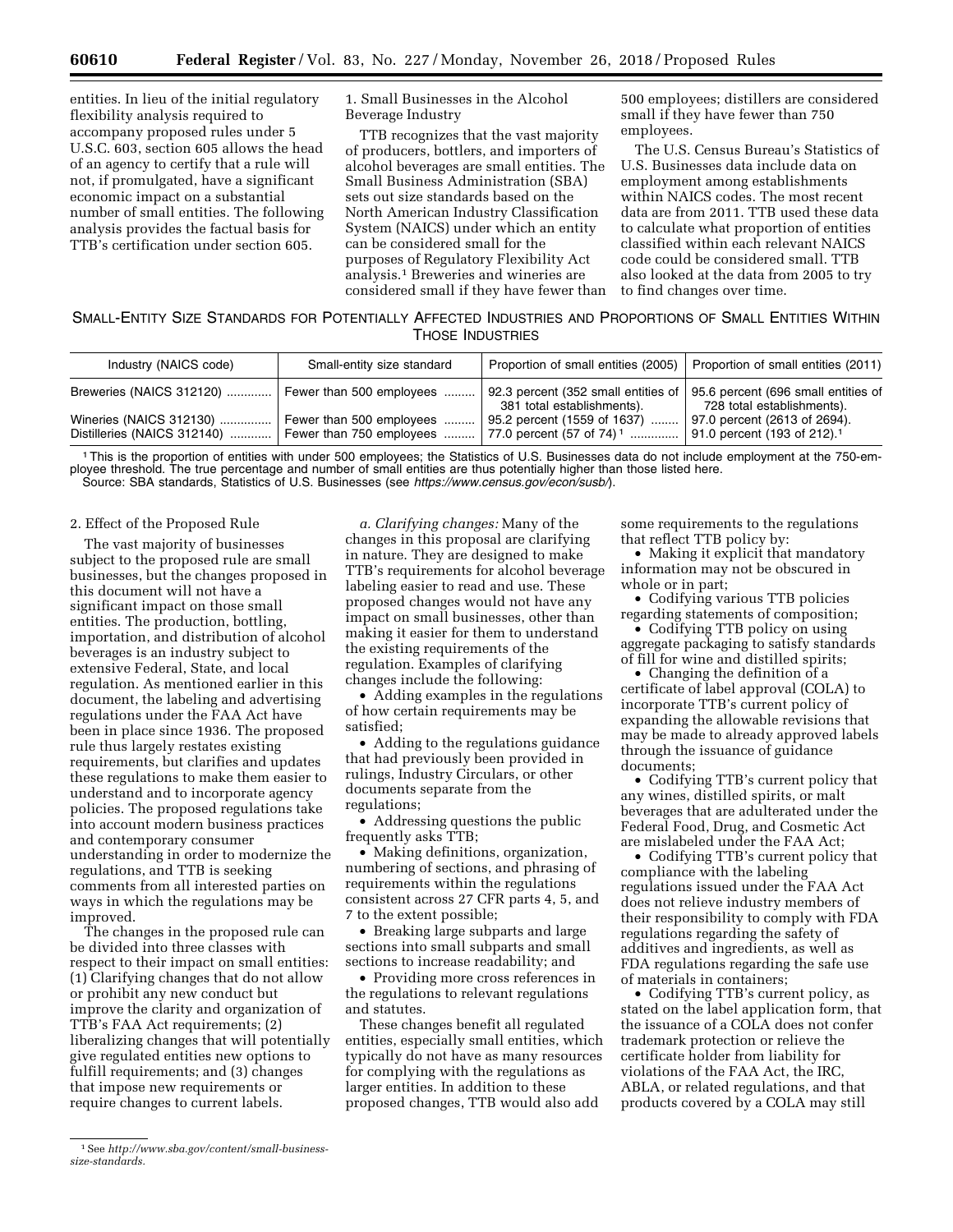entities. In lieu of the initial regulatory flexibility analysis required to accompany proposed rules under 5 U.S.C. 603, section 605 allows the head of an agency to certify that a rule will not, if promulgated, have a significant economic impact on a substantial number of small entities. The following analysis provides the factual basis for TTB's certification under section 605.

1. Small Businesses in the Alcohol Beverage Industry

TTB recognizes that the vast majority of producers, bottlers, and importers of alcohol beverages are small entities. The Small Business Administration (SBA) sets out size standards based on the North American Industry Classification System (NAICS) under which an entity can be considered small for the purposes of Regulatory Flexibility Act analysis.1 Breweries and wineries are considered small if they have fewer than 500 employees; distillers are considered small if they have fewer than 750 employees.

The U.S. Census Bureau's Statistics of U.S. Businesses data include data on employment among establishments within NAICS codes. The most recent data are from 2011. TTB used these data to calculate what proportion of entities classified within each relevant NAICS code could be considered small. TTB also looked at the data from 2005 to try to find changes over time.

# SMALL-ENTITY SIZE STANDARDS FOR POTENTIALLY AFFECTED INDUSTRIES AND PROPORTIONS OF SMALL ENTITIES WITHIN THOSE INDUSTRIES

| Industry (NAICS code)                                  | Small-entity size standard                           | Proportion of small entities (2005)                                 | Proportion of small entities (2011)                                     |
|--------------------------------------------------------|------------------------------------------------------|---------------------------------------------------------------------|-------------------------------------------------------------------------|
| Breweries (NAICS 312120)                               | Fewer than 500 employees.                            | 92.3 percent (352 small entities of<br>381 total establishments).   | 95.6 percent (696 small entities of<br>728 total establishments).       |
| Wineries (NAICS 312130)<br>Distilleries (NAICS 312140) | Fewer than 500 employees<br>Fewer than 750 employees | 95.2 percent (1559 of 1637)<br>77.0 percent (57 of 74) <sup>1</sup> | 97.0 percent (2613 of 2694).<br>91.0 percent (193 of 212). <sup>1</sup> |

1This is the proportion of entities with under 500 employees; the Statistics of U.S. Businesses data do not include employment at the 750-employee threshold. The true percentage and number of small entities are thus potentially higher than those listed here. Source: SBA standards, Statistics of U.S. Businesses (see *<https://www.census.gov/econ/susb/>*).

#### 2. Effect of the Proposed Rule

The vast majority of businesses subject to the proposed rule are small businesses, but the changes proposed in this document will not have a significant impact on those small entities. The production, bottling, importation, and distribution of alcohol beverages is an industry subject to extensive Federal, State, and local regulation. As mentioned earlier in this document, the labeling and advertising regulations under the FAA Act have been in place since 1936. The proposed rule thus largely restates existing requirements, but clarifies and updates these regulations to make them easier to understand and to incorporate agency policies. The proposed regulations take into account modern business practices and contemporary consumer understanding in order to modernize the regulations, and TTB is seeking comments from all interested parties on ways in which the regulations may be improved.

The changes in the proposed rule can be divided into three classes with respect to their impact on small entities: (1) Clarifying changes that do not allow or prohibit any new conduct but improve the clarity and organization of TTB's FAA Act requirements; (2) liberalizing changes that will potentially give regulated entities new options to fulfill requirements; and (3) changes that impose new requirements or require changes to current labels.

*a. Clarifying changes:* Many of the changes in this proposal are clarifying in nature. They are designed to make TTB's requirements for alcohol beverage labeling easier to read and use. These proposed changes would not have any impact on small businesses, other than making it easier for them to understand the existing requirements of the regulation. Examples of clarifying changes include the following:

• Adding examples in the regulations of how certain requirements may be satisfied;

• Adding to the regulations guidance that had previously been provided in rulings, Industry Circulars, or other documents separate from the regulations;

• Addressing questions the public frequently asks TTB;

• Making definitions, organization, numbering of sections, and phrasing of requirements within the regulations consistent across 27 CFR parts 4, 5, and 7 to the extent possible;

• Breaking large subparts and large sections into small subparts and small sections to increase readability; and

• Providing more cross references in the regulations to relevant regulations and statutes.

These changes benefit all regulated entities, especially small entities, which typically do not have as many resources for complying with the regulations as larger entities. In addition to these proposed changes, TTB would also add

some requirements to the regulations that reflect TTB policy by:

• Making it explicit that mandatory information may not be obscured in whole or in part;

• Codifying various TTB policies regarding statements of composition;

• Codifying TTB policy on using aggregate packaging to satisfy standards of fill for wine and distilled spirits;

• Changing the definition of a certificate of label approval (COLA) to incorporate TTB's current policy of expanding the allowable revisions that may be made to already approved labels through the issuance of guidance documents;

• Codifying TTB's current policy that any wines, distilled spirits, or malt beverages that are adulterated under the Federal Food, Drug, and Cosmetic Act are mislabeled under the FAA Act;

• Codifying TTB's current policy that compliance with the labeling regulations issued under the FAA Act does not relieve industry members of their responsibility to comply with FDA regulations regarding the safety of additives and ingredients, as well as FDA regulations regarding the safe use of materials in containers;

• Codifying TTB's current policy, as stated on the label application form, that the issuance of a COLA does not confer trademark protection or relieve the certificate holder from liability for violations of the FAA Act, the IRC, ABLA, or related regulations, and that products covered by a COLA may still

<sup>1</sup>See *[http://www.sba.gov/content/small-business](http://www.sba.gov/content/small-business-size-standards)[size-standards.](http://www.sba.gov/content/small-business-size-standards)*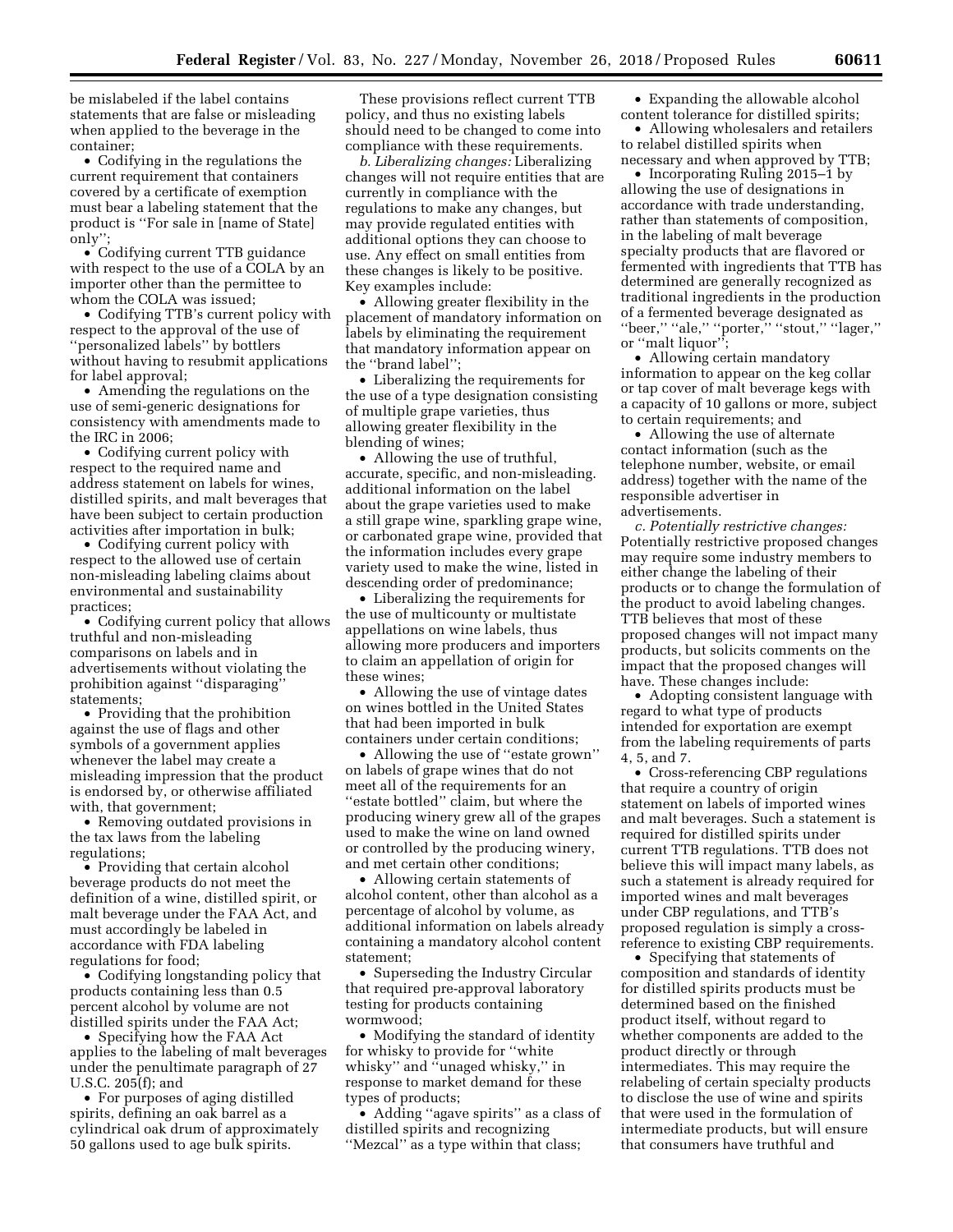be mislabeled if the label contains statements that are false or misleading when applied to the beverage in the container;

• Codifying in the regulations the current requirement that containers covered by a certificate of exemption must bear a labeling statement that the product is ''For sale in [name of State] only'';

• Codifying current TTB guidance with respect to the use of a COLA by an importer other than the permittee to whom the COLA was issued;

• Codifying TTB's current policy with respect to the approval of the use of ''personalized labels'' by bottlers without having to resubmit applications for label approval;

• Amending the regulations on the use of semi-generic designations for consistency with amendments made to the IRC in 2006;

• Codifying current policy with respect to the required name and address statement on labels for wines, distilled spirits, and malt beverages that have been subject to certain production activities after importation in bulk;

• Codifying current policy with respect to the allowed use of certain non-misleading labeling claims about environmental and sustainability practices;

• Codifying current policy that allows truthful and non-misleading comparisons on labels and in advertisements without violating the prohibition against ''disparaging'' statements;

• Providing that the prohibition against the use of flags and other symbols of a government applies whenever the label may create a misleading impression that the product is endorsed by, or otherwise affiliated with, that government;

• Removing outdated provisions in the tax laws from the labeling regulations;

• Providing that certain alcohol beverage products do not meet the definition of a wine, distilled spirit, or malt beverage under the FAA Act, and must accordingly be labeled in accordance with FDA labeling regulations for food;

• Codifying longstanding policy that products containing less than 0.5 percent alcohol by volume are not distilled spirits under the FAA Act;

• Specifying how the FAA Act applies to the labeling of malt beverages under the penultimate paragraph of 27 U.S.C. 205(f); and

• For purposes of aging distilled spirits, defining an oak barrel as a cylindrical oak drum of approximately 50 gallons used to age bulk spirits.

These provisions reflect current TTB policy, and thus no existing labels should need to be changed to come into compliance with these requirements.

*b. Liberalizing changes:* Liberalizing changes will not require entities that are currently in compliance with the regulations to make any changes, but may provide regulated entities with additional options they can choose to use. Any effect on small entities from these changes is likely to be positive. Key examples include:

• Allowing greater flexibility in the placement of mandatory information on labels by eliminating the requirement that mandatory information appear on the ''brand label'';

• Liberalizing the requirements for the use of a type designation consisting of multiple grape varieties, thus allowing greater flexibility in the blending of wines;

• Allowing the use of truthful, accurate, specific, and non-misleading. additional information on the label about the grape varieties used to make a still grape wine, sparkling grape wine, or carbonated grape wine, provided that the information includes every grape variety used to make the wine, listed in descending order of predominance;

• Liberalizing the requirements for the use of multicounty or multistate appellations on wine labels, thus allowing more producers and importers to claim an appellation of origin for these wines;

• Allowing the use of vintage dates on wines bottled in the United States that had been imported in bulk containers under certain conditions;

• Allowing the use of "estate grown" on labels of grape wines that do not meet all of the requirements for an ''estate bottled'' claim, but where the producing winery grew all of the grapes used to make the wine on land owned or controlled by the producing winery, and met certain other conditions;

• Allowing certain statements of alcohol content, other than alcohol as a percentage of alcohol by volume, as additional information on labels already containing a mandatory alcohol content statement;

• Superseding the Industry Circular that required pre-approval laboratory testing for products containing wormwood;

• Modifying the standard of identity for whisky to provide for ''white whisky'' and ''unaged whisky,'' in response to market demand for these types of products;

• Adding ''agave spirits'' as a class of distilled spirits and recognizing ''Mezcal'' as a type within that class;

• Expanding the allowable alcohol content tolerance for distilled spirits;

• Allowing wholesalers and retailers to relabel distilled spirits when necessary and when approved by TTB;

• Incorporating Ruling 2015–1 by allowing the use of designations in accordance with trade understanding, rather than statements of composition, in the labeling of malt beverage specialty products that are flavored or fermented with ingredients that TTB has determined are generally recognized as traditional ingredients in the production of a fermented beverage designated as ''beer,'' ''ale,'' ''porter,'' ''stout,'' ''lager,'' or ''malt liquor'';

• Allowing certain mandatory information to appear on the keg collar or tap cover of malt beverage kegs with a capacity of 10 gallons or more, subject to certain requirements; and

• Allowing the use of alternate contact information (such as the telephone number, website, or email address) together with the name of the responsible advertiser in advertisements.

*c. Potentially restrictive changes:*  Potentially restrictive proposed changes may require some industry members to either change the labeling of their products or to change the formulation of the product to avoid labeling changes. TTB believes that most of these proposed changes will not impact many products, but solicits comments on the impact that the proposed changes will have. These changes include:

• Adopting consistent language with regard to what type of products intended for exportation are exempt from the labeling requirements of parts 4, 5, and 7.

• Cross-referencing CBP regulations that require a country of origin statement on labels of imported wines and malt beverages. Such a statement is required for distilled spirits under current TTB regulations. TTB does not believe this will impact many labels, as such a statement is already required for imported wines and malt beverages under CBP regulations, and TTB's proposed regulation is simply a crossreference to existing CBP requirements.

• Specifying that statements of composition and standards of identity for distilled spirits products must be determined based on the finished product itself, without regard to whether components are added to the product directly or through intermediates. This may require the relabeling of certain specialty products to disclose the use of wine and spirits that were used in the formulation of intermediate products, but will ensure that consumers have truthful and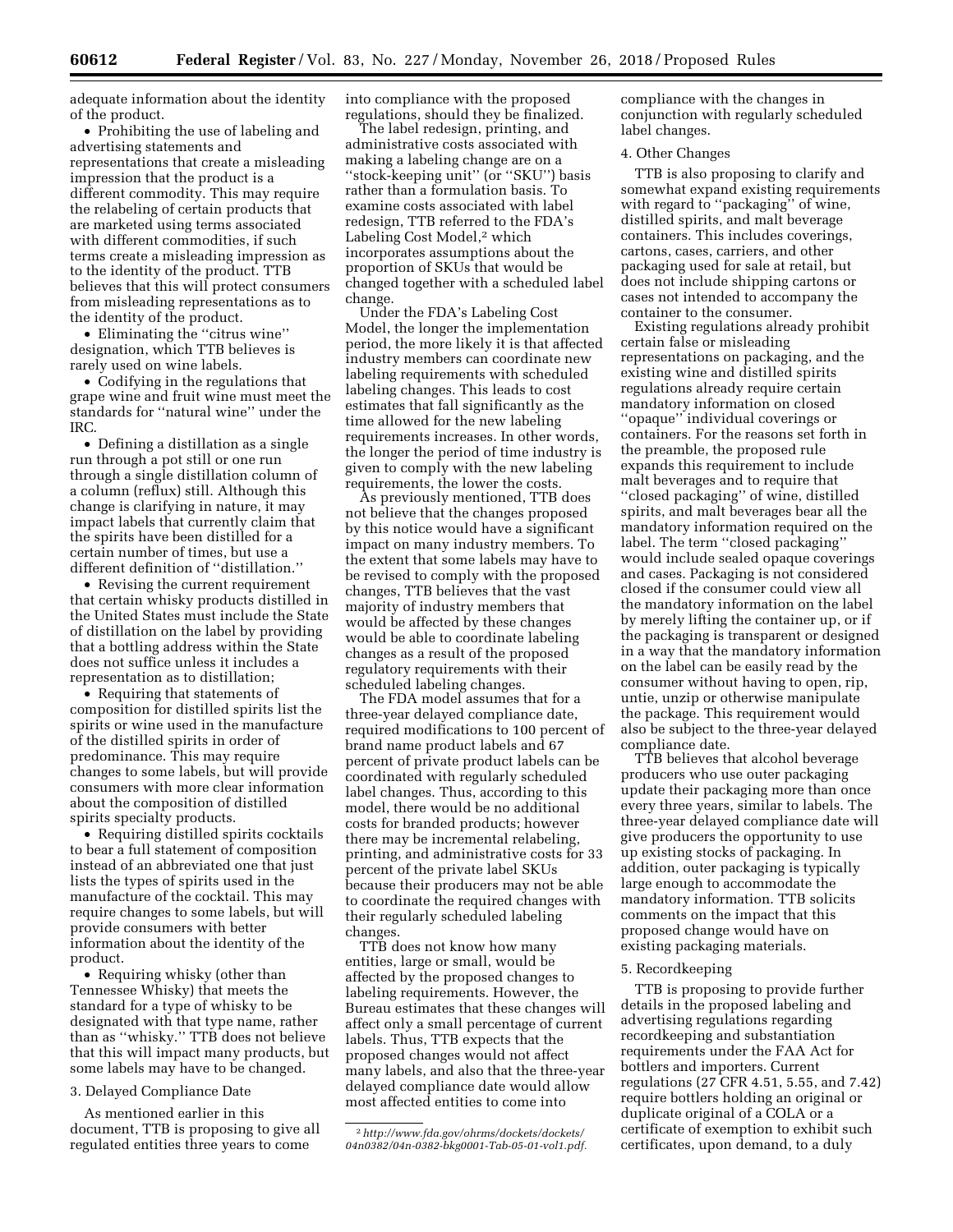adequate information about the identity of the product.

• Prohibiting the use of labeling and advertising statements and representations that create a misleading impression that the product is a different commodity. This may require the relabeling of certain products that are marketed using terms associated with different commodities, if such terms create a misleading impression as to the identity of the product. TTB believes that this will protect consumers from misleading representations as to the identity of the product.

• Eliminating the ''citrus wine'' designation, which TTB believes is rarely used on wine labels.

• Codifying in the regulations that grape wine and fruit wine must meet the standards for ''natural wine'' under the IRC.

• Defining a distillation as a single run through a pot still or one run through a single distillation column of a column (reflux) still. Although this change is clarifying in nature, it may impact labels that currently claim that the spirits have been distilled for a certain number of times, but use a different definition of ''distillation.''

• Revising the current requirement that certain whisky products distilled in the United States must include the State of distillation on the label by providing that a bottling address within the State does not suffice unless it includes a representation as to distillation;

• Requiring that statements of composition for distilled spirits list the spirits or wine used in the manufacture of the distilled spirits in order of predominance. This may require changes to some labels, but will provide consumers with more clear information about the composition of distilled spirits specialty products.

• Requiring distilled spirits cocktails to bear a full statement of composition instead of an abbreviated one that just lists the types of spirits used in the manufacture of the cocktail. This may require changes to some labels, but will provide consumers with better information about the identity of the product.

• Requiring whisky (other than Tennessee Whisky) that meets the standard for a type of whisky to be designated with that type name, rather than as ''whisky.'' TTB does not believe that this will impact many products, but some labels may have to be changed.

# 3. Delayed Compliance Date

As mentioned earlier in this document, TTB is proposing to give all regulated entities three years to come

into compliance with the proposed regulations, should they be finalized.

The label redesign, printing, and administrative costs associated with making a labeling change are on a ''stock-keeping unit'' (or ''SKU'') basis rather than a formulation basis. To examine costs associated with label redesign, TTB referred to the FDA's Labeling Cost Model,<sup>2</sup> which incorporates assumptions about the proportion of SKUs that would be changed together with a scheduled label change.

Under the FDA's Labeling Cost Model, the longer the implementation period, the more likely it is that affected industry members can coordinate new labeling requirements with scheduled labeling changes. This leads to cost estimates that fall significantly as the time allowed for the new labeling requirements increases. In other words, the longer the period of time industry is given to comply with the new labeling requirements, the lower the costs.

As previously mentioned, TTB does not believe that the changes proposed by this notice would have a significant impact on many industry members. To the extent that some labels may have to be revised to comply with the proposed changes, TTB believes that the vast majority of industry members that would be affected by these changes would be able to coordinate labeling changes as a result of the proposed regulatory requirements with their scheduled labeling changes.

The FDA model assumes that for a three-year delayed compliance date, required modifications to 100 percent of brand name product labels and 67 percent of private product labels can be coordinated with regularly scheduled label changes. Thus, according to this model, there would be no additional costs for branded products; however there may be incremental relabeling, printing, and administrative costs for 33 percent of the private label SKUs because their producers may not be able to coordinate the required changes with their regularly scheduled labeling changes.

TTB does not know how many entities, large or small, would be affected by the proposed changes to labeling requirements. However, the Bureau estimates that these changes will affect only a small percentage of current labels. Thus, TTB expects that the proposed changes would not affect many labels, and also that the three-year delayed compliance date would allow most affected entities to come into

compliance with the changes in conjunction with regularly scheduled label changes.

# 4. Other Changes

TTB is also proposing to clarify and somewhat expand existing requirements with regard to ''packaging'' of wine, distilled spirits, and malt beverage containers. This includes coverings, cartons, cases, carriers, and other packaging used for sale at retail, but does not include shipping cartons or cases not intended to accompany the container to the consumer.

Existing regulations already prohibit certain false or misleading representations on packaging, and the existing wine and distilled spirits regulations already require certain mandatory information on closed ''opaque'' individual coverings or containers. For the reasons set forth in the preamble, the proposed rule expands this requirement to include malt beverages and to require that ''closed packaging'' of wine, distilled spirits, and malt beverages bear all the mandatory information required on the label. The term ''closed packaging'' would include sealed opaque coverings and cases. Packaging is not considered closed if the consumer could view all the mandatory information on the label by merely lifting the container up, or if the packaging is transparent or designed in a way that the mandatory information on the label can be easily read by the consumer without having to open, rip, untie, unzip or otherwise manipulate the package. This requirement would also be subject to the three-year delayed compliance date.

TTB believes that alcohol beverage producers who use outer packaging update their packaging more than once every three years, similar to labels. The three-year delayed compliance date will give producers the opportunity to use up existing stocks of packaging. In addition, outer packaging is typically large enough to accommodate the mandatory information. TTB solicits comments on the impact that this proposed change would have on existing packaging materials.

# 5. Recordkeeping

TTB is proposing to provide further details in the proposed labeling and advertising regulations regarding recordkeeping and substantiation requirements under the FAA Act for bottlers and importers. Current regulations (27 CFR 4.51, 5.55, and 7.42) require bottlers holding an original or duplicate original of a COLA or a certificate of exemption to exhibit such certificates, upon demand, to a duly

<sup>2</sup>*[http://www.fda.gov/ohrms/dockets/dockets/](http://www.fda.gov/ohrms/dockets/dockets/04n0382/04n-0382-bkg0001-Tab-05-01-vol1.pdf) [04n0382/04n-0382-bkg0001-Tab-05-01-vol1.pdf.](http://www.fda.gov/ohrms/dockets/dockets/04n0382/04n-0382-bkg0001-Tab-05-01-vol1.pdf)*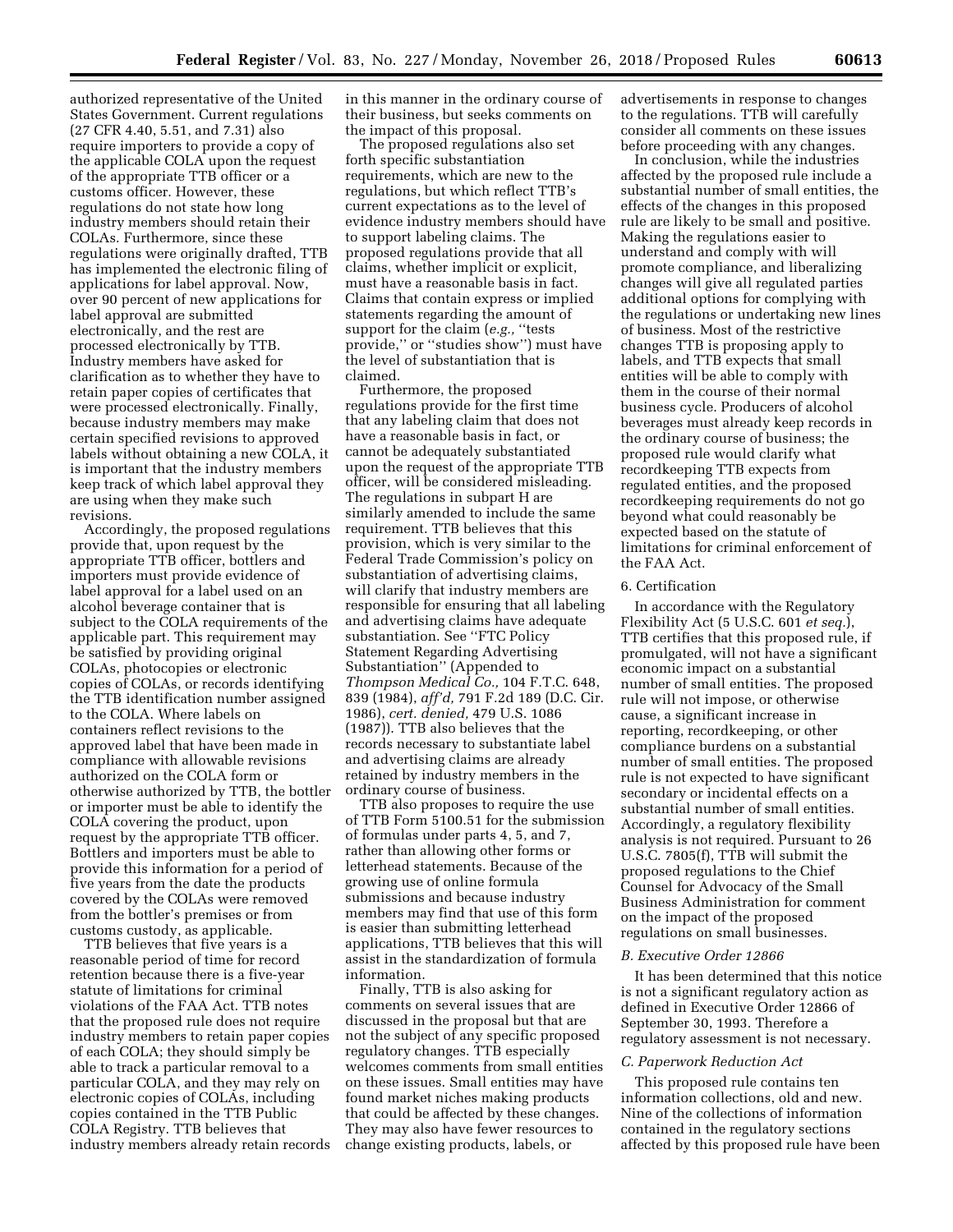authorized representative of the United States Government. Current regulations (27 CFR 4.40, 5.51, and 7.31) also require importers to provide a copy of the applicable COLA upon the request of the appropriate TTB officer or a customs officer. However, these regulations do not state how long industry members should retain their COLAs. Furthermore, since these regulations were originally drafted, TTB has implemented the electronic filing of applications for label approval. Now, over 90 percent of new applications for label approval are submitted electronically, and the rest are processed electronically by TTB. Industry members have asked for clarification as to whether they have to retain paper copies of certificates that were processed electronically. Finally, because industry members may make certain specified revisions to approved labels without obtaining a new COLA, it is important that the industry members keep track of which label approval they are using when they make such revisions.

Accordingly, the proposed regulations provide that, upon request by the appropriate TTB officer, bottlers and importers must provide evidence of label approval for a label used on an alcohol beverage container that is subject to the COLA requirements of the applicable part. This requirement may be satisfied by providing original COLAs, photocopies or electronic copies of COLAs, or records identifying the TTB identification number assigned to the COLA. Where labels on containers reflect revisions to the approved label that have been made in compliance with allowable revisions authorized on the COLA form or otherwise authorized by TTB, the bottler or importer must be able to identify the COLA covering the product, upon request by the appropriate TTB officer. Bottlers and importers must be able to provide this information for a period of five years from the date the products covered by the COLAs were removed from the bottler's premises or from customs custody, as applicable.

TTB believes that five years is a reasonable period of time for record retention because there is a five-year statute of limitations for criminal violations of the FAA Act. TTB notes that the proposed rule does not require industry members to retain paper copies of each COLA; they should simply be able to track a particular removal to a particular COLA, and they may rely on electronic copies of COLAs, including copies contained in the TTB Public COLA Registry. TTB believes that industry members already retain records in this manner in the ordinary course of their business, but seeks comments on the impact of this proposal.

The proposed regulations also set forth specific substantiation requirements, which are new to the regulations, but which reflect TTB's current expectations as to the level of evidence industry members should have to support labeling claims. The proposed regulations provide that all claims, whether implicit or explicit, must have a reasonable basis in fact. Claims that contain express or implied statements regarding the amount of support for the claim (*e.g.,* ''tests provide,'' or ''studies show'') must have the level of substantiation that is claimed.

Furthermore, the proposed regulations provide for the first time that any labeling claim that does not have a reasonable basis in fact, or cannot be adequately substantiated upon the request of the appropriate TTB officer, will be considered misleading. The regulations in subpart H are similarly amended to include the same requirement. TTB believes that this provision, which is very similar to the Federal Trade Commission's policy on substantiation of advertising claims, will clarify that industry members are responsible for ensuring that all labeling and advertising claims have adequate substantiation. See ''FTC Policy Statement Regarding Advertising Substantiation'' (Appended to *Thompson Medical Co.,* 104 F.T.C. 648, 839 (1984), *aff'd,* 791 F.2d 189 (D.C. Cir. 1986), *cert. denied,* 479 U.S. 1086 (1987)). TTB also believes that the records necessary to substantiate label and advertising claims are already retained by industry members in the ordinary course of business.

TTB also proposes to require the use of TTB Form 5100.51 for the submission of formulas under parts 4, 5, and 7, rather than allowing other forms or letterhead statements. Because of the growing use of online formula submissions and because industry members may find that use of this form is easier than submitting letterhead applications, TTB believes that this will assist in the standardization of formula information.

Finally, TTB is also asking for comments on several issues that are discussed in the proposal but that are not the subject of any specific proposed regulatory changes. TTB especially welcomes comments from small entities on these issues. Small entities may have found market niches making products that could be affected by these changes. They may also have fewer resources to change existing products, labels, or

advertisements in response to changes to the regulations. TTB will carefully consider all comments on these issues before proceeding with any changes.

In conclusion, while the industries affected by the proposed rule include a substantial number of small entities, the effects of the changes in this proposed rule are likely to be small and positive. Making the regulations easier to understand and comply with will promote compliance, and liberalizing changes will give all regulated parties additional options for complying with the regulations or undertaking new lines of business. Most of the restrictive changes TTB is proposing apply to labels, and TTB expects that small entities will be able to comply with them in the course of their normal business cycle. Producers of alcohol beverages must already keep records in the ordinary course of business; the proposed rule would clarify what recordkeeping TTB expects from regulated entities, and the proposed recordkeeping requirements do not go beyond what could reasonably be expected based on the statute of limitations for criminal enforcement of the FAA Act.

#### 6. Certification

In accordance with the Regulatory Flexibility Act (5 U.S.C. 601 *et seq.*), TTB certifies that this proposed rule, if promulgated, will not have a significant economic impact on a substantial number of small entities. The proposed rule will not impose, or otherwise cause, a significant increase in reporting, recordkeeping, or other compliance burdens on a substantial number of small entities. The proposed rule is not expected to have significant secondary or incidental effects on a substantial number of small entities. Accordingly, a regulatory flexibility analysis is not required. Pursuant to 26 U.S.C. 7805(f), TTB will submit the proposed regulations to the Chief Counsel for Advocacy of the Small Business Administration for comment on the impact of the proposed regulations on small businesses.

#### *B. Executive Order 12866*

It has been determined that this notice is not a significant regulatory action as defined in Executive Order 12866 of September 30, 1993. Therefore a regulatory assessment is not necessary.

#### *C. Paperwork Reduction Act*

This proposed rule contains ten information collections, old and new. Nine of the collections of information contained in the regulatory sections affected by this proposed rule have been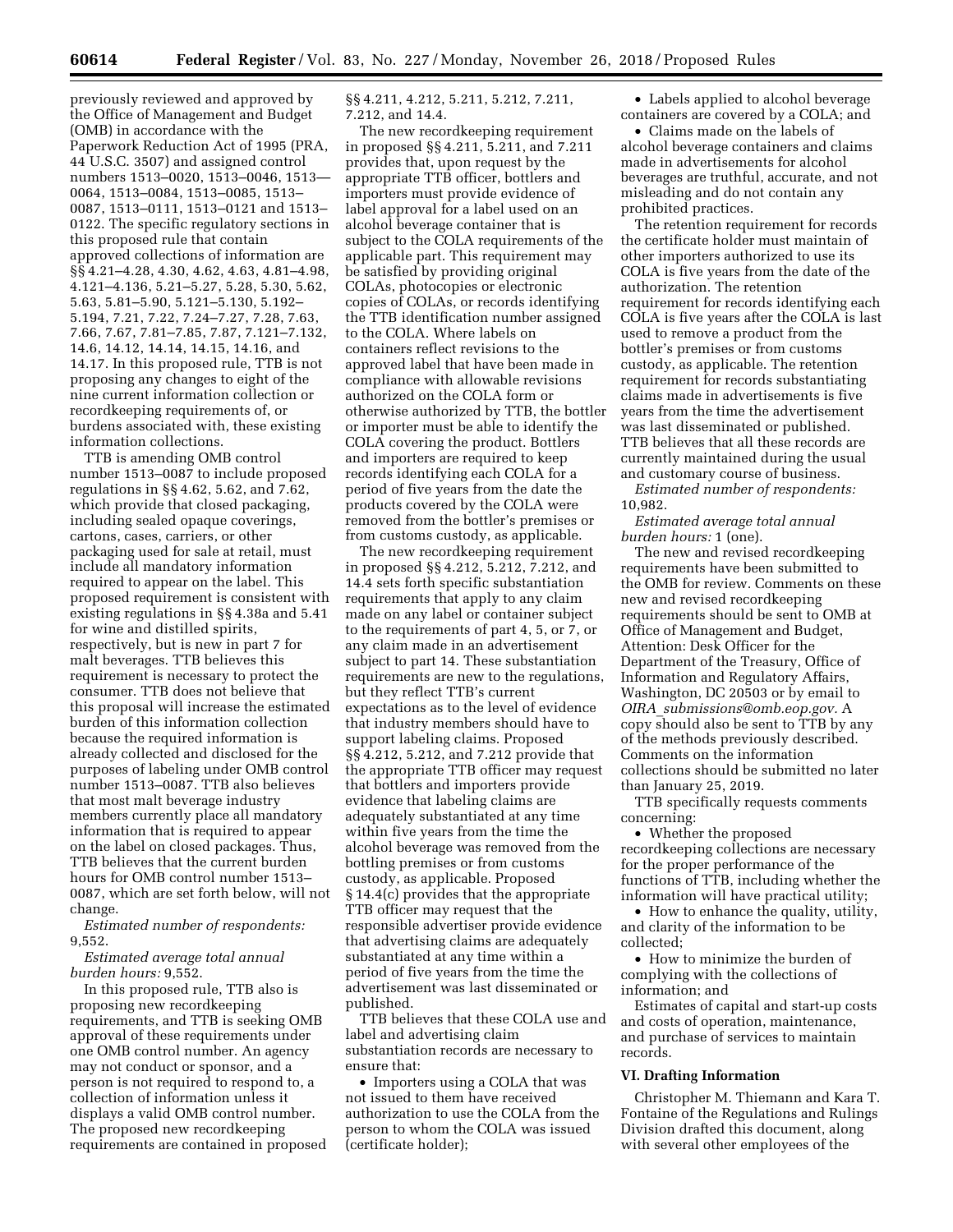previously reviewed and approved by the Office of Management and Budget (OMB) in accordance with the Paperwork Reduction Act of 1995 (PRA, 44 U.S.C. 3507) and assigned control numbers 1513–0020, 1513–0046, 1513— 0064, 1513–0084, 1513–0085, 1513– 0087, 1513–0111, 1513–0121 and 1513– 0122. The specific regulatory sections in this proposed rule that contain approved collections of information are §§ 4.21–4.28, 4.30, 4.62, 4.63, 4.81–4.98, 4.121–4.136, 5.21–5.27, 5.28, 5.30, 5.62, 5.63, 5.81–5.90, 5.121–5.130, 5.192– 5.194, 7.21, 7.22, 7.24–7.27, 7.28, 7.63, 7.66, 7.67, 7.81–7.85, 7.87, 7.121–7.132, 14.6, 14.12, 14.14, 14.15, 14.16, and 14.17. In this proposed rule, TTB is not proposing any changes to eight of the nine current information collection or recordkeeping requirements of, or burdens associated with, these existing information collections.

TTB is amending OMB control number 1513–0087 to include proposed regulations in §§ 4.62, 5.62, and 7.62, which provide that closed packaging, including sealed opaque coverings, cartons, cases, carriers, or other packaging used for sale at retail, must include all mandatory information required to appear on the label. This proposed requirement is consistent with existing regulations in §§ 4.38a and 5.41 for wine and distilled spirits, respectively, but is new in part 7 for malt beverages. TTB believes this requirement is necessary to protect the consumer. TTB does not believe that this proposal will increase the estimated burden of this information collection because the required information is already collected and disclosed for the purposes of labeling under OMB control number 1513–0087. TTB also believes that most malt beverage industry members currently place all mandatory information that is required to appear on the label on closed packages. Thus, TTB believes that the current burden hours for OMB control number 1513– 0087, which are set forth below, will not change.

*Estimated number of respondents:*  9,552.

*Estimated average total annual burden hours:* 9,552.

In this proposed rule, TTB also is proposing new recordkeeping requirements, and TTB is seeking OMB approval of these requirements under one OMB control number. An agency may not conduct or sponsor, and a person is not required to respond to, a collection of information unless it displays a valid OMB control number. The proposed new recordkeeping requirements are contained in proposed §§ 4.211, 4.212, 5.211, 5.212, 7.211, 7.212, and 14.4.

The new recordkeeping requirement in proposed §§ 4.211, 5.211, and 7.211 provides that, upon request by the appropriate TTB officer, bottlers and importers must provide evidence of label approval for a label used on an alcohol beverage container that is subject to the COLA requirements of the applicable part. This requirement may be satisfied by providing original COLAs, photocopies or electronic copies of COLAs, or records identifying the TTB identification number assigned to the COLA. Where labels on containers reflect revisions to the approved label that have been made in compliance with allowable revisions authorized on the COLA form or otherwise authorized by TTB, the bottler or importer must be able to identify the COLA covering the product. Bottlers and importers are required to keep records identifying each COLA for a period of five years from the date the products covered by the COLA were removed from the bottler's premises or from customs custody, as applicable.

The new recordkeeping requirement in proposed §§ 4.212, 5.212, 7.212, and 14.4 sets forth specific substantiation requirements that apply to any claim made on any label or container subject to the requirements of part 4, 5, or 7, or any claim made in an advertisement subject to part 14. These substantiation requirements are new to the regulations, but they reflect TTB's current expectations as to the level of evidence that industry members should have to support labeling claims. Proposed §§ 4.212, 5.212, and 7.212 provide that the appropriate TTB officer may request that bottlers and importers provide evidence that labeling claims are adequately substantiated at any time within five years from the time the alcohol beverage was removed from the bottling premises or from customs custody, as applicable. Proposed § 14.4(c) provides that the appropriate TTB officer may request that the responsible advertiser provide evidence that advertising claims are adequately substantiated at any time within a period of five years from the time the advertisement was last disseminated or published.

TTB believes that these COLA use and label and advertising claim substantiation records are necessary to ensure that:

• Importers using a COLA that was not issued to them have received authorization to use the COLA from the person to whom the COLA was issued (certificate holder);

• Labels applied to alcohol beverage containers are covered by a COLA; and

• Claims made on the labels of alcohol beverage containers and claims made in advertisements for alcohol beverages are truthful, accurate, and not misleading and do not contain any prohibited practices.

The retention requirement for records the certificate holder must maintain of other importers authorized to use its COLA is five years from the date of the authorization. The retention requirement for records identifying each COLA is five years after the COLA is last used to remove a product from the bottler's premises or from customs custody, as applicable. The retention requirement for records substantiating claims made in advertisements is five years from the time the advertisement was last disseminated or published. TTB believes that all these records are currently maintained during the usual and customary course of business.

*Estimated number of respondents:*  10,982.

*Estimated average total annual burden hours:* 1 (one).

The new and revised recordkeeping requirements have been submitted to the OMB for review. Comments on these new and revised recordkeeping requirements should be sent to OMB at Office of Management and Budget, Attention: Desk Officer for the Department of the Treasury, Office of Information and Regulatory Affairs, Washington, DC 20503 or by email to *OIRA*\_*[submissions@omb.eop.gov.](mailto:OIRA_submissions@omb.eop.gov)* A copy should also be sent to TTB by any of the methods previously described. Comments on the information collections should be submitted no later than January 25, 2019.

TTB specifically requests comments concerning:

• Whether the proposed recordkeeping collections are necessary for the proper performance of the functions of TTB, including whether the information will have practical utility;

• How to enhance the quality, utility, and clarity of the information to be collected;

• How to minimize the burden of complying with the collections of information; and

Estimates of capital and start-up costs and costs of operation, maintenance, and purchase of services to maintain records.

# **VI. Drafting Information**

Christopher M. Thiemann and Kara T. Fontaine of the Regulations and Rulings Division drafted this document, along with several other employees of the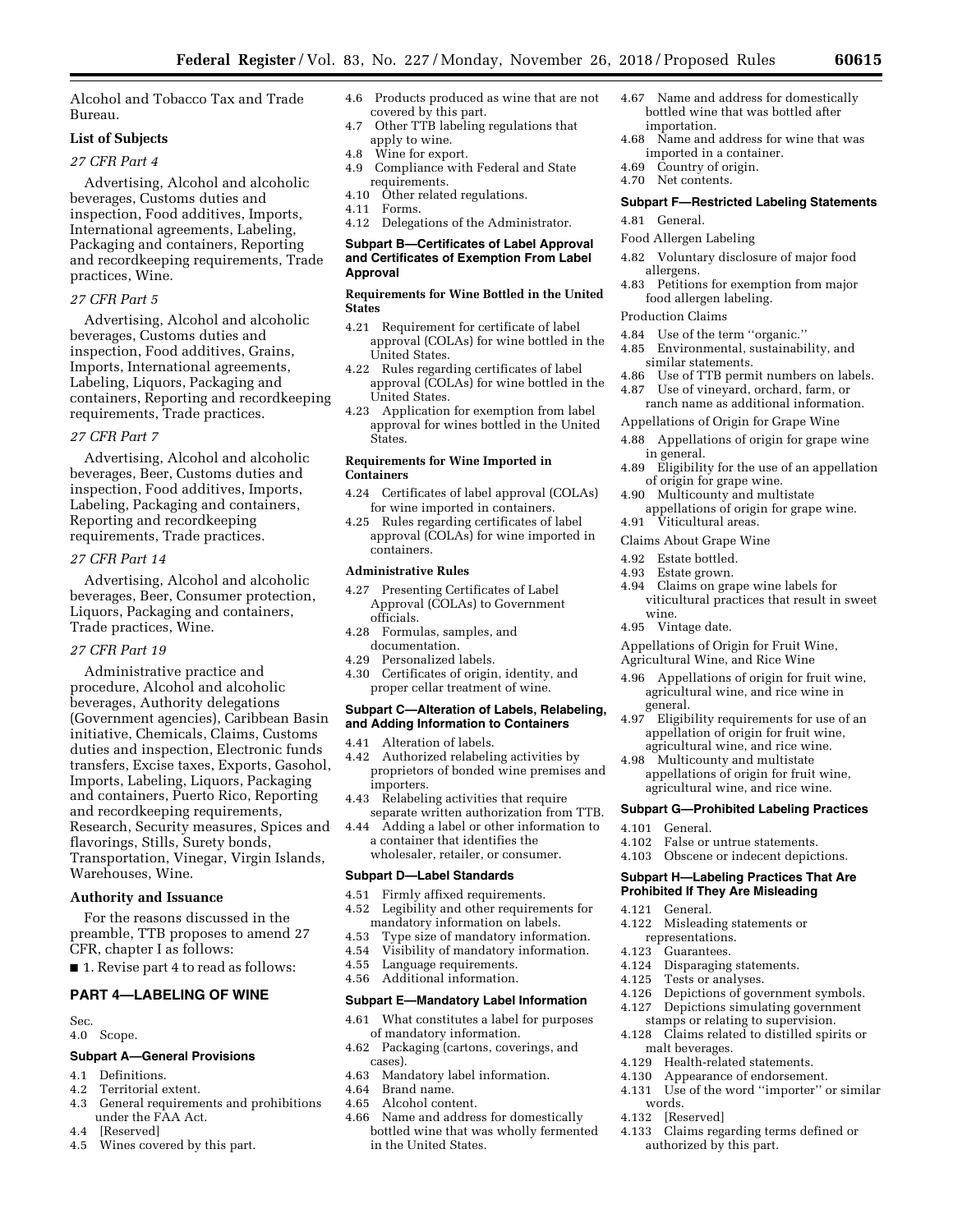Alcohol and Tobacco Tax and Trade Bureau.

# **List of Subjects**

# *27 CFR Part 4*

Advertising, Alcohol and alcoholic beverages, Customs duties and inspection, Food additives, Imports, International agreements, Labeling, Packaging and containers, Reporting and recordkeeping requirements, Trade practices, Wine.

# *27 CFR Part 5*

Advertising, Alcohol and alcoholic beverages, Customs duties and inspection, Food additives, Grains, Imports, International agreements, Labeling, Liquors, Packaging and containers, Reporting and recordkeeping requirements, Trade practices.

# *27 CFR Part 7*

Advertising, Alcohol and alcoholic beverages, Beer, Customs duties and inspection, Food additives, Imports, Labeling, Packaging and containers, Reporting and recordkeeping requirements, Trade practices.

# *27 CFR Part 14*

Advertising, Alcohol and alcoholic beverages, Beer, Consumer protection, Liquors, Packaging and containers, Trade practices, Wine.

# *27 CFR Part 19*

Administrative practice and procedure, Alcohol and alcoholic beverages, Authority delegations (Government agencies), Caribbean Basin initiative, Chemicals, Claims, Customs duties and inspection, Electronic funds transfers, Excise taxes, Exports, Gasohol, Imports, Labeling, Liquors, Packaging and containers, Puerto Rico, Reporting and recordkeeping requirements, Research, Security measures, Spices and flavorings, Stills, Surety bonds, Transportation, Vinegar, Virgin Islands, Warehouses, Wine.

# **Authority and Issuance**

For the reasons discussed in the preamble, TTB proposes to amend 27 CFR, chapter I as follows:

■ 1. Revise part 4 to read as follows:

# **PART 4—LABELING OF WINE**

Sec.

4.0 Scope.

# **Subpart A—General Provisions**

- 4.1 Definitions.<br>4.2 Territorial e
- 4.2 Territorial extent.<br>4.3 General requireme
- General requirements and prohibitions under the FAA Act.
- 4.4 [Reserved]<br>4.5 Wines cove
- Wines covered by this part.
- 4.6 Products produced as wine that are not covered by this part.
- 4.7 Other TTB labeling regulations that apply to wine.
- 4.8 Wine for export.
- 4.9 Compliance with Federal and State requirements.
- 4.10 Other related regulations.
- 4.11 Forms.
- 4.12 Delegations of the Administrator.

### **Subpart B—Certificates of Label Approval and Certificates of Exemption From Label Approval**

# **Requirements for Wine Bottled in the United States**

- 4.21 Requirement for certificate of label approval (COLAs) for wine bottled in the United States.
- 4.22 Rules regarding certificates of label approval (COLAs) for wine bottled in the United States.
- 4.23 Application for exemption from label approval for wines bottled in the United States.

# **Requirements for Wine Imported in Containers**

- 4.24 Certificates of label approval (COLAs) for wine imported in containers.
- 4.25 Rules regarding certificates of label approval (COLAs) for wine imported in containers.

# **Administrative Rules**

- 4.27 Presenting Certificates of Label Approval (COLAs) to Government officials.
- 4.28 Formulas, samples, and documentation.
- 4.29 Personalized labels.
- 4.30 Certificates of origin, identity, and proper cellar treatment of wine.

#### **Subpart C—Alteration of Labels, Relabeling, and Adding Information to Containers**

- 4.41 Alteration of labels.
- 4.42 Authorized relabeling activities by proprietors of bonded wine premises and importers.
- 4.43 Relabeling activities that require separate written authorization from TTB.
- 4.44 Adding a label or other information to a container that identifies the wholesaler, retailer, or consumer.

# **Subpart D—Label Standards**

- 4.51 Firmly affixed requirements. 4.52 Legibility and other requirements for
- mandatory information on labels.
- 4.53 Type size of mandatory information.
- 4.54 Visibility of mandatory information. Language requirements.
- 4.56 Additional information.

# **Subpart E—Mandatory Label Information**

- 4.61 What constitutes a label for purposes of mandatory information.
- 4.62 Packaging (cartons, coverings, and cases).
- 4.63 Mandatory label information.
- 4.64 Brand name.
- Alcohol content.
- 4.66 Name and address for domestically bottled wine that was wholly fermented in the United States.
- 4.67 Name and address for domestically bottled wine that was bottled after importation.
- 4.68 Name and address for wine that was imported in a container.
- 4.69 Country of origin.
- 4.70 Net contents.

# **Subpart F—Restricted Labeling Statements**

- 4.81 General.
- Food Allergen Labeling
- 4.82 Voluntary disclosure of major food allergens.
- 4.83 Petitions for exemption from major food allergen labeling.

# Production Claims

- 4.84 Use of the term ''organic.''
- 4.85 Environmental, sustainability, and similar statements.
- 4.86 Use of TTB permit numbers on labels. 4.87 Use of vineyard, orchard, farm, or
- ranch name as additional information.
- Appellations of Origin for Grape Wine
- 4.88 Appellations of origin for grape wine in general.
- 4.89 Eligibility for the use of an appellation of origin for grape wine.
- 4.90 Multicounty and multistate appellations of origin for grape wine.
- 4.91 Viticultural areas.
- Claims About Grape Wine
- 4.92 Estate bottled.
- 4.93 Estate grown.
- 4.94 Claims on grape wine labels for viticultural practices that result in sweet wine.
- 4.95 Vintage date.

Appellations of Origin for Fruit Wine,

Agricultural Wine, and Rice Wine

- 4.96 Appellations of origin for fruit wine, agricultural wine, and rice wine in general.
- 4.97 Eligibility requirements for use of an appellation of origin for fruit wine, agricultural wine, and rice wine.
- 4.98 Multicounty and multistate appellations of origin for fruit wine, agricultural wine, and rice wine.

# **Subpart G—Prohibited Labeling Practices**

- 4.101 General.
- 4.102 False or untrue statements.
- 4.103 Obscene or indecent depictions.

# **Subpart H—Labeling Practices That Are Prohibited If They Are Misleading**

Disparaging statements.

4.126 Depictions of government symbols.<br>4.127 Depictions simulating government Depictions simulating government stamps or relating to supervision. 4.128 Claims related to distilled spirits or

4.133 Claims regarding terms defined or authorized by this part.

4.121 General.<br>4.122 Mislead

4.123 Guarantees.<br>4.124 Disparaging

4.125 Tests or analyses.

malt beverages.

[Reserved]

words.

Misleading statements or representations.

4.129 Health-related statements.<br>4.130 Appearance of endorseme Appearance of endorsement. 4.131 Use of the word ''importer'' or similar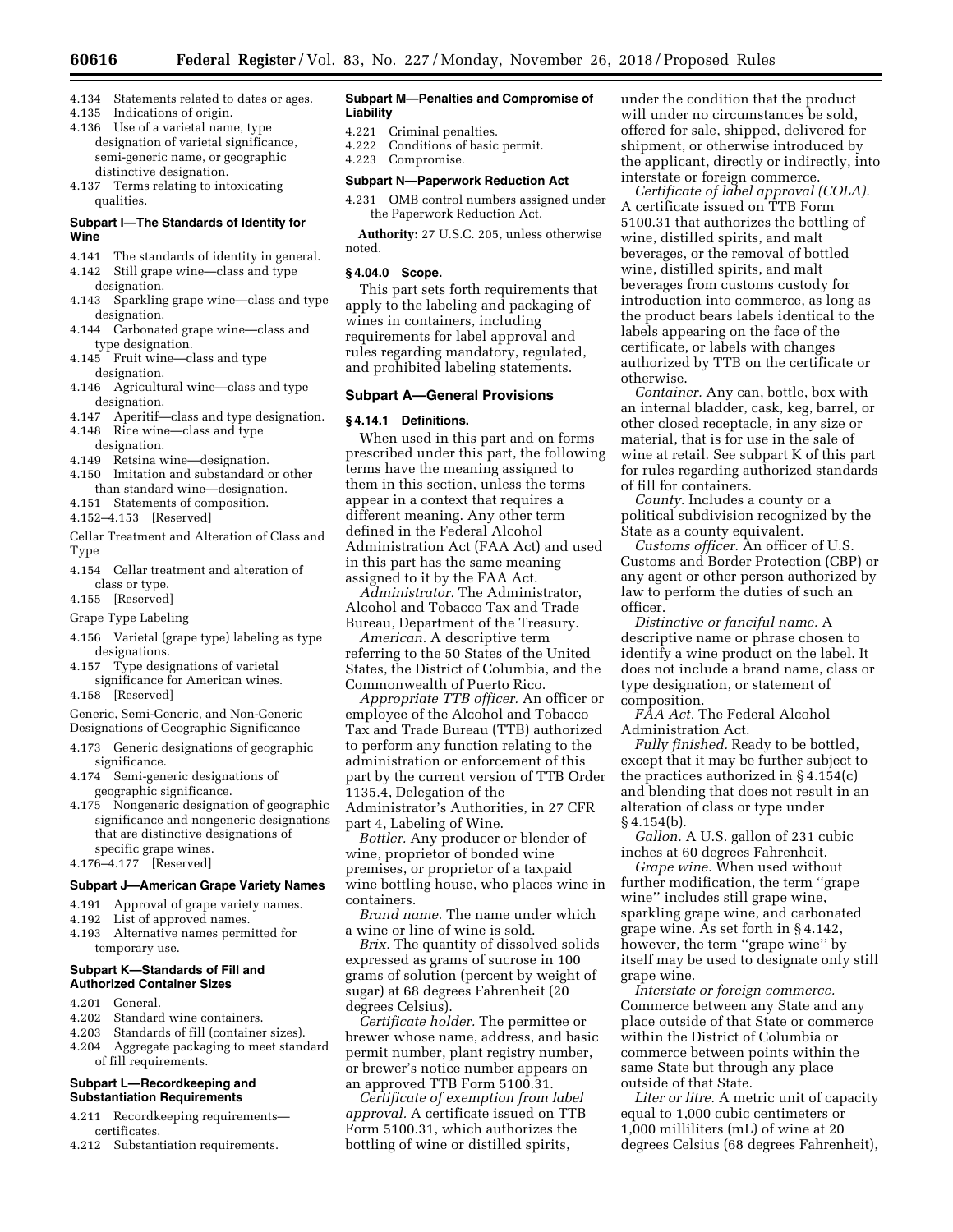- 4.134 Statements related to dates or ages.
- 4.135 Indications of origin.
- 4.136 Use of a varietal name, type designation of varietal significance, semi-generic name, or geographic distinctive designation.
- 4.137 Terms relating to intoxicating qualities.

# **Subpart I—The Standards of Identity for Wine**

- 4.141 The standards of identity in general.
- 4.142 Still grape wine—class and type
- designation. 4.143 Sparkling grape wine—class and type designation.
- 4.144 Carbonated grape wine—class and type designation.
- 4.145 Fruit wine—class and type designation.
- 4.146 Agricultural wine—class and type designation.
- 4.147 Aperitif—class and type designation.
- 4.148 Rice wine—class and type designation.
- 4.149 Retsina wine—designation.
- 4.150 Imitation and substandard or other than standard wine—designation.
- 4.151 Statements of composition.

4.152–4.153 [Reserved]

- Cellar Treatment and Alteration of Class and Type
- 4.154 Cellar treatment and alteration of class or type.
- 4.155 [Reserved]
- Grape Type Labeling
- 4.156 Varietal (grape type) labeling as type designations.
- 4.157 Type designations of varietal significance for American wines.
- 4.158 [Reserved]

Generic, Semi-Generic, and Non-Generic

- Designations of Geographic Significance 4.173 Generic designations of geographic
- significance. 4.174 Semi-generic designations of geographic significance.
- 4.175 Nongeneric designation of geographic significance and nongeneric designations that are distinctive designations of specific grape wines.
- 4.176–4.177 [Reserved]

#### **Subpart J—American Grape Variety Names**

- 4.191 Approval of grape variety names.
- 4.192 List of approved names.
- 4.193 Alternative names permitted for temporary use.

### **Subpart K—Standards of Fill and Authorized Container Sizes**

- 4.201 General.
- 4.202 Standard wine containers.
- 4.203 Standards of fill (container sizes).
- 4.204 Aggregate packaging to meet standard of fill requirements.

#### **Subpart L—Recordkeeping and Substantiation Requirements**

- 4.211 Recordkeeping requirements certificates.
- 4.212 Substantiation requirements.

#### **Subpart M—Penalties and Compromise of Liability**

- 4.221 Criminal penalties.
- 4.222 Conditions of basic permit.
- 4.223 Compromise.

# **Subpart N—Paperwork Reduction Act**

4.231 OMB control numbers assigned under the Paperwork Reduction Act.

**Authority:** 27 U.S.C. 205, unless otherwise noted.

#### **§ 4.04.0 Scope.**

This part sets forth requirements that apply to the labeling and packaging of wines in containers, including requirements for label approval and rules regarding mandatory, regulated, and prohibited labeling statements.

### **Subpart A—General Provisions**

# **§ 4.14.1 Definitions.**

When used in this part and on forms prescribed under this part, the following terms have the meaning assigned to them in this section, unless the terms appear in a context that requires a different meaning. Any other term defined in the Federal Alcohol Administration Act (FAA Act) and used in this part has the same meaning assigned to it by the FAA Act.

*Administrator.* The Administrator, Alcohol and Tobacco Tax and Trade Bureau, Department of the Treasury.

*American.* A descriptive term referring to the 50 States of the United States, the District of Columbia, and the Commonwealth of Puerto Rico.

*Appropriate TTB officer.* An officer or employee of the Alcohol and Tobacco Tax and Trade Bureau (TTB) authorized to perform any function relating to the administration or enforcement of this part by the current version of TTB Order 1135.4, Delegation of the

Administrator's Authorities, in 27 CFR part 4, Labeling of Wine.

*Bottler.* Any producer or blender of wine, proprietor of bonded wine premises, or proprietor of a taxpaid wine bottling house, who places wine in containers.

*Brand name.* The name under which a wine or line of wine is sold.

*Brix.* The quantity of dissolved solids expressed as grams of sucrose in 100 grams of solution (percent by weight of sugar) at 68 degrees Fahrenheit (20 degrees Celsius).

*Certificate holder.* The permittee or brewer whose name, address, and basic permit number, plant registry number, or brewer's notice number appears on an approved TTB Form 5100.31.

*Certificate of exemption from label approval.* A certificate issued on TTB Form 5100.31, which authorizes the bottling of wine or distilled spirits,

under the condition that the product will under no circumstances be sold, offered for sale, shipped, delivered for shipment, or otherwise introduced by the applicant, directly or indirectly, into interstate or foreign commerce.

*Certificate of label approval (COLA).*  A certificate issued on TTB Form 5100.31 that authorizes the bottling of wine, distilled spirits, and malt beverages, or the removal of bottled wine, distilled spirits, and malt beverages from customs custody for introduction into commerce, as long as the product bears labels identical to the labels appearing on the face of the certificate, or labels with changes authorized by TTB on the certificate or otherwise.

*Container.* Any can, bottle, box with an internal bladder, cask, keg, barrel, or other closed receptacle, in any size or material, that is for use in the sale of wine at retail. See subpart K of this part for rules regarding authorized standards of fill for containers.

*County.* Includes a county or a political subdivision recognized by the State as a county equivalent.

*Customs officer.* An officer of U.S. Customs and Border Protection (CBP) or any agent or other person authorized by law to perform the duties of such an officer.

*Distinctive or fanciful name.* A descriptive name or phrase chosen to identify a wine product on the label. It does not include a brand name, class or type designation, or statement of composition.

*FAA Act.* The Federal Alcohol Administration Act.

*Fully finished.* Ready to be bottled, except that it may be further subject to the practices authorized in § 4.154(c) and blending that does not result in an alteration of class or type under § 4.154(b).

*Gallon.* A U.S. gallon of 231 cubic inches at 60 degrees Fahrenheit.

*Grape wine.* When used without further modification, the term ''grape wine'' includes still grape wine, sparkling grape wine, and carbonated grape wine. As set forth in § 4.142, however, the term ''grape wine'' by itself may be used to designate only still grape wine.

*Interstate or foreign commerce.*  Commerce between any State and any place outside of that State or commerce within the District of Columbia or commerce between points within the same State but through any place outside of that State.

*Liter or litre.* A metric unit of capacity equal to 1,000 cubic centimeters or 1,000 milliliters (mL) of wine at 20 degrees Celsius (68 degrees Fahrenheit),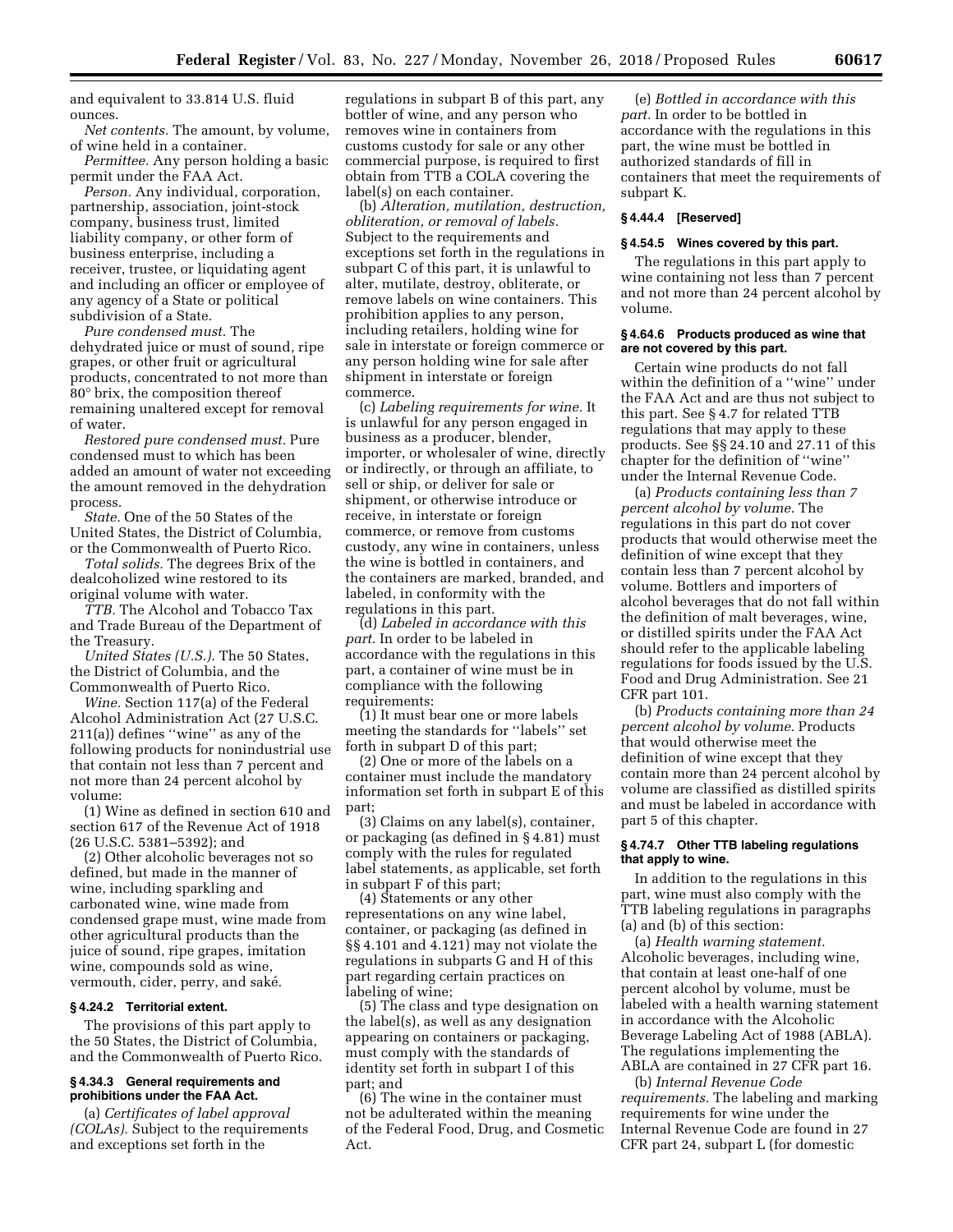and equivalent to 33.814 U.S. fluid ounces.

*Net contents.* The amount, by volume, of wine held in a container.

*Permittee.* Any person holding a basic permit under the FAA Act.

*Person.* Any individual, corporation, partnership, association, joint-stock company, business trust, limited liability company, or other form of business enterprise, including a receiver, trustee, or liquidating agent and including an officer or employee of any agency of a State or political subdivision of a State.

*Pure condensed must.* The dehydrated juice or must of sound, ripe grapes, or other fruit or agricultural products, concentrated to not more than 80° brix, the composition thereof remaining unaltered except for removal of water.

*Restored pure condensed must.* Pure condensed must to which has been added an amount of water not exceeding the amount removed in the dehydration process.

*State.* One of the 50 States of the United States, the District of Columbia, or the Commonwealth of Puerto Rico.

*Total solids.* The degrees Brix of the dealcoholized wine restored to its original volume with water.

*TTB.* The Alcohol and Tobacco Tax and Trade Bureau of the Department of the Treasury.

*United States (U.S.).* The 50 States, the District of Columbia, and the Commonwealth of Puerto Rico.

*Wine.* Section 117(a) of the Federal Alcohol Administration Act (27 U.S.C. 211(a)) defines ''wine'' as any of the following products for nonindustrial use that contain not less than 7 percent and not more than 24 percent alcohol by volume:

(1) Wine as defined in section 610 and section 617 of the Revenue Act of 1918 (26 U.S.C. 5381–5392); and

(2) Other alcoholic beverages not so defined, but made in the manner of wine, including sparkling and carbonated wine, wine made from condensed grape must, wine made from other agricultural products than the juice of sound, ripe grapes, imitation wine, compounds sold as wine, vermouth, cider, perry, and saké.

# **§ 4.24.2 Territorial extent.**

The provisions of this part apply to the 50 States, the District of Columbia, and the Commonwealth of Puerto Rico.

# **§ 4.34.3 General requirements and prohibitions under the FAA Act.**

(a) *Certificates of label approval (COLAs).* Subject to the requirements and exceptions set forth in the

regulations in subpart B of this part, any bottler of wine, and any person who removes wine in containers from customs custody for sale or any other commercial purpose, is required to first obtain from TTB a COLA covering the label(s) on each container.

(b) *Alteration, mutilation, destruction, obliteration, or removal of labels.*  Subject to the requirements and exceptions set forth in the regulations in subpart C of this part, it is unlawful to alter, mutilate, destroy, obliterate, or remove labels on wine containers. This prohibition applies to any person, including retailers, holding wine for sale in interstate or foreign commerce or any person holding wine for sale after shipment in interstate or foreign commerce.

(c) *Labeling requirements for wine.* It is unlawful for any person engaged in business as a producer, blender, importer, or wholesaler of wine, directly or indirectly, or through an affiliate, to sell or ship, or deliver for sale or shipment, or otherwise introduce or receive, in interstate or foreign commerce, or remove from customs custody, any wine in containers, unless the wine is bottled in containers, and the containers are marked, branded, and labeled, in conformity with the regulations in this part.

(d) *Labeled in accordance with this part.* In order to be labeled in accordance with the regulations in this part, a container of wine must be in compliance with the following requirements:

(1) It must bear one or more labels meeting the standards for ''labels'' set forth in subpart D of this part;

(2) One or more of the labels on a container must include the mandatory information set forth in subpart E of this part;

(3) Claims on any label(s), container, or packaging (as defined in § 4.81) must comply with the rules for regulated label statements, as applicable, set forth in subpart F of this part;

(4) Statements or any other representations on any wine label, container, or packaging (as defined in §§ 4.101 and 4.121) may not violate the regulations in subparts G and H of this part regarding certain practices on labeling of wine;

(5) The class and type designation on the label(s), as well as any designation appearing on containers or packaging, must comply with the standards of identity set forth in subpart I of this part; and

(6) The wine in the container must not be adulterated within the meaning of the Federal Food, Drug, and Cosmetic Act.

(e) *Bottled in accordance with this part.* In order to be bottled in accordance with the regulations in this part, the wine must be bottled in authorized standards of fill in containers that meet the requirements of subpart K.

# **§ 4.44.4 [Reserved]**

# **§ 4.54.5 Wines covered by this part.**

The regulations in this part apply to wine containing not less than 7 percent and not more than 24 percent alcohol by volume.

### **§ 4.64.6 Products produced as wine that are not covered by this part.**

Certain wine products do not fall within the definition of a ''wine'' under the FAA Act and are thus not subject to this part. See § 4.7 for related TTB regulations that may apply to these products. See §§ 24.10 and 27.11 of this chapter for the definition of ''wine'' under the Internal Revenue Code.

(a) *Products containing less than 7 percent alcohol by volume.* The regulations in this part do not cover products that would otherwise meet the definition of wine except that they contain less than 7 percent alcohol by volume. Bottlers and importers of alcohol beverages that do not fall within the definition of malt beverages, wine, or distilled spirits under the FAA Act should refer to the applicable labeling regulations for foods issued by the U.S. Food and Drug Administration. See 21 CFR part 101.

(b) *Products containing more than 24 percent alcohol by volume.* Products that would otherwise meet the definition of wine except that they contain more than 24 percent alcohol by volume are classified as distilled spirits and must be labeled in accordance with part 5 of this chapter.

# **§ 4.74.7 Other TTB labeling regulations that apply to wine.**

In addition to the regulations in this part, wine must also comply with the TTB labeling regulations in paragraphs (a) and (b) of this section:

(a) *Health warning statement.*  Alcoholic beverages, including wine, that contain at least one-half of one percent alcohol by volume, must be labeled with a health warning statement in accordance with the Alcoholic Beverage Labeling Act of 1988 (ABLA). The regulations implementing the ABLA are contained in 27 CFR part 16.

(b) *Internal Revenue Code requirements.* The labeling and marking requirements for wine under the Internal Revenue Code are found in 27 CFR part 24, subpart L (for domestic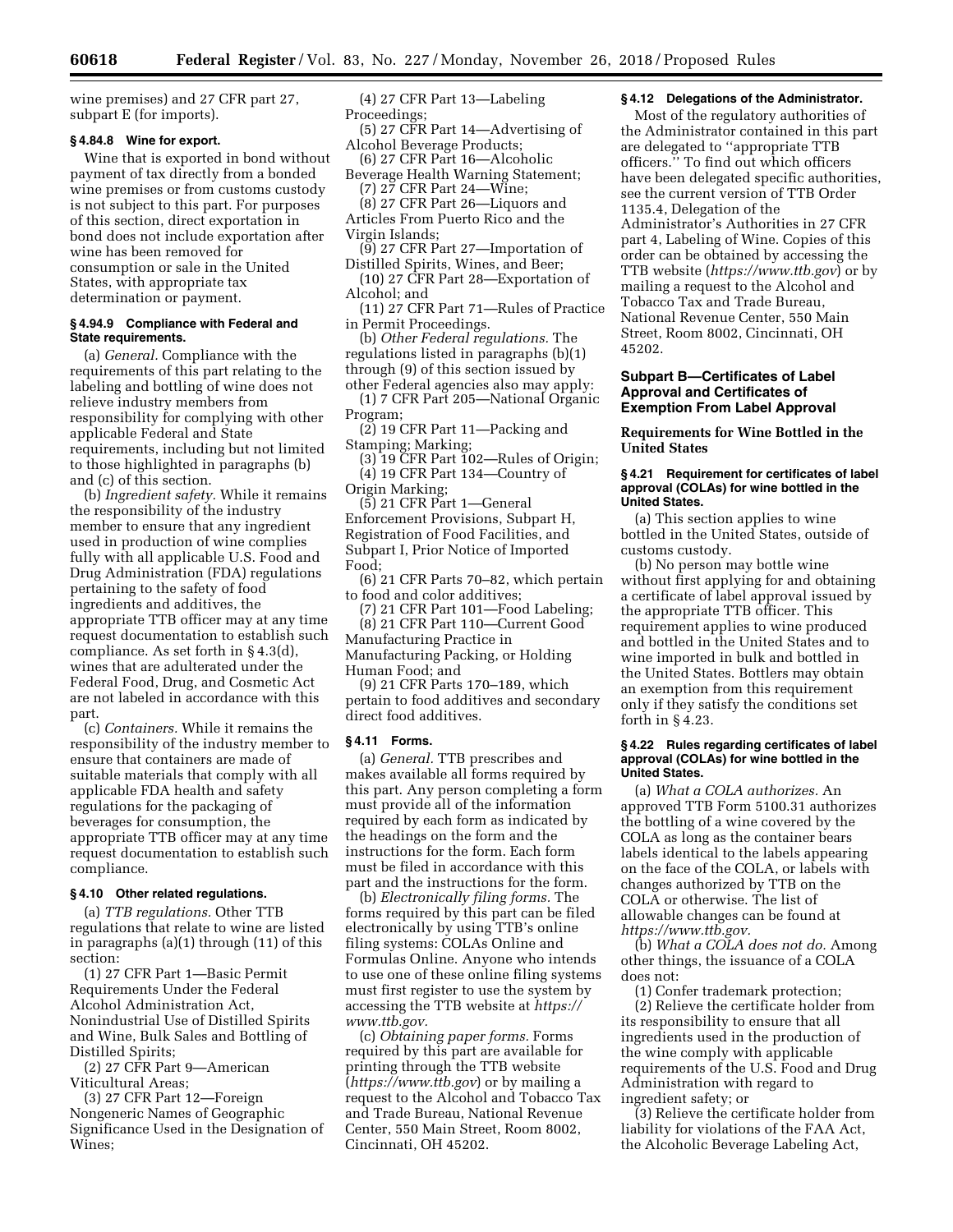wine premises) and 27 CFR part 27, subpart E (for imports).

# **§ 4.84.8 Wine for export.**

Wine that is exported in bond without payment of tax directly from a bonded wine premises or from customs custody is not subject to this part. For purposes of this section, direct exportation in bond does not include exportation after wine has been removed for consumption or sale in the United States, with appropriate tax determination or payment.

### **§ 4.94.9 Compliance with Federal and State requirements.**

(a) *General.* Compliance with the requirements of this part relating to the labeling and bottling of wine does not relieve industry members from responsibility for complying with other applicable Federal and State requirements, including but not limited to those highlighted in paragraphs (b) and (c) of this section.

(b) *Ingredient safety.* While it remains the responsibility of the industry member to ensure that any ingredient used in production of wine complies fully with all applicable U.S. Food and Drug Administration (FDA) regulations pertaining to the safety of food ingredients and additives, the appropriate TTB officer may at any time request documentation to establish such compliance. As set forth in § 4.3(d), wines that are adulterated under the Federal Food, Drug, and Cosmetic Act are not labeled in accordance with this part.

(c) *Containers.* While it remains the responsibility of the industry member to ensure that containers are made of suitable materials that comply with all applicable FDA health and safety regulations for the packaging of beverages for consumption, the appropriate TTB officer may at any time request documentation to establish such compliance.

#### **§ 4.10 Other related regulations.**

(a) *TTB regulations.* Other TTB regulations that relate to wine are listed in paragraphs (a)(1) through (11) of this section:

(1) 27 CFR Part 1—Basic Permit Requirements Under the Federal Alcohol Administration Act, Nonindustrial Use of Distilled Spirits and Wine, Bulk Sales and Bottling of Distilled Spirits;

(2) 27 CFR Part 9—American Viticultural Areas;

(3) 27 CFR Part 12—Foreign Nongeneric Names of Geographic Significance Used in the Designation of Wines;

# (4) 27 CFR Part 13—Labeling Proceedings;

- (5) 27 CFR Part 14—Advertising of Alcohol Beverage Products;
- (6) 27 CFR Part 16—Alcoholic Beverage Health Warning Statement;
- (7) 27 CFR Part 24—Wine; (8) 27 CFR Part 26—Liquors and
- Articles From Puerto Rico and the
- Virgin Islands;
- (9) 27 CFR Part 27—Importation of Distilled Spirits, Wines, and Beer;
- (10) 27 CFR Part 28—Exportation of Alcohol; and
- (11) 27 CFR Part 71—Rules of Practice in Permit Proceedings.

(b) *Other Federal regulations.* The regulations listed in paragraphs (b)(1) through (9) of this section issued by other Federal agencies also may apply:

(1) 7 CFR Part 205—National Organic Program;

(2) 19 CFR Part 11—Packing and Stamping; Marking;

(3) 19 CFR Part 102—Rules of Origin; (4) 19 CFR Part 134—Country of Origin Marking;

(5) 21 CFR Part 1—General Enforcement Provisions, Subpart H, Registration of Food Facilities, and Subpart I, Prior Notice of Imported Food;

(6) 21 CFR Parts 70–82, which pertain to food and color additives;

(7) 21 CFR Part 101—Food Labeling; (8) 21 CFR Part 110—Current Good Manufacturing Practice in Manufacturing Packing, or Holding Human Food; and

(9) 21 CFR Parts 170–189, which pertain to food additives and secondary direct food additives.

#### **§ 4.11 Forms.**

(a) *General.* TTB prescribes and makes available all forms required by this part. Any person completing a form must provide all of the information required by each form as indicated by the headings on the form and the instructions for the form. Each form must be filed in accordance with this part and the instructions for the form.

(b) *Electronically filing forms.* The forms required by this part can be filed electronically by using TTB's online filing systems: COLAs Online and Formulas Online. Anyone who intends to use one of these online filing systems must first register to use the system by accessing the TTB website at *[https://](https://www.ttb.gov) [www.ttb.gov.](https://www.ttb.gov)* 

(c) *Obtaining paper forms.* Forms required by this part are available for printing through the TTB website (*<https://www.ttb.gov>*) or by mailing a request to the Alcohol and Tobacco Tax and Trade Bureau, National Revenue Center, 550 Main Street, Room 8002, Cincinnati, OH 45202.

# **§ 4.12 Delegations of the Administrator.**

Most of the regulatory authorities of the Administrator contained in this part are delegated to ''appropriate TTB officers.'' To find out which officers have been delegated specific authorities, see the current version of TTB Order 1135.4, Delegation of the Administrator's Authorities in 27 CFR part 4, Labeling of Wine. Copies of this order can be obtained by accessing the TTB website (*<https://www.ttb.gov>*) or by mailing a request to the Alcohol and Tobacco Tax and Trade Bureau, National Revenue Center, 550 Main Street, Room 8002, Cincinnati, OH 45202.

# **Subpart B—Certificates of Label Approval and Certificates of Exemption From Label Approval**

**Requirements for Wine Bottled in the United States** 

### **§ 4.21 Requirement for certificates of label approval (COLAs) for wine bottled in the United States.**

(a) This section applies to wine bottled in the United States, outside of customs custody.

(b) No person may bottle wine without first applying for and obtaining a certificate of label approval issued by the appropriate TTB officer. This requirement applies to wine produced and bottled in the United States and to wine imported in bulk and bottled in the United States. Bottlers may obtain an exemption from this requirement only if they satisfy the conditions set forth in § 4.23.

#### **§ 4.22 Rules regarding certificates of label approval (COLAs) for wine bottled in the United States.**

(a) *What a COLA authorizes.* An approved TTB Form 5100.31 authorizes the bottling of a wine covered by the COLA as long as the container bears labels identical to the labels appearing on the face of the COLA, or labels with changes authorized by TTB on the COLA or otherwise. The list of allowable changes can be found at *[https://www.ttb.gov.](https://www.ttb.gov)* 

(b) *What a COLA does not do.* Among other things, the issuance of a COLA does not:

(1) Confer trademark protection; (2) Relieve the certificate holder from its responsibility to ensure that all ingredients used in the production of the wine comply with applicable requirements of the U.S. Food and Drug Administration with regard to ingredient safety; or

(3) Relieve the certificate holder from liability for violations of the FAA Act, the Alcoholic Beverage Labeling Act,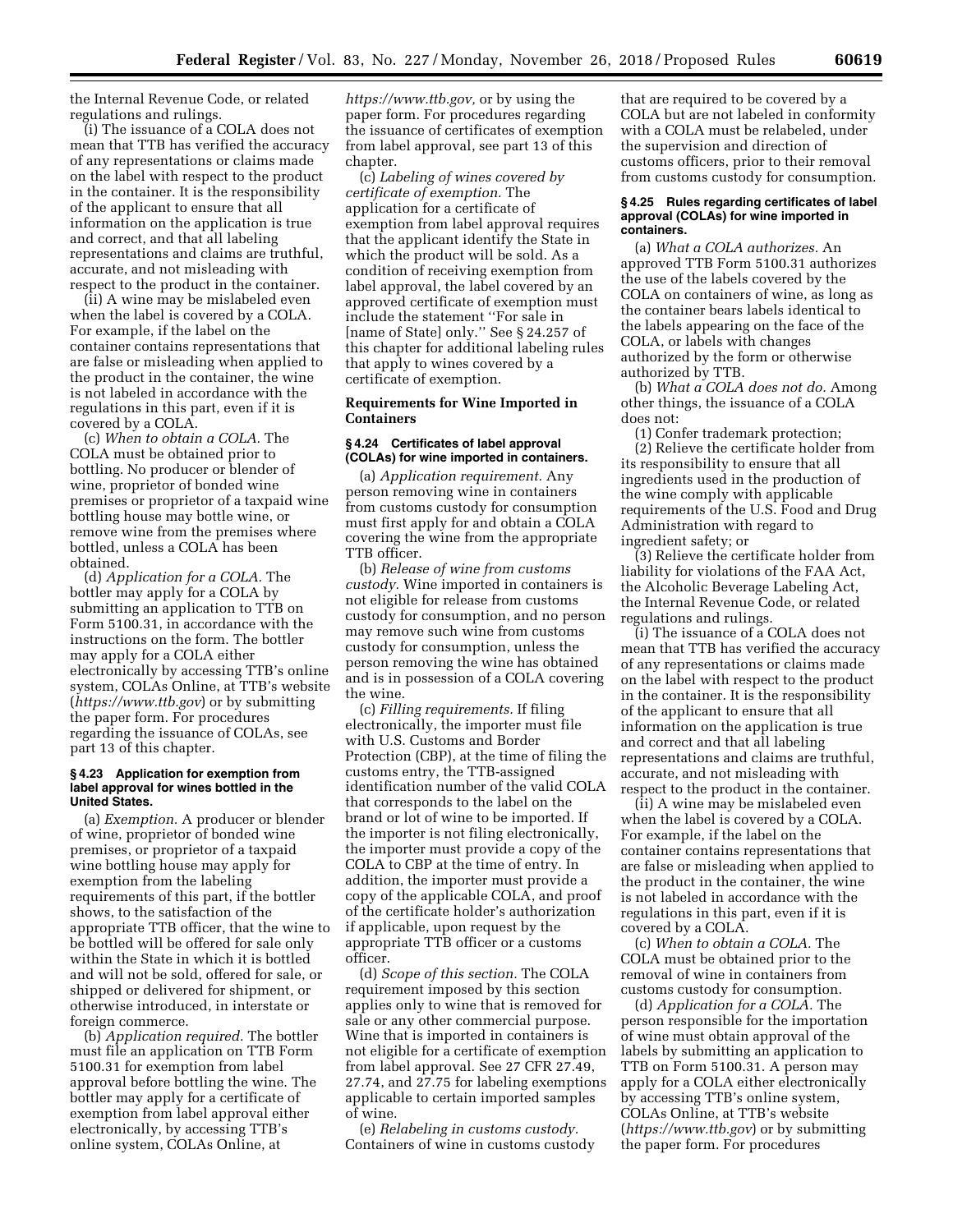the Internal Revenue Code, or related regulations and rulings.

(i) The issuance of a COLA does not mean that TTB has verified the accuracy of any representations or claims made on the label with respect to the product in the container. It is the responsibility of the applicant to ensure that all information on the application is true and correct, and that all labeling representations and claims are truthful, accurate, and not misleading with respect to the product in the container.

(ii) A wine may be mislabeled even when the label is covered by a COLA. For example, if the label on the container contains representations that are false or misleading when applied to the product in the container, the wine is not labeled in accordance with the regulations in this part, even if it is covered by a COLA.

(c) *When to obtain a COLA.* The COLA must be obtained prior to bottling. No producer or blender of wine, proprietor of bonded wine premises or proprietor of a taxpaid wine bottling house may bottle wine, or remove wine from the premises where bottled, unless a COLA has been obtained.

(d) *Application for a COLA.* The bottler may apply for a COLA by submitting an application to TTB on Form 5100.31, in accordance with the instructions on the form. The bottler may apply for a COLA either electronically by accessing TTB's online system, COLAs Online, at TTB's website (*<https://www.ttb.gov>*) or by submitting the paper form. For procedures regarding the issuance of COLAs, see part 13 of this chapter.

#### **§ 4.23 Application for exemption from label approval for wines bottled in the United States.**

(a) *Exemption.* A producer or blender of wine, proprietor of bonded wine premises, or proprietor of a taxpaid wine bottling house may apply for exemption from the labeling requirements of this part, if the bottler shows, to the satisfaction of the appropriate TTB officer, that the wine to be bottled will be offered for sale only within the State in which it is bottled and will not be sold, offered for sale, or shipped or delivered for shipment, or otherwise introduced, in interstate or foreign commerce.

(b) *Application required.* The bottler must file an application on TTB Form 5100.31 for exemption from label approval before bottling the wine. The bottler may apply for a certificate of exemption from label approval either electronically, by accessing TTB's online system, COLAs Online, at

*[https://www.ttb.gov,](https://www.ttb.gov)* or by using the paper form. For procedures regarding the issuance of certificates of exemption from label approval, see part 13 of this chapter.

(c) *Labeling of wines covered by certificate of exemption.* The application for a certificate of exemption from label approval requires that the applicant identify the State in which the product will be sold. As a condition of receiving exemption from label approval, the label covered by an approved certificate of exemption must include the statement ''For sale in [name of State] only.'' See § 24.257 of this chapter for additional labeling rules that apply to wines covered by a certificate of exemption.

# **Requirements for Wine Imported in Containers**

### **§ 4.24 Certificates of label approval (COLAs) for wine imported in containers.**

(a) *Application requirement.* Any person removing wine in containers from customs custody for consumption must first apply for and obtain a COLA covering the wine from the appropriate TTB officer.

(b) *Release of wine from customs custody.* Wine imported in containers is not eligible for release from customs custody for consumption, and no person may remove such wine from customs custody for consumption, unless the person removing the wine has obtained and is in possession of a COLA covering the wine.

(c) *Filling requirements.* If filing electronically, the importer must file with U.S. Customs and Border Protection (CBP), at the time of filing the customs entry, the TTB-assigned identification number of the valid COLA that corresponds to the label on the brand or lot of wine to be imported. If the importer is not filing electronically, the importer must provide a copy of the COLA to CBP at the time of entry. In addition, the importer must provide a copy of the applicable COLA, and proof of the certificate holder's authorization if applicable, upon request by the appropriate TTB officer or a customs officer.

(d) *Scope of this section.* The COLA requirement imposed by this section applies only to wine that is removed for sale or any other commercial purpose. Wine that is imported in containers is not eligible for a certificate of exemption from label approval. See 27 CFR 27.49, 27.74, and 27.75 for labeling exemptions applicable to certain imported samples of wine.

(e) *Relabeling in customs custody.*  Containers of wine in customs custody

that are required to be covered by a COLA but are not labeled in conformity with a COLA must be relabeled, under the supervision and direction of customs officers, prior to their removal from customs custody for consumption.

#### **§ 4.25 Rules regarding certificates of label approval (COLAs) for wine imported in containers.**

(a) *What a COLA authorizes.* An approved TTB Form 5100.31 authorizes the use of the labels covered by the COLA on containers of wine, as long as the container bears labels identical to the labels appearing on the face of the COLA, or labels with changes authorized by the form or otherwise authorized by TTB.

(b) *What a COLA does not do.* Among other things, the issuance of a COLA does not:

(1) Confer trademark protection; (2) Relieve the certificate holder from its responsibility to ensure that all ingredients used in the production of the wine comply with applicable requirements of the U.S. Food and Drug Administration with regard to ingredient safety; or

(3) Relieve the certificate holder from liability for violations of the FAA Act, the Alcoholic Beverage Labeling Act, the Internal Revenue Code, or related regulations and rulings.

(i) The issuance of a COLA does not mean that TTB has verified the accuracy of any representations or claims made on the label with respect to the product in the container. It is the responsibility of the applicant to ensure that all information on the application is true and correct and that all labeling representations and claims are truthful, accurate, and not misleading with respect to the product in the container.

(ii) A wine may be mislabeled even when the label is covered by a COLA. For example, if the label on the container contains representations that are false or misleading when applied to the product in the container, the wine is not labeled in accordance with the regulations in this part, even if it is covered by a COLA.

(c) *When to obtain a COLA.* The COLA must be obtained prior to the removal of wine in containers from customs custody for consumption.

(d) *Application for a COLA.* The person responsible for the importation of wine must obtain approval of the labels by submitting an application to TTB on Form 5100.31. A person may apply for a COLA either electronically by accessing TTB's online system, COLAs Online, at TTB's website (*<https://www.ttb.gov>*) or by submitting the paper form. For procedures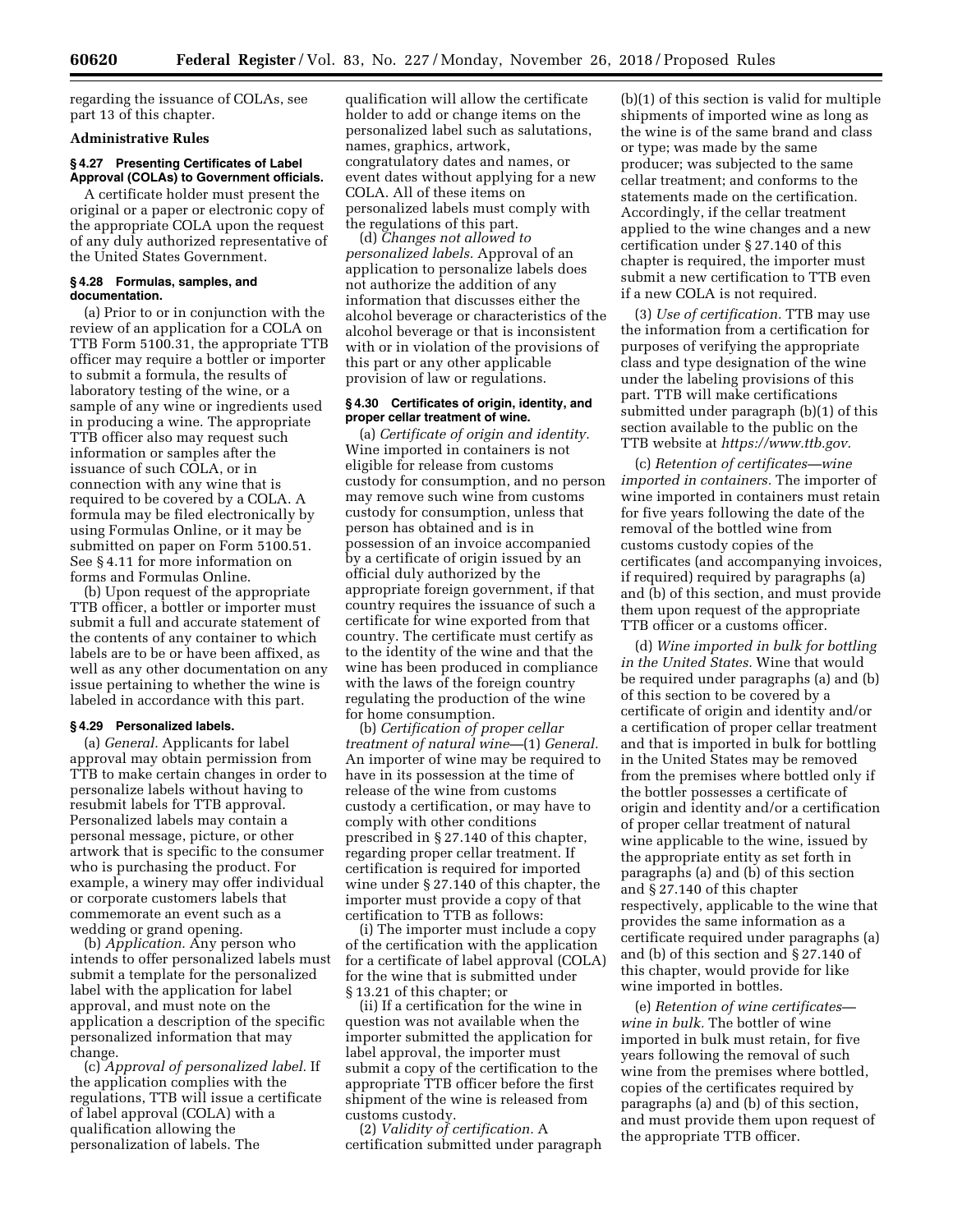regarding the issuance of COLAs, see part 13 of this chapter.

# **Administrative Rules**

# **§ 4.27 Presenting Certificates of Label Approval (COLAs) to Government officials.**

A certificate holder must present the original or a paper or electronic copy of the appropriate COLA upon the request of any duly authorized representative of the United States Government.

### **§ 4.28 Formulas, samples, and documentation.**

(a) Prior to or in conjunction with the review of an application for a COLA on TTB Form 5100.31, the appropriate TTB officer may require a bottler or importer to submit a formula, the results of laboratory testing of the wine, or a sample of any wine or ingredients used in producing a wine. The appropriate TTB officer also may request such information or samples after the issuance of such COLA, or in connection with any wine that is required to be covered by a COLA. A formula may be filed electronically by using Formulas Online, or it may be submitted on paper on Form 5100.51. See § 4.11 for more information on forms and Formulas Online.

(b) Upon request of the appropriate TTB officer, a bottler or importer must submit a full and accurate statement of the contents of any container to which labels are to be or have been affixed, as well as any other documentation on any issue pertaining to whether the wine is labeled in accordance with this part.

### **§ 4.29 Personalized labels.**

(a) *General.* Applicants for label approval may obtain permission from TTB to make certain changes in order to personalize labels without having to resubmit labels for TTB approval. Personalized labels may contain a personal message, picture, or other artwork that is specific to the consumer who is purchasing the product. For example, a winery may offer individual or corporate customers labels that commemorate an event such as a wedding or grand opening.

(b) *Application.* Any person who intends to offer personalized labels must submit a template for the personalized label with the application for label approval, and must note on the application a description of the specific personalized information that may change.

(c) *Approval of personalized label.* If the application complies with the regulations, TTB will issue a certificate of label approval (COLA) with a qualification allowing the personalization of labels. The

qualification will allow the certificate holder to add or change items on the personalized label such as salutations, names, graphics, artwork, congratulatory dates and names, or event dates without applying for a new COLA. All of these items on personalized labels must comply with the regulations of this part.

(d) *Changes not allowed to personalized labels.* Approval of an application to personalize labels does not authorize the addition of any information that discusses either the alcohol beverage or characteristics of the alcohol beverage or that is inconsistent with or in violation of the provisions of this part or any other applicable provision of law or regulations.

### **§ 4.30 Certificates of origin, identity, and proper cellar treatment of wine.**

(a) *Certificate of origin and identity.*  Wine imported in containers is not eligible for release from customs custody for consumption, and no person may remove such wine from customs custody for consumption, unless that person has obtained and is in possession of an invoice accompanied by a certificate of origin issued by an official duly authorized by the appropriate foreign government, if that country requires the issuance of such a certificate for wine exported from that country. The certificate must certify as to the identity of the wine and that the wine has been produced in compliance with the laws of the foreign country regulating the production of the wine for home consumption.

(b) *Certification of proper cellar treatment of natural wine—*(1) *General.*  An importer of wine may be required to have in its possession at the time of release of the wine from customs custody a certification, or may have to comply with other conditions prescribed in § 27.140 of this chapter, regarding proper cellar treatment. If certification is required for imported wine under § 27.140 of this chapter, the importer must provide a copy of that certification to TTB as follows:

(i) The importer must include a copy of the certification with the application for a certificate of label approval (COLA) for the wine that is submitted under § 13.21 of this chapter; or

(ii) If a certification for the wine in question was not available when the importer submitted the application for label approval, the importer must submit a copy of the certification to the appropriate TTB officer before the first shipment of the wine is released from customs custody.

(2) *Validity of certification.* A certification submitted under paragraph (b)(1) of this section is valid for multiple shipments of imported wine as long as the wine is of the same brand and class or type; was made by the same producer; was subjected to the same cellar treatment; and conforms to the statements made on the certification. Accordingly, if the cellar treatment applied to the wine changes and a new certification under § 27.140 of this chapter is required, the importer must submit a new certification to TTB even if a new COLA is not required.

(3) *Use of certification.* TTB may use the information from a certification for purposes of verifying the appropriate class and type designation of the wine under the labeling provisions of this part. TTB will make certifications submitted under paragraph (b)(1) of this section available to the public on the TTB website at *[https://www.ttb.gov.](https://www.ttb.gov)* 

(c) *Retention of certificates—wine imported in containers.* The importer of wine imported in containers must retain for five years following the date of the removal of the bottled wine from customs custody copies of the certificates (and accompanying invoices, if required) required by paragraphs (a) and (b) of this section, and must provide them upon request of the appropriate TTB officer or a customs officer.

(d) *Wine imported in bulk for bottling in the United States.* Wine that would be required under paragraphs (a) and (b) of this section to be covered by a certificate of origin and identity and/or a certification of proper cellar treatment and that is imported in bulk for bottling in the United States may be removed from the premises where bottled only if the bottler possesses a certificate of origin and identity and/or a certification of proper cellar treatment of natural wine applicable to the wine, issued by the appropriate entity as set forth in paragraphs (a) and (b) of this section and § 27.140 of this chapter respectively, applicable to the wine that provides the same information as a certificate required under paragraphs (a) and (b) of this section and § 27.140 of this chapter, would provide for like wine imported in bottles.

(e) *Retention of wine certificates wine in bulk.* The bottler of wine imported in bulk must retain, for five years following the removal of such wine from the premises where bottled, copies of the certificates required by paragraphs (a) and (b) of this section, and must provide them upon request of the appropriate TTB officer.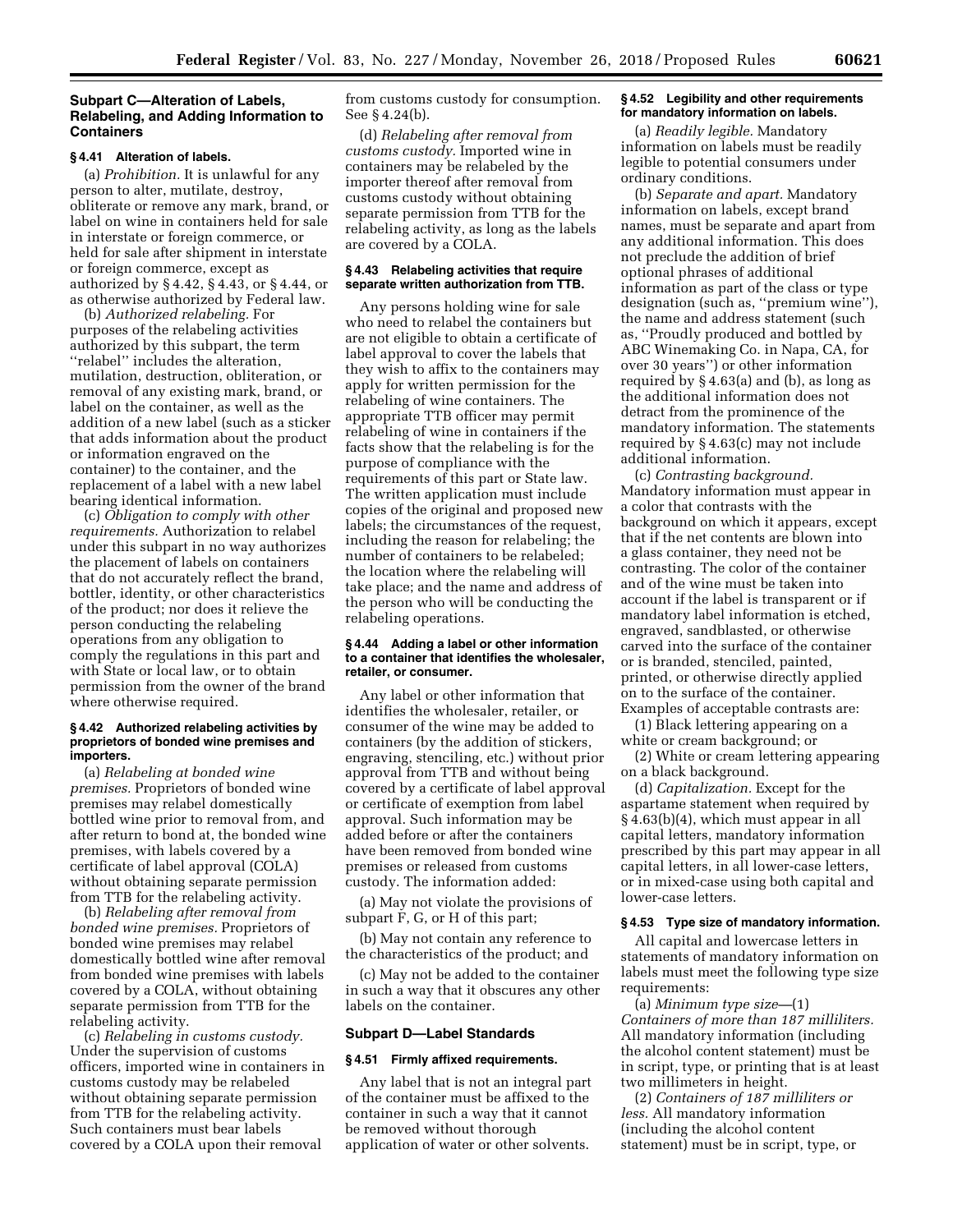# **Subpart C—Alteration of Labels, Relabeling, and Adding Information to Containers**

#### **§ 4.41 Alteration of labels.**

(a) *Prohibition.* It is unlawful for any person to alter, mutilate, destroy, obliterate or remove any mark, brand, or label on wine in containers held for sale in interstate or foreign commerce, or held for sale after shipment in interstate or foreign commerce, except as authorized by § 4.42, § 4.43, or § 4.44, or as otherwise authorized by Federal law.

(b) *Authorized relabeling.* For purposes of the relabeling activities authorized by this subpart, the term ''relabel'' includes the alteration, mutilation, destruction, obliteration, or removal of any existing mark, brand, or label on the container, as well as the addition of a new label (such as a sticker that adds information about the product or information engraved on the container) to the container, and the replacement of a label with a new label bearing identical information.

(c) *Obligation to comply with other requirements.* Authorization to relabel under this subpart in no way authorizes the placement of labels on containers that do not accurately reflect the brand, bottler, identity, or other characteristics of the product; nor does it relieve the person conducting the relabeling operations from any obligation to comply the regulations in this part and with State or local law, or to obtain permission from the owner of the brand where otherwise required.

#### **§ 4.42 Authorized relabeling activities by proprietors of bonded wine premises and importers.**

(a) *Relabeling at bonded wine premises.* Proprietors of bonded wine premises may relabel domestically bottled wine prior to removal from, and after return to bond at, the bonded wine premises, with labels covered by a certificate of label approval (COLA) without obtaining separate permission from TTB for the relabeling activity.

(b) *Relabeling after removal from bonded wine premises.* Proprietors of bonded wine premises may relabel domestically bottled wine after removal from bonded wine premises with labels covered by a COLA, without obtaining separate permission from TTB for the relabeling activity.

(c) *Relabeling in customs custody.*  Under the supervision of customs officers, imported wine in containers in customs custody may be relabeled without obtaining separate permission from TTB for the relabeling activity. Such containers must bear labels covered by a COLA upon their removal

from customs custody for consumption. See § 4.24(b).

(d) *Relabeling after removal from customs custody.* Imported wine in containers may be relabeled by the importer thereof after removal from customs custody without obtaining separate permission from TTB for the relabeling activity, as long as the labels are covered by a COLA.

#### **§ 4.43 Relabeling activities that require separate written authorization from TTB.**

Any persons holding wine for sale who need to relabel the containers but are not eligible to obtain a certificate of label approval to cover the labels that they wish to affix to the containers may apply for written permission for the relabeling of wine containers. The appropriate TTB officer may permit relabeling of wine in containers if the facts show that the relabeling is for the purpose of compliance with the requirements of this part or State law. The written application must include copies of the original and proposed new labels; the circumstances of the request, including the reason for relabeling; the number of containers to be relabeled; the location where the relabeling will take place; and the name and address of the person who will be conducting the relabeling operations.

### **§ 4.44 Adding a label or other information to a container that identifies the wholesaler, retailer, or consumer.**

Any label or other information that identifies the wholesaler, retailer, or consumer of the wine may be added to containers (by the addition of stickers, engraving, stenciling, etc.) without prior approval from TTB and without being covered by a certificate of label approval or certificate of exemption from label approval. Such information may be added before or after the containers have been removed from bonded wine premises or released from customs custody. The information added:

(a) May not violate the provisions of subpart F, G, or H of this part;

(b) May not contain any reference to the characteristics of the product; and

(c) May not be added to the container in such a way that it obscures any other labels on the container.

### **Subpart D—Label Standards**

#### **§ 4.51 Firmly affixed requirements.**

Any label that is not an integral part of the container must be affixed to the container in such a way that it cannot be removed without thorough application of water or other solvents.

# **§ 4.52 Legibility and other requirements for mandatory information on labels.**

(a) *Readily legible.* Mandatory information on labels must be readily legible to potential consumers under ordinary conditions.

(b) *Separate and apart.* Mandatory information on labels, except brand names, must be separate and apart from any additional information. This does not preclude the addition of brief optional phrases of additional information as part of the class or type designation (such as, ''premium wine''), the name and address statement (such as, ''Proudly produced and bottled by ABC Winemaking Co. in Napa, CA, for over 30 years'') or other information required by § 4.63(a) and (b), as long as the additional information does not detract from the prominence of the mandatory information. The statements required by § 4.63(c) may not include additional information.

(c) *Contrasting background.*  Mandatory information must appear in a color that contrasts with the background on which it appears, except that if the net contents are blown into a glass container, they need not be contrasting. The color of the container and of the wine must be taken into account if the label is transparent or if mandatory label information is etched, engraved, sandblasted, or otherwise carved into the surface of the container or is branded, stenciled, painted, printed, or otherwise directly applied on to the surface of the container. Examples of acceptable contrasts are:

(1) Black lettering appearing on a white or cream background; or

(2) White or cream lettering appearing on a black background.

(d) *Capitalization.* Except for the aspartame statement when required by § 4.63(b)(4), which must appear in all capital letters, mandatory information prescribed by this part may appear in all capital letters, in all lower-case letters, or in mixed-case using both capital and lower-case letters.

#### **§ 4.53 Type size of mandatory information.**

All capital and lowercase letters in statements of mandatory information on labels must meet the following type size requirements:

(a) *Minimum type size—*(1) *Containers of more than 187 milliliters.*  All mandatory information (including the alcohol content statement) must be in script, type, or printing that is at least two millimeters in height.

(2) *Containers of 187 milliliters or less.* All mandatory information (including the alcohol content statement) must be in script, type, or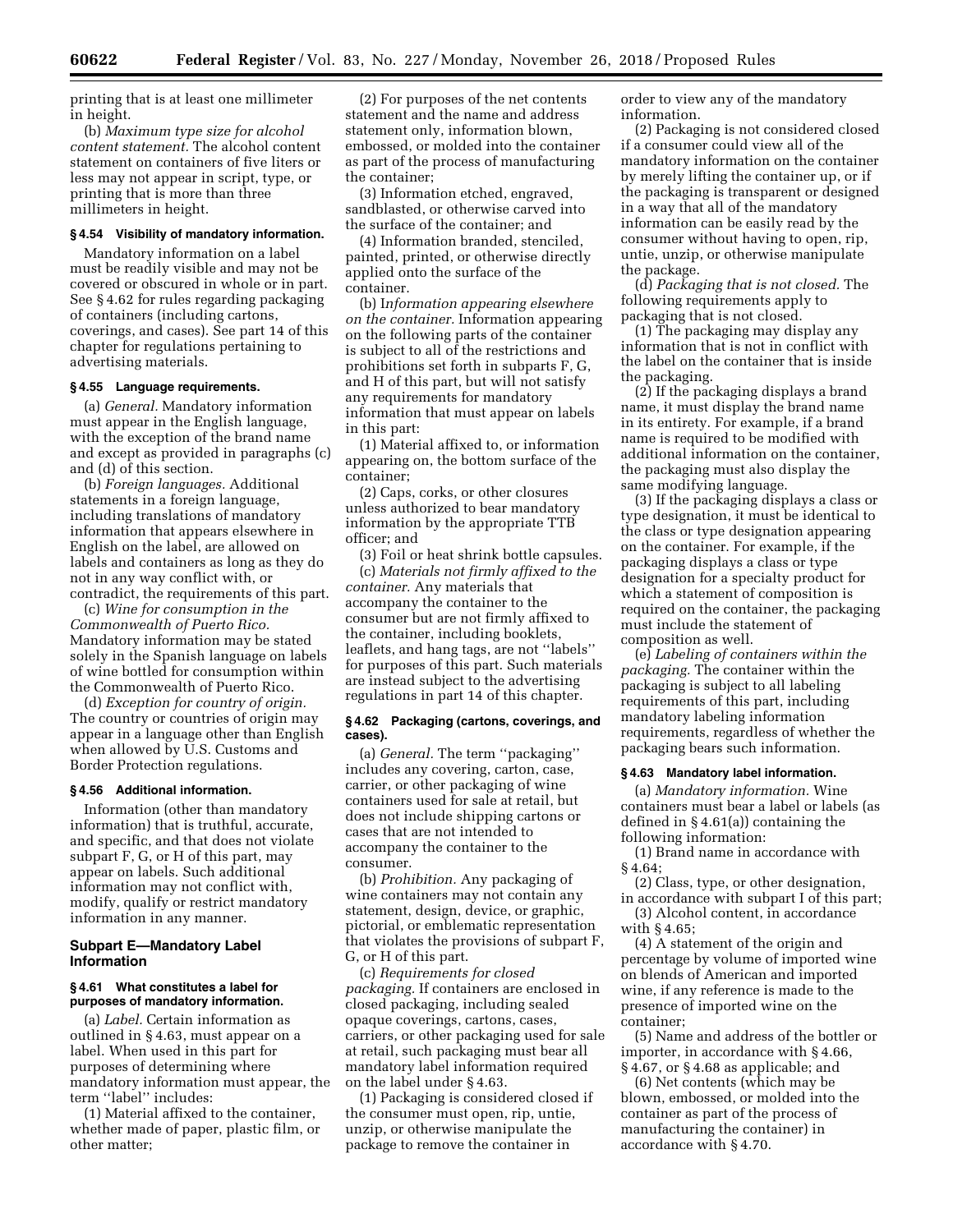printing that is at least one millimeter in height.

(b) *Maximum type size for alcohol content statement.* The alcohol content statement on containers of five liters or less may not appear in script, type, or printing that is more than three millimeters in height.

# **§ 4.54 Visibility of mandatory information.**

Mandatory information on a label must be readily visible and may not be covered or obscured in whole or in part. See § 4.62 for rules regarding packaging of containers (including cartons, coverings, and cases). See part 14 of this chapter for regulations pertaining to advertising materials.

### **§ 4.55 Language requirements.**

(a) *General.* Mandatory information must appear in the English language, with the exception of the brand name and except as provided in paragraphs (c) and (d) of this section.

(b) *Foreign languages.* Additional statements in a foreign language, including translations of mandatory information that appears elsewhere in English on the label, are allowed on labels and containers as long as they do not in any way conflict with, or contradict, the requirements of this part.

(c) *Wine for consumption in the Commonwealth of Puerto Rico.*  Mandatory information may be stated solely in the Spanish language on labels of wine bottled for consumption within the Commonwealth of Puerto Rico.

(d) *Exception for country of origin.*  The country or countries of origin may appear in a language other than English when allowed by U.S. Customs and Border Protection regulations.

#### **§ 4.56 Additional information.**

Information (other than mandatory information) that is truthful, accurate, and specific, and that does not violate subpart F, G, or H of this part, may appear on labels. Such additional information may not conflict with, modify, qualify or restrict mandatory information in any manner.

# **Subpart E—Mandatory Label Information**

# **§ 4.61 What constitutes a label for purposes of mandatory information.**

(a) *Label.* Certain information as outlined in § 4.63, must appear on a label. When used in this part for purposes of determining where mandatory information must appear, the term ''label'' includes:

(1) Material affixed to the container, whether made of paper, plastic film, or other matter;

(2) For purposes of the net contents statement and the name and address statement only, information blown, embossed, or molded into the container as part of the process of manufacturing the container;

(3) Information etched, engraved, sandblasted, or otherwise carved into the surface of the container; and

(4) Information branded, stenciled, painted, printed, or otherwise directly applied onto the surface of the container.

(b) I*nformation appearing elsewhere on the container.* Information appearing on the following parts of the container is subject to all of the restrictions and prohibitions set forth in subparts F, G, and H of this part, but will not satisfy any requirements for mandatory information that must appear on labels in this part:

(1) Material affixed to, or information appearing on, the bottom surface of the container;

(2) Caps, corks, or other closures unless authorized to bear mandatory information by the appropriate TTB officer; and

(3) Foil or heat shrink bottle capsules. (c) *Materials not firmly affixed to the container.* Any materials that accompany the container to the consumer but are not firmly affixed to the container, including booklets, leaflets, and hang tags, are not ''labels'' for purposes of this part. Such materials are instead subject to the advertising regulations in part 14 of this chapter.

#### **§ 4.62 Packaging (cartons, coverings, and cases).**

(a) *General.* The term ''packaging'' includes any covering, carton, case, carrier, or other packaging of wine containers used for sale at retail, but does not include shipping cartons or cases that are not intended to accompany the container to the consumer.

(b) *Prohibition.* Any packaging of wine containers may not contain any statement, design, device, or graphic, pictorial, or emblematic representation that violates the provisions of subpart F, G, or H of this part.

(c) *Requirements for closed packaging.* If containers are enclosed in closed packaging, including sealed opaque coverings, cartons, cases, carriers, or other packaging used for sale at retail, such packaging must bear all mandatory label information required on the label under § 4.63.

(1) Packaging is considered closed if the consumer must open, rip, untie, unzip, or otherwise manipulate the package to remove the container in

order to view any of the mandatory information.

(2) Packaging is not considered closed if a consumer could view all of the mandatory information on the container by merely lifting the container up, or if the packaging is transparent or designed in a way that all of the mandatory information can be easily read by the consumer without having to open, rip, untie, unzip, or otherwise manipulate the package.

(d) *Packaging that is not closed.* The following requirements apply to packaging that is not closed.

(1) The packaging may display any information that is not in conflict with the label on the container that is inside the packaging.

(2) If the packaging displays a brand name, it must display the brand name in its entirety. For example, if a brand name is required to be modified with additional information on the container, the packaging must also display the same modifying language.

(3) If the packaging displays a class or type designation, it must be identical to the class or type designation appearing on the container. For example, if the packaging displays a class or type designation for a specialty product for which a statement of composition is required on the container, the packaging must include the statement of composition as well.

(e) *Labeling of containers within the packaging.* The container within the packaging is subject to all labeling requirements of this part, including mandatory labeling information requirements, regardless of whether the packaging bears such information.

#### **§ 4.63 Mandatory label information.**

(a) *Mandatory information.* Wine containers must bear a label or labels (as defined in § 4.61(a)) containing the following information:

(1) Brand name in accordance with § 4.64;

(2) Class, type, or other designation, in accordance with subpart I of this part;

(3) Alcohol content, in accordance with  $$4.65$ 

(4) A statement of the origin and percentage by volume of imported wine on blends of American and imported wine, if any reference is made to the presence of imported wine on the container;

(5) Name and address of the bottler or importer, in accordance with § 4.66, § 4.67, or § 4.68 as applicable; and

(6) Net contents (which may be blown, embossed, or molded into the container as part of the process of manufacturing the container) in accordance with § 4.70.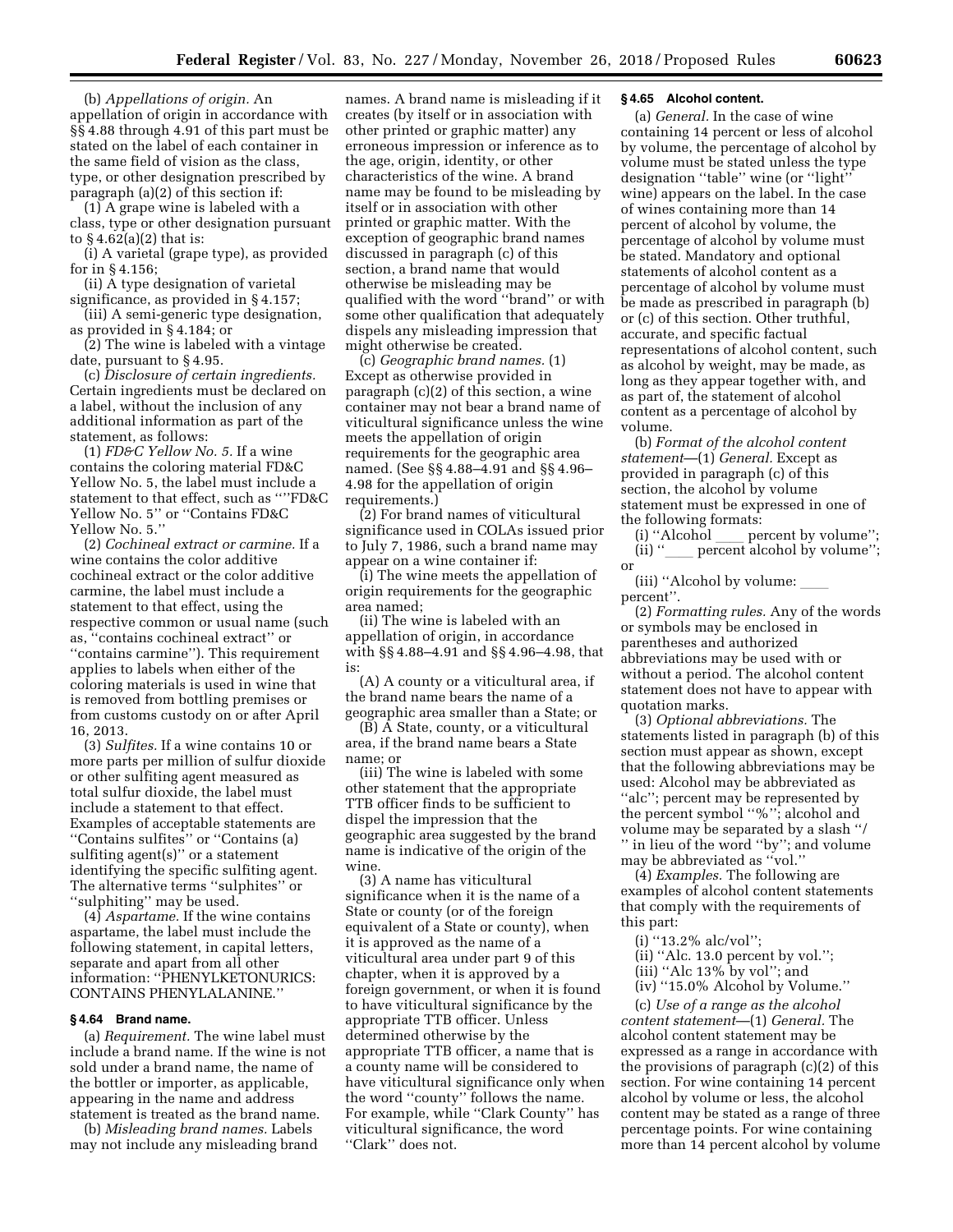(b) *Appellations of origin.* An appellation of origin in accordance with §§ 4.88 through 4.91 of this part must be stated on the label of each container in the same field of vision as the class, type, or other designation prescribed by paragraph (a)(2) of this section if:

(1) A grape wine is labeled with a class, type or other designation pursuant to  $§$  4.62(a)(2) that is:

(i) A varietal (grape type), as provided for in § 4.156;

(ii) A type designation of varietal significance, as provided in § 4.157;

(iii) A semi-generic type designation, as provided in § 4.184; or

(2) The wine is labeled with a vintage date, pursuant to § 4.95.

(c) *Disclosure of certain ingredients.*  Certain ingredients must be declared on a label, without the inclusion of any additional information as part of the statement, as follows:

(1) *FD&C Yellow No. 5.* If a wine contains the coloring material FD&C Yellow No. 5, the label must include a statement to that effect, such as ''''FD&C Yellow No. 5'' or ''Contains FD&C Yellow No. 5.''

(2) *Cochineal extract or carmine.* If a wine contains the color additive cochineal extract or the color additive carmine, the label must include a statement to that effect, using the respective common or usual name (such as, ''contains cochineal extract'' or ''contains carmine''). This requirement applies to labels when either of the coloring materials is used in wine that is removed from bottling premises or from customs custody on or after April 16, 2013.

(3) *Sulfites.* If a wine contains 10 or more parts per million of sulfur dioxide or other sulfiting agent measured as total sulfur dioxide, the label must include a statement to that effect. Examples of acceptable statements are ''Contains sulfites'' or ''Contains (a) sulfiting agent(s)'' or a statement identifying the specific sulfiting agent. The alternative terms ''sulphites'' or ''sulphiting'' may be used.

(4) *Aspartame.* If the wine contains aspartame, the label must include the following statement, in capital letters, separate and apart from all other information: ''PHENYLKETONURICS: CONTAINS PHENYLALANINE.''

# **§ 4.64 Brand name.**

(a) *Requirement.* The wine label must include a brand name. If the wine is not sold under a brand name, the name of the bottler or importer, as applicable, appearing in the name and address statement is treated as the brand name.

(b) *Misleading brand names.* Labels may not include any misleading brand

names. A brand name is misleading if it creates (by itself or in association with other printed or graphic matter) any erroneous impression or inference as to the age, origin, identity, or other characteristics of the wine. A brand name may be found to be misleading by itself or in association with other printed or graphic matter. With the exception of geographic brand names discussed in paragraph (c) of this section, a brand name that would otherwise be misleading may be qualified with the word ''brand'' or with some other qualification that adequately dispels any misleading impression that might otherwise be created.

(c) *Geographic brand names.* (1) Except as otherwise provided in paragraph (c)(2) of this section, a wine container may not bear a brand name of viticultural significance unless the wine meets the appellation of origin requirements for the geographic area named. (See §§ 4.88–4.91 and §§ 4.96– 4.98 for the appellation of origin requirements.)

(2) For brand names of viticultural significance used in COLAs issued prior to July 7, 1986, such a brand name may appear on a wine container if:

(i) The wine meets the appellation of origin requirements for the geographic area named;

(ii) The wine is labeled with an appellation of origin, in accordance with §§ 4.88–4.91 and §§ 4.96–4.98, that is:

(A) A county or a viticultural area, if the brand name bears the name of a geographic area smaller than a State; or

 $(\tilde{B})$   $\tilde{A}$  State, county, or a viticultural area, if the brand name bears a State name; or

(iii) The wine is labeled with some other statement that the appropriate TTB officer finds to be sufficient to dispel the impression that the geographic area suggested by the brand name is indicative of the origin of the wine.

(3) A name has viticultural significance when it is the name of a State or county (or of the foreign equivalent of a State or county), when it is approved as the name of a viticultural area under part 9 of this chapter, when it is approved by a foreign government, or when it is found to have viticultural significance by the appropriate TTB officer. Unless determined otherwise by the appropriate TTB officer, a name that is a county name will be considered to have viticultural significance only when the word ''county'' follows the name. For example, while ''Clark County'' has viticultural significance, the word "Clark" does not.

# **§ 4.65 Alcohol content.**

(a) *General.* In the case of wine containing 14 percent or less of alcohol by volume, the percentage of alcohol by volume must be stated unless the type designation ''table'' wine (or ''light'' wine) appears on the label. In the case of wines containing more than 14 percent of alcohol by volume, the percentage of alcohol by volume must be stated. Mandatory and optional statements of alcohol content as a percentage of alcohol by volume must be made as prescribed in paragraph (b) or (c) of this section. Other truthful, accurate, and specific factual representations of alcohol content, such as alcohol by weight, may be made, as long as they appear together with, and as part of, the statement of alcohol content as a percentage of alcohol by volume.

(b) *Format of the alcohol content statement*—(1) *General.* Except as provided in paragraph (c) of this section, the alcohol by volume statement must be expressed in one of the following formats:<br>(i) "Alcohol \_\_\_\_ pe

(i) "Alcohol  $\rule{1em}{0.15mm}$  percent by volume";<br>(ii) " (ii)  $"$  percent alcohol by volume''; or

(iii) "Alcohol by volume: percent''.

(2) *Formatting rules.* Any of the words or symbols may be enclosed in parentheses and authorized abbreviations may be used with or without a period. The alcohol content statement does not have to appear with quotation marks.

(3) *Optional abbreviations.* The statements listed in paragraph (b) of this section must appear as shown, except that the following abbreviations may be used: Alcohol may be abbreviated as ''alc''; percent may be represented by the percent symbol ''%''; alcohol and volume may be separated by a slash ''/ '' in lieu of the word ''by''; and volume may be abbreviated as ''vol.''

(4) *Examples.* The following are examples of alcohol content statements that comply with the requirements of this part:

- (i) ''13.2% alc/vol'';
- (ii) ''Alc. 13.0 percent by vol.'';
- (iii) ''Alc 13% by vol''; and
- (iv) ''15.0% Alcohol by Volume.''

(c) *Use of a range as the alcohol content statement*—(1) *General.* The alcohol content statement may be expressed as a range in accordance with the provisions of paragraph (c)(2) of this section. For wine containing 14 percent alcohol by volume or less, the alcohol content may be stated as a range of three percentage points. For wine containing more than 14 percent alcohol by volume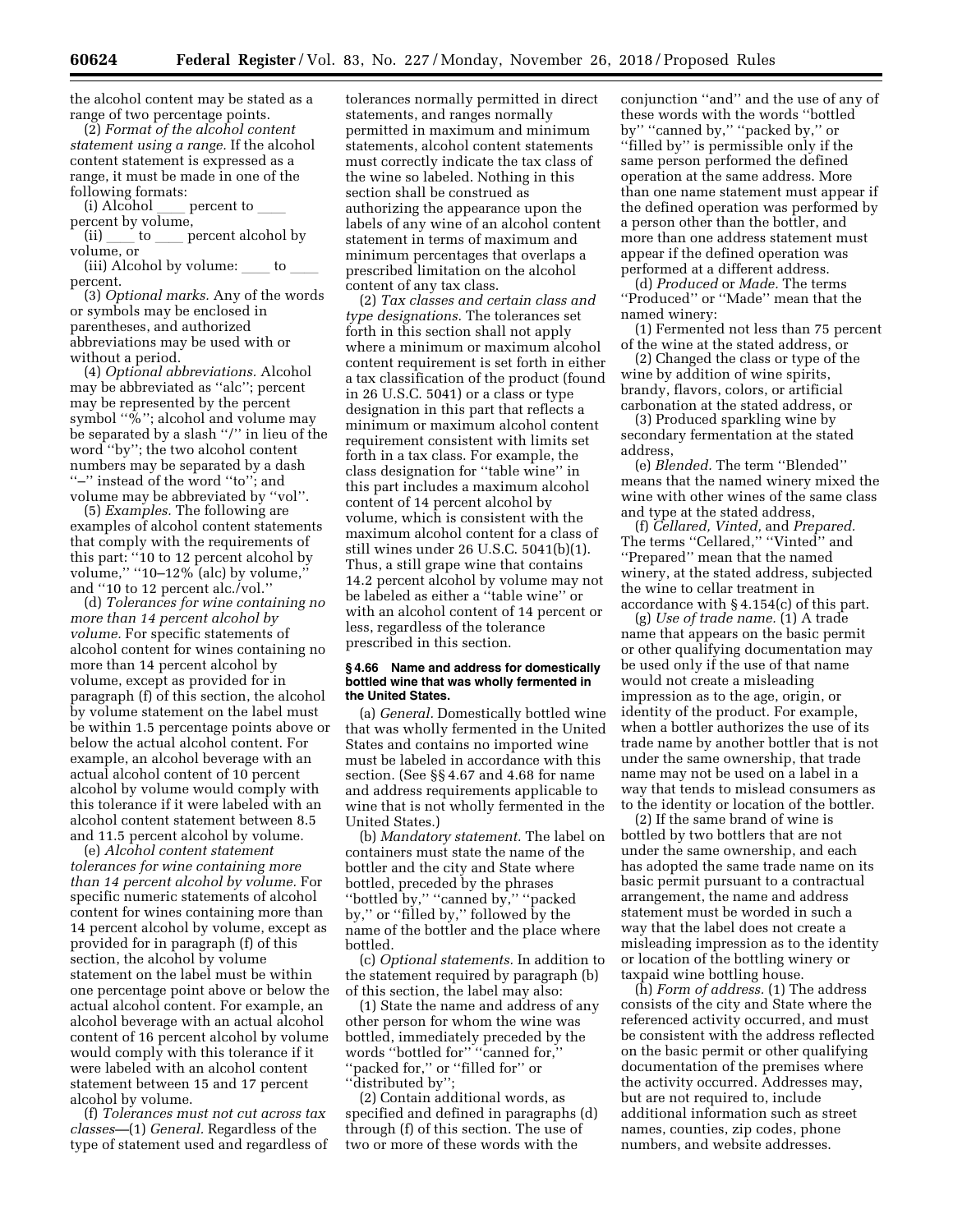the alcohol content may be stated as a range of two percentage points.

(2) *Format of the alcohol content statement using a range.* If the alcohol content statement is expressed as a range, it must be made in one of the following formats:

percent to  $\_$ percent by volume, (ii) io enterpresent alcohol by

volume, or

(iii) Alcohol by volume:  $\rule{1em}{0.15mm}$  to  $\rule{1.5mm}{0.15mm}$ percent.

(3) *Optional marks.* Any of the words or symbols may be enclosed in parentheses, and authorized abbreviations may be used with or without a period.

(4) *Optional abbreviations.* Alcohol may be abbreviated as ''alc''; percent may be represented by the percent symbol "%"; alcohol and volume may be separated by a slash ''/'' in lieu of the word ''by''; the two alcohol content numbers may be separated by a dash ''–'' instead of the word ''to''; and volume may be abbreviated by ''vol''.

(5) *Examples.* The following are examples of alcohol content statements that comply with the requirements of this part: ''10 to 12 percent alcohol by volume,'' ''10–12% (alc) by volume,'' and ''10 to 12 percent alc./vol.''

(d) *Tolerances for wine containing no more than 14 percent alcohol by volume.* For specific statements of alcohol content for wines containing no more than 14 percent alcohol by volume, except as provided for in paragraph (f) of this section, the alcohol by volume statement on the label must be within 1.5 percentage points above or below the actual alcohol content. For example, an alcohol beverage with an actual alcohol content of 10 percent alcohol by volume would comply with this tolerance if it were labeled with an alcohol content statement between 8.5 and 11.5 percent alcohol by volume.

(e) *Alcohol content statement tolerances for wine containing more than 14 percent alcohol by volume.* For specific numeric statements of alcohol content for wines containing more than 14 percent alcohol by volume, except as provided for in paragraph (f) of this section, the alcohol by volume statement on the label must be within one percentage point above or below the actual alcohol content. For example, an alcohol beverage with an actual alcohol content of 16 percent alcohol by volume would comply with this tolerance if it were labeled with an alcohol content statement between 15 and 17 percent alcohol by volume.

(f) *Tolerances must not cut across tax classes—*(1) *General.* Regardless of the type of statement used and regardless of tolerances normally permitted in direct statements, and ranges normally permitted in maximum and minimum statements, alcohol content statements must correctly indicate the tax class of the wine so labeled. Nothing in this section shall be construed as authorizing the appearance upon the labels of any wine of an alcohol content statement in terms of maximum and minimum percentages that overlaps a prescribed limitation on the alcohol content of any tax class.

(2) *Tax classes and certain class and type designations.* The tolerances set forth in this section shall not apply where a minimum or maximum alcohol content requirement is set forth in either a tax classification of the product (found in 26 U.S.C. 5041) or a class or type designation in this part that reflects a minimum or maximum alcohol content requirement consistent with limits set forth in a tax class. For example, the class designation for ''table wine'' in this part includes a maximum alcohol content of 14 percent alcohol by volume, which is consistent with the maximum alcohol content for a class of still wines under 26 U.S.C. 5041(b)(1). Thus, a still grape wine that contains 14.2 percent alcohol by volume may not be labeled as either a ''table wine'' or with an alcohol content of 14 percent or less, regardless of the tolerance prescribed in this section.

#### **§ 4.66 Name and address for domestically bottled wine that was wholly fermented in the United States.**

(a) *General.* Domestically bottled wine that was wholly fermented in the United States and contains no imported wine must be labeled in accordance with this section. (See §§ 4.67 and 4.68 for name and address requirements applicable to wine that is not wholly fermented in the United States.)

(b) *Mandatory statement.* The label on containers must state the name of the bottler and the city and State where bottled, preceded by the phrases ''bottled by,'' ''canned by,'' ''packed by,'' or ''filled by,'' followed by the name of the bottler and the place where bottled.

(c) *Optional statements.* In addition to the statement required by paragraph (b) of this section, the label may also:

(1) State the name and address of any other person for whom the wine was bottled, immediately preceded by the words ''bottled for'' ''canned for,'' "packed for," or "filled for" or ''distributed by'';

(2) Contain additional words, as specified and defined in paragraphs (d) through (f) of this section. The use of two or more of these words with the

conjunction ''and'' and the use of any of these words with the words ''bottled by" "canned by," "packed by," or ''filled by'' is permissible only if the same person performed the defined operation at the same address. More than one name statement must appear if the defined operation was performed by a person other than the bottler, and more than one address statement must appear if the defined operation was performed at a different address.

(d) *Produced* or *Made.* The terms ''Produced'' or ''Made'' mean that the named winery:

(1) Fermented not less than 75 percent of the wine at the stated address, or

(2) Changed the class or type of the wine by addition of wine spirits, brandy, flavors, colors, or artificial carbonation at the stated address, or

(3) Produced sparkling wine by secondary fermentation at the stated address,

(e) *Blended.* The term ''Blended'' means that the named winery mixed the wine with other wines of the same class and type at the stated address,

(f) *Cellared, Vinted,* and *Prepared.*  The terms ''Cellared,'' ''Vinted'' and ''Prepared'' mean that the named winery, at the stated address, subjected the wine to cellar treatment in accordance with § 4.154(c) of this part.

(g) *Use of trade name.* (1) A trade name that appears on the basic permit or other qualifying documentation may be used only if the use of that name would not create a misleading impression as to the age, origin, or identity of the product. For example, when a bottler authorizes the use of its trade name by another bottler that is not under the same ownership, that trade name may not be used on a label in a way that tends to mislead consumers as to the identity or location of the bottler.

(2) If the same brand of wine is bottled by two bottlers that are not under the same ownership, and each has adopted the same trade name on its basic permit pursuant to a contractual arrangement, the name and address statement must be worded in such a way that the label does not create a misleading impression as to the identity or location of the bottling winery or taxpaid wine bottling house.

(h) *Form of address.* (1) The address consists of the city and State where the referenced activity occurred, and must be consistent with the address reflected on the basic permit or other qualifying documentation of the premises where the activity occurred. Addresses may, but are not required to, include additional information such as street names, counties, zip codes, phone numbers, and website addresses.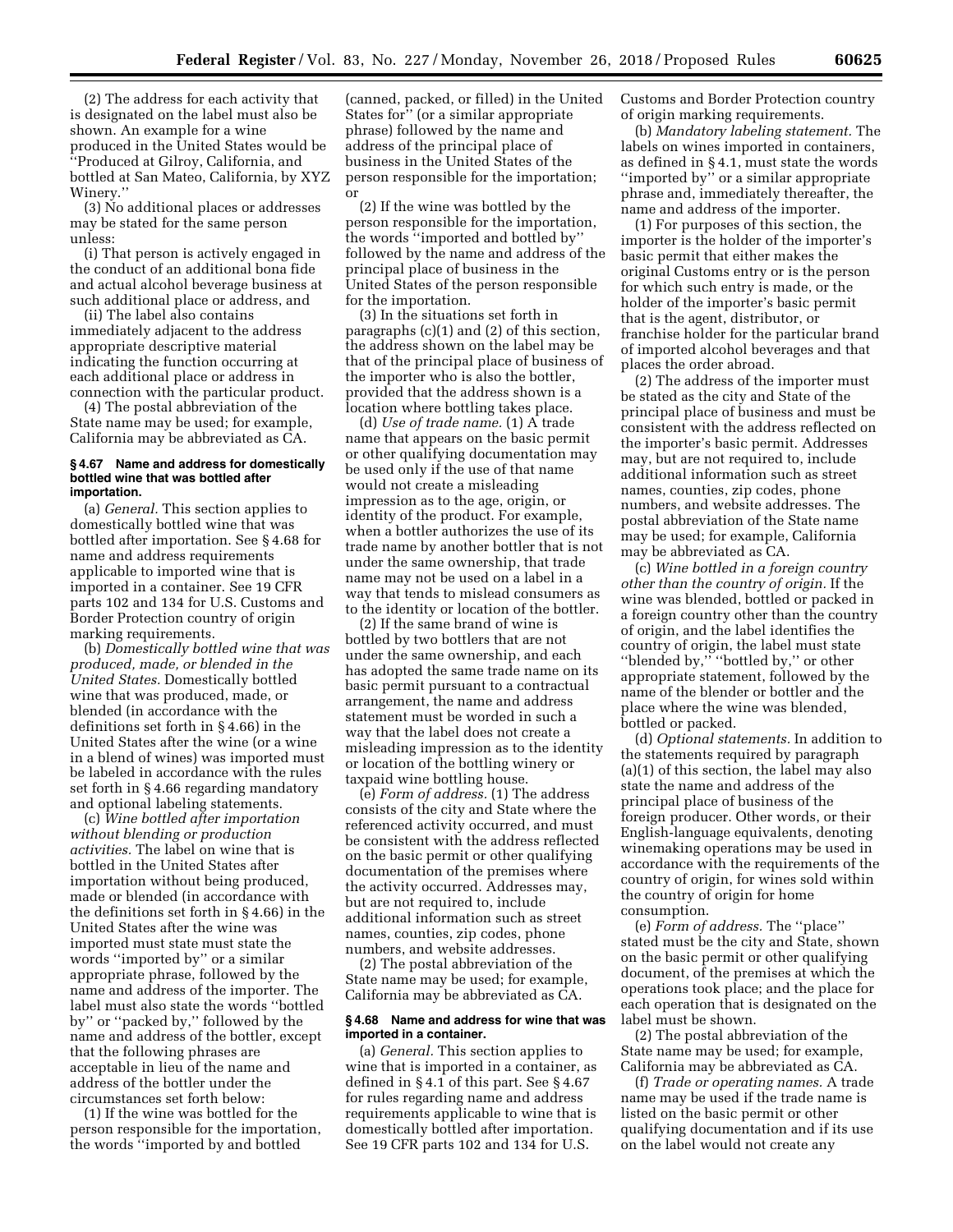(2) The address for each activity that is designated on the label must also be shown. An example for a wine produced in the United States would be ''Produced at Gilroy, California, and bottled at San Mateo, California, by XYZ Winery.''

(3) No additional places or addresses may be stated for the same person unless:

(i) That person is actively engaged in the conduct of an additional bona fide and actual alcohol beverage business at such additional place or address, and

(ii) The label also contains immediately adjacent to the address appropriate descriptive material indicating the function occurring at each additional place or address in connection with the particular product.

(4) The postal abbreviation of the State name may be used; for example, California may be abbreviated as CA.

#### **§ 4.67 Name and address for domestically bottled wine that was bottled after importation.**

(a) *General.* This section applies to domestically bottled wine that was bottled after importation. See § 4.68 for name and address requirements applicable to imported wine that is imported in a container. See 19 CFR parts 102 and 134 for U.S. Customs and Border Protection country of origin marking requirements.

(b) *Domestically bottled wine that was produced, made, or blended in the United States.* Domestically bottled wine that was produced, made, or blended (in accordance with the definitions set forth in § 4.66) in the United States after the wine (or a wine in a blend of wines) was imported must be labeled in accordance with the rules set forth in § 4.66 regarding mandatory and optional labeling statements.

(c) *Wine bottled after importation without blending or production activities.* The label on wine that is bottled in the United States after importation without being produced, made or blended (in accordance with the definitions set forth in § 4.66) in the United States after the wine was imported must state must state the words ''imported by'' or a similar appropriate phrase, followed by the name and address of the importer. The label must also state the words ''bottled by'' or ''packed by,'' followed by the name and address of the bottler, except that the following phrases are acceptable in lieu of the name and address of the bottler under the circumstances set forth below:

(1) If the wine was bottled for the person responsible for the importation, the words ''imported by and bottled

(canned, packed, or filled) in the United States for'' (or a similar appropriate phrase) followed by the name and address of the principal place of business in the United States of the person responsible for the importation; or

(2) If the wine was bottled by the person responsible for the importation, the words ''imported and bottled by'' followed by the name and address of the principal place of business in the United States of the person responsible for the importation.

(3) In the situations set forth in paragraphs (c)(1) and (2) of this section, the address shown on the label may be that of the principal place of business of the importer who is also the bottler, provided that the address shown is a location where bottling takes place.

(d) *Use of trade name.* (1) A trade name that appears on the basic permit or other qualifying documentation may be used only if the use of that name would not create a misleading impression as to the age, origin, or identity of the product. For example, when a bottler authorizes the use of its trade name by another bottler that is not under the same ownership, that trade name may not be used on a label in a way that tends to mislead consumers as to the identity or location of the bottler.

(2) If the same brand of wine is bottled by two bottlers that are not under the same ownership, and each has adopted the same trade name on its basic permit pursuant to a contractual arrangement, the name and address statement must be worded in such a way that the label does not create a misleading impression as to the identity or location of the bottling winery or taxpaid wine bottling house.

(e) *Form of address.* (1) The address consists of the city and State where the referenced activity occurred, and must be consistent with the address reflected on the basic permit or other qualifying documentation of the premises where the activity occurred. Addresses may, but are not required to, include additional information such as street names, counties, zip codes, phone numbers, and website addresses.

(2) The postal abbreviation of the State name may be used; for example, California may be abbreviated as CA.

# **§ 4.68 Name and address for wine that was imported in a container.**

(a) *General.* This section applies to wine that is imported in a container, as defined in § 4.1 of this part. See § 4.67 for rules regarding name and address requirements applicable to wine that is domestically bottled after importation. See 19 CFR parts 102 and 134 for U.S.

Customs and Border Protection country of origin marking requirements.

(b) *Mandatory labeling statement.* The labels on wines imported in containers, as defined in § 4.1, must state the words ''imported by'' or a similar appropriate phrase and, immediately thereafter, the name and address of the importer.

(1) For purposes of this section, the importer is the holder of the importer's basic permit that either makes the original Customs entry or is the person for which such entry is made, or the holder of the importer's basic permit that is the agent, distributor, or franchise holder for the particular brand of imported alcohol beverages and that places the order abroad.

(2) The address of the importer must be stated as the city and State of the principal place of business and must be consistent with the address reflected on the importer's basic permit. Addresses may, but are not required to, include additional information such as street names, counties, zip codes, phone numbers, and website addresses. The postal abbreviation of the State name may be used; for example, California may be abbreviated as CA.

(c) *Wine bottled in a foreign country other than the country of origin.* If the wine was blended, bottled or packed in a foreign country other than the country of origin, and the label identifies the country of origin, the label must state ''blended by,'' ''bottled by,'' or other appropriate statement, followed by the name of the blender or bottler and the place where the wine was blended, bottled or packed.

(d) *Optional statements.* In addition to the statements required by paragraph (a)(1) of this section, the label may also state the name and address of the principal place of business of the foreign producer. Other words, or their English-language equivalents, denoting winemaking operations may be used in accordance with the requirements of the country of origin, for wines sold within the country of origin for home consumption.

(e) *Form of address.* The ''place'' stated must be the city and State, shown on the basic permit or other qualifying document, of the premises at which the operations took place; and the place for each operation that is designated on the label must be shown.

(2) The postal abbreviation of the State name may be used; for example, California may be abbreviated as CA.

(f) *Trade or operating names.* A trade name may be used if the trade name is listed on the basic permit or other qualifying documentation and if its use on the label would not create any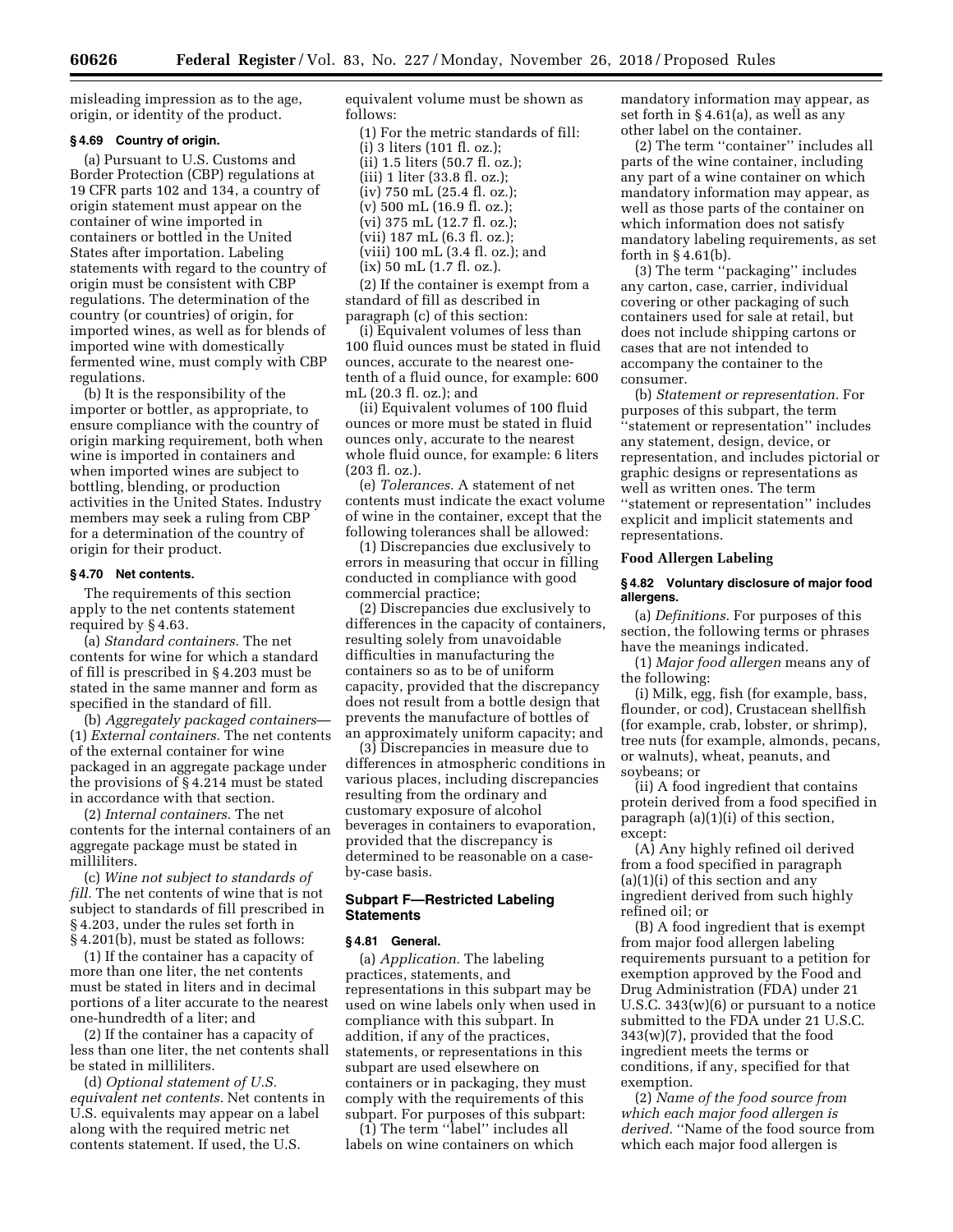misleading impression as to the age, origin, or identity of the product.

# **§ 4.69 Country of origin.**

(a) Pursuant to U.S. Customs and Border Protection (CBP) regulations at 19 CFR parts 102 and 134, a country of origin statement must appear on the container of wine imported in containers or bottled in the United States after importation. Labeling statements with regard to the country of origin must be consistent with CBP regulations. The determination of the country (or countries) of origin, for imported wines, as well as for blends of imported wine with domestically fermented wine, must comply with CBP regulations.

(b) It is the responsibility of the importer or bottler, as appropriate, to ensure compliance with the country of origin marking requirement, both when wine is imported in containers and when imported wines are subject to bottling, blending, or production activities in the United States. Industry members may seek a ruling from CBP for a determination of the country of origin for their product.

# **§ 4.70 Net contents.**

The requirements of this section apply to the net contents statement required by § 4.63.

(a) *Standard containers.* The net contents for wine for which a standard of fill is prescribed in § 4.203 must be stated in the same manner and form as specified in the standard of fill.

(b) *Aggregately packaged containers*— (1) *External containers.* The net contents of the external container for wine packaged in an aggregate package under the provisions of § 4.214 must be stated in accordance with that section.

(2) *Internal containers.* The net contents for the internal containers of an aggregate package must be stated in milliliters.

(c) *Wine not subject to standards of fill.* The net contents of wine that is not subject to standards of fill prescribed in § 4.203, under the rules set forth in § 4.201(b), must be stated as follows:

(1) If the container has a capacity of more than one liter, the net contents must be stated in liters and in decimal portions of a liter accurate to the nearest one-hundredth of a liter; and

(2) If the container has a capacity of less than one liter, the net contents shall be stated in milliliters.

(d) *Optional statement of U.S. equivalent net contents.* Net contents in U.S. equivalents may appear on a label along with the required metric net contents statement. If used, the U.S.

equivalent volume must be shown as follows:

(1) For the metric standards of fill: (i) 3 liters (101 fl. oz.); (ii) 1.5 liters (50.7 fl. oz.); (iii) 1 liter (33.8 fl. oz.); (iv) 750 mL (25.4 fl. oz.); (v) 500 mL (16.9 fl. oz.); (vi) 375 mL (12.7 fl. oz.); (vii) 187 mL (6.3 fl. oz.); (viii) 100 mL (3.4 fl. oz.); and (ix) 50 mL (1.7 fl. oz.).

(2) If the container is exempt from a standard of fill as described in paragraph (c) of this section:

(i) Equivalent volumes of less than 100 fluid ounces must be stated in fluid ounces, accurate to the nearest onetenth of a fluid ounce, for example: 600 mL (20.3 fl. oz.); and

(ii) Equivalent volumes of 100 fluid ounces or more must be stated in fluid ounces only, accurate to the nearest whole fluid ounce, for example: 6 liters (203 fl. oz.).

(e) *Tolerances.* A statement of net contents must indicate the exact volume of wine in the container, except that the following tolerances shall be allowed:

(1) Discrepancies due exclusively to errors in measuring that occur in filling conducted in compliance with good commercial practice;

(2) Discrepancies due exclusively to differences in the capacity of containers, resulting solely from unavoidable difficulties in manufacturing the containers so as to be of uniform capacity, provided that the discrepancy does not result from a bottle design that prevents the manufacture of bottles of an approximately uniform capacity; and

(3) Discrepancies in measure due to differences in atmospheric conditions in various places, including discrepancies resulting from the ordinary and customary exposure of alcohol beverages in containers to evaporation, provided that the discrepancy is determined to be reasonable on a caseby-case basis.

# **Subpart F—Restricted Labeling Statements**

### **§ 4.81 General.**

(a) *Application.* The labeling practices, statements, and representations in this subpart may be used on wine labels only when used in compliance with this subpart. In addition, if any of the practices, statements, or representations in this subpart are used elsewhere on containers or in packaging, they must comply with the requirements of this subpart. For purposes of this subpart:

(1) The term ''label'' includes all labels on wine containers on which mandatory information may appear, as set forth in § 4.61(a), as well as any other label on the container.

(2) The term ''container'' includes all parts of the wine container, including any part of a wine container on which mandatory information may appear, as well as those parts of the container on which information does not satisfy mandatory labeling requirements, as set forth in  $\S 4.61(b)$ .

(3) The term ''packaging'' includes any carton, case, carrier, individual covering or other packaging of such containers used for sale at retail, but does not include shipping cartons or cases that are not intended to accompany the container to the consumer.

(b) *Statement or representation.* For purposes of this subpart, the term ''statement or representation'' includes any statement, design, device, or representation, and includes pictorial or graphic designs or representations as well as written ones. The term ''statement or representation'' includes explicit and implicit statements and representations.

# **Food Allergen Labeling**

# **§ 4.82 Voluntary disclosure of major food allergens.**

(a) *Definitions.* For purposes of this section, the following terms or phrases have the meanings indicated.

(1) *Major food allergen* means any of the following:

(i) Milk, egg, fish (for example, bass, flounder, or cod), Crustacean shellfish (for example, crab, lobster, or shrimp), tree nuts (for example, almonds, pecans, or walnuts), wheat, peanuts, and soybeans; or

(ii) A food ingredient that contains protein derived from a food specified in paragraph (a)(1)(i) of this section, except:

(A) Any highly refined oil derived from a food specified in paragraph (a)(1)(i) of this section and any ingredient derived from such highly refined oil; or

(B) A food ingredient that is exempt from major food allergen labeling requirements pursuant to a petition for exemption approved by the Food and Drug Administration (FDA) under 21 U.S.C. 343(w)(6) or pursuant to a notice submitted to the FDA under 21 U.S.C. 343(w)(7), provided that the food ingredient meets the terms or conditions, if any, specified for that exemption.

(2) *Name of the food source from which each major food allergen is derived.* ''Name of the food source from which each major food allergen is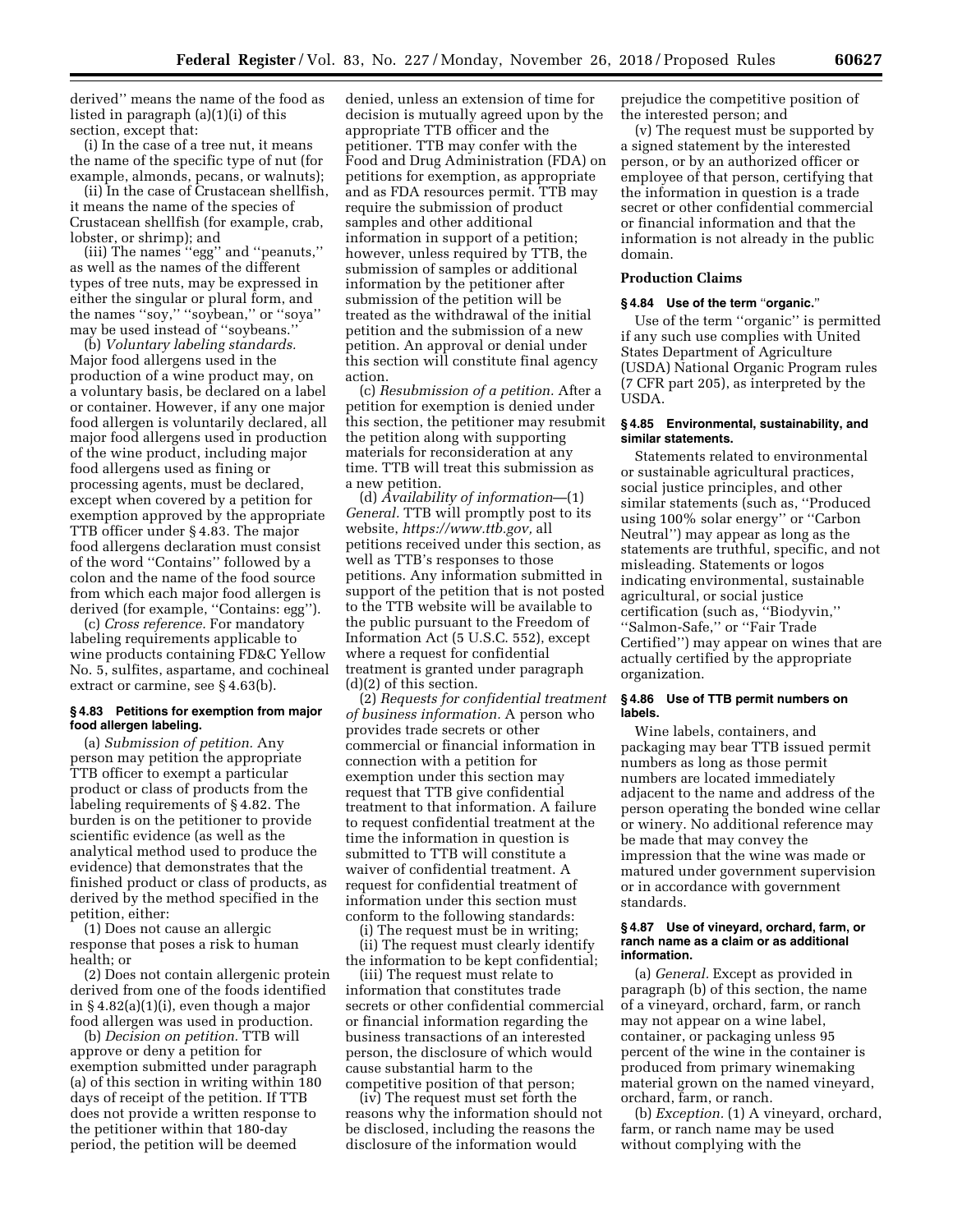derived'' means the name of the food as listed in paragraph (a)(1)(i) of this section, except that:

(i) In the case of a tree nut, it means the name of the specific type of nut (for example, almonds, pecans, or walnuts);

(ii) In the case of Crustacean shellfish, it means the name of the species of Crustacean shellfish (for example, crab, lobster, or shrimp); and

(iii) The names ''egg'' and ''peanuts,'' as well as the names of the different types of tree nuts, may be expressed in either the singular or plural form, and the names ''soy,'' ''soybean,'' or ''soya'' may be used instead of ''soybeans.''

(b) *Voluntary labeling standards.*  Major food allergens used in the production of a wine product may, on a voluntary basis, be declared on a label or container. However, if any one major food allergen is voluntarily declared, all major food allergens used in production of the wine product, including major food allergens used as fining or processing agents, must be declared, except when covered by a petition for exemption approved by the appropriate TTB officer under § 4.83. The major food allergens declaration must consist of the word ''Contains'' followed by a colon and the name of the food source from which each major food allergen is derived (for example, ''Contains: egg'').

(c) *Cross reference.* For mandatory labeling requirements applicable to wine products containing FD&C Yellow No. 5, sulfites, aspartame, and cochineal extract or carmine, see § 4.63(b).

# **§ 4.83 Petitions for exemption from major food allergen labeling.**

(a) *Submission of petition.* Any person may petition the appropriate TTB officer to exempt a particular product or class of products from the labeling requirements of § 4.82. The burden is on the petitioner to provide scientific evidence (as well as the analytical method used to produce the evidence) that demonstrates that the finished product or class of products, as derived by the method specified in the petition, either:

(1) Does not cause an allergic response that poses a risk to human health; or

(2) Does not contain allergenic protein derived from one of the foods identified in § 4.82(a)(1)(i), even though a major food allergen was used in production.

(b) *Decision on petition.* TTB will approve or deny a petition for exemption submitted under paragraph (a) of this section in writing within 180 days of receipt of the petition. If TTB does not provide a written response to the petitioner within that 180-day period, the petition will be deemed

denied, unless an extension of time for decision is mutually agreed upon by the appropriate TTB officer and the petitioner. TTB may confer with the Food and Drug Administration (FDA) on petitions for exemption, as appropriate and as FDA resources permit. TTB may require the submission of product samples and other additional information in support of a petition; however, unless required by TTB, the submission of samples or additional information by the petitioner after submission of the petition will be treated as the withdrawal of the initial petition and the submission of a new petition. An approval or denial under this section will constitute final agency action.

(c) *Resubmission of a petition.* After a petition for exemption is denied under this section, the petitioner may resubmit the petition along with supporting materials for reconsideration at any time. TTB will treat this submission as a new petition.

(d) *Availability of information*—(1) *General.* TTB will promptly post to its website, *[https://www.ttb.gov,](https://www.ttb.gov)* all petitions received under this section, as well as TTB's responses to those petitions. Any information submitted in support of the petition that is not posted to the TTB website will be available to the public pursuant to the Freedom of Information Act (5 U.S.C. 552), except where a request for confidential treatment is granted under paragraph (d)(2) of this section.

(2) *Requests for confidential treatment of business information.* A person who provides trade secrets or other commercial or financial information in connection with a petition for exemption under this section may request that TTB give confidential treatment to that information. A failure to request confidential treatment at the time the information in question is submitted to TTB will constitute a waiver of confidential treatment. A request for confidential treatment of information under this section must conform to the following standards:

(i) The request must be in writing;

(ii) The request must clearly identify the information to be kept confidential;

(iii) The request must relate to information that constitutes trade secrets or other confidential commercial or financial information regarding the business transactions of an interested person, the disclosure of which would cause substantial harm to the competitive position of that person;

(iv) The request must set forth the reasons why the information should not be disclosed, including the reasons the disclosure of the information would

prejudice the competitive position of the interested person; and

(v) The request must be supported by a signed statement by the interested person, or by an authorized officer or employee of that person, certifying that the information in question is a trade secret or other confidential commercial or financial information and that the information is not already in the public domain.

# **Production Claims**

#### **§ 4.84 Use of the term** ''**organic.**''

Use of the term ''organic'' is permitted if any such use complies with United States Department of Agriculture (USDA) National Organic Program rules (7 CFR part 205), as interpreted by the USDA.

# **§ 4.85 Environmental, sustainability, and similar statements.**

Statements related to environmental or sustainable agricultural practices, social justice principles, and other similar statements (such as, ''Produced using 100% solar energy'' or ''Carbon Neutral'') may appear as long as the statements are truthful, specific, and not misleading. Statements or logos indicating environmental, sustainable agricultural, or social justice certification (such as, ''Biodyvin,'' ''Salmon-Safe,'' or ''Fair Trade Certified'') may appear on wines that are actually certified by the appropriate organization.

# **§ 4.86 Use of TTB permit numbers on labels.**

Wine labels, containers, and packaging may bear TTB issued permit numbers as long as those permit numbers are located immediately adjacent to the name and address of the person operating the bonded wine cellar or winery. No additional reference may be made that may convey the impression that the wine was made or matured under government supervision or in accordance with government standards.

#### **§ 4.87 Use of vineyard, orchard, farm, or ranch name as a claim or as additional information.**

(a) *General.* Except as provided in paragraph (b) of this section, the name of a vineyard, orchard, farm, or ranch may not appear on a wine label, container, or packaging unless 95 percent of the wine in the container is produced from primary winemaking material grown on the named vineyard, orchard, farm, or ranch.

(b) *Exception.* (1) A vineyard, orchard, farm, or ranch name may be used without complying with the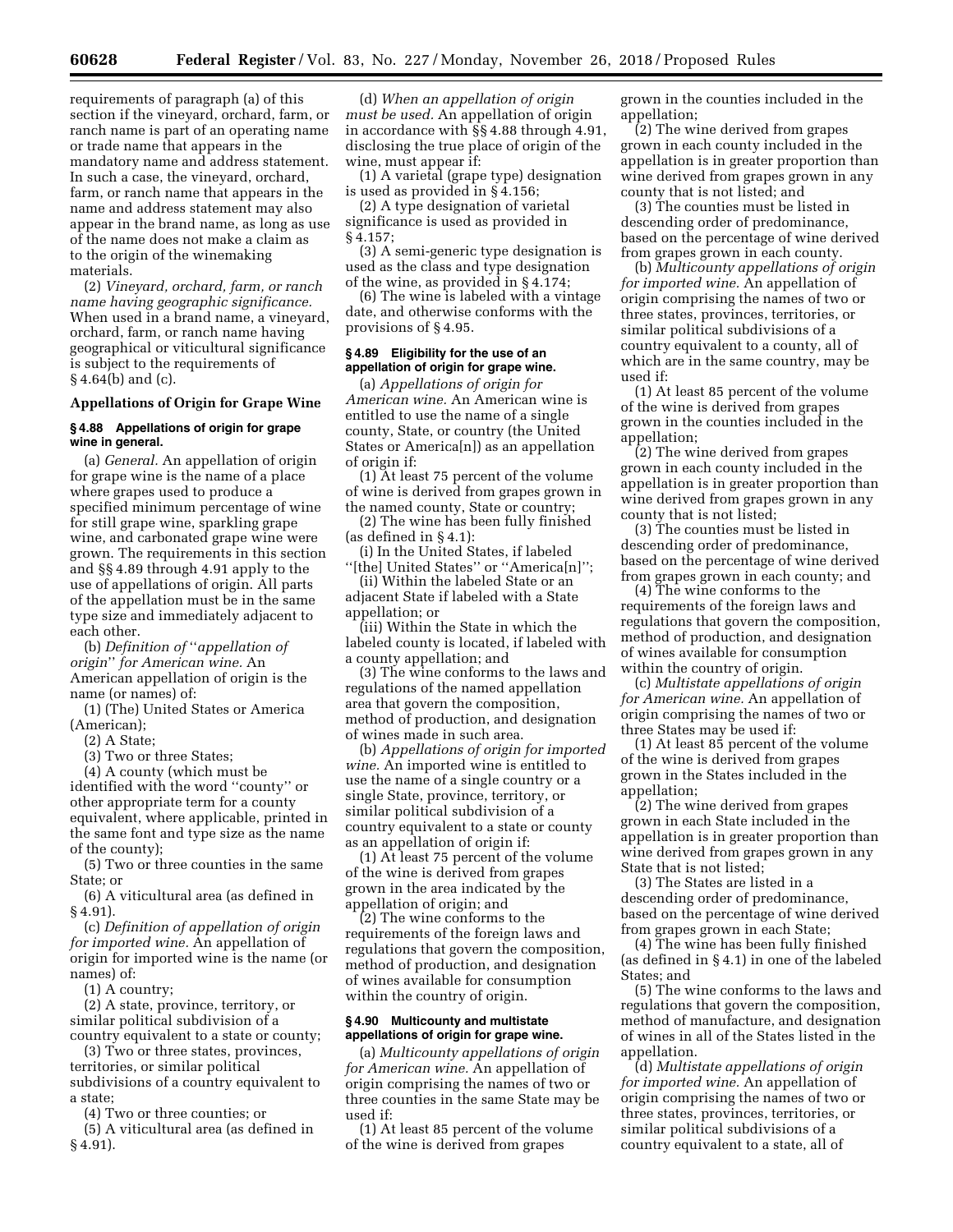requirements of paragraph (a) of this section if the vineyard, orchard, farm, or ranch name is part of an operating name or trade name that appears in the mandatory name and address statement. In such a case, the vineyard, orchard, farm, or ranch name that appears in the name and address statement may also appear in the brand name, as long as use of the name does not make a claim as to the origin of the winemaking materials.

(2) *Vineyard, orchard, farm, or ranch name having geographic significance.*  When used in a brand name, a vineyard, orchard, farm, or ranch name having geographical or viticultural significance is subject to the requirements of  $§$  4.64(b) and (c).

### **Appellations of Origin for Grape Wine**

#### **§ 4.88 Appellations of origin for grape wine in general.**

(a) *General.* An appellation of origin for grape wine is the name of a place where grapes used to produce a specified minimum percentage of wine for still grape wine, sparkling grape wine, and carbonated grape wine were grown. The requirements in this section and §§ 4.89 through 4.91 apply to the use of appellations of origin. All parts of the appellation must be in the same type size and immediately adjacent to each other.

(b) *Definition of* ''*appellation of origin*'' *for American wine.* An American appellation of origin is the name (or names) of:

(1) (The) United States or America (American);

(2) A State;

(3) Two or three States;

(4) A county (which must be identified with the word ''county'' or other appropriate term for a county equivalent, where applicable, printed in the same font and type size as the name of the county);

(5) Two or three counties in the same State; or

(6) A viticultural area (as defined in § 4.91).

(c) *Definition of appellation of origin for imported wine.* An appellation of origin for imported wine is the name (or names) of:

(1) A country;

(2) A state, province, territory, or similar political subdivision of a country equivalent to a state or county;

(3) Two or three states, provinces, territories, or similar political subdivisions of a country equivalent to a state;

(4) Two or three counties; or

(5) A viticultural area (as defined in § 4.91).

(d) *When an appellation of origin must be used.* An appellation of origin in accordance with §§ 4.88 through 4.91, disclosing the true place of origin of the wine, must appear if:

(1) A varietal (grape type) designation is used as provided in § 4.156;

(2) A type designation of varietal significance is used as provided in § 4.157;

(3) A semi-generic type designation is used as the class and type designation of the wine, as provided in § 4.174;

(6) The wine is labeled with a vintage date, and otherwise conforms with the provisions of § 4.95.

# **§ 4.89 Eligibility for the use of an appellation of origin for grape wine.**

(a) *Appellations of origin for American wine.* An American wine is entitled to use the name of a single county, State, or country (the United States or America[n]) as an appellation of origin if:

(1) At least 75 percent of the volume of wine is derived from grapes grown in the named county, State or country;

(2) The wine has been fully finished (as defined in § 4.1):

(i) In the United States, if labeled ''[the] United States'' or ''America[n]'';

(ii) Within the labeled State or an adjacent State if labeled with a State appellation; or

(iii) Within the State in which the labeled county is located, if labeled with a county appellation; and

(3) The wine conforms to the laws and regulations of the named appellation area that govern the composition, method of production, and designation of wines made in such area.

(b) *Appellations of origin for imported wine.* An imported wine is entitled to use the name of a single country or a single State, province, territory, or similar political subdivision of a country equivalent to a state or county as an appellation of origin if:

(1) At least 75 percent of the volume of the wine is derived from grapes grown in the area indicated by the appellation of origin; and

(2) The wine conforms to the requirements of the foreign laws and regulations that govern the composition, method of production, and designation of wines available for consumption within the country of origin.

# **§ 4.90 Multicounty and multistate appellations of origin for grape wine.**

(a) *Multicounty appellations of origin for American wine.* An appellation of origin comprising the names of two or three counties in the same State may be used if:

(1) At least 85 percent of the volume of the wine is derived from grapes

grown in the counties included in the appellation;

(2) The wine derived from grapes grown in each county included in the appellation is in greater proportion than wine derived from grapes grown in any county that is not listed; and

(3) The counties must be listed in descending order of predominance, based on the percentage of wine derived from grapes grown in each county.

(b) *Multicounty appellations of origin for imported wine.* An appellation of origin comprising the names of two or three states, provinces, territories, or similar political subdivisions of a country equivalent to a county, all of which are in the same country, may be used if:

(1) At least 85 percent of the volume of the wine is derived from grapes grown in the counties included in the appellation;

(2) The wine derived from grapes grown in each county included in the appellation is in greater proportion than wine derived from grapes grown in any county that is not listed;

(3) The counties must be listed in descending order of predominance, based on the percentage of wine derived from grapes grown in each county; and

(4) The wine conforms to the requirements of the foreign laws and regulations that govern the composition, method of production, and designation of wines available for consumption within the country of origin.

(c) *Multistate appellations of origin for American wine.* An appellation of origin comprising the names of two or three States may be used if:

(1) At least 85 percent of the volume of the wine is derived from grapes grown in the States included in the appellation;

(2) The wine derived from grapes grown in each State included in the appellation is in greater proportion than wine derived from grapes grown in any State that is not listed;

(3) The States are listed in a descending order of predominance, based on the percentage of wine derived from grapes grown in each State;

(4) The wine has been fully finished (as defined in § 4.1) in one of the labeled States; and

(5) The wine conforms to the laws and regulations that govern the composition, method of manufacture, and designation of wines in all of the States listed in the appellation.

(d) *Multistate appellations of origin for imported wine.* An appellation of origin comprising the names of two or three states, provinces, territories, or similar political subdivisions of a country equivalent to a state, all of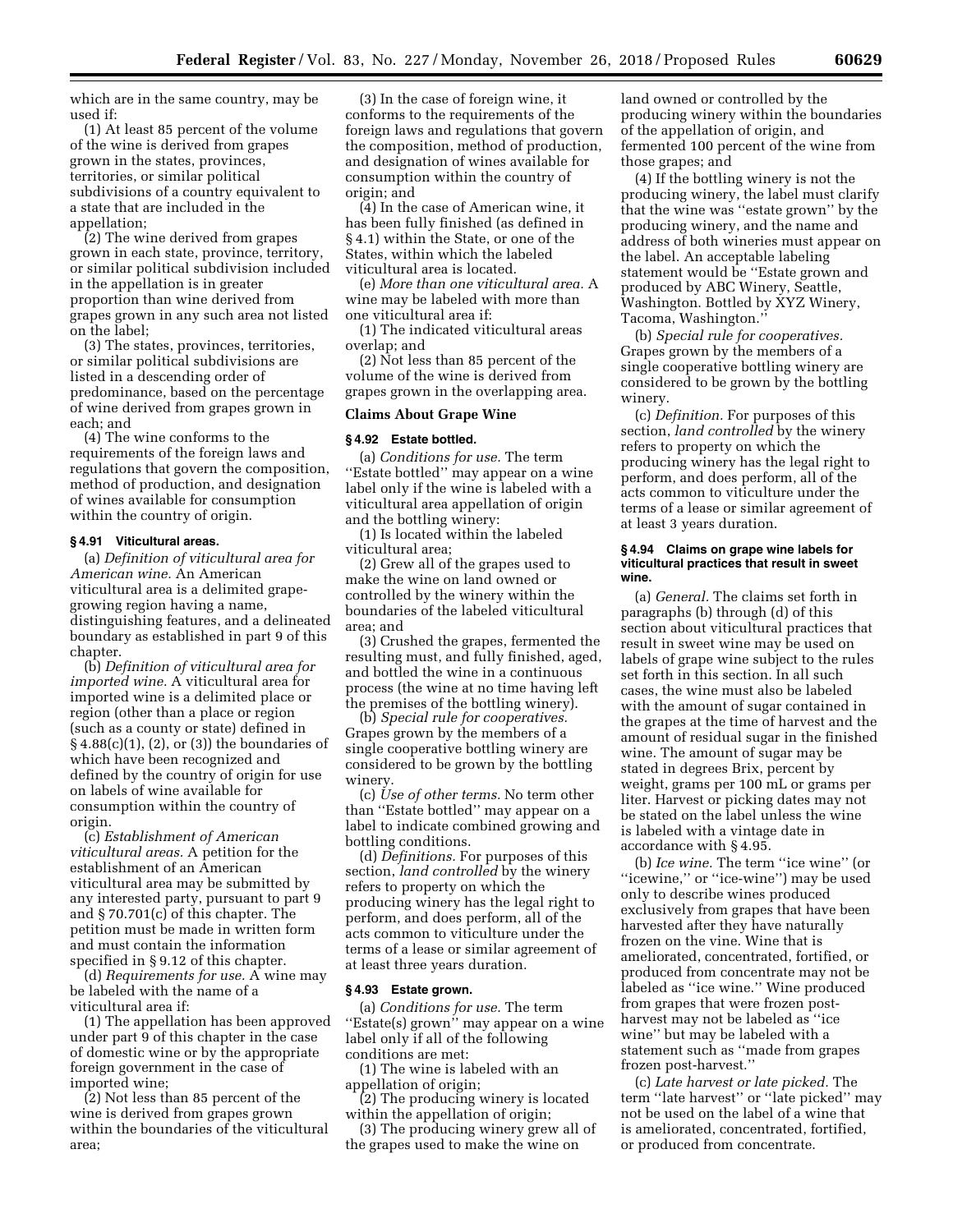which are in the same country, may be used if:

(1) At least 85 percent of the volume of the wine is derived from grapes grown in the states, provinces, territories, or similar political subdivisions of a country equivalent to a state that are included in the appellation;

(2) The wine derived from grapes grown in each state, province, territory, or similar political subdivision included in the appellation is in greater proportion than wine derived from grapes grown in any such area not listed on the label;

(3) The states, provinces, territories, or similar political subdivisions are listed in a descending order of predominance, based on the percentage of wine derived from grapes grown in each; and

(4) The wine conforms to the requirements of the foreign laws and regulations that govern the composition, method of production, and designation of wines available for consumption within the country of origin.

#### **§ 4.91 Viticultural areas.**

(a) *Definition of viticultural area for American wine.* An American viticultural area is a delimited grapegrowing region having a name, distinguishing features, and a delineated boundary as established in part 9 of this chapter.

(b) *Definition of viticultural area for imported wine.* A viticultural area for imported wine is a delimited place or region (other than a place or region (such as a county or state) defined in  $§ 4.88(c)(1), (2), or (3))$  the boundaries of which have been recognized and defined by the country of origin for use on labels of wine available for consumption within the country of origin.

(c) *Establishment of American viticultural areas.* A petition for the establishment of an American viticultural area may be submitted by any interested party, pursuant to part 9 and § 70.701(c) of this chapter. The petition must be made in written form and must contain the information specified in § 9.12 of this chapter.

(d) *Requirements for use.* A wine may be labeled with the name of a viticultural area if:

(1) The appellation has been approved under part 9 of this chapter in the case of domestic wine or by the appropriate foreign government in the case of imported wine;

(2) Not less than 85 percent of the wine is derived from grapes grown within the boundaries of the viticultural area;

(3) In the case of foreign wine, it conforms to the requirements of the foreign laws and regulations that govern the composition, method of production, and designation of wines available for consumption within the country of origin; and

(4) In the case of American wine, it has been fully finished (as defined in § 4.1) within the State, or one of the States, within which the labeled viticultural area is located.

(e) *More than one viticultural area.* A wine may be labeled with more than one viticultural area if:

(1) The indicated viticultural areas overlap; and

(2) Not less than 85 percent of the volume of the wine is derived from grapes grown in the overlapping area.

#### **Claims About Grape Wine**

#### **§ 4.92 Estate bottled.**

(a) *Conditions for use.* The term ''Estate bottled'' may appear on a wine label only if the wine is labeled with a viticultural area appellation of origin and the bottling winery:

(1) Is located within the labeled viticultural area;

(2) Grew all of the grapes used to make the wine on land owned or controlled by the winery within the boundaries of the labeled viticultural area; and

(3) Crushed the grapes, fermented the resulting must, and fully finished, aged, and bottled the wine in a continuous process (the wine at no time having left the premises of the bottling winery).

(b) *Special rule for cooperatives.*  Grapes grown by the members of a single cooperative bottling winery are considered to be grown by the bottling winery.

(c) *Use of other terms.* No term other than ''Estate bottled'' may appear on a label to indicate combined growing and bottling conditions.

(d) *Definitions.* For purposes of this section, *land controlled* by the winery refers to property on which the producing winery has the legal right to perform, and does perform, all of the acts common to viticulture under the terms of a lease or similar agreement of at least three years duration.

# **§ 4.93 Estate grown.**

(a) *Conditions for use.* The term ''Estate(s) grown'' may appear on a wine label only if all of the following conditions are met:

(1) The wine is labeled with an appellation of origin;

(2) The producing winery is located within the appellation of origin;

(3) The producing winery grew all of the grapes used to make the wine on

land owned or controlled by the producing winery within the boundaries of the appellation of origin, and fermented 100 percent of the wine from those grapes; and

(4) If the bottling winery is not the producing winery, the label must clarify that the wine was ''estate grown'' by the producing winery, and the name and address of both wineries must appear on the label. An acceptable labeling statement would be ''Estate grown and produced by ABC Winery, Seattle, Washington. Bottled by XYZ Winery, Tacoma, Washington.''

(b) *Special rule for cooperatives.*  Grapes grown by the members of a single cooperative bottling winery are considered to be grown by the bottling winery.

(c) *Definition.* For purposes of this section, *land controlled* by the winery refers to property on which the producing winery has the legal right to perform, and does perform, all of the acts common to viticulture under the terms of a lease or similar agreement of at least 3 years duration.

#### **§ 4.94 Claims on grape wine labels for viticultural practices that result in sweet wine.**

(a) *General.* The claims set forth in paragraphs (b) through (d) of this section about viticultural practices that result in sweet wine may be used on labels of grape wine subject to the rules set forth in this section. In all such cases, the wine must also be labeled with the amount of sugar contained in the grapes at the time of harvest and the amount of residual sugar in the finished wine. The amount of sugar may be stated in degrees Brix, percent by weight, grams per 100 mL or grams per liter. Harvest or picking dates may not be stated on the label unless the wine is labeled with a vintage date in accordance with § 4.95.

(b) *Ice wine.* The term ''ice wine'' (or "icewine," or "ice-wine") may be used only to describe wines produced exclusively from grapes that have been harvested after they have naturally frozen on the vine. Wine that is ameliorated, concentrated, fortified, or produced from concentrate may not be labeled as ''ice wine.'' Wine produced from grapes that were frozen postharvest may not be labeled as ''ice wine'' but may be labeled with a statement such as ''made from grapes frozen post-harvest.''

(c) *Late harvest or late picked.* The term ''late harvest'' or ''late picked'' may not be used on the label of a wine that is ameliorated, concentrated, fortified, or produced from concentrate.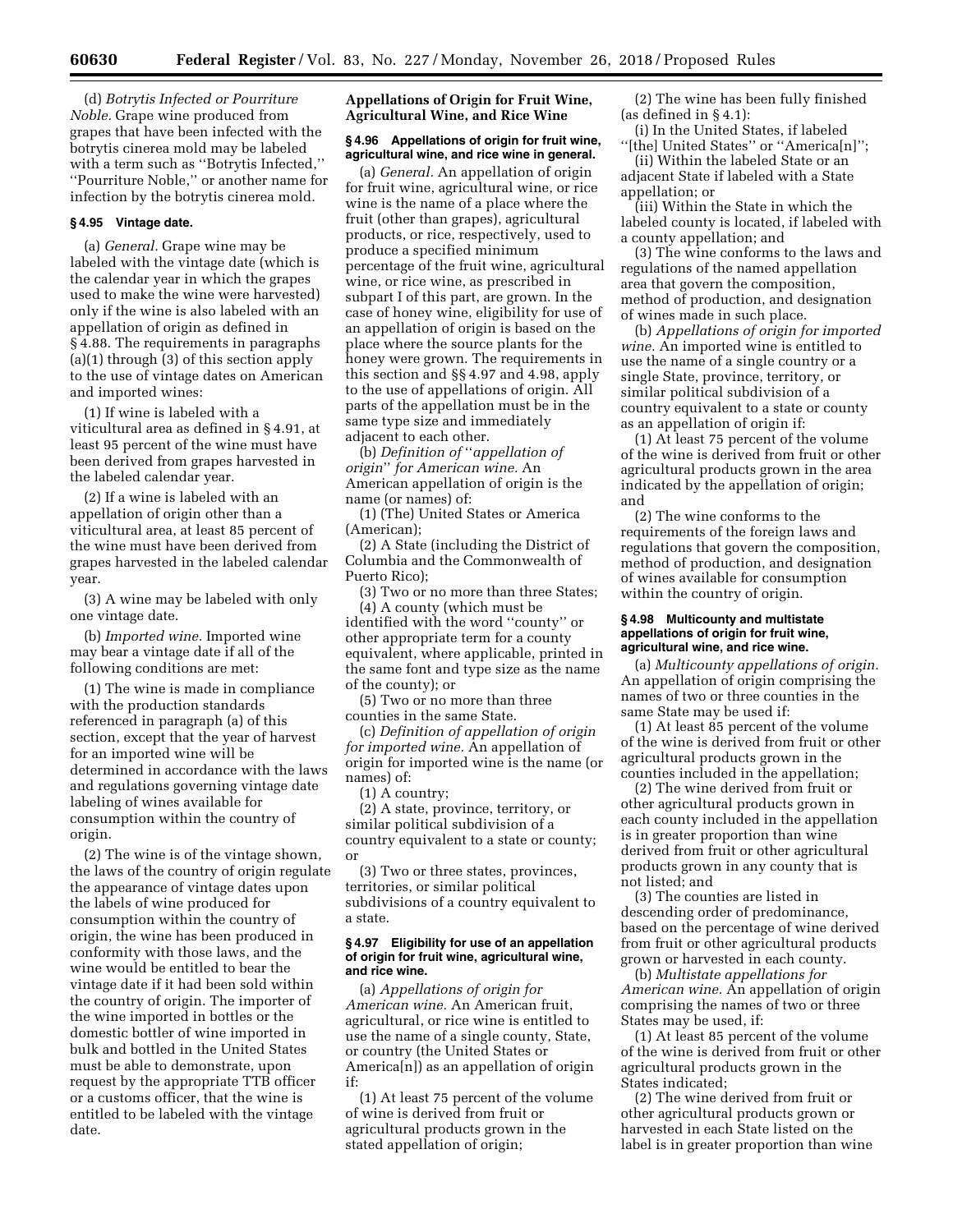(d) *Botrytis Infected or Pourriture Noble.* Grape wine produced from grapes that have been infected with the botrytis cinerea mold may be labeled with a term such as ''Botrytis Infected,'' ''Pourriture Noble,'' or another name for infection by the botrytis cinerea mold.

# **§ 4.95 Vintage date.**

(a) *General.* Grape wine may be labeled with the vintage date (which is the calendar year in which the grapes used to make the wine were harvested) only if the wine is also labeled with an appellation of origin as defined in § 4.88. The requirements in paragraphs (a)(1) through (3) of this section apply to the use of vintage dates on American and imported wines:

(1) If wine is labeled with a viticultural area as defined in § 4.91, at least 95 percent of the wine must have been derived from grapes harvested in the labeled calendar year.

(2) If a wine is labeled with an appellation of origin other than a viticultural area, at least 85 percent of the wine must have been derived from grapes harvested in the labeled calendar year.

(3) A wine may be labeled with only one vintage date.

(b) *Imported wine.* Imported wine may bear a vintage date if all of the following conditions are met:

(1) The wine is made in compliance with the production standards referenced in paragraph (a) of this section, except that the year of harvest for an imported wine will be determined in accordance with the laws and regulations governing vintage date labeling of wines available for consumption within the country of origin.

(2) The wine is of the vintage shown, the laws of the country of origin regulate the appearance of vintage dates upon the labels of wine produced for consumption within the country of origin, the wine has been produced in conformity with those laws, and the wine would be entitled to bear the vintage date if it had been sold within the country of origin. The importer of the wine imported in bottles or the domestic bottler of wine imported in bulk and bottled in the United States must be able to demonstrate, upon request by the appropriate TTB officer or a customs officer, that the wine is entitled to be labeled with the vintage date.

**Appellations of Origin for Fruit Wine, Agricultural Wine, and Rice Wine** 

# **§ 4.96 Appellations of origin for fruit wine, agricultural wine, and rice wine in general.**

(a) *General.* An appellation of origin for fruit wine, agricultural wine, or rice wine is the name of a place where the fruit (other than grapes), agricultural products, or rice, respectively, used to produce a specified minimum percentage of the fruit wine, agricultural wine, or rice wine, as prescribed in subpart I of this part, are grown. In the case of honey wine, eligibility for use of an appellation of origin is based on the place where the source plants for the honey were grown. The requirements in this section and §§ 4.97 and 4.98, apply to the use of appellations of origin. All parts of the appellation must be in the same type size and immediately adjacent to each other.

(b) *Definition of* ''*appellation of origin*'' *for American wine.* An American appellation of origin is the name (or names) of:

(1) (The) United States or America (American);

(2) A State (including the District of Columbia and the Commonwealth of Puerto Rico);

(3) Two or no more than three States; (4) A county (which must be identified with the word ''county'' or other appropriate term for a county equivalent, where applicable, printed in the same font and type size as the name of the county); or

(5) Two or no more than three counties in the same State.

(c) *Definition of appellation of origin for imported wine.* An appellation of origin for imported wine is the name (or names) of:

(1) A country;

(2) A state, province, territory, or similar political subdivision of a country equivalent to a state or county; or

(3) Two or three states, provinces, territories, or similar political subdivisions of a country equivalent to a state.

#### **§ 4.97 Eligibility for use of an appellation of origin for fruit wine, agricultural wine, and rice wine.**

(a) *Appellations of origin for American wine.* An American fruit, agricultural, or rice wine is entitled to use the name of a single county, State, or country (the United States or America[n]) as an appellation of origin if:

(1) At least 75 percent of the volume of wine is derived from fruit or agricultural products grown in the stated appellation of origin;

(2) The wine has been fully finished (as defined in § 4.1):

(i) In the United States, if labeled ''[the] United States'' or ''America[n]'';

(ii) Within the labeled State or an adjacent State if labeled with a State appellation; or

(iii) Within the State in which the labeled county is located, if labeled with a county appellation; and

(3) The wine conforms to the laws and regulations of the named appellation area that govern the composition, method of production, and designation of wines made in such place.

(b) *Appellations of origin for imported wine.* An imported wine is entitled to use the name of a single country or a single State, province, territory, or similar political subdivision of a country equivalent to a state or county as an appellation of origin if:

(1) At least 75 percent of the volume of the wine is derived from fruit or other agricultural products grown in the area indicated by the appellation of origin; and

(2) The wine conforms to the requirements of the foreign laws and regulations that govern the composition, method of production, and designation of wines available for consumption within the country of origin.

### **§ 4.98 Multicounty and multistate appellations of origin for fruit wine, agricultural wine, and rice wine.**

(a) *Multicounty appellations of origin.*  An appellation of origin comprising the names of two or three counties in the same State may be used if:

(1) At least 85 percent of the volume of the wine is derived from fruit or other agricultural products grown in the counties included in the appellation;

(2) The wine derived from fruit or other agricultural products grown in each county included in the appellation is in greater proportion than wine derived from fruit or other agricultural products grown in any county that is not listed; and

(3) The counties are listed in descending order of predominance, based on the percentage of wine derived from fruit or other agricultural products grown or harvested in each county.

(b) *Multistate appellations for American wine.* An appellation of origin comprising the names of two or three States may be used, if:

(1) At least 85 percent of the volume of the wine is derived from fruit or other agricultural products grown in the States indicated;

(2) The wine derived from fruit or other agricultural products grown or harvested in each State listed on the label is in greater proportion than wine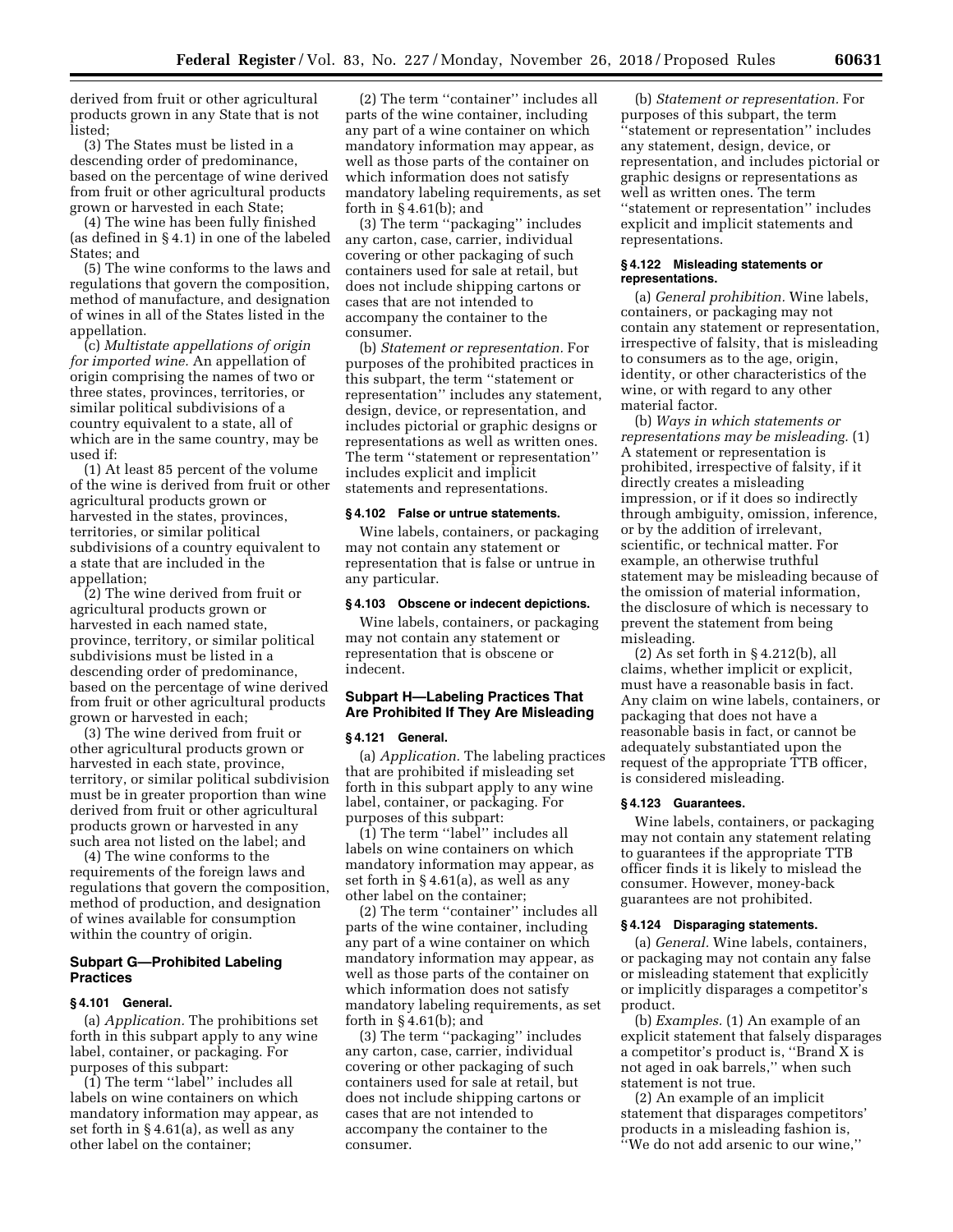derived from fruit or other agricultural products grown in any State that is not listed;

(3) The States must be listed in a descending order of predominance, based on the percentage of wine derived from fruit or other agricultural products grown or harvested in each State;

(4) The wine has been fully finished (as defined in § 4.1) in one of the labeled States; and

(5) The wine conforms to the laws and regulations that govern the composition, method of manufacture, and designation of wines in all of the States listed in the appellation.

(c) *Multistate appellations of origin for imported wine.* An appellation of origin comprising the names of two or three states, provinces, territories, or similar political subdivisions of a country equivalent to a state, all of which are in the same country, may be used if:

(1) At least 85 percent of the volume of the wine is derived from fruit or other agricultural products grown or harvested in the states, provinces, territories, or similar political subdivisions of a country equivalent to a state that are included in the appellation;

(2) The wine derived from fruit or agricultural products grown or harvested in each named state, province, territory, or similar political subdivisions must be listed in a descending order of predominance, based on the percentage of wine derived from fruit or other agricultural products grown or harvested in each;

(3) The wine derived from fruit or other agricultural products grown or harvested in each state, province, territory, or similar political subdivision must be in greater proportion than wine derived from fruit or other agricultural products grown or harvested in any such area not listed on the label; and

(4) The wine conforms to the requirements of the foreign laws and regulations that govern the composition, method of production, and designation of wines available for consumption within the country of origin.

# **Subpart G—Prohibited Labeling Practices**

#### **§ 4.101 General.**

(a) *Application.* The prohibitions set forth in this subpart apply to any wine label, container, or packaging. For purposes of this subpart:

(1) The term ''label'' includes all labels on wine containers on which mandatory information may appear, as set forth in § 4.61(a), as well as any other label on the container;

(2) The term ''container'' includes all parts of the wine container, including any part of a wine container on which mandatory information may appear, as well as those parts of the container on which information does not satisfy mandatory labeling requirements, as set forth in  $\S 4.61(b)$ ; and

(3) The term ''packaging'' includes any carton, case, carrier, individual covering or other packaging of such containers used for sale at retail, but does not include shipping cartons or cases that are not intended to accompany the container to the consumer.

(b) *Statement or representation.* For purposes of the prohibited practices in this subpart, the term ''statement or representation'' includes any statement, design, device, or representation, and includes pictorial or graphic designs or representations as well as written ones. The term ''statement or representation'' includes explicit and implicit statements and representations.

# **§ 4.102 False or untrue statements.**

Wine labels, containers, or packaging may not contain any statement or representation that is false or untrue in any particular.

### **§ 4.103 Obscene or indecent depictions.**

Wine labels, containers, or packaging may not contain any statement or representation that is obscene or indecent.

# **Subpart H—Labeling Practices That Are Prohibited If They Are Misleading**

#### **§ 4.121 General.**

(a) *Application.* The labeling practices that are prohibited if misleading set forth in this subpart apply to any wine label, container, or packaging. For purposes of this subpart:

(1) The term ''label'' includes all labels on wine containers on which mandatory information may appear, as set forth in § 4.61(a), as well as any other label on the container;

(2) The term ''container'' includes all parts of the wine container, including any part of a wine container on which mandatory information may appear, as well as those parts of the container on which information does not satisfy mandatory labeling requirements, as set forth in  $\S 4.61(b)$ ; and

(3) The term ''packaging'' includes any carton, case, carrier, individual covering or other packaging of such containers used for sale at retail, but does not include shipping cartons or cases that are not intended to accompany the container to the consumer.

(b) *Statement or representation.* For purposes of this subpart, the term ''statement or representation'' includes any statement, design, device, or representation, and includes pictorial or graphic designs or representations as well as written ones. The term ''statement or representation'' includes explicit and implicit statements and representations.

### **§ 4.122 Misleading statements or representations.**

(a) *General prohibition.* Wine labels, containers, or packaging may not contain any statement or representation, irrespective of falsity, that is misleading to consumers as to the age, origin, identity, or other characteristics of the wine, or with regard to any other material factor.

(b) *Ways in which statements or representations may be misleading.* (1) A statement or representation is prohibited, irrespective of falsity, if it directly creates a misleading impression, or if it does so indirectly through ambiguity, omission, inference, or by the addition of irrelevant, scientific, or technical matter. For example, an otherwise truthful statement may be misleading because of the omission of material information, the disclosure of which is necessary to prevent the statement from being misleading.

(2) As set forth in § 4.212(b), all claims, whether implicit or explicit, must have a reasonable basis in fact. Any claim on wine labels, containers, or packaging that does not have a reasonable basis in fact, or cannot be adequately substantiated upon the request of the appropriate TTB officer, is considered misleading.

#### **§ 4.123 Guarantees.**

Wine labels, containers, or packaging may not contain any statement relating to guarantees if the appropriate TTB officer finds it is likely to mislead the consumer. However, money-back guarantees are not prohibited.

# **§ 4.124 Disparaging statements.**

(a) *General.* Wine labels, containers, or packaging may not contain any false or misleading statement that explicitly or implicitly disparages a competitor's product.

(b) *Examples.* (1) An example of an explicit statement that falsely disparages a competitor's product is, ''Brand X is not aged in oak barrels,'' when such statement is not true.

(2) An example of an implicit statement that disparages competitors' products in a misleading fashion is, ''We do not add arsenic to our wine,''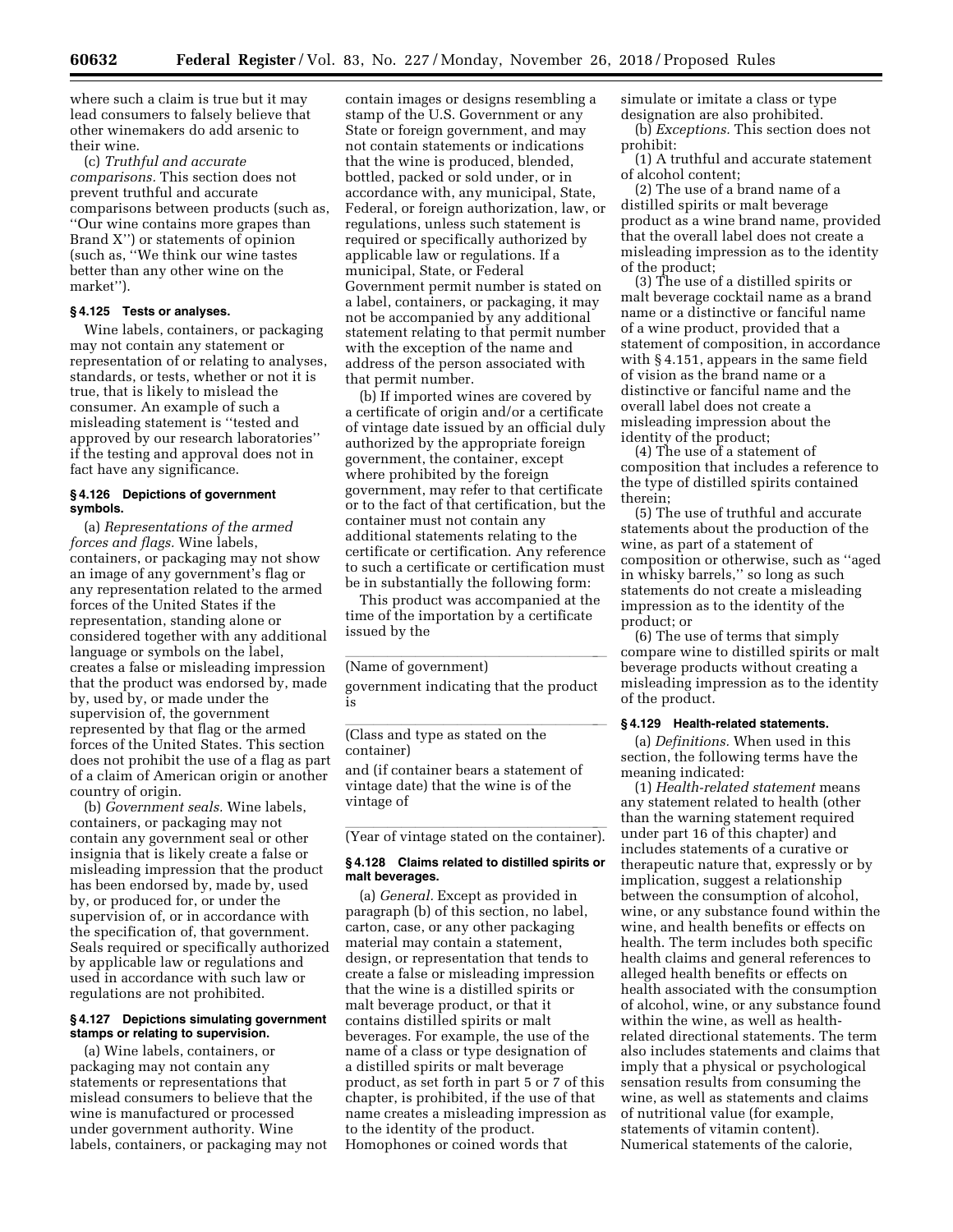where such a claim is true but it may lead consumers to falsely believe that other winemakers do add arsenic to their wine.

(c) *Truthful and accurate comparisons.* This section does not prevent truthful and accurate comparisons between products (such as, ''Our wine contains more grapes than Brand X'') or statements of opinion (such as, ''We think our wine tastes better than any other wine on the market'').

# **§ 4.125 Tests or analyses.**

Wine labels, containers, or packaging may not contain any statement or representation of or relating to analyses, standards, or tests, whether or not it is true, that is likely to mislead the consumer. An example of such a misleading statement is ''tested and approved by our research laboratories'' if the testing and approval does not in fact have any significance.

# **§ 4.126 Depictions of government symbols.**

(a) *Representations of the armed forces and flags.* Wine labels, containers, or packaging may not show an image of any government's flag or any representation related to the armed forces of the United States if the representation, standing alone or considered together with any additional language or symbols on the label, creates a false or misleading impression that the product was endorsed by, made by, used by, or made under the supervision of, the government represented by that flag or the armed forces of the United States. This section does not prohibit the use of a flag as part of a claim of American origin or another country of origin.

(b) *Government seals.* Wine labels, containers, or packaging may not contain any government seal or other insignia that is likely create a false or misleading impression that the product has been endorsed by, made by, used by, or produced for, or under the supervision of, or in accordance with the specification of, that government. Seals required or specifically authorized by applicable law or regulations and used in accordance with such law or regulations are not prohibited.

# **§ 4.127 Depictions simulating government stamps or relating to supervision.**

(a) Wine labels, containers, or packaging may not contain any statements or representations that mislead consumers to believe that the wine is manufactured or processed under government authority. Wine labels, containers, or packaging may not

contain images or designs resembling a stamp of the U.S. Government or any State or foreign government, and may not contain statements or indications that the wine is produced, blended, bottled, packed or sold under, or in accordance with, any municipal, State, Federal, or foreign authorization, law, or regulations, unless such statement is required or specifically authorized by applicable law or regulations. If a municipal, State, or Federal Government permit number is stated on a label, containers, or packaging, it may not be accompanied by any additional statement relating to that permit number with the exception of the name and address of the person associated with that permit number.

(b) If imported wines are covered by a certificate of origin and/or a certificate of vintage date issued by an official duly authorized by the appropriate foreign government, the container, except where prohibited by the foreign government, may refer to that certificate or to the fact of that certification, but the container must not contain any additional statements relating to the certificate or certification. Any reference to such a certificate or certification must be in substantially the following form:

This product was accompanied at the time of the importation by a certificate issued by the

# (Name of government)

government indicating that the product is

(Class and type as stated on the container)

and (if container bears a statement of vintage date) that the wine is of the vintage of

(Year of vintage stated on the container).

# **§ 4.128 Claims related to distilled spirits or malt beverages.**

(a) *General.* Except as provided in paragraph (b) of this section, no label, carton, case, or any other packaging material may contain a statement, design, or representation that tends to create a false or misleading impression that the wine is a distilled spirits or malt beverage product, or that it contains distilled spirits or malt beverages. For example, the use of the name of a class or type designation of a distilled spirits or malt beverage product, as set forth in part 5 or 7 of this chapter, is prohibited, if the use of that name creates a misleading impression as to the identity of the product. Homophones or coined words that

simulate or imitate a class or type designation are also prohibited. (b) *Exceptions.* This section does not prohibit:

(1) A truthful and accurate statement of alcohol content;

(2) The use of a brand name of a distilled spirits or malt beverage product as a wine brand name, provided that the overall label does not create a misleading impression as to the identity of the product;

(3) The use of a distilled spirits or malt beverage cocktail name as a brand name or a distinctive or fanciful name of a wine product, provided that a statement of composition, in accordance with § 4.151, appears in the same field of vision as the brand name or a distinctive or fanciful name and the overall label does not create a misleading impression about the identity of the product;

(4) The use of a statement of composition that includes a reference to the type of distilled spirits contained therein;

(5) The use of truthful and accurate statements about the production of the wine, as part of a statement of composition or otherwise, such as ''aged in whisky barrels,'' so long as such statements do not create a misleading impression as to the identity of the product; or

(6) The use of terms that simply compare wine to distilled spirits or malt beverage products without creating a misleading impression as to the identity of the product.

### **§ 4.129 Health-related statements.**

(a) *Definitions.* When used in this section, the following terms have the meaning indicated:

(1) *Health-related statement* means any statement related to health (other than the warning statement required under part 16 of this chapter) and includes statements of a curative or therapeutic nature that, expressly or by implication, suggest a relationship between the consumption of alcohol, wine, or any substance found within the wine, and health benefits or effects on health. The term includes both specific health claims and general references to alleged health benefits or effects on health associated with the consumption of alcohol, wine, or any substance found within the wine, as well as healthrelated directional statements. The term also includes statements and claims that imply that a physical or psychological sensation results from consuming the wine, as well as statements and claims of nutritional value (for example, statements of vitamin content). Numerical statements of the calorie,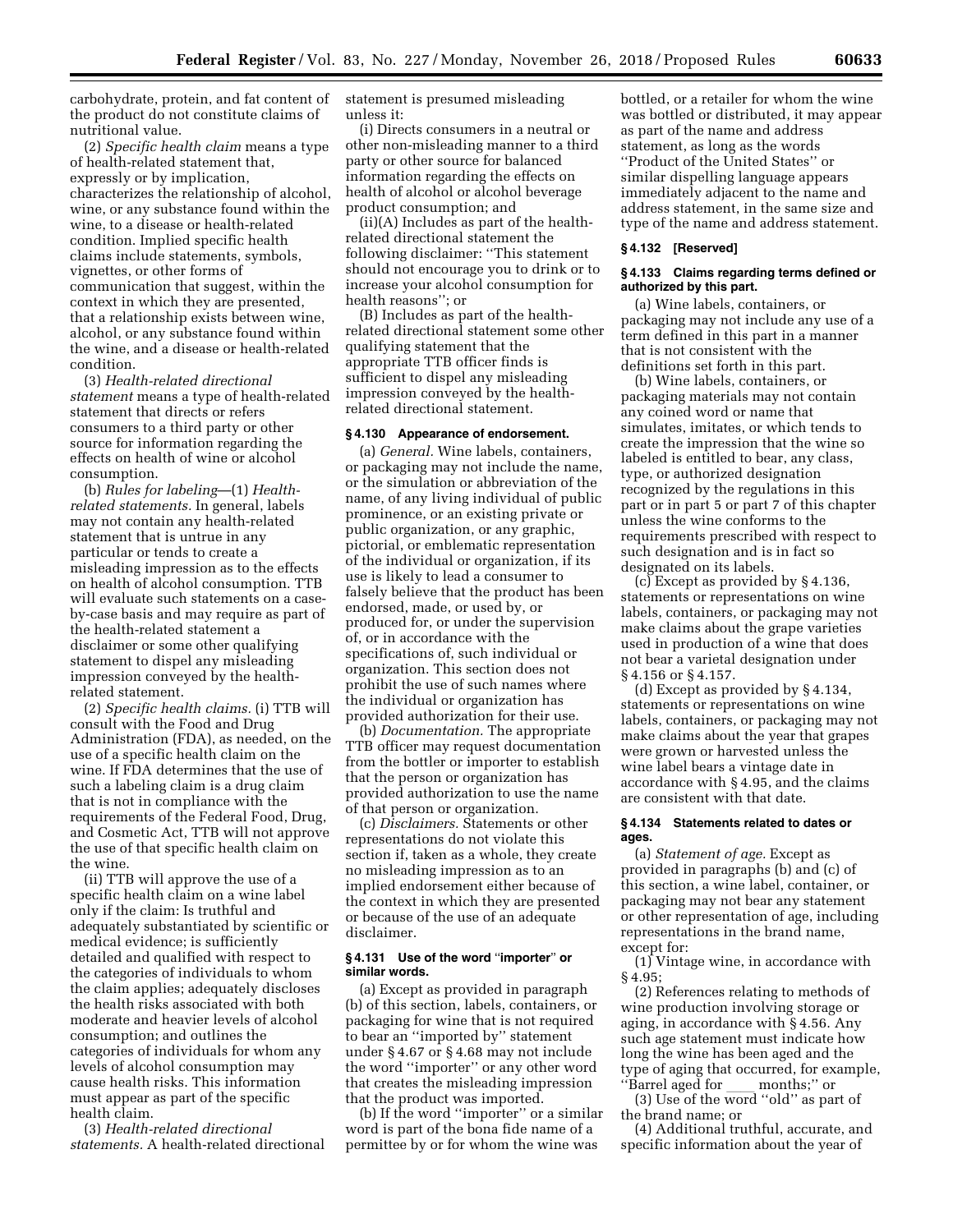carbohydrate, protein, and fat content of the product do not constitute claims of nutritional value.

(2) *Specific health claim* means a type of health-related statement that, expressly or by implication, characterizes the relationship of alcohol, wine, or any substance found within the wine, to a disease or health-related condition. Implied specific health claims include statements, symbols, vignettes, or other forms of communication that suggest, within the context in which they are presented, that a relationship exists between wine, alcohol, or any substance found within the wine, and a disease or health-related condition.

(3) *Health-related directional statement* means a type of health-related statement that directs or refers consumers to a third party or other source for information regarding the effects on health of wine or alcohol consumption.

(b) *Rules for labeling*—(1) *Healthrelated statements.* In general, labels may not contain any health-related statement that is untrue in any particular or tends to create a misleading impression as to the effects on health of alcohol consumption. TTB will evaluate such statements on a caseby-case basis and may require as part of the health-related statement a disclaimer or some other qualifying statement to dispel any misleading impression conveyed by the healthrelated statement.

(2) *Specific health claims.* (i) TTB will consult with the Food and Drug Administration (FDA), as needed, on the use of a specific health claim on the wine. If FDA determines that the use of such a labeling claim is a drug claim that is not in compliance with the requirements of the Federal Food, Drug, and Cosmetic Act, TTB will not approve the use of that specific health claim on the wine.

(ii) TTB will approve the use of a specific health claim on a wine label only if the claim: Is truthful and adequately substantiated by scientific or medical evidence; is sufficiently detailed and qualified with respect to the categories of individuals to whom the claim applies; adequately discloses the health risks associated with both moderate and heavier levels of alcohol consumption; and outlines the categories of individuals for whom any levels of alcohol consumption may cause health risks. This information must appear as part of the specific health claim.

(3) *Health-related directional statements.* A health-related directional statement is presumed misleading unless it:

(i) Directs consumers in a neutral or other non-misleading manner to a third party or other source for balanced information regarding the effects on health of alcohol or alcohol beverage product consumption; and

(ii)(A) Includes as part of the healthrelated directional statement the following disclaimer: ''This statement should not encourage you to drink or to increase your alcohol consumption for health reasons''; or

(B) Includes as part of the healthrelated directional statement some other qualifying statement that the appropriate TTB officer finds is sufficient to dispel any misleading impression conveyed by the healthrelated directional statement.

#### **§ 4.130 Appearance of endorsement.**

(a) *General.* Wine labels, containers, or packaging may not include the name, or the simulation or abbreviation of the name, of any living individual of public prominence, or an existing private or public organization, or any graphic, pictorial, or emblematic representation of the individual or organization, if its use is likely to lead a consumer to falsely believe that the product has been endorsed, made, or used by, or produced for, or under the supervision of, or in accordance with the specifications of, such individual or organization. This section does not prohibit the use of such names where the individual or organization has provided authorization for their use.

(b) *Documentation.* The appropriate TTB officer may request documentation from the bottler or importer to establish that the person or organization has provided authorization to use the name of that person or organization.

(c) *Disclaimers.* Statements or other representations do not violate this section if, taken as a whole, they create no misleading impression as to an implied endorsement either because of the context in which they are presented or because of the use of an adequate disclaimer.

# **§ 4.131 Use of the word** ''**importer**'' **or similar words.**

(a) Except as provided in paragraph (b) of this section, labels, containers, or packaging for wine that is not required to bear an ''imported by'' statement under § 4.67 or § 4.68 may not include the word ''importer'' or any other word that creates the misleading impression that the product was imported.

(b) If the word ''importer'' or a similar word is part of the bona fide name of a permittee by or for whom the wine was

bottled, or a retailer for whom the wine was bottled or distributed, it may appear as part of the name and address statement, as long as the words ''Product of the United States'' or similar dispelling language appears immediately adjacent to the name and address statement, in the same size and type of the name and address statement.

#### **§ 4.132 [Reserved]**

# **§ 4.133 Claims regarding terms defined or authorized by this part.**

(a) Wine labels, containers, or packaging may not include any use of a term defined in this part in a manner that is not consistent with the definitions set forth in this part.

(b) Wine labels, containers, or packaging materials may not contain any coined word or name that simulates, imitates, or which tends to create the impression that the wine so labeled is entitled to bear, any class, type, or authorized designation recognized by the regulations in this part or in part 5 or part 7 of this chapter unless the wine conforms to the requirements prescribed with respect to such designation and is in fact so designated on its labels.

(c) Except as provided by § 4.136, statements or representations on wine labels, containers, or packaging may not make claims about the grape varieties used in production of a wine that does not bear a varietal designation under § 4.156 or § 4.157.

(d) Except as provided by § 4.134, statements or representations on wine labels, containers, or packaging may not make claims about the year that grapes were grown or harvested unless the wine label bears a vintage date in accordance with § 4.95, and the claims are consistent with that date.

#### **§ 4.134 Statements related to dates or ages.**

(a) *Statement of age.* Except as provided in paragraphs (b) and (c) of this section, a wine label, container, or packaging may not bear any statement or other representation of age, including representations in the brand name, except for:

(1) Vintage wine, in accordance with § 4.95;

(2) References relating to methods of wine production involving storage or aging, in accordance with § 4.56. Any such age statement must indicate how long the wine has been aged and the type of aging that occurred, for example,<br>"Barrel aged for months;" or

''Barrel aged for ll months;'' or (3) Use of the word ''old'' as part of the brand name; or

(4) Additional truthful, accurate, and specific information about the year of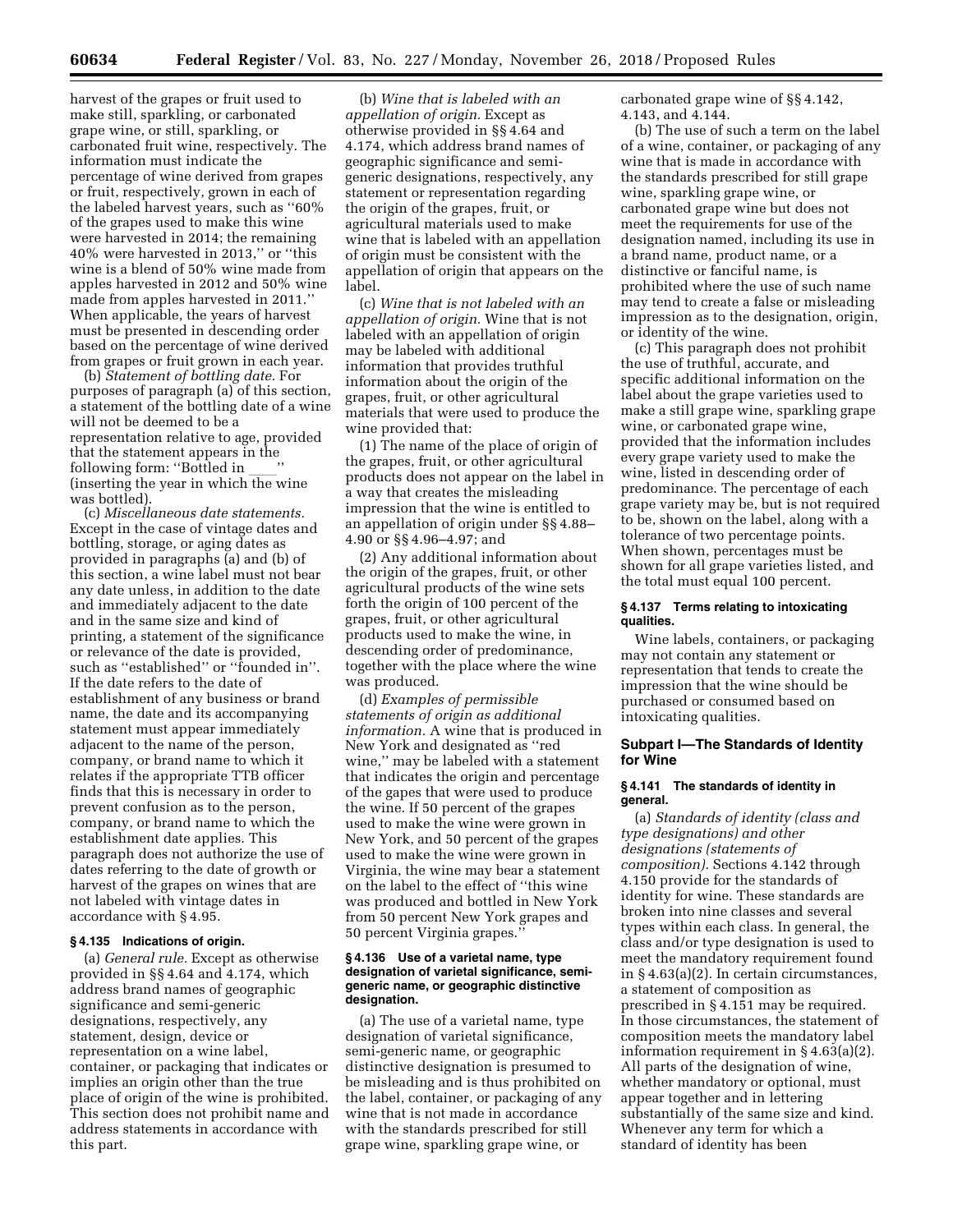harvest of the grapes or fruit used to make still, sparkling, or carbonated grape wine, or still, sparkling, or carbonated fruit wine, respectively. The information must indicate the percentage of wine derived from grapes or fruit, respectively, grown in each of the labeled harvest years, such as ''60% of the grapes used to make this wine were harvested in 2014; the remaining 40% were harvested in 2013,'' or ''this wine is a blend of 50% wine made from apples harvested in 2012 and 50% wine made from apples harvested in 2011.'' When applicable, the years of harvest must be presented in descending order based on the percentage of wine derived from grapes or fruit grown in each year.

(b) *Statement of bottling date.* For purposes of paragraph (a) of this section, a statement of the bottling date of a wine will not be deemed to be a representation relative to age, provided that the statement appears in the following form: "Bottled in following form: ''Bottled in \_\_\_''<br>(inserting the year in which the wine was bottled).

(c) *Miscellaneous date statements.*  Except in the case of vintage dates and bottling, storage, or aging dates as provided in paragraphs (a) and (b) of this section, a wine label must not bear any date unless, in addition to the date and immediately adjacent to the date and in the same size and kind of printing, a statement of the significance or relevance of the date is provided, such as ''established'' or ''founded in''. If the date refers to the date of establishment of any business or brand name, the date and its accompanying statement must appear immediately adjacent to the name of the person, company, or brand name to which it relates if the appropriate TTB officer finds that this is necessary in order to prevent confusion as to the person, company, or brand name to which the establishment date applies. This paragraph does not authorize the use of dates referring to the date of growth or harvest of the grapes on wines that are not labeled with vintage dates in accordance with § 4.95.

# **§ 4.135 Indications of origin.**

(a) *General rule.* Except as otherwise provided in §§ 4.64 and 4.174, which address brand names of geographic significance and semi-generic designations, respectively, any statement, design, device or representation on a wine label, container, or packaging that indicates or implies an origin other than the true place of origin of the wine is prohibited. This section does not prohibit name and address statements in accordance with this part.

(b) *Wine that is labeled with an appellation of origin.* Except as otherwise provided in §§ 4.64 and 4.174, which address brand names of geographic significance and semigeneric designations, respectively, any statement or representation regarding the origin of the grapes, fruit, or agricultural materials used to make wine that is labeled with an appellation of origin must be consistent with the appellation of origin that appears on the label.

(c) *Wine that is not labeled with an appellation of origin.* Wine that is not labeled with an appellation of origin may be labeled with additional information that provides truthful information about the origin of the grapes, fruit, or other agricultural materials that were used to produce the wine provided that:

(1) The name of the place of origin of the grapes, fruit, or other agricultural products does not appear on the label in a way that creates the misleading impression that the wine is entitled to an appellation of origin under §§ 4.88– 4.90 or §§ 4.96–4.97; and

(2) Any additional information about the origin of the grapes, fruit, or other agricultural products of the wine sets forth the origin of 100 percent of the grapes, fruit, or other agricultural products used to make the wine, in descending order of predominance, together with the place where the wine was produced.

(d) *Examples of permissible statements of origin as additional information.* A wine that is produced in New York and designated as ''red wine,'' may be labeled with a statement that indicates the origin and percentage of the gapes that were used to produce the wine. If 50 percent of the grapes used to make the wine were grown in New York, and 50 percent of the grapes used to make the wine were grown in Virginia, the wine may bear a statement on the label to the effect of ''this wine was produced and bottled in New York from 50 percent New York grapes and 50 percent Virginia grapes.''

# **§ 4.136 Use of a varietal name, type designation of varietal significance, semigeneric name, or geographic distinctive designation.**

(a) The use of a varietal name, type designation of varietal significance, semi-generic name, or geographic distinctive designation is presumed to be misleading and is thus prohibited on the label, container, or packaging of any wine that is not made in accordance with the standards prescribed for still grape wine, sparkling grape wine, or

carbonated grape wine of §§ 4.142, 4.143, and 4.144.

(b) The use of such a term on the label of a wine, container, or packaging of any wine that is made in accordance with the standards prescribed for still grape wine, sparkling grape wine, or carbonated grape wine but does not meet the requirements for use of the designation named, including its use in a brand name, product name, or a distinctive or fanciful name, is prohibited where the use of such name may tend to create a false or misleading impression as to the designation, origin, or identity of the wine.

(c) This paragraph does not prohibit the use of truthful, accurate, and specific additional information on the label about the grape varieties used to make a still grape wine, sparkling grape wine, or carbonated grape wine, provided that the information includes every grape variety used to make the wine, listed in descending order of predominance. The percentage of each grape variety may be, but is not required to be, shown on the label, along with a tolerance of two percentage points. When shown, percentages must be shown for all grape varieties listed, and the total must equal 100 percent.

# **§ 4.137 Terms relating to intoxicating qualities.**

Wine labels, containers, or packaging may not contain any statement or representation that tends to create the impression that the wine should be purchased or consumed based on intoxicating qualities.

### **Subpart I—The Standards of Identity for Wine**

# **§ 4.141 The standards of identity in general.**

(a) *Standards of identity (class and type designations) and other designations (statements of composition).* Sections 4.142 through 4.150 provide for the standards of identity for wine. These standards are broken into nine classes and several types within each class. In general, the class and/or type designation is used to meet the mandatory requirement found in § 4.63(a)(2). In certain circumstances, a statement of composition as prescribed in § 4.151 may be required. In those circumstances, the statement of composition meets the mandatory label information requirement in § 4.63(a)(2). All parts of the designation of wine, whether mandatory or optional, must appear together and in lettering substantially of the same size and kind. Whenever any term for which a standard of identity has been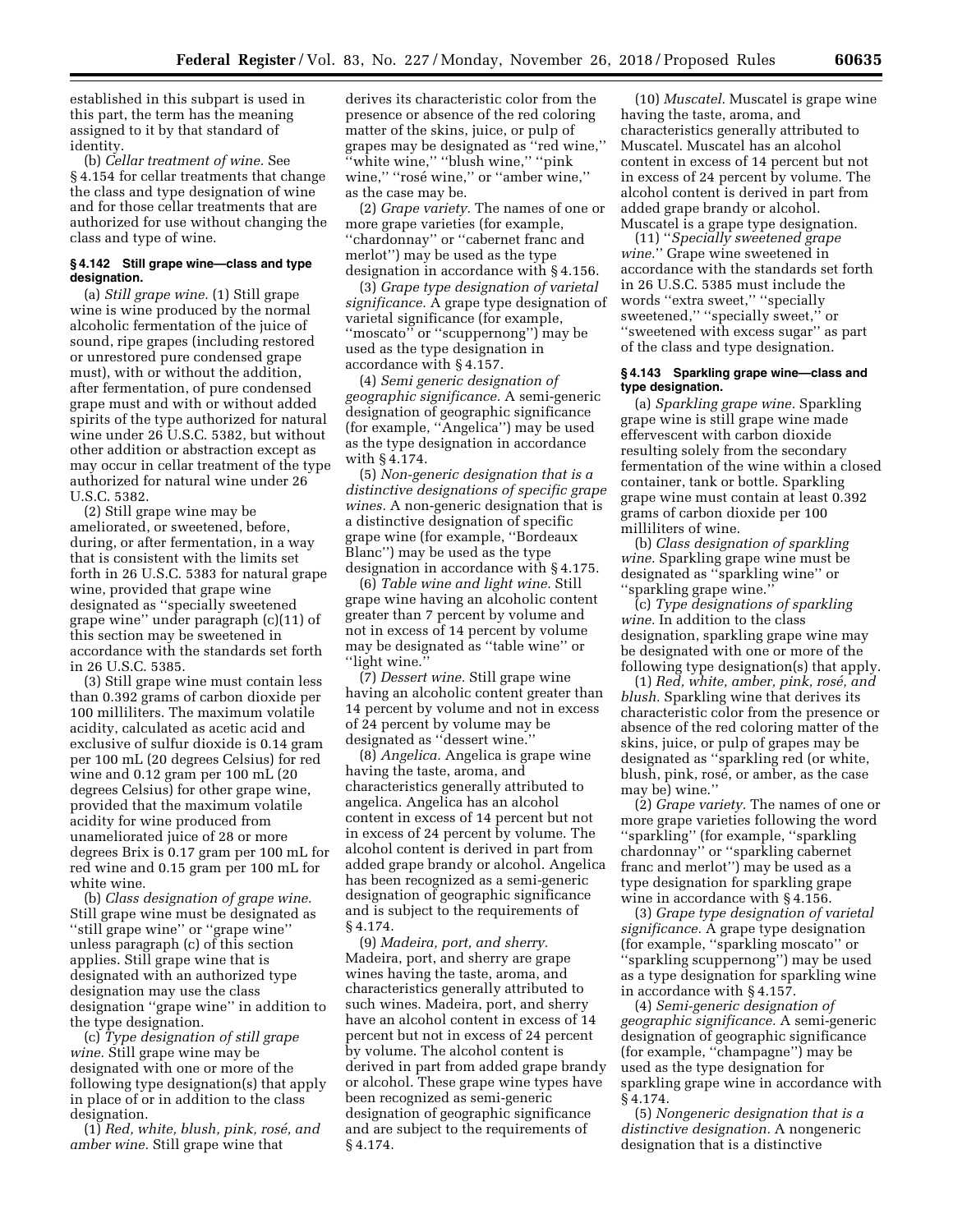established in this subpart is used in this part, the term has the meaning assigned to it by that standard of identity.

(b) *Cellar treatment of wine.* See § 4.154 for cellar treatments that change the class and type designation of wine and for those cellar treatments that are authorized for use without changing the class and type of wine.

# **§ 4.142 Still grape wine—class and type designation.**

(a) *Still grape wine.* (1) Still grape wine is wine produced by the normal alcoholic fermentation of the juice of sound, ripe grapes (including restored or unrestored pure condensed grape must), with or without the addition, after fermentation, of pure condensed grape must and with or without added spirits of the type authorized for natural wine under 26 U.S.C. 5382, but without other addition or abstraction except as may occur in cellar treatment of the type authorized for natural wine under 26 U.S.C. 5382.

(2) Still grape wine may be ameliorated, or sweetened, before, during, or after fermentation, in a way that is consistent with the limits set forth in 26 U.S.C. 5383 for natural grape wine, provided that grape wine designated as ''specially sweetened grape wine'' under paragraph (c)(11) of this section may be sweetened in accordance with the standards set forth in 26 U.S.C. 5385.

(3) Still grape wine must contain less than 0.392 grams of carbon dioxide per 100 milliliters. The maximum volatile acidity, calculated as acetic acid and exclusive of sulfur dioxide is 0.14 gram per 100 mL (20 degrees Celsius) for red wine and 0.12 gram per 100 mL (20 degrees Celsius) for other grape wine, provided that the maximum volatile acidity for wine produced from unameliorated juice of 28 or more degrees Brix is 0.17 gram per 100 mL for red wine and 0.15 gram per 100 mL for white wine.

(b) *Class designation of grape wine.*  Still grape wine must be designated as ''still grape wine'' or ''grape wine'' unless paragraph (c) of this section applies. Still grape wine that is designated with an authorized type designation may use the class designation ''grape wine'' in addition to the type designation.

(c) *Type designation of still grape wine.* Still grape wine may be designated with one or more of the following type designation(s) that apply in place of or in addition to the class designation.

(1) *Red, white, blush, pink, rose´, and amber wine.* Still grape wine that

derives its characteristic color from the presence or absence of the red coloring matter of the skins, juice, or pulp of grapes may be designated as ''red wine,'' ''white wine,'' ''blush wine,'' ''pink wine," "rosé wine," or "amber wine," as the case may be.

(2) *Grape variety.* The names of one or more grape varieties (for example, ''chardonnay'' or ''cabernet franc and merlot'') may be used as the type designation in accordance with § 4.156.

(3) *Grape type designation of varietal significance.* A grape type designation of varietal significance (for example, "moscato" or "scuppernong") may be used as the type designation in accordance with § 4.157.

(4) *Semi generic designation of geographic significance.* A semi-generic designation of geographic significance (for example, ''Angelica'') may be used as the type designation in accordance with § 4.174.

(5) *Non-generic designation that is a distinctive designations of specific grape wines.* A non-generic designation that is a distinctive designation of specific grape wine (for example, ''Bordeaux Blanc'') may be used as the type designation in accordance with § 4.175.

(6) *Table wine and light wine.* Still grape wine having an alcoholic content greater than 7 percent by volume and not in excess of 14 percent by volume may be designated as ''table wine'' or ''light wine.''

(7) *Dessert wine.* Still grape wine having an alcoholic content greater than 14 percent by volume and not in excess of 24 percent by volume may be designated as ''dessert wine.''

(8) *Angelica.* Angelica is grape wine having the taste, aroma, and characteristics generally attributed to angelica. Angelica has an alcohol content in excess of 14 percent but not in excess of 24 percent by volume. The alcohol content is derived in part from added grape brandy or alcohol. Angelica has been recognized as a semi-generic designation of geographic significance and is subject to the requirements of § 4.174.

(9) *Madeira, port, and sherry.*  Madeira, port, and sherry are grape wines having the taste, aroma, and characteristics generally attributed to such wines. Madeira, port, and sherry have an alcohol content in excess of 14 percent but not in excess of 24 percent by volume. The alcohol content is derived in part from added grape brandy or alcohol. These grape wine types have been recognized as semi-generic designation of geographic significance and are subject to the requirements of § 4.174.

(10) *Muscatel.* Muscatel is grape wine having the taste, aroma, and characteristics generally attributed to Muscatel. Muscatel has an alcohol content in excess of 14 percent but not in excess of 24 percent by volume. The alcohol content is derived in part from added grape brandy or alcohol. Muscatel is a grape type designation.

(11) ''*Specially sweetened grape wine.*'' Grape wine sweetened in accordance with the standards set forth in 26 U.S.C. 5385 must include the words ''extra sweet,'' ''specially sweetened," "specially sweet," or ''sweetened with excess sugar'' as part of the class and type designation.

### **§ 4.143 Sparkling grape wine—class and type designation.**

(a) *Sparkling grape wine.* Sparkling grape wine is still grape wine made effervescent with carbon dioxide resulting solely from the secondary fermentation of the wine within a closed container, tank or bottle. Sparkling grape wine must contain at least 0.392 grams of carbon dioxide per 100 milliliters of wine.

(b) *Class designation of sparkling wine.* Sparkling grape wine must be designated as ''sparkling wine'' or ''sparkling grape wine.''

(c) *Type designations of sparkling wine.* In addition to the class designation, sparkling grape wine may be designated with one or more of the following type designation(s) that apply.

(1) *Red, white, amber, pink, rose´, and blush.* Sparkling wine that derives its characteristic color from the presence or absence of the red coloring matter of the skins, juice, or pulp of grapes may be designated as ''sparkling red (or white, blush, pink, rosé, or amber, as the case may be) wine.''

(2) *Grape variety.* The names of one or more grape varieties following the word ''sparkling'' (for example, ''sparkling chardonnay'' or ''sparkling cabernet franc and merlot'') may be used as a type designation for sparkling grape wine in accordance with § 4.156.

(3) *Grape type designation of varietal significance.* A grape type designation (for example, ''sparkling moscato'' or ''sparkling scuppernong'') may be used as a type designation for sparkling wine in accordance with § 4.157.

(4) *Semi-generic designation of geographic significance.* A semi-generic designation of geographic significance (for example, ''champagne'') may be used as the type designation for sparkling grape wine in accordance with § 4.174.

(5) *Nongeneric designation that is a distinctive designation.* A nongeneric designation that is a distinctive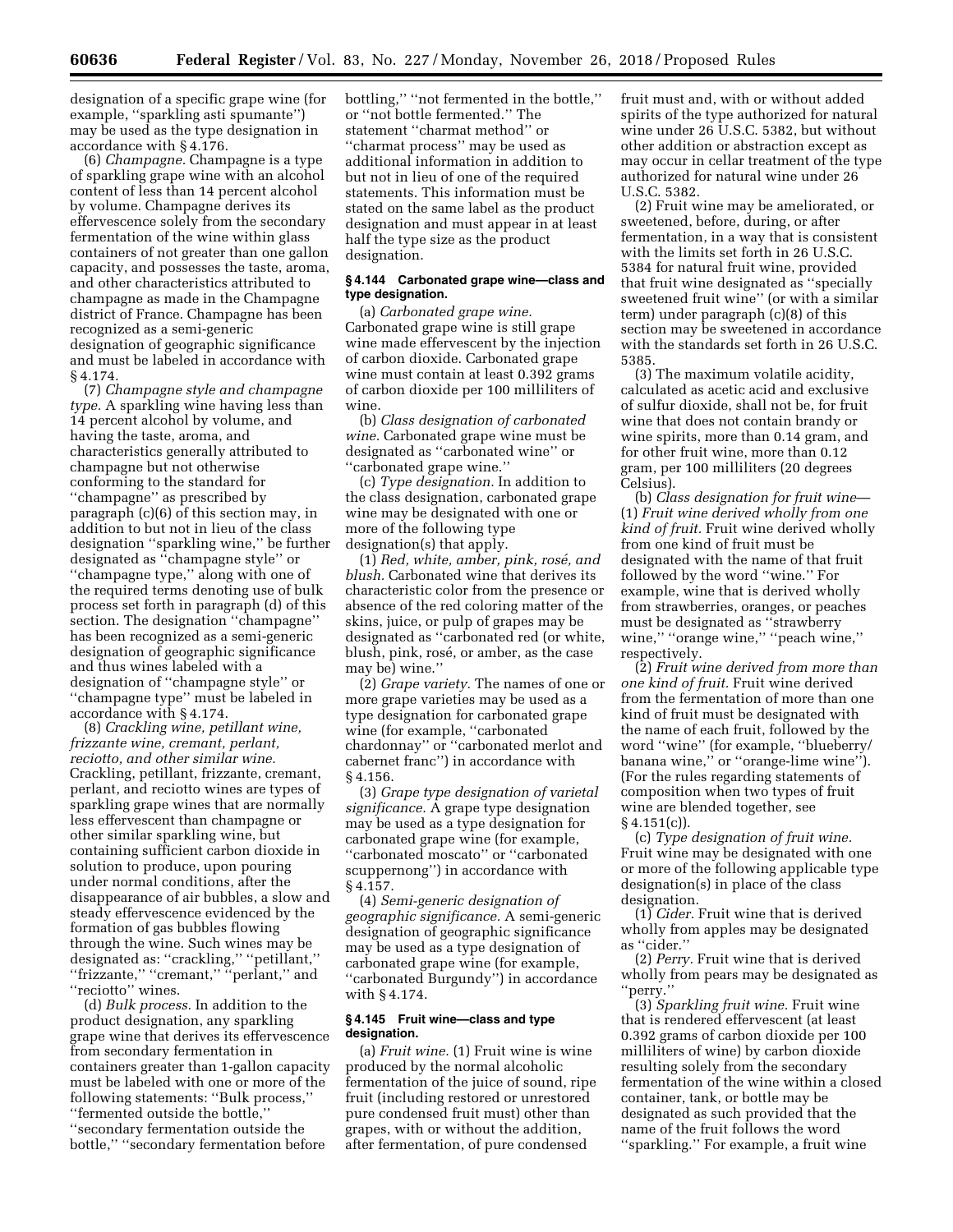designation of a specific grape wine (for example, ''sparkling asti spumante'') may be used as the type designation in accordance with § 4.176.

(6) *Champagne.* Champagne is a type of sparkling grape wine with an alcohol content of less than 14 percent alcohol by volume. Champagne derives its effervescence solely from the secondary fermentation of the wine within glass containers of not greater than one gallon capacity, and possesses the taste, aroma, and other characteristics attributed to champagne as made in the Champagne district of France. Champagne has been recognized as a semi-generic designation of geographic significance and must be labeled in accordance with § 4.174.

(7) *Champagne style and champagne type.* A sparkling wine having less than 14 percent alcohol by volume, and having the taste, aroma, and characteristics generally attributed to champagne but not otherwise conforming to the standard for "champagne" as prescribed by paragraph (c)(6) of this section may, in addition to but not in lieu of the class designation ''sparkling wine,'' be further designated as ''champagne style'' or ''champagne type,'' along with one of the required terms denoting use of bulk process set forth in paragraph (d) of this section. The designation ''champagne'' has been recognized as a semi-generic designation of geographic significance and thus wines labeled with a designation of ''champagne style'' or ''champagne type'' must be labeled in accordance with § 4.174.

(8) *Crackling wine, petillant wine, frizzante wine, cremant, perlant, reciotto, and other similar wine.*  Crackling, petillant, frizzante, cremant, perlant, and reciotto wines are types of sparkling grape wines that are normally less effervescent than champagne or other similar sparkling wine, but containing sufficient carbon dioxide in solution to produce, upon pouring under normal conditions, after the disappearance of air bubbles, a slow and steady effervescence evidenced by the formation of gas bubbles flowing through the wine. Such wines may be designated as: ''crackling,'' ''petillant,'' ''frizzante,'' ''cremant,'' ''perlant,'' and "reciotto" wines.

(d) *Bulk process.* In addition to the product designation, any sparkling grape wine that derives its effervescence from secondary fermentation in containers greater than 1-gallon capacity must be labeled with one or more of the following statements: ''Bulk process,'' ''fermented outside the bottle,'' ''secondary fermentation outside the bottle,'' ''secondary fermentation before

bottling,'' ''not fermented in the bottle,'' or ''not bottle fermented.'' The statement ''charmat method'' or ''charmat process'' may be used as additional information in addition to but not in lieu of one of the required statements. This information must be stated on the same label as the product designation and must appear in at least half the type size as the product designation.

### **§ 4.144 Carbonated grape wine—class and type designation.**

(a) *Carbonated grape wine.*  Carbonated grape wine is still grape wine made effervescent by the injection of carbon dioxide. Carbonated grape wine must contain at least 0.392 grams of carbon dioxide per 100 milliliters of wine.

(b) *Class designation of carbonated wine.* Carbonated grape wine must be designated as ''carbonated wine'' or ''carbonated grape wine.''

(c) *Type designation.* In addition to the class designation, carbonated grape wine may be designated with one or more of the following type designation(s) that apply.

(1) *Red, white, amber, pink, rose´, and blush.* Carbonated wine that derives its characteristic color from the presence or absence of the red coloring matter of the skins, juice, or pulp of grapes may be designated as ''carbonated red (or white, blush, pink, rosé, or amber, as the case may be) wine.''

(2) *Grape variety.* The names of one or more grape varieties may be used as a type designation for carbonated grape wine (for example, "carbonated chardonnay'' or ''carbonated merlot and cabernet franc'') in accordance with § 4.156.

(3) *Grape type designation of varietal significance.* A grape type designation may be used as a type designation for carbonated grape wine (for example, ''carbonated moscato'' or ''carbonated scuppernong'') in accordance with § 4.157.

(4) *Semi-generic designation of geographic significance.* A semi-generic designation of geographic significance may be used as a type designation of carbonated grape wine (for example, ''carbonated Burgundy'') in accordance with § 4.174.

# **§ 4.145 Fruit wine—class and type designation.**

(a) *Fruit wine.* (1) Fruit wine is wine produced by the normal alcoholic fermentation of the juice of sound, ripe fruit (including restored or unrestored pure condensed fruit must) other than grapes, with or without the addition, after fermentation, of pure condensed

fruit must and, with or without added spirits of the type authorized for natural wine under 26 U.S.C. 5382, but without other addition or abstraction except as may occur in cellar treatment of the type authorized for natural wine under 26 U.S.C. 5382.

(2) Fruit wine may be ameliorated, or sweetened, before, during, or after fermentation, in a way that is consistent with the limits set forth in 26 U.S.C. 5384 for natural fruit wine, provided that fruit wine designated as ''specially sweetened fruit wine'' (or with a similar term) under paragraph (c)(8) of this section may be sweetened in accordance with the standards set forth in 26 U.S.C. 5385.

(3) The maximum volatile acidity, calculated as acetic acid and exclusive of sulfur dioxide, shall not be, for fruit wine that does not contain brandy or wine spirits, more than 0.14 gram, and for other fruit wine, more than 0.12 gram, per 100 milliliters (20 degrees Celsius).

(b) *Class designation for fruit wine*— (1) *Fruit wine derived wholly from one kind of fruit.* Fruit wine derived wholly from one kind of fruit must be designated with the name of that fruit followed by the word ''wine.'' For example, wine that is derived wholly from strawberries, oranges, or peaches must be designated as ''strawberry wine,'' ''orange wine,'' ''peach wine,'' respectively.

(2) *Fruit wine derived from more than one kind of fruit.* Fruit wine derived from the fermentation of more than one kind of fruit must be designated with the name of each fruit, followed by the word ''wine'' (for example, ''blueberry/ banana wine,'' or ''orange-lime wine''). (For the rules regarding statements of composition when two types of fruit wine are blended together, see  $§ 4.151(c)$ .

(c) *Type designation of fruit wine.*  Fruit wine may be designated with one or more of the following applicable type designation(s) in place of the class designation.

(1) *Cider.* Fruit wine that is derived wholly from apples may be designated as ''cider.''

(2) *Perry.* Fruit wine that is derived wholly from pears may be designated as ''perry.''

(3) *Sparkling fruit wine.* Fruit wine that is rendered effervescent (at least 0.392 grams of carbon dioxide per 100 milliliters of wine) by carbon dioxide resulting solely from the secondary fermentation of the wine within a closed container, tank, or bottle may be designated as such provided that the name of the fruit follows the word ''sparkling.'' For example, a fruit wine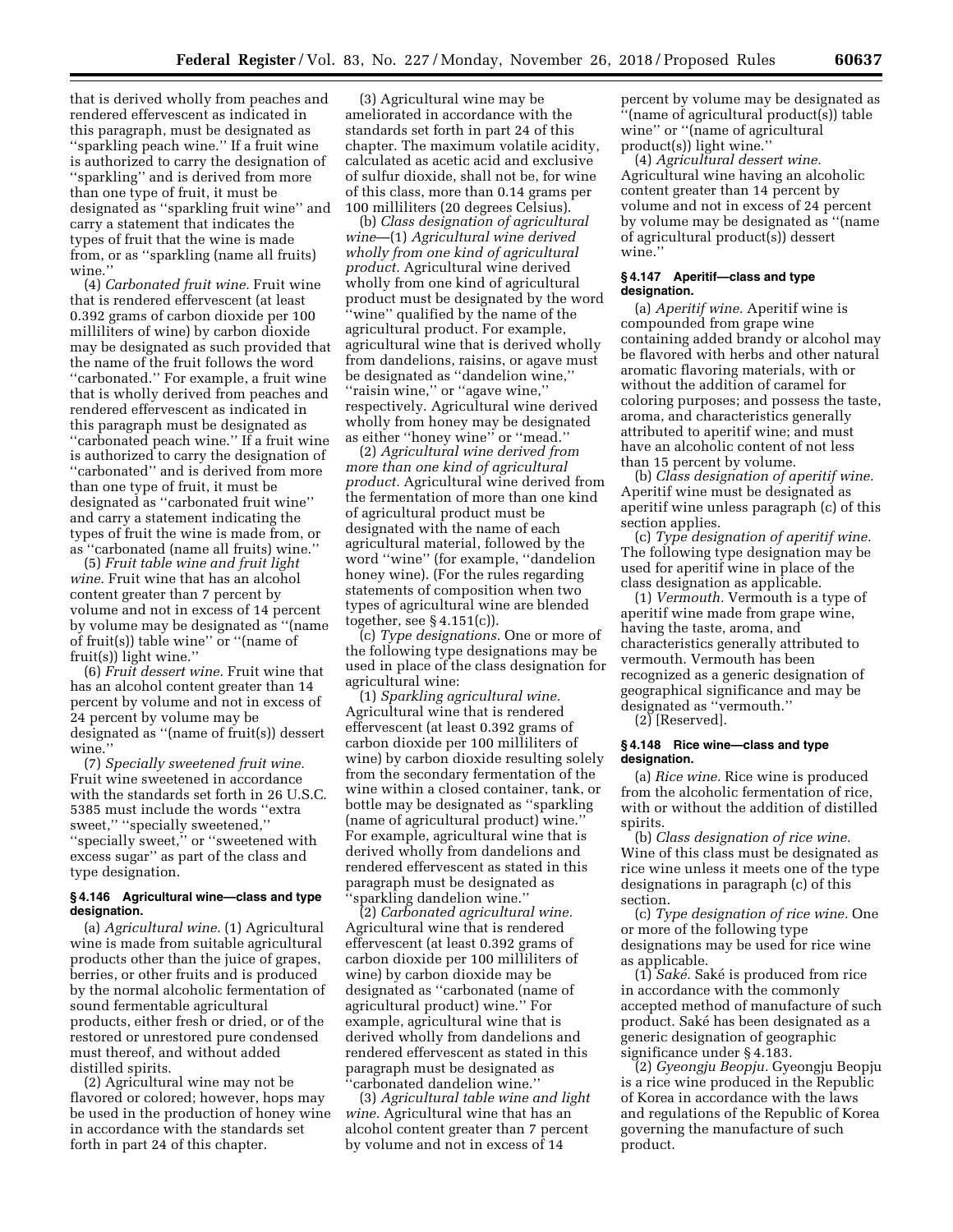that is derived wholly from peaches and rendered effervescent as indicated in this paragraph, must be designated as ''sparkling peach wine.'' If a fruit wine is authorized to carry the designation of ''sparkling'' and is derived from more than one type of fruit, it must be designated as ''sparkling fruit wine'' and carry a statement that indicates the types of fruit that the wine is made from, or as ''sparkling (name all fruits) wine.''

(4) *Carbonated fruit wine.* Fruit wine that is rendered effervescent (at least 0.392 grams of carbon dioxide per 100 milliliters of wine) by carbon dioxide may be designated as such provided that the name of the fruit follows the word ''carbonated.'' For example, a fruit wine that is wholly derived from peaches and rendered effervescent as indicated in this paragraph must be designated as "carbonated peach wine." If a fruit wine is authorized to carry the designation of ''carbonated'' and is derived from more than one type of fruit, it must be designated as ''carbonated fruit wine'' and carry a statement indicating the types of fruit the wine is made from, or as ''carbonated (name all fruits) wine.''

(5) *Fruit table wine and fruit light wine.* Fruit wine that has an alcohol content greater than 7 percent by volume and not in excess of 14 percent by volume may be designated as ''(name of fruit(s)) table wine'' or ''(name of fruit(s)) light wine.''

(6) *Fruit dessert wine.* Fruit wine that has an alcohol content greater than 14 percent by volume and not in excess of 24 percent by volume may be designated as ''(name of fruit(s)) dessert wine.''

(7) *Specially sweetened fruit wine.*  Fruit wine sweetened in accordance with the standards set forth in 26 U.S.C. 5385 must include the words ''extra sweet,'' ''specially sweetened,'' ''specially sweet,'' or ''sweetened with excess sugar'' as part of the class and type designation.

### **§ 4.146 Agricultural wine—class and type designation.**

(a) *Agricultural wine.* (1) Agricultural wine is made from suitable agricultural products other than the juice of grapes, berries, or other fruits and is produced by the normal alcoholic fermentation of sound fermentable agricultural products, either fresh or dried, or of the restored or unrestored pure condensed must thereof, and without added distilled spirits.

(2) Agricultural wine may not be flavored or colored; however, hops may be used in the production of honey wine in accordance with the standards set forth in part 24 of this chapter.

(3) Agricultural wine may be ameliorated in accordance with the standards set forth in part 24 of this chapter. The maximum volatile acidity, calculated as acetic acid and exclusive of sulfur dioxide, shall not be, for wine of this class, more than 0.14 grams per 100 milliliters (20 degrees Celsius).

(b) *Class designation of agricultural wine*—(1) *Agricultural wine derived wholly from one kind of agricultural product.* Agricultural wine derived wholly from one kind of agricultural product must be designated by the word ''wine'' qualified by the name of the agricultural product. For example, agricultural wine that is derived wholly from dandelions, raisins, or agave must be designated as ''dandelion wine,'' ''raisin wine,'' or ''agave wine,'' respectively. Agricultural wine derived wholly from honey may be designated as either ''honey wine'' or ''mead.''

(2) *Agricultural wine derived from more than one kind of agricultural product.* Agricultural wine derived from the fermentation of more than one kind of agricultural product must be designated with the name of each agricultural material, followed by the word ''wine'' (for example, ''dandelion honey wine). (For the rules regarding statements of composition when two types of agricultural wine are blended together, see § 4.151(c)).

(c) *Type designations.* One or more of the following type designations may be used in place of the class designation for agricultural wine:

(1) *Sparkling agricultural wine.*  Agricultural wine that is rendered effervescent (at least 0.392 grams of carbon dioxide per 100 milliliters of wine) by carbon dioxide resulting solely from the secondary fermentation of the wine within a closed container, tank, or bottle may be designated as ''sparkling (name of agricultural product) wine.'' For example, agricultural wine that is derived wholly from dandelions and rendered effervescent as stated in this paragraph must be designated as ''sparkling dandelion wine.''

(2) *Carbonated agricultural wine.*  Agricultural wine that is rendered effervescent (at least 0.392 grams of carbon dioxide per 100 milliliters of wine) by carbon dioxide may be designated as ''carbonated (name of agricultural product) wine.'' For example, agricultural wine that is derived wholly from dandelions and rendered effervescent as stated in this paragraph must be designated as 'carbonated dandelion wine.'

(3) *Agricultural table wine and light wine.* Agricultural wine that has an alcohol content greater than 7 percent by volume and not in excess of 14

percent by volume may be designated as ''(name of agricultural product(s)) table wine'' or ''(name of agricultural product(s)) light wine."

(4) *Agricultural dessert wine.*  Agricultural wine having an alcoholic content greater than 14 percent by volume and not in excess of 24 percent by volume may be designated as ''(name of agricultural product(s)) dessert wine.''

### **§ 4.147 Aperitif—class and type designation.**

(a) *Aperitif wine.* Aperitif wine is compounded from grape wine containing added brandy or alcohol may be flavored with herbs and other natural aromatic flavoring materials, with or without the addition of caramel for coloring purposes; and possess the taste, aroma, and characteristics generally attributed to aperitif wine; and must have an alcoholic content of not less than 15 percent by volume.

(b) *Class designation of aperitif wine.*  Aperitif wine must be designated as aperitif wine unless paragraph (c) of this section applies.

(c) *Type designation of aperitif wine.*  The following type designation may be used for aperitif wine in place of the class designation as applicable.

(1) *Vermouth.* Vermouth is a type of aperitif wine made from grape wine, having the taste, aroma, and characteristics generally attributed to vermouth. Vermouth has been recognized as a generic designation of geographical significance and may be designated as ''vermouth.''

(2) [Reserved].

# **§ 4.148 Rice wine—class and type designation.**

(a) *Rice wine.* Rice wine is produced from the alcoholic fermentation of rice, with or without the addition of distilled spirits.

(b) *Class designation of rice wine.*  Wine of this class must be designated as rice wine unless it meets one of the type designations in paragraph (c) of this section.

(c) *Type designation of rice wine.* One or more of the following type designations may be used for rice wine as applicable.

(1) *Sake´.* Sake´ is produced from rice in accordance with the commonly accepted method of manufacture of such product. Sake´ has been designated as a generic designation of geographic significance under § 4.183.

(2) *Gyeongju Beopju.* Gyeongju Beopju is a rice wine produced in the Republic of Korea in accordance with the laws and regulations of the Republic of Korea governing the manufacture of such product.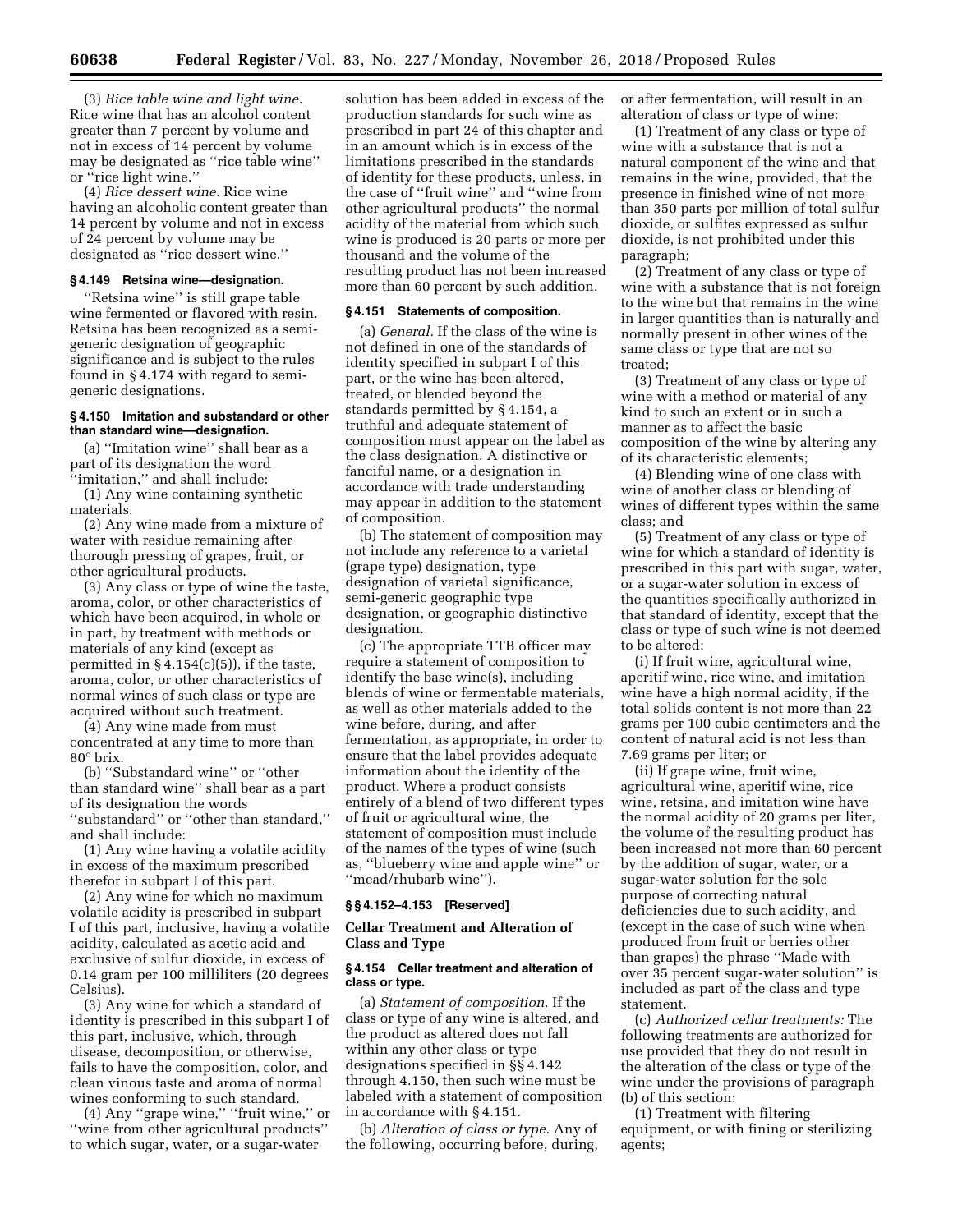(3) *Rice table wine and light wine.*  Rice wine that has an alcohol content greater than 7 percent by volume and not in excess of 14 percent by volume may be designated as ''rice table wine'' or ''rice light wine.''

(4) *Rice dessert wine.* Rice wine having an alcoholic content greater than 14 percent by volume and not in excess of 24 percent by volume may be designated as ''rice dessert wine.''

### **§ 4.149 Retsina wine—designation.**

''Retsina wine'' is still grape table wine fermented or flavored with resin. Retsina has been recognized as a semigeneric designation of geographic significance and is subject to the rules found in § 4.174 with regard to semigeneric designations.

# **§ 4.150 Imitation and substandard or other than standard wine—designation.**

(a) ''Imitation wine'' shall bear as a part of its designation the word ''imitation,'' and shall include:

(1) Any wine containing synthetic materials.

(2) Any wine made from a mixture of water with residue remaining after thorough pressing of grapes, fruit, or other agricultural products.

(3) Any class or type of wine the taste, aroma, color, or other characteristics of which have been acquired, in whole or in part, by treatment with methods or materials of any kind (except as permitted in  $\S 4.154(c)(5)$ , if the taste, aroma, color, or other characteristics of normal wines of such class or type are acquired without such treatment.

(4) Any wine made from must concentrated at any time to more than 80° brix.

(b) ''Substandard wine'' or ''other than standard wine'' shall bear as a part of its designation the words ''substandard'' or ''other than standard,'' and shall include:

(1) Any wine having a volatile acidity in excess of the maximum prescribed therefor in subpart I of this part.

(2) Any wine for which no maximum volatile acidity is prescribed in subpart I of this part, inclusive, having a volatile acidity, calculated as acetic acid and exclusive of sulfur dioxide, in excess of 0.14 gram per 100 milliliters (20 degrees Celsius).

(3) Any wine for which a standard of identity is prescribed in this subpart I of this part, inclusive, which, through disease, decomposition, or otherwise, fails to have the composition, color, and clean vinous taste and aroma of normal wines conforming to such standard.

(4) Any ''grape wine,'' ''fruit wine,'' or ''wine from other agricultural products'' to which sugar, water, or a sugar-water

solution has been added in excess of the production standards for such wine as prescribed in part 24 of this chapter and in an amount which is in excess of the limitations prescribed in the standards of identity for these products, unless, in the case of ''fruit wine'' and ''wine from other agricultural products'' the normal acidity of the material from which such wine is produced is 20 parts or more per thousand and the volume of the resulting product has not been increased more than 60 percent by such addition.

#### **§ 4.151 Statements of composition.**

(a) *General.* If the class of the wine is not defined in one of the standards of identity specified in subpart I of this part, or the wine has been altered, treated, or blended beyond the standards permitted by § 4.154, a truthful and adequate statement of composition must appear on the label as the class designation. A distinctive or fanciful name, or a designation in accordance with trade understanding may appear in addition to the statement of composition.

(b) The statement of composition may not include any reference to a varietal (grape type) designation, type designation of varietal significance, semi-generic geographic type designation, or geographic distinctive designation.

(c) The appropriate TTB officer may require a statement of composition to identify the base wine(s), including blends of wine or fermentable materials, as well as other materials added to the wine before, during, and after fermentation, as appropriate, in order to ensure that the label provides adequate information about the identity of the product. Where a product consists entirely of a blend of two different types of fruit or agricultural wine, the statement of composition must include of the names of the types of wine (such as, ''blueberry wine and apple wine'' or ''mead/rhubarb wine'').

# **§ § 4.152–4.153 [Reserved]**

# **Cellar Treatment and Alteration of Class and Type**

# **§ 4.154 Cellar treatment and alteration of class or type.**

(a) *Statement of composition.* If the class or type of any wine is altered, and the product as altered does not fall within any other class or type designations specified in §§ 4.142 through 4.150, then such wine must be labeled with a statement of composition in accordance with § 4.151.

(b) *Alteration of class or type.* Any of the following, occurring before, during,

or after fermentation, will result in an alteration of class or type of wine:

(1) Treatment of any class or type of wine with a substance that is not a natural component of the wine and that remains in the wine, provided, that the presence in finished wine of not more than 350 parts per million of total sulfur dioxide, or sulfites expressed as sulfur dioxide, is not prohibited under this paragraph;

(2) Treatment of any class or type of wine with a substance that is not foreign to the wine but that remains in the wine in larger quantities than is naturally and normally present in other wines of the same class or type that are not so treated;

(3) Treatment of any class or type of wine with a method or material of any kind to such an extent or in such a manner as to affect the basic composition of the wine by altering any of its characteristic elements;

(4) Blending wine of one class with wine of another class or blending of wines of different types within the same class; and

(5) Treatment of any class or type of wine for which a standard of identity is prescribed in this part with sugar, water, or a sugar-water solution in excess of the quantities specifically authorized in that standard of identity, except that the class or type of such wine is not deemed to be altered:

(i) If fruit wine, agricultural wine, aperitif wine, rice wine, and imitation wine have a high normal acidity, if the total solids content is not more than 22 grams per 100 cubic centimeters and the content of natural acid is not less than 7.69 grams per liter; or

(ii) If grape wine, fruit wine, agricultural wine, aperitif wine, rice wine, retsina, and imitation wine have the normal acidity of 20 grams per liter, the volume of the resulting product has been increased not more than 60 percent by the addition of sugar, water, or a sugar-water solution for the sole purpose of correcting natural deficiencies due to such acidity, and (except in the case of such wine when produced from fruit or berries other than grapes) the phrase ''Made with over 35 percent sugar-water solution'' is included as part of the class and type statement.

(c) *Authorized cellar treatments:* The following treatments are authorized for use provided that they do not result in the alteration of the class or type of the wine under the provisions of paragraph (b) of this section:

(1) Treatment with filtering equipment, or with fining or sterilizing agents;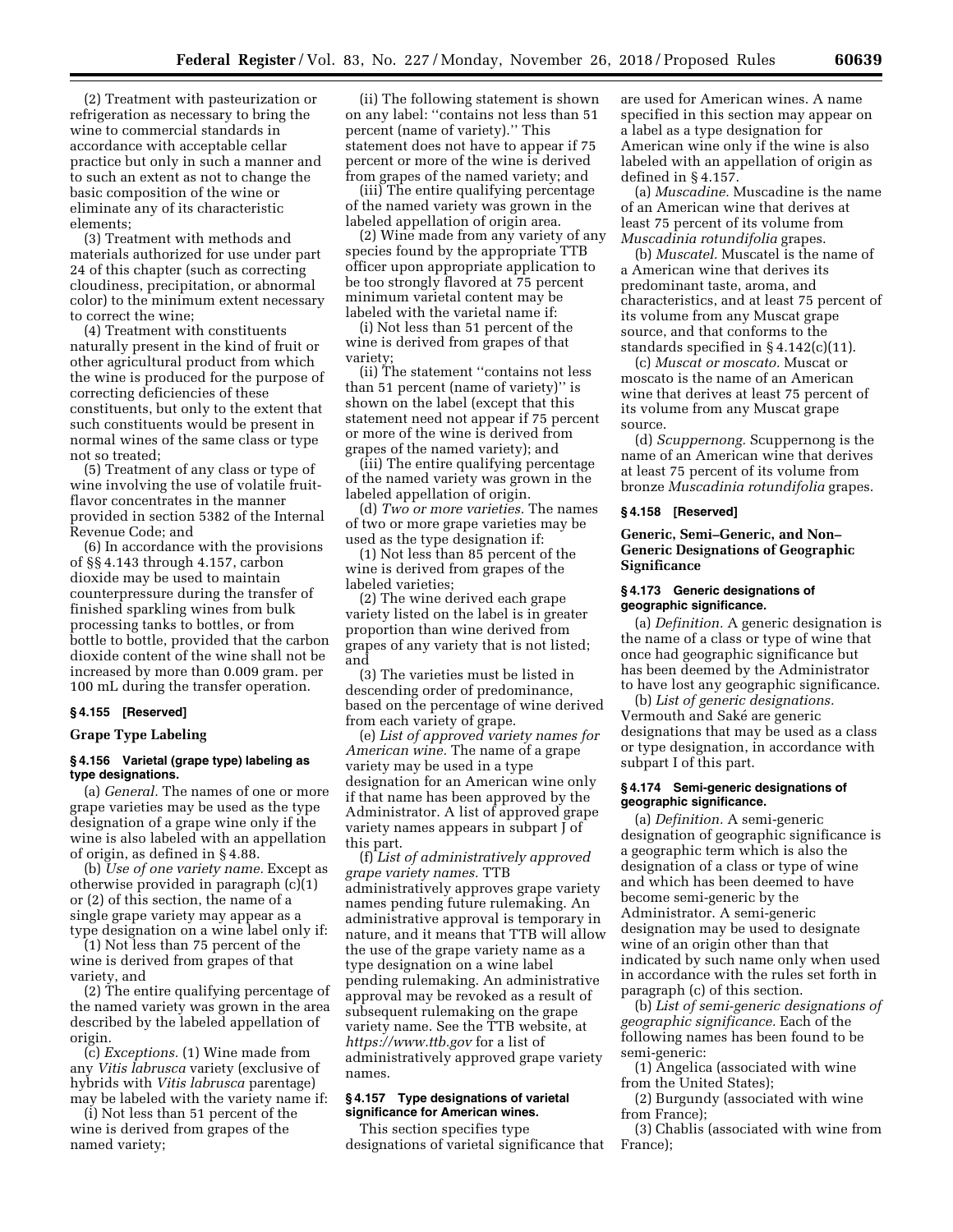(2) Treatment with pasteurization or refrigeration as necessary to bring the wine to commercial standards in accordance with acceptable cellar practice but only in such a manner and to such an extent as not to change the basic composition of the wine or eliminate any of its characteristic elements;

(3) Treatment with methods and materials authorized for use under part 24 of this chapter (such as correcting cloudiness, precipitation, or abnormal color) to the minimum extent necessary to correct the wine;

(4) Treatment with constituents naturally present in the kind of fruit or other agricultural product from which the wine is produced for the purpose of correcting deficiencies of these constituents, but only to the extent that such constituents would be present in normal wines of the same class or type not so treated;

(5) Treatment of any class or type of wine involving the use of volatile fruitflavor concentrates in the manner provided in section 5382 of the Internal Revenue Code; and

(6) In accordance with the provisions of §§ 4.143 through 4.157, carbon dioxide may be used to maintain counterpressure during the transfer of finished sparkling wines from bulk processing tanks to bottles, or from bottle to bottle, provided that the carbon dioxide content of the wine shall not be increased by more than 0.009 gram. per 100 mL during the transfer operation.

### **§ 4.155 [Reserved]**

# **Grape Type Labeling**

# **§ 4.156 Varietal (grape type) labeling as type designations.**

(a) *General.* The names of one or more grape varieties may be used as the type designation of a grape wine only if the wine is also labeled with an appellation of origin, as defined in § 4.88.

(b) *Use of one variety name.* Except as otherwise provided in paragraph (c)(1) or (2) of this section, the name of a single grape variety may appear as a type designation on a wine label only if:

(1) Not less than 75 percent of the wine is derived from grapes of that variety, and

(2) The entire qualifying percentage of the named variety was grown in the area described by the labeled appellation of origin.

(c) *Exceptions.* (1) Wine made from any *Vitis labrusca* variety (exclusive of hybrids with *Vitis labrusca* parentage) may be labeled with the variety name if:

(i) Not less than 51 percent of the wine is derived from grapes of the named variety;

(ii) The following statement is shown on any label: ''contains not less than 51 percent (name of variety).'' This statement does not have to appear if 75 percent or more of the wine is derived from grapes of the named variety; and

(iii) The entire qualifying percentage of the named variety was grown in the labeled appellation of origin area.

(2) Wine made from any variety of any species found by the appropriate TTB officer upon appropriate application to be too strongly flavored at 75 percent minimum varietal content may be labeled with the varietal name if:

(i) Not less than 51 percent of the wine is derived from grapes of that variety;

(ii) The statement ''contains not less than 51 percent (name of variety)'' is shown on the label (except that this statement need not appear if 75 percent or more of the wine is derived from grapes of the named variety); and

(iii) The entire qualifying percentage of the named variety was grown in the labeled appellation of origin.

(d) *Two or more varieties.* The names of two or more grape varieties may be used as the type designation if:

(1) Not less than 85 percent of the wine is derived from grapes of the labeled varieties;

(2) The wine derived each grape variety listed on the label is in greater proportion than wine derived from grapes of any variety that is not listed; and

(3) The varieties must be listed in descending order of predominance, based on the percentage of wine derived from each variety of grape.

(e) *List of approved variety names for American wine.* The name of a grape variety may be used in a type designation for an American wine only if that name has been approved by the Administrator. A list of approved grape variety names appears in subpart J of this part.

(f) *List of administratively approved grape variety names.* TTB administratively approves grape variety names pending future rulemaking. An administrative approval is temporary in nature, and it means that TTB will allow the use of the grape variety name as a type designation on a wine label pending rulemaking. An administrative approval may be revoked as a result of subsequent rulemaking on the grape variety name. See the TTB website, at *<https://www.ttb.gov>* for a list of administratively approved grape variety names.

### **§ 4.157 Type designations of varietal significance for American wines.**

This section specifies type designations of varietal significance that are used for American wines. A name specified in this section may appear on a label as a type designation for American wine only if the wine is also labeled with an appellation of origin as defined in § 4.157.

(a) *Muscadine.* Muscadine is the name of an American wine that derives at least 75 percent of its volume from *Muscadinia rotundifolia* grapes.

(b) *Muscatel.* Muscatel is the name of a American wine that derives its predominant taste, aroma, and characteristics, and at least 75 percent of its volume from any Muscat grape source, and that conforms to the standards specified in § 4.142(c)(11).

(c) *Muscat or moscato.* Muscat or moscato is the name of an American wine that derives at least 75 percent of its volume from any Muscat grape source.

(d) *Scuppernong.* Scuppernong is the name of an American wine that derives at least 75 percent of its volume from bronze *Muscadinia rotundifolia* grapes.

#### **§ 4.158 [Reserved]**

**Generic, Semi–Generic, and Non– Generic Designations of Geographic Significance** 

# **§ 4.173 Generic designations of geographic significance.**

(a) *Definition.* A generic designation is the name of a class or type of wine that once had geographic significance but has been deemed by the Administrator to have lost any geographic significance.

(b) *List of generic designations.*  Vermouth and Saké are generic designations that may be used as a class or type designation, in accordance with subpart I of this part.

# **§ 4.174 Semi-generic designations of geographic significance.**

(a) *Definition.* A semi-generic designation of geographic significance is a geographic term which is also the designation of a class or type of wine and which has been deemed to have become semi-generic by the Administrator. A semi-generic designation may be used to designate wine of an origin other than that indicated by such name only when used in accordance with the rules set forth in paragraph (c) of this section.

(b) *List of semi-generic designations of geographic significance.* Each of the following names has been found to be semi-generic:

(1) Angelica (associated with wine from the United States);

(2) Burgundy (associated with wine from France);

(3) Chablis (associated with wine from France);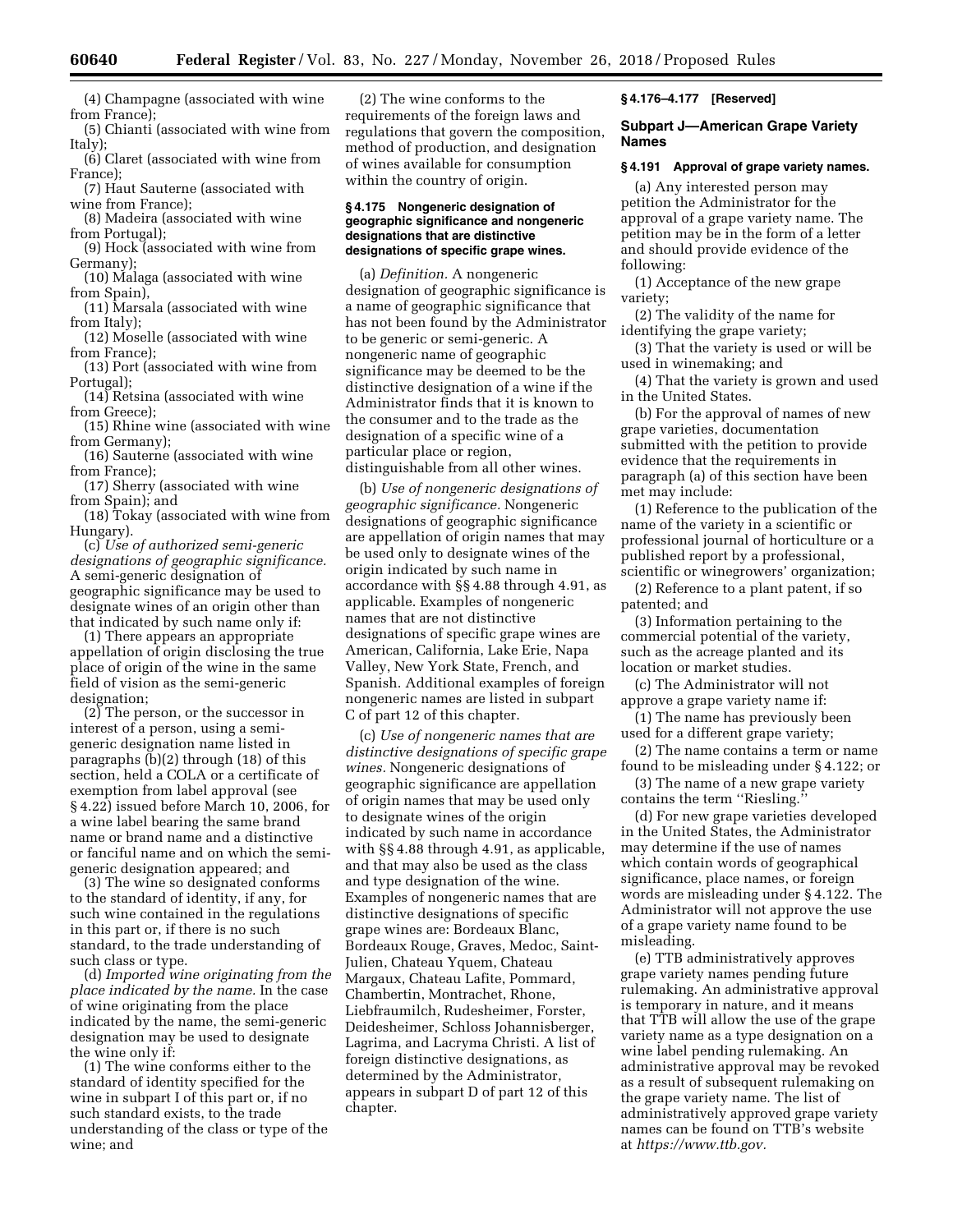(4) Champagne (associated with wine from France);

(5) Chianti (associated with wine from Italy);

(6) Claret (associated with wine from France);

(7) Haut Sauterne (associated with wine from France);

(8) Madeira (associated with wine from Portugal);

(9) Hock (associated with wine from Germany);

(10) Malaga (associated with wine from Spain),

(11) Marsala (associated with wine from Italy);

(12) Moselle (associated with wine from France);

(13) Port (associated with wine from Portugal);

(14) Retsina (associated with wine from Greece);

(15) Rhine wine (associated with wine from Germany);

(16) Sauterne (associated with wine from France);

(17) Sherry (associated with wine from Spain); and

(18) Tokay (associated with wine from Hungary).

(c) *Use of authorized semi-generic designations of geographic significance.*  A semi-generic designation of geographic significance may be used to designate wines of an origin other than that indicated by such name only if:

(1) There appears an appropriate appellation of origin disclosing the true place of origin of the wine in the same field of vision as the semi-generic designation;

(2) The person, or the successor in interest of a person, using a semigeneric designation name listed in paragraphs (b)(2) through (18) of this section, held a COLA or a certificate of exemption from label approval (see § 4.22) issued before March 10, 2006, for a wine label bearing the same brand name or brand name and a distinctive or fanciful name and on which the semigeneric designation appeared; and

(3) The wine so designated conforms to the standard of identity, if any, for such wine contained in the regulations in this part or, if there is no such standard, to the trade understanding of such class or type.

(d) *Imported wine originating from the place indicated by the name.* In the case of wine originating from the place indicated by the name, the semi-generic designation may be used to designate the wine only if:

(1) The wine conforms either to the standard of identity specified for the wine in subpart I of this part or, if no such standard exists, to the trade understanding of the class or type of the wine; and

(2) The wine conforms to the requirements of the foreign laws and regulations that govern the composition, method of production, and designation of wines available for consumption within the country of origin.

### **§ 4.175 Nongeneric designation of geographic significance and nongeneric designations that are distinctive designations of specific grape wines.**

(a) *Definition.* A nongeneric designation of geographic significance is a name of geographic significance that has not been found by the Administrator to be generic or semi-generic. A nongeneric name of geographic significance may be deemed to be the distinctive designation of a wine if the Administrator finds that it is known to the consumer and to the trade as the designation of a specific wine of a particular place or region, distinguishable from all other wines.

(b) *Use of nongeneric designations of geographic significance.* Nongeneric designations of geographic significance are appellation of origin names that may be used only to designate wines of the origin indicated by such name in accordance with §§ 4.88 through 4.91, as applicable. Examples of nongeneric names that are not distinctive designations of specific grape wines are American, California, Lake Erie, Napa Valley, New York State, French, and Spanish. Additional examples of foreign nongeneric names are listed in subpart C of part 12 of this chapter.

(c) *Use of nongeneric names that are distinctive designations of specific grape wines.* Nongeneric designations of geographic significance are appellation of origin names that may be used only to designate wines of the origin indicated by such name in accordance with  $\S$  4.88 through 4.91, as applicable, and that may also be used as the class and type designation of the wine. Examples of nongeneric names that are distinctive designations of specific grape wines are: Bordeaux Blanc, Bordeaux Rouge, Graves, Medoc, Saint-Julien, Chateau Yquem, Chateau Margaux, Chateau Lafite, Pommard, Chambertin, Montrachet, Rhone, Liebfraumilch, Rudesheimer, Forster, Deidesheimer, Schloss Johannisberger, Lagrima, and Lacryma Christi. A list of foreign distinctive designations, as determined by the Administrator, appears in subpart D of part 12 of this chapter.

# **§ 4.176–4.177 [Reserved]**

# **Subpart J—American Grape Variety Names**

### **§ 4.191 Approval of grape variety names.**

(a) Any interested person may petition the Administrator for the approval of a grape variety name. The petition may be in the form of a letter and should provide evidence of the following:

(1) Acceptance of the new grape variety;

(2) The validity of the name for identifying the grape variety;

(3) That the variety is used or will be used in winemaking; and

(4) That the variety is grown and used in the United States.

(b) For the approval of names of new grape varieties, documentation submitted with the petition to provide evidence that the requirements in paragraph (a) of this section have been met may include:

(1) Reference to the publication of the name of the variety in a scientific or professional journal of horticulture or a published report by a professional, scientific or winegrowers' organization;

(2) Reference to a plant patent, if so patented; and

(3) Information pertaining to the commercial potential of the variety, such as the acreage planted and its location or market studies.

(c) The Administrator will not approve a grape variety name if:

(1) The name has previously been used for a different grape variety;

(2) The name contains a term or name found to be misleading under § 4.122; or

(3) The name of a new grape variety contains the term ''Riesling.''

(d) For new grape varieties developed in the United States, the Administrator may determine if the use of names which contain words of geographical significance, place names, or foreign words are misleading under § 4.122. The Administrator will not approve the use of a grape variety name found to be misleading.

(e) TTB administratively approves grape variety names pending future rulemaking. An administrative approval is temporary in nature, and it means that TTB will allow the use of the grape variety name as a type designation on a wine label pending rulemaking. An administrative approval may be revoked as a result of subsequent rulemaking on the grape variety name. The list of administratively approved grape variety names can be found on TTB's website at *[https://www.ttb.gov.](https://www.ttb.gov)*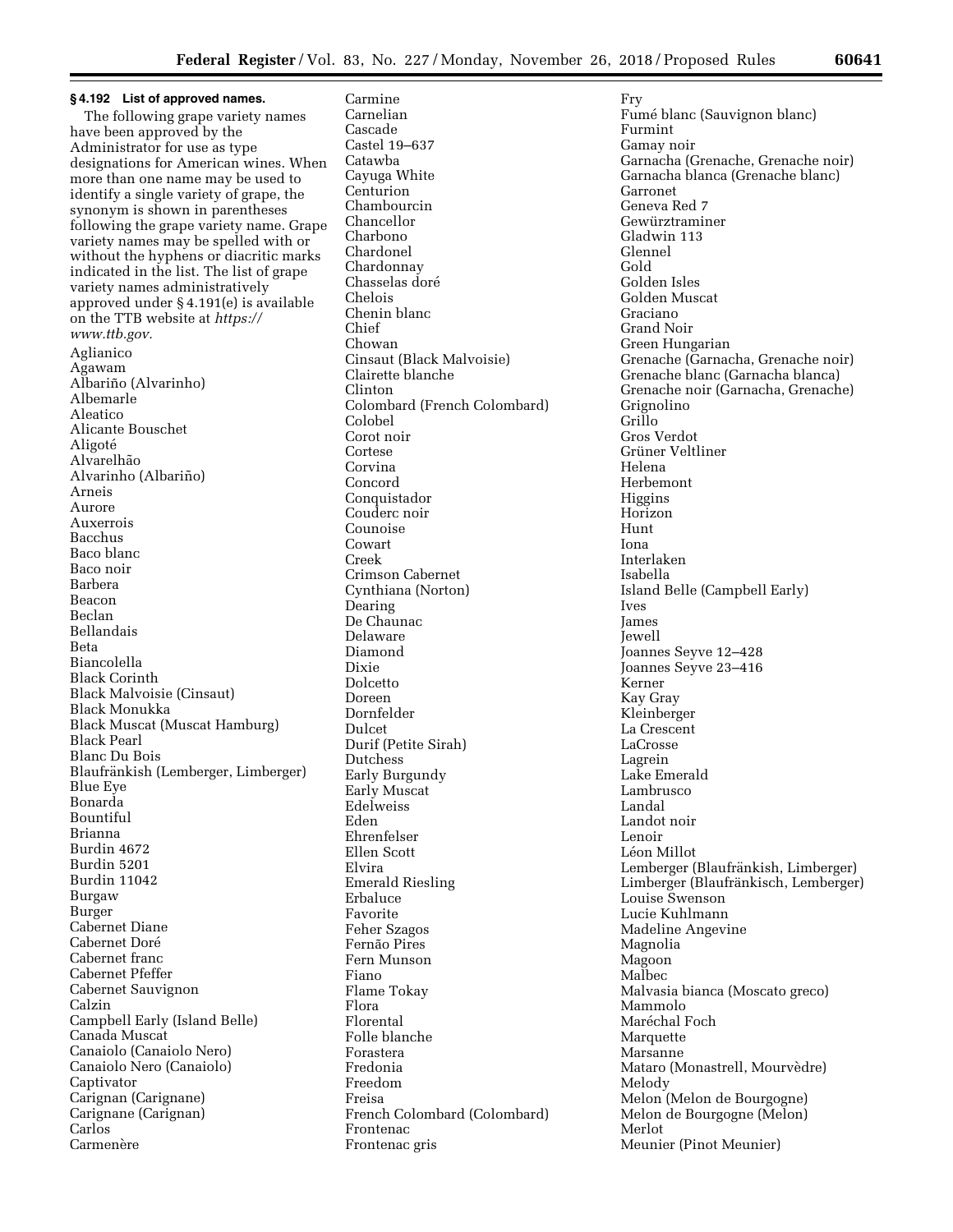**§ 4.192 List of approved names.**  The following grape variety names have been approved by the Administrator for use as type designations for American wines. When more than one name may be used to identify a single variety of grape, the synonym is shown in parentheses following the grape variety name. Grape variety names may be spelled with or without the hyphens or diacritic marks indicated in the list. The list of grape variety names administratively approved under § 4.191(e) is available on the TTB website at *[https://](https://www.ttb.gov) [www.ttb.gov.](https://www.ttb.gov)*  Aglianico Agawam Albariño (Alvarinho) Albemarle Aleatico Alicante Bouschet Aligoté Alvarelhão Alvarinho (Albariño) Arneis Aurore Auxerrois Bacchus Baco blanc Baco noir Barbera Beacon Beclan Bellandais Beta Biancolella Black Corinth Black Malvoisie (Cinsaut) Black Monukka Black Muscat (Muscat Hamburg) Black Pearl Blanc Du Bois Blaufränkish (Lemberger, Limberger) Blue Eye Bonarda Bountiful Brianna Burdin 4672 Burdin 5201 Burdin 11042 Burgaw Burger Cabernet Diane Cabernet Doré Cabernet franc Cabernet Pfeffer Cabernet Sauvignon Calzin Campbell Early (Island Belle) Canada Muscat Canaiolo (Canaiolo Nero) Canaiolo Nero (Canaiolo) Captivator Carignan (Carignane) Carignane (Carignan) Carlos Carmenère

Carmine Carnelian Cascade Castel 19–637 Catawba Cayuga White Centurion Chambourcin Chancellor Charbono Chardonel Chardonnay Chasselas doré Chelois Chenin blanc Chief Chowan Cinsaut (Black Malvoisie) Clairette blanche Clinton Colombard (French Colombard) Colobel Corot noir Cortese Corvina Concord Conquistador Couderc noir Counoise Cowart Creek Crimson Cabernet Cynthiana (Norton) Dearing De Chaunac Delaware Diamond Dixie **Dolcetto** Doreen Dornfelder Dulcet Durif (Petite Sirah) Dutchess Early Burgundy Early Muscat Edelweiss Eden Ehrenfelser Ellen Scott Elvira Emerald Riesling Erbaluce Favorite Feher Szagos Fernão Pires Fern Munson Fiano Flame Tokay Flora Florental Folle blanche Forastera Fredonia Freedom Freisa French Colombard (Colombard) Frontenac Frontenac gris

Fry Fumé blanc (Sauvignon blanc) Furmint Gamay noir Garnacha (Grenache, Grenache noir) Garnacha blanca (Grenache blanc) Garronet Geneva Red 7 Gewürztraminer Gladwin 113 Glennel Gold Golden Isles Golden Muscat Graciano Grand Noir Green Hungarian Grenache (Garnacha, Grenache noir) Grenache blanc (Garnacha blanca) Grenache noir (Garnacha, Grenache) Grignolino Grillo Gros Verdot Grüner Veltliner Helena Herbemont Higgins Horizon Hunt Iona Interlaken Isabella Island Belle (Campbell Early) Ives James Jewell Joannes Seyve 12–428 Joannes Seyve 23–416 Kerner Kay Gray Kleinberger La Crescent LaCrosse Lagrein Lake Emerald Lambrusco Landal Landot noir Lenoir Léon Millot Lemberger (Blaufränkish, Limberger) Limberger (Blaufränkisch, Lemberger) Louise Swenson Lucie Kuhlmann Madeline Angevine Magnolia Magoon Malbec Malvasia bianca (Moscato greco) Mammolo Maréchal Foch Marquette Marsanne Mataro (Monastrell, Mourvèdre) Melody Melon (Melon de Bourgogne) Melon de Bourgogne (Melon) Merlot Meunier (Pinot Meunier)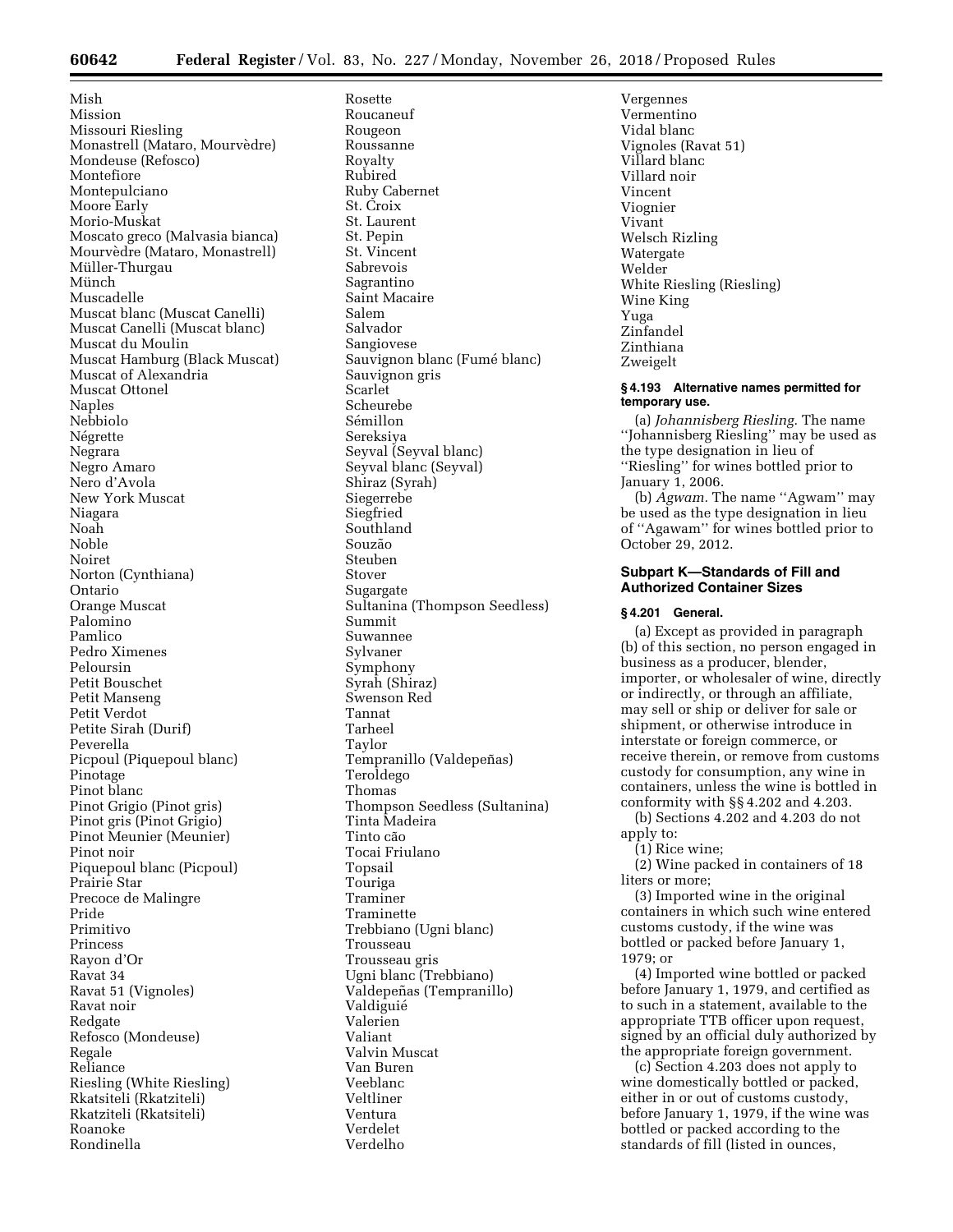Mish Mission Missouri Riesling Monastrell (Mataro, Mourvèdre) Mondeuse (Refosco) Montefiore Montepulciano Moore Early Morio-Muskat Moscato greco (Malvasia bianca) Mourvèdre (Mataro, Monastrell) Müller-Thurgau Münch Muscadelle Muscat blanc (Muscat Canelli) Muscat Canelli (Muscat blanc) Muscat du Moulin Muscat Hamburg (Black Muscat) Muscat of Alexandria Muscat Ottonel Naples Nebbiolo Négrette Negrara Negro Amaro Nero d'Avola New York Muscat Niagara Noah Noble Noiret Norton (Cynthiana) Ontario Orange Muscat Palomino Pamlico Pedro Ximenes Peloursin Petit Bouschet Petit Manseng Petit Verdot Petite Sirah (Durif) Peverella Picpoul (Piquepoul blanc) Pinotage Pinot blanc Pinot Grigio (Pinot gris) Pinot gris (Pinot Grigio) Pinot Meunier (Meunier) Pinot noir Piquepoul blanc (Picpoul) Prairie Star Precoce de Malingre Pride Primitivo Princess Rayon d'Or Ravat 34 Ravat 51 (Vignoles) Ravat noir Redgate Refosco (Mondeuse) Regale Reliance Riesling (White Riesling) Rkatsiteli (Rkatziteli) Rkatziteli (Rkatsiteli) Roanoke Rondinella

Rosette Roucaneuf Rougeon Roussanne Royalty Rubired Ruby Cabernet St. Croix St. Laurent St. Pepin St. Vincent Sabrevois Sagrantino Saint Macaire Salem Salvador Sangiovese Sauvignon blanc (Fumé blanc) Sauvignon gris Scarlet Scheurebe Sémillon Sereksiya Seyval (Seyval blanc) Seyval blanc (Seyval) Shiraz (Syrah) Siegerrebe Siegfried Southland Souzão Steuben Stover Sugargate Sultanina (Thompson Seedless) Summit Suwannee Sylvaner Symphony Syrah (Shiraz) Swenson Red Tannat Tarheel Taylor Tempranillo (Valdepeñas) Teroldego Thomas Thompson Seedless (Sultanina) Tinta Madeira Tinto cão Tocai Friulano Topsail Touriga Traminer Traminette Trebbiano (Ugni blanc) Trousseau Trousseau gris Ugni blanc (Trebbiano) Valdepeñas (Tempranillo) Valdiguie´ Valerien Valiant Valvin Muscat Van Buren Veeblanc Veltliner Ventura Verdelet Verdelho

Vergennes Vermentino Vidal blanc Vignoles (Ravat 51) Villard blanc Villard noir Vincent Viognier Vivant Welsch Rizling Watergate Welder White Riesling (Riesling) Wine King Yuga Zinfandel Zinthiana Zweigelt

# **§ 4.193 Alternative names permitted for temporary use.**

(a) *Johannisberg Riesling.* The name ''Johannisberg Riesling'' may be used as the type designation in lieu of ''Riesling'' for wines bottled prior to January 1, 2006.

(b) *Agwam.* The name ''Agwam'' may be used as the type designation in lieu of ''Agawam'' for wines bottled prior to October 29, 2012.

# **Subpart K—Standards of Fill and Authorized Container Sizes**

# **§ 4.201 General.**

(a) Except as provided in paragraph (b) of this section, no person engaged in business as a producer, blender, importer, or wholesaler of wine, directly or indirectly, or through an affiliate, may sell or ship or deliver for sale or shipment, or otherwise introduce in interstate or foreign commerce, or receive therein, or remove from customs custody for consumption, any wine in containers, unless the wine is bottled in conformity with §§ 4.202 and 4.203.

(b) Sections 4.202 and 4.203 do not apply to:

(1) Rice wine;

(2) Wine packed in containers of 18 liters or more;

(3) Imported wine in the original containers in which such wine entered customs custody, if the wine was bottled or packed before January 1, 1979; or

(4) Imported wine bottled or packed before January 1, 1979, and certified as to such in a statement, available to the appropriate TTB officer upon request, signed by an official duly authorized by the appropriate foreign government.

(c) Section 4.203 does not apply to wine domestically bottled or packed, either in or out of customs custody, before January 1, 1979, if the wine was bottled or packed according to the standards of fill (listed in ounces,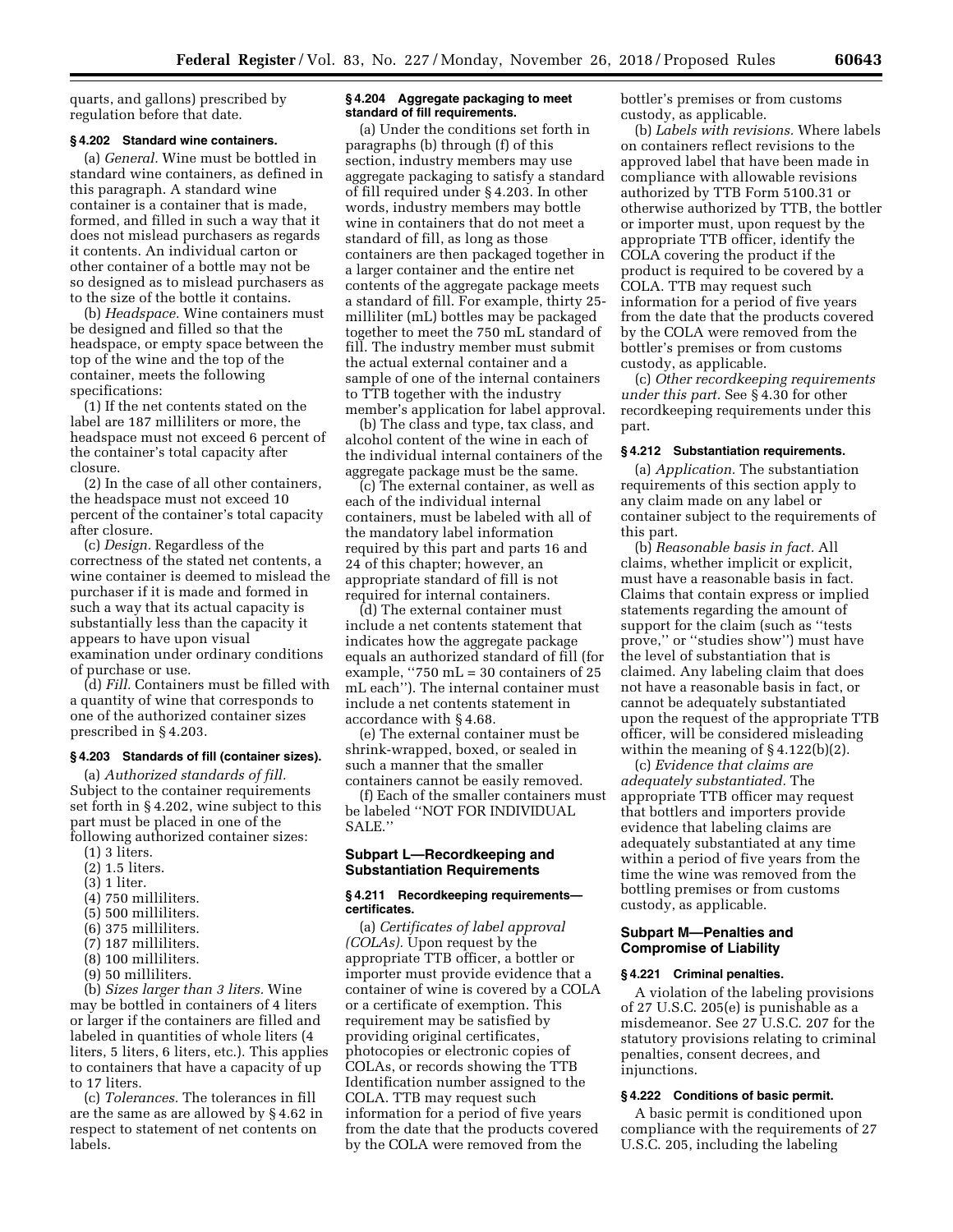quarts, and gallons) prescribed by regulation before that date.

#### **§ 4.202 Standard wine containers.**

(a) *General.* Wine must be bottled in standard wine containers, as defined in this paragraph. A standard wine container is a container that is made, formed, and filled in such a way that it does not mislead purchasers as regards it contents. An individual carton or other container of a bottle may not be so designed as to mislead purchasers as to the size of the bottle it contains.

(b) *Headspace.* Wine containers must be designed and filled so that the headspace, or empty space between the top of the wine and the top of the container, meets the following specifications:

(1) If the net contents stated on the label are 187 milliliters or more, the headspace must not exceed 6 percent of the container's total capacity after closure.

(2) In the case of all other containers, the headspace must not exceed 10 percent of the container's total capacity after closure.

(c) *Design.* Regardless of the correctness of the stated net contents, a wine container is deemed to mislead the purchaser if it is made and formed in such a way that its actual capacity is substantially less than the capacity it appears to have upon visual examination under ordinary conditions of purchase or use.

(d) *Fill.* Containers must be filled with a quantity of wine that corresponds to one of the authorized container sizes prescribed in § 4.203.

#### **§ 4.203 Standards of fill (container sizes).**

(a) *Authorized standards of fill.*  Subject to the container requirements set forth in § 4.202, wine subject to this part must be placed in one of the following authorized container sizes:

- (1) 3 liters.
- (2) 1.5 liters.
- (3) 1 liter.
- (4) 750 milliliters.
- (5) 500 milliliters.
- (6) 375 milliliters.
- (7) 187 milliliters.
- (8) 100 milliliters.
- (9) 50 milliliters.

(b) *Sizes larger than 3 liters.* Wine may be bottled in containers of 4 liters or larger if the containers are filled and labeled in quantities of whole liters (4 liters, 5 liters, 6 liters, etc.). This applies to containers that have a capacity of up to 17 liters.

(c) *Tolerances.* The tolerances in fill are the same as are allowed by § 4.62 in respect to statement of net contents on labels.

# **§ 4.204 Aggregate packaging to meet standard of fill requirements.**

(a) Under the conditions set forth in paragraphs (b) through (f) of this section, industry members may use aggregate packaging to satisfy a standard of fill required under § 4.203. In other words, industry members may bottle wine in containers that do not meet a standard of fill, as long as those containers are then packaged together in a larger container and the entire net contents of the aggregate package meets a standard of fill. For example, thirty 25 milliliter (mL) bottles may be packaged together to meet the 750 mL standard of fill. The industry member must submit the actual external container and a sample of one of the internal containers to TTB together with the industry member's application for label approval.

(b) The class and type, tax class, and alcohol content of the wine in each of the individual internal containers of the aggregate package must be the same.

(c) The external container, as well as each of the individual internal containers, must be labeled with all of the mandatory label information required by this part and parts 16 and 24 of this chapter; however, an appropriate standard of fill is not required for internal containers.

(d) The external container must include a net contents statement that indicates how the aggregate package equals an authorized standard of fill (for example, ''750 mL = 30 containers of 25 mL each''). The internal container must include a net contents statement in accordance with § 4.68.

(e) The external container must be shrink-wrapped, boxed, or sealed in such a manner that the smaller containers cannot be easily removed.

(f) Each of the smaller containers must be labeled ''NOT FOR INDIVIDUAL SALE.''

# **Subpart L—Recordkeeping and Substantiation Requirements**

# **§ 4.211 Recordkeeping requirements certificates.**

(a) *Certificates of label approval (COLAs).* Upon request by the appropriate TTB officer, a bottler or importer must provide evidence that a container of wine is covered by a COLA or a certificate of exemption. This requirement may be satisfied by providing original certificates, photocopies or electronic copies of COLAs, or records showing the TTB Identification number assigned to the COLA. TTB may request such information for a period of five years from the date that the products covered by the COLA were removed from the

bottler's premises or from customs custody, as applicable.

(b) *Labels with revisions.* Where labels on containers reflect revisions to the approved label that have been made in compliance with allowable revisions authorized by TTB Form 5100.31 or otherwise authorized by TTB, the bottler or importer must, upon request by the appropriate TTB officer, identify the COLA covering the product if the product is required to be covered by a COLA. TTB may request such information for a period of five years from the date that the products covered by the COLA were removed from the bottler's premises or from customs custody, as applicable.

(c) *Other recordkeeping requirements under this part.* See § 4.30 for other recordkeeping requirements under this part.

# **§ 4.212 Substantiation requirements.**

(a) *Application.* The substantiation requirements of this section apply to any claim made on any label or container subject to the requirements of this part.

(b) *Reasonable basis in fact.* All claims, whether implicit or explicit, must have a reasonable basis in fact. Claims that contain express or implied statements regarding the amount of support for the claim (such as ''tests prove,'' or ''studies show'') must have the level of substantiation that is claimed. Any labeling claim that does not have a reasonable basis in fact, or cannot be adequately substantiated upon the request of the appropriate TTB officer, will be considered misleading within the meaning of § 4.122(b)(2).

(c) *Evidence that claims are adequately substantiated.* The appropriate TTB officer may request that bottlers and importers provide evidence that labeling claims are adequately substantiated at any time within a period of five years from the time the wine was removed from the bottling premises or from customs custody, as applicable.

# **Subpart M—Penalties and Compromise of Liability**

# **§ 4.221 Criminal penalties.**

A violation of the labeling provisions of 27 U.S.C. 205(e) is punishable as a misdemeanor. See 27 U.S.C. 207 for the statutory provisions relating to criminal penalties, consent decrees, and injunctions.

# **§ 4.222 Conditions of basic permit.**

A basic permit is conditioned upon compliance with the requirements of 27 U.S.C. 205, including the labeling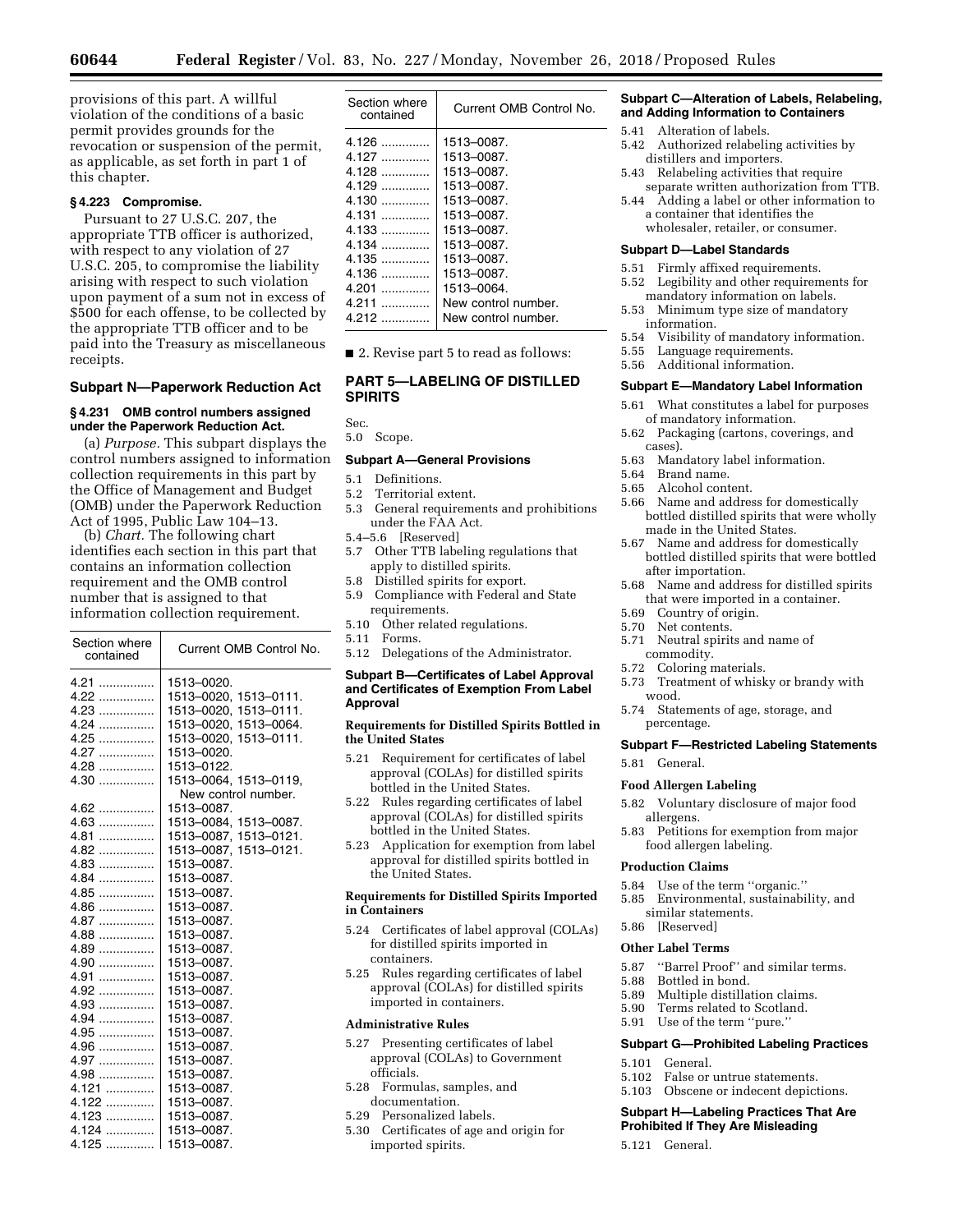provisions of this part. A willful violation of the conditions of a basic permit provides grounds for the revocation or suspension of the permit, as applicable, as set forth in part 1 of this chapter.

# **§ 4.223 Compromise.**

Pursuant to 27 U.S.C. 207, the appropriate TTB officer is authorized, with respect to any violation of 27 U.S.C. 205, to compromise the liability arising with respect to such violation upon payment of a sum not in excess of \$500 for each offense, to be collected by the appropriate TTB officer and to be paid into the Treasury as miscellaneous receipts.

# **Subpart N—Paperwork Reduction Act**

### **§ 4.231 OMB control numbers assigned under the Paperwork Reduction Act.**

(a) *Purpose.* This subpart displays the control numbers assigned to information collection requirements in this part by the Office of Management and Budget (OMB) under the Paperwork Reduction Act of 1995, Public Law 104–13.

(b) *Chart.* The following chart identifies each section in this part that contains an information collection requirement and the OMB control number that is assigned to that information collection requirement.

| Section where<br>contained | Current OMB Control No. |
|----------------------------|-------------------------|
| $4.21$                     | 1513-0020.              |
| 4.22                       | 1513-0020, 1513-0111.   |
| 4.23                       | 1513-0020, 1513-0111.   |
| $4.24$                     | 1513-0020, 1513-0064.   |
| 4.25                       | 1513-0020, 1513-0111.   |
| $4.27$                     | 1513-0020.              |
| $4.28$                     | 1513-0122.              |
| $4.30$                     | 1513-0064, 1513-0119,   |
|                            | New control number.     |
| $4.62$                     | 1513-0087.              |
| $4.63$                     | 1513-0084, 1513-0087.   |
| 4.81                       | 1513-0087, 1513-0121.   |
| $4.82$                     | 1513-0087, 1513-0121.   |
| $4.83$                     | 1513-0087.              |
| $4.84$                     | 1513-0087.              |
| 4.85                       | 1513-0087.              |
| $4.86$                     | 1513-0087.              |
| $4.87$                     | 1513-0087.              |
| $4.88$                     | 1513-0087.              |
| $4.89$                     | 1513-0087.              |
| $4.90$                     | 1513-0087.              |
| $4.91$                     | 1513-0087.              |
| $4.92$                     | 1513-0087.              |
| $4.93$                     | 1513-0087.              |
| $4.94$                     | 1513-0087.              |
| $4.95$                     | 1513-0087.              |
| $4.96$                     | 1513-0087.              |
| $4.97$                     | 1513-0087.              |
| 4.98                       | 1513-0087.              |
| $4.121$                    | 1513-0087.              |
| $4.122$                    | 1513-0087.              |
| $4.123$                    | 1513-0087.              |
| 4.124                      | 1513-0087.              |
| 4.125                      | 1513-0087.              |

| Section where<br>contained | Current OMB Control No. |
|----------------------------|-------------------------|
| $4.126$                    | 1513-0087.              |
| 4.127                      | 1513-0087.              |
| 4.128                      | 1513-0087.              |
| $4.129$                    | 1513-0087.              |
| $4.130$                    | 1513-0087.              |
|                            | 1513-0087.              |
| $4.133$                    | 1513-0087.              |
| 4.134                      | 1513-0087.              |
| 4.135                      | 1513-0087.              |
| 4.136                      | 1513-0087.              |
| 4.201                      | 1513-0064.              |
| 4.211                      | New control number.     |
| 4.212                      | New control number.     |
|                            |                         |

■ 2. Revise part 5 to read as follows:

# **PART 5—LABELING OF DISTILLED SPIRITS**

Sec.

5.0 Scope.

# **Subpart A—General Provisions**

- 5.1 Definitions.<br>5.2 Territorial e
- 5.2 Territorial extent.
- 5.3 General requirements and prohibitions under the FAA Act.
- 5.4–5.6 [Reserved]
- 5.7 Other TTB labeling regulations that apply to distilled spirits.
- 5.8 Distilled spirits for export.
- 5.9 Compliance with Federal and State requirements.
- 5.10 Other related regulations.
- 5.11 Forms.
- 5.12 Delegations of the Administrator.

# **Subpart B—Certificates of Label Approval and Certificates of Exemption From Label Approval**

### **Requirements for Distilled Spirits Bottled in the United States**

- 5.21 Requirement for certificates of label approval (COLAs) for distilled spirits bottled in the United States.
- 5.22 Rules regarding certificates of label approval (COLAs) for distilled spirits bottled in the United States.
- 5.23 Application for exemption from label approval for distilled spirits bottled in the United States.

# **Requirements for Distilled Spirits Imported in Containers**

- 5.24 Certificates of label approval (COLAs) for distilled spirits imported in containers.
- 5.25 Rules regarding certificates of label approval (COLAs) for distilled spirits imported in containers.

# **Administrative Rules**

- 5.27 Presenting certificates of label approval (COLAs) to Government officials.
- 5.28 Formulas, samples, and documentation.
- 5.29 Personalized labels.
- 5.30 Certificates of age and origin for imported spirits.

# **Subpart C—Alteration of Labels, Relabeling, and Adding Information to Containers**

- 5.41 Alteration of labels.
- 5.42 Authorized relabeling activities by distillers and importers.
- 5.43 Relabeling activities that require separate written authorization from TTB.
- 5.44 Adding a label or other information to a container that identifies the wholesaler, retailer, or consumer.

#### **Subpart D—Label Standards**

- 5.51 Firmly affixed requirements.
- 5.52 Legibility and other requirements for mandatory information on labels.
- 5.53 Minimum type size of mandatory information.
- 5.54 Visibility of mandatory information.
- 5.55 Language requirements.
- 5.56 Additional information.

# **Subpart E—Mandatory Label Information**

- 5.61 What constitutes a label for purposes of mandatory information.
- 5.62 Packaging (cartons, coverings, and cases).<br>5.63 Man
- 5.63 Mandatory label information.
- Brand name.
- 5.65 Alcohol content.<br>5.66 Name and addres
- Name and address for domestically bottled distilled spirits that were wholly made in the United States.
- 5.67 Name and address for domestically bottled distilled spirits that were bottled after importation.
- 5.68 Name and address for distilled spirits that were imported in a container.
- 5.69 Country of origin.
- 5.70 Net contents.
- 5.71 Neutral spirits and name of commodity.
- 
- 5.72 Coloring materials. Treatment of whisky or brandy with wood.
- 5.74 Statements of age, storage, and percentage.

### **Subpart F—Restricted Labeling Statements**

5.81 General.

### **Food Allergen Labeling**

- 5.82 Voluntary disclosure of major food allergens.
- 5.83 Petitions for exemption from major food allergen labeling.

# **Production Claims**

- 
- 5.84 Use of the term "organic."<br>5.85 Environmental, sustainabi 5.85 Environmental, sustainability, and similar statements.
- 5.86 [Reserved]

### **Other Label Terms**

- 5.87 "Barrel Proof" and similar terms.<br>5.88 Bottled in bond.
- 
- 5.88 Bottled in bond. Multiple distillation claims.
- 5.90 Terms related to Scotland.
- 5.91 Use of the term ''pure.''

### **Subpart G—Prohibited Labeling Practices**

- 5.101 General.
- 5.102 False or untrue statements.
- 5.103 Obscene or indecent depictions.

### **Subpart H—Labeling Practices That Are Prohibited If They Are Misleading**

5.121 General.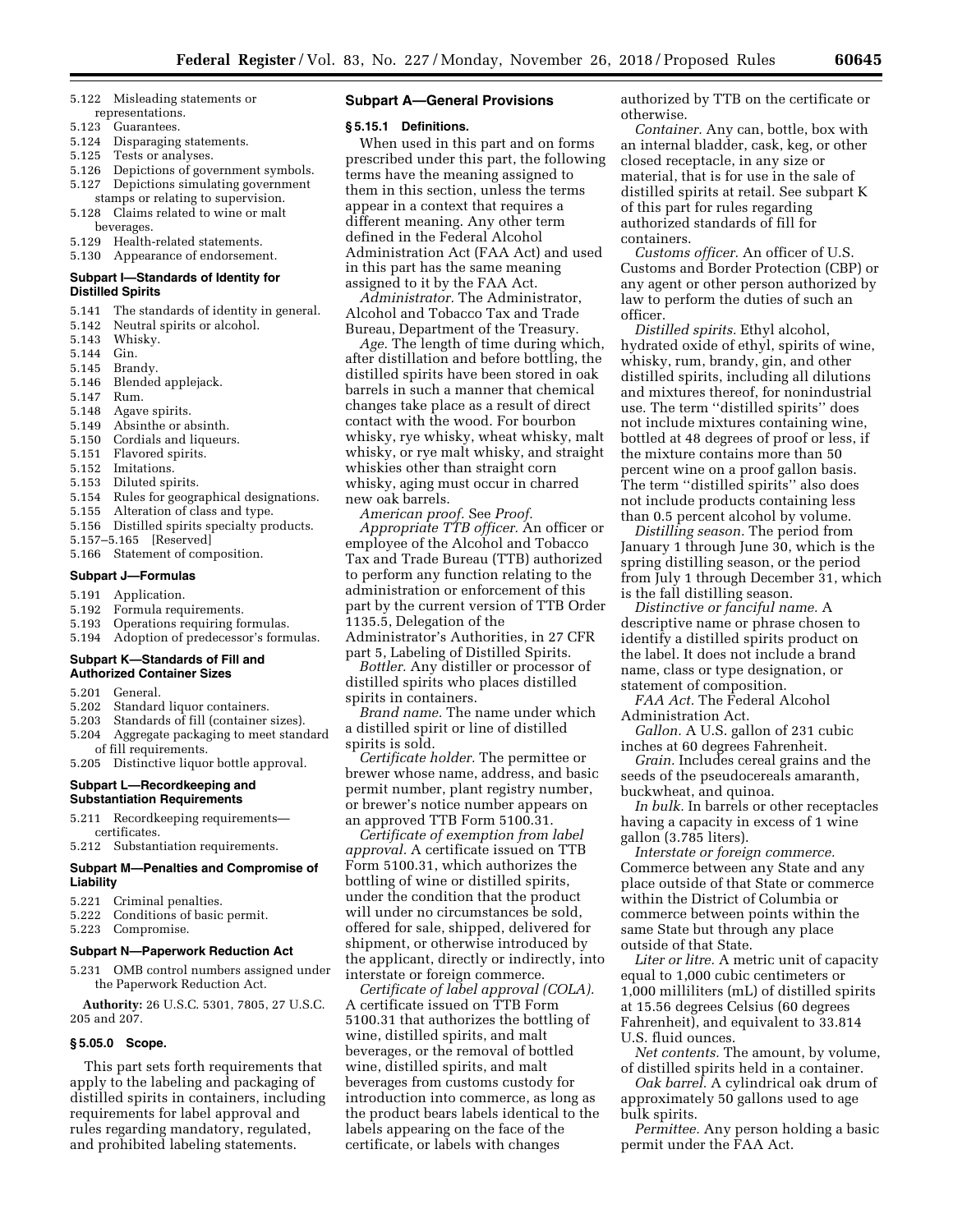- 5.122 Misleading statements or representations.
- 5.123 Guarantees.
- 5.124 Disparaging statements.
- 5.125 Tests or analyses.
- 5.126 Depictions of government symbols. 5.127 Depictions simulating government
- stamps or relating to supervision. 5.128 Claims related to wine or malt beverages.
- 5.129 Health-related statements.
- 5.130 Appearance of endorsement.

# **Subpart I—Standards of Identity for Distilled Spirits**

- 
- 5.141 The standards of identity in general.<br>5.142 Neutral spirits or alcohol. 5.142 Neutral spirits or alcohol.<br>5.143 Whisky.
- Whisky.
- 5.144 Gin.
- 
- 5.145 Brandy. Blended applejack.
- 5.147 Rum.
- 5.148 Agave spirits.
- 5.149 Absinthe or absinth.
- 5.150 Cordials and liqueurs.
- 5.151 Flavored spirits.
- Imitations.
- 5.153 Diluted spirits.
- 5.154 Rules for geographical designations.
- 5.155 Alteration of class and type.
- 5.156 Distilled spirits specialty products.
- 5.157–5.165 [Reserved]
- 5.166 Statement of composition.

#### **Subpart J—Formulas**

- 5.191 Application.
- 5.192 Formula requirements.
- 5.193 Operations requiring formulas.
- 5.194 Adoption of predecessor's formulas.

# **Subpart K—Standards of Fill and Authorized Container Sizes**

- 5.201 General.
- 5.202 Standard liquor containers.
- 5.203 Standards of fill (container sizes).
- 5.204 Aggregate packaging to meet standard of fill requirements. 5.205 Distinctive liquor bottle approval.

# **Subpart L—Recordkeeping and Substantiation Requirements**

- 5.211 Recordkeeping requirements certificates.
- 5.212 Substantiation requirements.

#### **Subpart M—Penalties and Compromise of Liability**

- 5.221 Criminal penalties.
- 5.222 Conditions of basic permit.
- 5.223 Compromise.

#### **Subpart N—Paperwork Reduction Act**

5.231 OMB control numbers assigned under the Paperwork Reduction Act.

**Authority:** 26 U.S.C. 5301, 7805, 27 U.S.C. 205 and 207.

#### **§ 5.05.0 Scope.**

This part sets forth requirements that apply to the labeling and packaging of distilled spirits in containers, including requirements for label approval and rules regarding mandatory, regulated, and prohibited labeling statements.

### **Subpart A—General Provisions**

#### **§ 5.15.1 Definitions.**

When used in this part and on forms prescribed under this part, the following terms have the meaning assigned to them in this section, unless the terms appear in a context that requires a different meaning. Any other term defined in the Federal Alcohol Administration Act (FAA Act) and used in this part has the same meaning assigned to it by the FAA Act.

*Administrator.* The Administrator, Alcohol and Tobacco Tax and Trade Bureau, Department of the Treasury.

*Age.* The length of time during which, after distillation and before bottling, the distilled spirits have been stored in oak barrels in such a manner that chemical changes take place as a result of direct contact with the wood. For bourbon whisky, rye whisky, wheat whisky, malt whisky, or rye malt whisky, and straight whiskies other than straight corn whisky, aging must occur in charred new oak barrels.

*American proof.* See *Proof.* 

*Appropriate TTB officer.* An officer or employee of the Alcohol and Tobacco Tax and Trade Bureau (TTB) authorized to perform any function relating to the administration or enforcement of this part by the current version of TTB Order 1135.5, Delegation of the Administrator's Authorities, in 27 CFR

part 5, Labeling of Distilled Spirits. *Bottler.* Any distiller or processor of

distilled spirits who places distilled spirits in containers.

*Brand name.* The name under which a distilled spirit or line of distilled spirits is sold.

*Certificate holder.* The permittee or brewer whose name, address, and basic permit number, plant registry number, or brewer's notice number appears on an approved TTB Form 5100.31.

*Certificate of exemption from label approval.* A certificate issued on TTB Form 5100.31, which authorizes the bottling of wine or distilled spirits, under the condition that the product will under no circumstances be sold, offered for sale, shipped, delivered for shipment, or otherwise introduced by the applicant, directly or indirectly, into interstate or foreign commerce.

*Certificate of label approval (COLA).*  A certificate issued on TTB Form 5100.31 that authorizes the bottling of wine, distilled spirits, and malt beverages, or the removal of bottled wine, distilled spirits, and malt beverages from customs custody for introduction into commerce, as long as the product bears labels identical to the labels appearing on the face of the certificate, or labels with changes

authorized by TTB on the certificate or otherwise.

*Container.* Any can, bottle, box with an internal bladder, cask, keg, or other closed receptacle, in any size or material, that is for use in the sale of distilled spirits at retail. See subpart K of this part for rules regarding authorized standards of fill for containers.

*Customs officer.* An officer of U.S. Customs and Border Protection (CBP) or any agent or other person authorized by law to perform the duties of such an officer.

*Distilled spirits.* Ethyl alcohol, hydrated oxide of ethyl, spirits of wine, whisky, rum, brandy, gin, and other distilled spirits, including all dilutions and mixtures thereof, for nonindustrial use. The term ''distilled spirits'' does not include mixtures containing wine, bottled at 48 degrees of proof or less, if the mixture contains more than 50 percent wine on a proof gallon basis. The term ''distilled spirits'' also does not include products containing less than 0.5 percent alcohol by volume.

*Distilling season.* The period from January 1 through June 30, which is the spring distilling season, or the period from July 1 through December 31, which is the fall distilling season.

*Distinctive or fanciful name.* A descriptive name or phrase chosen to identify a distilled spirits product on the label. It does not include a brand name, class or type designation, or statement of composition.

*FAA Act.* The Federal Alcohol Administration Act.

*Gallon.* A U.S. gallon of 231 cubic inches at 60 degrees Fahrenheit.

*Grain.* Includes cereal grains and the seeds of the pseudocereals amaranth, buckwheat, and quinoa.

*In bulk.* In barrels or other receptacles having a capacity in excess of 1 wine gallon (3.785 liters).

*Interstate or foreign commerce.*  Commerce between any State and any place outside of that State or commerce within the District of Columbia or commerce between points within the same State but through any place outside of that State.

*Liter or litre.* A metric unit of capacity equal to 1,000 cubic centimeters or 1,000 milliliters (mL) of distilled spirits at 15.56 degrees Celsius (60 degrees Fahrenheit), and equivalent to 33.814 U.S. fluid ounces.

*Net contents.* The amount, by volume, of distilled spirits held in a container.

*Oak barrel.* A cylindrical oak drum of approximately 50 gallons used to age bulk spirits.

*Permittee.* Any person holding a basic permit under the FAA Act.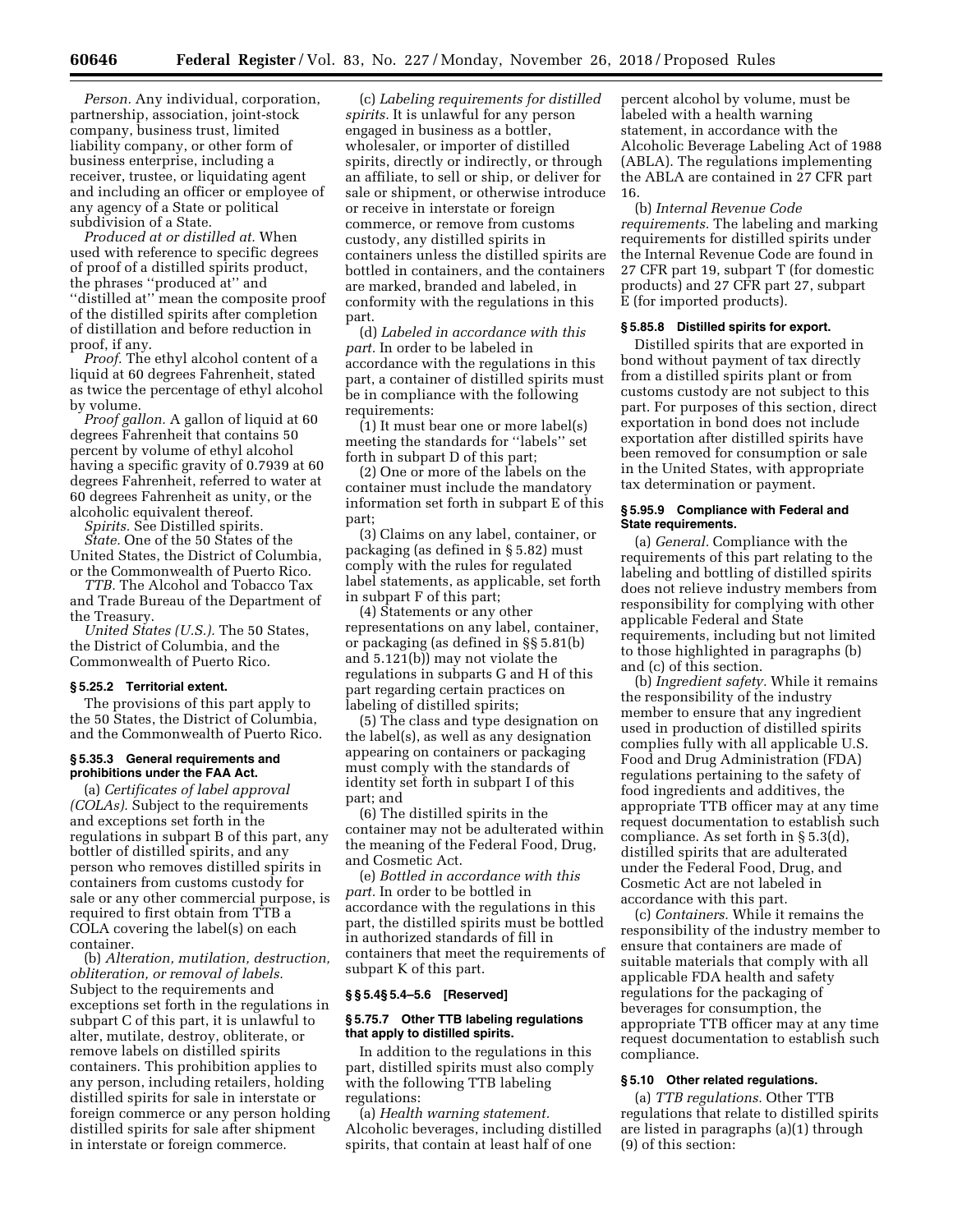*Person.* Any individual, corporation, partnership, association, joint-stock company, business trust, limited liability company, or other form of business enterprise, including a receiver, trustee, or liquidating agent and including an officer or employee of any agency of a State or political subdivision of a State.

*Produced at or distilled at.* When used with reference to specific degrees of proof of a distilled spirits product, the phrases ''produced at'' and ''distilled at'' mean the composite proof of the distilled spirits after completion of distillation and before reduction in proof, if any.

*Proof.* The ethyl alcohol content of a liquid at 60 degrees Fahrenheit, stated as twice the percentage of ethyl alcohol by volume.

*Proof gallon.* A gallon of liquid at 60 degrees Fahrenheit that contains 50 percent by volume of ethyl alcohol having a specific gravity of 0.7939 at 60 degrees Fahrenheit, referred to water at 60 degrees Fahrenheit as unity, or the alcoholic equivalent thereof.

*Spirits.* See Distilled spirits.

*State.* One of the 50 States of the United States, the District of Columbia, or the Commonwealth of Puerto Rico.

*TTB.* The Alcohol and Tobacco Tax and Trade Bureau of the Department of the Treasury.

*United States (U.S.).* The 50 States, the District of Columbia, and the Commonwealth of Puerto Rico.

# **§ 5.25.2 Territorial extent.**

The provisions of this part apply to the 50 States, the District of Columbia, and the Commonwealth of Puerto Rico.

### **§ 5.35.3 General requirements and prohibitions under the FAA Act.**

(a) *Certificates of label approval (COLAs).* Subject to the requirements and exceptions set forth in the regulations in subpart B of this part, any bottler of distilled spirits, and any person who removes distilled spirits in containers from customs custody for sale or any other commercial purpose, is required to first obtain from TTB a COLA covering the label(s) on each container.

(b) *Alteration, mutilation, destruction, obliteration, or removal of labels.*  Subject to the requirements and exceptions set forth in the regulations in subpart C of this part, it is unlawful to alter, mutilate, destroy, obliterate, or remove labels on distilled spirits containers. This prohibition applies to any person, including retailers, holding distilled spirits for sale in interstate or foreign commerce or any person holding distilled spirits for sale after shipment in interstate or foreign commerce.

(c) *Labeling requirements for distilled spirits.* It is unlawful for any person engaged in business as a bottler, wholesaler, or importer of distilled spirits, directly or indirectly, or through an affiliate, to sell or ship, or deliver for sale or shipment, or otherwise introduce or receive in interstate or foreign commerce, or remove from customs custody, any distilled spirits in containers unless the distilled spirits are bottled in containers, and the containers are marked, branded and labeled, in conformity with the regulations in this part.

(d) *Labeled in accordance with this part.* In order to be labeled in accordance with the regulations in this part, a container of distilled spirits must be in compliance with the following requirements:

(1) It must bear one or more label(s) meeting the standards for ''labels'' set forth in subpart D of this part;

(2) One or more of the labels on the container must include the mandatory information set forth in subpart E of this part;

(3) Claims on any label, container, or packaging (as defined in § 5.82) must comply with the rules for regulated label statements, as applicable, set forth in subpart F of this part;

(4) Statements or any other representations on any label, container, or packaging (as defined in §§ 5.81(b) and 5.121(b)) may not violate the regulations in subparts G and H of this part regarding certain practices on labeling of distilled spirits;

(5) The class and type designation on the label(s), as well as any designation appearing on containers or packaging must comply with the standards of identity set forth in subpart I of this part; and

(6) The distilled spirits in the container may not be adulterated within the meaning of the Federal Food, Drug, and Cosmetic Act.

(e) *Bottled in accordance with this part.* In order to be bottled in accordance with the regulations in this part, the distilled spirits must be bottled in authorized standards of fill in containers that meet the requirements of subpart K of this part.

# **§ § 5.4§ 5.4–5.6 [Reserved]**

# **§ 5.75.7 Other TTB labeling regulations that apply to distilled spirits.**

In addition to the regulations in this part, distilled spirits must also comply with the following TTB labeling regulations:

(a) *Health warning statement.*  Alcoholic beverages, including distilled spirits, that contain at least half of one

percent alcohol by volume, must be labeled with a health warning statement, in accordance with the Alcoholic Beverage Labeling Act of 1988 (ABLA). The regulations implementing the ABLA are contained in 27 CFR part 16.

(b) *Internal Revenue Code requirements.* The labeling and marking requirements for distilled spirits under the Internal Revenue Code are found in 27 CFR part 19, subpart T (for domestic products) and 27 CFR part 27, subpart E (for imported products).

#### **§ 5.85.8 Distilled spirits for export.**

Distilled spirits that are exported in bond without payment of tax directly from a distilled spirits plant or from customs custody are not subject to this part. For purposes of this section, direct exportation in bond does not include exportation after distilled spirits have been removed for consumption or sale in the United States, with appropriate tax determination or payment.

### **§ 5.95.9 Compliance with Federal and State requirements.**

(a) *General.* Compliance with the requirements of this part relating to the labeling and bottling of distilled spirits does not relieve industry members from responsibility for complying with other applicable Federal and State requirements, including but not limited to those highlighted in paragraphs (b) and (c) of this section.

(b) *Ingredient safety.* While it remains the responsibility of the industry member to ensure that any ingredient used in production of distilled spirits complies fully with all applicable U.S. Food and Drug Administration (FDA) regulations pertaining to the safety of food ingredients and additives, the appropriate TTB officer may at any time request documentation to establish such compliance. As set forth in § 5.3(d), distilled spirits that are adulterated under the Federal Food, Drug, and Cosmetic Act are not labeled in accordance with this part.

(c) *Containers.* While it remains the responsibility of the industry member to ensure that containers are made of suitable materials that comply with all applicable FDA health and safety regulations for the packaging of beverages for consumption, the appropriate TTB officer may at any time request documentation to establish such compliance.

# **§ 5.10 Other related regulations.**

(a) *TTB regulations.* Other TTB regulations that relate to distilled spirits are listed in paragraphs (a)(1) through (9) of this section: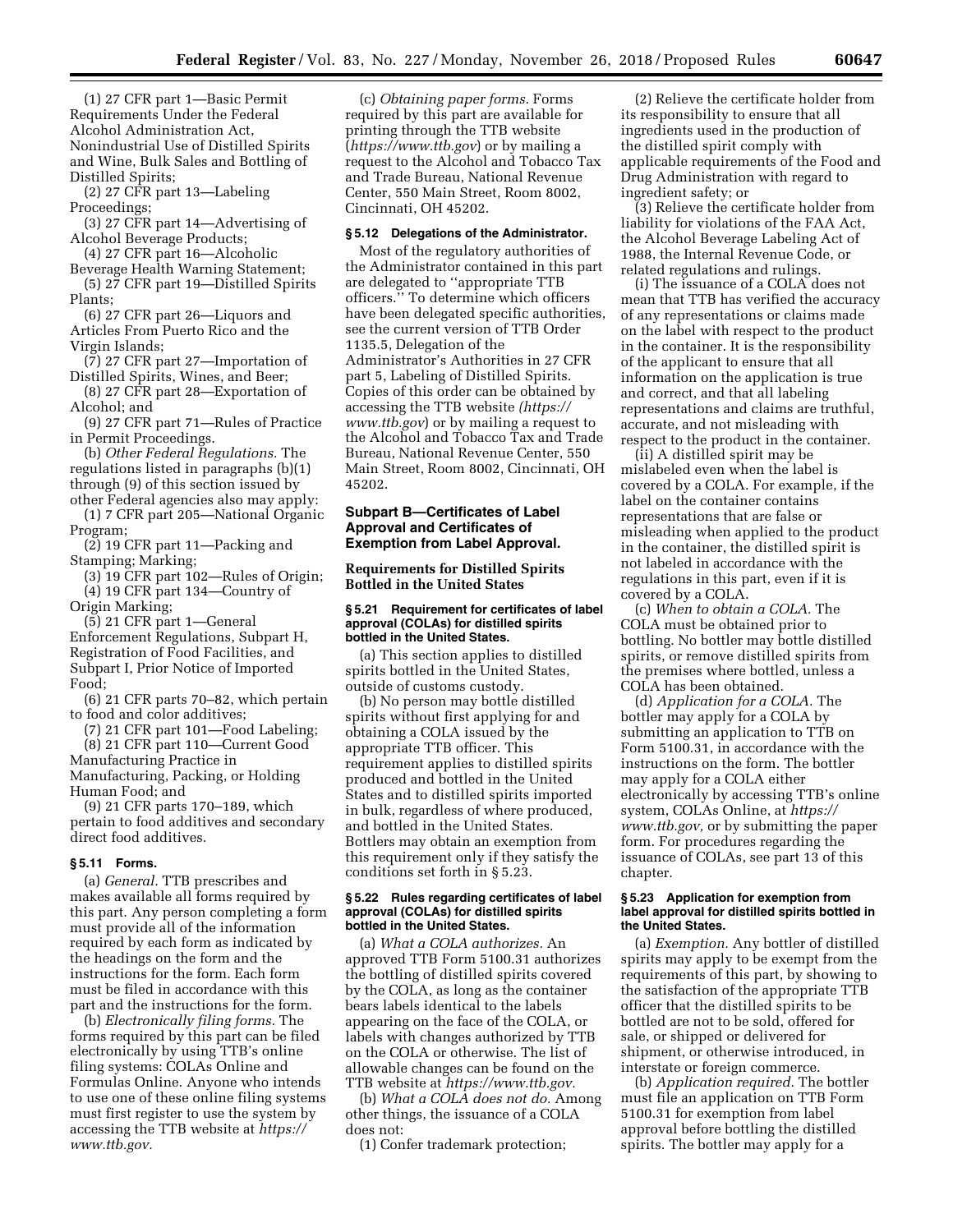(1) 27 CFR part 1—Basic Permit Requirements Under the Federal Alcohol Administration Act, Nonindustrial Use of Distilled Spirits and Wine, Bulk Sales and Bottling of Distilled Spirits;

(2) 27 CFR part 13—Labeling Proceedings;

(3) 27 CFR part 14—Advertising of Alcohol Beverage Products;

(4) 27 CFR part 16—Alcoholic

Beverage Health Warning Statement; (5) 27 CFR part 19—Distilled Spirits Plants;

(6) 27 CFR part 26—Liquors and Articles From Puerto Rico and the Virgin Islands;

(7) 27 CFR part 27—Importation of Distilled Spirits, Wines, and Beer;

(8) 27 CFR part 28—Exportation of Alcohol; and

(9) 27 CFR part 71—Rules of Practice in Permit Proceedings.

(b) *Other Federal Regulations.* The regulations listed in paragraphs (b)(1) through (9) of this section issued by

other Federal agencies also may apply: (1) 7 CFR part 205—National Organic Program;

(2) 19 CFR part 11—Packing and Stamping; Marking;

(3) 19 CFR part 102—Rules of Origin; (4) 19 CFR part 134—Country of Origin Marking;

(5) 21 CFR part 1—General Enforcement Regulations, Subpart H, Registration of Food Facilities, and Subpart I, Prior Notice of Imported Food;

(6) 21 CFR parts 70–82, which pertain to food and color additives;

(7) 21 CFR part 101—Food Labeling; (8) 21 CFR part 110—Current Good

Manufacturing Practice in Manufacturing, Packing, or Holding Human Food; and

(9) 21 CFR parts 170–189, which pertain to food additives and secondary direct food additives.

# **§ 5.11 Forms.**

(a) *General.* TTB prescribes and makes available all forms required by this part. Any person completing a form must provide all of the information required by each form as indicated by the headings on the form and the instructions for the form. Each form must be filed in accordance with this part and the instructions for the form.

(b) *Electronically filing forms.* The forms required by this part can be filed electronically by using TTB's online filing systems: COLAs Online and Formulas Online. Anyone who intends to use one of these online filing systems must first register to use the system by accessing the TTB website at *[https://](https://www.ttb.gov) [www.ttb.gov.](https://www.ttb.gov)* 

(c) *Obtaining paper forms.* Forms required by this part are available for printing through the TTB website (*<https://www.ttb.gov>*) or by mailing a request to the Alcohol and Tobacco Tax and Trade Bureau, National Revenue Center, 550 Main Street, Room 8002, Cincinnati, OH 45202.

# **§ 5.12 Delegations of the Administrator.**

Most of the regulatory authorities of the Administrator contained in this part are delegated to ''appropriate TTB officers.'' To determine which officers have been delegated specific authorities, see the current version of TTB Order 1135.5, Delegation of the Administrator's Authorities in 27 CFR part 5, Labeling of Distilled Spirits. Copies of this order can be obtained by accessing the TTB website *[\(https://](https://www.ttb.gov) [www.ttb.gov](https://www.ttb.gov)*) or by mailing a request to the Alcohol and Tobacco Tax and Trade Bureau, National Revenue Center, 550 Main Street, Room 8002, Cincinnati, OH 45202.

# **Subpart B—Certificates of Label Approval and Certificates of Exemption from Label Approval.**

# **Requirements for Distilled Spirits Bottled in the United States**

### **§ 5.21 Requirement for certificates of label approval (COLAs) for distilled spirits bottled in the United States.**

(a) This section applies to distilled spirits bottled in the United States, outside of customs custody.

(b) No person may bottle distilled spirits without first applying for and obtaining a COLA issued by the appropriate TTB officer. This requirement applies to distilled spirits produced and bottled in the United States and to distilled spirits imported in bulk, regardless of where produced, and bottled in the United States. Bottlers may obtain an exemption from this requirement only if they satisfy the conditions set forth in § 5.23.

#### **§ 5.22 Rules regarding certificates of label approval (COLAs) for distilled spirits bottled in the United States.**

(a) *What a COLA authorizes.* An approved TTB Form 5100.31 authorizes the bottling of distilled spirits covered by the COLA, as long as the container bears labels identical to the labels appearing on the face of the COLA, or labels with changes authorized by TTB on the COLA or otherwise. The list of allowable changes can be found on the TTB website at *[https://www.ttb.gov.](https://www.ttb.gov)* 

(b) *What a COLA does not do.* Among other things, the issuance of a COLA does not:

(1) Confer trademark protection;

(2) Relieve the certificate holder from its responsibility to ensure that all ingredients used in the production of the distilled spirit comply with applicable requirements of the Food and Drug Administration with regard to ingredient safety; or

(3) Relieve the certificate holder from liability for violations of the FAA Act, the Alcohol Beverage Labeling Act of 1988, the Internal Revenue Code, or related regulations and rulings.

(i) The issuance of a COLA does not mean that TTB has verified the accuracy of any representations or claims made on the label with respect to the product in the container. It is the responsibility of the applicant to ensure that all information on the application is true and correct, and that all labeling representations and claims are truthful, accurate, and not misleading with respect to the product in the container.

(ii) A distilled spirit may be mislabeled even when the label is covered by a COLA. For example, if the label on the container contains representations that are false or misleading when applied to the product in the container, the distilled spirit is not labeled in accordance with the regulations in this part, even if it is covered by a COLA.

(c) *When to obtain a COLA.* The COLA must be obtained prior to bottling. No bottler may bottle distilled spirits, or remove distilled spirits from the premises where bottled, unless a COLA has been obtained.

(d) *Application for a COLA.* The bottler may apply for a COLA by submitting an application to TTB on Form 5100.31, in accordance with the instructions on the form. The bottler may apply for a COLA either electronically by accessing TTB's online system, COLAs Online, at *[https://](https://www.ttb.gov) [www.ttb.gov,](https://www.ttb.gov)* or by submitting the paper form. For procedures regarding the issuance of COLAs, see part 13 of this chapter.

### **§ 5.23 Application for exemption from label approval for distilled spirits bottled in the United States.**

(a) *Exemption.* Any bottler of distilled spirits may apply to be exempt from the requirements of this part, by showing to the satisfaction of the appropriate TTB officer that the distilled spirits to be bottled are not to be sold, offered for sale, or shipped or delivered for shipment, or otherwise introduced, in interstate or foreign commerce.

(b) *Application required.* The bottler must file an application on TTB Form 5100.31 for exemption from label approval before bottling the distilled spirits. The bottler may apply for a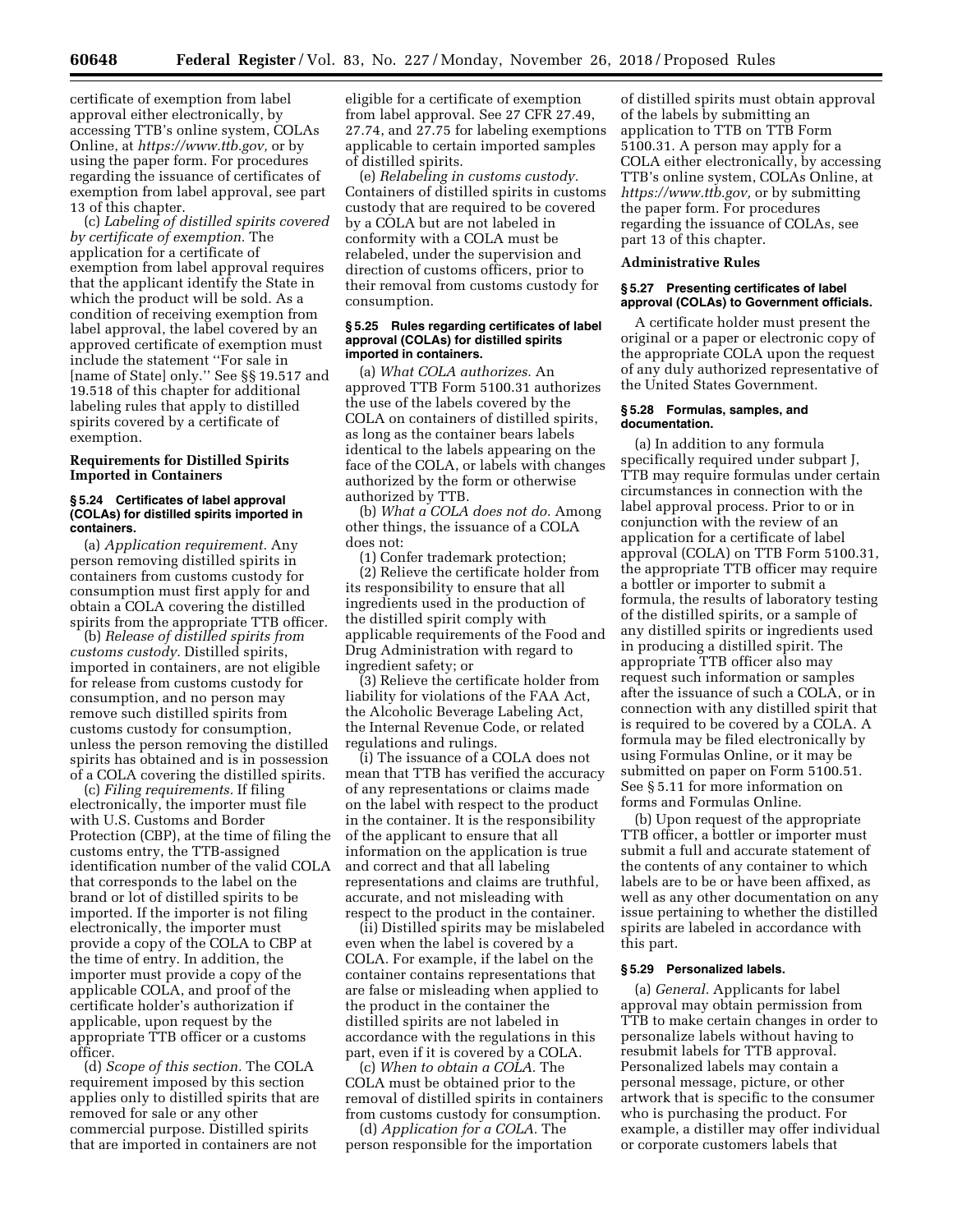certificate of exemption from label approval either electronically, by accessing TTB's online system, COLAs Online, at *[https://www.ttb.gov,](https://www.ttb.gov)* or by using the paper form. For procedures regarding the issuance of certificates of exemption from label approval, see part 13 of this chapter.

(c) *Labeling of distilled spirits covered by certificate of exemption.* The application for a certificate of exemption from label approval requires that the applicant identify the State in which the product will be sold. As a condition of receiving exemption from label approval, the label covered by an approved certificate of exemption must include the statement ''For sale in [name of State] only.'' See §§ 19.517 and 19.518 of this chapter for additional labeling rules that apply to distilled spirits covered by a certificate of exemption.

# **Requirements for Distilled Spirits Imported in Containers**

## **§ 5.24 Certificates of label approval (COLAs) for distilled spirits imported in containers.**

(a) *Application requirement.* Any person removing distilled spirits in containers from customs custody for consumption must first apply for and obtain a COLA covering the distilled spirits from the appropriate TTB officer.

(b) *Release of distilled spirits from customs custody.* Distilled spirits, imported in containers, are not eligible for release from customs custody for consumption, and no person may remove such distilled spirits from customs custody for consumption, unless the person removing the distilled spirits has obtained and is in possession of a COLA covering the distilled spirits.

(c) *Filing requirements.* If filing electronically, the importer must file with U.S. Customs and Border Protection (CBP), at the time of filing the customs entry, the TTB-assigned identification number of the valid COLA that corresponds to the label on the brand or lot of distilled spirits to be imported. If the importer is not filing electronically, the importer must provide a copy of the COLA to CBP at the time of entry. In addition, the importer must provide a copy of the applicable COLA, and proof of the certificate holder's authorization if applicable, upon request by the appropriate TTB officer or a customs officer.

(d) *Scope of this section.* The COLA requirement imposed by this section applies only to distilled spirits that are removed for sale or any other commercial purpose. Distilled spirits that are imported in containers are not

eligible for a certificate of exemption from label approval. See 27 CFR 27.49, 27.74, and 27.75 for labeling exemptions applicable to certain imported samples of distilled spirits.

(e) *Relabeling in customs custody.*  Containers of distilled spirits in customs custody that are required to be covered by a COLA but are not labeled in conformity with a COLA must be relabeled, under the supervision and direction of customs officers, prior to their removal from customs custody for consumption.

### **§ 5.25 Rules regarding certificates of label approval (COLAs) for distilled spirits imported in containers.**

(a) *What COLA authorizes.* An approved TTB Form 5100.31 authorizes the use of the labels covered by the COLA on containers of distilled spirits, as long as the container bears labels identical to the labels appearing on the face of the COLA, or labels with changes authorized by the form or otherwise authorized by TTB.

(b) *What a COLA does not do.* Among other things, the issuance of a COLA does not:

(1) Confer trademark protection;

(2) Relieve the certificate holder from its responsibility to ensure that all ingredients used in the production of the distilled spirit comply with applicable requirements of the Food and Drug Administration with regard to ingredient safety; or

(3) Relieve the certificate holder from liability for violations of the FAA Act, the Alcoholic Beverage Labeling Act, the Internal Revenue Code, or related regulations and rulings.

(i) The issuance of a COLA does not mean that TTB has verified the accuracy of any representations or claims made on the label with respect to the product in the container. It is the responsibility of the applicant to ensure that all information on the application is true and correct and that all labeling representations and claims are truthful, accurate, and not misleading with respect to the product in the container.

(ii) Distilled spirits may be mislabeled even when the label is covered by a COLA. For example, if the label on the container contains representations that are false or misleading when applied to the product in the container the distilled spirits are not labeled in accordance with the regulations in this part, even if it is covered by a COLA.

(c) *When to obtain a COLA.* The COLA must be obtained prior to the removal of distilled spirits in containers from customs custody for consumption.

(d) *Application for a COLA.* The person responsible for the importation

of distilled spirits must obtain approval of the labels by submitting an application to TTB on TTB Form 5100.31. A person may apply for a COLA either electronically, by accessing TTB's online system, COLAs Online, at *[https://www.ttb.gov,](https://www.ttb.gov)* or by submitting the paper form. For procedures regarding the issuance of COLAs, see part 13 of this chapter.

### **Administrative Rules**

# **§ 5.27 Presenting certificates of label approval (COLAs) to Government officials.**

A certificate holder must present the original or a paper or electronic copy of the appropriate COLA upon the request of any duly authorized representative of the United States Government.

### **§ 5.28 Formulas, samples, and documentation.**

(a) In addition to any formula specifically required under subpart J, TTB may require formulas under certain circumstances in connection with the label approval process. Prior to or in conjunction with the review of an application for a certificate of label approval (COLA) on TTB Form 5100.31, the appropriate TTB officer may require a bottler or importer to submit a formula, the results of laboratory testing of the distilled spirits, or a sample of any distilled spirits or ingredients used in producing a distilled spirit. The appropriate TTB officer also may request such information or samples after the issuance of such a COLA, or in connection with any distilled spirit that is required to be covered by a COLA. A formula may be filed electronically by using Formulas Online, or it may be submitted on paper on Form 5100.51. See § 5.11 for more information on forms and Formulas Online.

(b) Upon request of the appropriate TTB officer, a bottler or importer must submit a full and accurate statement of the contents of any container to which labels are to be or have been affixed, as well as any other documentation on any issue pertaining to whether the distilled spirits are labeled in accordance with this part.

# **§ 5.29 Personalized labels.**

(a) *General.* Applicants for label approval may obtain permission from TTB to make certain changes in order to personalize labels without having to resubmit labels for TTB approval. Personalized labels may contain a personal message, picture, or other artwork that is specific to the consumer who is purchasing the product. For example, a distiller may offer individual or corporate customers labels that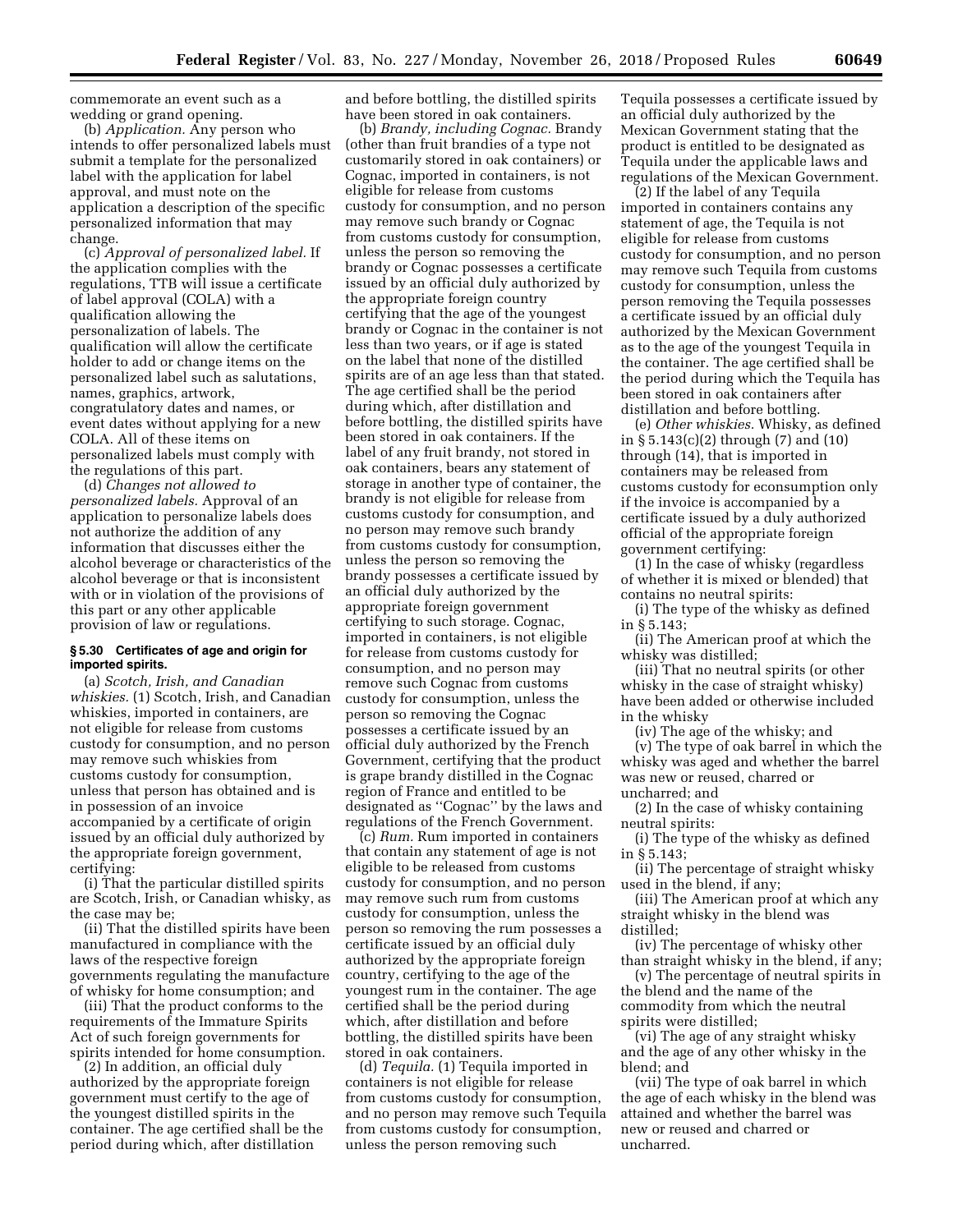commemorate an event such as a wedding or grand opening.

(b) *Application.* Any person who intends to offer personalized labels must submit a template for the personalized label with the application for label approval, and must note on the application a description of the specific personalized information that may change.

(c) *Approval of personalized label.* If the application complies with the regulations, TTB will issue a certificate of label approval (COLA) with a qualification allowing the personalization of labels. The qualification will allow the certificate holder to add or change items on the personalized label such as salutations, names, graphics, artwork, congratulatory dates and names, or event dates without applying for a new COLA. All of these items on personalized labels must comply with the regulations of this part.

(d) *Changes not allowed to personalized labels.* Approval of an application to personalize labels does not authorize the addition of any information that discusses either the alcohol beverage or characteristics of the alcohol beverage or that is inconsistent with or in violation of the provisions of this part or any other applicable provision of law or regulations.

# **§ 5.30 Certificates of age and origin for imported spirits.**

(a) *Scotch, Irish, and Canadian whiskies.* (1) Scotch, Irish, and Canadian whiskies, imported in containers, are not eligible for release from customs custody for consumption, and no person may remove such whiskies from customs custody for consumption, unless that person has obtained and is in possession of an invoice accompanied by a certificate of origin issued by an official duly authorized by the appropriate foreign government, certifying:

(i) That the particular distilled spirits are Scotch, Irish, or Canadian whisky, as the case may be;

(ii) That the distilled spirits have been manufactured in compliance with the laws of the respective foreign governments regulating the manufacture of whisky for home consumption; and

(iii) That the product conforms to the requirements of the Immature Spirits Act of such foreign governments for spirits intended for home consumption.

(2) In addition, an official duly authorized by the appropriate foreign government must certify to the age of the youngest distilled spirits in the container. The age certified shall be the period during which, after distillation

and before bottling, the distilled spirits have been stored in oak containers.

(b) *Brandy, including Cognac.* Brandy (other than fruit brandies of a type not customarily stored in oak containers) or Cognac, imported in containers, is not eligible for release from customs custody for consumption, and no person may remove such brandy or Cognac from customs custody for consumption, unless the person so removing the brandy or Cognac possesses a certificate issued by an official duly authorized by the appropriate foreign country certifying that the age of the youngest brandy or Cognac in the container is not less than two years, or if age is stated on the label that none of the distilled spirits are of an age less than that stated. The age certified shall be the period during which, after distillation and before bottling, the distilled spirits have been stored in oak containers. If the label of any fruit brandy, not stored in oak containers, bears any statement of storage in another type of container, the brandy is not eligible for release from customs custody for consumption, and no person may remove such brandy from customs custody for consumption, unless the person so removing the brandy possesses a certificate issued by an official duly authorized by the appropriate foreign government certifying to such storage. Cognac, imported in containers, is not eligible for release from customs custody for consumption, and no person may remove such Cognac from customs custody for consumption, unless the person so removing the Cognac possesses a certificate issued by an official duly authorized by the French Government, certifying that the product is grape brandy distilled in the Cognac region of France and entitled to be designated as ''Cognac'' by the laws and regulations of the French Government.

(c) *Rum.* Rum imported in containers that contain any statement of age is not eligible to be released from customs custody for consumption, and no person may remove such rum from customs custody for consumption, unless the person so removing the rum possesses a certificate issued by an official duly authorized by the appropriate foreign country, certifying to the age of the youngest rum in the container. The age certified shall be the period during which, after distillation and before bottling, the distilled spirits have been stored in oak containers.

(d) *Tequila.* (1) Tequila imported in containers is not eligible for release from customs custody for consumption, and no person may remove such Tequila from customs custody for consumption, unless the person removing such

Tequila possesses a certificate issued by an official duly authorized by the Mexican Government stating that the product is entitled to be designated as Tequila under the applicable laws and regulations of the Mexican Government.

(2) If the label of any Tequila imported in containers contains any statement of age, the Tequila is not eligible for release from customs custody for consumption, and no person may remove such Tequila from customs custody for consumption, unless the person removing the Tequila possesses a certificate issued by an official duly authorized by the Mexican Government as to the age of the youngest Tequila in the container. The age certified shall be the period during which the Tequila has been stored in oak containers after distillation and before bottling.

(e) *Other whiskies.* Whisky, as defined in § 5.143(c)(2) through (7) and (10) through (14), that is imported in containers may be released from customs custody for econsumption only if the invoice is accompanied by a certificate issued by a duly authorized official of the appropriate foreign government certifying:

(1) In the case of whisky (regardless of whether it is mixed or blended) that contains no neutral spirits:

(i) The type of the whisky as defined in § 5.143;

(ii) The American proof at which the whisky was distilled;

(iii) That no neutral spirits (or other whisky in the case of straight whisky) have been added or otherwise included in the whisky

(iv) The age of the whisky; and

(v) The type of oak barrel in which the whisky was aged and whether the barrel was new or reused, charred or uncharred; and

(2) In the case of whisky containing neutral spirits:

(i) The type of the whisky as defined in § 5.143;

(ii) The percentage of straight whisky used in the blend, if any;

(iii) The American proof at which any straight whisky in the blend was distilled;

(iv) The percentage of whisky other than straight whisky in the blend, if any;

(v) The percentage of neutral spirits in the blend and the name of the commodity from which the neutral spirits were distilled;

(vi) The age of any straight whisky and the age of any other whisky in the blend; and

(vii) The type of oak barrel in which the age of each whisky in the blend was attained and whether the barrel was new or reused and charred or uncharred.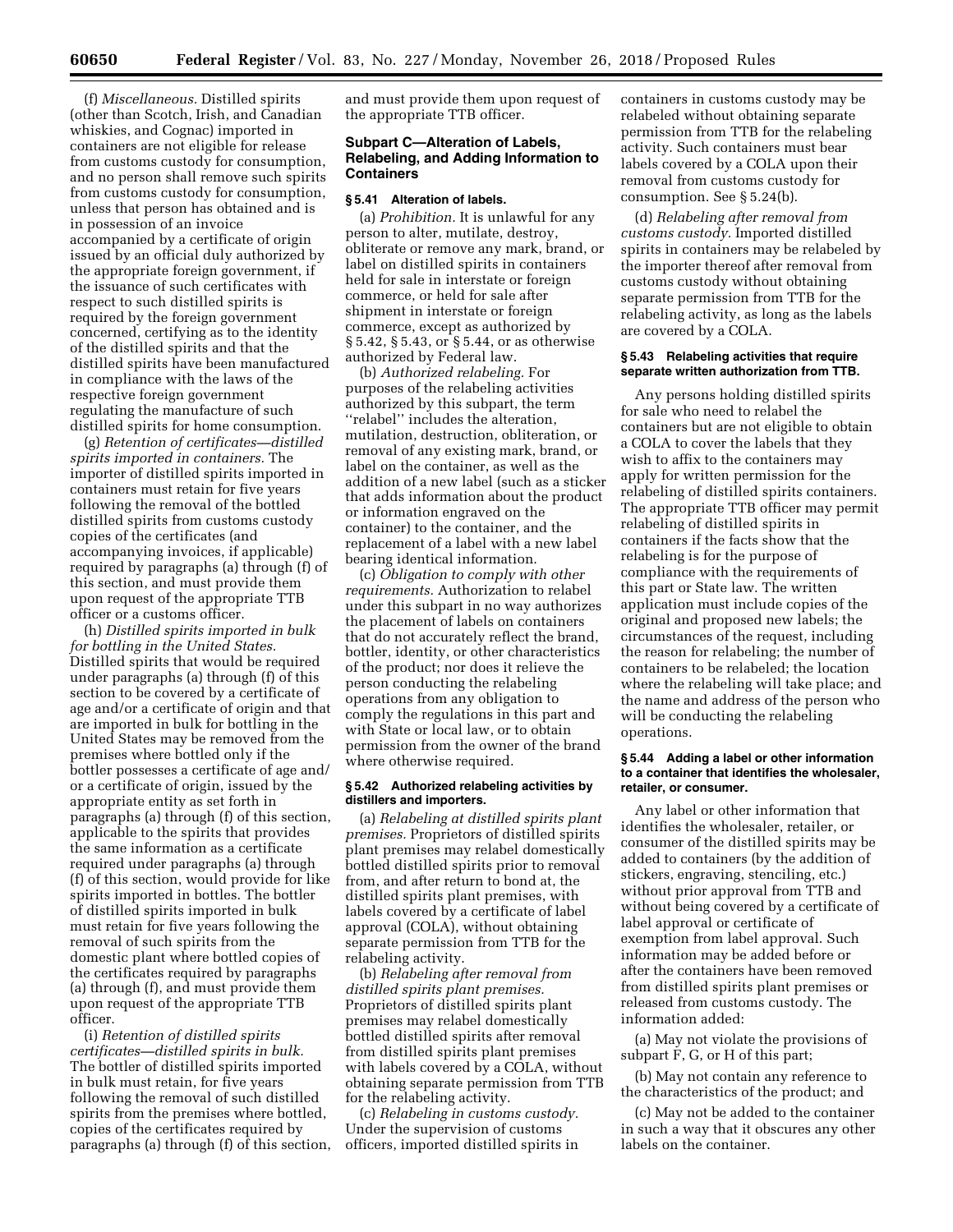(f) *Miscellaneous.* Distilled spirits (other than Scotch, Irish, and Canadian whiskies, and Cognac) imported in containers are not eligible for release from customs custody for consumption, and no person shall remove such spirits from customs custody for consumption, unless that person has obtained and is in possession of an invoice accompanied by a certificate of origin issued by an official duly authorized by the appropriate foreign government, if the issuance of such certificates with respect to such distilled spirits is required by the foreign government concerned, certifying as to the identity of the distilled spirits and that the distilled spirits have been manufactured in compliance with the laws of the respective foreign government regulating the manufacture of such distilled spirits for home consumption.

(g) *Retention of certificates—distilled spirits imported in containers.* The importer of distilled spirits imported in containers must retain for five years following the removal of the bottled distilled spirits from customs custody copies of the certificates (and accompanying invoices, if applicable) required by paragraphs (a) through (f) of this section, and must provide them upon request of the appropriate TTB officer or a customs officer.

(h) *Distilled spirits imported in bulk for bottling in the United States.*  Distilled spirits that would be required under paragraphs (a) through (f) of this section to be covered by a certificate of age and/or a certificate of origin and that are imported in bulk for bottling in the United States may be removed from the premises where bottled only if the bottler possesses a certificate of age and/ or a certificate of origin, issued by the appropriate entity as set forth in paragraphs (a) through (f) of this section, applicable to the spirits that provides the same information as a certificate required under paragraphs (a) through (f) of this section, would provide for like spirits imported in bottles. The bottler of distilled spirits imported in bulk must retain for five years following the removal of such spirits from the domestic plant where bottled copies of the certificates required by paragraphs (a) through (f), and must provide them upon request of the appropriate TTB officer.

(i) *Retention of distilled spirits certificates—distilled spirits in bulk.*  The bottler of distilled spirits imported in bulk must retain, for five years following the removal of such distilled spirits from the premises where bottled, copies of the certificates required by paragraphs (a) through (f) of this section, and must provide them upon request of the appropriate TTB officer.

# **Subpart C—Alteration of Labels, Relabeling, and Adding Information to Containers**

#### **§ 5.41 Alteration of labels.**

(a) *Prohibition.* It is unlawful for any person to alter, mutilate, destroy, obliterate or remove any mark, brand, or label on distilled spirits in containers held for sale in interstate or foreign commerce, or held for sale after shipment in interstate or foreign commerce, except as authorized by § 5.42, § 5.43, or § 5.44, or as otherwise authorized by Federal law.

(b) *Authorized relabeling.* For purposes of the relabeling activities authorized by this subpart, the term ''relabel'' includes the alteration, mutilation, destruction, obliteration, or removal of any existing mark, brand, or label on the container, as well as the addition of a new label (such as a sticker that adds information about the product or information engraved on the container) to the container, and the replacement of a label with a new label bearing identical information.

(c) *Obligation to comply with other requirements.* Authorization to relabel under this subpart in no way authorizes the placement of labels on containers that do not accurately reflect the brand, bottler, identity, or other characteristics of the product; nor does it relieve the person conducting the relabeling operations from any obligation to comply the regulations in this part and with State or local law, or to obtain permission from the owner of the brand where otherwise required.

#### **§ 5.42 Authorized relabeling activities by distillers and importers.**

(a) *Relabeling at distilled spirits plant premises.* Proprietors of distilled spirits plant premises may relabel domestically bottled distilled spirits prior to removal from, and after return to bond at, the distilled spirits plant premises, with labels covered by a certificate of label approval (COLA), without obtaining separate permission from TTB for the relabeling activity.

(b) *Relabeling after removal from distilled spirits plant premises.*  Proprietors of distilled spirits plant premises may relabel domestically bottled distilled spirits after removal from distilled spirits plant premises with labels covered by a COLA, without obtaining separate permission from TTB for the relabeling activity.

(c) *Relabeling in customs custody.*  Under the supervision of customs officers, imported distilled spirits in containers in customs custody may be relabeled without obtaining separate permission from TTB for the relabeling activity. Such containers must bear labels covered by a COLA upon their removal from customs custody for consumption. See § 5.24(b).

(d) *Relabeling after removal from customs custody.* Imported distilled spirits in containers may be relabeled by the importer thereof after removal from customs custody without obtaining separate permission from TTB for the relabeling activity, as long as the labels are covered by a COLA.

# **§ 5.43 Relabeling activities that require separate written authorization from TTB.**

Any persons holding distilled spirits for sale who need to relabel the containers but are not eligible to obtain a COLA to cover the labels that they wish to affix to the containers may apply for written permission for the relabeling of distilled spirits containers. The appropriate TTB officer may permit relabeling of distilled spirits in containers if the facts show that the relabeling is for the purpose of compliance with the requirements of this part or State law. The written application must include copies of the original and proposed new labels; the circumstances of the request, including the reason for relabeling; the number of containers to be relabeled; the location where the relabeling will take place; and the name and address of the person who will be conducting the relabeling operations.

# **§ 5.44 Adding a label or other information to a container that identifies the wholesaler, retailer, or consumer.**

Any label or other information that identifies the wholesaler, retailer, or consumer of the distilled spirits may be added to containers (by the addition of stickers, engraving, stenciling, etc.) without prior approval from TTB and without being covered by a certificate of label approval or certificate of exemption from label approval. Such information may be added before or after the containers have been removed from distilled spirits plant premises or released from customs custody. The information added:

(a) May not violate the provisions of subpart F, G, or H of this part;

(b) May not contain any reference to the characteristics of the product; and

(c) May not be added to the container in such a way that it obscures any other labels on the container.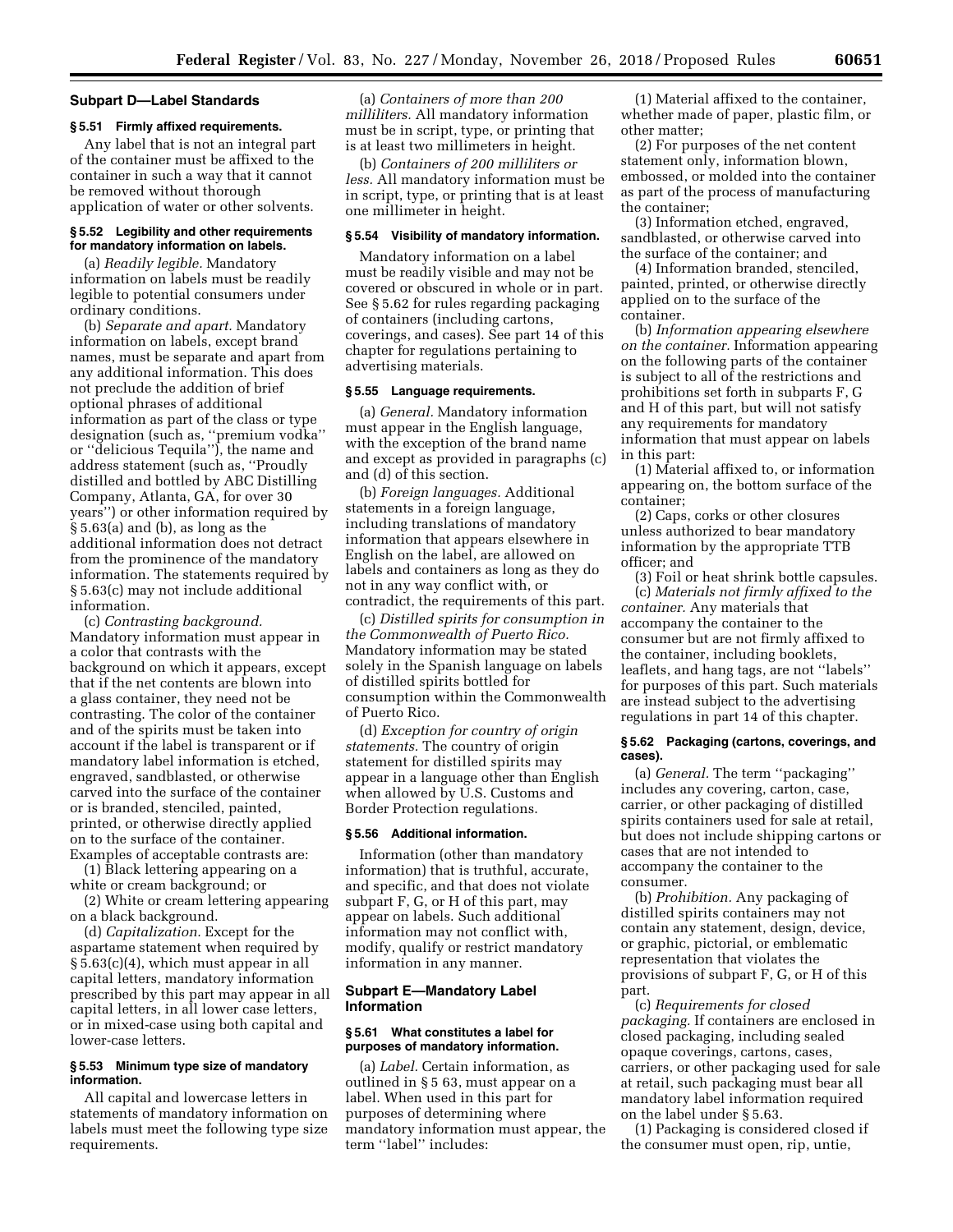# **Subpart D—Label Standards**

# **§ 5.51 Firmly affixed requirements.**

Any label that is not an integral part of the container must be affixed to the container in such a way that it cannot be removed without thorough application of water or other solvents.

# **§ 5.52 Legibility and other requirements for mandatory information on labels.**

(a) *Readily legible.* Mandatory information on labels must be readily legible to potential consumers under ordinary conditions.

(b) *Separate and apart.* Mandatory information on labels, except brand names, must be separate and apart from any additional information. This does not preclude the addition of brief optional phrases of additional information as part of the class or type designation (such as, ''premium vodka'' or ''delicious Tequila''), the name and address statement (such as, ''Proudly distilled and bottled by ABC Distilling Company, Atlanta, GA, for over 30 years'') or other information required by § 5.63(a) and (b), as long as the additional information does not detract from the prominence of the mandatory information. The statements required by § 5.63(c) may not include additional information.

(c) *Contrasting background.*  Mandatory information must appear in a color that contrasts with the background on which it appears, except that if the net contents are blown into a glass container, they need not be contrasting. The color of the container and of the spirits must be taken into account if the label is transparent or if mandatory label information is etched, engraved, sandblasted, or otherwise carved into the surface of the container or is branded, stenciled, painted, printed, or otherwise directly applied on to the surface of the container. Examples of acceptable contrasts are:

(1) Black lettering appearing on a white or cream background; or

(2) White or cream lettering appearing on a black background.

(d) *Capitalization.* Except for the aspartame statement when required by § 5.63(c)(4), which must appear in all capital letters, mandatory information prescribed by this part may appear in all capital letters, in all lower case letters, or in mixed-case using both capital and lower-case letters.

# **§ 5.53 Minimum type size of mandatory information.**

All capital and lowercase letters in statements of mandatory information on labels must meet the following type size requirements.

(a) *Containers of more than 200 milliliters.* All mandatory information must be in script, type, or printing that is at least two millimeters in height.

(b) *Containers of 200 milliliters or less.* All mandatory information must be in script, type, or printing that is at least one millimeter in height.

### **§ 5.54 Visibility of mandatory information.**

Mandatory information on a label must be readily visible and may not be covered or obscured in whole or in part. See § 5.62 for rules regarding packaging of containers (including cartons, coverings, and cases). See part 14 of this chapter for regulations pertaining to advertising materials.

# **§ 5.55 Language requirements.**

(a) *General.* Mandatory information must appear in the English language, with the exception of the brand name and except as provided in paragraphs (c) and (d) of this section.

(b) *Foreign languages.* Additional statements in a foreign language, including translations of mandatory information that appears elsewhere in English on the label, are allowed on labels and containers as long as they do not in any way conflict with, or contradict, the requirements of this part.

(c) *Distilled spirits for consumption in the Commonwealth of Puerto Rico.*  Mandatory information may be stated solely in the Spanish language on labels of distilled spirits bottled for consumption within the Commonwealth of Puerto Rico.

(d) *Exception for country of origin statements.* The country of origin statement for distilled spirits may appear in a language other than English when allowed by U.S. Customs and Border Protection regulations.

### **§ 5.56 Additional information.**

Information (other than mandatory information) that is truthful, accurate, and specific, and that does not violate subpart F, G, or H of this part, may appear on labels. Such additional information may not conflict with, modify, qualify or restrict mandatory information in any manner.

# **Subpart E—Mandatory Label Information**

### **§ 5.61 What constitutes a label for purposes of mandatory information.**

(a) *Label.* Certain information, as outlined in § 5 63, must appear on a label. When used in this part for purposes of determining where mandatory information must appear, the term ''label'' includes:

(1) Material affixed to the container, whether made of paper, plastic film, or other matter;

(2) For purposes of the net content statement only, information blown, embossed, or molded into the container as part of the process of manufacturing the container;

(3) Information etched, engraved, sandblasted, or otherwise carved into the surface of the container; and

(4) Information branded, stenciled, painted, printed, or otherwise directly applied on to the surface of the container.

(b) *Information appearing elsewhere on the container.* Information appearing on the following parts of the container is subject to all of the restrictions and prohibitions set forth in subparts F, G and H of this part, but will not satisfy any requirements for mandatory information that must appear on labels in this part:

(1) Material affixed to, or information appearing on, the bottom surface of the container;

(2) Caps, corks or other closures unless authorized to bear mandatory information by the appropriate TTB officer; and

(3) Foil or heat shrink bottle capsules. (c) *Materials not firmly affixed to the container.* Any materials that accompany the container to the consumer but are not firmly affixed to the container, including booklets, leaflets, and hang tags, are not ''labels'' for purposes of this part. Such materials are instead subject to the advertising

### **§ 5.62 Packaging (cartons, coverings, and cases).**

regulations in part 14 of this chapter.

(a) *General.* The term ''packaging'' includes any covering, carton, case, carrier, or other packaging of distilled spirits containers used for sale at retail, but does not include shipping cartons or cases that are not intended to accompany the container to the consumer.

(b) *Prohibition.* Any packaging of distilled spirits containers may not contain any statement, design, device, or graphic, pictorial, or emblematic representation that violates the provisions of subpart F, G, or H of this part.

(c) *Requirements for closed packaging.* If containers are enclosed in closed packaging, including sealed opaque coverings, cartons, cases, carriers, or other packaging used for sale at retail, such packaging must bear all mandatory label information required on the label under § 5.63.

(1) Packaging is considered closed if the consumer must open, rip, untie,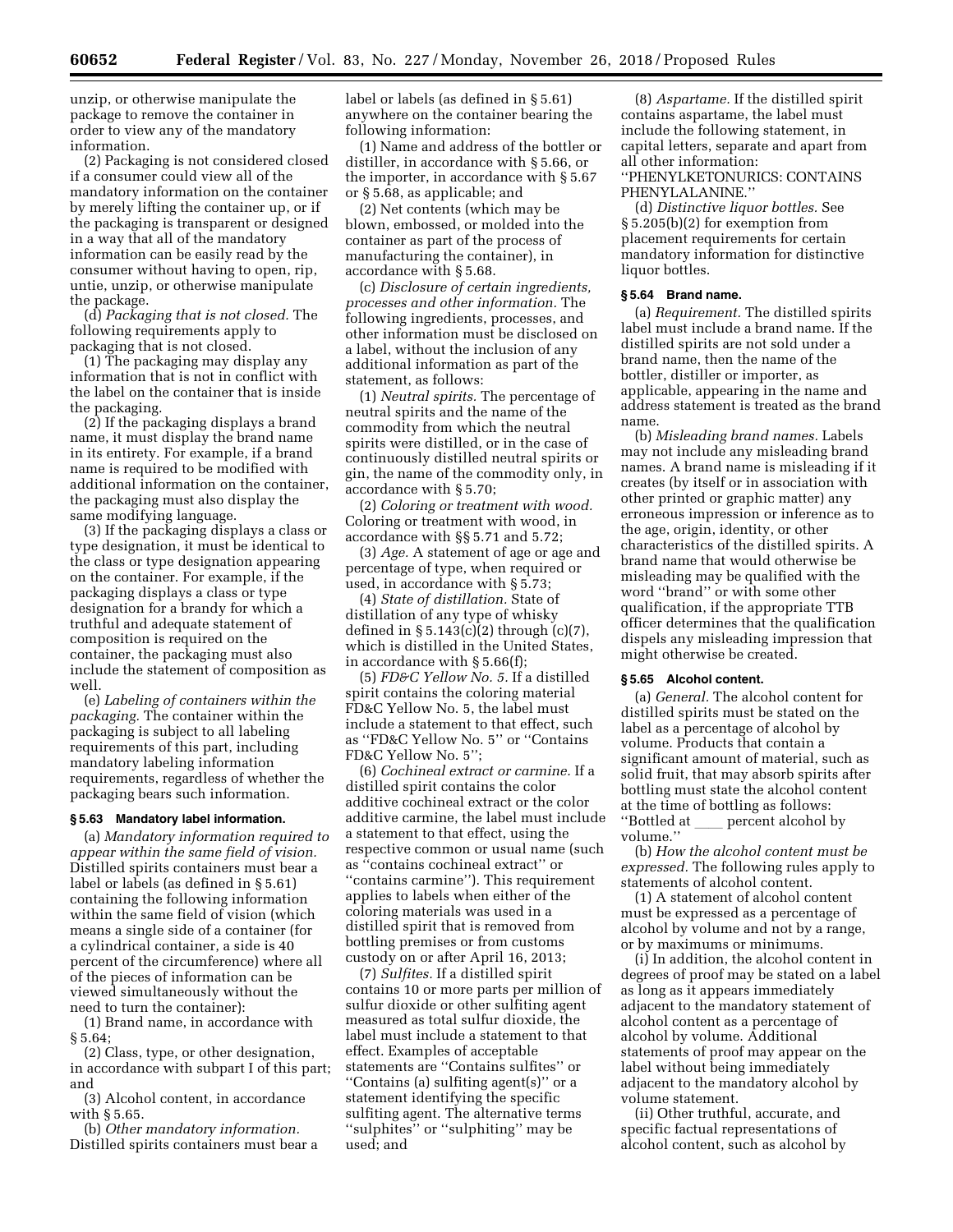unzip, or otherwise manipulate the package to remove the container in order to view any of the mandatory information.

(2) Packaging is not considered closed if a consumer could view all of the mandatory information on the container by merely lifting the container up, or if the packaging is transparent or designed in a way that all of the mandatory information can be easily read by the consumer without having to open, rip, untie, unzip, or otherwise manipulate the package.

(d) *Packaging that is not closed.* The following requirements apply to packaging that is not closed.

(1) The packaging may display any information that is not in conflict with the label on the container that is inside the packaging.

(2) If the packaging displays a brand name, it must display the brand name in its entirety. For example, if a brand name is required to be modified with additional information on the container, the packaging must also display the same modifying language.

(3) If the packaging displays a class or type designation, it must be identical to the class or type designation appearing on the container. For example, if the packaging displays a class or type designation for a brandy for which a truthful and adequate statement of composition is required on the container, the packaging must also include the statement of composition as well.

(e) *Labeling of containers within the packaging.* The container within the packaging is subject to all labeling requirements of this part, including mandatory labeling information requirements, regardless of whether the packaging bears such information.

#### **§ 5.63 Mandatory label information.**

(a) *Mandatory information required to appear within the same field of vision.*  Distilled spirits containers must bear a label or labels (as defined in § 5.61) containing the following information within the same field of vision (which means a single side of a container (for a cylindrical container, a side is 40 percent of the circumference) where all of the pieces of information can be viewed simultaneously without the need to turn the container):

(1) Brand name, in accordance with § 5.64;

(2) Class, type, or other designation, in accordance with subpart I of this part; and

(3) Alcohol content, in accordance with § 5.65.

(b) *Other mandatory information.*  Distilled spirits containers must bear a label or labels (as defined in § 5.61) anywhere on the container bearing the following information:

(1) Name and address of the bottler or distiller, in accordance with § 5.66, or the importer, in accordance with § 5.67 or § 5.68, as applicable; and

(2) Net contents (which may be blown, embossed, or molded into the container as part of the process of manufacturing the container), in accordance with § 5.68.

(c) *Disclosure of certain ingredients, processes and other information.* The following ingredients, processes, and other information must be disclosed on a label, without the inclusion of any additional information as part of the statement, as follows:

(1) *Neutral spirits.* The percentage of neutral spirits and the name of the commodity from which the neutral spirits were distilled, or in the case of continuously distilled neutral spirits or gin, the name of the commodity only, in accordance with § 5.70;

(2) *Coloring or treatment with wood.*  Coloring or treatment with wood, in accordance with §§ 5.71 and 5.72;

(3) *Age.* A statement of age or age and percentage of type, when required or used, in accordance with § 5.73;

(4) *State of distillation.* State of distillation of any type of whisky defined in  $\S 5.143(c)(2)$  through  $(c)(7)$ , which is distilled in the United States, in accordance with § 5.66(f);

(5) *FD&C Yellow No. 5.* If a distilled spirit contains the coloring material FD&C Yellow No. 5, the label must include a statement to that effect, such as ''FD&C Yellow No. 5'' or ''Contains FD&C Yellow No. 5'';

(6) *Cochineal extract or carmine.* If a distilled spirit contains the color additive cochineal extract or the color additive carmine, the label must include a statement to that effect, using the respective common or usual name (such as ''contains cochineal extract'' or ''contains carmine''). This requirement applies to labels when either of the coloring materials was used in a distilled spirit that is removed from bottling premises or from customs custody on or after April 16, 2013;

(7) *Sulfites.* If a distilled spirit contains 10 or more parts per million of sulfur dioxide or other sulfiting agent measured as total sulfur dioxide, the label must include a statement to that effect. Examples of acceptable statements are ''Contains sulfites'' or ''Contains (a) sulfiting agent(s)'' or a statement identifying the specific sulfiting agent. The alternative terms ''sulphites'' or ''sulphiting'' may be used; and

(8) *Aspartame.* If the distilled spirit contains aspartame, the label must include the following statement, in capital letters, separate and apart from all other information: ''PHENYLKETONURICS: CONTAINS

PHENYLALANINE.''

(d) *Distinctive liquor bottles.* See § 5.205(b)(2) for exemption from placement requirements for certain mandatory information for distinctive liquor bottles.

#### **§ 5.64 Brand name.**

(a) *Requirement.* The distilled spirits label must include a brand name. If the distilled spirits are not sold under a brand name, then the name of the bottler, distiller or importer, as applicable, appearing in the name and address statement is treated as the brand name.

(b) *Misleading brand names.* Labels may not include any misleading brand names. A brand name is misleading if it creates (by itself or in association with other printed or graphic matter) any erroneous impression or inference as to the age, origin, identity, or other characteristics of the distilled spirits. A brand name that would otherwise be misleading may be qualified with the word ''brand'' or with some other qualification, if the appropriate TTB officer determines that the qualification dispels any misleading impression that might otherwise be created.

#### **§ 5.65 Alcohol content.**

(a) *General.* The alcohol content for distilled spirits must be stated on the label as a percentage of alcohol by volume. Products that contain a significant amount of material, such as solid fruit, that may absorb spirits after bottling must state the alcohol content at the time of bottling as follows: "Bottled at percent alcohol by volume.''

(b) *How the alcohol content must be expressed.* The following rules apply to statements of alcohol content.

(1) A statement of alcohol content must be expressed as a percentage of alcohol by volume and not by a range, or by maximums or minimums.

(i) In addition, the alcohol content in degrees of proof may be stated on a label as long as it appears immediately adjacent to the mandatory statement of alcohol content as a percentage of alcohol by volume. Additional statements of proof may appear on the label without being immediately adjacent to the mandatory alcohol by volume statement.

(ii) Other truthful, accurate, and specific factual representations of alcohol content, such as alcohol by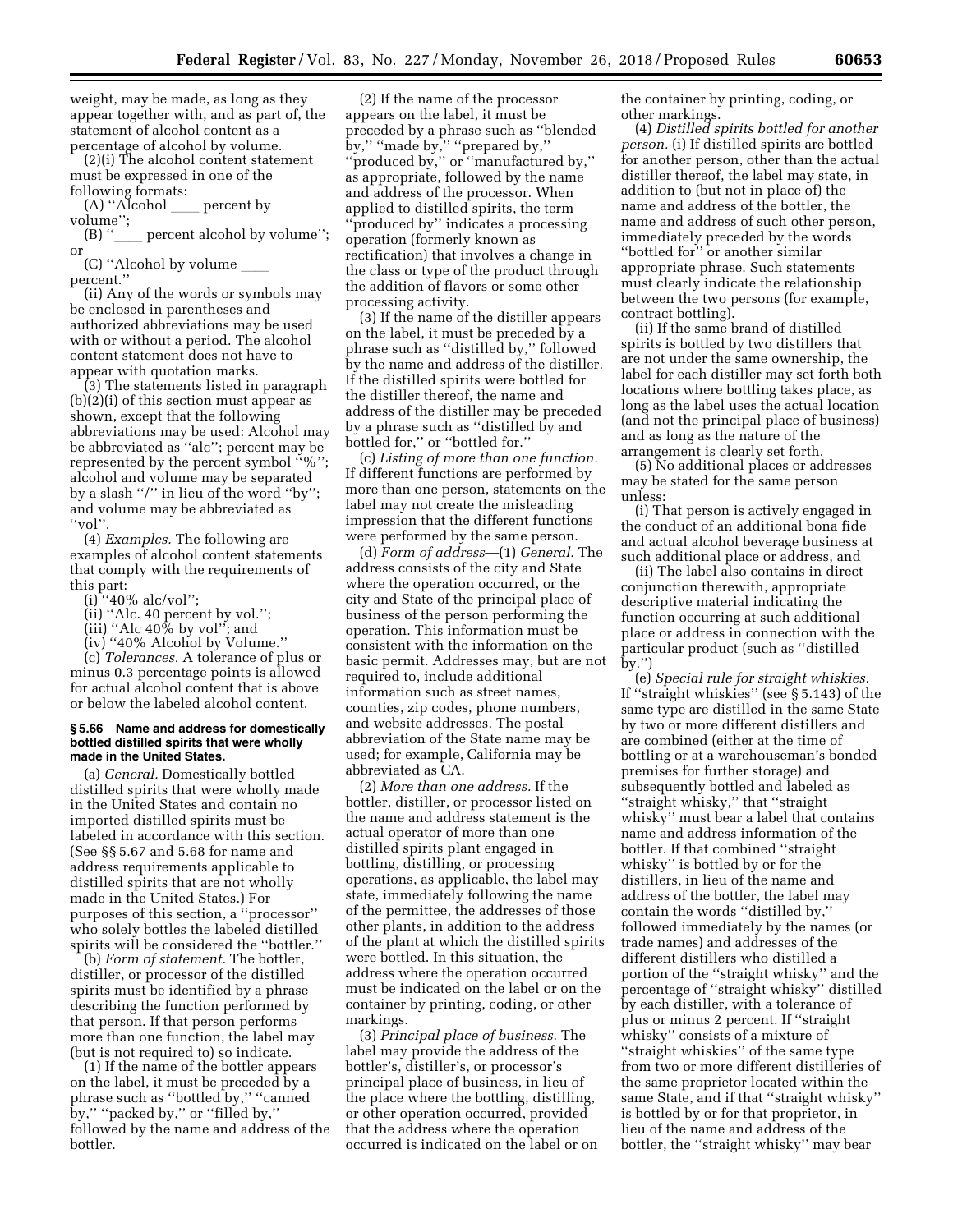weight, may be made, as long as they appear together with, and as part of, the statement of alcohol content as a percentage of alcohol by volume.

(2)(i) The alcohol content statement must be expressed in one of the following formats:

 $(A)$  "Alcohol  $\qquad \qquad$  percent by

volume";<br>(B) " percent alcohol by volume"; or

(C) "Alcohol by volume percent.''

(ii) Any of the words or symbols may be enclosed in parentheses and authorized abbreviations may be used with or without a period. The alcohol content statement does not have to appear with quotation marks.

(3) The statements listed in paragraph (b)(2)(i) of this section must appear as shown, except that the following abbreviations may be used: Alcohol may be abbreviated as ''alc''; percent may be represented by the percent symbol ''%''; alcohol and volume may be separated by a slash ''/'' in lieu of the word ''by''; and volume may be abbreviated as ''vol''.

(4) *Examples.* The following are examples of alcohol content statements that comply with the requirements of this part:

 $(i)$ <sup>"</sup>'40% alc/vol";

(ii) ''Alc. 40 percent by vol.'';

 $(iii)$  "Alc 40% by vol"; and

(iv) ''40% Alcohol by Volume.''

(c) *Tolerances.* A tolerance of plus or minus 0.3 percentage points is allowed for actual alcohol content that is above or below the labeled alcohol content.

#### **§ 5.66 Name and address for domestically bottled distilled spirits that were wholly made in the United States.**

(a) *General.* Domestically bottled distilled spirits that were wholly made in the United States and contain no imported distilled spirits must be labeled in accordance with this section. (See §§ 5.67 and 5.68 for name and address requirements applicable to distilled spirits that are not wholly made in the United States.) For purposes of this section, a ''processor'' who solely bottles the labeled distilled spirits will be considered the ''bottler.''

(b) *Form of statement.* The bottler, distiller, or processor of the distilled spirits must be identified by a phrase describing the function performed by that person. If that person performs more than one function, the label may (but is not required to) so indicate.

(1) If the name of the bottler appears on the label, it must be preceded by a phrase such as ''bottled by,'' ''canned by," "packed by," or "filled by," followed by the name and address of the bottler.

(2) If the name of the processor appears on the label, it must be preceded by a phrase such as ''blended by,'' ''made by,'' ''prepared by,'' ''produced by,'' or ''manufactured by,'' as appropriate, followed by the name and address of the processor. When applied to distilled spirits, the term ''produced by'' indicates a processing operation (formerly known as rectification) that involves a change in the class or type of the product through the addition of flavors or some other processing activity.

(3) If the name of the distiller appears on the label, it must be preceded by a phrase such as ''distilled by,'' followed by the name and address of the distiller. If the distilled spirits were bottled for the distiller thereof, the name and address of the distiller may be preceded by a phrase such as ''distilled by and bottled for,'' or ''bottled for.''

(c) *Listing of more than one function.*  If different functions are performed by more than one person, statements on the label may not create the misleading impression that the different functions were performed by the same person.

(d) *Form of address*—(1) *General.* The address consists of the city and State where the operation occurred, or the city and State of the principal place of business of the person performing the operation. This information must be consistent with the information on the basic permit. Addresses may, but are not required to, include additional information such as street names, counties, zip codes, phone numbers, and website addresses. The postal abbreviation of the State name may be used; for example, California may be abbreviated as CA.

(2) *More than one address.* If the bottler, distiller, or processor listed on the name and address statement is the actual operator of more than one distilled spirits plant engaged in bottling, distilling, or processing operations, as applicable, the label may state, immediately following the name of the permittee, the addresses of those other plants, in addition to the address of the plant at which the distilled spirits were bottled. In this situation, the address where the operation occurred must be indicated on the label or on the container by printing, coding, or other markings.

(3) *Principal place of business.* The label may provide the address of the bottler's, distiller's, or processor's principal place of business, in lieu of the place where the bottling, distilling, or other operation occurred, provided that the address where the operation occurred is indicated on the label or on the container by printing, coding, or other markings.

(4) *Distilled spirits bottled for another person.* (i) If distilled spirits are bottled for another person, other than the actual distiller thereof, the label may state, in addition to (but not in place of) the name and address of the bottler, the name and address of such other person, immediately preceded by the words ''bottled for'' or another similar appropriate phrase. Such statements must clearly indicate the relationship between the two persons (for example, contract bottling).

(ii) If the same brand of distilled spirits is bottled by two distillers that are not under the same ownership, the label for each distiller may set forth both locations where bottling takes place, as long as the label uses the actual location (and not the principal place of business) and as long as the nature of the arrangement is clearly set forth.

(5) No additional places or addresses may be stated for the same person unless:

(i) That person is actively engaged in the conduct of an additional bona fide and actual alcohol beverage business at such additional place or address, and

(ii) The label also contains in direct conjunction therewith, appropriate descriptive material indicating the function occurring at such additional place or address in connection with the particular product (such as ''distilled by.'')

(e) *Special rule for straight whiskies.*  If ''straight whiskies'' (see § 5.143) of the same type are distilled in the same State by two or more different distillers and are combined (either at the time of bottling or at a warehouseman's bonded premises for further storage) and subsequently bottled and labeled as ''straight whisky,'' that ''straight whisky'' must bear a label that contains name and address information of the bottler. If that combined ''straight whisky'' is bottled by or for the distillers, in lieu of the name and address of the bottler, the label may contain the words ''distilled by,'' followed immediately by the names (or trade names) and addresses of the different distillers who distilled a portion of the ''straight whisky'' and the percentage of ''straight whisky'' distilled by each distiller, with a tolerance of plus or minus 2 percent. If ''straight whisky'' consists of a mixture of ''straight whiskies'' of the same type from two or more different distilleries of the same proprietor located within the same State, and if that ''straight whisky'' is bottled by or for that proprietor, in lieu of the name and address of the bottler, the ''straight whisky'' may bear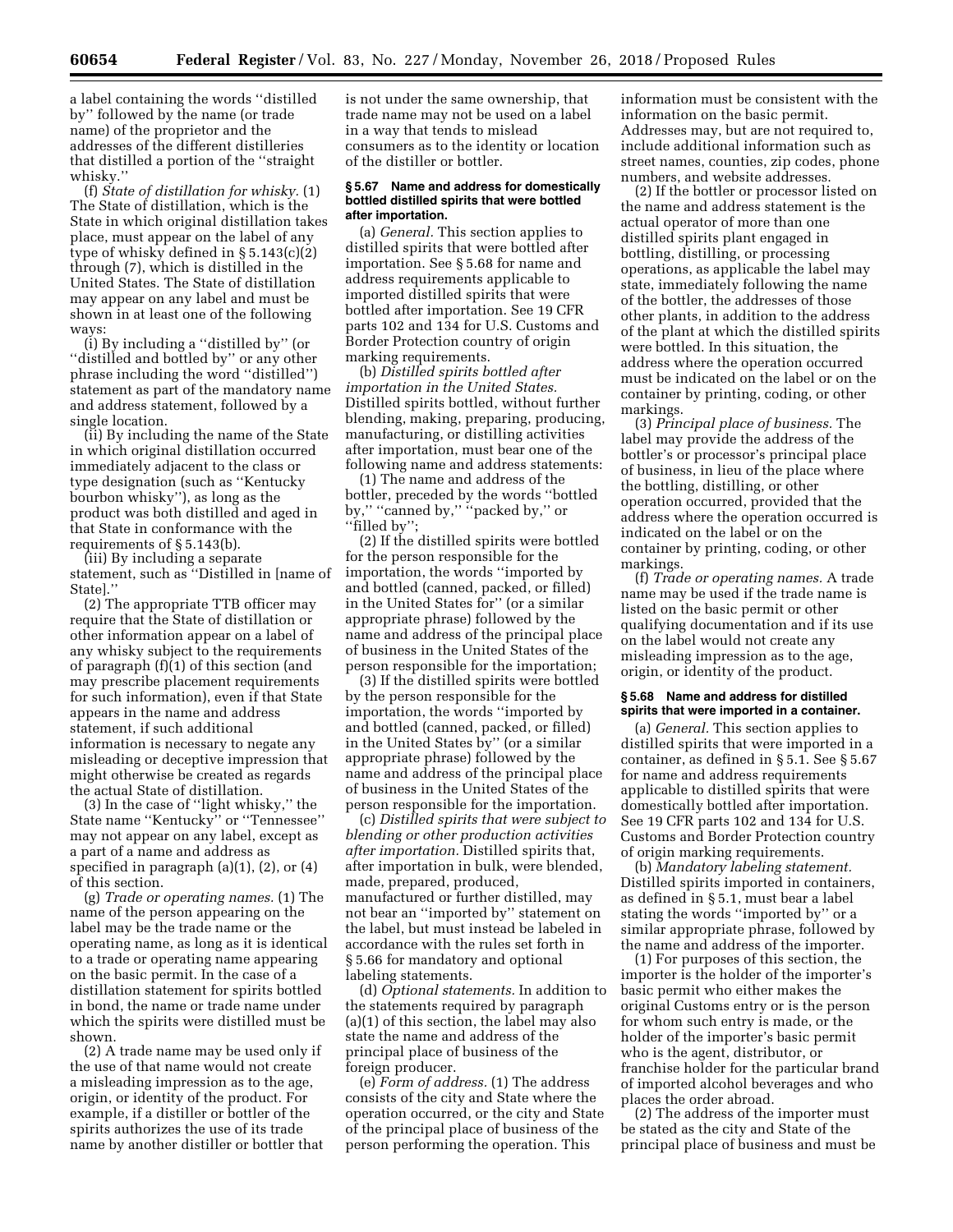a label containing the words ''distilled by'' followed by the name (or trade name) of the proprietor and the addresses of the different distilleries that distilled a portion of the ''straight whisky.''

(f) *State of distillation for whisky.* (1) The State of distillation, which is the State in which original distillation takes place, must appear on the label of any type of whisky defined in § 5.143(c)(2) through (7), which is distilled in the United States. The State of distillation may appear on any label and must be shown in at least one of the following ways:

(i) By including a ''distilled by'' (or ''distilled and bottled by'' or any other phrase including the word ''distilled'') statement as part of the mandatory name and address statement, followed by a single location.

(ii) By including the name of the State in which original distillation occurred immediately adjacent to the class or type designation (such as ''Kentucky bourbon whisky''), as long as the product was both distilled and aged in that State in conformance with the requirements of § 5.143(b).

(iii) By including a separate statement, such as ''Distilled in [name of State].''

(2) The appropriate TTB officer may require that the State of distillation or other information appear on a label of any whisky subject to the requirements of paragraph (f)(1) of this section (and may prescribe placement requirements for such information), even if that State appears in the name and address statement, if such additional information is necessary to negate any misleading or deceptive impression that might otherwise be created as regards the actual State of distillation.

(3) In the case of ''light whisky,'' the State name ''Kentucky'' or ''Tennessee'' may not appear on any label, except as a part of a name and address as specified in paragraph  $(a)(1)$ ,  $(2)$ , or  $(4)$ of this section.

(g) *Trade or operating names.* (1) The name of the person appearing on the label may be the trade name or the operating name, as long as it is identical to a trade or operating name appearing on the basic permit. In the case of a distillation statement for spirits bottled in bond, the name or trade name under which the spirits were distilled must be shown.

(2) A trade name may be used only if the use of that name would not create a misleading impression as to the age, origin, or identity of the product. For example, if a distiller or bottler of the spirits authorizes the use of its trade name by another distiller or bottler that is not under the same ownership, that trade name may not be used on a label in a way that tends to mislead consumers as to the identity or location of the distiller or bottler.

#### **§ 5.67 Name and address for domestically bottled distilled spirits that were bottled after importation.**

(a) *General.* This section applies to distilled spirits that were bottled after importation. See § 5.68 for name and address requirements applicable to imported distilled spirits that were bottled after importation. See 19 CFR parts 102 and 134 for U.S. Customs and Border Protection country of origin marking requirements.

(b) *Distilled spirits bottled after importation in the United States.*  Distilled spirits bottled, without further blending, making, preparing, producing, manufacturing, or distilling activities after importation, must bear one of the following name and address statements:

(1) The name and address of the bottler, preceded by the words ''bottled by," "canned by," "packed by," or ''filled by'';

(2) If the distilled spirits were bottled for the person responsible for the importation, the words ''imported by and bottled (canned, packed, or filled) in the United States for'' (or a similar appropriate phrase) followed by the name and address of the principal place of business in the United States of the person responsible for the importation;

(3) If the distilled spirits were bottled by the person responsible for the importation, the words ''imported by and bottled (canned, packed, or filled) in the United States by'' (or a similar appropriate phrase) followed by the name and address of the principal place of business in the United States of the person responsible for the importation.

(c) *Distilled spirits that were subject to blending or other production activities after importation.* Distilled spirits that, after importation in bulk, were blended, made, prepared, produced, manufactured or further distilled, may not bear an ''imported by'' statement on the label, but must instead be labeled in accordance with the rules set forth in § 5.66 for mandatory and optional labeling statements.

(d) *Optional statements.* In addition to the statements required by paragraph (a)(1) of this section, the label may also state the name and address of the principal place of business of the foreign producer.

(e) *Form of address.* (1) The address consists of the city and State where the operation occurred, or the city and State of the principal place of business of the person performing the operation. This

information must be consistent with the information on the basic permit. Addresses may, but are not required to, include additional information such as street names, counties, zip codes, phone numbers, and website addresses.

(2) If the bottler or processor listed on the name and address statement is the actual operator of more than one distilled spirits plant engaged in bottling, distilling, or processing operations, as applicable the label may state, immediately following the name of the bottler, the addresses of those other plants, in addition to the address of the plant at which the distilled spirits were bottled. In this situation, the address where the operation occurred must be indicated on the label or on the container by printing, coding, or other markings.

(3) *Principal place of business.* The label may provide the address of the bottler's or processor's principal place of business, in lieu of the place where the bottling, distilling, or other operation occurred, provided that the address where the operation occurred is indicated on the label or on the container by printing, coding, or other markings.

(f) *Trade or operating names.* A trade name may be used if the trade name is listed on the basic permit or other qualifying documentation and if its use on the label would not create any misleading impression as to the age, origin, or identity of the product.

#### **§ 5.68 Name and address for distilled spirits that were imported in a container.**

(a) *General.* This section applies to distilled spirits that were imported in a container, as defined in § 5.1. See § 5.67 for name and address requirements applicable to distilled spirits that were domestically bottled after importation. See 19 CFR parts 102 and 134 for U.S. Customs and Border Protection country of origin marking requirements.

(b) *Mandatory labeling statement.*  Distilled spirits imported in containers, as defined in § 5.1, must bear a label stating the words ''imported by'' or a similar appropriate phrase, followed by the name and address of the importer.

(1) For purposes of this section, the importer is the holder of the importer's basic permit who either makes the original Customs entry or is the person for whom such entry is made, or the holder of the importer's basic permit who is the agent, distributor, or franchise holder for the particular brand of imported alcohol beverages and who places the order abroad.

(2) The address of the importer must be stated as the city and State of the principal place of business and must be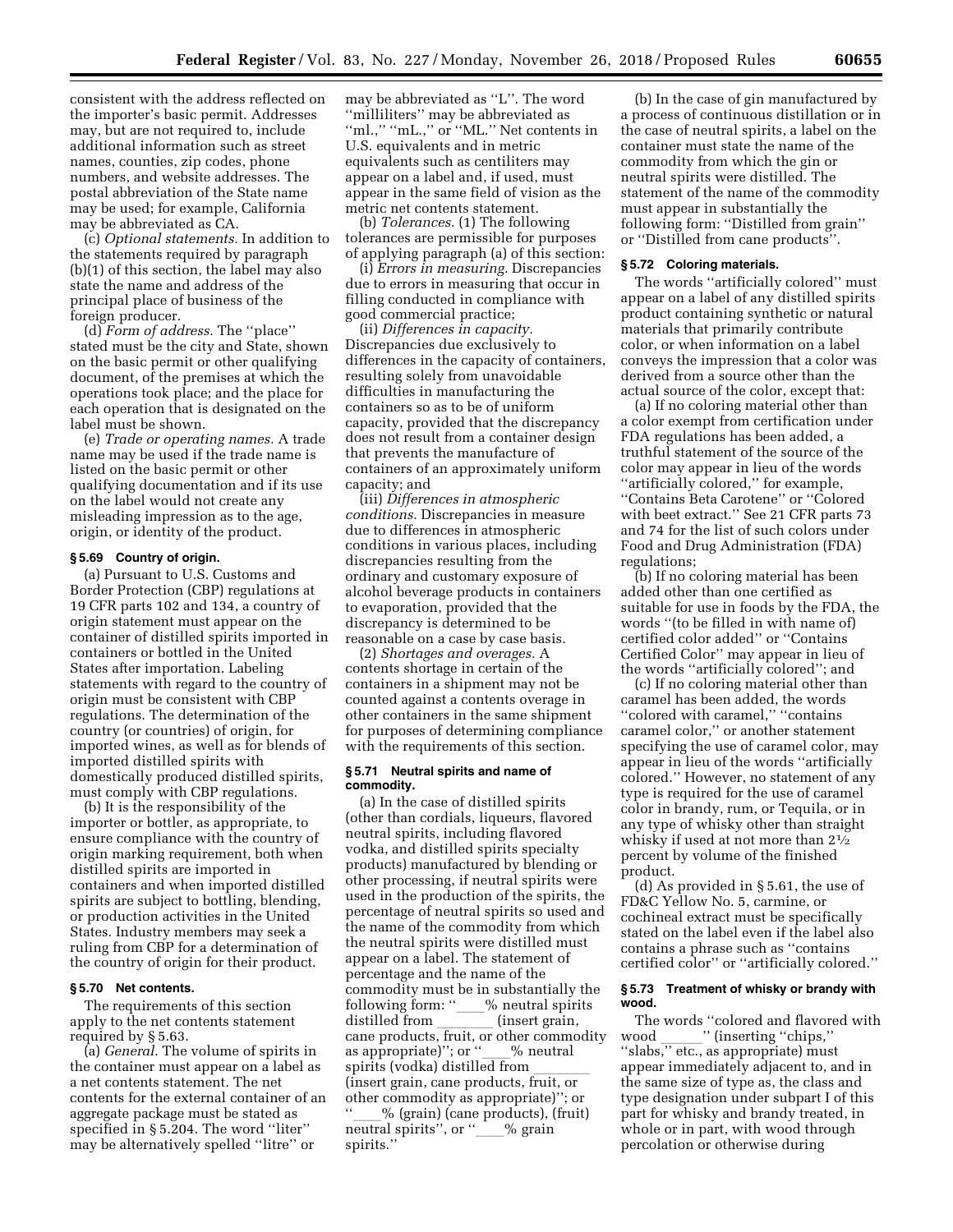consistent with the address reflected on the importer's basic permit. Addresses may, but are not required to, include additional information such as street names, counties, zip codes, phone numbers, and website addresses. The postal abbreviation of the State name may be used; for example, California may be abbreviated as CA.

(c) *Optional statements.* In addition to the statements required by paragraph (b)(1) of this section, the label may also state the name and address of the principal place of business of the foreign producer.

(d) *Form of address.* The ''place'' stated must be the city and State, shown on the basic permit or other qualifying document, of the premises at which the operations took place; and the place for each operation that is designated on the label must be shown.

(e) *Trade or operating names.* A trade name may be used if the trade name is listed on the basic permit or other qualifying documentation and if its use on the label would not create any misleading impression as to the age, origin, or identity of the product.

### **§ 5.69 Country of origin.**

(a) Pursuant to U.S. Customs and Border Protection (CBP) regulations at 19 CFR parts 102 and 134, a country of origin statement must appear on the container of distilled spirits imported in containers or bottled in the United States after importation. Labeling statements with regard to the country of origin must be consistent with CBP regulations. The determination of the country (or countries) of origin, for imported wines, as well as for blends of imported distilled spirits with domestically produced distilled spirits, must comply with CBP regulations.

(b) It is the responsibility of the importer or bottler, as appropriate, to ensure compliance with the country of origin marking requirement, both when distilled spirits are imported in containers and when imported distilled spirits are subject to bottling, blending, or production activities in the United States. Industry members may seek a ruling from CBP for a determination of the country of origin for their product.

### **§ 5.70 Net contents.**

The requirements of this section apply to the net contents statement required by § 5.63.

(a) *General.* The volume of spirits in the container must appear on a label as a net contents statement. The net contents for the external container of an aggregate package must be stated as specified in § 5.204. The word ''liter'' may be alternatively spelled ''litre'' or

may be abbreviated as ''L''. The word ''milliliters'' may be abbreviated as "ml.," "mL.," or "ML." Net contents in U.S. equivalents and in metric equivalents such as centiliters may appear on a label and, if used, must appear in the same field of vision as the metric net contents statement.

(b) *Tolerances.* (1) The following tolerances are permissible for purposes of applying paragraph (a) of this section:

(i) *Errors in measuring.* Discrepancies due to errors in measuring that occur in filling conducted in compliance with good commercial practice;

(ii) *Differences in capacity.*  Discrepancies due exclusively to differences in the capacity of containers, resulting solely from unavoidable difficulties in manufacturing the containers so as to be of uniform capacity, provided that the discrepancy does not result from a container design that prevents the manufacture of containers of an approximately uniform capacity; and

(iii) *Differences in atmospheric conditions.* Discrepancies in measure due to differences in atmospheric conditions in various places, including discrepancies resulting from the ordinary and customary exposure of alcohol beverage products in containers to evaporation, provided that the discrepancy is determined to be reasonable on a case by case basis.

(2) *Shortages and overages.* A contents shortage in certain of the containers in a shipment may not be counted against a contents overage in other containers in the same shipment for purposes of determining compliance with the requirements of this section.

### **§ 5.71 Neutral spirits and name of commodity.**

(a) In the case of distilled spirits (other than cordials, liqueurs, flavored neutral spirits, including flavored vodka, and distilled spirits specialty products) manufactured by blending or other processing, if neutral spirits were used in the production of the spirits, the percentage of neutral spirits so used and the name of the commodity from which the neutral spirits were distilled must appear on a label. The statement of percentage and the name of the commodity must be in substantially the following form: "\_\_\_% neutral spirits<br>distilled from (insert grain, distilled from \_\_\_\_\_\_\_ (insert grain,<br>cane products, fruit, or other commodity as appropriate)"; or "\_\_\_% neutral spirits (vodka) distilled from (insert grain, cane products, fruit, or other commodity as appropriate)''; or  $\%$  (grain) (cane products), (fruit) neutral spirits", or "\_\_\_% grain spirits.''

(b) In the case of gin manufactured by a process of continuous distillation or in the case of neutral spirits, a label on the container must state the name of the commodity from which the gin or neutral spirits were distilled. The statement of the name of the commodity must appear in substantially the following form: ''Distilled from grain'' or ''Distilled from cane products''.

#### **§ 5.72 Coloring materials.**

The words ''artificially colored'' must appear on a label of any distilled spirits product containing synthetic or natural materials that primarily contribute color, or when information on a label conveys the impression that a color was derived from a source other than the actual source of the color, except that:

(a) If no coloring material other than a color exempt from certification under FDA regulations has been added, a truthful statement of the source of the color may appear in lieu of the words ''artificially colored,'' for example, ''Contains Beta Carotene'' or ''Colored with beet extract.'' See 21 CFR parts 73 and 74 for the list of such colors under Food and Drug Administration (FDA) regulations;

(b) If no coloring material has been added other than one certified as suitable for use in foods by the FDA, the words ''(to be filled in with name of) certified color added'' or ''Contains Certified Color'' may appear in lieu of the words ''artificially colored''; and

(c) If no coloring material other than caramel has been added, the words ''colored with caramel,'' ''contains caramel color,'' or another statement specifying the use of caramel color, may appear in lieu of the words ''artificially colored.'' However, no statement of any type is required for the use of caramel color in brandy, rum, or Tequila, or in any type of whisky other than straight whisky if used at not more than 21⁄2 percent by volume of the finished product.

(d) As provided in § 5.61, the use of FD&C Yellow No. 5, carmine, or cochineal extract must be specifically stated on the label even if the label also contains a phrase such as ''contains certified color'' or ''artificially colored.''

# **§ 5.73 Treatment of whisky or brandy with wood.**

The words "colored and flavored with<br>ood \_\_\_\_\_\_\_" (inserting "chips," wood \_\_\_\_\_\_\_'' (inserting ''chips,''<br>''slabs,'' etc., as appropriate) must appear immediately adjacent to, and in the same size of type as, the class and type designation under subpart I of this part for whisky and brandy treated, in whole or in part, with wood through percolation or otherwise during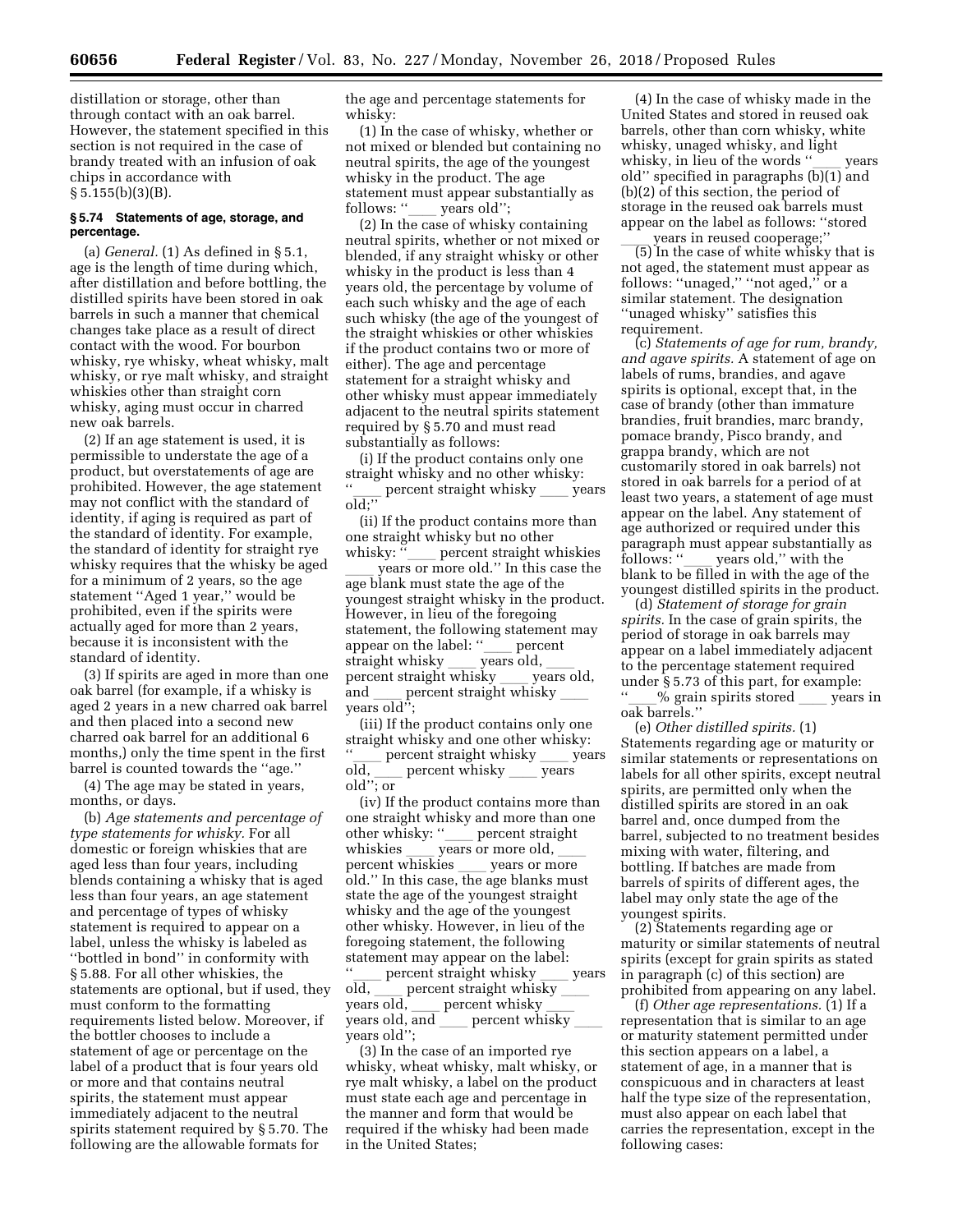distillation or storage, other than through contact with an oak barrel. However, the statement specified in this section is not required in the case of brandy treated with an infusion of oak chips in accordance with  $§ 5.155(b)(3)(B).$ 

# **§ 5.74 Statements of age, storage, and percentage.**

(a) *General.* (1) As defined in § 5.1, age is the length of time during which, after distillation and before bottling, the distilled spirits have been stored in oak barrels in such a manner that chemical changes take place as a result of direct contact with the wood. For bourbon whisky, rye whisky, wheat whisky, malt whisky, or rye malt whisky, and straight whiskies other than straight corn whisky, aging must occur in charred new oak barrels.

(2) If an age statement is used, it is permissible to understate the age of a product, but overstatements of age are prohibited. However, the age statement may not conflict with the standard of identity, if aging is required as part of the standard of identity. For example, the standard of identity for straight rye whisky requires that the whisky be aged for a minimum of 2 years, so the age statement ''Aged 1 year,'' would be prohibited, even if the spirits were actually aged for more than 2 years, because it is inconsistent with the standard of identity.

(3) If spirits are aged in more than one oak barrel (for example, if a whisky is aged 2 years in a new charred oak barrel and then placed into a second new charred oak barrel for an additional 6 months,) only the time spent in the first barrel is counted towards the ''age.''

(4) The age may be stated in years, months, or days.

(b) *Age statements and percentage of type statements for whisky.* For all domestic or foreign whiskies that are aged less than four years, including blends containing a whisky that is aged less than four years, an age statement and percentage of types of whisky statement is required to appear on a label, unless the whisky is labeled as ''bottled in bond'' in conformity with § 5.88. For all other whiskies, the statements are optional, but if used, they must conform to the formatting requirements listed below. Moreover, if the bottler chooses to include a statement of age or percentage on the label of a product that is four years old or more and that contains neutral spirits, the statement must appear immediately adjacent to the neutral spirits statement required by § 5.70. The following are the allowable formats for

the age and percentage statements for whisky:

(1) In the case of whisky, whether or not mixed or blended but containing no neutral spirits, the age of the youngest whisky in the product. The age statement must appear substantially as

follows: ''\_\_\_\_ years old'';<br>(2) In the case of whisky containing neutral spirits, whether or not mixed or blended, if any straight whisky or other whisky in the product is less than 4 years old, the percentage by volume of each such whisky and the age of each such whisky (the age of the youngest of the straight whiskies or other whiskies if the product contains two or more of either). The age and percentage statement for a straight whisky and other whisky must appear immediately adjacent to the neutral spirits statement required by § 5.70 and must read substantially as follows:

(i) If the product contains only one straight whisky and no other whisky: percent straight whisky \_\_\_\_ years old;''

(ii) If the product contains more than one straight whisky but no other whisky: "
yercent straight whiskies

years or more old." In this case the age blank must state the age of the youngest straight whisky in the product. However, in lieu of the foregoing statement, the following statement may<br>appear on the label: "percent appear on the label: " $\frac{1}{\sqrt{1-\rho}}$  percent straight whisky straight whisky ll years old, ll percent straight whisky \_\_\_\_ years old,<br>and \_\_\_\_ percent straight whisky and percent straight whisky years old'';

(iii) If the product contains only one straight whisky and one other whisky:  $\frac{d}{d}$  percent straight whisky  $\frac{d}{d}$  years old, \_\_\_ percent whisky \_\_\_ years<br>old''· or old''; or

(iv) If the product contains more than one straight whisky and more than one other whisky: "
years or more old, whiskies \_\_\_\_\_ years or more old, \_\_\_\_\_<br>percent whiskies \_\_\_\_\_\_\_ years or more percent whiskies \_\_\_ years or more<br>old.'' In this case, the age blanks must state the age of the youngest straight whisky and the age of the youngest other whisky. However, in lieu of the foregoing statement, the following statement may appear on the label:

 $\frac{d}{d}$  percent straight whisky vears<br>old percent straight whisky old, percent straight whisky<br>years old, percent whisky years old,  $\frac{1}{\text{length}}$  percent whisky percent whisky years old'';

(3) In the case of an imported rye whisky, wheat whisky, malt whisky, or rye malt whisky, a label on the product must state each age and percentage in the manner and form that would be required if the whisky had been made in the United States;

(4) In the case of whisky made in the United States and stored in reused oak barrels, other than corn whisky, white whisky, unaged whisky, and light whisky, in lieu of the words ''\_\_\_ years<br>old'' specified in paragraphs (b)(1) and (b)(2) of this section, the period of storage in the reused oak barrels must appear on the label as follows: ''stored

ll years in reused cooperage;'' (5) In the case of white whisky that is not aged, the statement must appear as follows: "unaged," "not aged," or a similar statement. The designation ''unaged whisky'' satisfies this requirement.

(c) *Statements of age for rum, brandy, and agave spirits.* A statement of age on labels of rums, brandies, and agave spirits is optional, except that, in the case of brandy (other than immature brandies, fruit brandies, marc brandy, pomace brandy, Pisco brandy, and grappa brandy, which are not customarily stored in oak barrels) not stored in oak barrels for a period of at least two years, a statement of age must appear on the label. Any statement of age authorized or required under this paragraph must appear substantially as<br>follows: "years old," with the follows: ''\_\_\_ years old,'' with the<br>blank to be filled in with the age of the youngest distilled spirits in the product.

(d) *Statement of storage for grain spirits.* In the case of grain spirits, the period of storage in oak barrels may appear on a label immediately adjacent to the percentage statement required under § 5.73 of this part, for example: % grain spirits stored years in oak barrels.''

(e) *Other distilled spirits.* (1) Statements regarding age or maturity or similar statements or representations on labels for all other spirits, except neutral spirits, are permitted only when the distilled spirits are stored in an oak barrel and, once dumped from the barrel, subjected to no treatment besides mixing with water, filtering, and bottling. If batches are made from barrels of spirits of different ages, the label may only state the age of the youngest spirits.

(2) Statements regarding age or maturity or similar statements of neutral spirits (except for grain spirits as stated in paragraph (c) of this section) are prohibited from appearing on any label.

(f) *Other age representations.* (1) If a representation that is similar to an age or maturity statement permitted under this section appears on a label, a statement of age, in a manner that is conspicuous and in characters at least half the type size of the representation, must also appear on each label that carries the representation, except in the following cases: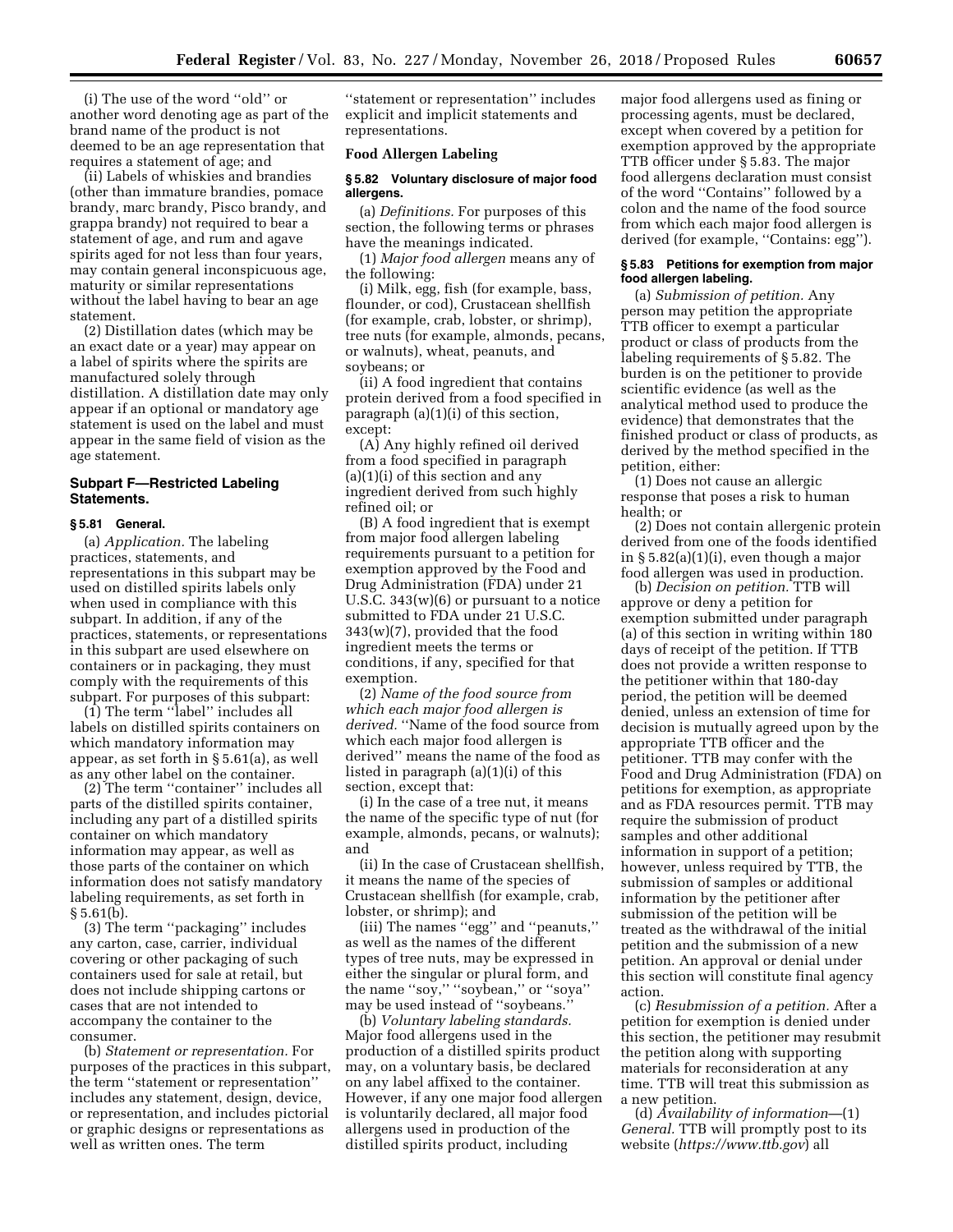(i) The use of the word ''old'' or another word denoting age as part of the brand name of the product is not deemed to be an age representation that requires a statement of age; and

(ii) Labels of whiskies and brandies (other than immature brandies, pomace brandy, marc brandy, Pisco brandy, and grappa brandy) not required to bear a statement of age, and rum and agave spirits aged for not less than four years, may contain general inconspicuous age, maturity or similar representations without the label having to bear an age statement.

(2) Distillation dates (which may be an exact date or a year) may appear on a label of spirits where the spirits are manufactured solely through distillation. A distillation date may only appear if an optional or mandatory age statement is used on the label and must appear in the same field of vision as the age statement.

# **Subpart F—Restricted Labeling Statements.**

#### **§ 5.81 General.**

(a) *Application.* The labeling practices, statements, and representations in this subpart may be used on distilled spirits labels only when used in compliance with this subpart. In addition, if any of the practices, statements, or representations in this subpart are used elsewhere on containers or in packaging, they must comply with the requirements of this subpart. For purposes of this subpart:

(1) The term ''label'' includes all labels on distilled spirits containers on which mandatory information may appear, as set forth in § 5.61(a), as well as any other label on the container.

(2) The term ''container'' includes all parts of the distilled spirits container, including any part of a distilled spirits container on which mandatory information may appear, as well as those parts of the container on which information does not satisfy mandatory labeling requirements, as set forth in § 5.61(b).

(3) The term ''packaging'' includes any carton, case, carrier, individual covering or other packaging of such containers used for sale at retail, but does not include shipping cartons or cases that are not intended to accompany the container to the consumer.

(b) *Statement or representation.* For purposes of the practices in this subpart, the term ''statement or representation'' includes any statement, design, device, or representation, and includes pictorial or graphic designs or representations as well as written ones. The term

''statement or representation'' includes explicit and implicit statements and representations.

### **Food Allergen Labeling**

# **§ 5.82 Voluntary disclosure of major food allergens.**

(a) *Definitions.* For purposes of this section, the following terms or phrases have the meanings indicated.

(1) *Major food allergen* means any of the following:

(i) Milk, egg, fish (for example, bass, flounder, or cod), Crustacean shellfish (for example, crab, lobster, or shrimp), tree nuts (for example, almonds, pecans, or walnuts), wheat, peanuts, and soybeans; or

(ii) A food ingredient that contains protein derived from a food specified in paragraph (a)(1)(i) of this section, except:

(A) Any highly refined oil derived from a food specified in paragraph  $(a)(1)(i)$  of this section and any ingredient derived from such highly refined oil; or

(B) A food ingredient that is exempt from major food allergen labeling requirements pursuant to a petition for exemption approved by the Food and Drug Administration (FDA) under 21 U.S.C. 343(w)(6) or pursuant to a notice submitted to FDA under 21 U.S.C. 343(w)(7), provided that the food ingredient meets the terms or conditions, if any, specified for that exemption.

(2) *Name of the food source from which each major food allergen is derived.* ''Name of the food source from which each major food allergen is derived'' means the name of the food as listed in paragraph (a)(1)(i) of this section, except that:

(i) In the case of a tree nut, it means the name of the specific type of nut (for example, almonds, pecans, or walnuts); and

(ii) In the case of Crustacean shellfish, it means the name of the species of Crustacean shellfish (for example, crab, lobster, or shrimp); and

(iii) The names ''egg'' and ''peanuts,'' as well as the names of the different types of tree nuts, may be expressed in either the singular or plural form, and the name ''soy,'' ''soybean,'' or ''soya'' may be used instead of ''soybeans.''

(b) *Voluntary labeling standards.*  Major food allergens used in the production of a distilled spirits product may, on a voluntary basis, be declared on any label affixed to the container. However, if any one major food allergen is voluntarily declared, all major food allergens used in production of the distilled spirits product, including

major food allergens used as fining or processing agents, must be declared, except when covered by a petition for exemption approved by the appropriate TTB officer under § 5.83. The major food allergens declaration must consist of the word ''Contains'' followed by a colon and the name of the food source from which each major food allergen is derived (for example, ''Contains: egg'').

# **§ 5.83 Petitions for exemption from major food allergen labeling.**

(a) *Submission of petition.* Any person may petition the appropriate TTB officer to exempt a particular product or class of products from the labeling requirements of § 5.82. The burden is on the petitioner to provide scientific evidence (as well as the analytical method used to produce the evidence) that demonstrates that the finished product or class of products, as derived by the method specified in the petition, either:

(1) Does not cause an allergic response that poses a risk to human health; or

(2) Does not contain allergenic protein derived from one of the foods identified in § 5.82(a)(1)(i), even though a major food allergen was used in production.

(b) *Decision on petition.* TTB will approve or deny a petition for exemption submitted under paragraph (a) of this section in writing within 180 days of receipt of the petition. If TTB does not provide a written response to the petitioner within that 180-day period, the petition will be deemed denied, unless an extension of time for decision is mutually agreed upon by the appropriate TTB officer and the petitioner. TTB may confer with the Food and Drug Administration (FDA) on petitions for exemption, as appropriate and as FDA resources permit. TTB may require the submission of product samples and other additional information in support of a petition; however, unless required by TTB, the submission of samples or additional information by the petitioner after submission of the petition will be treated as the withdrawal of the initial petition and the submission of a new petition. An approval or denial under this section will constitute final agency action.

(c) *Resubmission of a petition.* After a petition for exemption is denied under this section, the petitioner may resubmit the petition along with supporting materials for reconsideration at any time. TTB will treat this submission as a new petition.

(d) *Availability of information*—(1) *General.* TTB will promptly post to its website (*<https://www.ttb.gov>*) all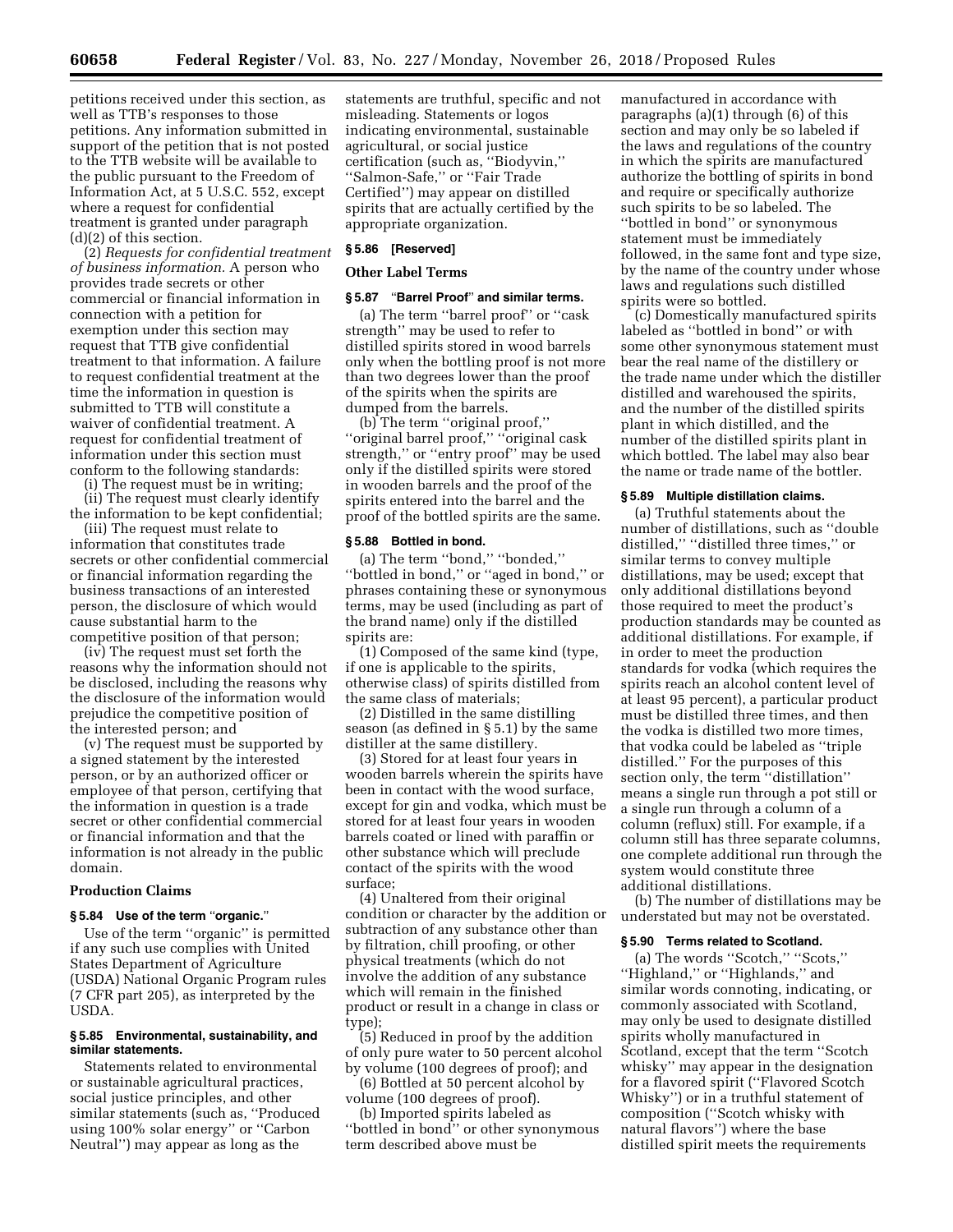petitions received under this section, as well as TTB's responses to those petitions. Any information submitted in support of the petition that is not posted to the TTB website will be available to the public pursuant to the Freedom of Information Act, at 5 U.S.C. 552, except where a request for confidential treatment is granted under paragraph (d)(2) of this section.

(2) *Requests for confidential treatment of business information.* A person who provides trade secrets or other commercial or financial information in connection with a petition for exemption under this section may request that TTB give confidential treatment to that information. A failure to request confidential treatment at the time the information in question is submitted to TTB will constitute a waiver of confidential treatment. A request for confidential treatment of information under this section must conform to the following standards:

(i) The request must be in writing;

(ii) The request must clearly identify the information to be kept confidential;

(iii) The request must relate to information that constitutes trade secrets or other confidential commercial or financial information regarding the business transactions of an interested person, the disclosure of which would cause substantial harm to the competitive position of that person;

(iv) The request must set forth the reasons why the information should not be disclosed, including the reasons why the disclosure of the information would prejudice the competitive position of the interested person; and

(v) The request must be supported by a signed statement by the interested person, or by an authorized officer or employee of that person, certifying that the information in question is a trade secret or other confidential commercial or financial information and that the information is not already in the public domain.

# **Production Claims**

# **§ 5.84 Use of the term** ''**organic.**''

Use of the term ''organic'' is permitted if any such use complies with United States Department of Agriculture (USDA) National Organic Program rules (7 CFR part 205), as interpreted by the USDA.

# **§ 5.85 Environmental, sustainability, and similar statements.**

Statements related to environmental or sustainable agricultural practices, social justice principles, and other similar statements (such as, ''Produced using 100% solar energy'' or ''Carbon Neutral'') may appear as long as the

statements are truthful, specific and not misleading. Statements or logos indicating environmental, sustainable agricultural, or social justice certification (such as, ''Biodyvin,'' ''Salmon-Safe,'' or ''Fair Trade Certified'') may appear on distilled spirits that are actually certified by the appropriate organization.

# **§ 5.86 [Reserved]**

# **Other Label Terms**

# **§ 5.87** ''**Barrel Proof**'' **and similar terms.**

(a) The term ''barrel proof'' or ''cask strength'' may be used to refer to distilled spirits stored in wood barrels only when the bottling proof is not more than two degrees lower than the proof of the spirits when the spirits are dumped from the barrels.

(b) The term ''original proof,'' ''original barrel proof,'' ''original cask strength,'' or ''entry proof'' may be used only if the distilled spirits were stored in wooden barrels and the proof of the spirits entered into the barrel and the proof of the bottled spirits are the same.

#### **§ 5.88 Bottled in bond.**

(a) The term ''bond,'' ''bonded,'' ''bottled in bond,'' or ''aged in bond,'' or phrases containing these or synonymous terms, may be used (including as part of the brand name) only if the distilled spirits are:

(1) Composed of the same kind (type, if one is applicable to the spirits, otherwise class) of spirits distilled from the same class of materials;

(2) Distilled in the same distilling season (as defined in § 5.1) by the same distiller at the same distillery.

(3) Stored for at least four years in wooden barrels wherein the spirits have been in contact with the wood surface, except for gin and vodka, which must be stored for at least four years in wooden barrels coated or lined with paraffin or other substance which will preclude contact of the spirits with the wood surface;

(4) Unaltered from their original condition or character by the addition or subtraction of any substance other than by filtration, chill proofing, or other physical treatments (which do not involve the addition of any substance which will remain in the finished product or result in a change in class or type);

(5) Reduced in proof by the addition of only pure water to 50 percent alcohol by volume (100 degrees of proof); and

(6) Bottled at 50 percent alcohol by volume (100 degrees of proof).

(b) Imported spirits labeled as ''bottled in bond'' or other synonymous term described above must be

manufactured in accordance with paragraphs (a)(1) through (6) of this section and may only be so labeled if the laws and regulations of the country in which the spirits are manufactured authorize the bottling of spirits in bond and require or specifically authorize such spirits to be so labeled. The ''bottled in bond'' or synonymous statement must be immediately followed, in the same font and type size, by the name of the country under whose laws and regulations such distilled spirits were so bottled.

(c) Domestically manufactured spirits labeled as ''bottled in bond'' or with some other synonymous statement must bear the real name of the distillery or the trade name under which the distiller distilled and warehoused the spirits, and the number of the distilled spirits plant in which distilled, and the number of the distilled spirits plant in which bottled. The label may also bear the name or trade name of the bottler.

# **§ 5.89 Multiple distillation claims.**

(a) Truthful statements about the number of distillations, such as ''double distilled,'' ''distilled three times,'' or similar terms to convey multiple distillations, may be used; except that only additional distillations beyond those required to meet the product's production standards may be counted as additional distillations. For example, if in order to meet the production standards for vodka (which requires the spirits reach an alcohol content level of at least 95 percent), a particular product must be distilled three times, and then the vodka is distilled two more times, that vodka could be labeled as ''triple distilled.'' For the purposes of this section only, the term ''distillation'' means a single run through a pot still or a single run through a column of a column (reflux) still. For example, if a column still has three separate columns, one complete additional run through the system would constitute three additional distillations.

(b) The number of distillations may be understated but may not be overstated.

# **§ 5.90 Terms related to Scotland.**

(a) The words ''Scotch,'' ''Scots,'' ''Highland,'' or ''Highlands,'' and similar words connoting, indicating, or commonly associated with Scotland, may only be used to designate distilled spirits wholly manufactured in Scotland, except that the term ''Scotch whisky'' may appear in the designation for a flavored spirit (''Flavored Scotch Whisky'') or in a truthful statement of composition (''Scotch whisky with natural flavors'') where the base distilled spirit meets the requirements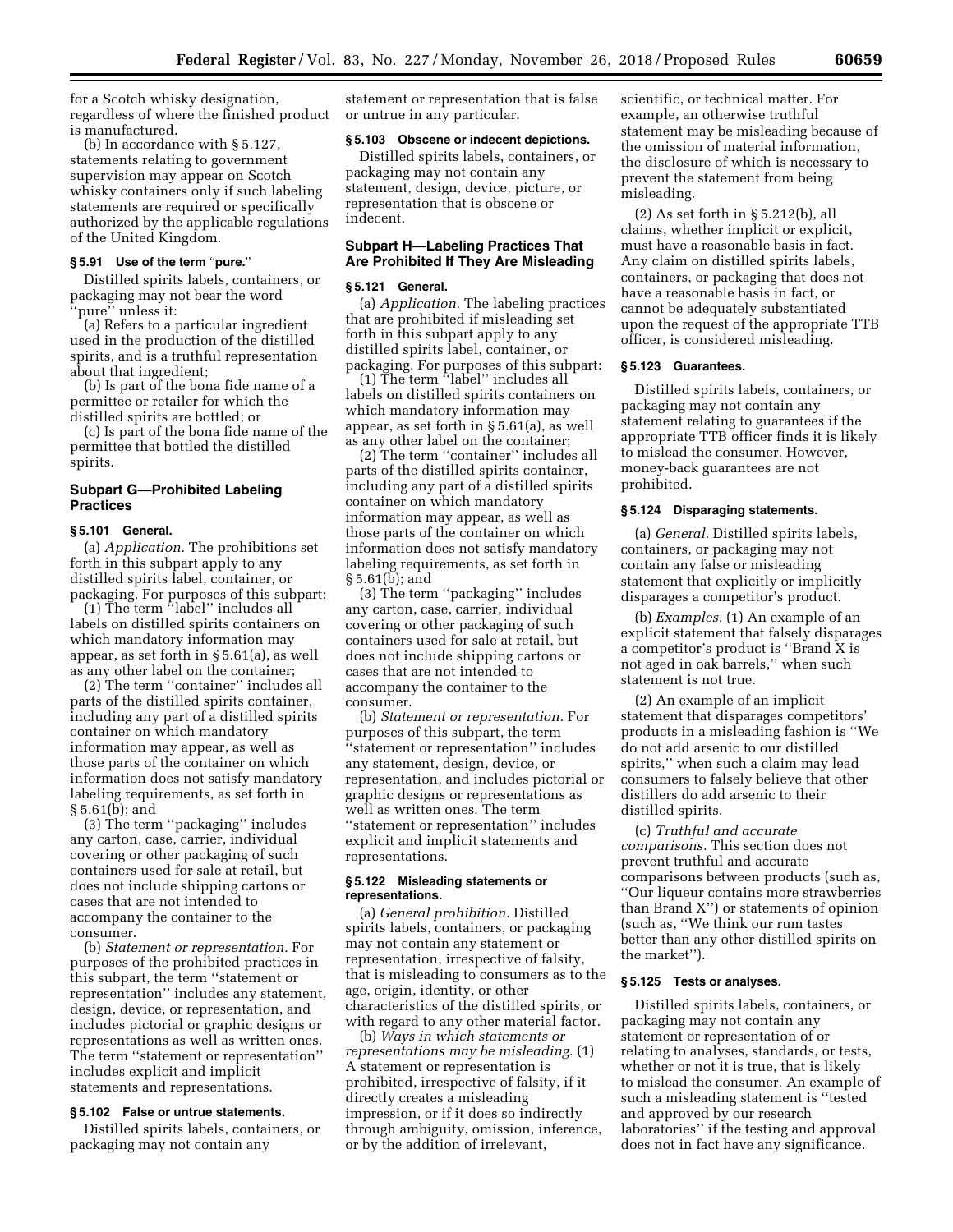for a Scotch whisky designation, regardless of where the finished product is manufactured.

(b) In accordance with § 5.127, statements relating to government supervision may appear on Scotch whisky containers only if such labeling statements are required or specifically authorized by the applicable regulations of the United Kingdom.

# **§ 5.91 Use of the term** ''**pure.**''

Distilled spirits labels, containers, or packaging may not bear the word 'pure'' unless it:

(a) Refers to a particular ingredient used in the production of the distilled spirits, and is a truthful representation about that ingredient;

(b) Is part of the bona fide name of a permittee or retailer for which the distilled spirits are bottled; or

(c) Is part of the bona fide name of the permittee that bottled the distilled spirits.

# **Subpart G—Prohibited Labeling Practices**

# **§ 5.101 General.**

(a) *Application.* The prohibitions set forth in this subpart apply to any distilled spirits label, container, or packaging. For purposes of this subpart:

(1) The term ''label'' includes all labels on distilled spirits containers on which mandatory information may appear, as set forth in § 5.61(a), as well as any other label on the container;

(2) The term ''container'' includes all parts of the distilled spirits container, including any part of a distilled spirits container on which mandatory information may appear, as well as those parts of the container on which information does not satisfy mandatory labeling requirements, as set forth in § 5.61(b); and

(3) The term ''packaging'' includes any carton, case, carrier, individual covering or other packaging of such containers used for sale at retail, but does not include shipping cartons or cases that are not intended to accompany the container to the consumer.

(b) *Statement or representation.* For purposes of the prohibited practices in this subpart, the term ''statement or representation'' includes any statement, design, device, or representation, and includes pictorial or graphic designs or representations as well as written ones. The term ''statement or representation'' includes explicit and implicit statements and representations.

### **§ 5.102 False or untrue statements.**

Distilled spirits labels, containers, or packaging may not contain any

statement or representation that is false or untrue in any particular.

#### **§ 5.103 Obscene or indecent depictions.**

Distilled spirits labels, containers, or packaging may not contain any statement, design, device, picture, or representation that is obscene or indecent.

# **Subpart H—Labeling Practices That Are Prohibited If They Are Misleading**

#### **§ 5.121 General.**

(a) *Application.* The labeling practices that are prohibited if misleading set forth in this subpart apply to any distilled spirits label, container, or packaging. For purposes of this subpart:

(1) The term ''label'' includes all labels on distilled spirits containers on which mandatory information may appear, as set forth in § 5.61(a), as well as any other label on the container;

(2) The term ''container'' includes all parts of the distilled spirits container, including any part of a distilled spirits container on which mandatory information may appear, as well as those parts of the container on which information does not satisfy mandatory labeling requirements, as set forth in § 5.61(b); and

(3) The term ''packaging'' includes any carton, case, carrier, individual covering or other packaging of such containers used for sale at retail, but does not include shipping cartons or cases that are not intended to accompany the container to the consumer.

(b) *Statement or representation.* For purposes of this subpart, the term ''statement or representation'' includes any statement, design, device, or representation, and includes pictorial or graphic designs or representations as well as written ones. The term ''statement or representation'' includes explicit and implicit statements and representations.

### **§ 5.122 Misleading statements or representations.**

(a) *General prohibition.* Distilled spirits labels, containers, or packaging may not contain any statement or representation, irrespective of falsity, that is misleading to consumers as to the age, origin, identity, or other characteristics of the distilled spirits, or with regard to any other material factor.

(b) *Ways in which statements or representations may be misleading.* (1) A statement or representation is prohibited, irrespective of falsity, if it directly creates a misleading impression, or if it does so indirectly through ambiguity, omission, inference, or by the addition of irrelevant,

scientific, or technical matter. For example, an otherwise truthful statement may be misleading because of the omission of material information, the disclosure of which is necessary to prevent the statement from being misleading.

(2) As set forth in § 5.212(b), all claims, whether implicit or explicit, must have a reasonable basis in fact. Any claim on distilled spirits labels, containers, or packaging that does not have a reasonable basis in fact, or cannot be adequately substantiated upon the request of the appropriate TTB officer, is considered misleading.

# **§ 5.123 Guarantees.**

Distilled spirits labels, containers, or packaging may not contain any statement relating to guarantees if the appropriate TTB officer finds it is likely to mislead the consumer. However, money-back guarantees are not prohibited.

# **§ 5.124 Disparaging statements.**

(a) *General.* Distilled spirits labels, containers, or packaging may not contain any false or misleading statement that explicitly or implicitly disparages a competitor's product.

(b) *Examples.* (1) An example of an explicit statement that falsely disparages a competitor's product is ''Brand X is not aged in oak barrels,'' when such statement is not true.

(2) An example of an implicit statement that disparages competitors' products in a misleading fashion is ''We do not add arsenic to our distilled spirits,'' when such a claim may lead consumers to falsely believe that other distillers do add arsenic to their distilled spirits.

(c) *Truthful and accurate comparisons.* This section does not prevent truthful and accurate comparisons between products (such as, ''Our liqueur contains more strawberries than Brand X'') or statements of opinion (such as, ''We think our rum tastes better than any other distilled spirits on the market'').

#### **§ 5.125 Tests or analyses.**

Distilled spirits labels, containers, or packaging may not contain any statement or representation of or relating to analyses, standards, or tests, whether or not it is true, that is likely to mislead the consumer. An example of such a misleading statement is ''tested and approved by our research laboratories'' if the testing and approval does not in fact have any significance.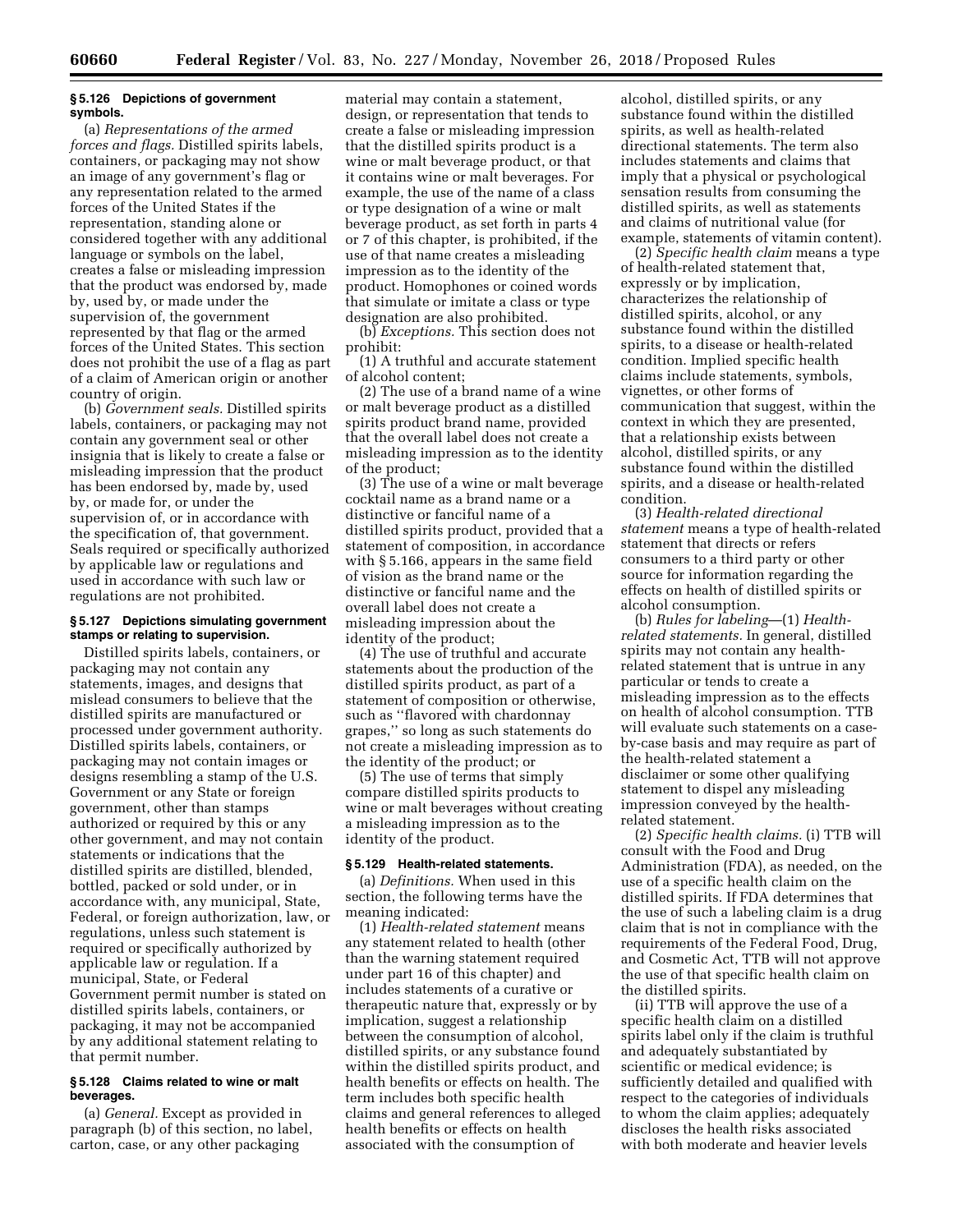### **§ 5.126 Depictions of government symbols.**

(a) *Representations of the armed forces and flags.* Distilled spirits labels, containers, or packaging may not show an image of any government's flag or any representation related to the armed forces of the United States if the representation, standing alone or considered together with any additional language or symbols on the label, creates a false or misleading impression that the product was endorsed by, made by, used by, or made under the supervision of, the government represented by that flag or the armed forces of the United States. This section does not prohibit the use of a flag as part of a claim of American origin or another country of origin.

(b) *Government seals.* Distilled spirits labels, containers, or packaging may not contain any government seal or other insignia that is likely to create a false or misleading impression that the product has been endorsed by, made by, used by, or made for, or under the supervision of, or in accordance with the specification of, that government. Seals required or specifically authorized by applicable law or regulations and used in accordance with such law or regulations are not prohibited.

# **§ 5.127 Depictions simulating government stamps or relating to supervision.**

Distilled spirits labels, containers, or packaging may not contain any statements, images, and designs that mislead consumers to believe that the distilled spirits are manufactured or processed under government authority. Distilled spirits labels, containers, or packaging may not contain images or designs resembling a stamp of the U.S. Government or any State or foreign government, other than stamps authorized or required by this or any other government, and may not contain statements or indications that the distilled spirits are distilled, blended, bottled, packed or sold under, or in accordance with, any municipal, State, Federal, or foreign authorization, law, or regulations, unless such statement is required or specifically authorized by applicable law or regulation. If a municipal, State, or Federal Government permit number is stated on distilled spirits labels, containers, or packaging, it may not be accompanied by any additional statement relating to that permit number.

# **§ 5.128 Claims related to wine or malt beverages.**

(a) *General.* Except as provided in paragraph (b) of this section, no label, carton, case, or any other packaging

material may contain a statement, design, or representation that tends to create a false or misleading impression that the distilled spirits product is a wine or malt beverage product, or that it contains wine or malt beverages. For example, the use of the name of a class or type designation of a wine or malt beverage product, as set forth in parts 4 or 7 of this chapter, is prohibited, if the use of that name creates a misleading impression as to the identity of the product. Homophones or coined words that simulate or imitate a class or type designation are also prohibited.

(b) *Exceptions.* This section does not prohibit:

(1) A truthful and accurate statement of alcohol content;

(2) The use of a brand name of a wine or malt beverage product as a distilled spirits product brand name, provided that the overall label does not create a misleading impression as to the identity of the product;

(3) The use of a wine or malt beverage cocktail name as a brand name or a distinctive or fanciful name of a distilled spirits product, provided that a statement of composition, in accordance with § 5.166, appears in the same field of vision as the brand name or the distinctive or fanciful name and the overall label does not create a misleading impression about the identity of the product;

(4) The use of truthful and accurate statements about the production of the distilled spirits product, as part of a statement of composition or otherwise, such as ''flavored with chardonnay grapes,'' so long as such statements do not create a misleading impression as to the identity of the product; or

(5) The use of terms that simply compare distilled spirits products to wine or malt beverages without creating a misleading impression as to the identity of the product.

### **§ 5.129 Health-related statements.**

(a) *Definitions.* When used in this section, the following terms have the meaning indicated:

(1) *Health-related statement* means any statement related to health (other than the warning statement required under part 16 of this chapter) and includes statements of a curative or therapeutic nature that, expressly or by implication, suggest a relationship between the consumption of alcohol, distilled spirits, or any substance found within the distilled spirits product, and health benefits or effects on health. The term includes both specific health claims and general references to alleged health benefits or effects on health associated with the consumption of

alcohol, distilled spirits, or any substance found within the distilled spirits, as well as health-related directional statements. The term also includes statements and claims that imply that a physical or psychological sensation results from consuming the distilled spirits, as well as statements and claims of nutritional value (for example, statements of vitamin content).

(2) *Specific health claim* means a type of health-related statement that, expressly or by implication, characterizes the relationship of distilled spirits, alcohol, or any substance found within the distilled spirits, to a disease or health-related condition. Implied specific health claims include statements, symbols, vignettes, or other forms of communication that suggest, within the context in which they are presented, that a relationship exists between alcohol, distilled spirits, or any substance found within the distilled spirits, and a disease or health-related condition.

(3) *Health-related directional statement* means a type of health-related statement that directs or refers consumers to a third party or other source for information regarding the effects on health of distilled spirits or alcohol consumption.

(b) *Rules for labeling*—(1) *Healthrelated statements.* In general, distilled spirits may not contain any healthrelated statement that is untrue in any particular or tends to create a misleading impression as to the effects on health of alcohol consumption. TTB will evaluate such statements on a caseby-case basis and may require as part of the health-related statement a disclaimer or some other qualifying statement to dispel any misleading impression conveyed by the healthrelated statement.

(2) *Specific health claims.* (i) TTB will consult with the Food and Drug Administration (FDA), as needed, on the use of a specific health claim on the distilled spirits. If FDA determines that the use of such a labeling claim is a drug claim that is not in compliance with the requirements of the Federal Food, Drug, and Cosmetic Act, TTB will not approve the use of that specific health claim on the distilled spirits.

(ii) TTB will approve the use of a specific health claim on a distilled spirits label only if the claim is truthful and adequately substantiated by scientific or medical evidence; is sufficiently detailed and qualified with respect to the categories of individuals to whom the claim applies; adequately discloses the health risks associated with both moderate and heavier levels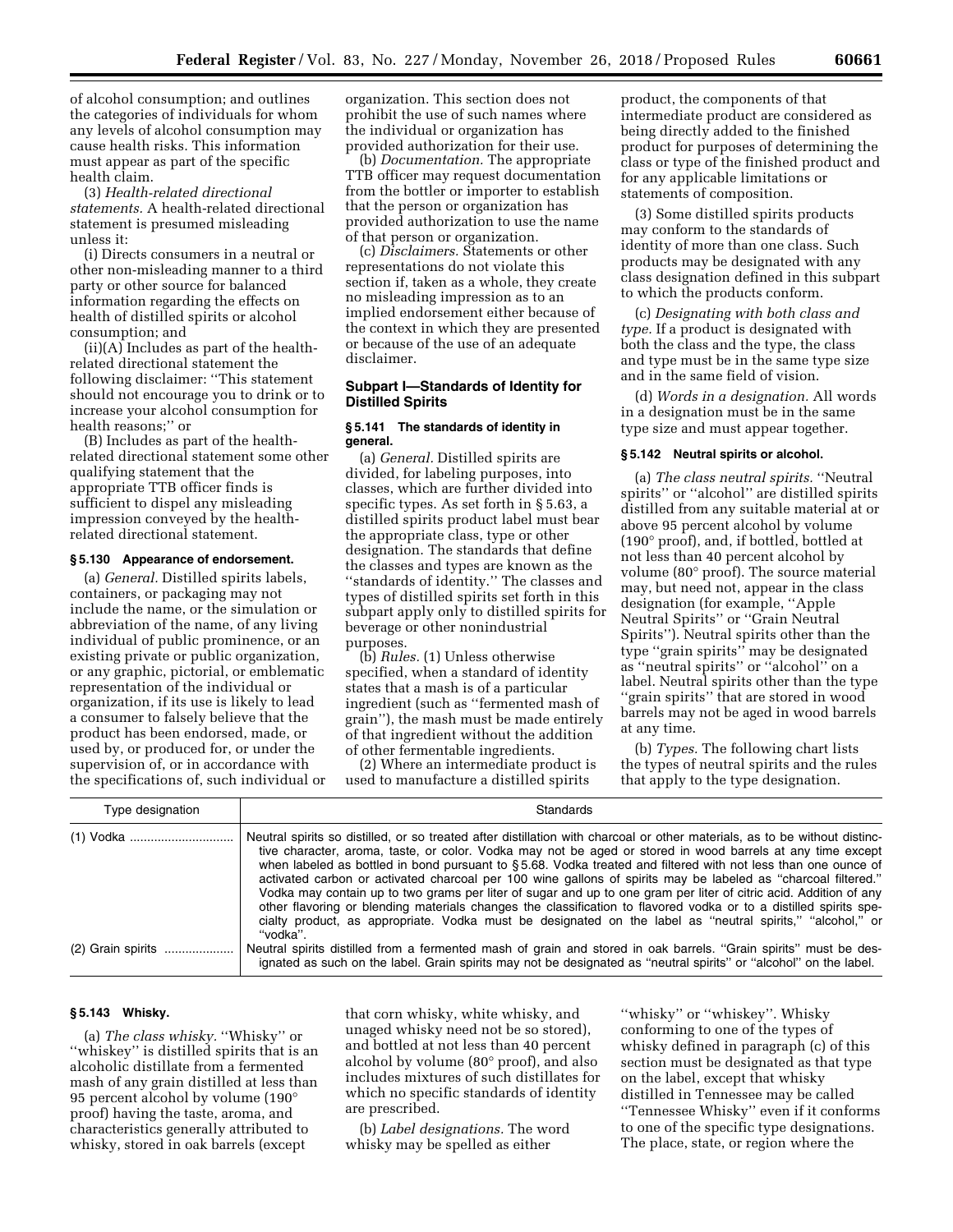of alcohol consumption; and outlines the categories of individuals for whom any levels of alcohol consumption may cause health risks. This information must appear as part of the specific health claim.

(3) *Health-related directional statements.* A health-related directional statement is presumed misleading unless it:

(i) Directs consumers in a neutral or other non-misleading manner to a third party or other source for balanced information regarding the effects on health of distilled spirits or alcohol consumption; and

(ii)(A) Includes as part of the healthrelated directional statement the following disclaimer: ''This statement should not encourage you to drink or to increase your alcohol consumption for health reasons;'' or

(B) Includes as part of the healthrelated directional statement some other qualifying statement that the appropriate TTB officer finds is sufficient to dispel any misleading impression conveyed by the healthrelated directional statement.

#### **§ 5.130 Appearance of endorsement.**

(a) *General.* Distilled spirits labels, containers, or packaging may not include the name, or the simulation or abbreviation of the name, of any living individual of public prominence, or an existing private or public organization, or any graphic, pictorial, or emblematic representation of the individual or organization, if its use is likely to lead a consumer to falsely believe that the product has been endorsed, made, or used by, or produced for, or under the supervision of, or in accordance with the specifications of, such individual or organization. This section does not prohibit the use of such names where the individual or organization has provided authorization for their use.

(b) *Documentation.* The appropriate TTB officer may request documentation from the bottler or importer to establish that the person or organization has provided authorization to use the name of that person or organization.

(c) *Disclaimers.* Statements or other representations do not violate this section if, taken as a whole, they create no misleading impression as to an implied endorsement either because of the context in which they are presented or because of the use of an adequate disclaimer.

# **Subpart I—Standards of Identity for Distilled Spirits**

# **§ 5.141 The standards of identity in general.**

(a) *General.* Distilled spirits are divided, for labeling purposes, into classes, which are further divided into specific types. As set forth in § 5.63, a distilled spirits product label must bear the appropriate class, type or other designation. The standards that define the classes and types are known as the ''standards of identity.'' The classes and types of distilled spirits set forth in this subpart apply only to distilled spirits for beverage or other nonindustrial purposes.

(b) *Rules.* (1) Unless otherwise specified, when a standard of identity states that a mash is of a particular ingredient (such as ''fermented mash of grain''), the mash must be made entirely of that ingredient without the addition of other fermentable ingredients.

(2) Where an intermediate product is used to manufacture a distilled spirits

product, the components of that intermediate product are considered as being directly added to the finished product for purposes of determining the class or type of the finished product and for any applicable limitations or statements of composition.

(3) Some distilled spirits products may conform to the standards of identity of more than one class. Such products may be designated with any class designation defined in this subpart to which the products conform.

(c) *Designating with both class and type.* If a product is designated with both the class and the type, the class and type must be in the same type size and in the same field of vision.

(d) *Words in a designation.* All words in a designation must be in the same type size and must appear together.

#### **§ 5.142 Neutral spirits or alcohol.**

(a) *The class neutral spirits.* ''Neutral spirits'' or ''alcohol'' are distilled spirits distilled from any suitable material at or above 95 percent alcohol by volume (190° proof), and, if bottled, bottled at not less than 40 percent alcohol by volume (80° proof). The source material may, but need not, appear in the class designation (for example, ''Apple Neutral Spirits'' or ''Grain Neutral Spirits''). Neutral spirits other than the type ''grain spirits'' may be designated as ''neutral spirits'' or ''alcohol'' on a label. Neutral spirits other than the type ''grain spirits'' that are stored in wood barrels may not be aged in wood barrels at any time.

(b) *Types.* The following chart lists the types of neutral spirits and the rules that apply to the type designation.

| Type designation  | <b>Standards</b>                                                                                                                                                                                                                                                                                                                                                                                                                                                                                                                                                                                                                                                                                                                                                                                                                              |
|-------------------|-----------------------------------------------------------------------------------------------------------------------------------------------------------------------------------------------------------------------------------------------------------------------------------------------------------------------------------------------------------------------------------------------------------------------------------------------------------------------------------------------------------------------------------------------------------------------------------------------------------------------------------------------------------------------------------------------------------------------------------------------------------------------------------------------------------------------------------------------|
|                   | Neutral spirits so distilled, or so treated after distillation with charcoal or other materials, as to be without distinc-<br>tive character, aroma, taste, or color. Vodka may not be aged or stored in wood barrels at any time except<br>when labeled as bottled in bond pursuant to §5.68. Vodka treated and filtered with not less than one ounce of<br>activated carbon or activated charcoal per 100 wine gallons of spirits may be labeled as "charcoal filtered."<br>Vodka may contain up to two grams per liter of sugar and up to one gram per liter of citric acid. Addition of any<br>other flavoring or blending materials changes the classification to flavored vodka or to a distilled spirits spe-<br>cialty product, as appropriate. Vodka must be designated on the label as "neutral spirits," "alcohol," or<br>"vodka". |
| (2) Grain spirits | Neutral spirits distilled from a fermented mash of grain and stored in oak barrels. "Grain spirits" must be des-<br>ignated as such on the label. Grain spirits may not be designated as "neutral spirits" or "alcohol" on the label.                                                                                                                                                                                                                                                                                                                                                                                                                                                                                                                                                                                                         |

#### **§ 5.143 Whisky.**

(a) *The class whisky.* ''Whisky'' or ''whiskey'' is distilled spirits that is an alcoholic distillate from a fermented mash of any grain distilled at less than 95 percent alcohol by volume (190° proof) having the taste, aroma, and characteristics generally attributed to whisky, stored in oak barrels (except

that corn whisky, white whisky, and unaged whisky need not be so stored), and bottled at not less than 40 percent alcohol by volume (80° proof), and also includes mixtures of such distillates for which no specific standards of identity are prescribed.

(b) *Label designations.* The word whisky may be spelled as either

''whisky'' or ''whiskey''. Whisky conforming to one of the types of whisky defined in paragraph (c) of this section must be designated as that type on the label, except that whisky distilled in Tennessee may be called ''Tennessee Whisky'' even if it conforms to one of the specific type designations. The place, state, or region where the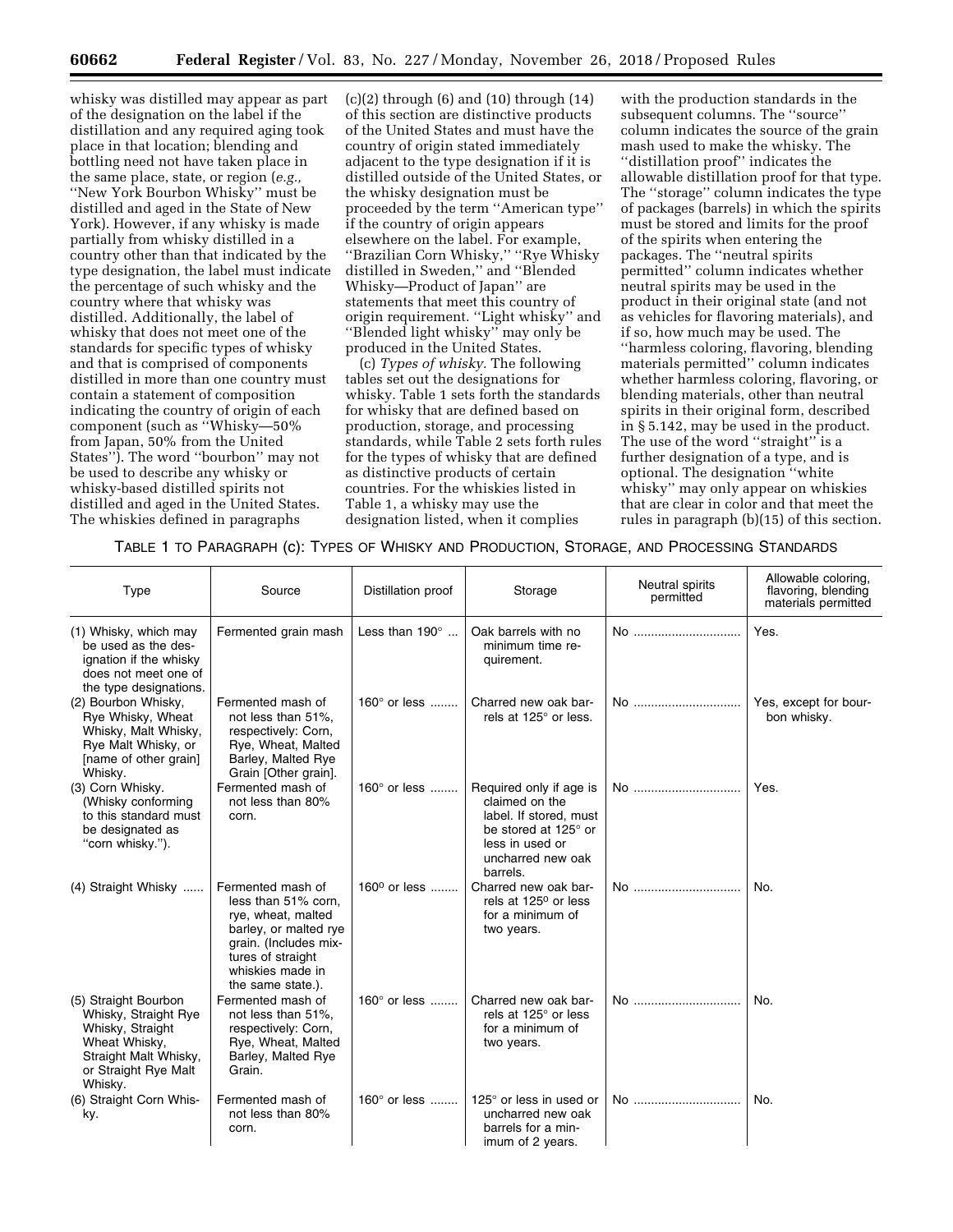whisky was distilled may appear as part of the designation on the label if the distillation and any required aging took place in that location; blending and bottling need not have taken place in the same place, state, or region (*e.g.,*  ''New York Bourbon Whisky'' must be distilled and aged in the State of New York). However, if any whisky is made partially from whisky distilled in a country other than that indicated by the type designation, the label must indicate the percentage of such whisky and the country where that whisky was distilled. Additionally, the label of whisky that does not meet one of the standards for specific types of whisky and that is comprised of components distilled in more than one country must contain a statement of composition indicating the country of origin of each component (such as ''Whisky—50% from Japan, 50% from the United States''). The word ''bourbon'' may not be used to describe any whisky or whisky-based distilled spirits not distilled and aged in the United States. The whiskies defined in paragraphs

 $(c)(2)$  through  $(6)$  and  $(10)$  through  $(14)$ of this section are distinctive products of the United States and must have the country of origin stated immediately adjacent to the type designation if it is distilled outside of the United States, or the whisky designation must be proceeded by the term ''American type'' if the country of origin appears elsewhere on the label. For example, ''Brazilian Corn Whisky,'' ''Rye Whisky distilled in Sweden,'' and ''Blended Whisky—Product of Japan'' are statements that meet this country of origin requirement. ''Light whisky'' and ''Blended light whisky'' may only be produced in the United States.

(c) *Types of whisky.* The following tables set out the designations for whisky. Table 1 sets forth the standards for whisky that are defined based on production, storage, and processing standards, while Table 2 sets forth rules for the types of whisky that are defined as distinctive products of certain countries. For the whiskies listed in Table 1, a whisky may use the designation listed, when it complies

with the production standards in the subsequent columns. The ''source'' column indicates the source of the grain mash used to make the whisky. The ''distillation proof'' indicates the allowable distillation proof for that type. The ''storage'' column indicates the type of packages (barrels) in which the spirits must be stored and limits for the proof of the spirits when entering the packages. The ''neutral spirits permitted'' column indicates whether neutral spirits may be used in the product in their original state (and not as vehicles for flavoring materials), and if so, how much may be used. The ''harmless coloring, flavoring, blending materials permitted'' column indicates whether harmless coloring, flavoring, or blending materials, other than neutral spirits in their original form, described in § 5.142, may be used in the product. The use of the word ''straight'' is a further designation of a type, and is optional. The designation ''white whisky'' may only appear on whiskies that are clear in color and that meet the rules in paragraph (b)(15) of this section.

TABLE 1 TO PARAGRAPH (c): TYPES OF WHISKY AND PRODUCTION, STORAGE, AND PROCESSING STANDARDS

| Type                                                                                                                                          | Source                                                                                                                                                                         | Distillation proof       | Storage                                                                                                                                         | Neutral spirits<br>permitted | Allowable coloring,<br>flavoring, blending<br>materials permitted |
|-----------------------------------------------------------------------------------------------------------------------------------------------|--------------------------------------------------------------------------------------------------------------------------------------------------------------------------------|--------------------------|-------------------------------------------------------------------------------------------------------------------------------------------------|------------------------------|-------------------------------------------------------------------|
| (1) Whisky, which may<br>be used as the des-<br>ignation if the whisky<br>does not meet one of<br>the type designations.                      | Fermented grain mash                                                                                                                                                           | Less than $190^\circ$    | Oak barrels with no<br>minimum time re-<br>quirement.                                                                                           | No                           | Yes.                                                              |
| (2) Bourbon Whisky,<br>Rye Whisky, Wheat<br>Whisky, Malt Whisky,<br>Rye Malt Whisky, or<br>[name of other grain]<br>Whisky.                   | Fermented mash of<br>not less than 51%,<br>respectively: Corn,<br>Rye, Wheat, Malted<br>Barley, Malted Rye<br>Grain [Other grain].                                             | 160° or less             | Charred new oak bar-<br>rels at 125° or less.                                                                                                   | No                           | Yes, except for bour-<br>bon whisky.                              |
| (3) Corn Whisky.<br>(Whisky conforming<br>to this standard must<br>be designated as<br>"corn whisky.").                                       | Fermented mash of<br>not less than 80%<br>corn.                                                                                                                                | 160 $^{\circ}$ or less   | Required only if age is<br>claimed on the<br>label. If stored, must<br>be stored at 125° or<br>less in used or<br>uncharred new oak<br>barrels. | No                           | Yes.                                                              |
| (4) Straight Whisky                                                                                                                           | Fermented mash of<br>less than 51% corn,<br>rye, wheat, malted<br>barley, or malted rye<br>grain. (Includes mix-<br>tures of straight<br>whiskies made in<br>the same state.). | 160 <sup>0</sup> or less | Charred new oak bar-<br>rels at 125 <sup>0</sup> or less<br>for a minimum of<br>two years.                                                      | No                           | No.                                                               |
| (5) Straight Bourbon<br>Whisky, Straight Rye<br>Whisky, Straight<br>Wheat Whisky,<br>Straight Malt Whisky,<br>or Straight Rye Malt<br>Whisky. | Fermented mash of<br>not less than 51%,<br>respectively: Corn,<br>Rye, Wheat, Malted<br>Barley, Malted Rye<br>Grain.                                                           | 160° or less             | Charred new oak bar-<br>rels at 125° or less<br>for a minimum of<br>two years.                                                                  | No                           | No.                                                               |
| (6) Straight Corn Whis-<br>ky.                                                                                                                | Fermented mash of<br>not less than 80%<br>corn.                                                                                                                                | 160° or less             | 125 $\degree$ or less in used or<br>uncharred new oak<br>barrels for a min-<br>imum of 2 years.                                                 | No                           | No.                                                               |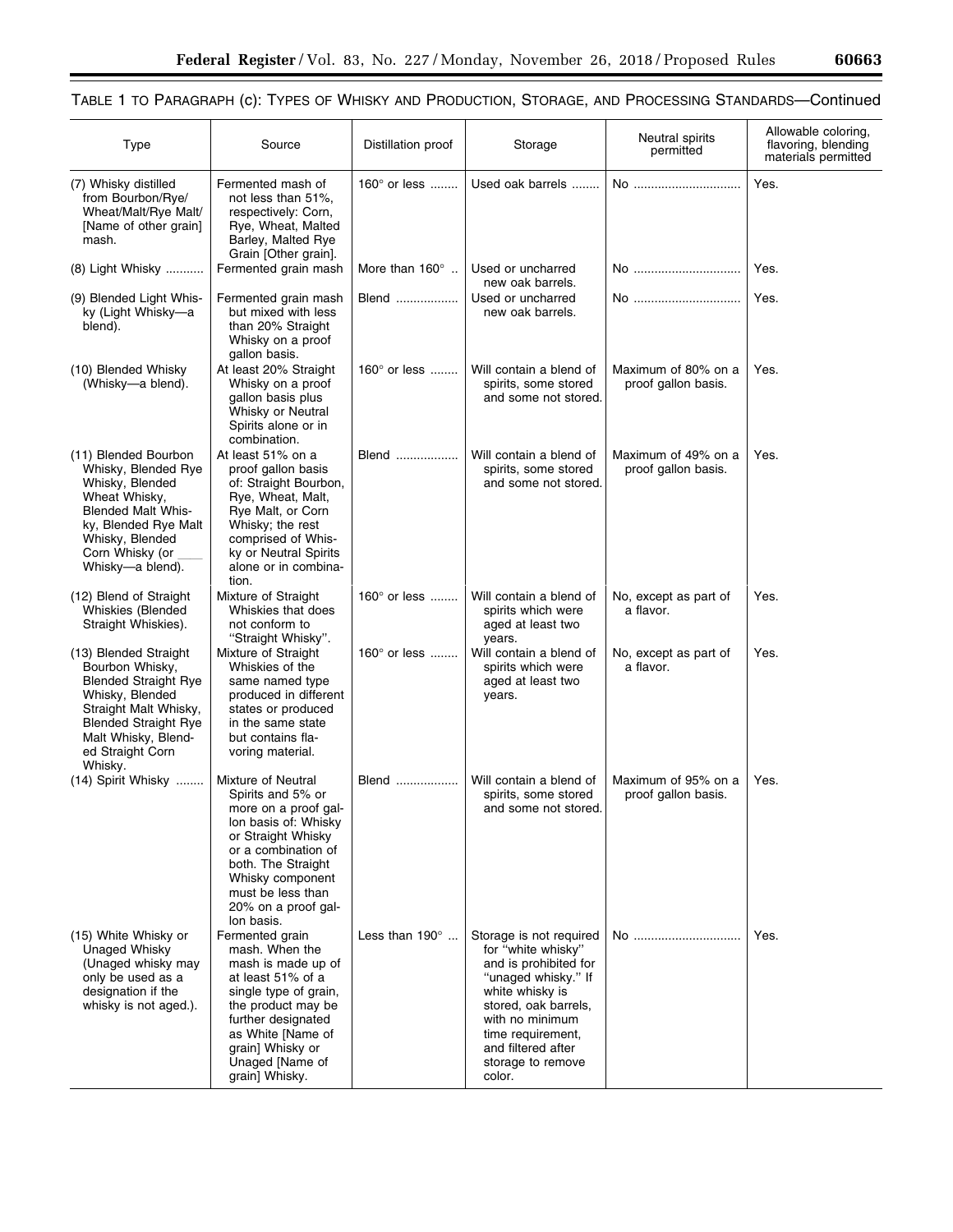▀

# TABLE 1 TO PARAGRAPH (c): TYPES OF WHISKY AND PRODUCTION, STORAGE, AND PROCESSING STANDARDS—Continued

| <b>Type</b>                                                                                                                                                                                              | Source                                                                                                                                                                                                                                   | Distillation proof     | Storage                                                                                                                                                                                                                               | Neutral spirits<br>permitted               | Allowable coloring,<br>flavoring, blending<br>materials permitted |
|----------------------------------------------------------------------------------------------------------------------------------------------------------------------------------------------------------|------------------------------------------------------------------------------------------------------------------------------------------------------------------------------------------------------------------------------------------|------------------------|---------------------------------------------------------------------------------------------------------------------------------------------------------------------------------------------------------------------------------------|--------------------------------------------|-------------------------------------------------------------------|
| (7) Whisky distilled<br>from Bourbon/Rye/<br>Wheat/Malt/Rye Malt/<br>[Name of other grain]<br>mash.                                                                                                      | Fermented mash of<br>not less than 51%,<br>respectively: Corn,<br>Rye, Wheat, Malted<br>Barley, Malted Rye<br>Grain [Other grain].                                                                                                       | 160° or less           | Used oak barrels                                                                                                                                                                                                                      | No                                         | Yes.                                                              |
| (8) Light Whisky                                                                                                                                                                                         | Fermented grain mash                                                                                                                                                                                                                     | More than $160^\circ$  | Used or uncharred<br>new oak barrels.                                                                                                                                                                                                 | No                                         | Yes.                                                              |
| (9) Blended Light Whis-<br>ky (Light Whisky-a<br>blend).                                                                                                                                                 | Fermented grain mash<br>but mixed with less<br>than 20% Straight<br>Whisky on a proof<br>gallon basis.                                                                                                                                   | Blend                  | Used or uncharred<br>new oak barrels.                                                                                                                                                                                                 | No                                         | Yes.                                                              |
| (10) Blended Whisky<br>(Whisky-a blend).                                                                                                                                                                 | At least 20% Straight<br>Whisky on a proof<br>gallon basis plus<br>Whisky or Neutral<br>Spirits alone or in<br>combination.                                                                                                              | 160 $^{\circ}$ or less | Will contain a blend of<br>spirits, some stored<br>and some not stored.                                                                                                                                                               | Maximum of 80% on a<br>proof gallon basis. | Yes.                                                              |
| (11) Blended Bourbon<br>Whisky, Blended Rye<br>Whisky, Blended<br>Wheat Whisky.<br><b>Blended Malt Whis-</b><br>ky, Blended Rye Malt<br>Whisky, Blended<br>Corn Whisky (or<br>Whisky-a blend).           | At least 51% on a<br>proof gallon basis<br>of: Straight Bourbon,<br>Rye, Wheat, Malt,<br>Rye Malt, or Corn<br>Whisky; the rest<br>comprised of Whis-<br>ky or Neutral Spirits<br>alone or in combina-<br>tion.                           | Blend                  | Will contain a blend of<br>spirits, some stored<br>and some not stored.                                                                                                                                                               | Maximum of 49% on a<br>proof gallon basis. | Yes.                                                              |
| (12) Blend of Straight<br>Whiskies (Blended<br>Straight Whiskies).                                                                                                                                       | Mixture of Straight<br>Whiskies that does<br>not conform to<br>"Straight Whisky".                                                                                                                                                        | 160 $^{\circ}$ or less | Will contain a blend of<br>spirits which were<br>aged at least two<br>years.                                                                                                                                                          | No, except as part of<br>a flavor.         | Yes.                                                              |
| (13) Blended Straight<br>Bourbon Whisky,<br><b>Blended Straight Rye</b><br>Whisky, Blended<br>Straight Malt Whisky,<br><b>Blended Straight Rye</b><br>Malt Whisky, Blend-<br>ed Straight Corn<br>Whisky. | Mixture of Straight<br>Whiskies of the<br>same named type<br>produced in different<br>states or produced<br>in the same state<br>but contains fla-<br>voring material.                                                                   | 160 $^{\circ}$ or less | Will contain a blend of<br>spirits which were<br>aged at least two<br>years.                                                                                                                                                          | No, except as part of<br>a flavor.         | Yes.                                                              |
| (14) Spirit Whisky                                                                                                                                                                                       | Mixture of Neutral<br>Spirits and 5% or<br>more on a proof gal-<br>Ion basis of: Whisky<br>or Straight Whisky<br>or a combination of<br>both. The Straight<br>Whisky component<br>must be less than<br>20% on a proof gal-<br>lon basis. | Blend                  | Will contain a blend of<br>spirits, some stored<br>and some not stored.                                                                                                                                                               | Maximum of 95% on a<br>proof gallon basis. | Yes.                                                              |
| (15) White Whisky or<br>Unaged Whisky<br>(Unaged whisky may<br>only be used as a<br>designation if the<br>whisky is not aged.).                                                                          | Fermented grain<br>mash. When the<br>mash is made up of<br>at least 51% of a<br>single type of grain,<br>the product may be<br>further designated<br>as White [Name of<br>grain] Whisky or<br>Unaged [Name of<br>grain] Whisky.          | Less than $190^\circ$  | Storage is not required<br>for "white whisky"<br>and is prohibited for<br>"unaged whisky." If<br>white whisky is<br>stored, oak barrels,<br>with no minimum<br>time requirement,<br>and filtered after<br>storage to remove<br>color. | No                                         | Yes.                                                              |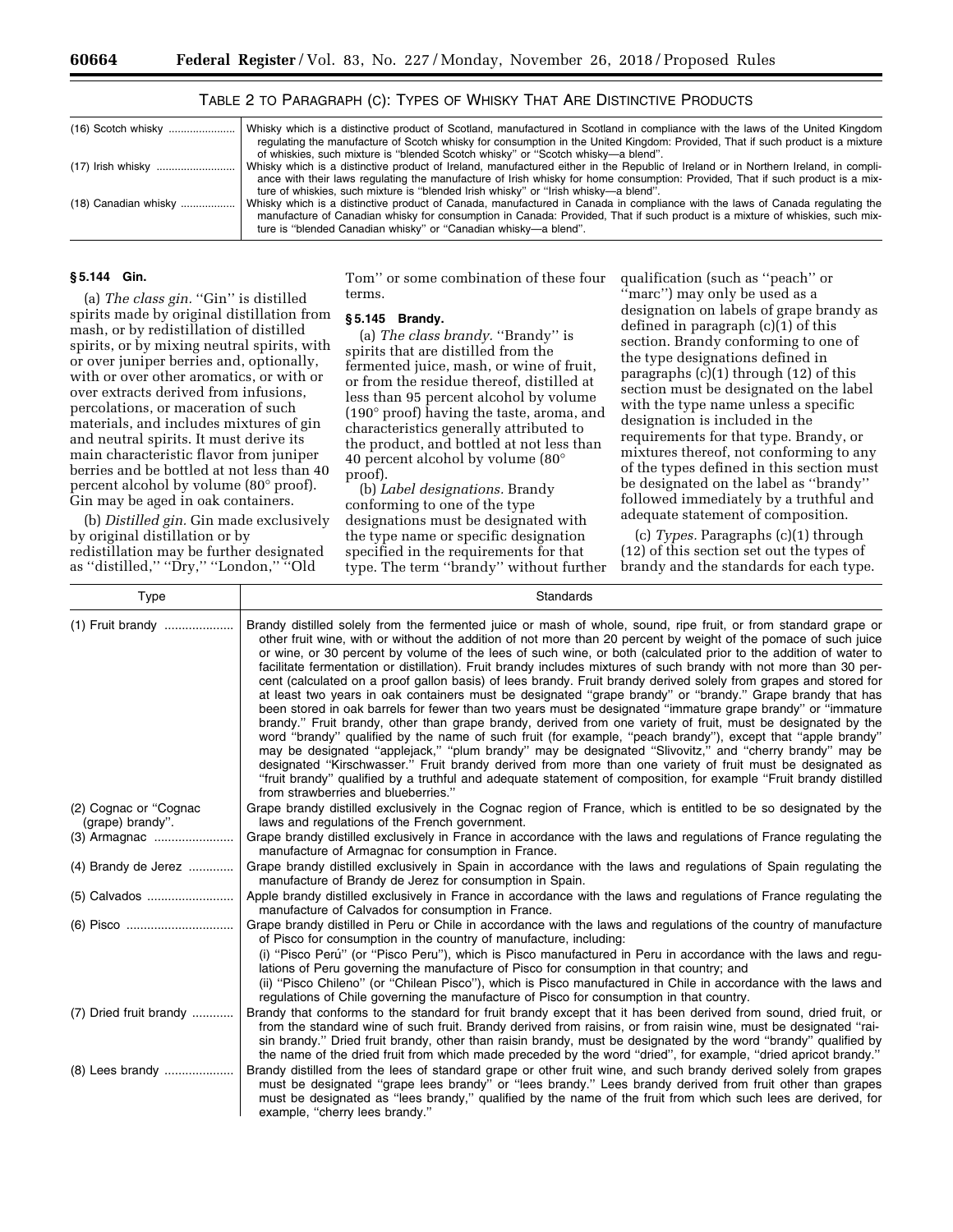| $(16)$ Scotch whisky | Whisky which is a distinctive product of Scotland, manufactured in Scotland in compliance with the laws of the United Kingdom       |
|----------------------|-------------------------------------------------------------------------------------------------------------------------------------|
|                      | regulating the manufacture of Scotch whisky for consumption in the United Kingdom: Provided, That if such product is a mixture      |
|                      | of whiskies, such mixture is "blended Scotch whisky" or "Scotch whisky-a blend".                                                    |
|                      | Whisky which is a distinctive product of Ireland, manufactured either in the Republic of Ireland or in Northern Ireland, in compli- |
|                      | ance with their laws regulating the manufacture of Irish whisky for home consumption: Provided, That if such product is a mix-      |
|                      | ture of whiskies, such mixture is "blended Irish whisky" or "Irish whisky-a blend".                                                 |
| (18) Canadian whisky | Whisky which is a distinctive product of Canada, manufactured in Canada in compliance with the laws of Canada regulating the        |
|                      | manufacture of Canadian whisky for consumption in Canada: Provided, That if such product is a mixture of whiskies, such mix-        |
|                      | ture is "blended Canadian whisky" or "Canadian whisky-a blend".                                                                     |
|                      |                                                                                                                                     |

# TABLE 2 TO PARAGRAPH (C): TYPES OF WHISKY THAT ARE DISTINCTIVE PRODUCTS

# **§ 5.144 Gin.**

(a) *The class gin.* "Gin" is distilled spirits made by original distillation from mash, or by redistillation of distilled spirits, or by mixing neutral spirits, with or over juniper berries and, optionally, with or over other aromatics, or with or over extracts derived from infusions, percolations, or maceration of such materials, and includes mixtures of gin and neutral spirits. It must derive its main characteristic flavor from juniper berries and be bottled at not less than 40 percent alcohol by volume (80° proof). Gin may be aged in oak containers.

(b) *Distilled gin.* Gin made exclusively by original distillation or by redistillation may be further designated as ''distilled,'' ''Dry,'' ''London,'' ''Old

Tom'' or some combination of these four terms.

### **§ 5.145 Brandy.**

(a) *The class brandy*. "Brandy" is spirits that are distilled from the fermented juice, mash, or wine of fruit, or from the residue thereof, distilled at less than 95 percent alcohol by volume (190° proof) having the taste, aroma, and characteristics generally attributed to the product, and bottled at not less than 40 percent alcohol by volume (80° proof).

(b) *Label designations.* Brandy conforming to one of the type designations must be designated with the type name or specific designation specified in the requirements for that type. The term ''brandy'' without further qualification (such as ''peach'' or ''marc'') may only be used as a designation on labels of grape brandy as defined in paragraph (c)(1) of this section. Brandy conforming to one of the type designations defined in paragraphs (c)(1) through (12) of this section must be designated on the label with the type name unless a specific designation is included in the requirements for that type. Brandy, or mixtures thereof, not conforming to any of the types defined in this section must be designated on the label as ''brandy'' followed immediately by a truthful and adequate statement of composition.

(c) *Types.* Paragraphs (c)(1) through (12) of this section set out the types of brandy and the standards for each type.

| Type                                      | Standards                                                                                                                                                                                                                                                                                                                                                                                                                                                                                                                                                                                                                                                                                                                                                                                                                                                                                                                                                                                                                                                                                                                                                                                                                                                                                                                                                                                                                                       |
|-------------------------------------------|-------------------------------------------------------------------------------------------------------------------------------------------------------------------------------------------------------------------------------------------------------------------------------------------------------------------------------------------------------------------------------------------------------------------------------------------------------------------------------------------------------------------------------------------------------------------------------------------------------------------------------------------------------------------------------------------------------------------------------------------------------------------------------------------------------------------------------------------------------------------------------------------------------------------------------------------------------------------------------------------------------------------------------------------------------------------------------------------------------------------------------------------------------------------------------------------------------------------------------------------------------------------------------------------------------------------------------------------------------------------------------------------------------------------------------------------------|
|                                           | Brandy distilled solely from the fermented juice or mash of whole, sound, ripe fruit, or from standard grape or<br>other fruit wine, with or without the addition of not more than 20 percent by weight of the pomace of such juice<br>or wine, or 30 percent by volume of the lees of such wine, or both (calculated prior to the addition of water to<br>facilitate fermentation or distillation). Fruit brandy includes mixtures of such brandy with not more than 30 per-<br>cent (calculated on a proof gallon basis) of lees brandy. Fruit brandy derived solely from grapes and stored for<br>at least two years in oak containers must be designated "grape brandy" or "brandy." Grape brandy that has<br>been stored in oak barrels for fewer than two years must be designated "immature grape brandy" or "immature<br>brandy." Fruit brandy, other than grape brandy, derived from one variety of fruit, must be designated by the<br>word "brandy" qualified by the name of such fruit (for example, "peach brandy"), except that "apple brandy"<br>may be designated "applejack," "plum brandy" may be designated "Slivovitz," and "cherry brandy" may be<br>designated "Kirschwasser." Fruit brandy derived from more than one variety of fruit must be designated as<br>"fruit brandy" qualified by a truthful and adequate statement of composition, for example "Fruit brandy distilled<br>from strawberries and blueberries." |
| (2) Cognac or "Cognac<br>(grape) brandy". | Grape brandy distilled exclusively in the Cognac region of France, which is entitled to be so designated by the<br>laws and regulations of the French government.                                                                                                                                                                                                                                                                                                                                                                                                                                                                                                                                                                                                                                                                                                                                                                                                                                                                                                                                                                                                                                                                                                                                                                                                                                                                               |
|                                           | Grape brandy distilled exclusively in France in accordance with the laws and regulations of France regulating the<br>manufacture of Armagnac for consumption in France.                                                                                                                                                                                                                                                                                                                                                                                                                                                                                                                                                                                                                                                                                                                                                                                                                                                                                                                                                                                                                                                                                                                                                                                                                                                                         |
| $(4)$ Brandy de Jerez                     | Grape brandy distilled exclusively in Spain in accordance with the laws and regulations of Spain regulating the<br>manufacture of Brandy de Jerez for consumption in Spain.                                                                                                                                                                                                                                                                                                                                                                                                                                                                                                                                                                                                                                                                                                                                                                                                                                                                                                                                                                                                                                                                                                                                                                                                                                                                     |
| (5) Calvados                              | Apple brandy distilled exclusively in France in accordance with the laws and regulations of France regulating the<br>manufacture of Calvados for consumption in France.                                                                                                                                                                                                                                                                                                                                                                                                                                                                                                                                                                                                                                                                                                                                                                                                                                                                                                                                                                                                                                                                                                                                                                                                                                                                         |
|                                           | Grape brandy distilled in Peru or Chile in accordance with the laws and regulations of the country of manufacture<br>of Pisco for consumption in the country of manufacture, including:<br>(i) "Pisco Perú" (or "Pisco Peru"), which is Pisco manufactured in Peru in accordance with the laws and regu-<br>lations of Peru governing the manufacture of Pisco for consumption in that country; and<br>(ii) "Pisco Chileno" (or "Chilean Pisco"), which is Pisco manufactured in Chile in accordance with the laws and<br>regulations of Chile governing the manufacture of Pisco for consumption in that country.                                                                                                                                                                                                                                                                                                                                                                                                                                                                                                                                                                                                                                                                                                                                                                                                                              |
| (7) Dried fruit brandy                    | Brandy that conforms to the standard for fruit brandy except that it has been derived from sound, dried fruit, or<br>from the standard wine of such fruit. Brandy derived from raisins, or from raisin wine, must be designated "rai-<br>sin brandy." Dried fruit brandy, other than raisin brandy, must be designated by the word "brandy" qualified by<br>the name of the dried fruit from which made preceded by the word "dried", for example, "dried apricot brandy."                                                                                                                                                                                                                                                                                                                                                                                                                                                                                                                                                                                                                                                                                                                                                                                                                                                                                                                                                                      |
|                                           | Brandy distilled from the lees of standard grape or other fruit wine, and such brandy derived solely from grapes<br>must be designated "grape lees brandy" or "lees brandy." Lees brandy derived from fruit other than grapes<br>must be designated as "lees brandy," qualified by the name of the fruit from which such lees are derived, for<br>example, "cherry lees brandy."                                                                                                                                                                                                                                                                                                                                                                                                                                                                                                                                                                                                                                                                                                                                                                                                                                                                                                                                                                                                                                                                |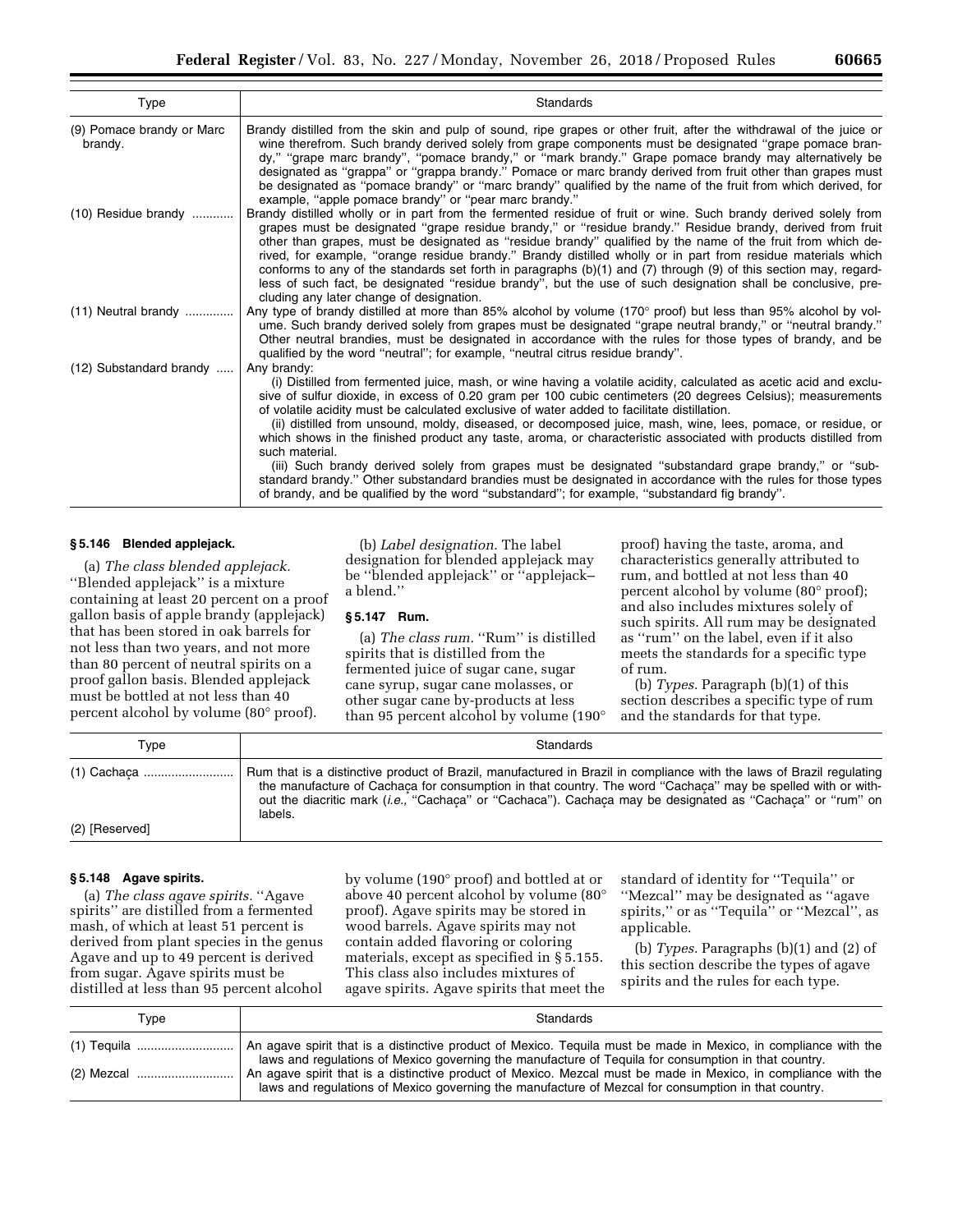| Type                                 | Standards                                                                                                                                                                                                                                                                                                                                                                                                                                                                                                                                                                                                                                                                                                                                                                                                                                                                                                                   |
|--------------------------------------|-----------------------------------------------------------------------------------------------------------------------------------------------------------------------------------------------------------------------------------------------------------------------------------------------------------------------------------------------------------------------------------------------------------------------------------------------------------------------------------------------------------------------------------------------------------------------------------------------------------------------------------------------------------------------------------------------------------------------------------------------------------------------------------------------------------------------------------------------------------------------------------------------------------------------------|
| (9) Pomace brandy or Marc<br>brandy. | Brandy distilled from the skin and pulp of sound, ripe grapes or other fruit, after the withdrawal of the juice or<br>wine therefrom. Such brandy derived solely from grape components must be designated "grape pomace bran-<br>dy," "grape marc brandy", "pomace brandy," or "mark brandy." Grape pomace brandy may alternatively be<br>designated as "grappa" or "grappa brandy." Pomace or marc brandy derived from fruit other than grapes must<br>be designated as "pomace brandy" or "marc brandy" qualified by the name of the fruit from which derived, for<br>example, "apple pomace brandy" or "pear marc brandy."                                                                                                                                                                                                                                                                                               |
| $(10)$ Residue brandy                | Brandy distilled wholly or in part from the fermented residue of fruit or wine. Such brandy derived solely from<br>grapes must be designated "grape residue brandy," or "residue brandy." Residue brandy, derived from fruit<br>other than grapes, must be designated as "residue brandy" qualified by the name of the fruit from which de-<br>rived, for example, "orange residue brandy." Brandy distilled wholly or in part from residue materials which<br>conforms to any of the standards set forth in paragraphs (b)(1) and (7) through (9) of this section may, regard-<br>less of such fact, be designated "residue brandy", but the use of such designation shall be conclusive, pre-<br>cluding any later change of designation.                                                                                                                                                                                 |
| $(11)$ Neutral brandy                | Any type of brandy distilled at more than 85% alcohol by volume (170° proof) but less than 95% alcohol by vol-<br>ume. Such brandy derived solely from grapes must be designated "grape neutral brandy," or "neutral brandy."<br>Other neutral brandies, must be designated in accordance with the rules for those types of brandy, and be<br>qualified by the word "neutral"; for example, "neutral citrus residue brandy".                                                                                                                                                                                                                                                                                                                                                                                                                                                                                                |
| (12) Substandard brandy              | Any brandy:<br>(i) Distilled from fermented juice, mash, or wine having a volatile acidity, calculated as acetic acid and exclu-<br>sive of sulfur dioxide, in excess of 0.20 gram per 100 cubic centimeters (20 degrees Celsius); measurements<br>of volatile acidity must be calculated exclusive of water added to facilitate distillation.<br>(ii) distilled from unsound, moldy, diseased, or decomposed juice, mash, wine, lees, pomace, or residue, or<br>which shows in the finished product any taste, aroma, or characteristic associated with products distilled from<br>such material.<br>(iii) Such brandy derived solely from grapes must be designated "substandard grape brandy," or "sub-<br>standard brandy." Other substandard brandies must be designated in accordance with the rules for those types<br>of brandy, and be qualified by the word "substandard"; for example, "substandard fig brandy". |

### **§ 5.146 Blended applejack.**

(a) *The class blended applejack.*  ''Blended applejack'' is a mixture containing at least 20 percent on a proof gallon basis of apple brandy (applejack) that has been stored in oak barrels for not less than two years, and not more than 80 percent of neutral spirits on a proof gallon basis. Blended applejack must be bottled at not less than 40 percent alcohol by volume (80° proof).

# (b) *Label designation.* The label designation for blended applejack may be ''blended applejack'' or ''applejack– a blend.''

# **§ 5.147 Rum.**

(a) The class rum. "Rum" is distilled spirits that is distilled from the fermented juice of sugar cane, sugar cane syrup, sugar cane molasses, or other sugar cane by-products at less than 95 percent alcohol by volume (190° proof) having the taste, aroma, and characteristics generally attributed to rum, and bottled at not less than 40 percent alcohol by volume (80° proof); and also includes mixtures solely of such spirits. All rum may be designated as ''rum'' on the label, even if it also meets the standards for a specific type of rum.

(b) *Types.* Paragraph (b)(1) of this section describes a specific type of rum and the standards for that type.

| Type           | Standards                                                                                                                                                                                                                                                                                                                                                          |
|----------------|--------------------------------------------------------------------------------------------------------------------------------------------------------------------------------------------------------------------------------------------------------------------------------------------------------------------------------------------------------------------|
|                | Rum that is a distinctive product of Brazil, manufactured in Brazil in compliance with the laws of Brazil regulating<br>the manufacture of Cachaca for consumption in that country. The word "Cachaca" may be spelled with or with-<br>out the diacritic mark <i>(i.e., "Cachaca"</i> or "Cachaca"). Cachaca may be designated as "Cachaca" or "rum" on<br>labels. |
| (2) [Reserved] |                                                                                                                                                                                                                                                                                                                                                                    |

### **§ 5.148 Agave spirits.**

(a) *The class agave spirits.* ''Agave spirits'' are distilled from a fermented mash, of which at least 51 percent is derived from plant species in the genus Agave and up to 49 percent is derived from sugar. Agave spirits must be distilled at less than 95 percent alcohol

by volume (190° proof) and bottled at or above 40 percent alcohol by volume (80° proof). Agave spirits may be stored in wood barrels. Agave spirits may not contain added flavoring or coloring materials, except as specified in § 5.155. This class also includes mixtures of agave spirits. Agave spirits that meet the

standard of identity for ''Tequila'' or ''Mezcal'' may be designated as ''agave spirits,'' or as ''Tequila'' or ''Mezcal'', as applicable.

(b) *Types.* Paragraphs (b)(1) and (2) of this section describe the types of agave spirits and the rules for each type.

| Type | Standards                                                                                                                                                                                                               |
|------|-------------------------------------------------------------------------------------------------------------------------------------------------------------------------------------------------------------------------|
|      | An agave spirit that is a distinctive product of Mexico. Tequila must be made in Mexico, in compliance with the<br>laws and regulations of Mexico governing the manufacture of Tequila for consumption in that country. |
|      | An agave spirit that is a distinctive product of Mexico. Mezcal must be made in Mexico, in compliance with the<br>laws and regulations of Mexico governing the manufacture of Mezcal for consumption in that country.   |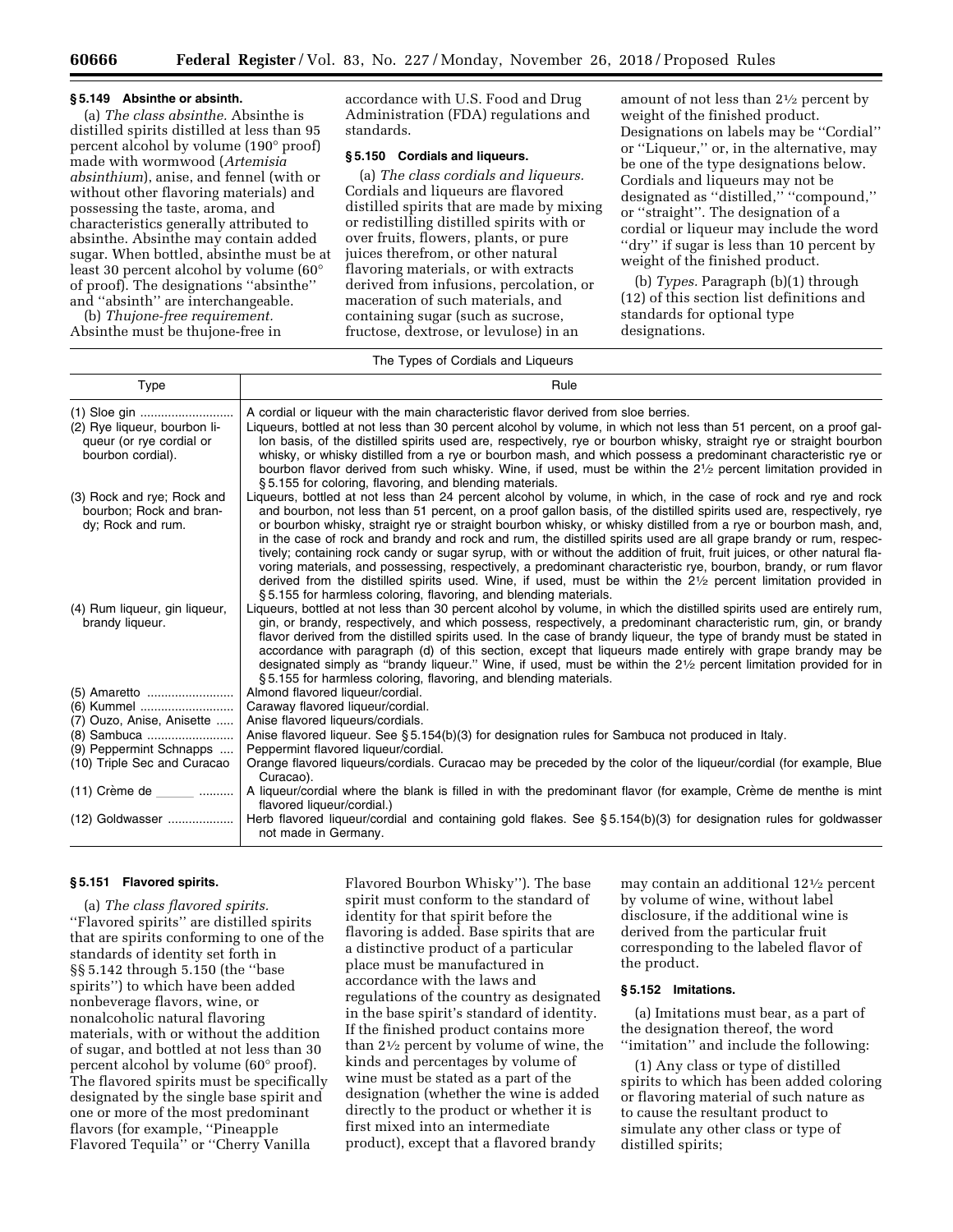### **§ 5.149 Absinthe or absinth.**

(a) *The class absinthe.* Absinthe is distilled spirits distilled at less than 95 percent alcohol by volume (190° proof) made with wormwood (*Artemisia absinthium*), anise, and fennel (with or without other flavoring materials) and possessing the taste, aroma, and characteristics generally attributed to absinthe. Absinthe may contain added sugar. When bottled, absinthe must be at least 30 percent alcohol by volume (60° of proof). The designations ''absinthe'' and ''absinth'' are interchangeable.

(b) *Thujone-free requirement.*  Absinthe must be thujone-free in accordance with U.S. Food and Drug Administration (FDA) regulations and standards.

# **§ 5.150 Cordials and liqueurs.**

(a) *The class cordials and liqueurs.*  Cordials and liqueurs are flavored distilled spirits that are made by mixing or redistilling distilled spirits with or over fruits, flowers, plants, or pure juices therefrom, or other natural flavoring materials, or with extracts derived from infusions, percolation, or maceration of such materials, and containing sugar (such as sucrose, fructose, dextrose, or levulose) in an

amount of not less than 21⁄2 percent by weight of the finished product. Designations on labels may be ''Cordial'' or ''Liqueur,'' or, in the alternative, may be one of the type designations below. Cordials and liqueurs may not be designated as ''distilled,'' ''compound,'' or ''straight''. The designation of a cordial or liqueur may include the word ''dry'' if sugar is less than 10 percent by weight of the finished product.

(b) *Types.* Paragraph (b)(1) through (12) of this section list definitions and standards for optional type designations.

### The Types of Cordials and Liqueurs

| Type                                                                                          | Rule                                                                                                                                                                                                                                                                                                                                                                                                                                                                                                                                                                                                                                                                                                                                                                                                                                                                                                                            |
|-----------------------------------------------------------------------------------------------|---------------------------------------------------------------------------------------------------------------------------------------------------------------------------------------------------------------------------------------------------------------------------------------------------------------------------------------------------------------------------------------------------------------------------------------------------------------------------------------------------------------------------------------------------------------------------------------------------------------------------------------------------------------------------------------------------------------------------------------------------------------------------------------------------------------------------------------------------------------------------------------------------------------------------------|
| (1) Sloe gin<br>(2) Rye liqueur, bourbon li-<br>queur (or rye cordial or<br>bourbon cordial). | A cordial or liqueur with the main characteristic flavor derived from sloe berries.<br>Liqueurs, bottled at not less than 30 percent alcohol by volume, in which not less than 51 percent, on a proof gal-<br>lon basis, of the distilled spirits used are, respectively, rye or bourbon whisky, straight rye or straight bourbon<br>whisky, or whisky distilled from a rye or bourbon mash, and which possess a predominant characteristic rye or<br>bourbon flavor derived from such whisky. Wine, if used, must be within the 21/2 percent limitation provided in<br>§5.155 for coloring, flavoring, and blending materials.                                                                                                                                                                                                                                                                                                 |
| (3) Rock and rye; Rock and<br>bourbon; Rock and bran-<br>dy; Rock and rum.                    | Liqueurs, bottled at not less than 24 percent alcohol by volume, in which, in the case of rock and rye and rock<br>and bourbon, not less than 51 percent, on a proof gallon basis, of the distilled spirits used are, respectively, rye<br>or bourbon whisky, straight rye or straight bourbon whisky, or whisky distilled from a rye or bourbon mash, and,<br>in the case of rock and brandy and rock and rum, the distilled spirits used are all grape brandy or rum, respec-<br>tively; containing rock candy or sugar syrup, with or without the addition of fruit, fruit juices, or other natural fla-<br>voring materials, and possessing, respectively, a predominant characteristic rye, bourbon, brandy, or rum flavor<br>derived from the distilled spirits used. Wine, if used, must be within the $2\frac{1}{2}$ percent limitation provided in<br>§5.155 for harmless coloring, flavoring, and blending materials. |
| (4) Rum liqueur, gin liqueur,<br>brandy liqueur.                                              | Liqueurs, bottled at not less than 30 percent alcohol by volume, in which the distilled spirits used are entirely rum,<br>gin, or brandy, respectively, and which possess, respectively, a predominant characteristic rum, gin, or brandy<br>flavor derived from the distilled spirits used. In the case of brandy liqueur, the type of brandy must be stated in<br>accordance with paragraph (d) of this section, except that liqueurs made entirely with grape brandy may be<br>designated simply as "brandy liqueur." Wine, if used, must be within the 21/2 percent limitation provided for in<br>§5.155 for harmless coloring, flavoring, and blending materials.                                                                                                                                                                                                                                                          |
| (5) Amaretto<br>(6) Kummel                                                                    | Almond flavored liqueur/cordial.<br>Caraway flavored liqueur/cordial.                                                                                                                                                                                                                                                                                                                                                                                                                                                                                                                                                                                                                                                                                                                                                                                                                                                           |
| (7) Ouzo, Anise, Anisette                                                                     | Anise flavored liqueurs/cordials.                                                                                                                                                                                                                                                                                                                                                                                                                                                                                                                                                                                                                                                                                                                                                                                                                                                                                               |
| (8) Sambuca                                                                                   | Anise flavored liqueur. See $\S 5.154(b)(3)$ for designation rules for Sambuca not produced in Italy.                                                                                                                                                                                                                                                                                                                                                                                                                                                                                                                                                                                                                                                                                                                                                                                                                           |
| (9) Peppermint Schnapps                                                                       | Peppermint flavored liqueur/cordial.                                                                                                                                                                                                                                                                                                                                                                                                                                                                                                                                                                                                                                                                                                                                                                                                                                                                                            |
| (10) Triple Sec and Curacao                                                                   | Orange flavored liqueurs/cordials. Curacao may be preceded by the color of the liqueur/cordial (for example, Blue<br>Curacao).                                                                                                                                                                                                                                                                                                                                                                                                                                                                                                                                                                                                                                                                                                                                                                                                  |
| $(11)$ Crème de                                                                               | A liqueur/cordial where the blank is filled in with the predominant flavor (for example, Crème de menthe is mint<br>flavored liqueur/cordial.)                                                                                                                                                                                                                                                                                                                                                                                                                                                                                                                                                                                                                                                                                                                                                                                  |
| (12) Goldwasser                                                                               | Herb flavored liqueur/cordial and containing gold flakes. See §5.154(b)(3) for designation rules for goldwasser<br>not made in Germany.                                                                                                                                                                                                                                                                                                                                                                                                                                                                                                                                                                                                                                                                                                                                                                                         |

### **§ 5.151 Flavored spirits.**

(a) *The class flavored spirits.*  ''Flavored spirits'' are distilled spirits that are spirits conforming to one of the standards of identity set forth in §§ 5.142 through 5.150 (the ''base spirits'') to which have been added nonbeverage flavors, wine, or nonalcoholic natural flavoring materials, with or without the addition of sugar, and bottled at not less than 30 percent alcohol by volume (60° proof). The flavored spirits must be specifically designated by the single base spirit and one or more of the most predominant flavors (for example, ''Pineapple Flavored Tequila'' or ''Cherry Vanilla

Flavored Bourbon Whisky''). The base spirit must conform to the standard of identity for that spirit before the flavoring is added. Base spirits that are a distinctive product of a particular place must be manufactured in accordance with the laws and regulations of the country as designated in the base spirit's standard of identity. If the finished product contains more than 21⁄2 percent by volume of wine, the kinds and percentages by volume of wine must be stated as a part of the designation (whether the wine is added directly to the product or whether it is first mixed into an intermediate product), except that a flavored brandy

may contain an additional 121⁄2 percent by volume of wine, without label disclosure, if the additional wine is derived from the particular fruit corresponding to the labeled flavor of the product.

# **§ 5.152 Imitations.**

(a) Imitations must bear, as a part of the designation thereof, the word ''imitation'' and include the following:

(1) Any class or type of distilled spirits to which has been added coloring or flavoring material of such nature as to cause the resultant product to simulate any other class or type of distilled spirits;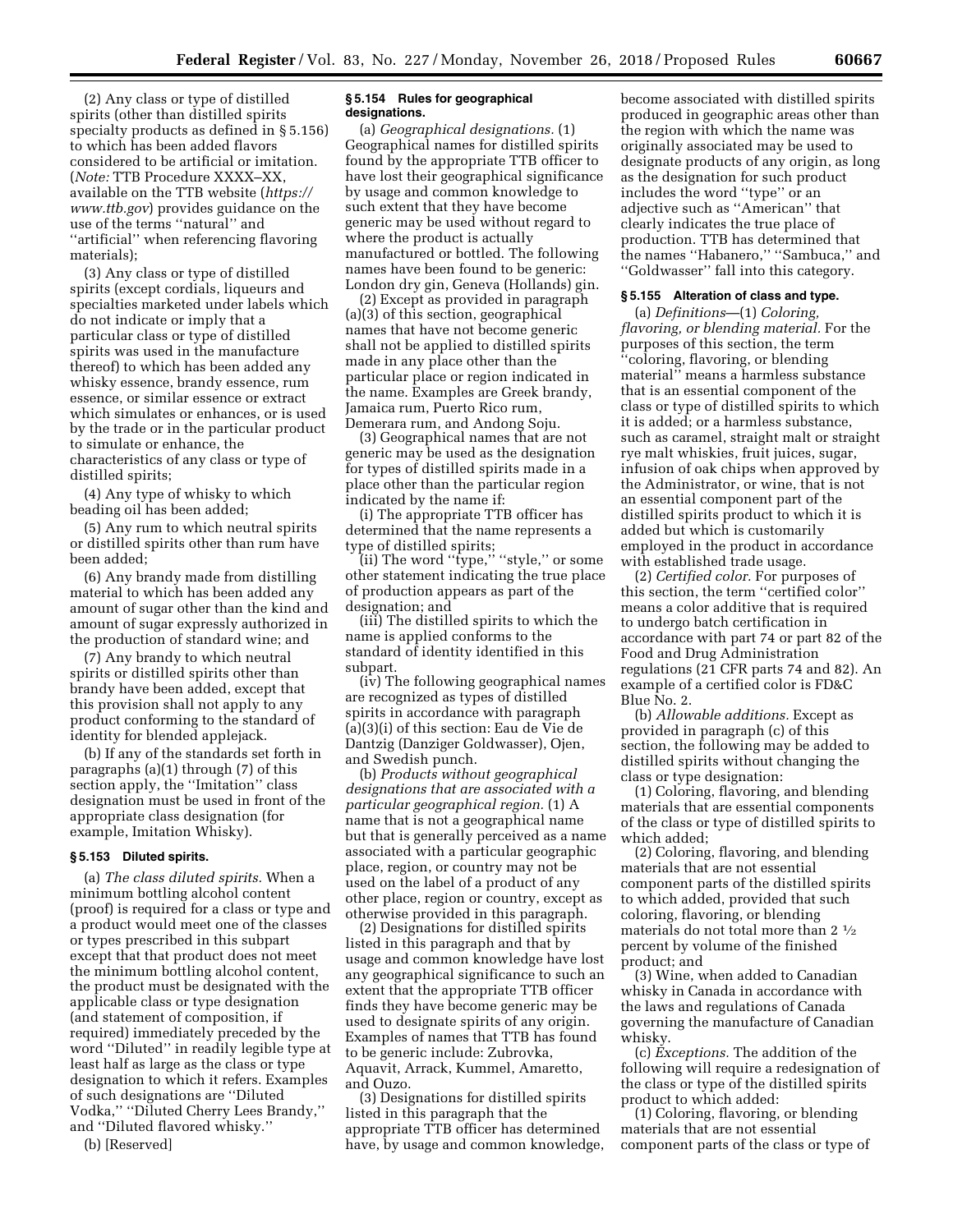(2) Any class or type of distilled spirits (other than distilled spirits specialty products as defined in § 5.156) to which has been added flavors considered to be artificial or imitation. (*Note:* TTB Procedure XXXX–XX, available on the TTB website (*[https://](https://www.ttb.gov) [www.ttb.gov](https://www.ttb.gov)*) provides guidance on the use of the terms ''natural'' and ''artificial'' when referencing flavoring materials);

(3) Any class or type of distilled spirits (except cordials, liqueurs and specialties marketed under labels which do not indicate or imply that a particular class or type of distilled spirits was used in the manufacture thereof) to which has been added any whisky essence, brandy essence, rum essence, or similar essence or extract which simulates or enhances, or is used by the trade or in the particular product to simulate or enhance, the characteristics of any class or type of distilled spirits;

(4) Any type of whisky to which beading oil has been added;

(5) Any rum to which neutral spirits or distilled spirits other than rum have been added;

(6) Any brandy made from distilling material to which has been added any amount of sugar other than the kind and amount of sugar expressly authorized in the production of standard wine; and

(7) Any brandy to which neutral spirits or distilled spirits other than brandy have been added, except that this provision shall not apply to any product conforming to the standard of identity for blended applejack.

(b) If any of the standards set forth in paragraphs (a)(1) through (7) of this section apply, the ''Imitation'' class designation must be used in front of the appropriate class designation (for example, Imitation Whisky).

#### **§ 5.153 Diluted spirits.**

(a) *The class diluted spirits.* When a minimum bottling alcohol content (proof) is required for a class or type and a product would meet one of the classes or types prescribed in this subpart except that that product does not meet the minimum bottling alcohol content, the product must be designated with the applicable class or type designation (and statement of composition, if required) immediately preceded by the word ''Diluted'' in readily legible type at least half as large as the class or type designation to which it refers. Examples of such designations are ''Diluted Vodka,'' ''Diluted Cherry Lees Brandy,'' and ''Diluted flavored whisky.''

(b) [Reserved]

### **§ 5.154 Rules for geographical designations.**

(a) *Geographical designations.* (1) Geographical names for distilled spirits found by the appropriate TTB officer to have lost their geographical significance by usage and common knowledge to such extent that they have become generic may be used without regard to where the product is actually manufactured or bottled. The following names have been found to be generic: London dry gin, Geneva (Hollands) gin.

(2) Except as provided in paragraph (a)(3) of this section, geographical names that have not become generic shall not be applied to distilled spirits made in any place other than the particular place or region indicated in the name. Examples are Greek brandy, Jamaica rum, Puerto Rico rum, Demerara rum, and Andong Soju.

(3) Geographical names that are not generic may be used as the designation for types of distilled spirits made in a place other than the particular region indicated by the name if:

(i) The appropriate TTB officer has determined that the name represents a type of distilled spirits;

(ii) The word ''type,'' ''style,'' or some other statement indicating the true place of production appears as part of the designation; and

(iii) The distilled spirits to which the name is applied conforms to the standard of identity identified in this subpart.

(iv) The following geographical names are recognized as types of distilled spirits in accordance with paragraph (a)(3)(i) of this section: Eau de Vie de Dantzig (Danziger Goldwasser), Ojen, and Swedish punch.

(b) *Products without geographical designations that are associated with a particular geographical region.* (1) A name that is not a geographical name but that is generally perceived as a name associated with a particular geographic place, region, or country may not be used on the label of a product of any other place, region or country, except as otherwise provided in this paragraph.

(2) Designations for distilled spirits listed in this paragraph and that by usage and common knowledge have lost any geographical significance to such an extent that the appropriate TTB officer finds they have become generic may be used to designate spirits of any origin. Examples of names that TTB has found to be generic include: Zubrovka, Aquavit, Arrack, Kummel, Amaretto, and Ouzo.

(3) Designations for distilled spirits listed in this paragraph that the appropriate TTB officer has determined have, by usage and common knowledge,

become associated with distilled spirits produced in geographic areas other than the region with which the name was originally associated may be used to designate products of any origin, as long as the designation for such product includes the word ''type'' or an adjective such as ''American'' that clearly indicates the true place of production. TTB has determined that the names ''Habanero,'' ''Sambuca,'' and ''Goldwasser'' fall into this category.

### **§ 5.155 Alteration of class and type.**

(a) *Definitions*—(1) *Coloring, flavoring, or blending material.* For the purposes of this section, the term ''coloring, flavoring, or blending material'' means a harmless substance that is an essential component of the class or type of distilled spirits to which it is added; or a harmless substance, such as caramel, straight malt or straight rye malt whiskies, fruit juices, sugar, infusion of oak chips when approved by the Administrator, or wine, that is not an essential component part of the distilled spirits product to which it is added but which is customarily employed in the product in accordance with established trade usage.

(2) *Certified color.* For purposes of this section, the term ''certified color'' means a color additive that is required to undergo batch certification in accordance with part 74 or part 82 of the Food and Drug Administration regulations (21 CFR parts 74 and 82). An example of a certified color is FD&C Blue No. 2.

(b) *Allowable additions.* Except as provided in paragraph (c) of this section, the following may be added to distilled spirits without changing the class or type designation:

(1) Coloring, flavoring, and blending materials that are essential components of the class or type of distilled spirits to which added;

(2) Coloring, flavoring, and blending materials that are not essential component parts of the distilled spirits to which added, provided that such coloring, flavoring, or blending materials do not total more than 2 1⁄2 percent by volume of the finished product; and

(3) Wine, when added to Canadian whisky in Canada in accordance with the laws and regulations of Canada governing the manufacture of Canadian whisky.

(c) *Exceptions.* The addition of the following will require a redesignation of the class or type of the distilled spirits product to which added:

(1) Coloring, flavoring, or blending materials that are not essential component parts of the class or type of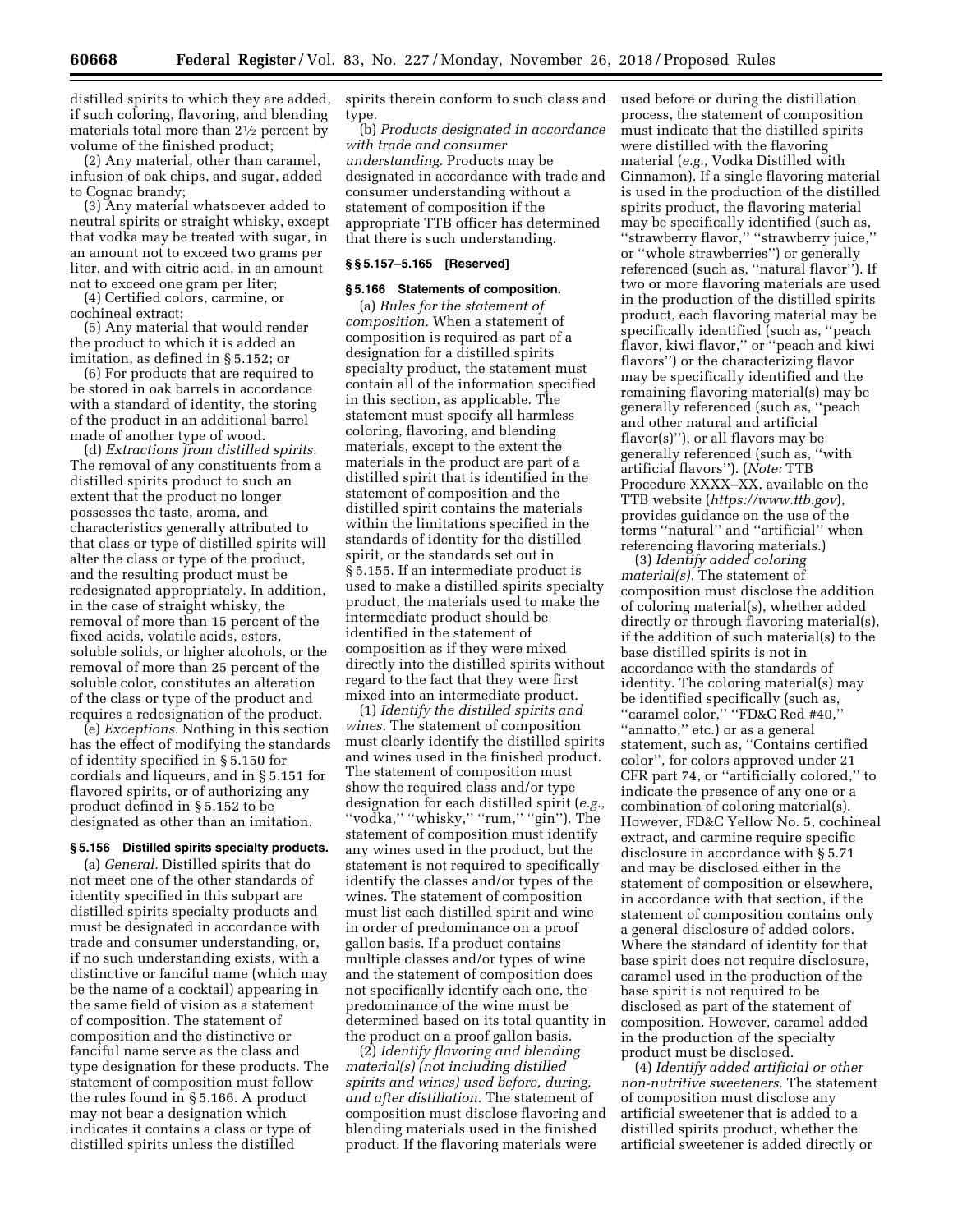distilled spirits to which they are added, if such coloring, flavoring, and blending materials total more than 21⁄2 percent by volume of the finished product;

(2) Any material, other than caramel, infusion of oak chips, and sugar, added to Cognac brandy;

(3) Any material whatsoever added to neutral spirits or straight whisky, except that vodka may be treated with sugar, in an amount not to exceed two grams per liter, and with citric acid, in an amount not to exceed one gram per liter;

(4) Certified colors, carmine, or cochineal extract;

(5) Any material that would render the product to which it is added an imitation, as defined in § 5.152; or

(6) For products that are required to be stored in oak barrels in accordance with a standard of identity, the storing of the product in an additional barrel made of another type of wood.

(d) *Extractions from distilled spirits.*  The removal of any constituents from a distilled spirits product to such an extent that the product no longer possesses the taste, aroma, and characteristics generally attributed to that class or type of distilled spirits will alter the class or type of the product, and the resulting product must be redesignated appropriately. In addition, in the case of straight whisky, the removal of more than 15 percent of the fixed acids, volatile acids, esters, soluble solids, or higher alcohols, or the removal of more than 25 percent of the soluble color, constitutes an alteration of the class or type of the product and requires a redesignation of the product.

(e) *Exceptions.* Nothing in this section has the effect of modifying the standards of identity specified in § 5.150 for cordials and liqueurs, and in § 5.151 for flavored spirits, or of authorizing any product defined in § 5.152 to be designated as other than an imitation.

# **§ 5.156 Distilled spirits specialty products.**

(a) *General.* Distilled spirits that do not meet one of the other standards of identity specified in this subpart are distilled spirits specialty products and must be designated in accordance with trade and consumer understanding, or, if no such understanding exists, with a distinctive or fanciful name (which may be the name of a cocktail) appearing in the same field of vision as a statement of composition. The statement of composition and the distinctive or fanciful name serve as the class and type designation for these products. The statement of composition must follow the rules found in § 5.166. A product may not bear a designation which indicates it contains a class or type of distilled spirits unless the distilled

spirits therein conform to such class and type.

(b) *Products designated in accordance with trade and consumer understanding.* Products may be designated in accordance with trade and consumer understanding without a statement of composition if the appropriate TTB officer has determined that there is such understanding.

# **§ § 5.157–5.165 [Reserved]**

# **§ 5.166 Statements of composition.**

(a) *Rules for the statement of composition.* When a statement of composition is required as part of a designation for a distilled spirits specialty product, the statement must contain all of the information specified in this section, as applicable. The statement must specify all harmless coloring, flavoring, and blending materials, except to the extent the materials in the product are part of a distilled spirit that is identified in the statement of composition and the distilled spirit contains the materials within the limitations specified in the standards of identity for the distilled spirit, or the standards set out in § 5.155. If an intermediate product is used to make a distilled spirits specialty product, the materials used to make the intermediate product should be identified in the statement of composition as if they were mixed directly into the distilled spirits without regard to the fact that they were first mixed into an intermediate product.

(1) *Identify the distilled spirits and wines.* The statement of composition must clearly identify the distilled spirits and wines used in the finished product. The statement of composition must show the required class and/or type designation for each distilled spirit (*e.g.,*  ''vodka,'' ''whisky,'' ''rum,'' ''gin''). The statement of composition must identify any wines used in the product, but the statement is not required to specifically identify the classes and/or types of the wines. The statement of composition must list each distilled spirit and wine in order of predominance on a proof gallon basis. If a product contains multiple classes and/or types of wine and the statement of composition does not specifically identify each one, the predominance of the wine must be determined based on its total quantity in the product on a proof gallon basis.

(2) *Identify flavoring and blending material(s) (not including distilled spirits and wines) used before, during, and after distillation.* The statement of composition must disclose flavoring and blending materials used in the finished product. If the flavoring materials were

used before or during the distillation process, the statement of composition must indicate that the distilled spirits were distilled with the flavoring material (*e.g.,* Vodka Distilled with Cinnamon). If a single flavoring material is used in the production of the distilled spirits product, the flavoring material may be specifically identified (such as, ''strawberry flavor,'' ''strawberry juice,'' or ''whole strawberries'') or generally referenced (such as, ''natural flavor''). If two or more flavoring materials are used in the production of the distilled spirits product, each flavoring material may be specifically identified (such as, ''peach flavor, kiwi flavor,'' or ''peach and kiwi flavors'') or the characterizing flavor may be specifically identified and the remaining flavoring material(s) may be generally referenced (such as, ''peach and other natural and artificial flavor(s)''), or all flavors may be generally referenced (such as, ''with artificial flavors''). (*Note:* TTB Procedure XXXX–XX, available on the TTB website (*<https://www.ttb.gov>*), provides guidance on the use of the terms ''natural'' and ''artificial'' when referencing flavoring materials.)

(3) *Identify added coloring material(s).* The statement of composition must disclose the addition of coloring material(s), whether added directly or through flavoring material(s), if the addition of such material(s) to the base distilled spirits is not in accordance with the standards of identity. The coloring material(s) may be identified specifically (such as, ''caramel color,'' ''FD&C Red #40,'' ''annatto,'' etc.) or as a general statement, such as, ''Contains certified color'', for colors approved under 21 CFR part 74, or ''artificially colored,'' to indicate the presence of any one or a combination of coloring material(s). However, FD&C Yellow No. 5, cochineal extract, and carmine require specific disclosure in accordance with § 5.71 and may be disclosed either in the statement of composition or elsewhere, in accordance with that section, if the statement of composition contains only a general disclosure of added colors. Where the standard of identity for that base spirit does not require disclosure, caramel used in the production of the base spirit is not required to be disclosed as part of the statement of composition. However, caramel added in the production of the specialty product must be disclosed.

(4) *Identify added artificial or other non-nutritive sweeteners.* The statement of composition must disclose any artificial sweetener that is added to a distilled spirits product, whether the artificial sweetener is added directly or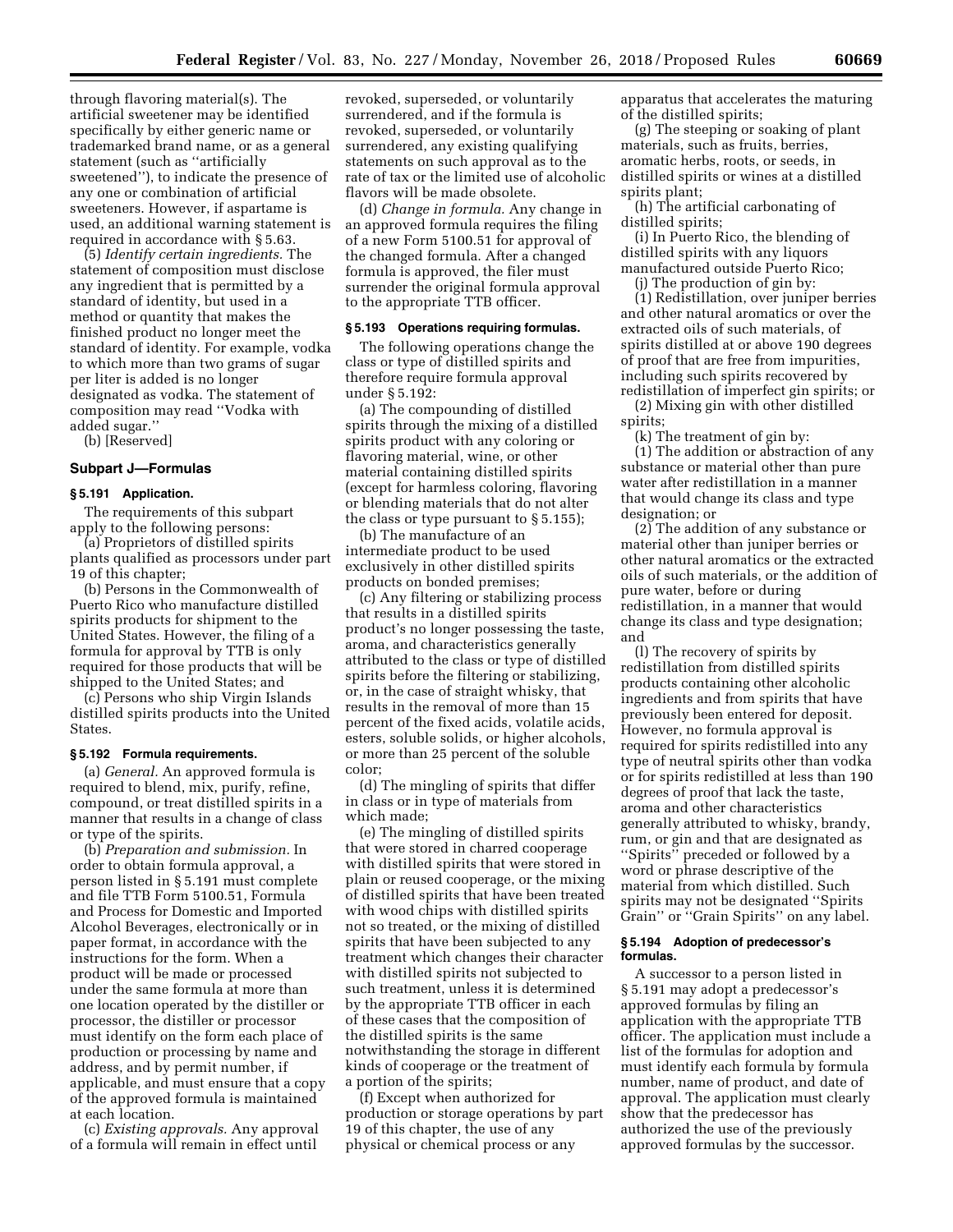through flavoring material(s). The artificial sweetener may be identified specifically by either generic name or trademarked brand name, or as a general statement (such as ''artificially sweetened''), to indicate the presence of any one or combination of artificial sweeteners. However, if aspartame is used, an additional warning statement is required in accordance with § 5.63.

(5) *Identify certain ingredients.* The statement of composition must disclose any ingredient that is permitted by a standard of identity, but used in a method or quantity that makes the finished product no longer meet the standard of identity. For example, vodka to which more than two grams of sugar per liter is added is no longer designated as vodka. The statement of composition may read ''Vodka with added sugar.''

(b) [Reserved]

# **Subpart J—Formulas**

# **§ 5.191 Application.**

The requirements of this subpart apply to the following persons:

(a) Proprietors of distilled spirits plants qualified as processors under part 19 of this chapter;

(b) Persons in the Commonwealth of Puerto Rico who manufacture distilled spirits products for shipment to the United States. However, the filing of a formula for approval by TTB is only required for those products that will be shipped to the United States; and

(c) Persons who ship Virgin Islands distilled spirits products into the United **States** 

#### **§ 5.192 Formula requirements.**

(a) *General.* An approved formula is required to blend, mix, purify, refine, compound, or treat distilled spirits in a manner that results in a change of class or type of the spirits.

(b) *Preparation and submission.* In order to obtain formula approval, a person listed in § 5.191 must complete and file TTB Form 5100.51, Formula and Process for Domestic and Imported Alcohol Beverages, electronically or in paper format, in accordance with the instructions for the form. When a product will be made or processed under the same formula at more than one location operated by the distiller or processor, the distiller or processor must identify on the form each place of production or processing by name and address, and by permit number, if applicable, and must ensure that a copy of the approved formula is maintained at each location.

(c) *Existing approvals.* Any approval of a formula will remain in effect until

revoked, superseded, or voluntarily surrendered, and if the formula is revoked, superseded, or voluntarily surrendered, any existing qualifying statements on such approval as to the rate of tax or the limited use of alcoholic flavors will be made obsolete.

(d) *Change in formula.* Any change in an approved formula requires the filing of a new Form 5100.51 for approval of the changed formula. After a changed formula is approved, the filer must surrender the original formula approval to the appropriate TTB officer.

#### **§ 5.193 Operations requiring formulas.**

The following operations change the class or type of distilled spirits and therefore require formula approval under § 5.192:

(a) The compounding of distilled spirits through the mixing of a distilled spirits product with any coloring or flavoring material, wine, or other material containing distilled spirits (except for harmless coloring, flavoring or blending materials that do not alter the class or type pursuant to § 5.155);

(b) The manufacture of an intermediate product to be used exclusively in other distilled spirits products on bonded premises;

(c) Any filtering or stabilizing process that results in a distilled spirits product's no longer possessing the taste, aroma, and characteristics generally attributed to the class or type of distilled spirits before the filtering or stabilizing, or, in the case of straight whisky, that results in the removal of more than 15 percent of the fixed acids, volatile acids, esters, soluble solids, or higher alcohols, or more than 25 percent of the soluble color;

(d) The mingling of spirits that differ in class or in type of materials from which made;

(e) The mingling of distilled spirits that were stored in charred cooperage with distilled spirits that were stored in plain or reused cooperage, or the mixing of distilled spirits that have been treated with wood chips with distilled spirits not so treated, or the mixing of distilled spirits that have been subjected to any treatment which changes their character with distilled spirits not subjected to such treatment, unless it is determined by the appropriate TTB officer in each of these cases that the composition of the distilled spirits is the same notwithstanding the storage in different kinds of cooperage or the treatment of a portion of the spirits;

(f) Except when authorized for production or storage operations by part 19 of this chapter, the use of any physical or chemical process or any

apparatus that accelerates the maturing of the distilled spirits;

(g) The steeping or soaking of plant materials, such as fruits, berries, aromatic herbs, roots, or seeds, in distilled spirits or wines at a distilled spirits plant;

(h) The artificial carbonating of distilled spirits;

(i) In Puerto Rico, the blending of distilled spirits with any liquors manufactured outside Puerto Rico;

(j) The production of gin by:

(1) Redistillation, over juniper berries and other natural aromatics or over the extracted oils of such materials, of spirits distilled at or above 190 degrees of proof that are free from impurities, including such spirits recovered by redistillation of imperfect gin spirits; or

(2) Mixing gin with other distilled spirits;

(k) The treatment of gin by:

(1) The addition or abstraction of any substance or material other than pure water after redistillation in a manner that would change its class and type designation; or

(2) The addition of any substance or material other than juniper berries or other natural aromatics or the extracted oils of such materials, or the addition of pure water, before or during redistillation, in a manner that would change its class and type designation; and

(l) The recovery of spirits by redistillation from distilled spirits products containing other alcoholic ingredients and from spirits that have previously been entered for deposit. However, no formula approval is required for spirits redistilled into any type of neutral spirits other than vodka or for spirits redistilled at less than 190 degrees of proof that lack the taste, aroma and other characteristics generally attributed to whisky, brandy, rum, or gin and that are designated as ''Spirits'' preceded or followed by a word or phrase descriptive of the material from which distilled. Such spirits may not be designated ''Spirits Grain'' or ''Grain Spirits'' on any label.

### **§ 5.194 Adoption of predecessor's formulas.**

A successor to a person listed in § 5.191 may adopt a predecessor's approved formulas by filing an application with the appropriate TTB officer. The application must include a list of the formulas for adoption and must identify each formula by formula number, name of product, and date of approval. The application must clearly show that the predecessor has authorized the use of the previously approved formulas by the successor.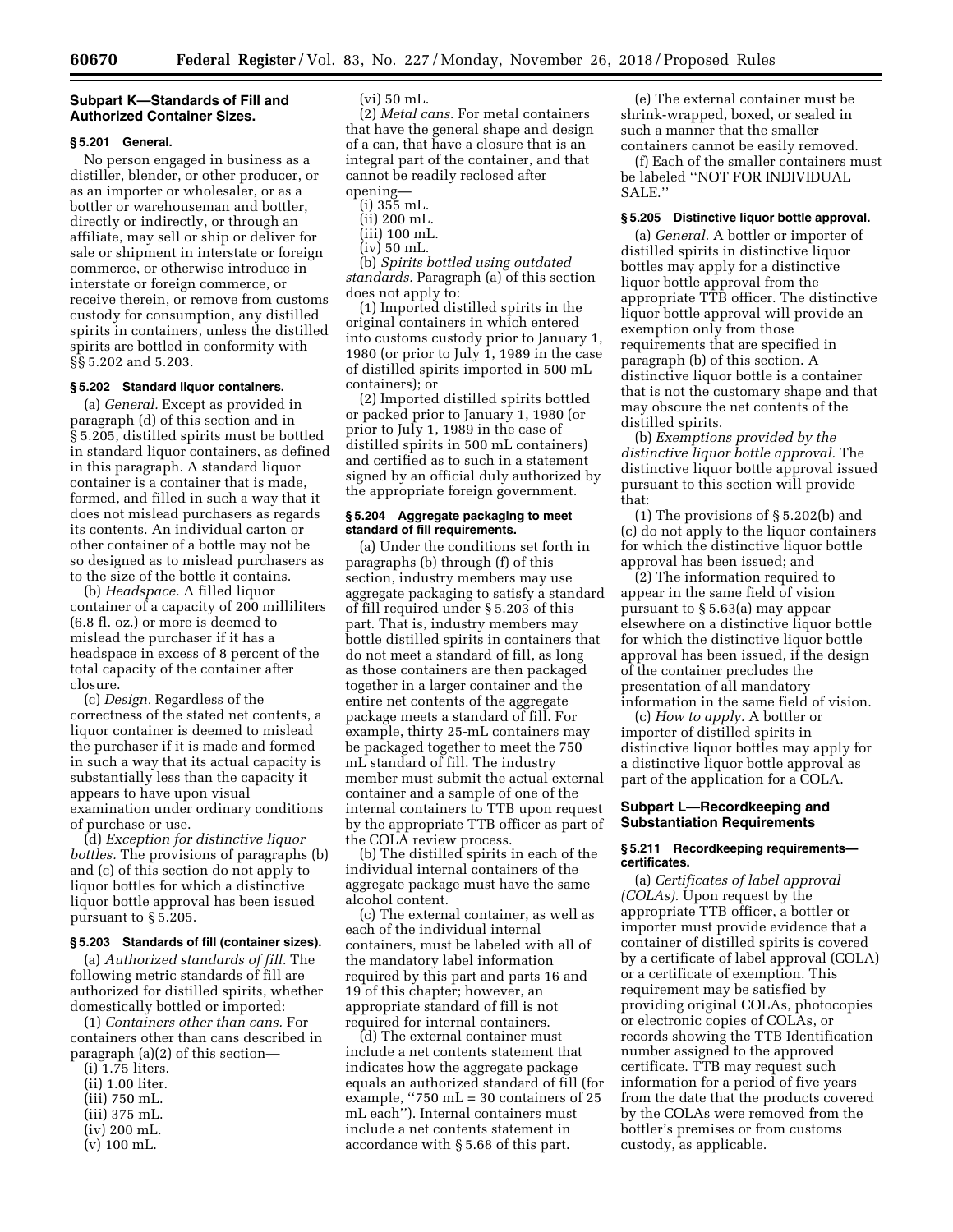## **Subpart K—Standards of Fill and Authorized Container Sizes.**

# **§ 5.201 General.**

No person engaged in business as a distiller, blender, or other producer, or as an importer or wholesaler, or as a bottler or warehouseman and bottler, directly or indirectly, or through an affiliate, may sell or ship or deliver for sale or shipment in interstate or foreign commerce, or otherwise introduce in interstate or foreign commerce, or receive therein, or remove from customs custody for consumption, any distilled spirits in containers, unless the distilled spirits are bottled in conformity with §§ 5.202 and 5.203.

# **§ 5.202 Standard liquor containers.**

(a) *General.* Except as provided in paragraph (d) of this section and in § 5.205, distilled spirits must be bottled in standard liquor containers, as defined in this paragraph. A standard liquor container is a container that is made, formed, and filled in such a way that it does not mislead purchasers as regards its contents. An individual carton or other container of a bottle may not be so designed as to mislead purchasers as to the size of the bottle it contains.

(b) *Headspace.* A filled liquor container of a capacity of 200 milliliters (6.8 fl. oz.) or more is deemed to mislead the purchaser if it has a headspace in excess of 8 percent of the total capacity of the container after closure.

(c) *Design.* Regardless of the correctness of the stated net contents, a liquor container is deemed to mislead the purchaser if it is made and formed in such a way that its actual capacity is substantially less than the capacity it appears to have upon visual examination under ordinary conditions of purchase or use.

(d) *Exception for distinctive liquor bottles.* The provisions of paragraphs (b) and (c) of this section do not apply to liquor bottles for which a distinctive liquor bottle approval has been issued pursuant to § 5.205.

## **§ 5.203 Standards of fill (container sizes).**

(a) *Authorized standards of fill.* The following metric standards of fill are authorized for distilled spirits, whether domestically bottled or imported:

(1) *Containers other than cans.* For containers other than cans described in paragraph (a)(2) of this section—

- (i) 1.75 liters.
- (ii) 1.00 liter.
- (iii) 750 mL.
- (iii) 375 mL.
- (iv) 200 mL.
- (v) 100 mL.

 $(vi)$  50 mL.

(2) *Metal cans.* For metal containers that have the general shape and design of a can, that have a closure that is an integral part of the container, and that cannot be readily reclosed after opening—

- (i) 355 mL. (ii) 200 mL.
- (iii) 100 mL.
- 
- (iv) 50 mL.

(b) *Spirits bottled using outdated standards.* Paragraph (a) of this section does not apply to:

(1) Imported distilled spirits in the original containers in which entered into customs custody prior to January 1, 1980 (or prior to July 1, 1989 in the case of distilled spirits imported in 500 mL containers); or

(2) Imported distilled spirits bottled or packed prior to January 1, 1980 (or prior to July 1, 1989 in the case of distilled spirits in 500 mL containers) and certified as to such in a statement signed by an official duly authorized by the appropriate foreign government.

#### **§ 5.204 Aggregate packaging to meet standard of fill requirements.**

(a) Under the conditions set forth in paragraphs (b) through (f) of this section, industry members may use aggregate packaging to satisfy a standard of fill required under § 5.203 of this part. That is, industry members may bottle distilled spirits in containers that do not meet a standard of fill, as long as those containers are then packaged together in a larger container and the entire net contents of the aggregate package meets a standard of fill. For example, thirty 25-mL containers may be packaged together to meet the 750 mL standard of fill. The industry member must submit the actual external container and a sample of one of the internal containers to TTB upon request by the appropriate TTB officer as part of the COLA review process.

(b) The distilled spirits in each of the individual internal containers of the aggregate package must have the same alcohol content.

(c) The external container, as well as each of the individual internal containers, must be labeled with all of the mandatory label information required by this part and parts 16 and 19 of this chapter; however, an appropriate standard of fill is not required for internal containers.

(d) The external container must include a net contents statement that indicates how the aggregate package equals an authorized standard of fill (for example, ''750 mL = 30 containers of 25 mL each''). Internal containers must include a net contents statement in accordance with § 5.68 of this part.

(e) The external container must be shrink-wrapped, boxed, or sealed in such a manner that the smaller containers cannot be easily removed.

(f) Each of the smaller containers must be labeled ''NOT FOR INDIVIDUAL SALE.''

#### **§ 5.205 Distinctive liquor bottle approval.**

(a) *General.* A bottler or importer of distilled spirits in distinctive liquor bottles may apply for a distinctive liquor bottle approval from the appropriate TTB officer. The distinctive liquor bottle approval will provide an exemption only from those requirements that are specified in paragraph (b) of this section. A distinctive liquor bottle is a container that is not the customary shape and that may obscure the net contents of the distilled spirits.

(b) *Exemptions provided by the distinctive liquor bottle approval.* The distinctive liquor bottle approval issued pursuant to this section will provide that:

(1) The provisions of § 5.202(b) and (c) do not apply to the liquor containers for which the distinctive liquor bottle approval has been issued; and

(2) The information required to appear in the same field of vision pursuant to § 5.63(a) may appear elsewhere on a distinctive liquor bottle for which the distinctive liquor bottle approval has been issued, if the design of the container precludes the presentation of all mandatory information in the same field of vision.

(c) *How to apply.* A bottler or importer of distilled spirits in distinctive liquor bottles may apply for a distinctive liquor bottle approval as part of the application for a COLA.

#### **Subpart L—Recordkeeping and Substantiation Requirements**

#### **§ 5.211 Recordkeeping requirements certificates.**

(a) *Certificates of label approval (COLAs).* Upon request by the appropriate TTB officer, a bottler or importer must provide evidence that a container of distilled spirits is covered by a certificate of label approval (COLA) or a certificate of exemption. This requirement may be satisfied by providing original COLAs, photocopies or electronic copies of COLAs, or records showing the TTB Identification number assigned to the approved certificate. TTB may request such information for a period of five years from the date that the products covered by the COLAs were removed from the bottler's premises or from customs custody, as applicable.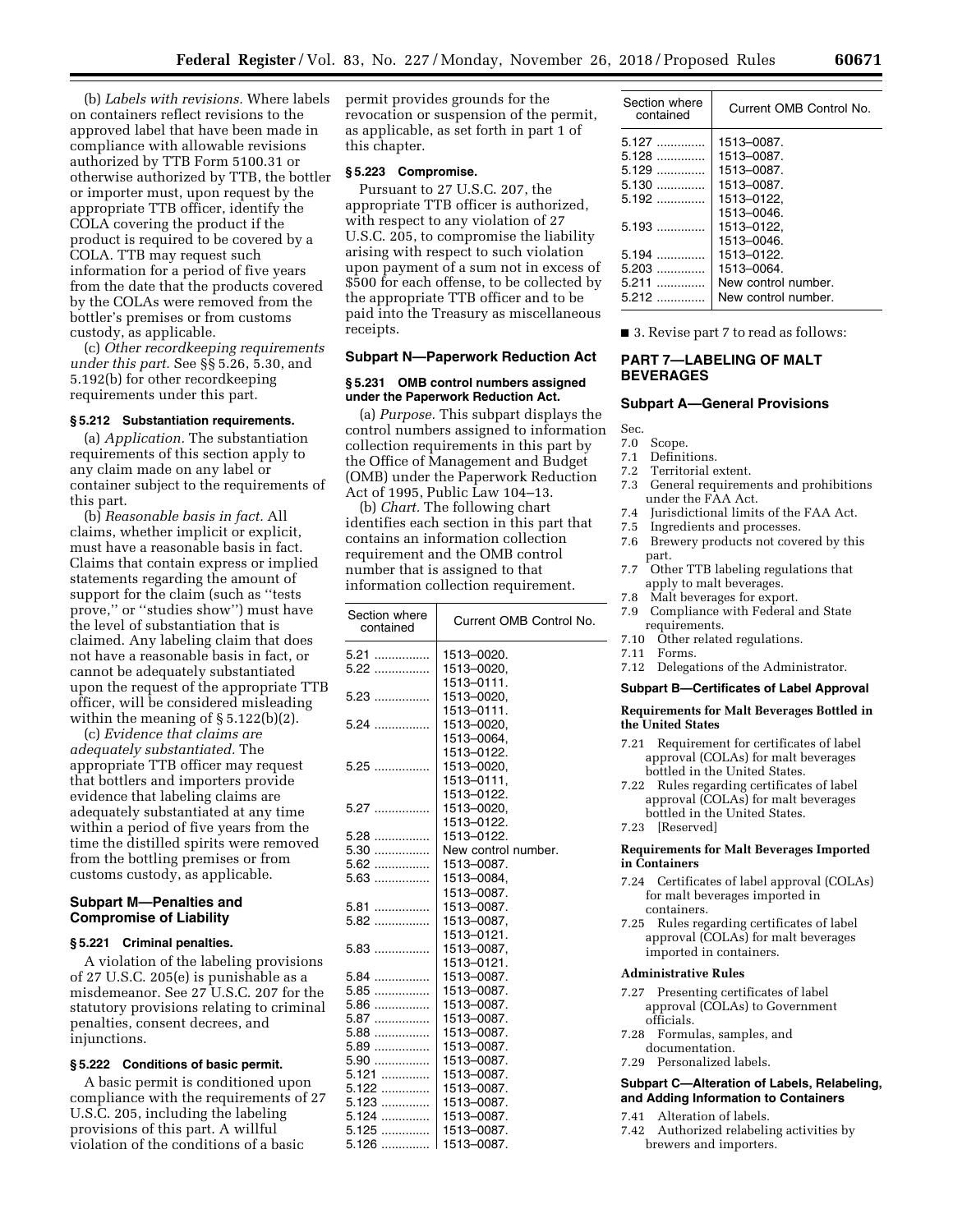(b) *Labels with revisions.* Where labels on containers reflect revisions to the approved label that have been made in compliance with allowable revisions authorized by TTB Form 5100.31 or otherwise authorized by TTB, the bottler or importer must, upon request by the appropriate TTB officer, identify the COLA covering the product if the product is required to be covered by a COLA. TTB may request such information for a period of five years from the date that the products covered by the COLAs were removed from the bottler's premises or from customs custody, as applicable.

(c) *Other recordkeeping requirements under this part.* See §§ 5.26, 5.30, and 5.192(b) for other recordkeeping requirements under this part.

#### **§ 5.212 Substantiation requirements.**

(a) *Application.* The substantiation requirements of this section apply to any claim made on any label or container subject to the requirements of this part.

(b) *Reasonable basis in fact.* All claims, whether implicit or explicit, must have a reasonable basis in fact. Claims that contain express or implied statements regarding the amount of support for the claim (such as ''tests prove,'' or ''studies show'') must have the level of substantiation that is claimed. Any labeling claim that does not have a reasonable basis in fact, or cannot be adequately substantiated upon the request of the appropriate TTB officer, will be considered misleading within the meaning of  $\S 5.122(b)(2)$ .

(c) *Evidence that claims are adequately substantiated.* The appropriate TTB officer may request that bottlers and importers provide evidence that labeling claims are adequately substantiated at any time within a period of five years from the time the distilled spirits were removed from the bottling premises or from customs custody, as applicable.

# **Subpart M—Penalties and Compromise of Liability**

#### **§ 5.221 Criminal penalties.**

A violation of the labeling provisions of 27 U.S.C. 205(e) is punishable as a misdemeanor. See 27 U.S.C. 207 for the statutory provisions relating to criminal penalties, consent decrees, and injunctions.

# **§ 5.222 Conditions of basic permit.**

A basic permit is conditioned upon compliance with the requirements of 27 U.S.C. 205, including the labeling provisions of this part. A willful violation of the conditions of a basic

permit provides grounds for the revocation or suspension of the permit, as applicable, as set forth in part 1 of this chapter.

# **§ 5.223 Compromise.**

Pursuant to 27 U.S.C. 207, the appropriate TTB officer is authorized, with respect to any violation of 27 U.S.C. 205, to compromise the liability arising with respect to such violation upon payment of a sum not in excess of \$500 for each offense, to be collected by the appropriate TTB officer and to be paid into the Treasury as miscellaneous receipts.

# **Subpart N—Paperwork Reduction Act**

#### **§ 5.231 OMB control numbers assigned under the Paperwork Reduction Act.**

(a) *Purpose.* This subpart displays the control numbers assigned to information collection requirements in this part by the Office of Management and Budget (OMB) under the Paperwork Reduction Act of 1995, Public Law 104–13.

(b) *Chart.* The following chart identifies each section in this part that contains an information collection requirement and the OMB control number that is assigned to that information collection requirement.

| Section where<br>contained | Current OMB Control No. |
|----------------------------|-------------------------|
| $5.21$                     | 1513-0020.              |
| $5.22$                     | 1513-0020.              |
|                            | 1513-0111.              |
| $5.23$                     | 1513-0020.              |
|                            | 1513-0111.              |
| $5.24$                     | 1513-0020.              |
|                            | 1513-0064.              |
|                            | 1513-0122.              |
| $5.25$                     | 1513-0020.              |
|                            | 1513-0111,              |
|                            | 1513-0122.              |
|                            | 1513-0020,              |
|                            | 1513-0122.              |
| $5.28$                     | 1513-0122.              |
| 5.30                       | New control number.     |
| 5.62                       | 1513-0087.              |
| $5.63$                     | 1513-0084,              |
|                            | 1513-0087.              |
| $5.81$                     | 1513-0087.              |
| 5.82                       | 1513-0087,              |
|                            | 1513-0121.              |
| $5.83$                     | 1513-0087.              |
|                            | 1513-0121.              |
| $5.84$                     | 1513-0087.              |
| $5.85$                     | 1513-0087.              |
| $5.86$                     | 1513-0087.              |
| 5.87                       | 1513-0087.              |
| $5.88$                     | 1513-0087.              |
| 5.89                       | 1513-0087.              |
| $5.90$                     | 1513-0087.              |
| 5.121                      | 1513-0087.              |
| 5.122                      | 1513-0087.              |
| 5.123                      | 1513-0087.              |
| 5.124                      | 1513-0087.              |
| 5.125                      | 1513-0087.              |
| $5.126$                    | 1513-0087.              |

| Section where<br>contained | Current OMB Control No. |
|----------------------------|-------------------------|
|                            | 1513-0087.              |
| $5.128$                    | 1513-0087.              |
| $5.129$                    | 1513-0087.              |
| 5.130                      | 1513-0087.              |
| 5.192                      | 1513-0122.              |
|                            | 1513-0046.              |
| 5.193                      | 1513-0122.              |
|                            | 1513-0046.              |
| 5.194                      | 1513-0122.              |
| 5.203<br>.                 | 1513-0064.              |
| $5.211$                    | New control number.     |
| 5.212                      | New control number.     |

■ 3. Revise part 7 to read as follows:

# **PART 7—LABELING OF MALT BEVERAGES**

## **Subpart A—General Provisions**

Sec.

# 7.0 Scope.<br>7.1 Definit

- Definitions.
- 7.2 Territorial extent.<br>7.3 General requirement
- General requirements and prohibitions under the FAA Act.
- 7.4 Jurisdictional limits of the FAA Act.<br>7.5 Ingredients and processes
- 
- 7.5 Ingredients and processes.<br>7.6 Brewery products not cove Brewery products not covered by this part.
- 7.7 Other TTB labeling regulations that apply to malt beverages.
- 7.8 Malt beverages for export.
- 7.9 Compliance with Federal and State requirements.
- 7.10 Other related regulations.
- 7.11 Forms.
- 7.12 Delegations of the Administrator.

# **Subpart B—Certificates of Label Approval**

# **Requirements for Malt Beverages Bottled in the United States**

- 7.21 Requirement for certificates of label approval (COLAs) for malt beverages bottled in the United States.
- 7.22 Rules regarding certificates of label approval (COLAs) for malt beverages bottled in the United States.
- 7.23 [Reserved]

#### **Requirements for Malt Beverages Imported in Containers**

- 7.24 Certificates of label approval (COLAs) for malt beverages imported in containers.
- 7.25 Rules regarding certificates of label approval (COLAs) for malt beverages imported in containers.

#### **Administrative Rules**

- 7.27 Presenting certificates of label approval (COLAs) to Government officials.
- 7.28 Formulas, samples, and
- documentation. 7.29 Personalized labels.

# **Subpart C—Alteration of Labels, Relabeling, and Adding Information to Containers**

- 7.41 Alteration of labels.
- 7.42 Authorized relabeling activities by brewers and importers.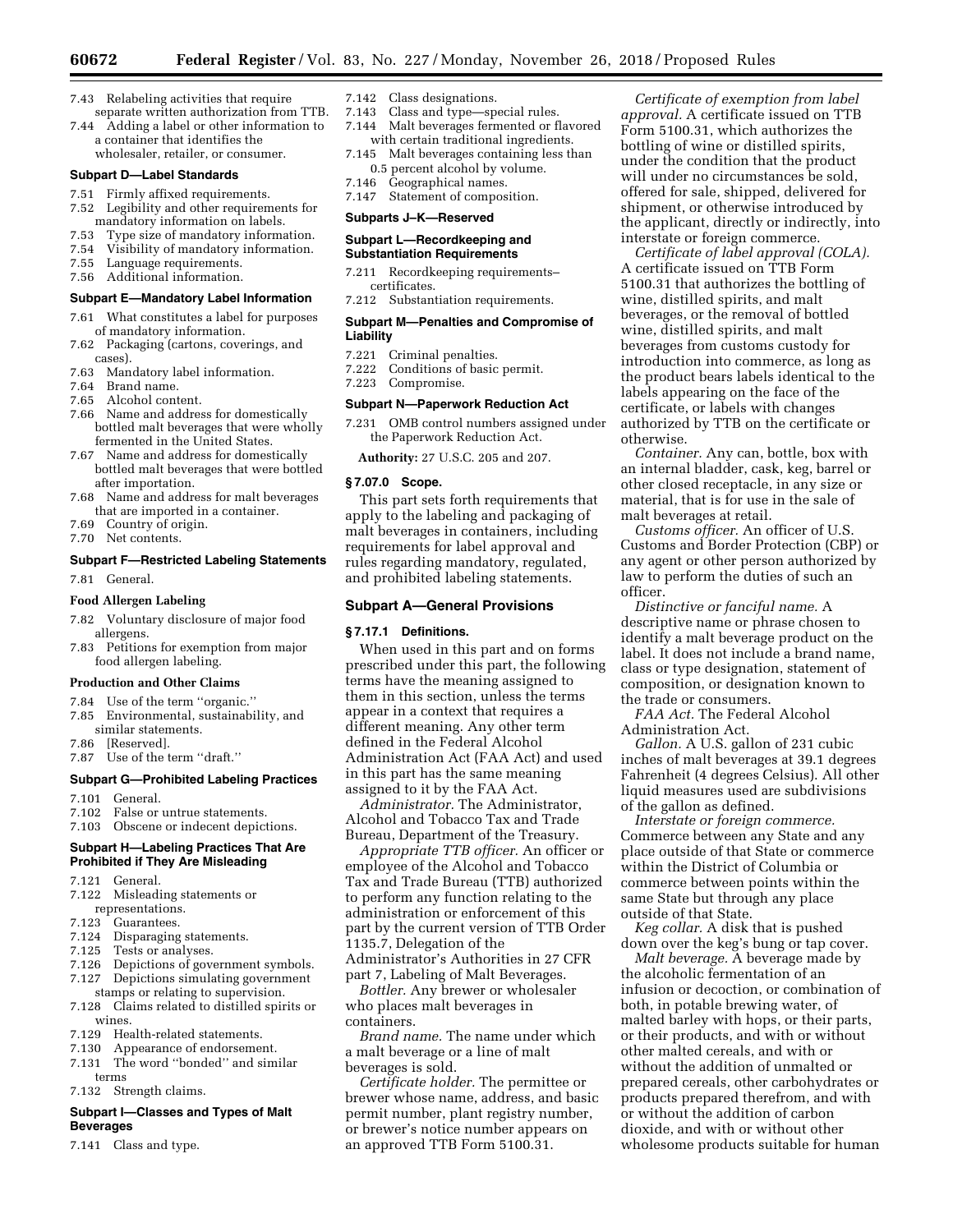- 7.43 Relabeling activities that require separate written authorization from TTB.
- 7.44 Adding a label or other information to a container that identifies the wholesaler, retailer, or consumer.

#### **Subpart D—Label Standards**

- 7.51 Firmly affixed requirements. 7.52 Legibility and other requirements for
- mandatory information on labels.<br>7.53 Type size of mandatory information
- 7.53 Type size of mandatory information.
- 7.54 Visibility of mandatory information. Language requirements.
- 7.56 Additional information.

## **Subpart E—Mandatory Label Information**

- 7.61 What constitutes a label for purposes of mandatory information.
- 7.62 Packaging (cartons, coverings, and cases).
- 7.63 Mandatory label information.
- 7.64 Brand name.
- 7.65 Alcohol content.
- 7.66 Name and address for domestically bottled malt beverages that were wholly fermented in the United States.
- 7.67 Name and address for domestically bottled malt beverages that were bottled after importation.
- 7.68 Name and address for malt beverages that are imported in a container.
- 7.69 Country of origin.
- 7.70 Net contents.

#### **Subpart F—Restricted Labeling Statements**

7.81 General.

#### **Food Allergen Labeling**

- 7.82 Voluntary disclosure of major food allergens.
- 7.83 Petitions for exemption from major food allergen labeling.

#### **Production and Other Claims**

- 7.84 Use of the term ''organic.''
- 7.85 Environmental, sustainability, and similar statements.
- 7.86 [Reserved].
- 7.87 Use of the term ''draft.''

#### **Subpart G—Prohibited Labeling Practices**

- 7.101 General.
- 7.102 False or untrue statements.
- 7.103 Obscene or indecent depictions.

## **Subpart H—Labeling Practices That Are Prohibited if They Are Misleading**

- 7.121 General.
- 7.122 Misleading statements or representations.
- 7.123 Guarantees.
- 7.124 Disparaging statements.
- 7.125 Tests or analyses.
- 7.126 Depictions of government symbols. 7.127 Depictions simulating government stamps or relating to supervision.
- 7.128 Claims related to distilled spirits or wines.
- 7.129 Health-related statements.
- 7.130 Appearance of endorsement.
- 7.131 The word ''bonded'' and similar terms

7.132 Strength claims.

## **Subpart I—Classes and Types of Malt Beverages**

7.141 Class and type.

- 7.142 Class designations.
- 7.143 Class and type—special rules. 7.144 Malt beverages fermented or flavored with certain traditional ingredients.
- 7.145 Malt beverages containing less than 0.5 percent alcohol by volume.
- 7.146 Geographical names.
- 7.147 Statement of composition.

# **Subparts J–K—Reserved**

#### **Subpart L—Recordkeeping and Substantiation Requirements**

- 7.211 Recordkeeping requirements– certificates.
- 7.212 Substantiation requirements.

## **Subpart M—Penalties and Compromise of Liability**

- 7.221 Criminal penalties.
- 7.222 Conditions of basic permit.
- 7.223 Compromise.

#### **Subpart N—Paperwork Reduction Act**

7.231 OMB control numbers assigned under the Paperwork Reduction Act.

**Authority:** 27 U.S.C. 205 and 207.

#### **§ 7.07.0 Scope.**

This part sets forth requirements that apply to the labeling and packaging of malt beverages in containers, including requirements for label approval and rules regarding mandatory, regulated, and prohibited labeling statements.

#### **Subpart A—General Provisions**

#### **§ 7.17.1 Definitions.**

When used in this part and on forms prescribed under this part, the following terms have the meaning assigned to them in this section, unless the terms appear in a context that requires a different meaning. Any other term defined in the Federal Alcohol Administration Act (FAA Act) and used in this part has the same meaning assigned to it by the FAA Act.

*Administrator.* The Administrator, Alcohol and Tobacco Tax and Trade Bureau, Department of the Treasury.

*Appropriate TTB officer.* An officer or employee of the Alcohol and Tobacco Tax and Trade Bureau (TTB) authorized to perform any function relating to the administration or enforcement of this part by the current version of TTB Order 1135.7, Delegation of the Administrator's Authorities in 27 CFR part 7, Labeling of Malt Beverages.

*Bottler.* Any brewer or wholesaler who places malt beverages in containers.

*Brand name.* The name under which a malt beverage or a line of malt beverages is sold.

*Certificate holder.* The permittee or brewer whose name, address, and basic permit number, plant registry number, or brewer's notice number appears on an approved TTB Form 5100.31.

*Certificate of exemption from label approval.* A certificate issued on TTB Form 5100.31, which authorizes the bottling of wine or distilled spirits, under the condition that the product will under no circumstances be sold, offered for sale, shipped, delivered for shipment, or otherwise introduced by the applicant, directly or indirectly, into interstate or foreign commerce.

*Certificate of label approval (COLA).*  A certificate issued on TTB Form 5100.31 that authorizes the bottling of wine, distilled spirits, and malt beverages, or the removal of bottled wine, distilled spirits, and malt beverages from customs custody for introduction into commerce, as long as the product bears labels identical to the labels appearing on the face of the certificate, or labels with changes authorized by TTB on the certificate or otherwise.

*Container.* Any can, bottle, box with an internal bladder, cask, keg, barrel or other closed receptacle, in any size or material, that is for use in the sale of malt beverages at retail.

*Customs officer.* An officer of U.S. Customs and Border Protection (CBP) or any agent or other person authorized by law to perform the duties of such an officer.

*Distinctive or fanciful name.* A descriptive name or phrase chosen to identify a malt beverage product on the label. It does not include a brand name, class or type designation, statement of composition, or designation known to the trade or consumers.

*FAA Act.* The Federal Alcohol Administration Act.

*Gallon.* A U.S. gallon of 231 cubic inches of malt beverages at 39.1 degrees Fahrenheit (4 degrees Celsius). All other liquid measures used are subdivisions of the gallon as defined.

*Interstate or foreign commerce.*  Commerce between any State and any place outside of that State or commerce within the District of Columbia or commerce between points within the same State but through any place outside of that State.

*Keg collar.* A disk that is pushed down over the keg's bung or tap cover.

*Malt beverage.* A beverage made by the alcoholic fermentation of an infusion or decoction, or combination of both, in potable brewing water, of malted barley with hops, or their parts, or their products, and with or without other malted cereals, and with or without the addition of unmalted or prepared cereals, other carbohydrates or products prepared therefrom, and with or without the addition of carbon dioxide, and with or without other wholesome products suitable for human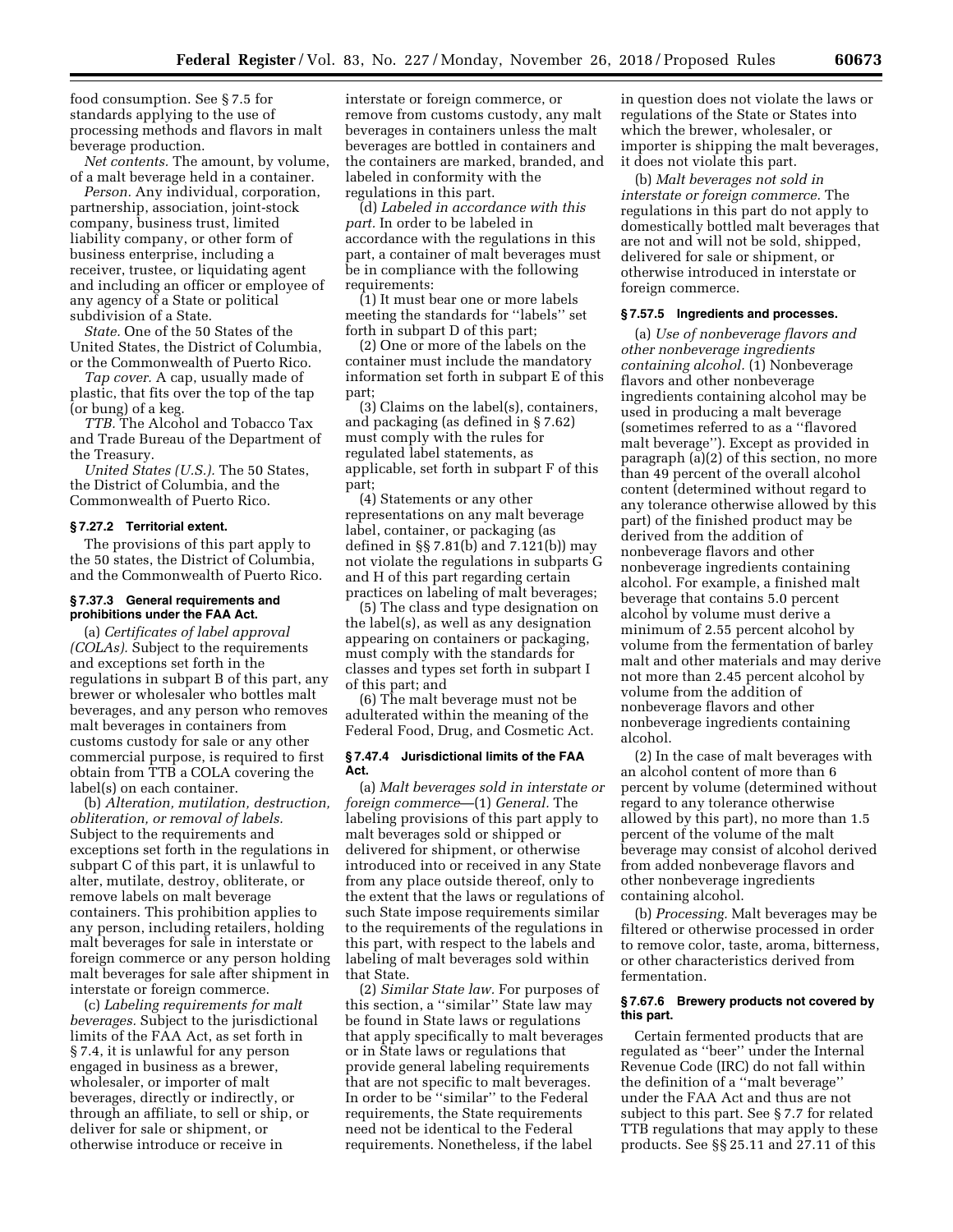food consumption. See § 7.5 for standards applying to the use of processing methods and flavors in malt beverage production.

*Net contents.* The amount, by volume, of a malt beverage held in a container.

*Person.* Any individual, corporation, partnership, association, joint-stock company, business trust, limited liability company, or other form of business enterprise, including a receiver, trustee, or liquidating agent and including an officer or employee of any agency of a State or political subdivision of a State.

*State.* One of the 50 States of the United States, the District of Columbia, or the Commonwealth of Puerto Rico.

*Tap cover.* A cap, usually made of plastic, that fits over the top of the tap (or bung) of a keg.

*TTB.* The Alcohol and Tobacco Tax and Trade Bureau of the Department of the Treasury.

*United States (U.S.).* The 50 States, the District of Columbia, and the Commonwealth of Puerto Rico.

# **§ 7.27.2 Territorial extent.**

The provisions of this part apply to the 50 states, the District of Columbia, and the Commonwealth of Puerto Rico.

# **§ 7.37.3 General requirements and prohibitions under the FAA Act.**

(a) *Certificates of label approval (COLAs).* Subject to the requirements and exceptions set forth in the regulations in subpart B of this part, any brewer or wholesaler who bottles malt beverages, and any person who removes malt beverages in containers from customs custody for sale or any other commercial purpose, is required to first obtain from TTB a COLA covering the label(s) on each container.

(b) *Alteration, mutilation, destruction, obliteration, or removal of labels.*  Subject to the requirements and exceptions set forth in the regulations in subpart C of this part, it is unlawful to alter, mutilate, destroy, obliterate, or remove labels on malt beverage containers. This prohibition applies to any person, including retailers, holding malt beverages for sale in interstate or foreign commerce or any person holding malt beverages for sale after shipment in interstate or foreign commerce.

(c) *Labeling requirements for malt beverages.* Subject to the jurisdictional limits of the FAA Act, as set forth in § 7.4, it is unlawful for any person engaged in business as a brewer, wholesaler, or importer of malt beverages, directly or indirectly, or through an affiliate, to sell or ship, or deliver for sale or shipment, or otherwise introduce or receive in

interstate or foreign commerce, or remove from customs custody, any malt beverages in containers unless the malt beverages are bottled in containers and the containers are marked, branded, and labeled in conformity with the regulations in this part.

(d) *Labeled in accordance with this part.* In order to be labeled in accordance with the regulations in this part, a container of malt beverages must be in compliance with the following requirements:

(1) It must bear one or more labels meeting the standards for ''labels'' set forth in subpart D of this part;

(2) One or more of the labels on the container must include the mandatory information set forth in subpart E of this part;

(3) Claims on the label(s), containers, and packaging (as defined in § 7.62) must comply with the rules for regulated label statements, as applicable, set forth in subpart F of this part;

(4) Statements or any other representations on any malt beverage label, container, or packaging (as defined in §§ 7.81(b) and 7.121(b)) may not violate the regulations in subparts G and H of this part regarding certain practices on labeling of malt beverages;

(5) The class and type designation on the label(s), as well as any designation appearing on containers or packaging, must comply with the standards for classes and types set forth in subpart I of this part; and

(6) The malt beverage must not be adulterated within the meaning of the Federal Food, Drug, and Cosmetic Act.

## **§ 7.47.4 Jurisdictional limits of the FAA Act.**

(a) *Malt beverages sold in interstate or foreign commerce*—(1) *General.* The labeling provisions of this part apply to malt beverages sold or shipped or delivered for shipment, or otherwise introduced into or received in any State from any place outside thereof, only to the extent that the laws or regulations of such State impose requirements similar to the requirements of the regulations in this part, with respect to the labels and labeling of malt beverages sold within that State.

(2) *Similar State law.* For purposes of this section, a ''similar'' State law may be found in State laws or regulations that apply specifically to malt beverages or in State laws or regulations that provide general labeling requirements that are not specific to malt beverages. In order to be ''similar'' to the Federal requirements, the State requirements need not be identical to the Federal requirements. Nonetheless, if the label

in question does not violate the laws or regulations of the State or States into which the brewer, wholesaler, or importer is shipping the malt beverages, it does not violate this part.

(b) *Malt beverages not sold in interstate or foreign commerce.* The regulations in this part do not apply to domestically bottled malt beverages that are not and will not be sold, shipped, delivered for sale or shipment, or otherwise introduced in interstate or foreign commerce.

#### **§ 7.57.5 Ingredients and processes.**

(a) *Use of nonbeverage flavors and other nonbeverage ingredients containing alcohol.* (1) Nonbeverage flavors and other nonbeverage ingredients containing alcohol may be used in producing a malt beverage (sometimes referred to as a ''flavored malt beverage''). Except as provided in paragraph (a)(2) of this section, no more than 49 percent of the overall alcohol content (determined without regard to any tolerance otherwise allowed by this part) of the finished product may be derived from the addition of nonbeverage flavors and other nonbeverage ingredients containing alcohol. For example, a finished malt beverage that contains 5.0 percent alcohol by volume must derive a minimum of 2.55 percent alcohol by volume from the fermentation of barley malt and other materials and may derive not more than 2.45 percent alcohol by volume from the addition of nonbeverage flavors and other nonbeverage ingredients containing alcohol.

(2) In the case of malt beverages with an alcohol content of more than 6 percent by volume (determined without regard to any tolerance otherwise allowed by this part), no more than 1.5 percent of the volume of the malt beverage may consist of alcohol derived from added nonbeverage flavors and other nonbeverage ingredients containing alcohol.

(b) *Processing.* Malt beverages may be filtered or otherwise processed in order to remove color, taste, aroma, bitterness, or other characteristics derived from fermentation.

#### **§ 7.67.6 Brewery products not covered by this part.**

Certain fermented products that are regulated as ''beer'' under the Internal Revenue Code (IRC) do not fall within the definition of a ''malt beverage'' under the FAA Act and thus are not subject to this part. See § 7.7 for related TTB regulations that may apply to these products. See §§ 25.11 and 27.11 of this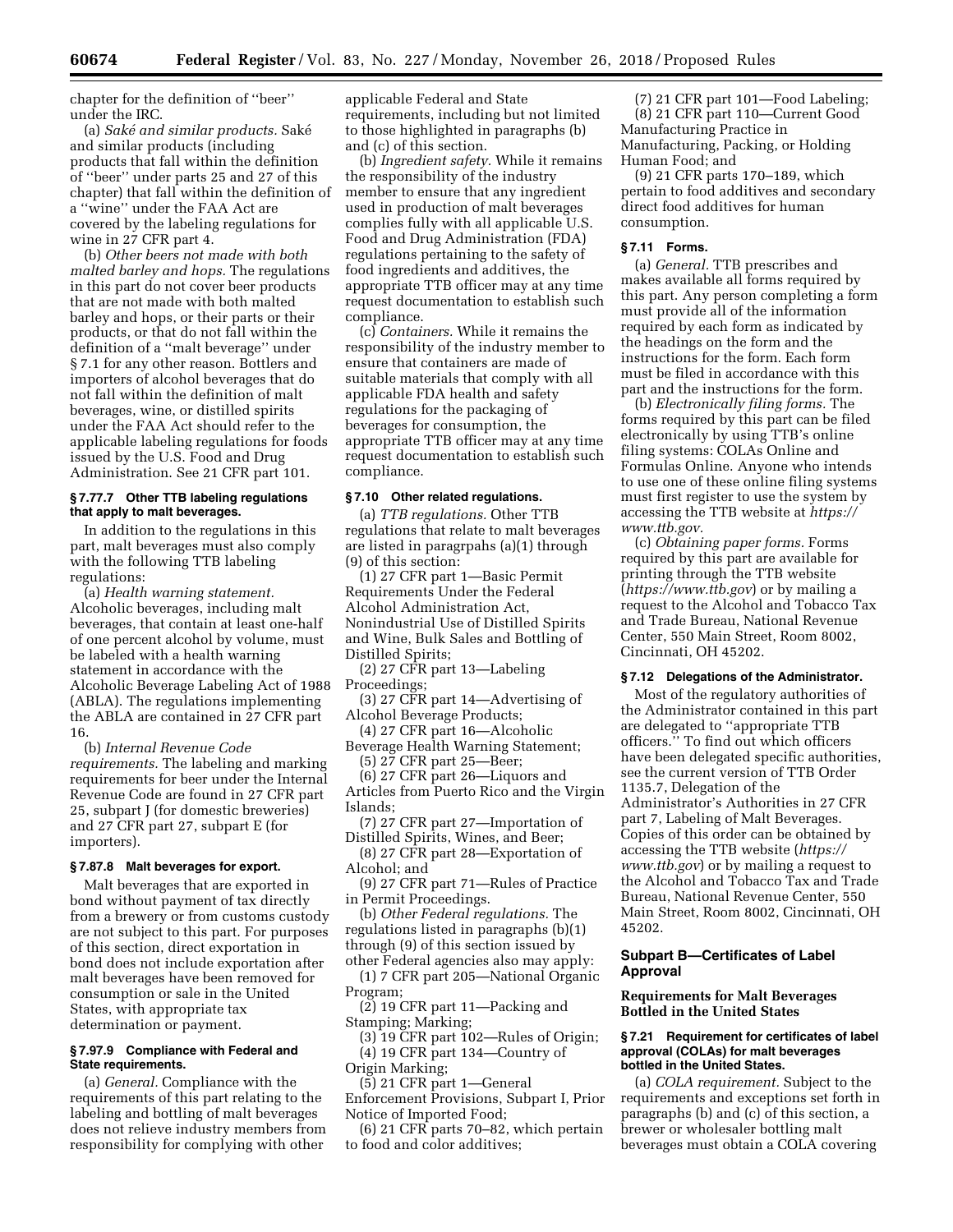chapter for the definition of ''beer'' under the IRC.

(a) *Sake´ and similar products.* Sake´ and similar products (including products that fall within the definition of ''beer'' under parts 25 and 27 of this chapter) that fall within the definition of a ''wine'' under the FAA Act are covered by the labeling regulations for wine in 27 CFR part 4.

(b) *Other beers not made with both malted barley and hops.* The regulations in this part do not cover beer products that are not made with both malted barley and hops, or their parts or their products, or that do not fall within the definition of a ''malt beverage'' under § 7.1 for any other reason. Bottlers and importers of alcohol beverages that do not fall within the definition of malt beverages, wine, or distilled spirits under the FAA Act should refer to the applicable labeling regulations for foods issued by the U.S. Food and Drug Administration. See 21 CFR part 101.

# **§ 7.77.7 Other TTB labeling regulations that apply to malt beverages.**

In addition to the regulations in this part, malt beverages must also comply with the following TTB labeling regulations:

(a) *Health warning statement.*  Alcoholic beverages, including malt beverages, that contain at least one-half of one percent alcohol by volume, must be labeled with a health warning statement in accordance with the Alcoholic Beverage Labeling Act of 1988 (ABLA). The regulations implementing the ABLA are contained in 27 CFR part 16.

(b) *Internal Revenue Code requirements.* The labeling and marking requirements for beer under the Internal Revenue Code are found in 27 CFR part 25, subpart J (for domestic breweries) and 27 CFR part 27, subpart E (for importers).

# **§ 7.87.8 Malt beverages for export.**

Malt beverages that are exported in bond without payment of tax directly from a brewery or from customs custody are not subject to this part. For purposes of this section, direct exportation in bond does not include exportation after malt beverages have been removed for consumption or sale in the United States, with appropriate tax determination or payment.

## **§ 7.97.9 Compliance with Federal and State requirements.**

(a) *General.* Compliance with the requirements of this part relating to the labeling and bottling of malt beverages does not relieve industry members from responsibility for complying with other

applicable Federal and State requirements, including but not limited to those highlighted in paragraphs (b) and (c) of this section.

(b) *Ingredient safety.* While it remains the responsibility of the industry member to ensure that any ingredient used in production of malt beverages complies fully with all applicable U.S. Food and Drug Administration (FDA) regulations pertaining to the safety of food ingredients and additives, the appropriate TTB officer may at any time request documentation to establish such compliance.

(c) *Containers.* While it remains the responsibility of the industry member to ensure that containers are made of suitable materials that comply with all applicable FDA health and safety regulations for the packaging of beverages for consumption, the appropriate TTB officer may at any time request documentation to establish such compliance.

# **§ 7.10 Other related regulations.**

(a) *TTB regulations.* Other TTB regulations that relate to malt beverages are listed in paragrpahs (a)(1) through (9) of this section:

(1) 27 CFR part 1—Basic Permit Requirements Under the Federal Alcohol Administration Act, Nonindustrial Use of Distilled Spirits and Wine, Bulk Sales and Bottling of Distilled Spirits;

(2) 27 CFR part 13—Labeling Proceedings;

- (3) 27 CFR part 14—Advertising of Alcohol Beverage Products;
- (4) 27 CFR part 16—Alcoholic Beverage Health Warning Statement; (5) 27 CFR part 25—Beer;

(6) 27 CFR part 26—Liquors and

Articles from Puerto Rico and the Virgin Islands;

(7) 27 CFR part 27—Importation of Distilled Spirits, Wines, and Beer;

(8) 27 CFR part 28—Exportation of Alcohol; and

(9) 27 CFR part 71—Rules of Practice in Permit Proceedings.

(b) *Other Federal regulations.* The regulations listed in paragraphs (b)(1)

through (9) of this section issued by

other Federal agencies also may apply: (1) 7 CFR part 205—National Organic Program;

(2) 19 CFR part 11—Packing and Stamping; Marking;

(3) 19 CFR part 102—Rules of Origin; (4) 19 CFR part 134—Country of Origin Marking;

(5) 21 CFR part 1—General

Enforcement Provisions, Subpart I, Prior Notice of Imported Food;

(6) 21 CFR parts 70–82, which pertain to food and color additives;

(7) 21 CFR part 101—Food Labeling; (8) 21 CFR part 110—Current Good Manufacturing Practice in Manufacturing, Packing, or Holding Human Food; and

(9) 21 CFR parts 170–189, which pertain to food additives and secondary direct food additives for human consumption.

# **§ 7.11 Forms.**

(a) *General.* TTB prescribes and makes available all forms required by this part. Any person completing a form must provide all of the information required by each form as indicated by the headings on the form and the instructions for the form. Each form must be filed in accordance with this part and the instructions for the form.

(b) *Electronically filing forms.* The forms required by this part can be filed electronically by using TTB's online filing systems: COLAs Online and Formulas Online. Anyone who intends to use one of these online filing systems must first register to use the system by accessing the TTB website at *[https://](https://www.ttb.gov) [www.ttb.gov.](https://www.ttb.gov)* 

(c) *Obtaining paper forms.* Forms required by this part are available for printing through the TTB website (*<https://www.ttb.gov>*) or by mailing a request to the Alcohol and Tobacco Tax and Trade Bureau, National Revenue Center, 550 Main Street, Room 8002, Cincinnati, OH 45202.

## **§ 7.12 Delegations of the Administrator.**

Most of the regulatory authorities of the Administrator contained in this part are delegated to ''appropriate TTB officers.'' To find out which officers have been delegated specific authorities, see the current version of TTB Order 1135.7, Delegation of the Administrator's Authorities in 27 CFR part 7, Labeling of Malt Beverages. Copies of this order can be obtained by accessing the TTB website (*[https://](https://www.ttb.gov) [www.ttb.gov](https://www.ttb.gov)*) or by mailing a request to the Alcohol and Tobacco Tax and Trade Bureau, National Revenue Center, 550 Main Street, Room 8002, Cincinnati, OH 45202.

# **Subpart B—Certificates of Label Approval**

#### **Requirements for Malt Beverages Bottled in the United States**

#### **§ 7.21 Requirement for certificates of label approval (COLAs) for malt beverages bottled in the United States.**

(a) *COLA requirement.* Subject to the requirements and exceptions set forth in paragraphs (b) and (c) of this section, a brewer or wholesaler bottling malt beverages must obtain a COLA covering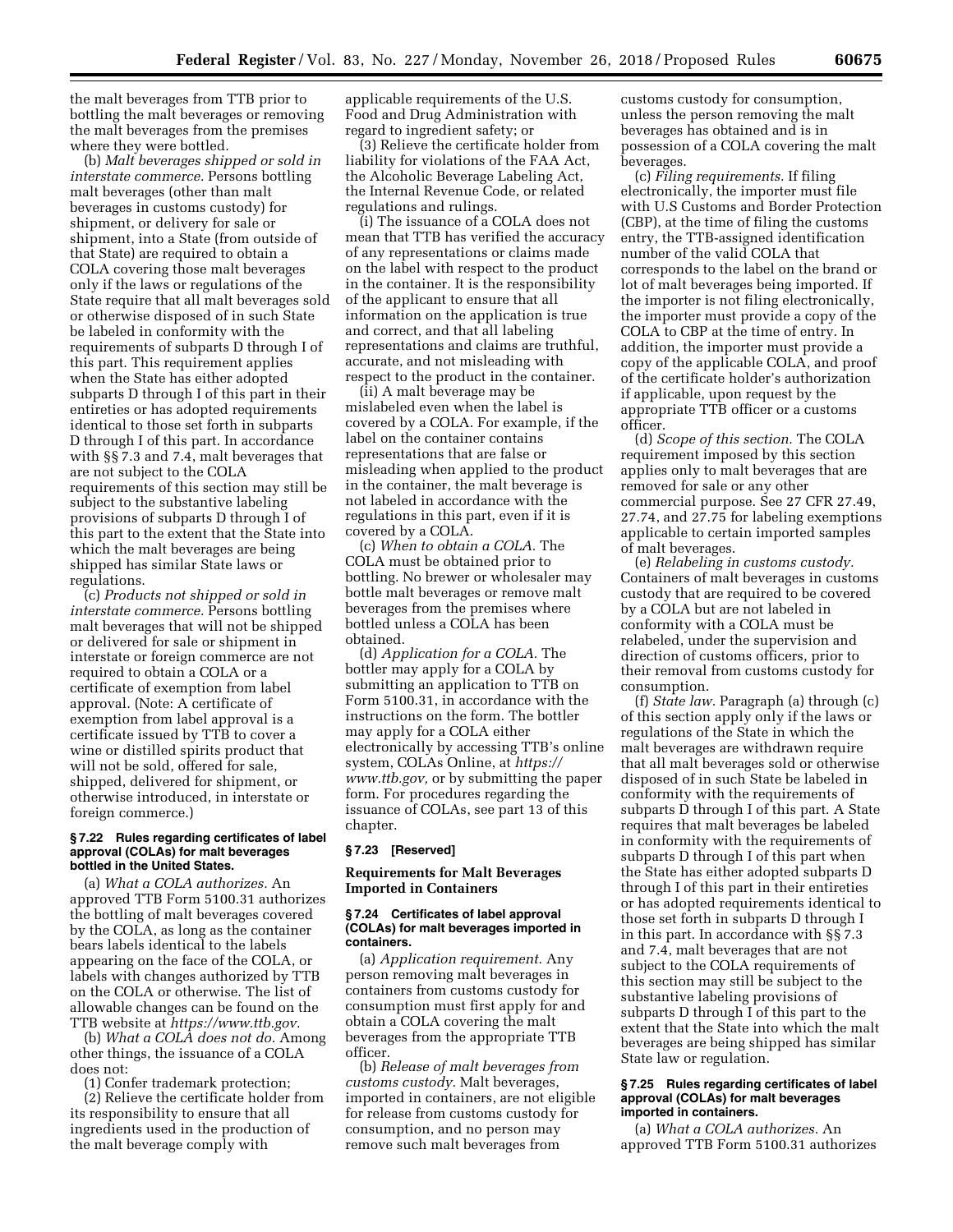the malt beverages from TTB prior to bottling the malt beverages or removing the malt beverages from the premises where they were bottled.

(b) *Malt beverages shipped or sold in interstate commerce.* Persons bottling malt beverages (other than malt beverages in customs custody) for shipment, or delivery for sale or shipment, into a State (from outside of that State) are required to obtain a COLA covering those malt beverages only if the laws or regulations of the State require that all malt beverages sold or otherwise disposed of in such State be labeled in conformity with the requirements of subparts D through I of this part. This requirement applies when the State has either adopted subparts D through I of this part in their entireties or has adopted requirements identical to those set forth in subparts D through I of this part. In accordance with §§ 7.3 and 7.4, malt beverages that are not subject to the COLA requirements of this section may still be subject to the substantive labeling provisions of subparts D through I of this part to the extent that the State into which the malt beverages are being shipped has similar State laws or regulations.

(c) *Products not shipped or sold in interstate commerce.* Persons bottling malt beverages that will not be shipped or delivered for sale or shipment in interstate or foreign commerce are not required to obtain a COLA or a certificate of exemption from label approval. (Note: A certificate of exemption from label approval is a certificate issued by TTB to cover a wine or distilled spirits product that will not be sold, offered for sale, shipped, delivered for shipment, or otherwise introduced, in interstate or foreign commerce.)

#### **§ 7.22 Rules regarding certificates of label approval (COLAs) for malt beverages bottled in the United States.**

(a) *What a COLA authorizes.* An approved TTB Form 5100.31 authorizes the bottling of malt beverages covered by the COLA, as long as the container bears labels identical to the labels appearing on the face of the COLA, or labels with changes authorized by TTB on the COLA or otherwise. The list of allowable changes can be found on the TTB website at *[https://www.ttb.gov.](https://www.ttb.gov)* 

(b) *What a COLA does not do.* Among other things, the issuance of a COLA does not:

(1) Confer trademark protection;

(2) Relieve the certificate holder from its responsibility to ensure that all ingredients used in the production of the malt beverage comply with

applicable requirements of the U.S. Food and Drug Administration with regard to ingredient safety; or

(3) Relieve the certificate holder from liability for violations of the FAA Act, the Alcoholic Beverage Labeling Act, the Internal Revenue Code, or related regulations and rulings.

(i) The issuance of a COLA does not mean that TTB has verified the accuracy of any representations or claims made on the label with respect to the product in the container. It is the responsibility of the applicant to ensure that all information on the application is true and correct, and that all labeling representations and claims are truthful, accurate, and not misleading with respect to the product in the container.

(ii) A malt beverage may be mislabeled even when the label is covered by a COLA. For example, if the label on the container contains representations that are false or misleading when applied to the product in the container, the malt beverage is not labeled in accordance with the regulations in this part, even if it is covered by a COLA.

(c) *When to obtain a COLA.* The COLA must be obtained prior to bottling. No brewer or wholesaler may bottle malt beverages or remove malt beverages from the premises where bottled unless a COLA has been obtained.

(d) *Application for a COLA.* The bottler may apply for a COLA by submitting an application to TTB on Form 5100.31, in accordance with the instructions on the form. The bottler may apply for a COLA either electronically by accessing TTB's online system, COLAs Online, at *[https://](https://www.ttb.gov) [www.ttb.gov,](https://www.ttb.gov)* or by submitting the paper form. For procedures regarding the issuance of COLAs, see part 13 of this chapter.

#### **§ 7.23 [Reserved]**

## **Requirements for Malt Beverages Imported in Containers**

## **§ 7.24 Certificates of label approval (COLAs) for malt beverages imported in containers.**

(a) *Application requirement.* Any person removing malt beverages in containers from customs custody for consumption must first apply for and obtain a COLA covering the malt beverages from the appropriate TTB officer.

(b) *Release of malt beverages from customs custody.* Malt beverages, imported in containers, are not eligible for release from customs custody for consumption, and no person may remove such malt beverages from

customs custody for consumption, unless the person removing the malt beverages has obtained and is in possession of a COLA covering the malt beverages.

(c) *Filing requirements.* If filing electronically, the importer must file with U.S Customs and Border Protection (CBP), at the time of filing the customs entry, the TTB-assigned identification number of the valid COLA that corresponds to the label on the brand or lot of malt beverages being imported. If the importer is not filing electronically, the importer must provide a copy of the COLA to CBP at the time of entry. In addition, the importer must provide a copy of the applicable COLA, and proof of the certificate holder's authorization if applicable, upon request by the appropriate TTB officer or a customs officer.

(d) *Scope of this section.* The COLA requirement imposed by this section applies only to malt beverages that are removed for sale or any other commercial purpose. See 27 CFR 27.49, 27.74, and 27.75 for labeling exemptions applicable to certain imported samples of malt beverages.

(e) *Relabeling in customs custody.*  Containers of malt beverages in customs custody that are required to be covered by a COLA but are not labeled in conformity with a COLA must be relabeled, under the supervision and direction of customs officers, prior to their removal from customs custody for consumption.

(f) *State law.* Paragraph (a) through (c) of this section apply only if the laws or regulations of the State in which the malt beverages are withdrawn require that all malt beverages sold or otherwise disposed of in such State be labeled in conformity with the requirements of subparts D through I of this part. A State requires that malt beverages be labeled in conformity with the requirements of subparts D through I of this part when the State has either adopted subparts D through I of this part in their entireties or has adopted requirements identical to those set forth in subparts D through I in this part. In accordance with §§ 7.3 and 7.4, malt beverages that are not subject to the COLA requirements of this section may still be subject to the substantive labeling provisions of subparts D through I of this part to the extent that the State into which the malt beverages are being shipped has similar State law or regulation.

#### **§ 7.25 Rules regarding certificates of label approval (COLAs) for malt beverages imported in containers.**

(a) *What a COLA authorizes.* An approved TTB Form 5100.31 authorizes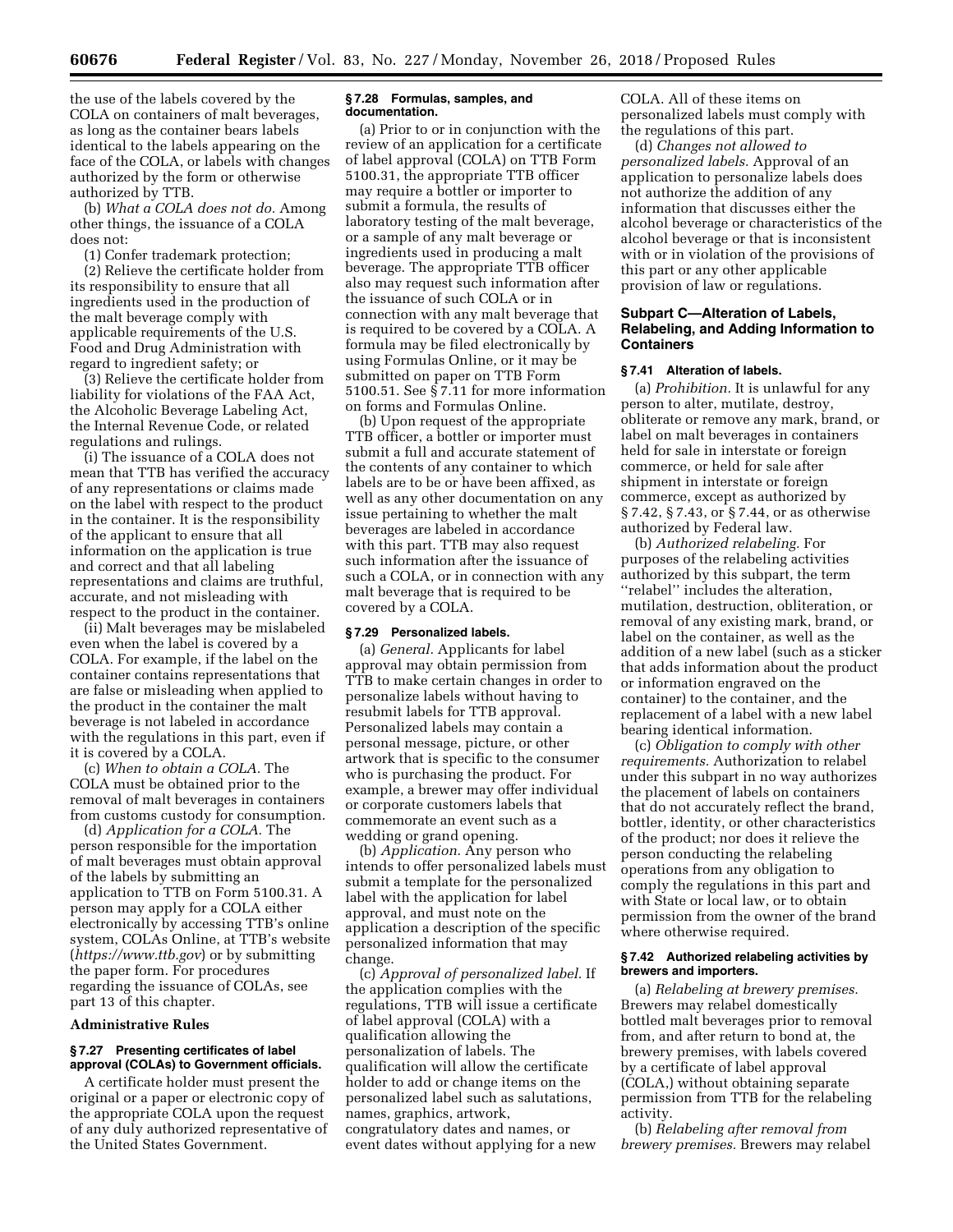the use of the labels covered by the COLA on containers of malt beverages, as long as the container bears labels identical to the labels appearing on the face of the COLA, or labels with changes authorized by the form or otherwise authorized by TTB.

(b) *What a COLA does not do.* Among other things, the issuance of a COLA does not:

(1) Confer trademark protection;

(2) Relieve the certificate holder from its responsibility to ensure that all ingredients used in the production of the malt beverage comply with applicable requirements of the U.S. Food and Drug Administration with regard to ingredient safety; or

(3) Relieve the certificate holder from liability for violations of the FAA Act, the Alcoholic Beverage Labeling Act, the Internal Revenue Code, or related regulations and rulings.

(i) The issuance of a COLA does not mean that TTB has verified the accuracy of any representations or claims made on the label with respect to the product in the container. It is the responsibility of the applicant to ensure that all information on the application is true and correct and that all labeling representations and claims are truthful, accurate, and not misleading with respect to the product in the container.

(ii) Malt beverages may be mislabeled even when the label is covered by a COLA. For example, if the label on the container contains representations that are false or misleading when applied to the product in the container the malt beverage is not labeled in accordance with the regulations in this part, even if it is covered by a COLA.

(c) *When to obtain a COLA.* The COLA must be obtained prior to the removal of malt beverages in containers from customs custody for consumption.

(d) *Application for a COLA.* The person responsible for the importation of malt beverages must obtain approval of the labels by submitting an application to TTB on Form 5100.31. A person may apply for a COLA either electronically by accessing TTB's online system, COLAs Online, at TTB's website (*<https://www.ttb.gov>*) or by submitting the paper form. For procedures regarding the issuance of COLAs, see part 13 of this chapter.

## **Administrative Rules**

## **§ 7.27 Presenting certificates of label approval (COLAs) to Government officials.**

A certificate holder must present the original or a paper or electronic copy of the appropriate COLA upon the request of any duly authorized representative of the United States Government.

#### **§ 7.28 Formulas, samples, and documentation.**

(a) Prior to or in conjunction with the review of an application for a certificate of label approval (COLA) on TTB Form 5100.31, the appropriate TTB officer may require a bottler or importer to submit a formula, the results of laboratory testing of the malt beverage, or a sample of any malt beverage or ingredients used in producing a malt beverage. The appropriate TTB officer also may request such information after the issuance of such COLA or in connection with any malt beverage that is required to be covered by a COLA. A formula may be filed electronically by using Formulas Online, or it may be submitted on paper on TTB Form 5100.51. See § 7.11 for more information on forms and Formulas Online.

(b) Upon request of the appropriate TTB officer, a bottler or importer must submit a full and accurate statement of the contents of any container to which labels are to be or have been affixed, as well as any other documentation on any issue pertaining to whether the malt beverages are labeled in accordance with this part. TTB may also request such information after the issuance of such a COLA, or in connection with any malt beverage that is required to be covered by a COLA.

## **§ 7.29 Personalized labels.**

(a) *General.* Applicants for label approval may obtain permission from TTB to make certain changes in order to personalize labels without having to resubmit labels for TTB approval. Personalized labels may contain a personal message, picture, or other artwork that is specific to the consumer who is purchasing the product. For example, a brewer may offer individual or corporate customers labels that commemorate an event such as a wedding or grand opening.

(b) *Application.* Any person who intends to offer personalized labels must submit a template for the personalized label with the application for label approval, and must note on the application a description of the specific personalized information that may change.

(c) *Approval of personalized label.* If the application complies with the regulations, TTB will issue a certificate of label approval (COLA) with a qualification allowing the personalization of labels. The qualification will allow the certificate holder to add or change items on the personalized label such as salutations, names, graphics, artwork, congratulatory dates and names, or event dates without applying for a new COLA. All of these items on personalized labels must comply with the regulations of this part.

(d) *Changes not allowed to personalized labels.* Approval of an application to personalize labels does not authorize the addition of any information that discusses either the alcohol beverage or characteristics of the alcohol beverage or that is inconsistent with or in violation of the provisions of this part or any other applicable provision of law or regulations.

# **Subpart C—Alteration of Labels, Relabeling, and Adding Information to Containers**

## **§ 7.41 Alteration of labels.**

(a) *Prohibition.* It is unlawful for any person to alter, mutilate, destroy, obliterate or remove any mark, brand, or label on malt beverages in containers held for sale in interstate or foreign commerce, or held for sale after shipment in interstate or foreign commerce, except as authorized by § 7.42, § 7.43, or § 7.44, or as otherwise authorized by Federal law.

(b) *Authorized relabeling.* For purposes of the relabeling activities authorized by this subpart, the term ''relabel'' includes the alteration, mutilation, destruction, obliteration, or removal of any existing mark, brand, or label on the container, as well as the addition of a new label (such as a sticker that adds information about the product or information engraved on the container) to the container, and the replacement of a label with a new label bearing identical information.

(c) *Obligation to comply with other requirements.* Authorization to relabel under this subpart in no way authorizes the placement of labels on containers that do not accurately reflect the brand, bottler, identity, or other characteristics of the product; nor does it relieve the person conducting the relabeling operations from any obligation to comply the regulations in this part and with State or local law, or to obtain permission from the owner of the brand where otherwise required.

## **§ 7.42 Authorized relabeling activities by brewers and importers.**

(a) *Relabeling at brewery premises.*  Brewers may relabel domestically bottled malt beverages prior to removal from, and after return to bond at, the brewery premises, with labels covered by a certificate of label approval (COLA,) without obtaining separate permission from TTB for the relabeling activity.

(b) *Relabeling after removal from brewery premises.* Brewers may relabel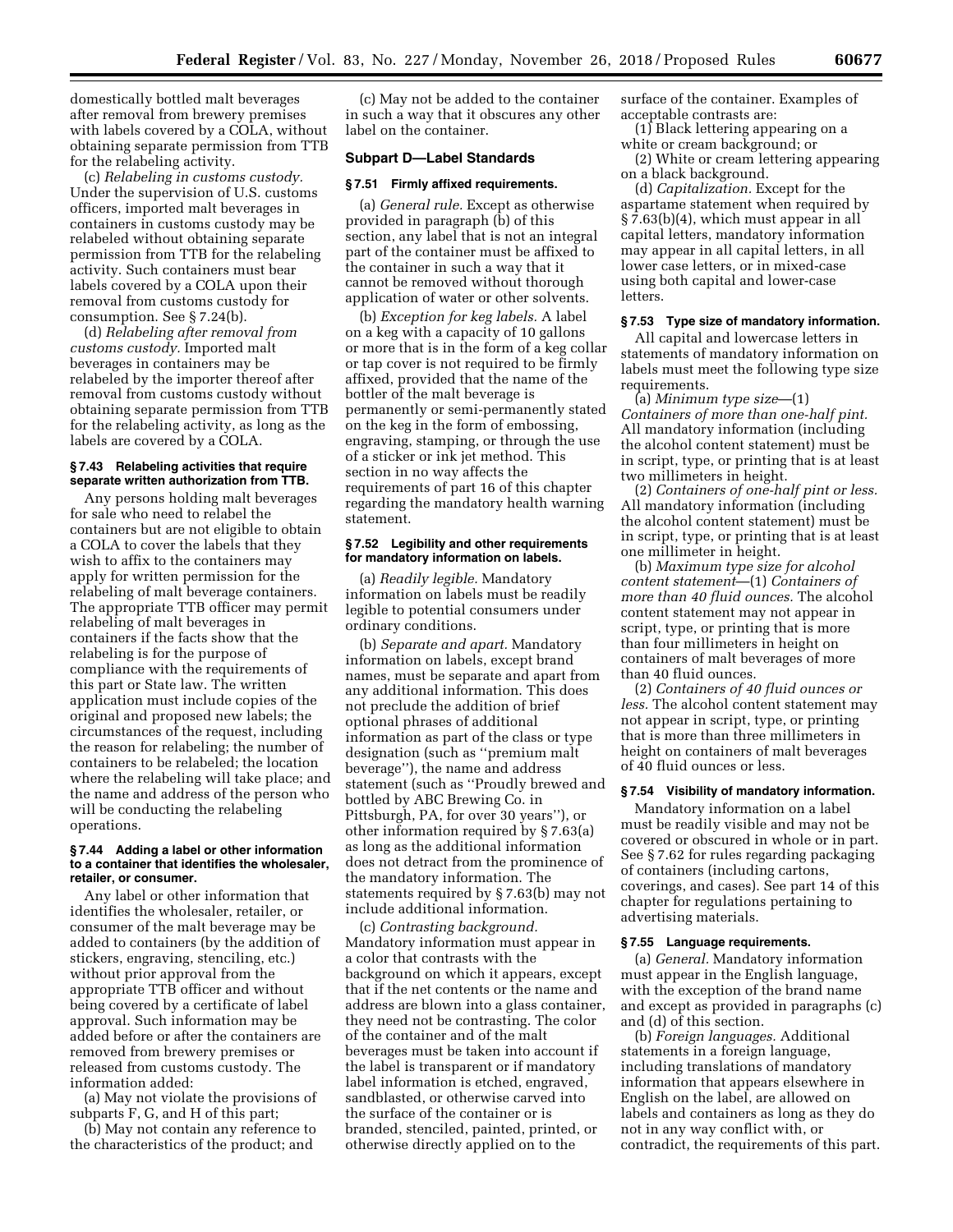domestically bottled malt beverages after removal from brewery premises with labels covered by a COLA, without obtaining separate permission from TTB for the relabeling activity.

(c) *Relabeling in customs custody.*  Under the supervision of U.S. customs officers, imported malt beverages in containers in customs custody may be relabeled without obtaining separate permission from TTB for the relabeling activity. Such containers must bear labels covered by a COLA upon their removal from customs custody for consumption. See § 7.24(b).

(d) *Relabeling after removal from customs custody.* Imported malt beverages in containers may be relabeled by the importer thereof after removal from customs custody without obtaining separate permission from TTB for the relabeling activity, as long as the labels are covered by a COLA.

#### **§ 7.43 Relabeling activities that require separate written authorization from TTB.**

Any persons holding malt beverages for sale who need to relabel the containers but are not eligible to obtain a COLA to cover the labels that they wish to affix to the containers may apply for written permission for the relabeling of malt beverage containers. The appropriate TTB officer may permit relabeling of malt beverages in containers if the facts show that the relabeling is for the purpose of compliance with the requirements of this part or State law. The written application must include copies of the original and proposed new labels; the circumstances of the request, including the reason for relabeling; the number of containers to be relabeled; the location where the relabeling will take place; and the name and address of the person who will be conducting the relabeling operations.

#### **§ 7.44 Adding a label or other information to a container that identifies the wholesaler, retailer, or consumer.**

Any label or other information that identifies the wholesaler, retailer, or consumer of the malt beverage may be added to containers (by the addition of stickers, engraving, stenciling, etc.) without prior approval from the appropriate TTB officer and without being covered by a certificate of label approval. Such information may be added before or after the containers are removed from brewery premises or released from customs custody. The information added:

(a) May not violate the provisions of subparts F, G, and H of this part;

(b) May not contain any reference to the characteristics of the product; and

(c) May not be added to the container in such a way that it obscures any other label on the container.

#### **Subpart D—Label Standards**

#### **§ 7.51 Firmly affixed requirements.**

(a) *General rule.* Except as otherwise provided in paragraph (b) of this section, any label that is not an integral part of the container must be affixed to the container in such a way that it cannot be removed without thorough application of water or other solvents.

(b) *Exception for keg labels.* A label on a keg with a capacity of 10 gallons or more that is in the form of a keg collar or tap cover is not required to be firmly affixed, provided that the name of the bottler of the malt beverage is permanently or semi-permanently stated on the keg in the form of embossing, engraving, stamping, or through the use of a sticker or ink jet method. This section in no way affects the requirements of part 16 of this chapter regarding the mandatory health warning statement.

## **§ 7.52 Legibility and other requirements for mandatory information on labels.**

(a) *Readily legible.* Mandatory information on labels must be readily legible to potential consumers under ordinary conditions.

(b) *Separate and apart.* Mandatory information on labels, except brand names, must be separate and apart from any additional information. This does not preclude the addition of brief optional phrases of additional information as part of the class or type designation (such as ''premium malt beverage''), the name and address statement (such as ''Proudly brewed and bottled by ABC Brewing Co. in Pittsburgh, PA, for over 30 years''), or other information required by § 7.63(a) as long as the additional information does not detract from the prominence of the mandatory information. The statements required by § 7.63(b) may not include additional information.

(c) *Contrasting background.*  Mandatory information must appear in a color that contrasts with the background on which it appears, except that if the net contents or the name and address are blown into a glass container, they need not be contrasting. The color of the container and of the malt beverages must be taken into account if the label is transparent or if mandatory label information is etched, engraved, sandblasted, or otherwise carved into the surface of the container or is branded, stenciled, painted, printed, or otherwise directly applied on to the

surface of the container. Examples of acceptable contrasts are:

(1) Black lettering appearing on a white or cream background; or

(2) White or cream lettering appearing on a black background.

(d) *Capitalization.* Except for the aspartame statement when required by § 7.63(b)(4), which must appear in all capital letters, mandatory information may appear in all capital letters, in all lower case letters, or in mixed-case using both capital and lower-case letters.

## **§ 7.53 Type size of mandatory information.**

All capital and lowercase letters in statements of mandatory information on labels must meet the following type size requirements.

(a) *Minimum type size*—(1) *Containers of more than one-half pint.*  All mandatory information (including the alcohol content statement) must be in script, type, or printing that is at least two millimeters in height.

(2) *Containers of one-half pint or less.*  All mandatory information (including the alcohol content statement) must be in script, type, or printing that is at least one millimeter in height.

(b) *Maximum type size for alcohol content statement*—(1) *Containers of more than 40 fluid ounces.* The alcohol content statement may not appear in script, type, or printing that is more than four millimeters in height on containers of malt beverages of more than 40 fluid ounces.

(2) *Containers of 40 fluid ounces or less.* The alcohol content statement may not appear in script, type, or printing that is more than three millimeters in height on containers of malt beverages of 40 fluid ounces or less.

#### **§ 7.54 Visibility of mandatory information.**

Mandatory information on a label must be readily visible and may not be covered or obscured in whole or in part. See § 7.62 for rules regarding packaging of containers (including cartons, coverings, and cases). See part 14 of this chapter for regulations pertaining to advertising materials.

#### **§ 7.55 Language requirements.**

(a) *General.* Mandatory information must appear in the English language, with the exception of the brand name and except as provided in paragraphs (c) and (d) of this section.

(b) *Foreign languages.* Additional statements in a foreign language, including translations of mandatory information that appears elsewhere in English on the label, are allowed on labels and containers as long as they do not in any way conflict with, or contradict, the requirements of this part.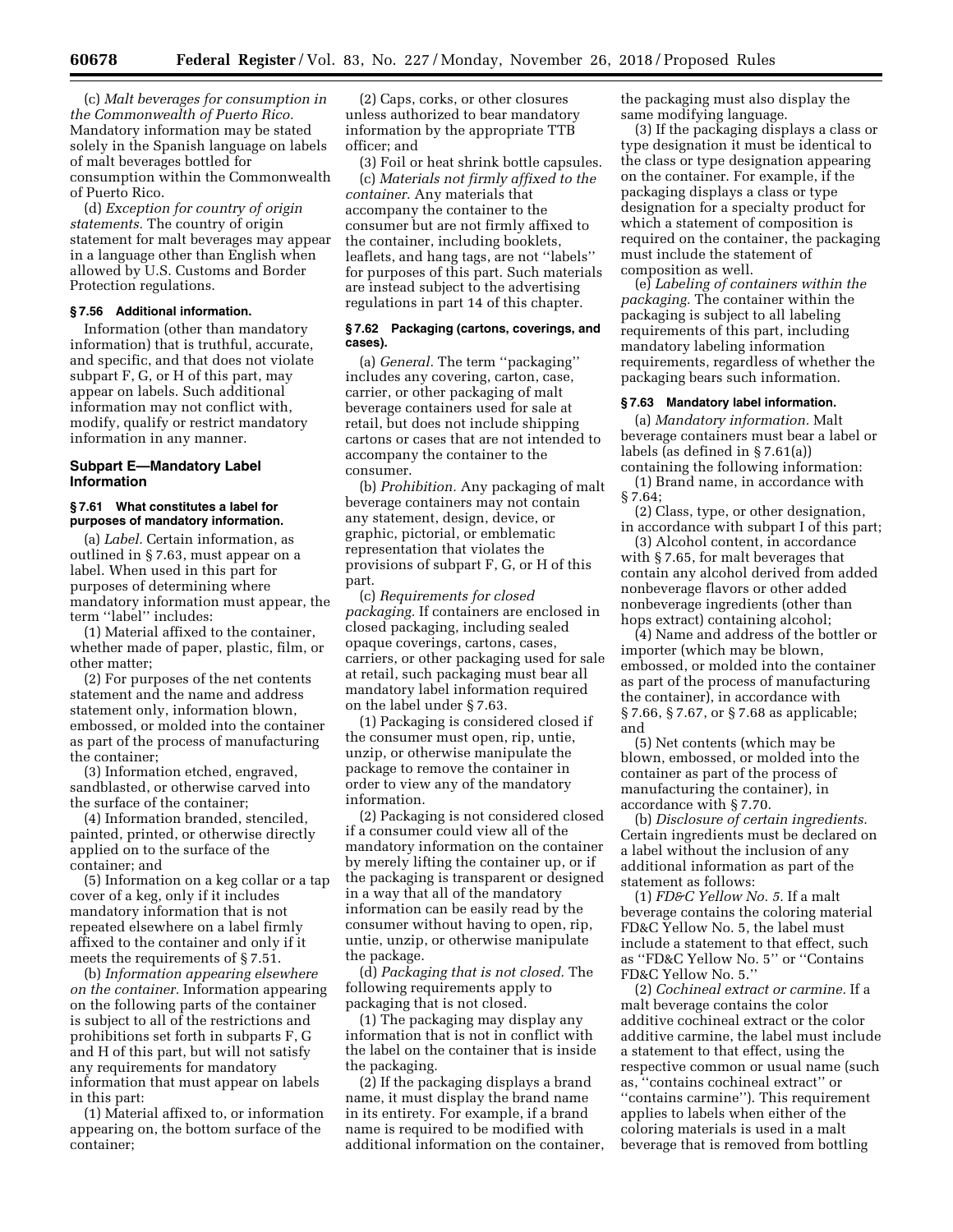(c) *Malt beverages for consumption in the Commonwealth of Puerto Rico.*  Mandatory information may be stated solely in the Spanish language on labels of malt beverages bottled for consumption within the Commonwealth of Puerto Rico.

(d) *Exception for country of origin statements.* The country of origin statement for malt beverages may appear in a language other than English when allowed by U.S. Customs and Border Protection regulations.

## **§ 7.56 Additional information.**

Information (other than mandatory information) that is truthful, accurate, and specific, and that does not violate subpart F, G, or H of this part, may appear on labels. Such additional information may not conflict with, modify, qualify or restrict mandatory information in any manner.

## **Subpart E—Mandatory Label Information**

## **§ 7.61 What constitutes a label for purposes of mandatory information.**

(a) *Label.* Certain information, as outlined in § 7.63, must appear on a label. When used in this part for purposes of determining where mandatory information must appear, the term ''label'' includes:

(1) Material affixed to the container, whether made of paper, plastic, film, or other matter;

(2) For purposes of the net contents statement and the name and address statement only, information blown, embossed, or molded into the container as part of the process of manufacturing the container;

(3) Information etched, engraved, sandblasted, or otherwise carved into the surface of the container;

(4) Information branded, stenciled, painted, printed, or otherwise directly applied on to the surface of the container; and

(5) Information on a keg collar or a tap cover of a keg, only if it includes mandatory information that is not repeated elsewhere on a label firmly affixed to the container and only if it meets the requirements of § 7.51.

(b) *Information appearing elsewhere on the container.* Information appearing on the following parts of the container is subject to all of the restrictions and prohibitions set forth in subparts F, G and H of this part, but will not satisfy any requirements for mandatory information that must appear on labels in this part:

(1) Material affixed to, or information appearing on, the bottom surface of the container;

(2) Caps, corks, or other closures unless authorized to bear mandatory information by the appropriate TTB officer; and

(3) Foil or heat shrink bottle capsules. (c) *Materials not firmly affixed to the container.* Any materials that accompany the container to the consumer but are not firmly affixed to the container, including booklets, leaflets, and hang tags, are not ''labels'' for purposes of this part. Such materials are instead subject to the advertising regulations in part 14 of this chapter.

#### **§ 7.62 Packaging (cartons, coverings, and cases).**

(a) *General.* The term ''packaging'' includes any covering, carton, case, carrier, or other packaging of malt beverage containers used for sale at retail, but does not include shipping cartons or cases that are not intended to accompany the container to the consumer.

(b) *Prohibition.* Any packaging of malt beverage containers may not contain any statement, design, device, or graphic, pictorial, or emblematic representation that violates the provisions of subpart F, G, or H of this part.

(c) *Requirements for closed packaging.* If containers are enclosed in closed packaging, including sealed opaque coverings, cartons, cases, carriers, or other packaging used for sale at retail, such packaging must bear all mandatory label information required on the label under § 7.63.

(1) Packaging is considered closed if the consumer must open, rip, untie, unzip, or otherwise manipulate the package to remove the container in order to view any of the mandatory information.

(2) Packaging is not considered closed if a consumer could view all of the mandatory information on the container by merely lifting the container up, or if the packaging is transparent or designed in a way that all of the mandatory information can be easily read by the consumer without having to open, rip, untie, unzip, or otherwise manipulate the package.

(d) *Packaging that is not closed.* The following requirements apply to packaging that is not closed.

(1) The packaging may display any information that is not in conflict with the label on the container that is inside the packaging.

(2) If the packaging displays a brand name, it must display the brand name in its entirety. For example, if a brand name is required to be modified with additional information on the container, the packaging must also display the same modifying language.

(3) If the packaging displays a class or type designation it must be identical to the class or type designation appearing on the container. For example, if the packaging displays a class or type designation for a specialty product for which a statement of composition is required on the container, the packaging must include the statement of composition as well.

(e) *Labeling of containers within the packaging.* The container within the packaging is subject to all labeling requirements of this part, including mandatory labeling information requirements, regardless of whether the packaging bears such information.

# **§ 7.63 Mandatory label information.**

(a) *Mandatory information.* Malt beverage containers must bear a label or labels (as defined in § 7.61(a))

containing the following information: (1) Brand name, in accordance with § 7.64;

(2) Class, type, or other designation, in accordance with subpart I of this part;

(3) Alcohol content, in accordance with § 7.65, for malt beverages that contain any alcohol derived from added nonbeverage flavors or other added nonbeverage ingredients (other than hops extract) containing alcohol;

(4) Name and address of the bottler or importer (which may be blown, embossed, or molded into the container as part of the process of manufacturing the container), in accordance with § 7.66, § 7.67, or § 7.68 as applicable; and

(5) Net contents (which may be blown, embossed, or molded into the container as part of the process of manufacturing the container), in accordance with § 7.70.

(b) *Disclosure of certain ingredients.*  Certain ingredients must be declared on a label without the inclusion of any additional information as part of the statement as follows:

(1) *FD&C Yellow No. 5.* If a malt beverage contains the coloring material FD&C Yellow No. 5, the label must include a statement to that effect, such as ''FD&C Yellow No. 5'' or ''Contains FD&C Yellow No. 5.''

(2) *Cochineal extract or carmine.* If a malt beverage contains the color additive cochineal extract or the color additive carmine, the label must include a statement to that effect, using the respective common or usual name (such as, ''contains cochineal extract'' or ''contains carmine''). This requirement applies to labels when either of the coloring materials is used in a malt beverage that is removed from bottling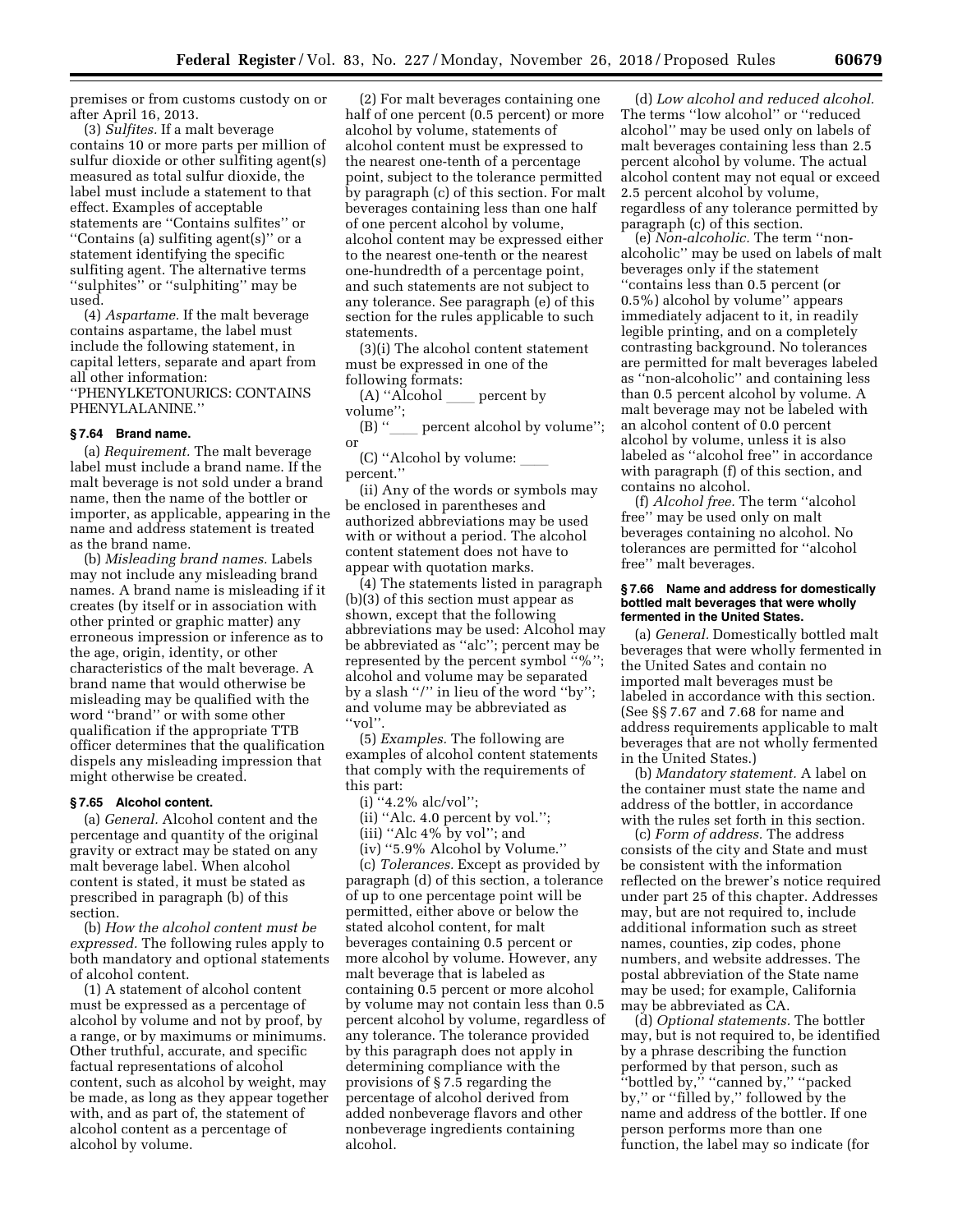premises or from customs custody on or after April 16, 2013.

(3) *Sulfites.* If a malt beverage contains 10 or more parts per million of sulfur dioxide or other sulfiting agent(s) measured as total sulfur dioxide, the label must include a statement to that effect. Examples of acceptable statements are ''Contains sulfites'' or ''Contains (a) sulfiting agent(s)'' or a statement identifying the specific sulfiting agent. The alternative terms ''sulphites'' or ''sulphiting'' may be used.

(4) *Aspartame.* If the malt beverage contains aspartame, the label must include the following statement, in capital letters, separate and apart from all other information:

''PHENYLKETONURICS: CONTAINS PHENYLALANINE.''

## **§ 7.64 Brand name.**

(a) *Requirement.* The malt beverage label must include a brand name. If the malt beverage is not sold under a brand name, then the name of the bottler or importer, as applicable, appearing in the name and address statement is treated as the brand name.

(b) *Misleading brand names.* Labels may not include any misleading brand names. A brand name is misleading if it creates (by itself or in association with other printed or graphic matter) any erroneous impression or inference as to the age, origin, identity, or other characteristics of the malt beverage. A brand name that would otherwise be misleading may be qualified with the word ''brand'' or with some other qualification if the appropriate TTB officer determines that the qualification dispels any misleading impression that might otherwise be created.

## **§ 7.65 Alcohol content.**

(a) *General.* Alcohol content and the percentage and quantity of the original gravity or extract may be stated on any malt beverage label. When alcohol content is stated, it must be stated as prescribed in paragraph (b) of this section.

(b) *How the alcohol content must be expressed.* The following rules apply to both mandatory and optional statements of alcohol content.

(1) A statement of alcohol content must be expressed as a percentage of alcohol by volume and not by proof, by a range, or by maximums or minimums. Other truthful, accurate, and specific factual representations of alcohol content, such as alcohol by weight, may be made, as long as they appear together with, and as part of, the statement of alcohol content as a percentage of alcohol by volume.

(2) For malt beverages containing one half of one percent (0.5 percent) or more alcohol by volume, statements of alcohol content must be expressed to the nearest one-tenth of a percentage point, subject to the tolerance permitted by paragraph (c) of this section. For malt beverages containing less than one half of one percent alcohol by volume, alcohol content may be expressed either to the nearest one-tenth or the nearest one-hundredth of a percentage point, and such statements are not subject to any tolerance. See paragraph (e) of this section for the rules applicable to such statements.

(3)(i) The alcohol content statement must be expressed in one of the following formats:

 $(A)$  "Alcohol <u>exe</u> percent by volume'';

(B) "
let percent alcohol by volume"; or

(C) "Alcohol by volume: percent.''

(ii) Any of the words or symbols may be enclosed in parentheses and authorized abbreviations may be used with or without a period. The alcohol content statement does not have to appear with quotation marks.

(4) The statements listed in paragraph (b)(3) of this section must appear as shown, except that the following abbreviations may be used: Alcohol may be abbreviated as ''alc''; percent may be represented by the percent symbol ''%''; alcohol and volume may be separated by a slash ''/'' in lieu of the word ''by''; and volume may be abbreviated as ''vol''.

(5) *Examples.* The following are examples of alcohol content statements that comply with the requirements of this part:

(i)  $4.2\%$  alc/vol'';

(ii) ''Alc. 4.0 percent by vol.'';

(iii) ''Alc 4% by vol''; and

(iv) ''5.9% Alcohol by Volume.''

(c) *Tolerances.* Except as provided by paragraph (d) of this section, a tolerance of up to one percentage point will be permitted, either above or below the stated alcohol content, for malt beverages containing 0.5 percent or more alcohol by volume. However, any malt beverage that is labeled as containing 0.5 percent or more alcohol by volume may not contain less than 0.5 percent alcohol by volume, regardless of any tolerance. The tolerance provided by this paragraph does not apply in determining compliance with the provisions of § 7.5 regarding the percentage of alcohol derived from added nonbeverage flavors and other nonbeverage ingredients containing alcohol.

(d) *Low alcohol and reduced alcohol.*  The terms ''low alcohol'' or ''reduced alcohol'' may be used only on labels of malt beverages containing less than 2.5 percent alcohol by volume. The actual alcohol content may not equal or exceed 2.5 percent alcohol by volume, regardless of any tolerance permitted by paragraph (c) of this section.

(e) *Non-alcoholic.* The term ''nonalcoholic'' may be used on labels of malt beverages only if the statement ''contains less than 0.5 percent (or 0.5%) alcohol by volume'' appears immediately adjacent to it, in readily legible printing, and on a completely contrasting background. No tolerances are permitted for malt beverages labeled as ''non-alcoholic'' and containing less than 0.5 percent alcohol by volume. A malt beverage may not be labeled with an alcohol content of 0.0 percent alcohol by volume, unless it is also labeled as ''alcohol free'' in accordance with paragraph (f) of this section, and contains no alcohol.

(f) *Alcohol free.* The term ''alcohol free'' may be used only on malt beverages containing no alcohol. No tolerances are permitted for ''alcohol free'' malt beverages.

#### **§ 7.66 Name and address for domestically bottled malt beverages that were wholly fermented in the United States.**

(a) *General.* Domestically bottled malt beverages that were wholly fermented in the United Sates and contain no imported malt beverages must be labeled in accordance with this section. (See §§ 7.67 and 7.68 for name and address requirements applicable to malt beverages that are not wholly fermented in the United States.)

(b) *Mandatory statement.* A label on the container must state the name and address of the bottler, in accordance with the rules set forth in this section.

(c) *Form of address.* The address consists of the city and State and must be consistent with the information reflected on the brewer's notice required under part 25 of this chapter. Addresses may, but are not required to, include additional information such as street names, counties, zip codes, phone numbers, and website addresses. The postal abbreviation of the State name may be used; for example, California may be abbreviated as CA.

(d) *Optional statements.* The bottler may, but is not required to, be identified by a phrase describing the function performed by that person, such as ''bottled by,'' ''canned by,'' ''packed by,'' or ''filled by,'' followed by the name and address of the bottler. If one person performs more than one function, the label may so indicate (for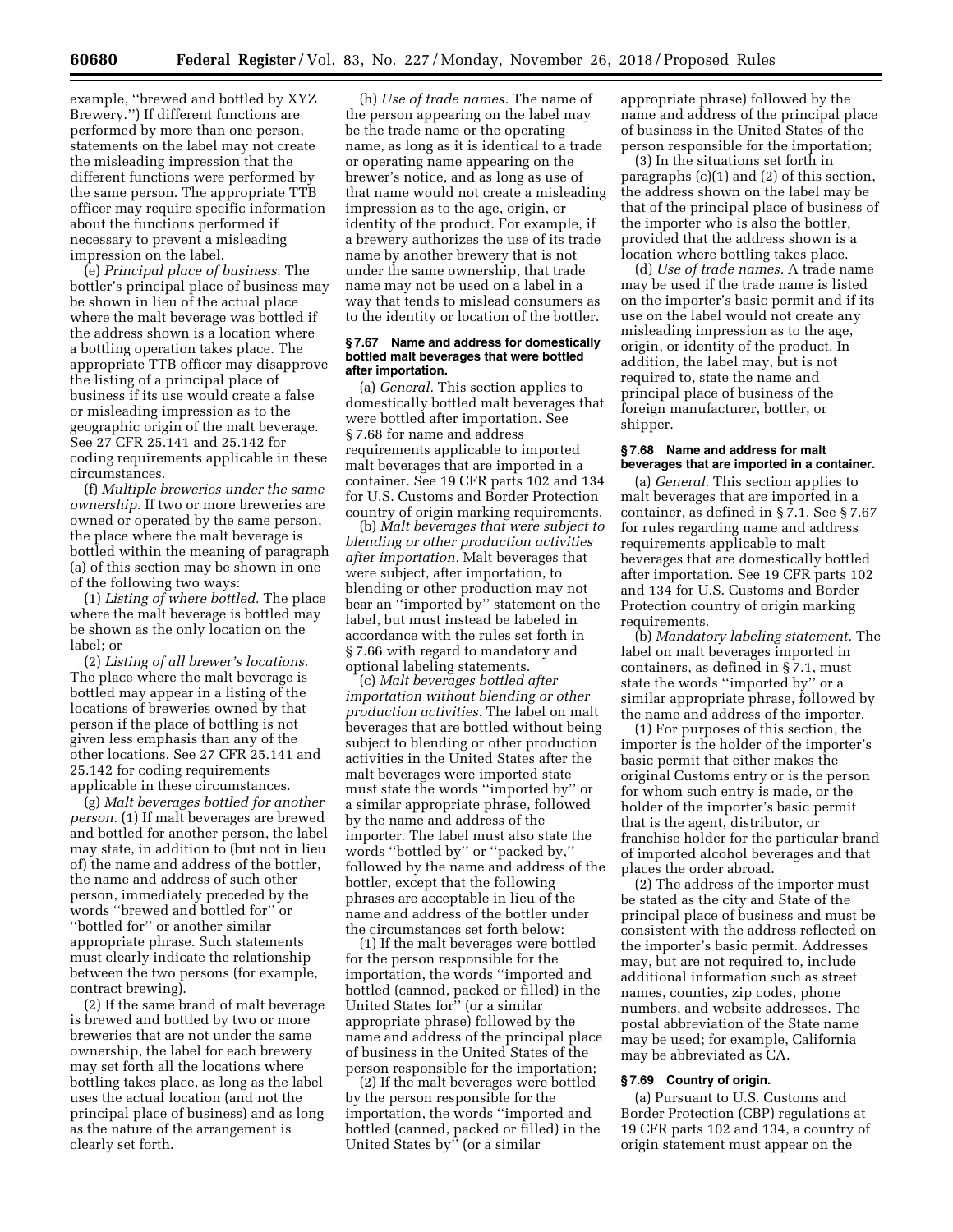example, ''brewed and bottled by XYZ Brewery.'') If different functions are performed by more than one person, statements on the label may not create the misleading impression that the different functions were performed by the same person. The appropriate TTB officer may require specific information about the functions performed if necessary to prevent a misleading impression on the label.

(e) *Principal place of business.* The bottler's principal place of business may be shown in lieu of the actual place where the malt beverage was bottled if the address shown is a location where a bottling operation takes place. The appropriate TTB officer may disapprove the listing of a principal place of business if its use would create a false or misleading impression as to the geographic origin of the malt beverage. See 27 CFR 25.141 and 25.142 for coding requirements applicable in these circumstances.

(f) *Multiple breweries under the same ownership.* If two or more breweries are owned or operated by the same person, the place where the malt beverage is bottled within the meaning of paragraph (a) of this section may be shown in one of the following two ways:

(1) *Listing of where bottled.* The place where the malt beverage is bottled may be shown as the only location on the label; or

(2) *Listing of all brewer's locations.*  The place where the malt beverage is bottled may appear in a listing of the locations of breweries owned by that person if the place of bottling is not given less emphasis than any of the other locations. See 27 CFR 25.141 and 25.142 for coding requirements applicable in these circumstances.

(g) *Malt beverages bottled for another person.* (1) If malt beverages are brewed and bottled for another person, the label may state, in addition to (but not in lieu of) the name and address of the bottler, the name and address of such other person, immediately preceded by the words ''brewed and bottled for'' or ''bottled for'' or another similar appropriate phrase. Such statements must clearly indicate the relationship between the two persons (for example, contract brewing).

(2) If the same brand of malt beverage is brewed and bottled by two or more breweries that are not under the same ownership, the label for each brewery may set forth all the locations where bottling takes place, as long as the label uses the actual location (and not the principal place of business) and as long as the nature of the arrangement is clearly set forth.

(h) *Use of trade names.* The name of the person appearing on the label may be the trade name or the operating name, as long as it is identical to a trade or operating name appearing on the brewer's notice, and as long as use of that name would not create a misleading impression as to the age, origin, or identity of the product. For example, if a brewery authorizes the use of its trade name by another brewery that is not under the same ownership, that trade name may not be used on a label in a way that tends to mislead consumers as to the identity or location of the bottler.

## **§ 7.67 Name and address for domestically bottled malt beverages that were bottled after importation.**

(a) *General.* This section applies to domestically bottled malt beverages that were bottled after importation. See § 7.68 for name and address requirements applicable to imported malt beverages that are imported in a container. See 19 CFR parts 102 and 134 for U.S. Customs and Border Protection country of origin marking requirements.

(b) *Malt beverages that were subject to blending or other production activities after importation.* Malt beverages that were subject, after importation, to blending or other production may not bear an ''imported by'' statement on the label, but must instead be labeled in accordance with the rules set forth in § 7.66 with regard to mandatory and optional labeling statements.

(c) *Malt beverages bottled after importation without blending or other production activities.* The label on malt beverages that are bottled without being subject to blending or other production activities in the United States after the malt beverages were imported state must state the words ''imported by'' or a similar appropriate phrase, followed by the name and address of the importer. The label must also state the words ''bottled by'' or ''packed by,'' followed by the name and address of the bottler, except that the following phrases are acceptable in lieu of the name and address of the bottler under the circumstances set forth below:

(1) If the malt beverages were bottled for the person responsible for the importation, the words ''imported and bottled (canned, packed or filled) in the United States for'' (or a similar appropriate phrase) followed by the name and address of the principal place of business in the United States of the person responsible for the importation;

(2) If the malt beverages were bottled by the person responsible for the importation, the words ''imported and bottled (canned, packed or filled) in the United States by'' (or a similar

appropriate phrase) followed by the name and address of the principal place of business in the United States of the person responsible for the importation;

(3) In the situations set forth in paragraphs (c)(1) and (2) of this section, the address shown on the label may be that of the principal place of business of the importer who is also the bottler, provided that the address shown is a location where bottling takes place.

(d) *Use of trade names.* A trade name may be used if the trade name is listed on the importer's basic permit and if its use on the label would not create any misleading impression as to the age, origin, or identity of the product. In addition, the label may, but is not required to, state the name and principal place of business of the foreign manufacturer, bottler, or shipper.

## **§ 7.68 Name and address for malt beverages that are imported in a container.**

(a) *General.* This section applies to malt beverages that are imported in a container, as defined in § 7.1. See § 7.67 for rules regarding name and address requirements applicable to malt beverages that are domestically bottled after importation. See 19 CFR parts 102 and 134 for U.S. Customs and Border Protection country of origin marking requirements.

(b) *Mandatory labeling statement.* The label on malt beverages imported in containers, as defined in § 7.1, must state the words ''imported by'' or a similar appropriate phrase, followed by the name and address of the importer.

(1) For purposes of this section, the importer is the holder of the importer's basic permit that either makes the original Customs entry or is the person for whom such entry is made, or the holder of the importer's basic permit that is the agent, distributor, or franchise holder for the particular brand of imported alcohol beverages and that places the order abroad.

(2) The address of the importer must be stated as the city and State of the principal place of business and must be consistent with the address reflected on the importer's basic permit. Addresses may, but are not required to, include additional information such as street names, counties, zip codes, phone numbers, and website addresses. The postal abbreviation of the State name may be used; for example, California may be abbreviated as CA.

# **§ 7.69 Country of origin.**

(a) Pursuant to U.S. Customs and Border Protection (CBP) regulations at 19 CFR parts 102 and 134, a country of origin statement must appear on the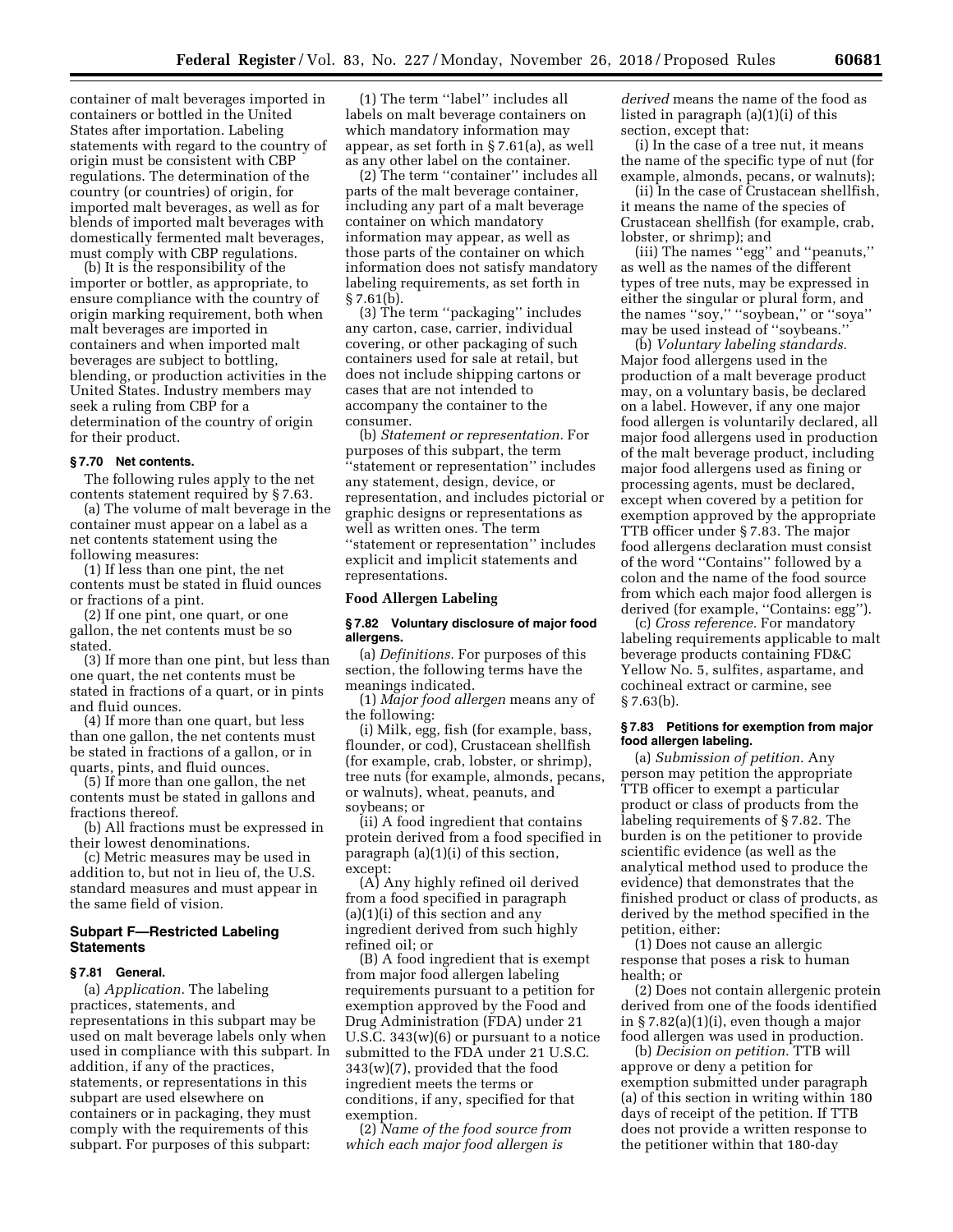container of malt beverages imported in containers or bottled in the United States after importation. Labeling statements with regard to the country of origin must be consistent with CBP regulations. The determination of the country (or countries) of origin, for imported malt beverages, as well as for blends of imported malt beverages with domestically fermented malt beverages, must comply with CBP regulations.

(b) It is the responsibility of the importer or bottler, as appropriate, to ensure compliance with the country of origin marking requirement, both when malt beverages are imported in containers and when imported malt beverages are subject to bottling, blending, or production activities in the United States. Industry members may seek a ruling from CBP for a determination of the country of origin for their product.

## **§ 7.70 Net contents.**

The following rules apply to the net contents statement required by § 7.63.

(a) The volume of malt beverage in the container must appear on a label as a net contents statement using the following measures:

(1) If less than one pint, the net contents must be stated in fluid ounces or fractions of a pint.

(2) If one pint, one quart, or one gallon, the net contents must be so stated.

(3) If more than one pint, but less than one quart, the net contents must be stated in fractions of a quart, or in pints and fluid ounces.

(4) If more than one quart, but less than one gallon, the net contents must be stated in fractions of a gallon, or in quarts, pints, and fluid ounces.

(5) If more than one gallon, the net contents must be stated in gallons and fractions thereof.

(b) All fractions must be expressed in their lowest denominations.

(c) Metric measures may be used in addition to, but not in lieu of, the U.S. standard measures and must appear in the same field of vision.

# **Subpart F—Restricted Labeling Statements**

## **§ 7.81 General.**

(a) *Application.* The labeling practices, statements, and representations in this subpart may be used on malt beverage labels only when used in compliance with this subpart. In addition, if any of the practices, statements, or representations in this subpart are used elsewhere on containers or in packaging, they must comply with the requirements of this subpart. For purposes of this subpart:

(1) The term ''label'' includes all labels on malt beverage containers on which mandatory information may appear, as set forth in § 7.61(a), as well as any other label on the container.

(2) The term ''container'' includes all parts of the malt beverage container, including any part of a malt beverage container on which mandatory information may appear, as well as those parts of the container on which information does not satisfy mandatory labeling requirements, as set forth in  $§$  7.61(b).

(3) The term ''packaging'' includes any carton, case, carrier, individual covering, or other packaging of such containers used for sale at retail, but does not include shipping cartons or cases that are not intended to accompany the container to the consumer.

(b) *Statement or representation.* For purposes of this subpart, the term ''statement or representation'' includes any statement, design, device, or representation, and includes pictorial or graphic designs or representations as well as written ones. The term ''statement or representation'' includes explicit and implicit statements and representations.

## **Food Allergen Labeling**

## **§ 7.82 Voluntary disclosure of major food allergens.**

(a) *Definitions.* For purposes of this section, the following terms have the meanings indicated.

(1) *Major food allergen* means any of the following:

(i) Milk, egg, fish (for example, bass, flounder, or cod), Crustacean shellfish (for example, crab, lobster, or shrimp), tree nuts (for example, almonds, pecans, or walnuts), wheat, peanuts, and soybeans; or

(ii) A food ingredient that contains protein derived from a food specified in paragraph (a)(1)(i) of this section, except:

(A) Any highly refined oil derived from a food specified in paragraph (a)(1)(i) of this section and any ingredient derived from such highly refined oil; or

(B) A food ingredient that is exempt from major food allergen labeling requirements pursuant to a petition for exemption approved by the Food and Drug Administration (FDA) under 21 U.S.C. 343(w)(6) or pursuant to a notice submitted to the FDA under 21 U.S.C. 343(w)(7), provided that the food ingredient meets the terms or conditions, if any, specified for that exemption.

(2) *Name of the food source from which each major food allergen is* 

*derived* means the name of the food as listed in paragraph (a)(1)(i) of this section, except that:

(i) In the case of a tree nut, it means the name of the specific type of nut (for example, almonds, pecans, or walnuts);

(ii) In the case of Crustacean shellfish, it means the name of the species of Crustacean shellfish (for example, crab, lobster, or shrimp); and

(iii) The names ''egg'' and ''peanuts,'' as well as the names of the different types of tree nuts, may be expressed in either the singular or plural form, and the names ''soy,'' ''soybean,'' or ''soya'' may be used instead of ''soybeans.''

(b) *Voluntary labeling standards.*  Major food allergens used in the production of a malt beverage product may, on a voluntary basis, be declared on a label. However, if any one major food allergen is voluntarily declared, all major food allergens used in production of the malt beverage product, including major food allergens used as fining or processing agents, must be declared, except when covered by a petition for exemption approved by the appropriate TTB officer under § 7.83. The major food allergens declaration must consist of the word ''Contains'' followed by a colon and the name of the food source from which each major food allergen is derived (for example, ''Contains: egg'').

(c) *Cross reference.* For mandatory labeling requirements applicable to malt beverage products containing FD&C Yellow No. 5, sulfites, aspartame, and cochineal extract or carmine, see § 7.63(b).

## **§ 7.83 Petitions for exemption from major food allergen labeling.**

(a) *Submission of petition.* Any person may petition the appropriate TTB officer to exempt a particular product or class of products from the labeling requirements of § 7.82. The burden is on the petitioner to provide scientific evidence (as well as the analytical method used to produce the evidence) that demonstrates that the finished product or class of products, as derived by the method specified in the petition, either:

(1) Does not cause an allergic response that poses a risk to human health; or

(2) Does not contain allergenic protein derived from one of the foods identified in § 7.82(a)(1)(i), even though a major food allergen was used in production.

(b) *Decision on petition.* TTB will approve or deny a petition for exemption submitted under paragraph (a) of this section in writing within 180 days of receipt of the petition. If TTB does not provide a written response to the petitioner within that 180-day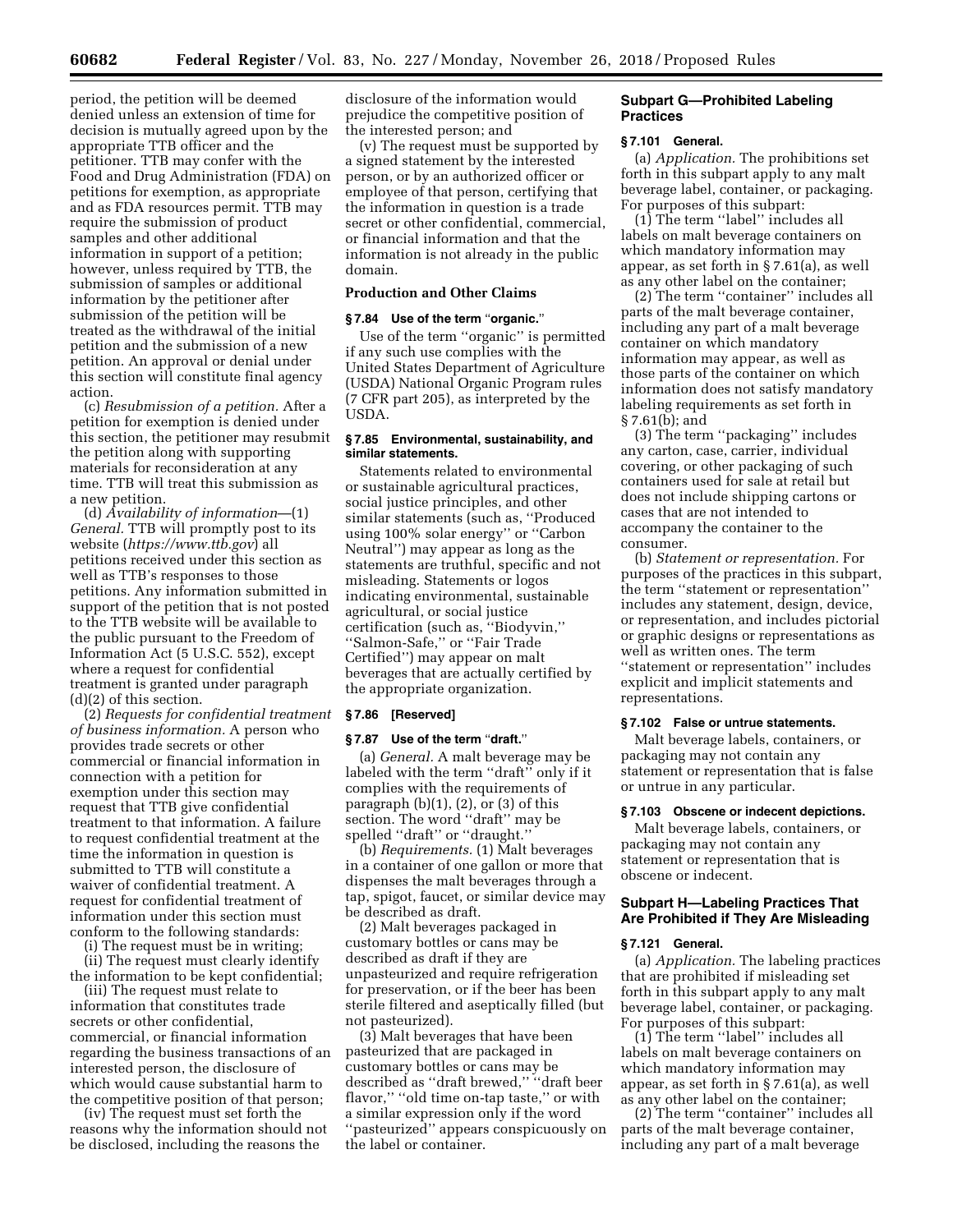period, the petition will be deemed denied unless an extension of time for decision is mutually agreed upon by the appropriate TTB officer and the petitioner. TTB may confer with the Food and Drug Administration (FDA) on petitions for exemption, as appropriate and as FDA resources permit. TTB may require the submission of product samples and other additional information in support of a petition; however, unless required by TTB, the submission of samples or additional information by the petitioner after submission of the petition will be treated as the withdrawal of the initial petition and the submission of a new petition. An approval or denial under this section will constitute final agency action.

(c) *Resubmission of a petition.* After a petition for exemption is denied under this section, the petitioner may resubmit the petition along with supporting materials for reconsideration at any time. TTB will treat this submission as a new petition.

(d) *Availability of information*—(1) *General.* TTB will promptly post to its website (*<https://www.ttb.gov>*) all petitions received under this section as well as TTB's responses to those petitions. Any information submitted in support of the petition that is not posted to the TTB website will be available to the public pursuant to the Freedom of Information Act (5 U.S.C. 552), except where a request for confidential treatment is granted under paragraph (d)(2) of this section.

(2) *Requests for confidential treatment of business information.* A person who provides trade secrets or other commercial or financial information in connection with a petition for exemption under this section may request that TTB give confidential treatment to that information. A failure to request confidential treatment at the time the information in question is submitted to TTB will constitute a waiver of confidential treatment. A request for confidential treatment of information under this section must conform to the following standards:

(i) The request must be in writing;

(ii) The request must clearly identify the information to be kept confidential; (iii) The request must relate to

information that constitutes trade secrets or other confidential, commercial, or financial information regarding the business transactions of an interested person, the disclosure of which would cause substantial harm to the competitive position of that person;

(iv) The request must set forth the reasons why the information should not be disclosed, including the reasons the

disclosure of the information would prejudice the competitive position of the interested person; and

(v) The request must be supported by a signed statement by the interested person, or by an authorized officer or employee of that person, certifying that the information in question is a trade secret or other confidential, commercial, or financial information and that the information is not already in the public domain.

## **Production and Other Claims**

#### **§ 7.84 Use of the term** ''**organic.**''

Use of the term ''organic'' is permitted if any such use complies with the United States Department of Agriculture (USDA) National Organic Program rules (7 CFR part 205), as interpreted by the USDA.

## **§ 7.85 Environmental, sustainability, and similar statements.**

Statements related to environmental or sustainable agricultural practices, social justice principles, and other similar statements (such as, ''Produced using 100% solar energy'' or ''Carbon Neutral'') may appear as long as the statements are truthful, specific and not misleading. Statements or logos indicating environmental, sustainable agricultural, or social justice certification (such as, ''Biodyvin,'' ''Salmon-Safe,'' or ''Fair Trade Certified'') may appear on malt beverages that are actually certified by the appropriate organization.

#### **§ 7.86 [Reserved]**

#### **§ 7.87 Use of the term** ''**draft.**''

(a) *General.* A malt beverage may be labeled with the term ''draft'' only if it complies with the requirements of paragraph  $(b)(1)$ ,  $(2)$ , or  $(3)$  of this section. The word "draft" may be spelled ''draft'' or ''draught.''

(b) *Requirements.* (1) Malt beverages in a container of one gallon or more that dispenses the malt beverages through a tap, spigot, faucet, or similar device may be described as draft.

(2) Malt beverages packaged in customary bottles or cans may be described as draft if they are unpasteurized and require refrigeration for preservation, or if the beer has been sterile filtered and aseptically filled (but not pasteurized).

(3) Malt beverages that have been pasteurized that are packaged in customary bottles or cans may be described as ''draft brewed,'' ''draft beer flavor," "old time on-tap taste," or with a similar expression only if the word ''pasteurized'' appears conspicuously on the label or container.

## **Subpart G—Prohibited Labeling Practices**

#### **§ 7.101 General.**

(a) *Application.* The prohibitions set forth in this subpart apply to any malt beverage label, container, or packaging. For purposes of this subpart:

(1) The term ''label'' includes all labels on malt beverage containers on which mandatory information may appear, as set forth in § 7.61(a), as well as any other label on the container;

(2) The term ''container'' includes all parts of the malt beverage container, including any part of a malt beverage container on which mandatory information may appear, as well as those parts of the container on which information does not satisfy mandatory labeling requirements as set forth in § 7.61(b); and

(3) The term ''packaging'' includes any carton, case, carrier, individual covering, or other packaging of such containers used for sale at retail but does not include shipping cartons or cases that are not intended to accompany the container to the consumer.

(b) *Statement or representation.* For purposes of the practices in this subpart, the term ''statement or representation'' includes any statement, design, device, or representation, and includes pictorial or graphic designs or representations as well as written ones. The term ''statement or representation'' includes explicit and implicit statements and representations.

#### **§ 7.102 False or untrue statements.**

Malt beverage labels, containers, or packaging may not contain any statement or representation that is false or untrue in any particular.

#### **§ 7.103 Obscene or indecent depictions.**

Malt beverage labels, containers, or packaging may not contain any statement or representation that is obscene or indecent.

## **Subpart H—Labeling Practices That Are Prohibited if They Are Misleading**

#### **§ 7.121 General.**

(a) *Application.* The labeling practices that are prohibited if misleading set forth in this subpart apply to any malt beverage label, container, or packaging. For purposes of this subpart:

(1) The term ''label'' includes all labels on malt beverage containers on which mandatory information may appear, as set forth in § 7.61(a), as well as any other label on the container;

(2) The term ''container'' includes all parts of the malt beverage container, including any part of a malt beverage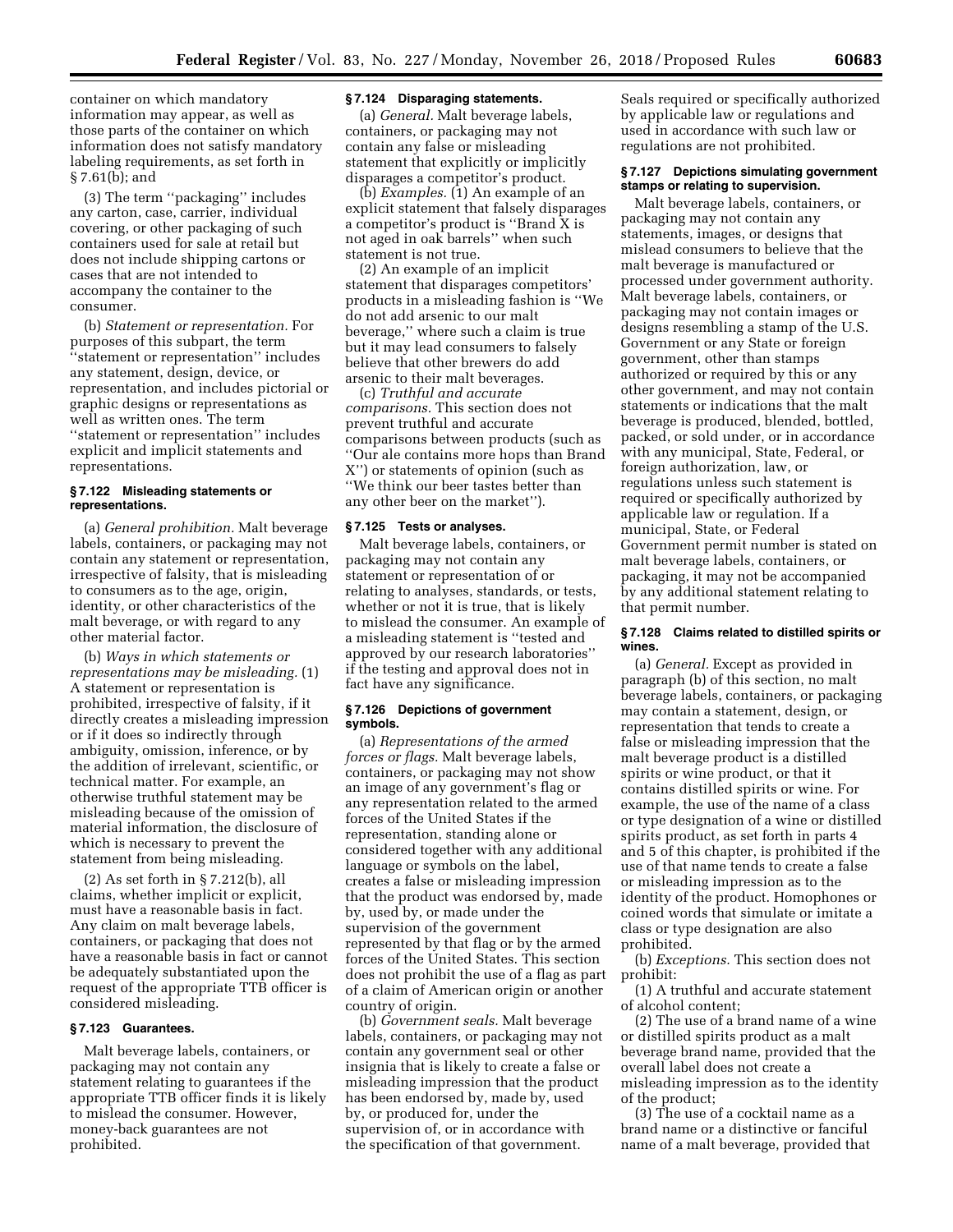container on which mandatory information may appear, as well as those parts of the container on which information does not satisfy mandatory labeling requirements, as set forth in § 7.61(b); and

(3) The term ''packaging'' includes any carton, case, carrier, individual covering, or other packaging of such containers used for sale at retail but does not include shipping cartons or cases that are not intended to accompany the container to the consumer.

(b) *Statement or representation.* For purposes of this subpart, the term ''statement or representation'' includes any statement, design, device, or representation, and includes pictorial or graphic designs or representations as well as written ones. The term ''statement or representation'' includes explicit and implicit statements and representations.

#### **§ 7.122 Misleading statements or representations.**

(a) *General prohibition.* Malt beverage labels, containers, or packaging may not contain any statement or representation, irrespective of falsity, that is misleading to consumers as to the age, origin, identity, or other characteristics of the malt beverage, or with regard to any other material factor.

(b) *Ways in which statements or representations may be misleading.* (1) A statement or representation is prohibited, irrespective of falsity, if it directly creates a misleading impression or if it does so indirectly through ambiguity, omission, inference, or by the addition of irrelevant, scientific, or technical matter. For example, an otherwise truthful statement may be misleading because of the omission of material information, the disclosure of which is necessary to prevent the statement from being misleading.

(2) As set forth in § 7.212(b), all claims, whether implicit or explicit, must have a reasonable basis in fact. Any claim on malt beverage labels, containers, or packaging that does not have a reasonable basis in fact or cannot be adequately substantiated upon the request of the appropriate TTB officer is considered misleading.

#### **§ 7.123 Guarantees.**

Malt beverage labels, containers, or packaging may not contain any statement relating to guarantees if the appropriate TTB officer finds it is likely to mislead the consumer. However, money-back guarantees are not prohibited.

#### **§ 7.124 Disparaging statements.**

(a) *General.* Malt beverage labels, containers, or packaging may not contain any false or misleading statement that explicitly or implicitly disparages a competitor's product.

(b) *Examples.* (1) An example of an explicit statement that falsely disparages a competitor's product is ''Brand X is not aged in oak barrels'' when such statement is not true.

(2) An example of an implicit statement that disparages competitors' products in a misleading fashion is ''We do not add arsenic to our malt beverage,'' where such a claim is true but it may lead consumers to falsely believe that other brewers do add arsenic to their malt beverages.

(c) *Truthful and accurate comparisons.* This section does not prevent truthful and accurate comparisons between products (such as ''Our ale contains more hops than Brand X'') or statements of opinion (such as ''We think our beer tastes better than any other beer on the market'').

#### **§ 7.125 Tests or analyses.**

Malt beverage labels, containers, or packaging may not contain any statement or representation of or relating to analyses, standards, or tests, whether or not it is true, that is likely to mislead the consumer. An example of a misleading statement is ''tested and approved by our research laboratories'' if the testing and approval does not in fact have any significance.

## **§ 7.126 Depictions of government symbols.**

(a) *Representations of the armed forces or flags.* Malt beverage labels, containers, or packaging may not show an image of any government's flag or any representation related to the armed forces of the United States if the representation, standing alone or considered together with any additional language or symbols on the label, creates a false or misleading impression that the product was endorsed by, made by, used by, or made under the supervision of the government represented by that flag or by the armed forces of the United States. This section does not prohibit the use of a flag as part of a claim of American origin or another country of origin.

(b) *Government seals.* Malt beverage labels, containers, or packaging may not contain any government seal or other insignia that is likely to create a false or misleading impression that the product has been endorsed by, made by, used by, or produced for, under the supervision of, or in accordance with the specification of that government.

Seals required or specifically authorized by applicable law or regulations and used in accordance with such law or regulations are not prohibited.

## **§ 7.127 Depictions simulating government stamps or relating to supervision.**

Malt beverage labels, containers, or packaging may not contain any statements, images, or designs that mislead consumers to believe that the malt beverage is manufactured or processed under government authority. Malt beverage labels, containers, or packaging may not contain images or designs resembling a stamp of the U.S. Government or any State or foreign government, other than stamps authorized or required by this or any other government, and may not contain statements or indications that the malt beverage is produced, blended, bottled, packed, or sold under, or in accordance with any municipal, State, Federal, or foreign authorization, law, or regulations unless such statement is required or specifically authorized by applicable law or regulation. If a municipal, State, or Federal Government permit number is stated on malt beverage labels, containers, or packaging, it may not be accompanied by any additional statement relating to that permit number.

## **§ 7.128 Claims related to distilled spirits or wines.**

(a) *General.* Except as provided in paragraph (b) of this section, no malt beverage labels, containers, or packaging may contain a statement, design, or representation that tends to create a false or misleading impression that the malt beverage product is a distilled spirits or wine product, or that it contains distilled spirits or wine. For example, the use of the name of a class or type designation of a wine or distilled spirits product, as set forth in parts 4 and 5 of this chapter, is prohibited if the use of that name tends to create a false or misleading impression as to the identity of the product. Homophones or coined words that simulate or imitate a class or type designation are also prohibited.

(b) *Exceptions.* This section does not prohibit:

(1) A truthful and accurate statement of alcohol content;

(2) The use of a brand name of a wine or distilled spirits product as a malt beverage brand name, provided that the overall label does not create a misleading impression as to the identity of the product;

(3) The use of a cocktail name as a brand name or a distinctive or fanciful name of a malt beverage, provided that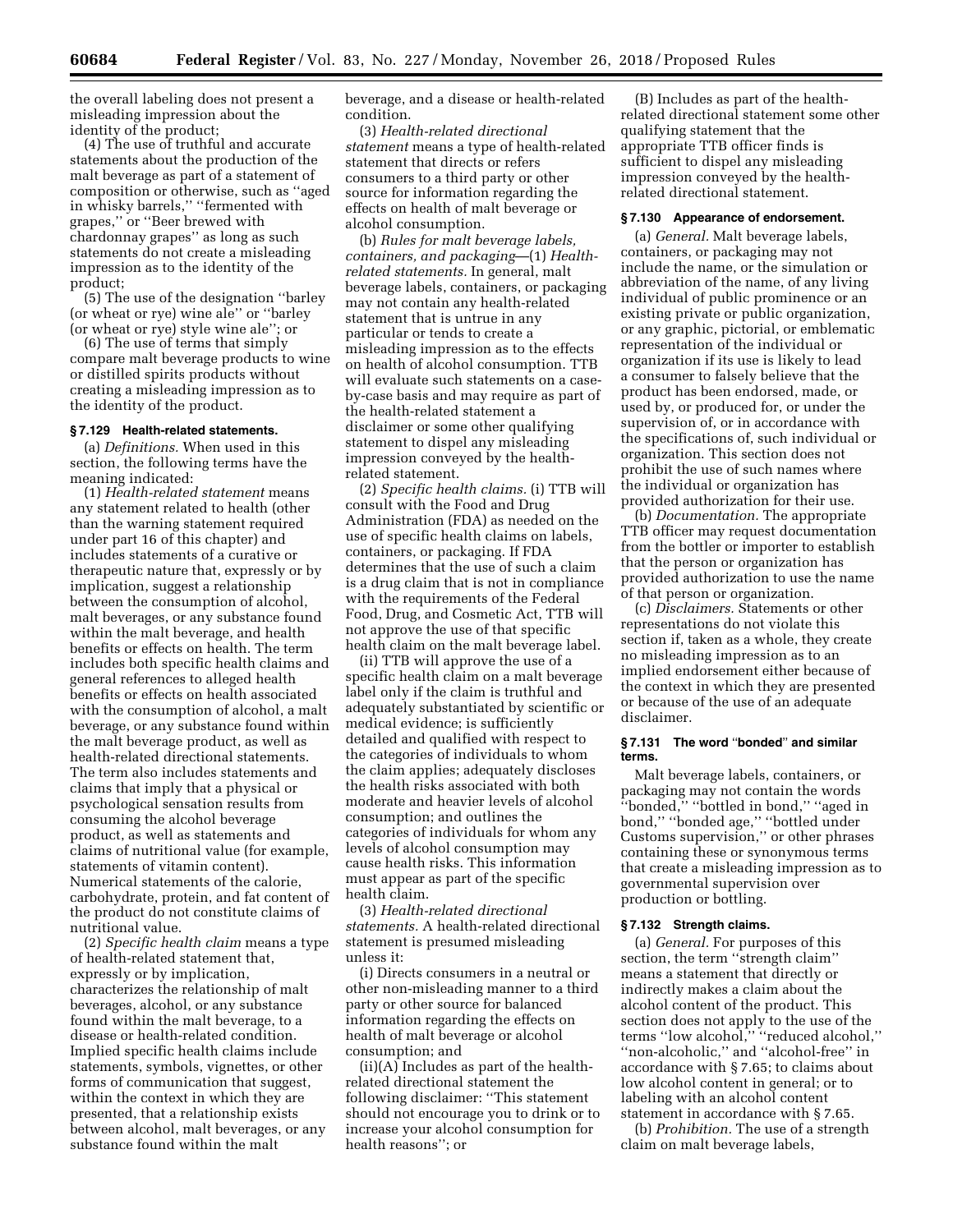the overall labeling does not present a misleading impression about the identity of the product;

(4) The use of truthful and accurate statements about the production of the malt beverage as part of a statement of composition or otherwise, such as ''aged in whisky barrels,'' ''fermented with grapes,'' or ''Beer brewed with chardonnay grapes'' as long as such statements do not create a misleading impression as to the identity of the product;

(5) The use of the designation ''barley (or wheat or rye) wine ale'' or ''barley (or wheat or rye) style wine ale''; or

(6) The use of terms that simply compare malt beverage products to wine or distilled spirits products without creating a misleading impression as to the identity of the product.

#### **§ 7.129 Health-related statements.**

(a) *Definitions.* When used in this section, the following terms have the meaning indicated:

(1) *Health-related statement* means any statement related to health (other than the warning statement required under part 16 of this chapter) and includes statements of a curative or therapeutic nature that, expressly or by implication, suggest a relationship between the consumption of alcohol, malt beverages, or any substance found within the malt beverage, and health benefits or effects on health. The term includes both specific health claims and general references to alleged health benefits or effects on health associated with the consumption of alcohol, a malt beverage, or any substance found within the malt beverage product, as well as health-related directional statements. The term also includes statements and claims that imply that a physical or psychological sensation results from consuming the alcohol beverage product, as well as statements and claims of nutritional value (for example, statements of vitamin content). Numerical statements of the calorie, carbohydrate, protein, and fat content of the product do not constitute claims of nutritional value.

(2) *Specific health claim* means a type of health-related statement that, expressly or by implication, characterizes the relationship of malt beverages, alcohol, or any substance found within the malt beverage, to a disease or health-related condition. Implied specific health claims include statements, symbols, vignettes, or other forms of communication that suggest, within the context in which they are presented, that a relationship exists between alcohol, malt beverages, or any substance found within the malt

beverage, and a disease or health-related condition.

(3) *Health-related directional statement* means a type of health-related statement that directs or refers consumers to a third party or other source for information regarding the effects on health of malt beverage or alcohol consumption.

(b) *Rules for malt beverage labels, containers, and packaging*—(1) *Healthrelated statements.* In general, malt beverage labels, containers, or packaging may not contain any health-related statement that is untrue in any particular or tends to create a misleading impression as to the effects on health of alcohol consumption. TTB will evaluate such statements on a caseby-case basis and may require as part of the health-related statement a disclaimer or some other qualifying statement to dispel any misleading impression conveyed by the healthrelated statement.

(2) *Specific health claims.* (i) TTB will consult with the Food and Drug Administration (FDA) as needed on the use of specific health claims on labels, containers, or packaging. If FDA determines that the use of such a claim is a drug claim that is not in compliance with the requirements of the Federal Food, Drug, and Cosmetic Act, TTB will not approve the use of that specific health claim on the malt beverage label.

(ii) TTB will approve the use of a specific health claim on a malt beverage label only if the claim is truthful and adequately substantiated by scientific or medical evidence; is sufficiently detailed and qualified with respect to the categories of individuals to whom the claim applies; adequately discloses the health risks associated with both moderate and heavier levels of alcohol consumption; and outlines the categories of individuals for whom any levels of alcohol consumption may cause health risks. This information must appear as part of the specific health claim.

(3) *Health-related directional statements.* A health-related directional statement is presumed misleading unless it:

(i) Directs consumers in a neutral or other non-misleading manner to a third party or other source for balanced information regarding the effects on health of malt beverage or alcohol consumption; and

(ii)(A) Includes as part of the healthrelated directional statement the following disclaimer: ''This statement should not encourage you to drink or to increase your alcohol consumption for health reasons''; or

(B) Includes as part of the healthrelated directional statement some other qualifying statement that the appropriate TTB officer finds is sufficient to dispel any misleading impression conveyed by the healthrelated directional statement.

#### **§ 7.130 Appearance of endorsement.**

(a) *General.* Malt beverage labels, containers, or packaging may not include the name, or the simulation or abbreviation of the name, of any living individual of public prominence or an existing private or public organization, or any graphic, pictorial, or emblematic representation of the individual or organization if its use is likely to lead a consumer to falsely believe that the product has been endorsed, made, or used by, or produced for, or under the supervision of, or in accordance with the specifications of, such individual or organization. This section does not prohibit the use of such names where the individual or organization has provided authorization for their use.

(b) *Documentation.* The appropriate TTB officer may request documentation from the bottler or importer to establish that the person or organization has provided authorization to use the name of that person or organization.

(c) *Disclaimers.* Statements or other representations do not violate this section if, taken as a whole, they create no misleading impression as to an implied endorsement either because of the context in which they are presented or because of the use of an adequate disclaimer.

#### **§ 7.131 The word** ''**bonded**'' **and similar terms.**

Malt beverage labels, containers, or packaging may not contain the words 'bonded," "bottled in bond," "aged in bond,'' ''bonded age,'' ''bottled under Customs supervision,'' or other phrases containing these or synonymous terms that create a misleading impression as to governmental supervision over production or bottling.

## **§ 7.132 Strength claims.**

(a) *General.* For purposes of this section, the term ''strength claim'' means a statement that directly or indirectly makes a claim about the alcohol content of the product. This section does not apply to the use of the terms ''low alcohol,'' ''reduced alcohol,'' ''non-alcoholic,'' and ''alcohol-free'' in accordance with § 7.65; to claims about low alcohol content in general; or to labeling with an alcohol content statement in accordance with § 7.65.

(b) *Prohibition.* The use of a strength claim on malt beverage labels,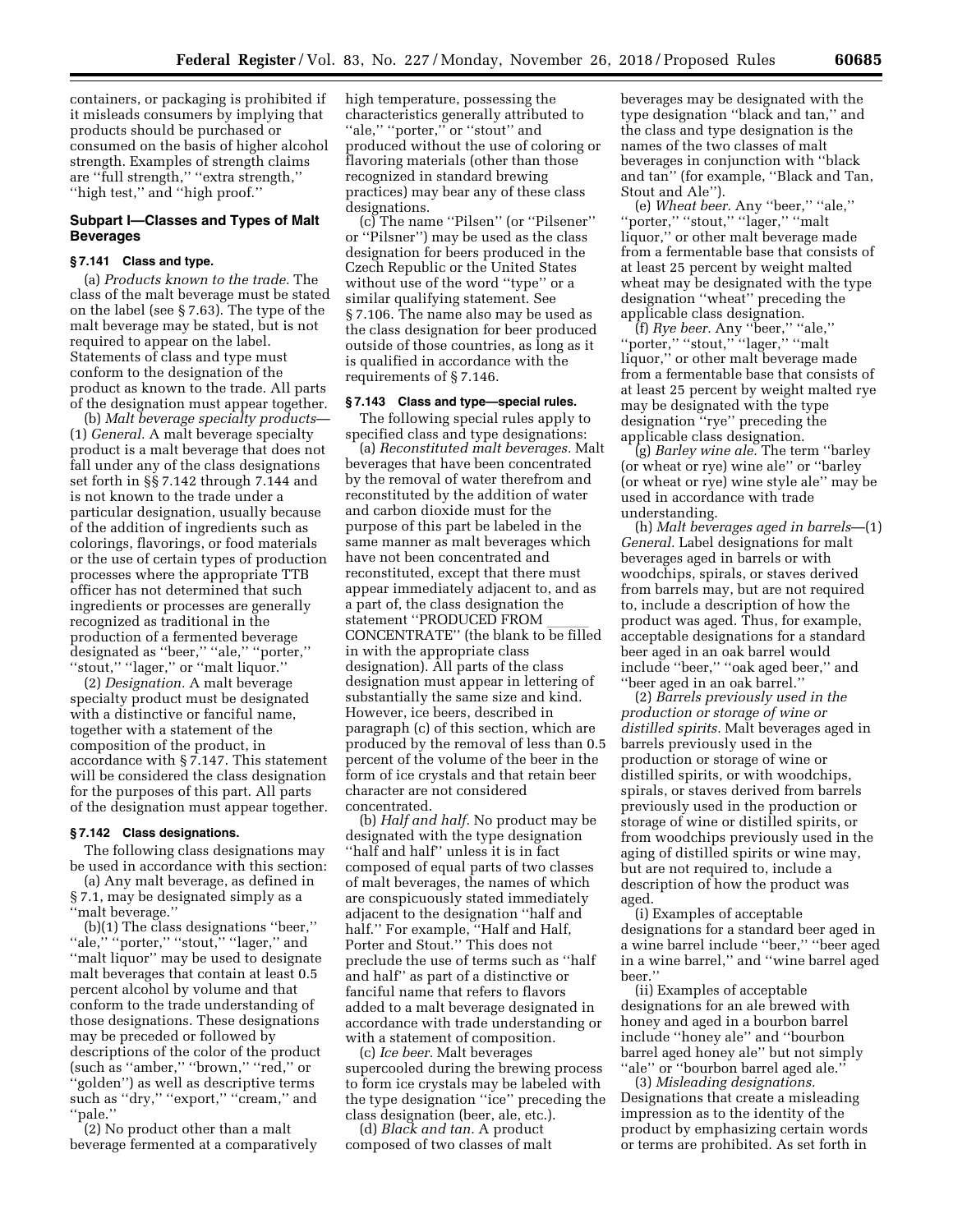containers, or packaging is prohibited if it misleads consumers by implying that products should be purchased or consumed on the basis of higher alcohol strength. Examples of strength claims are ''full strength,'' ''extra strength,'' ''high test,'' and ''high proof.''

# **Subpart I—Classes and Types of Malt Beverages**

## **§ 7.141 Class and type.**

(a) *Products known to the trade.* The class of the malt beverage must be stated on the label (see § 7.63). The type of the malt beverage may be stated, but is not required to appear on the label. Statements of class and type must conform to the designation of the product as known to the trade. All parts of the designation must appear together.

(b) *Malt beverage specialty products*— (1) *General.* A malt beverage specialty product is a malt beverage that does not fall under any of the class designations set forth in §§ 7.142 through 7.144 and is not known to the trade under a particular designation, usually because of the addition of ingredients such as colorings, flavorings, or food materials or the use of certain types of production processes where the appropriate TTB officer has not determined that such ingredients or processes are generally recognized as traditional in the production of a fermented beverage designated as ''beer,'' ''ale,'' ''porter,'' ''stout,'' ''lager,'' or ''malt liquor.''

(2) *Designation.* A malt beverage specialty product must be designated with a distinctive or fanciful name, together with a statement of the composition of the product, in accordance with § 7.147. This statement will be considered the class designation for the purposes of this part. All parts of the designation must appear together.

#### **§ 7.142 Class designations.**

The following class designations may be used in accordance with this section:

(a) Any malt beverage, as defined in § 7.1, may be designated simply as a ''malt beverage.''

(b)(1) The class designations "beer,"<br>"ale," "porter," "stout," "lager," and "porter," "stout," "lager," and ''malt liquor'' may be used to designate malt beverages that contain at least 0.5 percent alcohol by volume and that conform to the trade understanding of those designations. These designations may be preceded or followed by descriptions of the color of the product (such as ''amber,'' ''brown,'' ''red,'' or ''golden'') as well as descriptive terms such as "dry," "export," "cream," and ''pale.''

(2) No product other than a malt beverage fermented at a comparatively high temperature, possessing the characteristics generally attributed to ''ale,'' ''porter,'' or ''stout'' and produced without the use of coloring or flavoring materials (other than those recognized in standard brewing practices) may bear any of these class designations.

(c) The name ''Pilsen'' (or ''Pilsener'' or ''Pilsner'') may be used as the class designation for beers produced in the Czech Republic or the United States without use of the word ''type'' or a similar qualifying statement. See § 7.106. The name also may be used as the class designation for beer produced outside of those countries, as long as it is qualified in accordance with the requirements of § 7.146.

# **§ 7.143 Class and type—special rules.**

The following special rules apply to specified class and type designations:

(a) *Reconstituted malt beverages.* Malt beverages that have been concentrated by the removal of water therefrom and reconstituted by the addition of water and carbon dioxide must for the purpose of this part be labeled in the same manner as malt beverages which have not been concentrated and reconstituted, except that there must appear immediately adjacent to, and as a part of, the class designation the statement ''PRODUCED FROM \_\_\_\_\_\_<br>CONCENTRATE'' (the blank to be filled in with the appropriate class designation). All parts of the class designation must appear in lettering of substantially the same size and kind. However, ice beers, described in paragraph (c) of this section, which are produced by the removal of less than 0.5 percent of the volume of the beer in the form of ice crystals and that retain beer character are not considered concentrated.

(b) *Half and half.* No product may be designated with the type designation ''half and half'' unless it is in fact composed of equal parts of two classes of malt beverages, the names of which are conspicuously stated immediately adjacent to the designation ''half and half.'' For example, ''Half and Half, Porter and Stout.'' This does not preclude the use of terms such as ''half and half'' as part of a distinctive or fanciful name that refers to flavors added to a malt beverage designated in accordance with trade understanding or with a statement of composition.

(c) *Ice beer.* Malt beverages supercooled during the brewing process to form ice crystals may be labeled with the type designation ''ice'' preceding the class designation (beer, ale, etc.).

(d) *Black and tan.* A product composed of two classes of malt beverages may be designated with the type designation ''black and tan,'' and the class and type designation is the names of the two classes of malt beverages in conjunction with ''black and tan'' (for example, ''Black and Tan, Stout and Ale'').

(e) *Wheat beer.* Any ''beer,'' ''ale,'' ''porter,'' ''stout,'' ''lager,'' ''malt liquor,'' or other malt beverage made from a fermentable base that consists of at least 25 percent by weight malted wheat may be designated with the type designation ''wheat'' preceding the applicable class designation.

(f) *Rye beer.* Any ''beer,'' ''ale,'' ''porter,'' ''stout,'' ''lager,'' ''malt liquor,'' or other malt beverage made from a fermentable base that consists of at least 25 percent by weight malted rye may be designated with the type designation ''rye'' preceding the applicable class designation.

(g) *Barley wine ale.* The term ''barley (or wheat or rye) wine ale'' or ''barley (or wheat or rye) wine style ale'' may be used in accordance with trade understanding.

(h) *Malt beverages aged in barrels*—(1) *General.* Label designations for malt beverages aged in barrels or with woodchips, spirals, or staves derived from barrels may, but are not required to, include a description of how the product was aged. Thus, for example, acceptable designations for a standard beer aged in an oak barrel would include ''beer,'' ''oak aged beer,'' and ''beer aged in an oak barrel.''

(2) *Barrels previously used in the production or storage of wine or distilled spirits.* Malt beverages aged in barrels previously used in the production or storage of wine or distilled spirits, or with woodchips, spirals, or staves derived from barrels previously used in the production or storage of wine or distilled spirits, or from woodchips previously used in the aging of distilled spirits or wine may, but are not required to, include a description of how the product was aged.

(i) Examples of acceptable designations for a standard beer aged in a wine barrel include ''beer,'' ''beer aged in a wine barrel,'' and ''wine barrel aged beer.''

(ii) Examples of acceptable designations for an ale brewed with honey and aged in a bourbon barrel include ''honey ale'' and ''bourbon barrel aged honey ale'' but not simply "ale" or "bourbon barrel aged ale."

(3) *Misleading designations.*  Designations that create a misleading impression as to the identity of the product by emphasizing certain words or terms are prohibited. As set forth in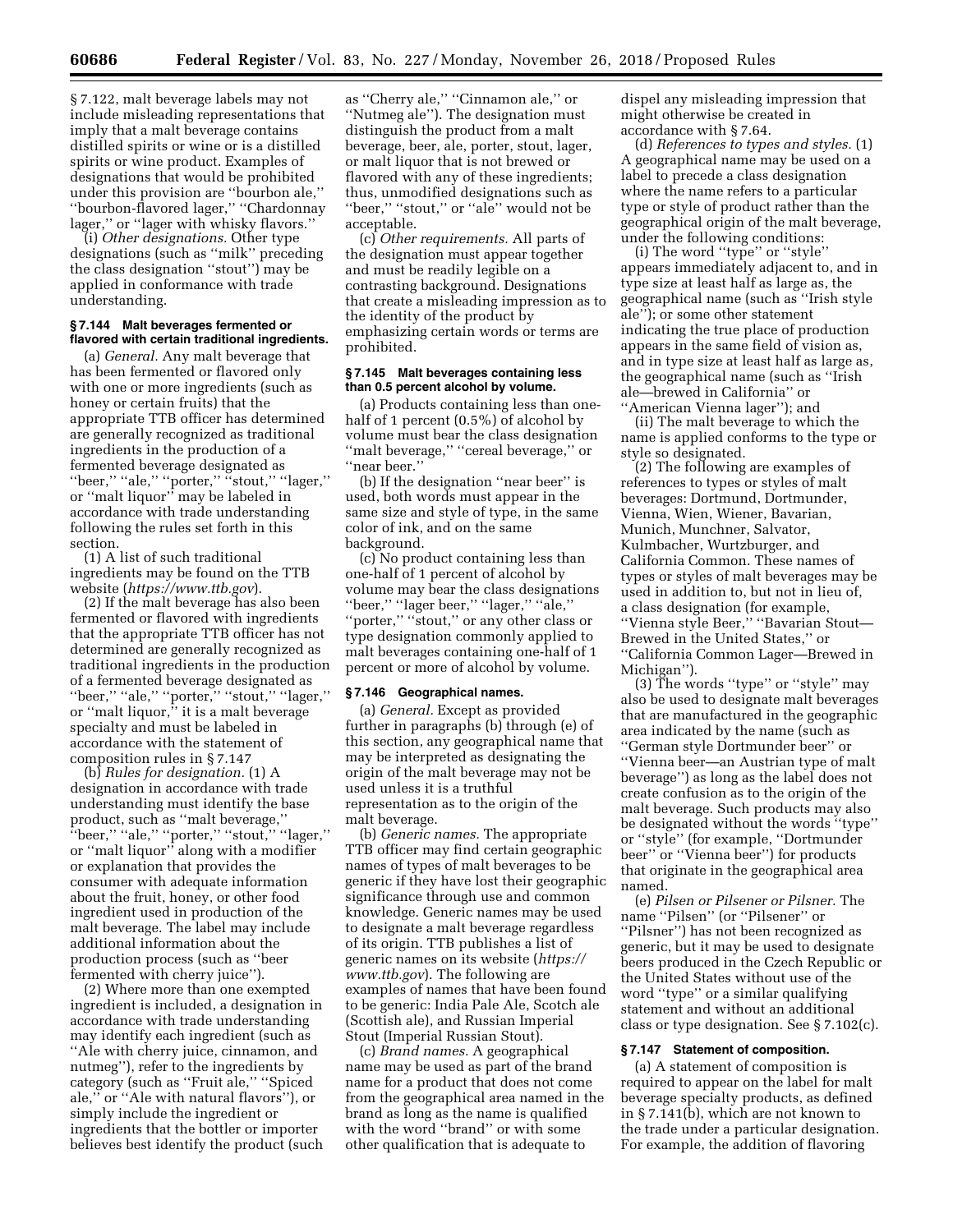§ 7.122, malt beverage labels may not include misleading representations that imply that a malt beverage contains distilled spirits or wine or is a distilled spirits or wine product. Examples of designations that would be prohibited under this provision are ''bourbon ale,'' ''bourbon-flavored lager,'' ''Chardonnay lager,'' or ''lager with whisky flavors.''

(i) *Other designations.* Other type designations (such as ''milk'' preceding the class designation ''stout'') may be applied in conformance with trade understanding.

## **§ 7.144 Malt beverages fermented or flavored with certain traditional ingredients.**

(a) *General.* Any malt beverage that has been fermented or flavored only with one or more ingredients (such as honey or certain fruits) that the appropriate TTB officer has determined are generally recognized as traditional ingredients in the production of a fermented beverage designated as ''beer,'' ''ale,'' ''porter,'' ''stout,'' ''lager,'' or ''malt liquor'' may be labeled in accordance with trade understanding following the rules set forth in this section.

(1) A list of such traditional ingredients may be found on the TTB website (*<https://www.ttb.gov>*).

(2) If the malt beverage has also been fermented or flavored with ingredients that the appropriate TTB officer has not determined are generally recognized as traditional ingredients in the production of a fermented beverage designated as ''beer,'' ''ale,'' ''porter,'' ''stout,'' ''lager,'' or "malt liquor," it is a malt beverage specialty and must be labeled in accordance with the statement of composition rules in § 7.147

(b) *Rules for designation.* (1) A designation in accordance with trade understanding must identify the base product, such as ''malt beverage,'' ''beer,'' ''ale,'' ''porter,'' ''stout,'' ''lager,'' or ''malt liquor'' along with a modifier or explanation that provides the consumer with adequate information about the fruit, honey, or other food ingredient used in production of the malt beverage. The label may include additional information about the production process (such as ''beer fermented with cherry juice'').

(2) Where more than one exempted ingredient is included, a designation in accordance with trade understanding may identify each ingredient (such as ''Ale with cherry juice, cinnamon, and nutmeg''), refer to the ingredients by category (such as ''Fruit ale,'' ''Spiced ale,'' or ''Ale with natural flavors''), or simply include the ingredient or ingredients that the bottler or importer believes best identify the product (such

as ''Cherry ale,'' ''Cinnamon ale,'' or ''Nutmeg ale''). The designation must distinguish the product from a malt beverage, beer, ale, porter, stout, lager, or malt liquor that is not brewed or flavored with any of these ingredients; thus, unmodified designations such as ''beer,'' ''stout,'' or ''ale'' would not be acceptable.

(c) *Other requirements.* All parts of the designation must appear together and must be readily legible on a contrasting background. Designations that create a misleading impression as to the identity of the product by emphasizing certain words or terms are prohibited.

#### **§ 7.145 Malt beverages containing less than 0.5 percent alcohol by volume.**

(a) Products containing less than onehalf of 1 percent (0.5%) of alcohol by volume must bear the class designation ''malt beverage,'' ''cereal beverage,'' or ''near beer.''

(b) If the designation ''near beer'' is used, both words must appear in the same size and style of type, in the same color of ink, and on the same background.

(c) No product containing less than one-half of 1 percent of alcohol by volume may bear the class designations ''beer,'' ''lager beer,'' ''lager,'' ''ale,'' "porter," "stout," or any other class or type designation commonly applied to malt beverages containing one-half of 1 percent or more of alcohol by volume.

#### **§ 7.146 Geographical names.**

(a) *General.* Except as provided further in paragraphs (b) through (e) of this section, any geographical name that may be interpreted as designating the origin of the malt beverage may not be used unless it is a truthful representation as to the origin of the malt beverage.

(b) *Generic names.* The appropriate TTB officer may find certain geographic names of types of malt beverages to be generic if they have lost their geographic significance through use and common knowledge. Generic names may be used to designate a malt beverage regardless of its origin. TTB publishes a list of generic names on its website (*[https://](https://www.ttb.gov) [www.ttb.gov](https://www.ttb.gov)*). The following are examples of names that have been found to be generic: India Pale Ale, Scotch ale (Scottish ale), and Russian Imperial Stout (Imperial Russian Stout).

(c) *Brand names.* A geographical name may be used as part of the brand name for a product that does not come from the geographical area named in the brand as long as the name is qualified with the word ''brand'' or with some other qualification that is adequate to

dispel any misleading impression that might otherwise be created in accordance with § 7.64.

(d) *References to types and styles.* (1) A geographical name may be used on a label to precede a class designation where the name refers to a particular type or style of product rather than the geographical origin of the malt beverage, under the following conditions:

(i) The word ''type'' or ''style'' appears immediately adjacent to, and in type size at least half as large as, the geographical name (such as ''Irish style ale''); or some other statement indicating the true place of production appears in the same field of vision as, and in type size at least half as large as, the geographical name (such as ''Irish ale—brewed in California'' or ''American Vienna lager''); and

(ii) The malt beverage to which the name is applied conforms to the type or style so designated.

(2) The following are examples of references to types or styles of malt beverages: Dortmund, Dortmunder, Vienna, Wien, Wiener, Bavarian, Munich, Munchner, Salvator, Kulmbacher, Wurtzburger, and California Common. These names of types or styles of malt beverages may be used in addition to, but not in lieu of, a class designation (for example, ''Vienna style Beer,'' ''Bavarian Stout— Brewed in the United States,'' or ''California Common Lager—Brewed in Michigan'').

(3) The words ''type'' or ''style'' may also be used to designate malt beverages that are manufactured in the geographic area indicated by the name (such as ''German style Dortmunder beer'' or ''Vienna beer—an Austrian type of malt beverage'') as long as the label does not create confusion as to the origin of the malt beverage. Such products may also be designated without the words ''type'' or ''style'' (for example, ''Dortmunder beer'' or ''Vienna beer'') for products that originate in the geographical area named.

(e) *Pilsen or Pilsener or Pilsner.* The name ''Pilsen'' (or ''Pilsener'' or ''Pilsner'') has not been recognized as generic, but it may be used to designate beers produced in the Czech Republic or the United States without use of the word ''type'' or a similar qualifying statement and without an additional class or type designation. See § 7.102(c).

# **§ 7.147 Statement of composition.**

(a) A statement of composition is required to appear on the label for malt beverage specialty products, as defined in § 7.141(b), which are not known to the trade under a particular designation. For example, the addition of flavoring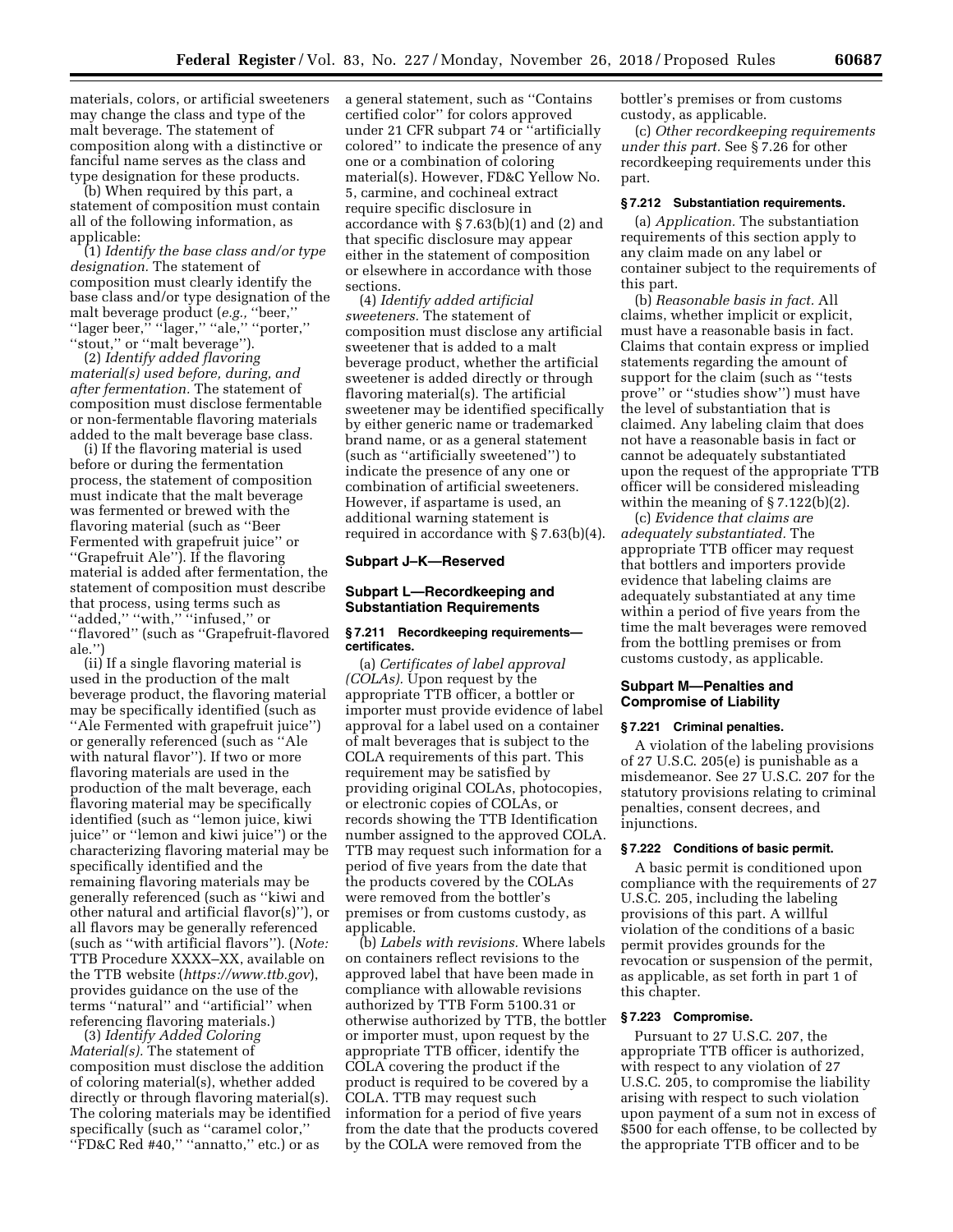materials, colors, or artificial sweeteners may change the class and type of the malt beverage. The statement of composition along with a distinctive or fanciful name serves as the class and type designation for these products.

(b) When required by this part, a statement of composition must contain all of the following information, as applicable:

(1) *Identify the base class and/or type designation.* The statement of composition must clearly identify the base class and/or type designation of the malt beverage product (*e.g.,* ''beer,'' ''lager beer,'' ''lager,'' ''ale,'' ''porter,'' ''stout,'' or ''malt beverage'').

(2) *Identify added flavoring material(s) used before, during, and after fermentation.* The statement of composition must disclose fermentable or non-fermentable flavoring materials added to the malt beverage base class.

(i) If the flavoring material is used before or during the fermentation process, the statement of composition must indicate that the malt beverage was fermented or brewed with the flavoring material (such as ''Beer Fermented with grapefruit juice'' or ''Grapefruit Ale''). If the flavoring material is added after fermentation, the statement of composition must describe that process, using terms such as ''added,'' ''with,'' ''infused,'' or ''flavored'' (such as ''Grapefruit-flavored ale.'')

(ii) If a single flavoring material is used in the production of the malt beverage product, the flavoring material may be specifically identified (such as ''Ale Fermented with grapefruit juice'') or generally referenced (such as ''Ale with natural flavor''). If two or more flavoring materials are used in the production of the malt beverage, each flavoring material may be specifically identified (such as ''lemon juice, kiwi juice'' or ''lemon and kiwi juice'') or the characterizing flavoring material may be specifically identified and the remaining flavoring materials may be generally referenced (such as ''kiwi and other natural and artificial flavor(s)''), or all flavors may be generally referenced (such as ''with artificial flavors''). (*Note:*  TTB Procedure XXXX–XX, available on the TTB website (*<https://www.ttb.gov>*), provides guidance on the use of the terms ''natural'' and ''artificial'' when referencing flavoring materials.)

(3) *Identify Added Coloring Material(s).* The statement of composition must disclose the addition of coloring material(s), whether added directly or through flavoring material(s). The coloring materials may be identified specifically (such as "caramel color," ''FD&C Red #40,'' ''annatto,'' etc.) or as

a general statement, such as ''Contains certified color'' for colors approved under 21 CFR subpart 74 or ''artificially colored'' to indicate the presence of any one or a combination of coloring material(s). However, FD&C Yellow No. 5, carmine, and cochineal extract require specific disclosure in accordance with § 7.63(b)(1) and (2) and that specific disclosure may appear either in the statement of composition or elsewhere in accordance with those sections.

(4) *Identify added artificial sweeteners.* The statement of composition must disclose any artificial sweetener that is added to a malt beverage product, whether the artificial sweetener is added directly or through flavoring material(s). The artificial sweetener may be identified specifically by either generic name or trademarked brand name, or as a general statement (such as ''artificially sweetened'') to indicate the presence of any one or combination of artificial sweeteners. However, if aspartame is used, an additional warning statement is required in accordance with § 7.63(b)(4).

#### **Subpart J–K—Reserved**

## **Subpart L—Recordkeeping and Substantiation Requirements**

## **§ 7.211 Recordkeeping requirements certificates.**

(a) *Certificates of label approval (COLAs).* Upon request by the appropriate TTB officer, a bottler or importer must provide evidence of label approval for a label used on a container of malt beverages that is subject to the COLA requirements of this part. This requirement may be satisfied by providing original COLAs, photocopies, or electronic copies of COLAs, or records showing the TTB Identification number assigned to the approved COLA. TTB may request such information for a period of five years from the date that the products covered by the COLAs were removed from the bottler's premises or from customs custody, as applicable.

(b) *Labels with revisions.* Where labels on containers reflect revisions to the approved label that have been made in compliance with allowable revisions authorized by TTB Form 5100.31 or otherwise authorized by TTB, the bottler or importer must, upon request by the appropriate TTB officer, identify the COLA covering the product if the product is required to be covered by a COLA. TTB may request such information for a period of five years from the date that the products covered by the COLA were removed from the

bottler's premises or from customs custody, as applicable.

(c) *Other recordkeeping requirements under this part.* See § 7.26 for other recordkeeping requirements under this part.

## **§ 7.212 Substantiation requirements.**

(a) *Application.* The substantiation requirements of this section apply to any claim made on any label or container subject to the requirements of this part.

(b) *Reasonable basis in fact.* All claims, whether implicit or explicit, must have a reasonable basis in fact. Claims that contain express or implied statements regarding the amount of support for the claim (such as ''tests prove'' or ''studies show'') must have the level of substantiation that is claimed. Any labeling claim that does not have a reasonable basis in fact or cannot be adequately substantiated upon the request of the appropriate TTB officer will be considered misleading within the meaning of  $\S 7.122(b)(2)$ .

(c) *Evidence that claims are adequately substantiated.* The appropriate TTB officer may request that bottlers and importers provide evidence that labeling claims are adequately substantiated at any time within a period of five years from the time the malt beverages were removed from the bottling premises or from customs custody, as applicable.

# **Subpart M—Penalties and Compromise of Liability**

#### **§ 7.221 Criminal penalties.**

A violation of the labeling provisions of 27 U.S.C. 205(e) is punishable as a misdemeanor. See 27 U.S.C. 207 for the statutory provisions relating to criminal penalties, consent decrees, and injunctions.

#### **§ 7.222 Conditions of basic permit.**

A basic permit is conditioned upon compliance with the requirements of 27 U.S.C. 205, including the labeling provisions of this part. A willful violation of the conditions of a basic permit provides grounds for the revocation or suspension of the permit, as applicable, as set forth in part 1 of this chapter.

## **§ 7.223 Compromise.**

Pursuant to 27 U.S.C. 207, the appropriate TTB officer is authorized, with respect to any violation of 27 U.S.C. 205, to compromise the liability arising with respect to such violation upon payment of a sum not in excess of \$500 for each offense, to be collected by the appropriate TTB officer and to be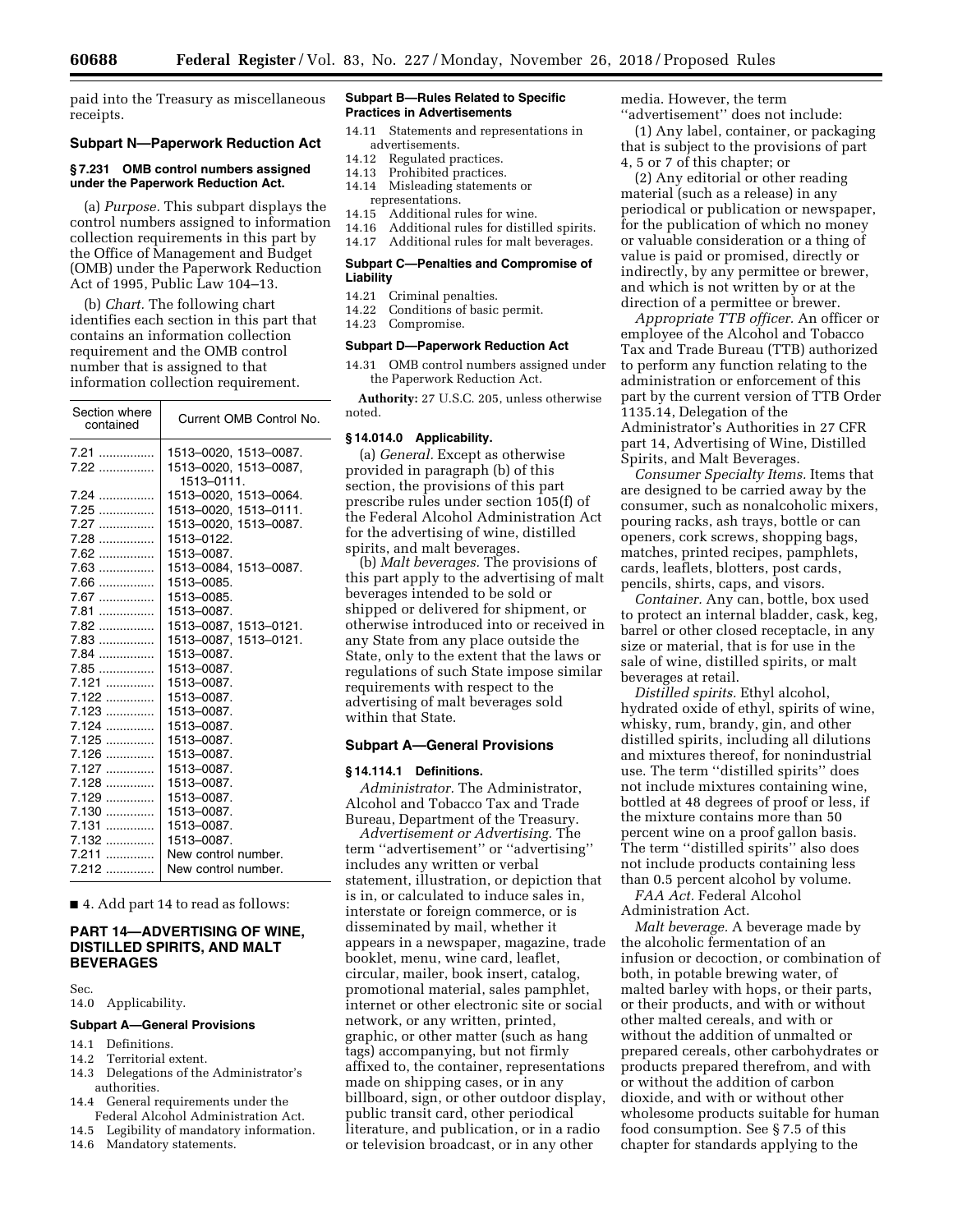paid into the Treasury as miscellaneous receipts.

# **Subpart N—Paperwork Reduction Act**

## **§ 7.231 OMB control numbers assigned under the Paperwork Reduction Act.**

(a) *Purpose.* This subpart displays the control numbers assigned to information collection requirements in this part by the Office of Management and Budget (OMB) under the Paperwork Reduction Act of 1995, Public Law 104–13.

(b) *Chart.* The following chart identifies each section in this part that contains an information collection requirement and the OMB control number that is assigned to that information collection requirement.

| Section where<br>contained | Current OMB Control No.             |
|----------------------------|-------------------------------------|
| $7.21$                     | 1513-0020, 1513-0087.               |
|                            | 1513-0020, 1513-0087,<br>1513-0111. |
| $7.24$                     | 1513-0020. 1513-0064.               |
| $7.25$                     | 1513-0020. 1513-0111.               |
| 7.27                       | 1513-0020, 1513-0087.               |
| 7.28                       | 1513-0122.                          |
| $7.62$                     | 1513-0087.                          |
| $7.63$                     | 1513-0084, 1513-0087.               |
| $7.66$                     | 1513-0085.                          |
| 7.67                       | 1513-0085.                          |
|                            | 1513-0087.                          |
| $7.82$                     | 1513-0087, 1513-0121.               |
| 7.83                       | 1513-0087, 1513-0121.               |
| 7.84                       | 1513-0087.                          |
| $7.85$                     | 1513-0087.                          |
| $7.121$                    | 1513-0087.                          |
| 7.122                      | 1513-0087.                          |
| 7.123                      | 1513-0087.                          |
| 7.124                      | 1513-0087.                          |
| $7.125$                    | 1513-0087.                          |
| $7.126$                    | 1513-0087.                          |
| 7.127                      | 1513-0087.                          |
| $7.128$                    | 1513-0087.                          |
| $7.129$                    | 1513-0087.                          |
| 7.130                      | 1513-0087.                          |
| 7.131                      | 1513-0087.                          |
| 7.132                      | 1513-0087.                          |
|                            | New control number.                 |
| 7.212                      | New control number.                 |

■ 4. Add part 14 to read as follows:

# **PART 14—ADVERTISING OF WINE, DISTILLED SPIRITS, AND MALT BEVERAGES**

Sec.

#### 14.0 Applicability.

#### **Subpart A—General Provisions**

- 14.1 Definitions.
- 14.2 Territorial extent.
- 14.3 Delegations of the Administrator's authorities.
- 14.4 General requirements under the Federal Alcohol Administration Act.
- 14.5 Legibility of mandatory information.
- 14.6 Mandatory statements.

## **Subpart B—Rules Related to Specific Practices in Advertisements**

- 14.11 Statements and representations in advertisements.
- 14.12 Regulated practices.<br>14.13 Prohibited practices
- 14.13 Prohibited practices.<br>14.14 Misleading statemen
- Misleading statements or representations.<br>14.15 Additional ru
- Additional rules for wine.
- 14.16 Additional rules for distilled spirits.
- 14.17 Additional rules for malt beverages.

## **Subpart C—Penalties and Compromise of Liability**

- 14.21 Criminal penalties.
- 14.22 Conditions of basic permit.
- 14.23 Compromise.

# **Subpart D—Paperwork Reduction Act**

14.31 OMB control numbers assigned under the Paperwork Reduction Act.

**Authority:** 27 U.S.C. 205, unless otherwise noted.

#### **§ 14.014.0 Applicability.**

(a) *General.* Except as otherwise provided in paragraph (b) of this section, the provisions of this part prescribe rules under section 105(f) of the Federal Alcohol Administration Act for the advertising of wine, distilled spirits, and malt beverages.

(b) *Malt beverages.* The provisions of this part apply to the advertising of malt beverages intended to be sold or shipped or delivered for shipment, or otherwise introduced into or received in any State from any place outside the State, only to the extent that the laws or regulations of such State impose similar requirements with respect to the advertising of malt beverages sold within that State.

#### **Subpart A—General Provisions**

#### **§ 14.114.1 Definitions.**

*Administrator.* The Administrator, Alcohol and Tobacco Tax and Trade Bureau, Department of the Treasury.

*Advertisement or Advertising.* The term ''advertisement'' or ''advertising'' includes any written or verbal statement, illustration, or depiction that is in, or calculated to induce sales in, interstate or foreign commerce, or is disseminated by mail, whether it appears in a newspaper, magazine, trade booklet, menu, wine card, leaflet, circular, mailer, book insert, catalog, promotional material, sales pamphlet, internet or other electronic site or social network, or any written, printed, graphic, or other matter (such as hang tags) accompanying, but not firmly affixed to, the container, representations made on shipping cases, or in any billboard, sign, or other outdoor display, public transit card, other periodical literature, and publication, or in a radio or television broadcast, or in any other

media. However, the term

''advertisement'' does not include: (1) Any label, container, or packaging that is subject to the provisions of part 4, 5 or 7 of this chapter; or

(2) Any editorial or other reading material (such as a release) in any periodical or publication or newspaper, for the publication of which no money or valuable consideration or a thing of value is paid or promised, directly or indirectly, by any permittee or brewer, and which is not written by or at the direction of a permittee or brewer.

*Appropriate TTB officer.* An officer or employee of the Alcohol and Tobacco Tax and Trade Bureau (TTB) authorized to perform any function relating to the administration or enforcement of this part by the current version of TTB Order 1135.14, Delegation of the Administrator's Authorities in 27 CFR part 14, Advertising of Wine, Distilled Spirits, and Malt Beverages.

*Consumer Specialty Items.* Items that are designed to be carried away by the consumer, such as nonalcoholic mixers, pouring racks, ash trays, bottle or can openers, cork screws, shopping bags, matches, printed recipes, pamphlets, cards, leaflets, blotters, post cards, pencils, shirts, caps, and visors.

*Container.* Any can, bottle, box used to protect an internal bladder, cask, keg, barrel or other closed receptacle, in any size or material, that is for use in the sale of wine, distilled spirits, or malt beverages at retail.

*Distilled spirits.* Ethyl alcohol, hydrated oxide of ethyl, spirits of wine, whisky, rum, brandy, gin, and other distilled spirits, including all dilutions and mixtures thereof, for nonindustrial use. The term ''distilled spirits'' does not include mixtures containing wine, bottled at 48 degrees of proof or less, if the mixture contains more than 50 percent wine on a proof gallon basis. The term ''distilled spirits'' also does not include products containing less than 0.5 percent alcohol by volume.

*FAA Act.* Federal Alcohol Administration Act.

*Malt beverage.* A beverage made by the alcoholic fermentation of an infusion or decoction, or combination of both, in potable brewing water, of malted barley with hops, or their parts, or their products, and with or without other malted cereals, and with or without the addition of unmalted or prepared cereals, other carbohydrates or products prepared therefrom, and with or without the addition of carbon dioxide, and with or without other wholesome products suitable for human food consumption. See § 7.5 of this chapter for standards applying to the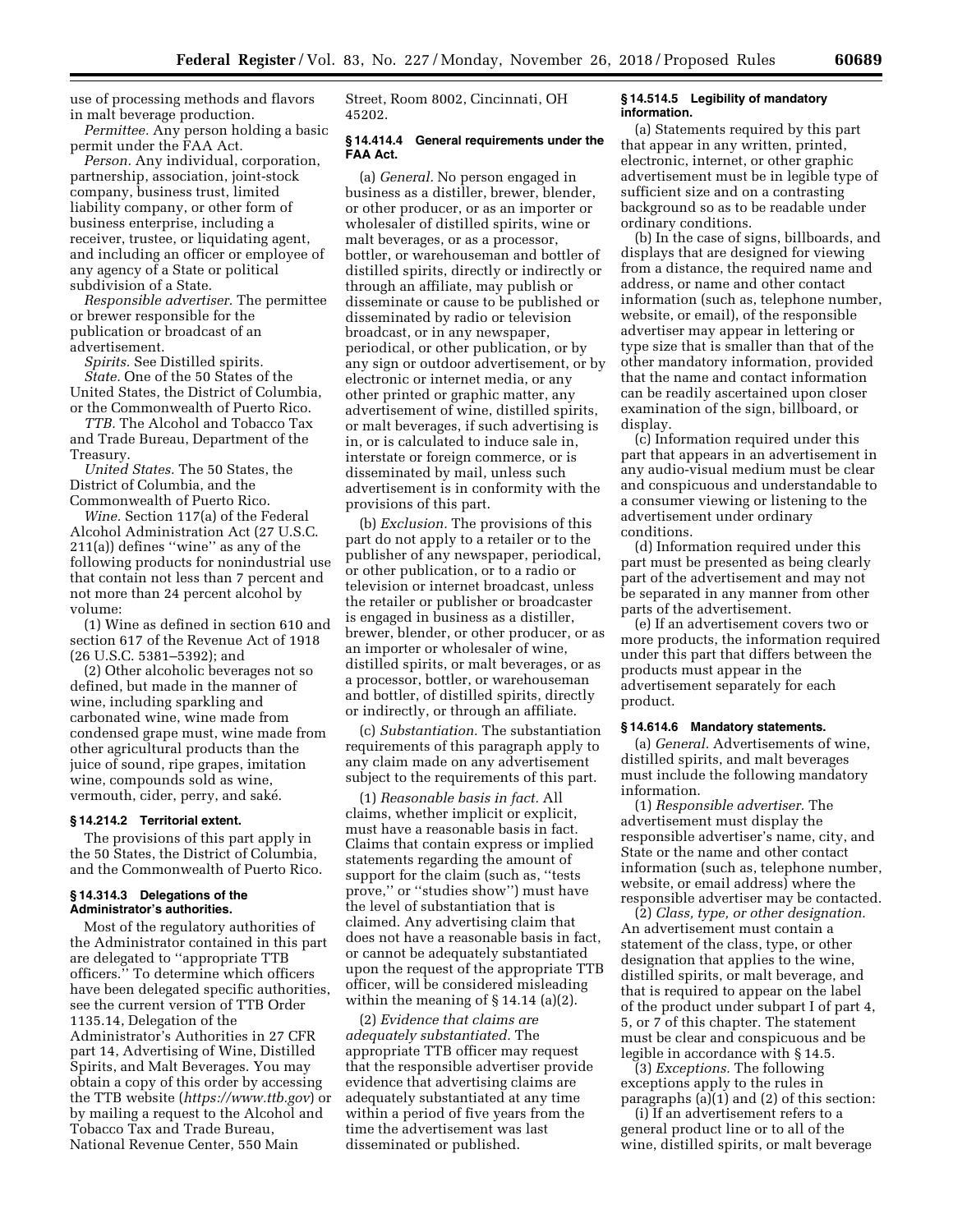use of processing methods and flavors in malt beverage production.

*Permittee.* Any person holding a basic permit under the FAA Act.

*Person.* Any individual, corporation, partnership, association, joint-stock company, business trust, limited liability company, or other form of business enterprise, including a receiver, trustee, or liquidating agent, and including an officer or employee of any agency of a State or political subdivision of a State.

*Responsible advertiser.* The permittee or brewer responsible for the publication or broadcast of an advertisement.

*Spirits.* See Distilled spirits. *State.* One of the 50 States of the United States, the District of Columbia, or the Commonwealth of Puerto Rico.

*TTB.* The Alcohol and Tobacco Tax and Trade Bureau, Department of the Treasury.

*United States.* The 50 States, the District of Columbia, and the Commonwealth of Puerto Rico.

*Wine.* Section 117(a) of the Federal

Alcohol Administration Act (27 U.S.C. 211(a)) defines ''wine'' as any of the following products for nonindustrial use that contain not less than 7 percent and not more than 24 percent alcohol by volume:

(1) Wine as defined in section 610 and section 617 of the Revenue Act of 1918 (26 U.S.C. 5381–5392); and

(2) Other alcoholic beverages not so defined, but made in the manner of wine, including sparkling and carbonated wine, wine made from condensed grape must, wine made from other agricultural products than the juice of sound, ripe grapes, imitation wine, compounds sold as wine, vermouth, cider, perry, and saké.

#### **§ 14.214.2 Territorial extent.**

The provisions of this part apply in the 50 States, the District of Columbia, and the Commonwealth of Puerto Rico.

## **§ 14.314.3 Delegations of the Administrator's authorities.**

Most of the regulatory authorities of the Administrator contained in this part are delegated to ''appropriate TTB officers.'' To determine which officers have been delegated specific authorities, see the current version of TTB Order 1135.14, Delegation of the Administrator's Authorities in 27 CFR part 14, Advertising of Wine, Distilled Spirits, and Malt Beverages. You may obtain a copy of this order by accessing the TTB website (*<https://www.ttb.gov>*) or by mailing a request to the Alcohol and Tobacco Tax and Trade Bureau, National Revenue Center, 550 Main

Street, Room 8002, Cincinnati, OH 45202.

## **§ 14.414.4 General requirements under the FAA Act.**

(a) *General.* No person engaged in business as a distiller, brewer, blender, or other producer, or as an importer or wholesaler of distilled spirits, wine or malt beverages, or as a processor, bottler, or warehouseman and bottler of distilled spirits, directly or indirectly or through an affiliate, may publish or disseminate or cause to be published or disseminated by radio or television broadcast, or in any newspaper, periodical, or other publication, or by any sign or outdoor advertisement, or by electronic or internet media, or any other printed or graphic matter, any advertisement of wine, distilled spirits, or malt beverages, if such advertising is in, or is calculated to induce sale in, interstate or foreign commerce, or is disseminated by mail, unless such advertisement is in conformity with the provisions of this part.

(b) *Exclusion.* The provisions of this part do not apply to a retailer or to the publisher of any newspaper, periodical, or other publication, or to a radio or television or internet broadcast, unless the retailer or publisher or broadcaster is engaged in business as a distiller, brewer, blender, or other producer, or as an importer or wholesaler of wine, distilled spirits, or malt beverages, or as a processor, bottler, or warehouseman and bottler, of distilled spirits, directly or indirectly, or through an affiliate.

(c) *Substantiation.* The substantiation requirements of this paragraph apply to any claim made on any advertisement subject to the requirements of this part.

(1) *Reasonable basis in fact.* All claims, whether implicit or explicit, must have a reasonable basis in fact. Claims that contain express or implied statements regarding the amount of support for the claim (such as, ''tests prove,'' or ''studies show'') must have the level of substantiation that is claimed. Any advertising claim that does not have a reasonable basis in fact, or cannot be adequately substantiated upon the request of the appropriate TTB officer, will be considered misleading within the meaning of  $\S$  14.14 (a)(2).

(2) *Evidence that claims are adequately substantiated.* The appropriate TTB officer may request that the responsible advertiser provide evidence that advertising claims are adequately substantiated at any time within a period of five years from the time the advertisement was last disseminated or published.

## **§ 14.514.5 Legibility of mandatory information.**

(a) Statements required by this part that appear in any written, printed, electronic, internet, or other graphic advertisement must be in legible type of sufficient size and on a contrasting background so as to be readable under ordinary conditions.

(b) In the case of signs, billboards, and displays that are designed for viewing from a distance, the required name and address, or name and other contact information (such as, telephone number, website, or email), of the responsible advertiser may appear in lettering or type size that is smaller than that of the other mandatory information, provided that the name and contact information can be readily ascertained upon closer examination of the sign, billboard, or display.

(c) Information required under this part that appears in an advertisement in any audio-visual medium must be clear and conspicuous and understandable to a consumer viewing or listening to the advertisement under ordinary conditions.

(d) Information required under this part must be presented as being clearly part of the advertisement and may not be separated in any manner from other parts of the advertisement.

(e) If an advertisement covers two or more products, the information required under this part that differs between the products must appear in the advertisement separately for each product.

# **§ 14.614.6 Mandatory statements.**

(a) *General.* Advertisements of wine, distilled spirits, and malt beverages must include the following mandatory information.

(1) *Responsible advertiser.* The advertisement must display the responsible advertiser's name, city, and State or the name and other contact information (such as, telephone number, website, or email address) where the responsible advertiser may be contacted.

(2) *Class, type, or other designation.*  An advertisement must contain a statement of the class, type, or other designation that applies to the wine, distilled spirits, or malt beverage, and that is required to appear on the label of the product under subpart I of part 4, 5, or 7 of this chapter. The statement must be clear and conspicuous and be legible in accordance with § 14.5.

(3) *Exceptions.* The following exceptions apply to the rules in paragraphs (a)(1) and (2) of this section:

(i) If an advertisement refers to a general product line or to all of the wine, distilled spirits, or malt beverage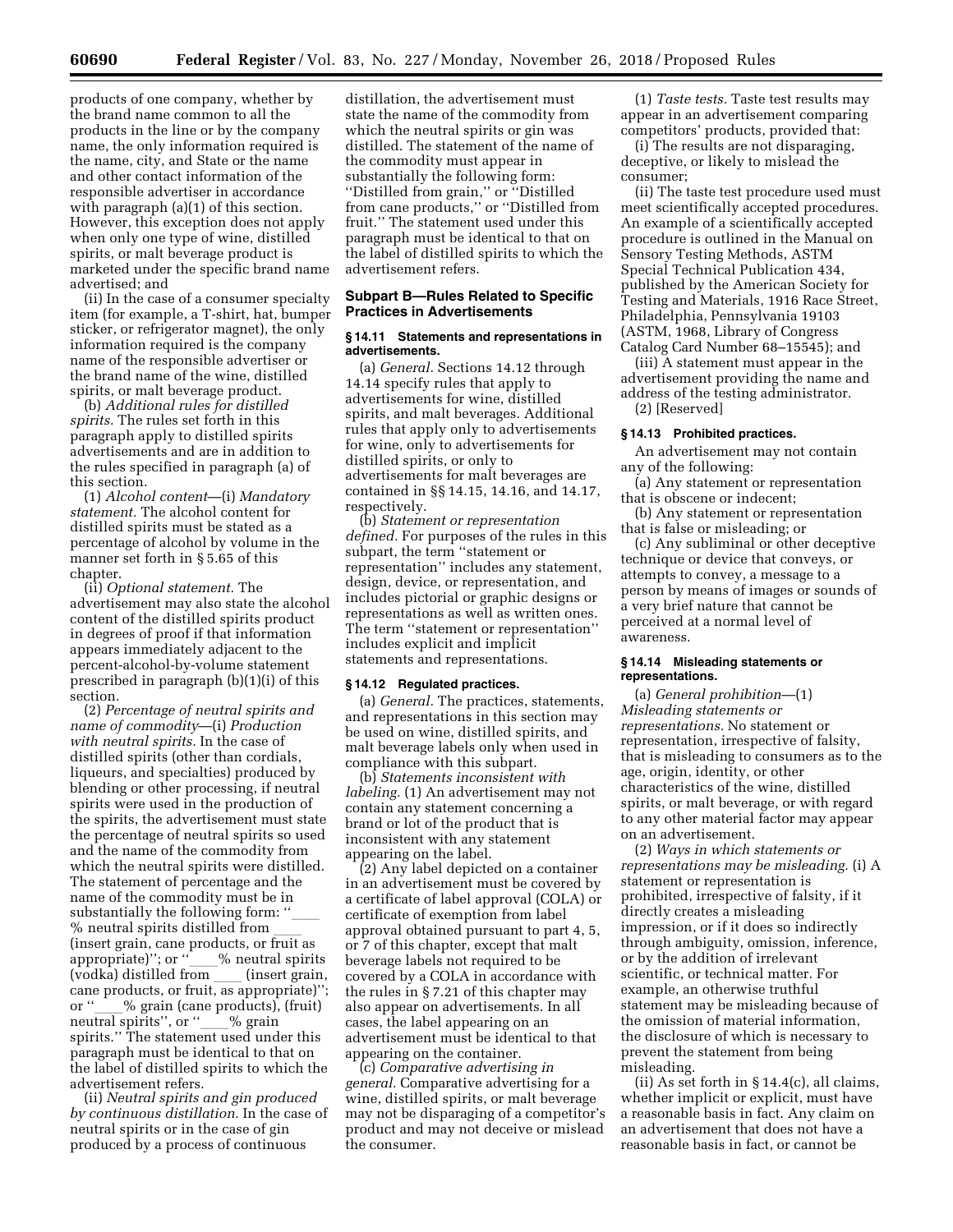products of one company, whether by the brand name common to all the products in the line or by the company name, the only information required is the name, city, and State or the name and other contact information of the responsible advertiser in accordance with paragraph (a)(1) of this section. However, this exception does not apply when only one type of wine, distilled spirits, or malt beverage product is marketed under the specific brand name advertised; and

(ii) In the case of a consumer specialty item (for example, a T-shirt, hat, bumper sticker, or refrigerator magnet), the only information required is the company name of the responsible advertiser or the brand name of the wine, distilled spirits, or malt beverage product.

(b) *Additional rules for distilled spirits.* The rules set forth in this paragraph apply to distilled spirits advertisements and are in addition to the rules specified in paragraph (a) of this section.

(1) *Alcohol content*—(i) *Mandatory statement.* The alcohol content for distilled spirits must be stated as a percentage of alcohol by volume in the manner set forth in § 5.65 of this chapter.

(ii) *Optional statement.* The advertisement may also state the alcohol content of the distilled spirits product in degrees of proof if that information appears immediately adjacent to the percent-alcohol-by-volume statement prescribed in paragraph (b)(1)(i) of this section.

(2) *Percentage of neutral spirits and name of commodity*—(i) *Production with neutral spirits.* In the case of distilled spirits (other than cordials, liqueurs, and specialties) produced by blending or other processing, if neutral spirits were used in the production of the spirits, the advertisement must state the percentage of neutral spirits so used and the name of the commodity from which the neutral spirits were distilled. The statement of percentage and the name of the commodity must be in substantially the following form: "<br>% neutral spirits distilled from % neutral spirits distilled from \_\_\_\_<br>(insert grain, cane products, or fruit as appropriate)''; or ''\_\_\_% neutral spirits<br>(vodka) distilled from (insert grain (vodka) distilled from \_\_\_\_ (insert grain,<br>cane products, or fruit, as appropriate)''; or "\_\_\_% grain (cane products), (fruit)<br>neutral spirits", or " \_\_% grain neutral spirits'', or ''\_\_\_% grain<br>spirits.'' The statement used under this paragraph must be identical to that on the label of distilled spirits to which the advertisement refers.

(ii) *Neutral spirits and gin produced by continuous distillation.* In the case of neutral spirits or in the case of gin produced by a process of continuous

distillation, the advertisement must state the name of the commodity from which the neutral spirits or gin was distilled. The statement of the name of the commodity must appear in substantially the following form: ''Distilled from grain,'' or ''Distilled from cane products,'' or ''Distilled from fruit.'' The statement used under this paragraph must be identical to that on the label of distilled spirits to which the advertisement refers.

# **Subpart B—Rules Related to Specific Practices in Advertisements**

#### **§ 14.11 Statements and representations in advertisements.**

(a) *General.* Sections 14.12 through 14.14 specify rules that apply to advertisements for wine, distilled spirits, and malt beverages. Additional rules that apply only to advertisements for wine, only to advertisements for distilled spirits, or only to advertisements for malt beverages are contained in §§ 14.15, 14.16, and 14.17, respectively.

(b) *Statement or representation defined.* For purposes of the rules in this subpart, the term ''statement or representation'' includes any statement, design, device, or representation, and includes pictorial or graphic designs or representations as well as written ones. The term ''statement or representation'' includes explicit and implicit statements and representations.

#### **§ 14.12 Regulated practices.**

(a) *General.* The practices, statements, and representations in this section may be used on wine, distilled spirits, and malt beverage labels only when used in compliance with this subpart.

(b) *Statements inconsistent with labeling.* (1) An advertisement may not contain any statement concerning a brand or lot of the product that is inconsistent with any statement appearing on the label.

(2) Any label depicted on a container in an advertisement must be covered by a certificate of label approval (COLA) or certificate of exemption from label approval obtained pursuant to part 4, 5, or 7 of this chapter, except that malt beverage labels not required to be covered by a COLA in accordance with the rules in § 7.21 of this chapter may also appear on advertisements. In all cases, the label appearing on an advertisement must be identical to that appearing on the container.

(c) *Comparative advertising in general.* Comparative advertising for a wine, distilled spirits, or malt beverage may not be disparaging of a competitor's product and may not deceive or mislead the consumer.

(1) *Taste tests.* Taste test results may appear in an advertisement comparing competitors' products, provided that:

(i) The results are not disparaging, deceptive, or likely to mislead the consumer;

(ii) The taste test procedure used must meet scientifically accepted procedures. An example of a scientifically accepted procedure is outlined in the Manual on Sensory Testing Methods, ASTM Special Technical Publication 434, published by the American Society for Testing and Materials, 1916 Race Street, Philadelphia, Pennsylvania 19103 (ASTM, 1968, Library of Congress Catalog Card Number 68–15545); and

(iii) A statement must appear in the advertisement providing the name and address of the testing administrator. (2) [Reserved]

# **§ 14.13 Prohibited practices.**

An advertisement may not contain any of the following:

(a) Any statement or representation that is obscene or indecent;

(b) Any statement or representation that is false or misleading; or

(c) Any subliminal or other deceptive technique or device that conveys, or attempts to convey, a message to a person by means of images or sounds of a very brief nature that cannot be perceived at a normal level of awareness.

## **§ 14.14 Misleading statements or representations.**

(a) *General prohibition*—(1) *Misleading statements or representations.* No statement or representation, irrespective of falsity, that is misleading to consumers as to the age, origin, identity, or other characteristics of the wine, distilled spirits, or malt beverage, or with regard to any other material factor may appear on an advertisement.

(2) *Ways in which statements or representations may be misleading.* (i) A statement or representation is prohibited, irrespective of falsity, if it directly creates a misleading impression, or if it does so indirectly through ambiguity, omission, inference, or by the addition of irrelevant scientific, or technical matter. For example, an otherwise truthful statement may be misleading because of the omission of material information, the disclosure of which is necessary to prevent the statement from being misleading.

(ii) As set forth in § 14.4(c), all claims, whether implicit or explicit, must have a reasonable basis in fact. Any claim on an advertisement that does not have a reasonable basis in fact, or cannot be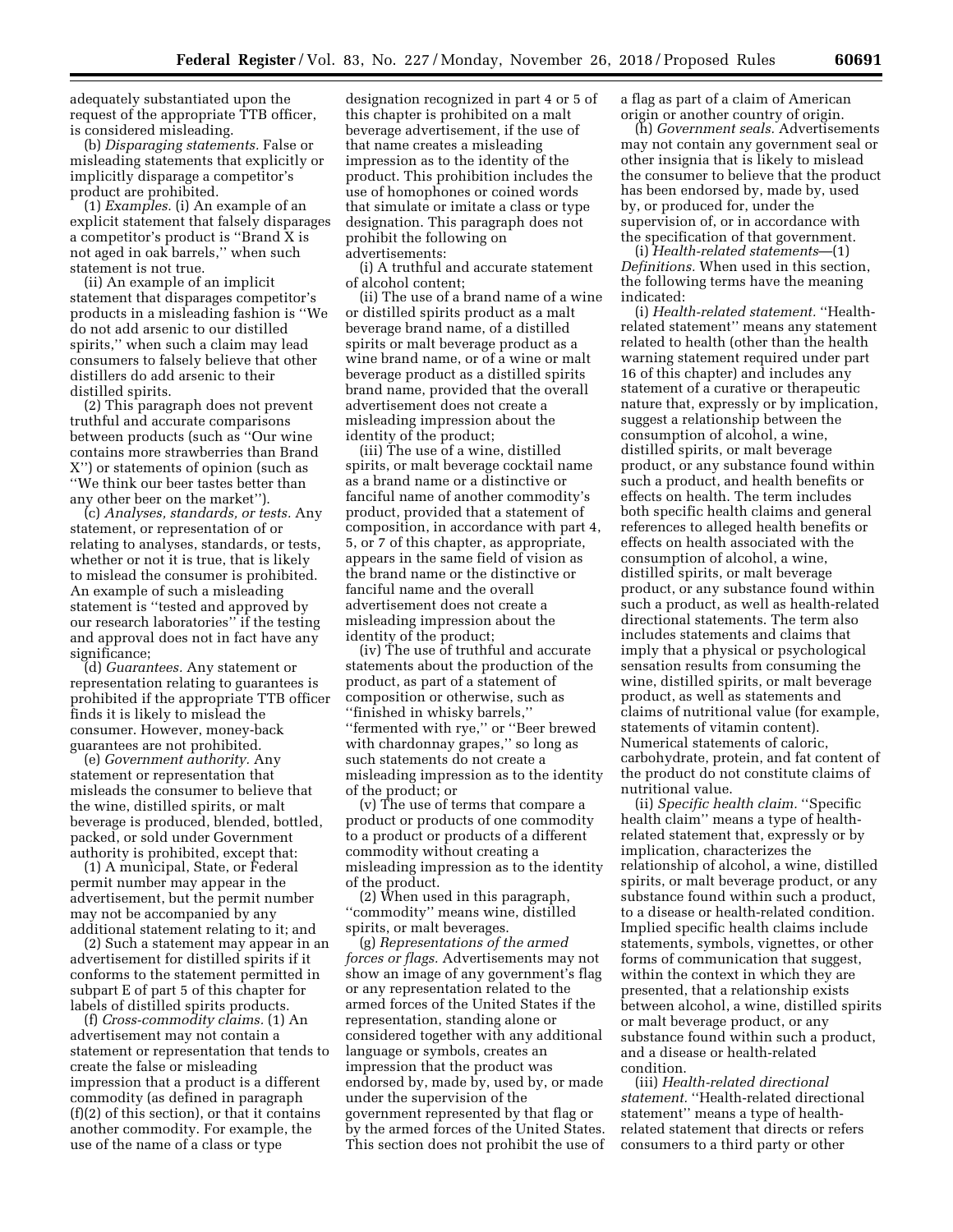adequately substantiated upon the request of the appropriate TTB officer, is considered misleading.

(b) *Disparaging statements.* False or misleading statements that explicitly or implicitly disparage a competitor's product are prohibited.

(1) *Examples.* (i) An example of an explicit statement that falsely disparages a competitor's product is ''Brand X is not aged in oak barrels,'' when such statement is not true.

(ii) An example of an implicit statement that disparages competitor's products in a misleading fashion is ''We do not add arsenic to our distilled spirits,'' when such a claim may lead consumers to falsely believe that other distillers do add arsenic to their distilled spirits.

(2) This paragraph does not prevent truthful and accurate comparisons between products (such as ''Our wine contains more strawberries than Brand X'') or statements of opinion (such as ''We think our beer tastes better than any other beer on the market'').

(c) *Analyses, standards, or tests.* Any statement, or representation of or relating to analyses, standards, or tests, whether or not it is true, that is likely to mislead the consumer is prohibited. An example of such a misleading statement is ''tested and approved by our research laboratories'' if the testing and approval does not in fact have any significance;

(d) *Guarantees.* Any statement or representation relating to guarantees is prohibited if the appropriate TTB officer finds it is likely to mislead the consumer. However, money-back guarantees are not prohibited.

(e) *Government authority.* Any statement or representation that misleads the consumer to believe that the wine, distilled spirits, or malt beverage is produced, blended, bottled, packed, or sold under Government authority is prohibited, except that:

(1) A municipal, State, or Federal permit number may appear in the advertisement, but the permit number may not be accompanied by any additional statement relating to it; and

(2) Such a statement may appear in an advertisement for distilled spirits if it conforms to the statement permitted in subpart E of part 5 of this chapter for labels of distilled spirits products.

(f) *Cross-commodity claims.* (1) An advertisement may not contain a statement or representation that tends to create the false or misleading impression that a product is a different commodity (as defined in paragraph (f)(2) of this section), or that it contains another commodity. For example, the use of the name of a class or type

designation recognized in part 4 or 5 of this chapter is prohibited on a malt beverage advertisement, if the use of that name creates a misleading impression as to the identity of the product. This prohibition includes the use of homophones or coined words that simulate or imitate a class or type designation. This paragraph does not prohibit the following on advertisements:

(i) A truthful and accurate statement of alcohol content;

(ii) The use of a brand name of a wine or distilled spirits product as a malt beverage brand name, of a distilled spirits or malt beverage product as a wine brand name, or of a wine or malt beverage product as a distilled spirits brand name, provided that the overall advertisement does not create a misleading impression about the identity of the product;

(iii) The use of a wine, distilled spirits, or malt beverage cocktail name as a brand name or a distinctive or fanciful name of another commodity's product, provided that a statement of composition, in accordance with part 4, 5, or 7 of this chapter, as appropriate, appears in the same field of vision as the brand name or the distinctive or fanciful name and the overall advertisement does not create a misleading impression about the identity of the product;

(iv) The use of truthful and accurate statements about the production of the product, as part of a statement of composition or otherwise, such as ''finished in whisky barrels,'' ''fermented with rye,'' or ''Beer brewed with chardonnay grapes,'' so long as such statements do not create a misleading impression as to the identity of the product; or

(v) The use of terms that compare a product or products of one commodity to a product or products of a different commodity without creating a misleading impression as to the identity of the product.

(2) When used in this paragraph, ''commodity'' means wine, distilled spirits, or malt beverages.

(g) *Representations of the armed forces or flags.* Advertisements may not show an image of any government's flag or any representation related to the armed forces of the United States if the representation, standing alone or considered together with any additional language or symbols, creates an impression that the product was endorsed by, made by, used by, or made under the supervision of the government represented by that flag or by the armed forces of the United States. This section does not prohibit the use of a flag as part of a claim of American origin or another country of origin.

(h) *Government seals.* Advertisements may not contain any government seal or other insignia that is likely to mislead the consumer to believe that the product has been endorsed by, made by, used by, or produced for, under the supervision of, or in accordance with the specification of that government.

(i) *Health-related statements*—(1) *Definitions.* When used in this section, the following terms have the meaning indicated:

(i) *Health-related statement.* ''Healthrelated statement'' means any statement related to health (other than the health warning statement required under part 16 of this chapter) and includes any statement of a curative or therapeutic nature that, expressly or by implication, suggest a relationship between the consumption of alcohol, a wine, distilled spirits, or malt beverage product, or any substance found within such a product, and health benefits or effects on health. The term includes both specific health claims and general references to alleged health benefits or effects on health associated with the consumption of alcohol, a wine, distilled spirits, or malt beverage product, or any substance found within such a product, as well as health-related directional statements. The term also includes statements and claims that imply that a physical or psychological sensation results from consuming the wine, distilled spirits, or malt beverage product, as well as statements and claims of nutritional value (for example, statements of vitamin content). Numerical statements of caloric, carbohydrate, protein, and fat content of the product do not constitute claims of nutritional value.

(ii) *Specific health claim.* ''Specific health claim'' means a type of healthrelated statement that, expressly or by implication, characterizes the relationship of alcohol, a wine, distilled spirits, or malt beverage product, or any substance found within such a product, to a disease or health-related condition. Implied specific health claims include statements, symbols, vignettes, or other forms of communication that suggest, within the context in which they are presented, that a relationship exists between alcohol, a wine, distilled spirits or malt beverage product, or any substance found within such a product, and a disease or health-related condition.

(iii) *Health-related directional statement.* ''Health-related directional statement'' means a type of healthrelated statement that directs or refers consumers to a third party or other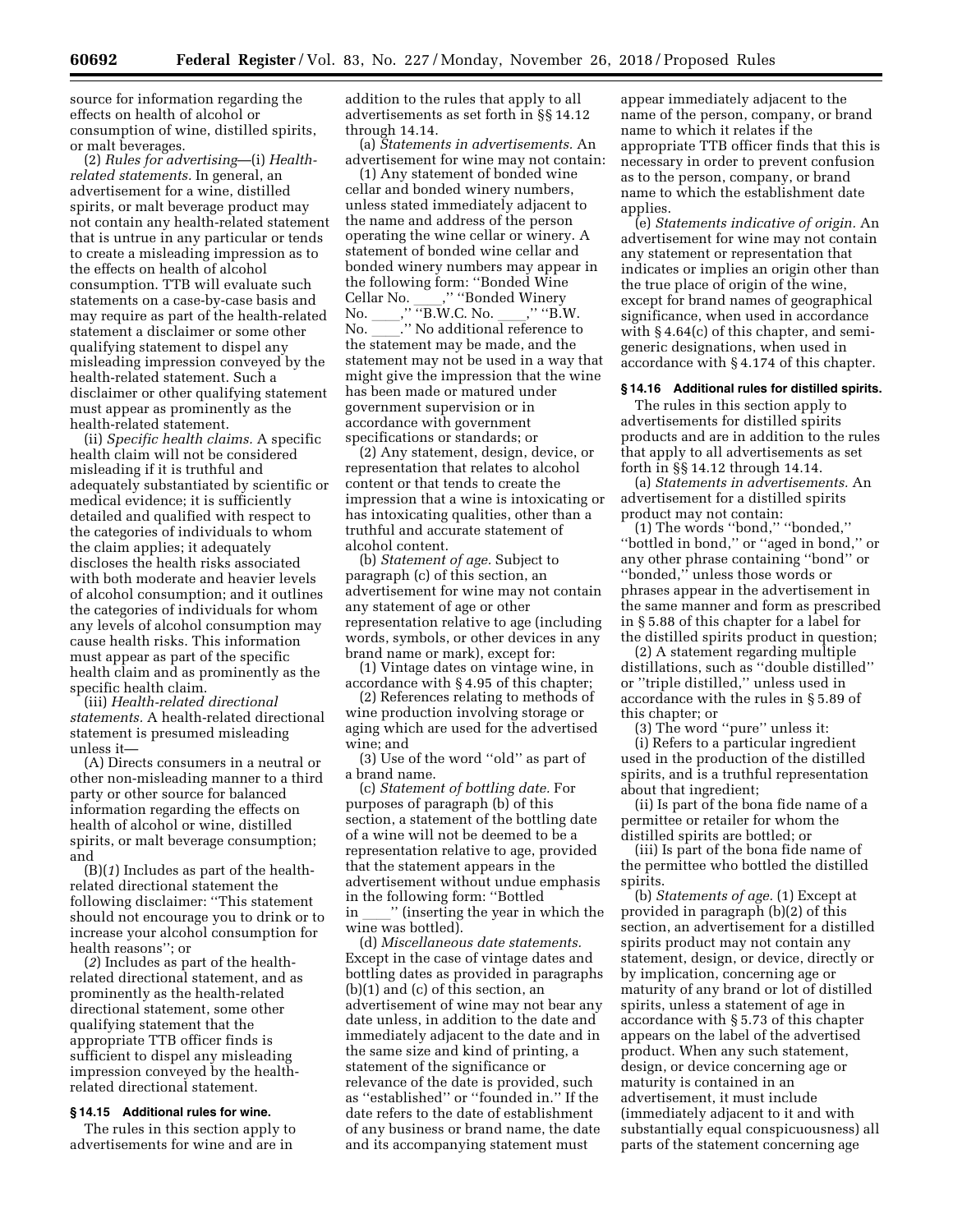source for information regarding the effects on health of alcohol or consumption of wine, distilled spirits, or malt beverages.

(2) *Rules for advertising*—(i) *Healthrelated statements.* In general, an advertisement for a wine, distilled spirits, or malt beverage product may not contain any health-related statement that is untrue in any particular or tends to create a misleading impression as to the effects on health of alcohol consumption. TTB will evaluate such statements on a case-by-case basis and may require as part of the health-related statement a disclaimer or some other qualifying statement to dispel any misleading impression conveyed by the health-related statement. Such a disclaimer or other qualifying statement must appear as prominently as the health-related statement.

(ii) *Specific health claims.* A specific health claim will not be considered misleading if it is truthful and adequately substantiated by scientific or medical evidence; it is sufficiently detailed and qualified with respect to the categories of individuals to whom the claim applies; it adequately discloses the health risks associated with both moderate and heavier levels of alcohol consumption; and it outlines the categories of individuals for whom any levels of alcohol consumption may cause health risks. This information must appear as part of the specific health claim and as prominently as the specific health claim.

(iii) *Health-related directional statements.* A health-related directional statement is presumed misleading unless it—

(A) Directs consumers in a neutral or other non-misleading manner to a third party or other source for balanced information regarding the effects on health of alcohol or wine, distilled spirits, or malt beverage consumption; and

(B)(*1*) Includes as part of the healthrelated directional statement the following disclaimer: ''This statement should not encourage you to drink or to increase your alcohol consumption for health reasons''; or

(*2*) Includes as part of the healthrelated directional statement, and as prominently as the health-related directional statement, some other qualifying statement that the appropriate TTB officer finds is sufficient to dispel any misleading impression conveyed by the healthrelated directional statement.

## **§ 14.15 Additional rules for wine.**

The rules in this section apply to advertisements for wine and are in

addition to the rules that apply to all advertisements as set forth in §§ 14.12 through 14.14.

(a) *Statements in advertisements.* An advertisement for wine may not contain:

(1) Any statement of bonded wine cellar and bonded winery numbers, unless stated immediately adjacent to the name and address of the person operating the wine cellar or winery. A statement of bonded wine cellar and bonded winery numbers may appear in the following form: ''Bonded Wine Cellar No.  $\frac{1}{\cdot}$ ," "Bonded Winery<br>No.  $\cdot$ ," "B.W.C. No.  $\cdot$ ," "B.W. No. \_\_\_\_, TB.W.C. No. \_\_\_\_, TB.W.<br>No.  $\qquad$  .'' No additional reference to No. \_\_\_\_.'' No additional reference to<br>the statement may be made, and the statement may not be used in a way that might give the impression that the wine has been made or matured under government supervision or in accordance with government specifications or standards; or

(2) Any statement, design, device, or representation that relates to alcohol content or that tends to create the impression that a wine is intoxicating or has intoxicating qualities, other than a truthful and accurate statement of alcohol content.

(b) *Statement of age.* Subject to paragraph (c) of this section, an advertisement for wine may not contain any statement of age or other representation relative to age (including words, symbols, or other devices in any brand name or mark), except for:

(1) Vintage dates on vintage wine, in accordance with § 4.95 of this chapter;

(2) References relating to methods of wine production involving storage or aging which are used for the advertised wine; and

(3) Use of the word ''old'' as part of a brand name.

(c) *Statement of bottling date.* For purposes of paragraph (b) of this section, a statement of the bottling date of a wine will not be deemed to be a representation relative to age, provided that the statement appears in the advertisement without undue emphasis in the following form: ''Bottled " (inserting the year in which the wine was bottled).

(d) *Miscellaneous date statements.*  Except in the case of vintage dates and bottling dates as provided in paragraphs (b)(1) and (c) of this section, an advertisement of wine may not bear any date unless, in addition to the date and immediately adjacent to the date and in the same size and kind of printing, a statement of the significance or relevance of the date is provided, such as ''established'' or ''founded in.'' If the date refers to the date of establishment of any business or brand name, the date and its accompanying statement must

appear immediately adjacent to the name of the person, company, or brand name to which it relates if the appropriate TTB officer finds that this is necessary in order to prevent confusion as to the person, company, or brand name to which the establishment date applies.

(e) *Statements indicative of origin.* An advertisement for wine may not contain any statement or representation that indicates or implies an origin other than the true place of origin of the wine, except for brand names of geographical significance, when used in accordance with § 4.64(c) of this chapter, and semigeneric designations, when used in accordance with § 4.174 of this chapter.

#### **§ 14.16 Additional rules for distilled spirits.**

The rules in this section apply to advertisements for distilled spirits products and are in addition to the rules that apply to all advertisements as set forth in §§ 14.12 through 14.14.

(a) *Statements in advertisements.* An advertisement for a distilled spirits product may not contain:

(1) The words ''bond,'' ''bonded,'' "bottled in bond," or "aged in bond," or any other phrase containing ''bond'' or ''bonded,'' unless those words or phrases appear in the advertisement in the same manner and form as prescribed in § 5.88 of this chapter for a label for the distilled spirits product in question;

(2) A statement regarding multiple distillations, such as ''double distilled'' or ''triple distilled,'' unless used in accordance with the rules in § 5.89 of this chapter; or

(3) The word ''pure'' unless it: (i) Refers to a particular ingredient used in the production of the distilled spirits, and is a truthful representation about that ingredient;

(ii) Is part of the bona fide name of a permittee or retailer for whom the distilled spirits are bottled; or

(iii) Is part of the bona fide name of the permittee who bottled the distilled spirits.

(b) *Statements of age.* (1) Except at provided in paragraph (b)(2) of this section, an advertisement for a distilled spirits product may not contain any statement, design, or device, directly or by implication, concerning age or maturity of any brand or lot of distilled spirits, unless a statement of age in accordance with § 5.73 of this chapter appears on the label of the advertised product. When any such statement, design, or device concerning age or maturity is contained in an advertisement, it must include (immediately adjacent to it and with substantially equal conspicuousness) all parts of the statement concerning age